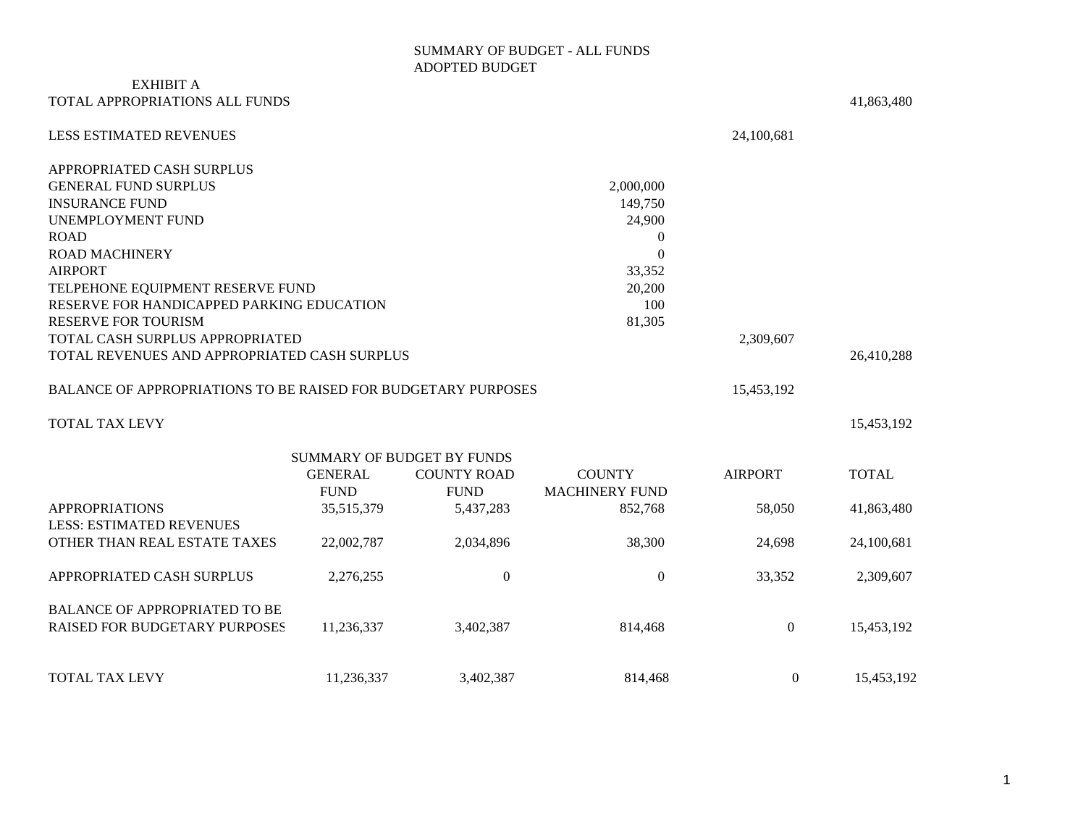## EXHIBIT A TOTAL APPROPRIATIONS ALL FUNDS 41,863,480

| <b>LESS ESTIMATED REVENUES</b>                                       |                |                            |                       | 24,100,681       |              |
|----------------------------------------------------------------------|----------------|----------------------------|-----------------------|------------------|--------------|
| APPROPRIATED CASH SURPLUS                                            |                |                            |                       |                  |              |
| <b>GENERAL FUND SURPLUS</b>                                          |                |                            | 2,000,000             |                  |              |
| <b>INSURANCE FUND</b>                                                |                |                            | 149,750               |                  |              |
| UNEMPLOYMENT FUND                                                    |                |                            | 24,900                |                  |              |
| <b>ROAD</b>                                                          |                |                            | $\theta$              |                  |              |
| <b>ROAD MACHINERY</b>                                                |                |                            | $\theta$              |                  |              |
| <b>AIRPORT</b>                                                       |                |                            | 33,352                |                  |              |
| TELPEHONE EQUIPMENT RESERVE FUND                                     |                |                            | 20,200                |                  |              |
| RESERVE FOR HANDICAPPED PARKING EDUCATION                            |                |                            | 100                   |                  |              |
| <b>RESERVE FOR TOURISM</b>                                           |                |                            | 81,305                |                  |              |
| TOTAL CASH SURPLUS APPROPRIATED                                      |                |                            |                       | 2,309,607        |              |
| TOTAL REVENUES AND APPROPRIATED CASH SURPLUS                         |                |                            |                       |                  | 26,410,288   |
| <b>BALANCE OF APPROPRIATIONS TO BE RAISED FOR BUDGETARY PURPOSES</b> |                |                            |                       | 15,453,192       |              |
| <b>TOTAL TAX LEVY</b>                                                |                |                            |                       |                  | 15,453,192   |
|                                                                      |                | SUMMARY OF BUDGET BY FUNDS |                       |                  |              |
|                                                                      | <b>GENERAL</b> | <b>COUNTY ROAD</b>         | <b>COUNTY</b>         | <b>AIRPORT</b>   | <b>TOTAL</b> |
|                                                                      | <b>FUND</b>    | <b>FUND</b>                | <b>MACHINERY FUND</b> |                  |              |
| <b>APPROPRIATIONS</b>                                                | 35,515,379     | 5,437,283                  | 852,768               | 58,050           | 41,863,480   |
| <b>LESS: ESTIMATED REVENUES</b>                                      |                |                            |                       |                  |              |
| OTHER THAN REAL ESTATE TAXES                                         | 22,002,787     | 2,034,896                  | 38,300                | 24,698           | 24,100,681   |
|                                                                      |                |                            |                       |                  |              |
| APPROPRIATED CASH SURPLUS                                            | 2,276,255      | $\mathbf{0}$               | $\boldsymbol{0}$      | 33,352           | 2,309,607    |
|                                                                      |                |                            |                       |                  |              |
| <b>BALANCE OF APPROPRIATED TO BE</b>                                 |                |                            |                       |                  |              |
| RAISED FOR BUDGETARY PURPOSES                                        | 11,236,337     | 3,402,387                  | 814,468               | $\overline{0}$   | 15,453,192   |
|                                                                      |                |                            |                       |                  |              |
| <b>TOTAL TAX LEVY</b>                                                | 11,236,337     | 3,402,387                  | 814,468               | $\boldsymbol{0}$ | 15,453,192   |
|                                                                      |                |                            |                       |                  |              |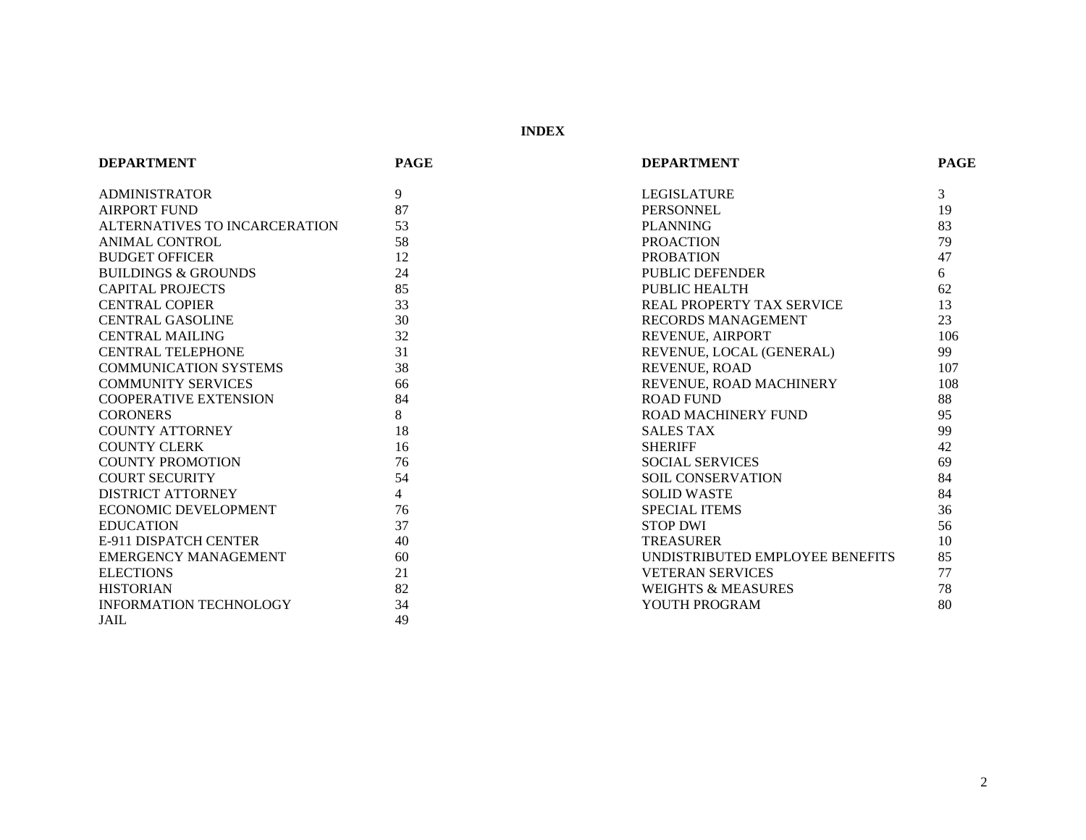**INDEX**

| <b>DEPARTMENT</b>              | <b>PAGE</b>    | <b>DEPARTMENT</b>               | <b>PAGE</b> |
|--------------------------------|----------------|---------------------------------|-------------|
| <b>ADMINISTRATOR</b>           | 9              | <b>LEGISLATURE</b>              | 3           |
| <b>AIRPORT FUND</b>            | 87             | <b>PERSONNEL</b>                | 19          |
| ALTERNATIVES TO INCARCERATION  | 53             | <b>PLANNING</b>                 | 83          |
| ANIMAL CONTROL                 | 58             | <b>PROACTION</b>                | 79          |
| <b>BUDGET OFFICER</b>          | 12             | <b>PROBATION</b>                | 47          |
| <b>BUILDINGS &amp; GROUNDS</b> | 24             | PUBLIC DEFENDER                 | 6           |
| <b>CAPITAL PROJECTS</b>        | 85             | <b>PUBLIC HEALTH</b>            | 62          |
| <b>CENTRAL COPIER</b>          | 33             | REAL PROPERTY TAX SERVICE       | 13          |
| <b>CENTRAL GASOLINE</b>        | 30             | <b>RECORDS MANAGEMENT</b>       | 23          |
| <b>CENTRAL MAILING</b>         | 32             | REVENUE, AIRPORT                | 106         |
| <b>CENTRAL TELEPHONE</b>       | 31             | REVENUE, LOCAL (GENERAL)        | 99          |
| <b>COMMUNICATION SYSTEMS</b>   | 38             | REVENUE, ROAD                   | 107         |
| <b>COMMUNITY SERVICES</b>      | 66             | REVENUE, ROAD MACHINERY         | 108         |
| <b>COOPERATIVE EXTENSION</b>   | 84             | ROAD FUND                       | 88          |
| <b>CORONERS</b>                | 8              | <b>ROAD MACHINERY FUND</b>      | 95          |
| <b>COUNTY ATTORNEY</b>         | 18             | <b>SALES TAX</b>                | 99          |
| <b>COUNTY CLERK</b>            | 16             | <b>SHERIFF</b>                  | 42          |
| <b>COUNTY PROMOTION</b>        | 76             | <b>SOCIAL SERVICES</b>          | 69          |
| <b>COURT SECURITY</b>          | 54             | <b>SOIL CONSERVATION</b>        | 84          |
| <b>DISTRICT ATTORNEY</b>       | $\overline{4}$ | <b>SOLID WASTE</b>              | 84          |
| ECONOMIC DEVELOPMENT           | 76             | <b>SPECIAL ITEMS</b>            | 36          |
| <b>EDUCATION</b>               | 37             | <b>STOP DWI</b>                 | 56          |
| E-911 DISPATCH CENTER          | 40             | <b>TREASURER</b>                | 10          |
| <b>EMERGENCY MANAGEMENT</b>    | 60             | UNDISTRIBUTED EMPLOYEE BENEFITS | 85          |
| <b>ELECTIONS</b>               | 21             | <b>VETERAN SERVICES</b>         | 77          |
| <b>HISTORIAN</b>               | 82             | <b>WEIGHTS &amp; MEASURES</b>   | 78          |
| <b>INFORMATION TECHNOLOGY</b>  | 34             | YOUTH PROGRAM                   | 80          |
| JAIL                           | 49             |                                 |             |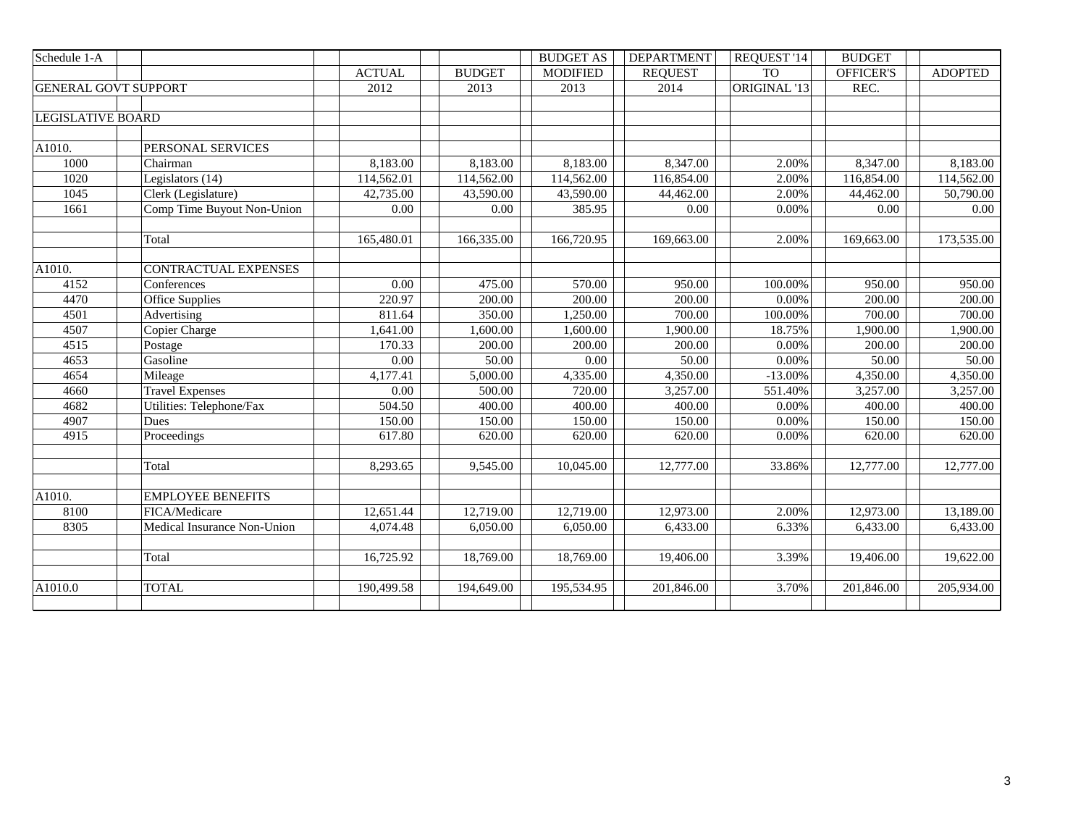| Schedule 1-A                |                             |               |               | <b>BUDGET AS</b> | <b>DEPARTMENT</b> | REQUEST '14  | <b>BUDGET</b>    |                |
|-----------------------------|-----------------------------|---------------|---------------|------------------|-------------------|--------------|------------------|----------------|
|                             |                             | <b>ACTUAL</b> | <b>BUDGET</b> | <b>MODIFIED</b>  | <b>REQUEST</b>    | <b>TO</b>    | <b>OFFICER'S</b> | <b>ADOPTED</b> |
| <b>GENERAL GOVT SUPPORT</b> |                             | 2012          | 2013          | 2013             | 2014              | ORIGINAL '13 | REC.             |                |
|                             |                             |               |               |                  |                   |              |                  |                |
| <b>LEGISLATIVE BOARD</b>    |                             |               |               |                  |                   |              |                  |                |
|                             |                             |               |               |                  |                   |              |                  |                |
| A1010.                      | PERSONAL SERVICES           |               |               |                  |                   |              |                  |                |
| 1000                        | Chairman                    | 8,183.00      | 8,183.00      | 8,183.00         | 8,347.00          | 2.00%        | 8,347.00         | 8,183.00       |
| 1020                        | Legislators (14)            | 114,562.01    | 114,562.00    | 114,562.00       | 116,854.00        | 2.00%        | 116,854.00       | 114,562.00     |
| 1045                        | Clerk (Legislature)         | 42,735.00     | 43,590.00     | 43,590.00        | 44,462.00         | 2.00%        | 44,462.00        | 50,790.00      |
| 1661                        | Comp Time Buyout Non-Union  | 0.00          | 0.00          | 385.95           | 0.00              | 0.00%        | 0.00             | 0.00           |
|                             |                             |               |               |                  |                   |              |                  |                |
|                             | Total                       | 165,480.01    | 166,335.00    | 166,720.95       | 169,663.00        | 2.00%        | 169,663.00       | 173,535.00     |
|                             |                             |               |               |                  |                   |              |                  |                |
| A1010.                      | CONTRACTUAL EXPENSES        |               |               |                  |                   |              |                  |                |
| 4152                        | Conferences                 | 0.00          | 475.00        | 570.00           | 950.00            | 100.00%      | 950.00           | 950.00         |
| 4470                        | Office Supplies             | 220.97        | 200.00        | 200.00           | 200.00            | 0.00%        | 200.00           | 200.00         |
| 4501                        | Advertising                 | 811.64        | 350.00        | 1,250.00         | 700.00            | 100.00%      | 700.00           | 700.00         |
| 4507                        | Copier Charge               | 1,641.00      | 1,600.00      | 1,600.00         | 1,900.00          | 18.75%       | 1,900.00         | 1,900.00       |
| 4515                        | Postage                     | 170.33        | 200.00        | 200.00           | 200.00            | $0.00\%$     | 200.00           | 200.00         |
| 4653                        | Gasoline                    | $0.00\,$      | 50.00         | 0.00             | 50.00             | $0.00\%$     | 50.00            | 50.00          |
| 4654                        | Mileage                     | 4,177.41      | 5,000.00      | 4,335.00         | 4,350.00          | $-13.00\%$   | 4,350.00         | 4,350.00       |
| 4660                        | <b>Travel Expenses</b>      | 0.00          | 500.00        | 720.00           | 3,257.00          | 551.40%      | 3,257.00         | 3,257.00       |
| 4682                        | Utilities: Telephone/Fax    | 504.50        | 400.00        | 400.00           | 400.00            | 0.00%        | 400.00           | 400.00         |
| 4907                        | Dues                        | 150.00        | 150.00        | 150.00           | 150.00            | 0.00%        | 150.00           | 150.00         |
| 4915                        | Proceedings                 | 617.80        | 620.00        | 620.00           | 620.00            | 0.00%        | 620.00           | 620.00         |
|                             |                             |               |               |                  |                   |              |                  |                |
|                             | Total                       | 8,293.65      | 9,545.00      | 10,045.00        | 12,777.00         | 33.86%       | 12,777.00        | 12,777.00      |
|                             |                             |               |               |                  |                   |              |                  |                |
| A1010.                      | <b>EMPLOYEE BENEFITS</b>    |               |               |                  |                   |              |                  |                |
| 8100                        | FICA/Medicare               | 12,651.44     | 12,719.00     | 12,719.00        | 12,973.00         | 2.00%        | 12,973.00        | 13,189.00      |
| 8305                        | Medical Insurance Non-Union | 4,074.48      | 6.050.00      | 6,050.00         | 6,433.00          | 6.33%        | 6,433.00         | 6,433.00       |
|                             |                             |               |               |                  |                   |              |                  |                |
|                             | Total                       | 16,725.92     | 18,769.00     | 18,769.00        | 19,406.00         | 3.39%        | 19,406.00        | 19,622.00      |
|                             |                             |               |               |                  |                   |              |                  |                |
| A1010.0                     | <b>TOTAL</b>                | 190,499.58    | 194,649.00    | 195,534.95       | 201,846.00        | 3.70%        | 201,846.00       | 205,934.00     |
|                             |                             |               |               |                  |                   |              |                  |                |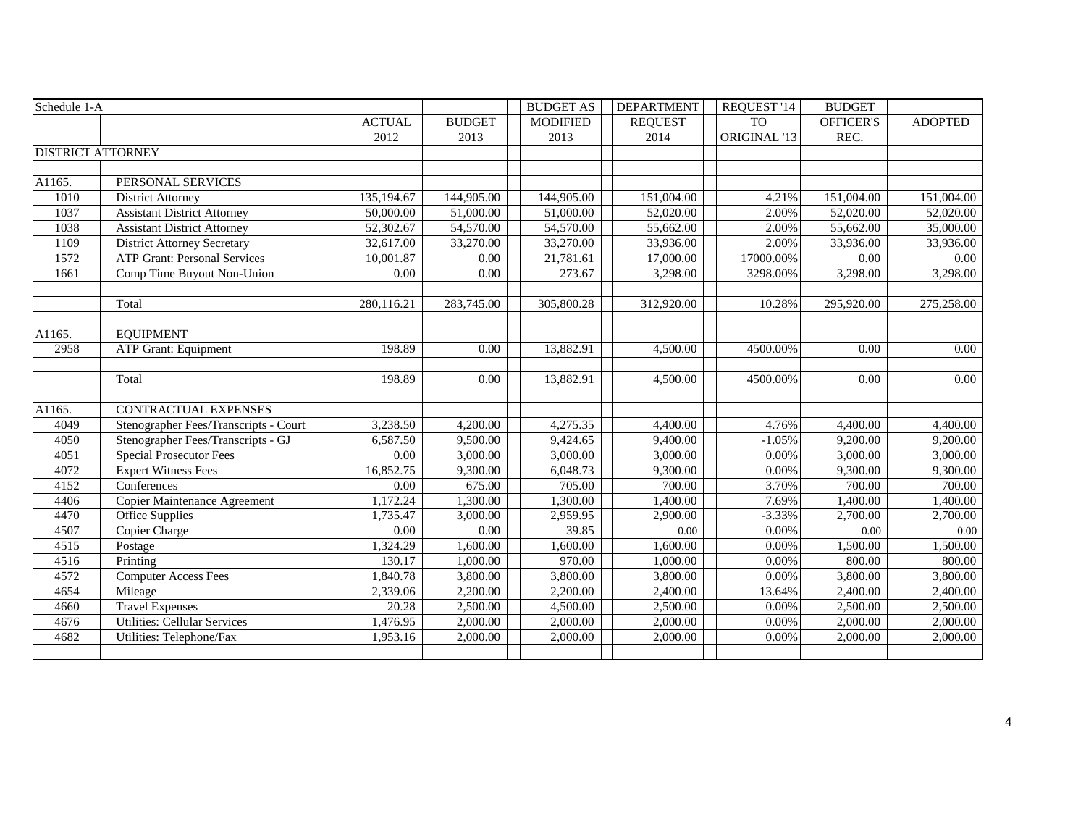| Schedule 1-A             |                                       |               |               | <b>BUDGET AS</b> | <b>DEPARTMENT</b> | REQUEST '14  | <b>BUDGET</b> |                |
|--------------------------|---------------------------------------|---------------|---------------|------------------|-------------------|--------------|---------------|----------------|
|                          |                                       | <b>ACTUAL</b> | <b>BUDGET</b> | <b>MODIFIED</b>  | <b>REQUEST</b>    | <b>TO</b>    | OFFICER'S     | <b>ADOPTED</b> |
|                          |                                       | 2012          | 2013          | 2013             | 2014              | ORIGINAL '13 | REC.          |                |
| <b>DISTRICT ATTORNEY</b> |                                       |               |               |                  |                   |              |               |                |
|                          |                                       |               |               |                  |                   |              |               |                |
| A1165.                   | PERSONAL SERVICES                     |               |               |                  |                   |              |               |                |
| 1010                     | <b>District Attorney</b>              | 135,194.67    | 144,905.00    | 144,905.00       | 151,004.00        | 4.21%        | 151,004.00    | 151,004.00     |
| 1037                     | <b>Assistant District Attorney</b>    | 50,000.00     | 51,000.00     | 51,000.00        | 52,020.00         | 2.00%        | 52,020.00     | 52,020.00      |
| 1038                     | <b>Assistant District Attorney</b>    | 52,302.67     | 54,570.00     | 54,570.00        | 55,662.00         | 2.00%        | 55,662.00     | 35,000.00      |
| 1109                     | <b>District Attorney Secretary</b>    | 32,617.00     | 33,270.00     | 33,270.00        | 33,936.00         | 2.00%        | 33,936.00     | 33,936.00      |
| 1572                     | <b>ATP Grant: Personal Services</b>   | 10,001.87     | $0.00\,$      | 21,781.61        | 17,000.00         | 17000.00%    | 0.00          | 0.00           |
| 1661                     | Comp Time Buyout Non-Union            | 0.00          | 0.00          | 273.67           | 3,298.00          | 3298.00%     | 3,298.00      | 3,298.00       |
|                          |                                       |               |               |                  |                   |              |               |                |
|                          | Total                                 | 280,116.21    | 283,745.00    | 305,800.28       | 312,920.00        | 10.28%       | 295,920.00    | 275,258.00     |
|                          |                                       |               |               |                  |                   |              |               |                |
| A1165.                   | <b>EQUIPMENT</b>                      |               |               |                  |                   |              |               |                |
| 2958                     | <b>ATP Grant: Equipment</b>           | 198.89        | 0.00          | 13,882.91        | 4,500.00          | 4500.00%     | 0.00          | 0.00           |
|                          |                                       |               |               |                  |                   |              |               |                |
|                          | Total                                 | 198.89        | 0.00          | 13,882.91        | 4,500.00          | 4500.00%     | 0.00          | 0.00           |
|                          |                                       |               |               |                  |                   |              |               |                |
| A1165.                   | <b>CONTRACTUAL EXPENSES</b>           |               |               |                  |                   |              |               |                |
| 4049                     | Stenographer Fees/Transcripts - Court | 3,238.50      | 4,200.00      | 4,275.35         | 4,400.00          | 4.76%        | 4,400.00      | 4,400.00       |
| 4050                     | Stenographer Fees/Transcripts - GJ    | 6,587.50      | 9,500.00      | 9,424.65         | 9,400.00          | $-1.05%$     | 9,200.00      | 9,200.00       |
| 4051                     | <b>Special Prosecutor Fees</b>        | 0.00          | 3,000.00      | 3,000.00         | 3,000.00          | 0.00%        | 3,000.00      | 3,000.00       |
| 4072                     | <b>Expert Witness Fees</b>            | 16,852.75     | 9,300.00      | 6,048.73         | 9,300.00          | 0.00%        | 9,300.00      | 9,300.00       |
| 4152                     | Conferences                           | 0.00          | 675.00        | 705.00           | 700.00            | 3.70%        | 700.00        | 700.00         |
| 4406                     | Copier Maintenance Agreement          | 1,172.24      | 1,300.00      | 1,300.00         | 1,400.00          | 7.69%        | 1,400.00      | 1,400.00       |
| 4470                     | <b>Office Supplies</b>                | 1,735.47      | 3,000.00      | 2,959.95         | 2,900.00          | $-3.33%$     | 2,700.00      | 2,700.00       |
| 4507                     | Copier Charge                         | 0.00          | 0.00          | 39.85            | 0.00              | 0.00%        | 0.00          | 0.00           |
| 4515                     | Postage                               | 1,324.29      | 1,600.00      | 1,600.00         | 1,600.00          | 0.00%        | 1,500.00      | 1,500.00       |
| 4516                     | Printing                              | 130.17        | 1,000.00      | 970.00           | 1,000.00          | 0.00%        | 800.00        | 800.00         |
| 4572                     | <b>Computer Access Fees</b>           | 1,840.78      | 3,800.00      | 3,800.00         | 3,800.00          | 0.00%        | 3,800.00      | 3,800.00       |
| 4654                     | Mileage                               | 2,339.06      | 2,200.00      | 2,200.00         | 2,400.00          | 13.64%       | 2,400.00      | 2,400.00       |
| 4660                     | <b>Travel Expenses</b>                | 20.28         | 2,500.00      | 4,500.00         | 2,500.00          | 0.00%        | 2,500.00      | 2,500.00       |
| 4676                     | <b>Utilities: Cellular Services</b>   | 1,476.95      | 2,000.00      | 2,000.00         | 2,000.00          | 0.00%        | 2,000.00      | 2,000.00       |
| 4682                     | Utilities: Telephone/Fax              | 1,953.16      | 2,000.00      | 2,000.00         | 2,000.00          | 0.00%        | 2,000.00      | 2,000.00       |
|                          |                                       |               |               |                  |                   |              |               |                |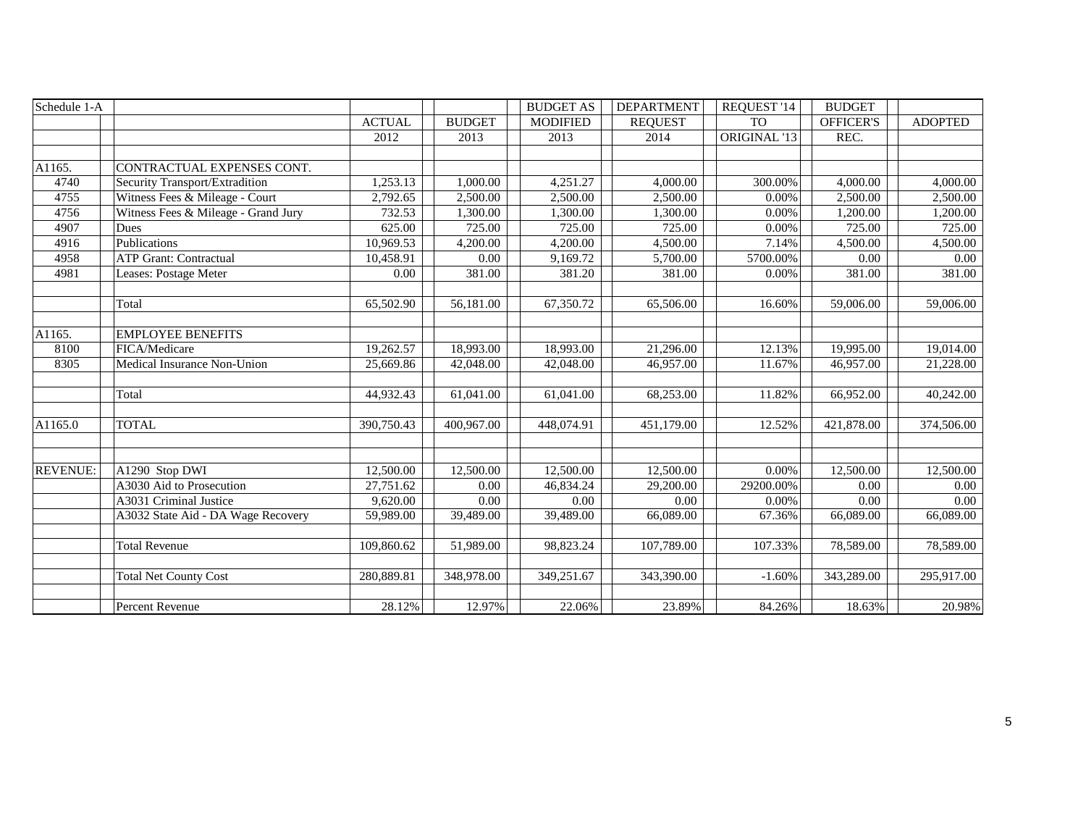| Schedule 1-A    |                                     |               |               | <b>BUDGET AS</b> | <b>DEPARTMENT</b> | REQUEST '14             | <b>BUDGET</b>    |                |
|-----------------|-------------------------------------|---------------|---------------|------------------|-------------------|-------------------------|------------------|----------------|
|                 |                                     | <b>ACTUAL</b> | <b>BUDGET</b> | <b>MODIFIED</b>  | <b>REQUEST</b>    | <b>TO</b>               | <b>OFFICER'S</b> | <b>ADOPTED</b> |
|                 |                                     | 2012          | 2013          | 2013             | 2014              | ORIGINAL <sup>'13</sup> | REC.             |                |
|                 |                                     |               |               |                  |                   |                         |                  |                |
| A1165.          | CONTRACTUAL EXPENSES CONT.          |               |               |                  |                   |                         |                  |                |
| 4740            | Security Transport/Extradition      | 1,253.13      | 1,000.00      | 4,251.27         | 4,000.00          | 300.00%                 | 4,000.00         | 4,000.00       |
| 4755            | Witness Fees & Mileage - Court      | 2,792.65      | 2,500.00      | 2,500.00         | 2,500.00          | 0.00%                   | 2,500.00         | 2,500.00       |
| 4756            | Witness Fees & Mileage - Grand Jury | 732.53        | 1,300.00      | 1,300.00         | 1,300.00          | 0.00%                   | 1,200.00         | 1,200.00       |
| 4907            | Dues                                | 625.00        | 725.00        | 725.00           | 725.00            | 0.00%                   | 725.00           | 725.00         |
| 4916            | Publications                        | 10,969.53     | 4,200.00      | 4,200.00         | 4,500.00          | 7.14%                   | 4,500.00         | 4,500.00       |
| 4958            | <b>ATP Grant: Contractual</b>       | 10,458.91     | 0.00          | 9,169.72         | 5,700.00          | 5700.00%                | 0.00             | 0.00           |
| 4981            | Leases: Postage Meter               | 0.00          | 381.00        | 381.20           | 381.00            | 0.00%                   | 381.00           | 381.00         |
|                 | Total                               | 65,502.90     | 56,181.00     | 67,350.72        | 65,506.00         | 16.60%                  | 59,006.00        | 59,006.00      |
| A1165.          | <b>EMPLOYEE BENEFITS</b>            |               |               |                  |                   |                         |                  |                |
| 8100            | FICA/Medicare                       | 19,262.57     | 18,993.00     | 18,993.00        | 21,296.00         | 12.13%                  | 19,995.00        | 19,014.00      |
| 8305            | Medical Insurance Non-Union         | 25,669.86     | 42,048.00     | 42,048.00        | 46,957.00         | 11.67%                  | 46,957.00        | 21,228.00      |
|                 | Total                               | 44,932.43     | 61,041.00     | 61,041.00        | 68,253.00         | 11.82%                  | 66,952.00        | 40,242.00      |
| A1165.0         | <b>TOTAL</b>                        | 390,750.43    | 400,967.00    | 448,074.91       | 451,179.00        | 12.52%                  | 421,878.00       | 374,506.00     |
| <b>REVENUE:</b> | A1290 Stop DWI                      | 12,500.00     | 12,500.00     | 12,500.00        | 12,500.00         | 0.00%                   | 12,500.00        | 12,500.00      |
|                 | A3030 Aid to Prosecution            | 27,751.62     | 0.00          | 46,834.24        | 29,200.00         | 29200.00%               | 0.00             | 0.00           |
|                 | A3031 Criminal Justice              | 9,620.00      | 0.00          | 0.00             | 0.00              | 0.00%                   | 0.00             | 0.00           |
|                 | A3032 State Aid - DA Wage Recovery  | 59,989.00     | 39,489.00     | 39,489.00        | 66,089.00         | 67.36%                  | 66,089.00        | 66,089.00      |
|                 |                                     |               |               |                  |                   |                         |                  |                |
|                 | <b>Total Revenue</b>                | 109,860.62    | 51,989.00     | 98,823.24        | 107,789.00        | 107.33%                 | 78,589.00        | 78,589.00      |
|                 | <b>Total Net County Cost</b>        | 280,889.81    | 348,978.00    | 349,251.67       | 343,390.00        | $-1.60%$                | 343,289.00       | 295,917.00     |
|                 | Percent Revenue                     | 28.12%        | 12.97%        | 22.06%           | 23.89%            | 84.26%                  | 18.63%           | 20.98%         |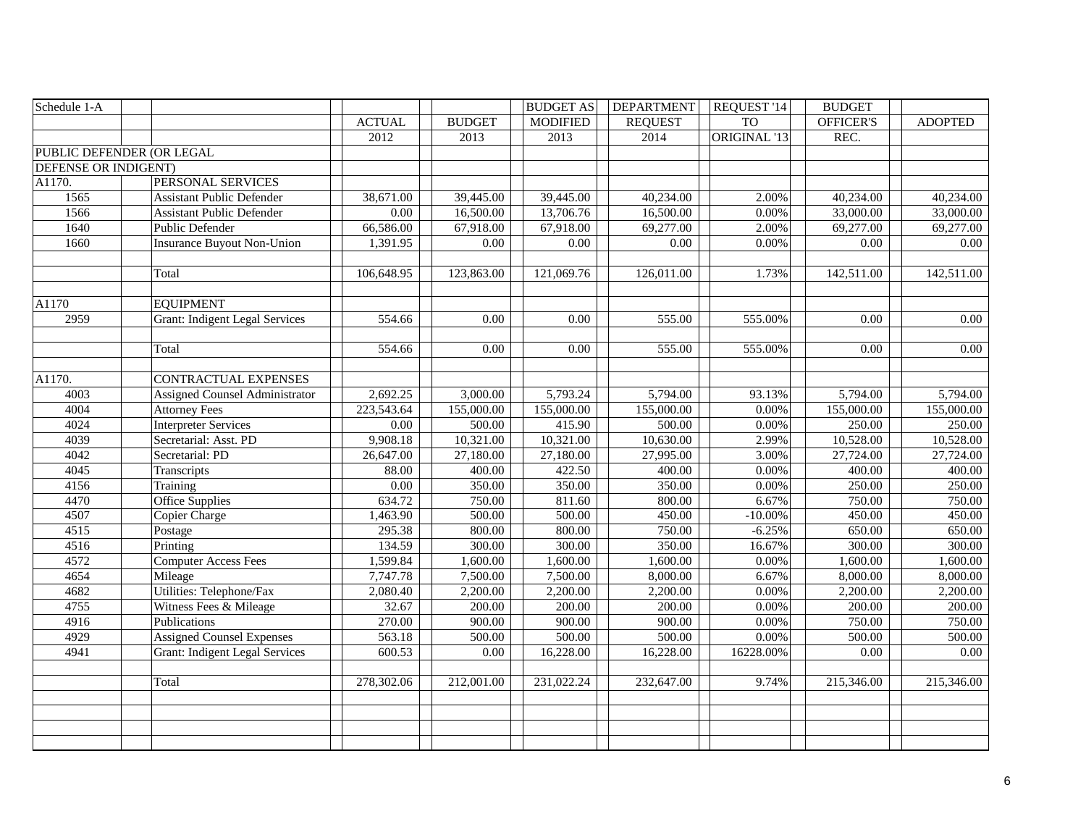| Schedule 1-A              |                                       |                   |               | <b>BUDGET AS</b>  | <b>DEPARTMENT</b> | REQUEST '14  | <b>BUDGET</b> |                   |
|---------------------------|---------------------------------------|-------------------|---------------|-------------------|-------------------|--------------|---------------|-------------------|
|                           |                                       | <b>ACTUAL</b>     | <b>BUDGET</b> | <b>MODIFIED</b>   | <b>REQUEST</b>    | <b>TO</b>    | OFFICER'S     | <b>ADOPTED</b>    |
|                           |                                       | 2012              | 2013          | $\overline{2013}$ | 2014              | ORIGINAL '13 | REC.          |                   |
| PUBLIC DEFENDER (OR LEGAL |                                       |                   |               |                   |                   |              |               |                   |
| DEFENSE OR INDIGENT)      |                                       |                   |               |                   |                   |              |               |                   |
| A1170.                    | PERSONAL SERVICES                     |                   |               |                   |                   |              |               |                   |
| 1565                      | <b>Assistant Public Defender</b>      | 38,671.00         | 39,445.00     | 39,445.00         | 40,234.00         | 2.00%        | 40,234.00     | 40,234.00         |
| 1566                      | <b>Assistant Public Defender</b>      | $0.00\,$          | 16,500.00     | 13,706.76         | 16,500.00         | 0.00%        | 33,000.00     | 33,000.00         |
| 1640                      | Public Defender                       | 66,586.00         | 67,918.00     | 67,918.00         | 69,277.00         | 2.00%        | 69,277.00     | 69,277.00         |
| 1660                      | <b>Insurance Buyout Non-Union</b>     | 1,391.95          | 0.00          | 0.00              | 0.00              | 0.00%        | 0.00          | 0.00              |
|                           |                                       |                   |               |                   |                   |              |               |                   |
|                           | Total                                 | 106,648.95        | 123,863.00    | 121,069.76        | 126,011.00        | 1.73%        | 142,511.00    | 142,511.00        |
|                           |                                       |                   |               |                   |                   |              |               |                   |
| A1170                     | <b>EOUIPMENT</b>                      |                   |               |                   |                   |              |               |                   |
| 2959                      | <b>Grant: Indigent Legal Services</b> | 554.66            | 0.00          | 0.00              | 555.00            | 555.00%      | 0.00          | 0.00              |
|                           |                                       |                   |               |                   |                   |              |               |                   |
|                           | Total                                 | 554.66            | 0.00          | 0.00              | 555.00            | 555.00%      | 0.00          | $\overline{0.00}$ |
|                           |                                       |                   |               |                   |                   |              |               |                   |
| A1170.                    | CONTRACTUAL EXPENSES                  |                   |               |                   |                   |              |               |                   |
| 4003                      | <b>Assigned Counsel Administrator</b> | 2,692.25          | 3,000.00      | 5,793.24          | 5,794.00          | 93.13%       | 5,794.00      | 5,794.00          |
| 4004                      | <b>Attorney Fees</b>                  | 223,543.64        | 155,000.00    | 155,000.00        | 155,000.00        | 0.00%        | 155,000.00    | 155,000.00        |
| 4024                      | <b>Interpreter Services</b>           | 0.00              | 500.00        | 415.90            | 500.00            | 0.00%        | 250.00        | 250.00            |
| 4039                      | Secretarial: Asst. PD                 | 9,908.18          | 10,321.00     | 10,321.00         | 10,630.00         | 2.99%        | 10,528.00     | 10,528.00         |
| 4042                      | Secretarial: PD                       | 26,647.00         | 27,180.00     | 27,180.00         | 27,995.00         | 3.00%        | 27,724.00     | 27,724.00         |
| 4045                      | Transcripts                           | 88.00             | 400.00        | 422.50            | 400.00            | 0.00%        | 400.00        | 400.00            |
| 4156                      | Training                              | $\overline{0.00}$ | 350.00        | 350.00            | 350.00            | 0.00%        | 250.00        | 250.00            |
| 4470                      | <b>Office Supplies</b>                | 634.72            | 750.00        | 811.60            | 800.00            | 6.67%        | 750.00        | 750.00            |
| 4507                      | Copier Charge                         | 1,463.90          | 500.00        | 500.00            | 450.00            | $-10.00%$    | 450.00        | 450.00            |
| 4515                      | Postage                               | 295.38            | 800.00        | 800.00            | 750.00            | $-6.25%$     | 650.00        | 650.00            |
| 4516                      | Printing                              | 134.59            | 300.00        | 300.00            | 350.00            | 16.67%       | 300.00        | 300.00            |
| 4572                      | <b>Computer Access Fees</b>           | 1,599.84          | 1,600.00      | 1,600.00          | 1,600.00          | 0.00%        | 1,600.00      | 1,600.00          |
| 4654                      | Mileage                               | 7,747.78          | 7,500.00      | 7,500.00          | 8,000.00          | 6.67%        | 8,000.00      | 8,000.00          |
| 4682                      | Utilities: Telephone/Fax              | 2,080.40          | 2,200.00      | 2,200.00          | 2,200.00          | 0.00%        | 2,200.00      | 2,200.00          |
| 4755                      | Witness Fees & Mileage                | 32.67             | 200.00        | 200.00            | 200.00            | 0.00%        | 200.00        | 200.00            |
| 4916                      | Publications                          | 270.00            | 900.00        | 900.00            | 900.00            | 0.00%        | 750.00        | 750.00            |
| 4929                      | <b>Assigned Counsel Expenses</b>      | 563.18            | 500.00        | 500.00            | 500.00            | 0.00%        | 500.00        | 500.00            |
| 4941                      | <b>Grant: Indigent Legal Services</b> | 600.53            | 0.00          | 16,228.00         | 16,228.00         | 16228.00%    | 0.00          | 0.00              |
|                           |                                       |                   |               |                   |                   |              |               |                   |
|                           | Total                                 | 278,302.06        | 212,001.00    | 231,022.24        | 232,647.00        | 9.74%        | 215,346.00    | 215,346.00        |
|                           |                                       |                   |               |                   |                   |              |               |                   |
|                           |                                       |                   |               |                   |                   |              |               |                   |
|                           |                                       |                   |               |                   |                   |              |               |                   |
|                           |                                       |                   |               |                   |                   |              |               |                   |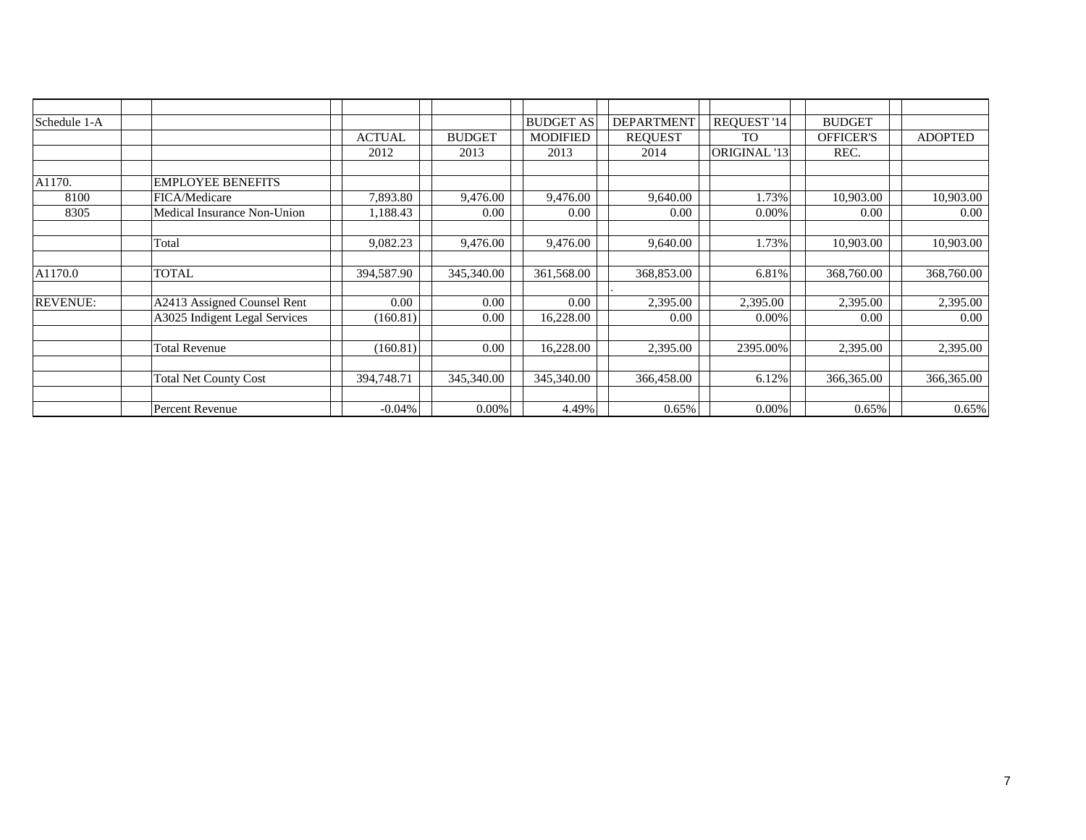| Schedule 1-A    |                               |               |               | <b>BUDGET AS</b> | <b>DEPARTMENT</b> | REQUEST '14         | <b>BUDGET</b>    |                |
|-----------------|-------------------------------|---------------|---------------|------------------|-------------------|---------------------|------------------|----------------|
|                 |                               | <b>ACTUAL</b> | <b>BUDGET</b> | <b>MODIFIED</b>  | <b>REQUEST</b>    | TO                  | <b>OFFICER'S</b> | <b>ADOPTED</b> |
|                 |                               | 2012          | 2013          | 2013             | 2014              | <b>ORIGINAL '13</b> | REC.             |                |
|                 |                               |               |               |                  |                   |                     |                  |                |
| A1170.          | <b>EMPLOYEE BENEFITS</b>      |               |               |                  |                   |                     |                  |                |
| 8100            | FICA/Medicare                 | 7,893.80      | 9,476.00      | 9,476.00         | 9,640.00          | 1.73%               | 10,903.00        | 10,903.00      |
| 8305            | Medical Insurance Non-Union   | 1,188.43      | 0.00          | 0.00             | 0.00              | 0.00%               | 0.00             | 0.00           |
|                 |                               |               |               |                  |                   |                     |                  |                |
|                 | Total                         | 9,082.23      | 9.476.00      | 9,476.00         | 9,640.00          | 1.73%               | 10.903.00        | 10,903.00      |
|                 |                               |               |               |                  |                   |                     |                  |                |
| A1170.0         | <b>TOTAL</b>                  | 394,587.90    | 345,340.00    | 361,568.00       | 368,853.00        | 6.81%               | 368,760.00       | 368,760.00     |
|                 |                               |               |               |                  |                   |                     |                  |                |
| <b>REVENUE:</b> | A2413 Assigned Counsel Rent   | 0.00          | 0.00          | 0.00             | 2,395.00          | 2,395.00            | 2,395.00         | 2,395.00       |
|                 | A3025 Indigent Legal Services | (160.81)      | 0.00          | 16,228.00        | 0.00              | 0.00%               | 0.00             | 0.00           |
|                 |                               |               |               |                  |                   |                     |                  |                |
|                 | <b>Total Revenue</b>          | (160.81)      | 0.00          | 16,228.00        | 2,395.00          | 2395.00%            | 2,395.00         | 2,395.00       |
|                 |                               |               |               |                  |                   |                     |                  |                |
|                 | <b>Total Net County Cost</b>  | 394,748.71    | 345,340.00    | 345,340.00       | 366,458.00        | 6.12%               | 366,365.00       | 366,365.00     |
|                 |                               |               |               |                  |                   |                     |                  |                |
|                 | Percent Revenue               | $-0.04\%$     | 0.00%         | 4.49%            | 0.65%             | 0.00%               | 0.65%            | 0.65%          |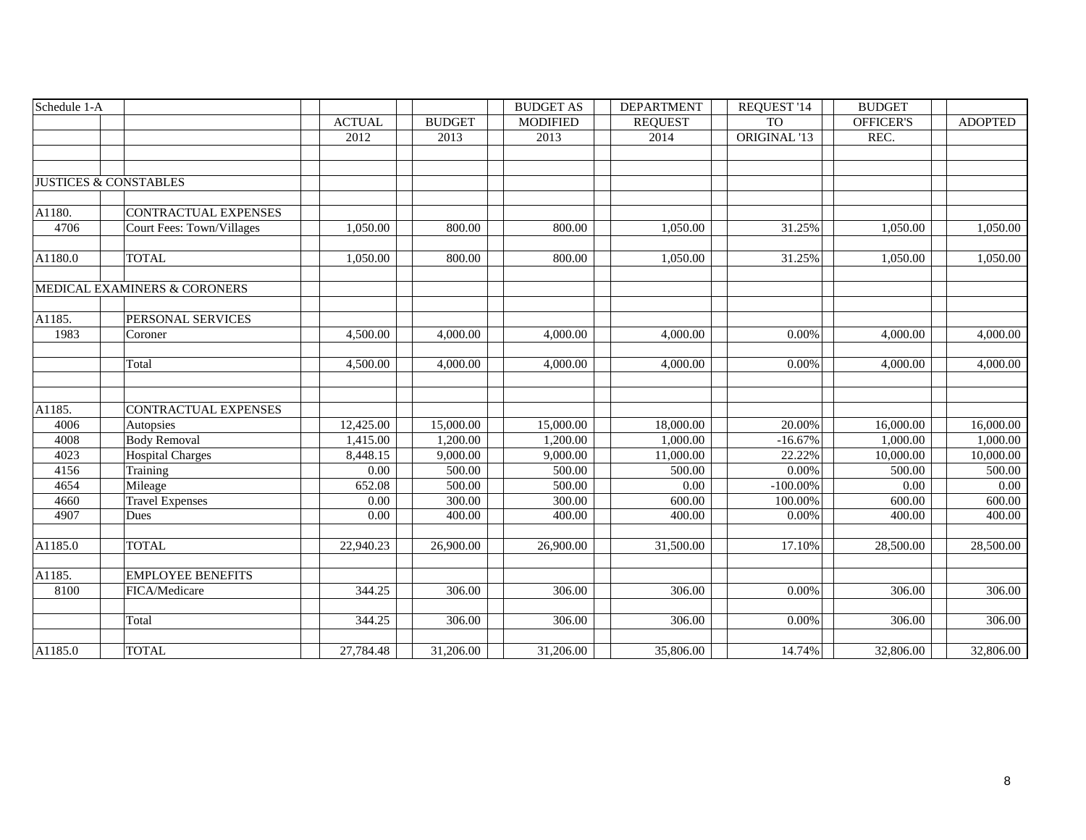| Schedule 1-A |                                  |               |               | <b>BUDGET AS</b> | <b>DEPARTMENT</b> | REQUEST '14  | <b>BUDGET</b> |                |
|--------------|----------------------------------|---------------|---------------|------------------|-------------------|--------------|---------------|----------------|
|              |                                  | <b>ACTUAL</b> | <b>BUDGET</b> | <b>MODIFIED</b>  | <b>REQUEST</b>    | <b>TO</b>    | OFFICER'S     | <b>ADOPTED</b> |
|              |                                  | 2012          | 2013          | 2013             | 2014              | ORIGINAL '13 | REC.          |                |
|              |                                  |               |               |                  |                   |              |               |                |
|              |                                  |               |               |                  |                   |              |               |                |
|              | <b>JUSTICES &amp; CONSTABLES</b> |               |               |                  |                   |              |               |                |
|              |                                  |               |               |                  |                   |              |               |                |
| A1180.       | <b>CONTRACTUAL EXPENSES</b>      |               |               |                  |                   |              |               |                |
| 4706         | <b>Court Fees: Town/Villages</b> | 1,050.00      | 800.00        | 800.00           | 1,050.00          | 31.25%       | 1,050.00      | 1,050.00       |
|              |                                  |               |               |                  |                   |              |               |                |
| A1180.0      | <b>TOTAL</b>                     | 1,050.00      | 800.00        | 800.00           | 1,050.00          | 31.25%       | 1,050.00      | 1,050.00       |
|              |                                  |               |               |                  |                   |              |               |                |
|              | MEDICAL EXAMINERS & CORONERS     |               |               |                  |                   |              |               |                |
|              |                                  |               |               |                  |                   |              |               |                |
| A1185.       | PERSONAL SERVICES                |               |               |                  |                   |              |               |                |
| 1983         | Coroner                          | 4,500.00      | 4,000.00      | 4,000.00         | 4,000.00          | 0.00%        | 4,000.00      | 4,000.00       |
|              |                                  |               |               |                  |                   |              |               |                |
|              | Total                            | 4,500.00      | 4,000.00      | 4,000.00         | 4,000.00          | 0.00%        | 4,000.00      | 4,000.00       |
|              |                                  |               |               |                  |                   |              |               |                |
|              |                                  |               |               |                  |                   |              |               |                |
| A1185.       | CONTRACTUAL EXPENSES             |               |               |                  |                   |              |               |                |
| 4006         | Autopsies                        | 12,425.00     | 15,000.00     | 15,000.00        | 18,000.00         | 20.00%       | 16,000.00     | 16,000.00      |
| 4008         | <b>Body Removal</b>              | 1,415.00      | 1,200.00      | 1,200.00         | 1,000.00          | $-16.67%$    | 1,000.00      | 1,000.00       |
| 4023         | <b>Hospital Charges</b>          | 8,448.15      | 9,000.00      | 9,000.00         | 11,000.00         | 22.22%       | 10,000.00     | 10,000.00      |
| 4156         | Training                         | 0.00          | 500.00        | 500.00           | 500.00            | 0.00%        | 500.00        | 500.00         |
| 4654         | Mileage                          | 652.08        | 500.00        | 500.00           | 0.00              | $-100.00\%$  | 0.00          | 0.00           |
| 4660         | <b>Travel Expenses</b>           | 0.00          | 300.00        | 300.00           | 600.00            | 100.00%      | 600.00        | 600.00         |
| 4907         | Dues                             | 0.00          | 400.00        | 400.00           | 400.00            | 0.00%        | 400.00        | 400.00         |
|              |                                  |               |               |                  |                   |              |               |                |
| A1185.0      | <b>TOTAL</b>                     | 22,940.23     | 26,900.00     | 26,900.00        | 31,500.00         | 17.10%       | 28,500.00     | 28,500.00      |
|              |                                  |               |               |                  |                   |              |               |                |
| A1185.       | <b>EMPLOYEE BENEFITS</b>         |               |               |                  |                   |              |               |                |
| 8100         | FICA/Medicare                    | 344.25        | 306.00        | 306.00           | 306.00            | 0.00%        | 306.00        | 306.00         |
|              |                                  |               |               |                  |                   |              |               |                |
|              | Total                            | 344.25        | 306.00        | 306.00           | 306.00            | 0.00%        | 306.00        | 306.00         |
|              |                                  |               |               |                  |                   |              |               |                |
| A1185.0      | <b>TOTAL</b>                     | 27,784.48     | 31,206.00     | 31,206.00        | 35,806.00         | 14.74%       | 32,806.00     | 32,806.00      |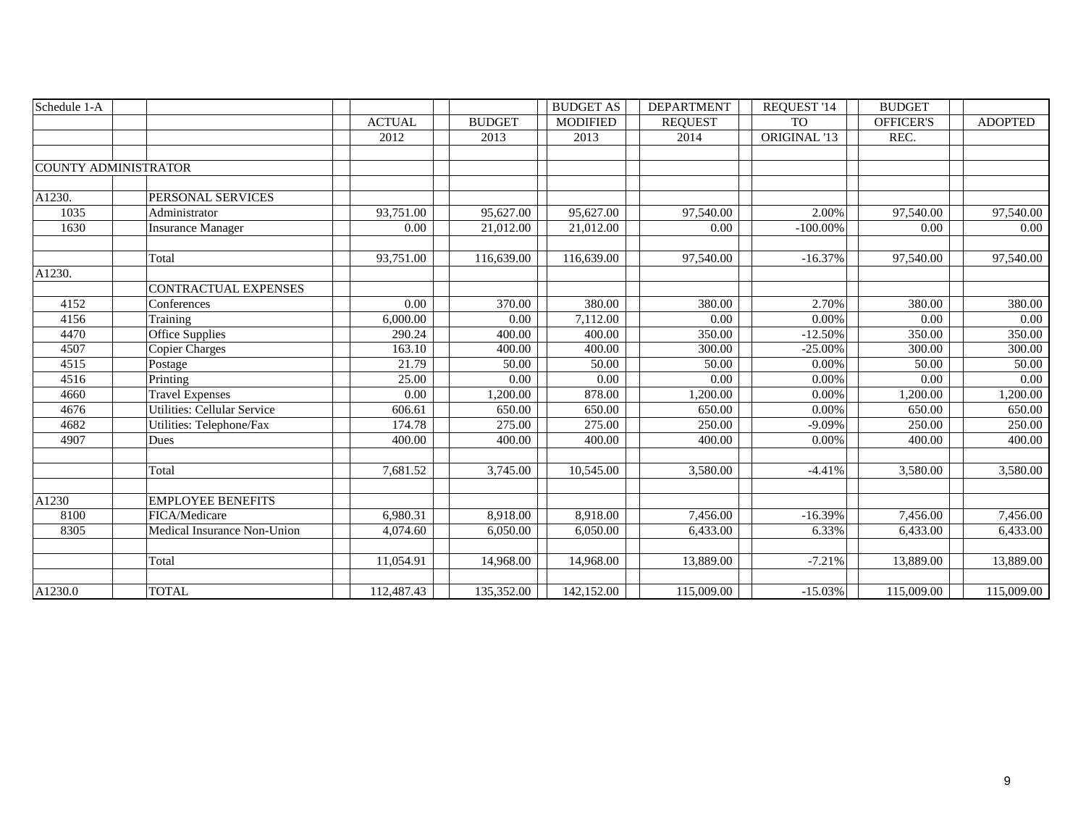| Schedule 1-A                |                             |               |               | <b>BUDGET AS</b> | <b>DEPARTMENT</b> | <b>REOUEST '14</b> | <b>BUDGET</b>    |                |
|-----------------------------|-----------------------------|---------------|---------------|------------------|-------------------|--------------------|------------------|----------------|
|                             |                             | <b>ACTUAL</b> | <b>BUDGET</b> | <b>MODIFIED</b>  | <b>REQUEST</b>    | <b>TO</b>          | <b>OFFICER'S</b> | <b>ADOPTED</b> |
|                             |                             | 2012          | 2013          | 2013             | 2014              | ORIGINAL '13       | REC.             |                |
|                             |                             |               |               |                  |                   |                    |                  |                |
| <b>COUNTY ADMINISTRATOR</b> |                             |               |               |                  |                   |                    |                  |                |
|                             |                             |               |               |                  |                   |                    |                  |                |
| A1230.                      | PERSONAL SERVICES           |               |               |                  |                   |                    |                  |                |
| 1035                        | Administrator               | 93,751.00     | 95,627.00     | 95,627.00        | 97,540.00         | 2.00%              | 97,540.00        | 97,540.00      |
| 1630                        | <b>Insurance Manager</b>    | 0.00          | 21,012.00     | 21,012.00        | 0.00              | $-100.00\%$        | 0.00             | 0.00           |
|                             |                             |               |               |                  |                   |                    |                  |                |
|                             | Total                       | 93,751.00     | 116,639.00    | 116,639.00       | 97,540.00         | $-16.37%$          | 97.540.00        | 97,540.00      |
| A1230.                      |                             |               |               |                  |                   |                    |                  |                |
|                             | CONTRACTUAL EXPENSES        |               |               |                  |                   |                    |                  |                |
| 4152                        | Conferences                 | 0.00          | 370.00        | 380.00           | 380.00            | 2.70%              | 380.00           | 380.00         |
| 4156                        | Training                    | 6,000.00      | 0.00          | 7,112.00         | 0.00              | $0.00\%$           | 0.00             | 0.00           |
| 4470                        | Office Supplies             | 290.24        | 400.00        | 400.00           | 350.00            | $-12.50%$          | 350.00           | 350.00         |
| 4507                        | <b>Copier Charges</b>       | 163.10        | 400.00        | 400.00           | 300.00            | $-25.00%$          | 300.00           | 300.00         |
| 4515                        | Postage                     | 21.79         | 50.00         | 50.00            | 50.00             | 0.00%              | 50.00            | 50.00          |
| 4516                        | Printing                    | 25.00         | 0.00          | 0.00             | 0.00              | 0.00%              | 0.00             | 0.00           |
| 4660                        | <b>Travel Expenses</b>      | 0.00          | 1,200.00      | 878.00           | 1,200.00          | 0.00%              | 1,200.00         | 1,200.00       |
| 4676                        | Utilities: Cellular Service | 606.61        | 650.00        | 650.00           | 650.00            | 0.00%              | 650.00           | 650.00         |
| 4682                        | Utilities: Telephone/Fax    | 174.78        | 275.00        | 275.00           | 250.00            | $-9.09%$           | 250.00           | 250.00         |
| 4907                        | Dues                        | 400.00        | 400.00        | 400.00           | 400.00            | 0.00%              | 400.00           | 400.00         |
|                             |                             |               |               |                  |                   |                    |                  |                |
|                             | Total                       | 7,681.52      | 3,745.00      | 10,545.00        | 3,580.00          | $-4.41%$           | 3,580.00         | 3,580.00       |
|                             |                             |               |               |                  |                   |                    |                  |                |
| A1230                       | <b>EMPLOYEE BENEFITS</b>    |               |               |                  |                   |                    |                  |                |
| 8100                        | FICA/Medicare               | 6,980.31      | 8,918.00      | 8,918.00         | 7,456.00          | $-16.39%$          | 7,456.00         | 7,456.00       |
| 8305                        | Medical Insurance Non-Union | 4,074.60      | 6.050.00      | 6.050.00         | 6,433.00          | 6.33%              | 6,433.00         | 6,433.00       |
|                             |                             |               |               |                  |                   |                    |                  |                |
|                             | Total                       | 11,054.91     | 14,968.00     | 14,968.00        | 13,889.00         | $-7.21%$           | 13,889.00        | 13,889.00      |
|                             |                             |               |               |                  |                   |                    |                  |                |
| A1230.0                     | <b>TOTAL</b>                | 112,487.43    | 135,352.00    | 142,152.00       | 115,009.00        | $-15.03%$          | 115,009.00       | 115,009.00     |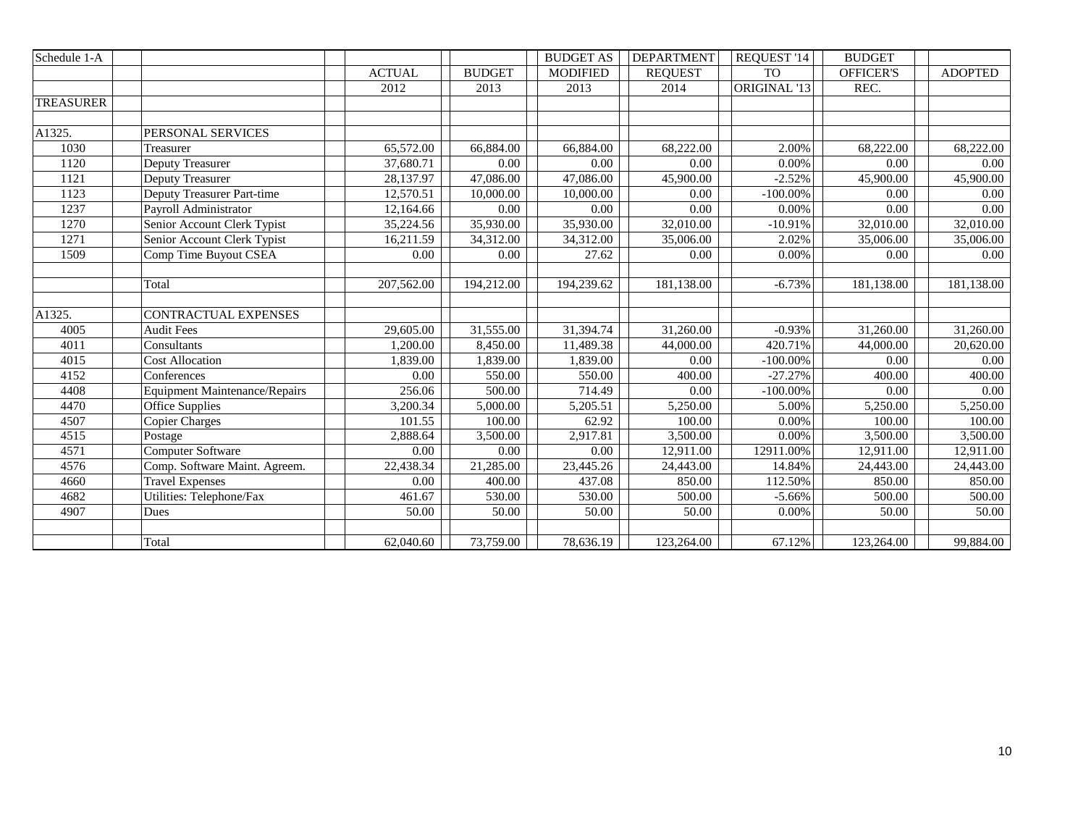| Schedule 1-A |                                      |               |               | <b>BUDGET AS</b> | <b>DEPARTMENT</b> | REQUEST '14  | <b>BUDGET</b>    |                |
|--------------|--------------------------------------|---------------|---------------|------------------|-------------------|--------------|------------------|----------------|
|              |                                      | <b>ACTUAL</b> | <b>BUDGET</b> | <b>MODIFIED</b>  | <b>REQUEST</b>    | <b>TO</b>    | <b>OFFICER'S</b> | <b>ADOPTED</b> |
|              |                                      | 2012          | 2013          | 2013             | 2014              | ORIGINAL '13 | REC.             |                |
| TREASURER    |                                      |               |               |                  |                   |              |                  |                |
|              |                                      |               |               |                  |                   |              |                  |                |
| A1325.       | PERSONAL SERVICES                    |               |               |                  |                   |              |                  |                |
| 1030         | Treasurer                            | 65,572.00     | 66,884.00     | 66,884.00        | 68,222.00         | 2.00%        | 68,222.00        | 68,222.00      |
| 1120         | Deputy Treasurer                     | 37,680.71     | 0.00          | 0.00             | 0.00              | 0.00%        | 0.00             | 0.00           |
| 1121         | Deputy Treasurer                     | 28,137.97     | 47,086.00     | 47,086.00        | 45,900.00         | $-2.52%$     | 45,900.00        | 45,900.00      |
| 1123         | Deputy Treasurer Part-time           | 12,570.51     | 10,000.00     | 10,000.00        | 0.00              | $-100.00\%$  | 0.00             | 0.00           |
| 1237         | Payroll Administrator                | 12,164.66     | 0.00          | 0.00             | 0.00              | 0.00%        | 0.00             | 0.00           |
| 1270         | Senior Account Clerk Typist          | 35,224.56     | 35,930.00     | 35,930.00        | 32,010.00         | $-10.91%$    | 32,010.00        | 32,010.00      |
| 1271         | Senior Account Clerk Typist          | 16,211.59     | 34,312.00     | 34,312.00        | 35,006.00         | 2.02%        | 35,006.00        | 35,006.00      |
| 1509         | Comp Time Buyout CSEA                | 0.00          | 0.00          | 27.62            | 0.00              | 0.00%        | 0.00             | 0.00           |
|              |                                      |               |               |                  |                   |              |                  |                |
|              | Total                                | 207,562.00    | 194,212.00    | 194,239.62       | 181,138.00        | $-6.73%$     | 181,138.00       | 181,138.00     |
|              |                                      |               |               |                  |                   |              |                  |                |
| A1325.       | CONTRACTUAL EXPENSES                 |               |               |                  |                   |              |                  |                |
| 4005         | <b>Audit Fees</b>                    | 29,605.00     | 31,555.00     | 31,394.74        | 31,260.00         | $-0.93%$     | 31,260.00        | 31,260.00      |
| 4011         | Consultants                          | 1,200.00      | 8,450.00      | 11,489.38        | 44,000.00         | 420.71%      | 44,000.00        | 20,620.00      |
| 4015         | <b>Cost Allocation</b>               | 1,839.00      | 1,839.00      | 1,839.00         | 0.00              | $-100.00\%$  | 0.00             | 0.00           |
| 4152         | Conferences                          | 0.00          | 550.00        | 550.00           | 400.00            | $-27.27%$    | 400.00           | 400.00         |
| 4408         | <b>Equipment Maintenance/Repairs</b> | 256.06        | 500.00        | 714.49           | 0.00              | $-100.00\%$  | 0.00             | 0.00           |
| 4470         | <b>Office Supplies</b>               | 3,200.34      | 5,000.00      | 5,205.51         | 5,250.00          | 5.00%        | 5,250.00         | 5,250.00       |
| 4507         | <b>Copier Charges</b>                | 101.55        | 100.00        | 62.92            | 100.00            | 0.00%        | 100.00           | 100.00         |
| 4515         | Postage                              | 2,888.64      | 3,500.00      | 2,917.81         | 3,500.00          | 0.00%        | 3,500.00         | 3,500.00       |
| 4571         | Computer Software                    | 0.00          | 0.00          | 0.00             | 12,911.00         | 12911.00%    | 12,911.00        | 12,911.00      |
| 4576         | Comp. Software Maint. Agreem.        | 22,438.34     | 21,285.00     | 23,445.26        | 24,443.00         | 14.84%       | 24,443.00        | 24,443.00      |
| 4660         | <b>Travel Expenses</b>               | 0.00          | 400.00        | 437.08           | 850.00            | 112.50%      | 850.00           | 850.00         |
| 4682         | Utilities: Telephone/Fax             | 461.67        | 530.00        | 530.00           | 500.00            | $-5.66%$     | 500.00           | 500.00         |
| 4907         | Dues                                 | 50.00         | 50.00         | 50.00            | 50.00             | 0.00%        | 50.00            | 50.00          |
|              |                                      |               |               |                  |                   |              |                  |                |
|              | Total                                | 62,040.60     | 73,759.00     | 78,636.19        | 123,264.00        | 67.12%       | 123,264.00       | 99,884.00      |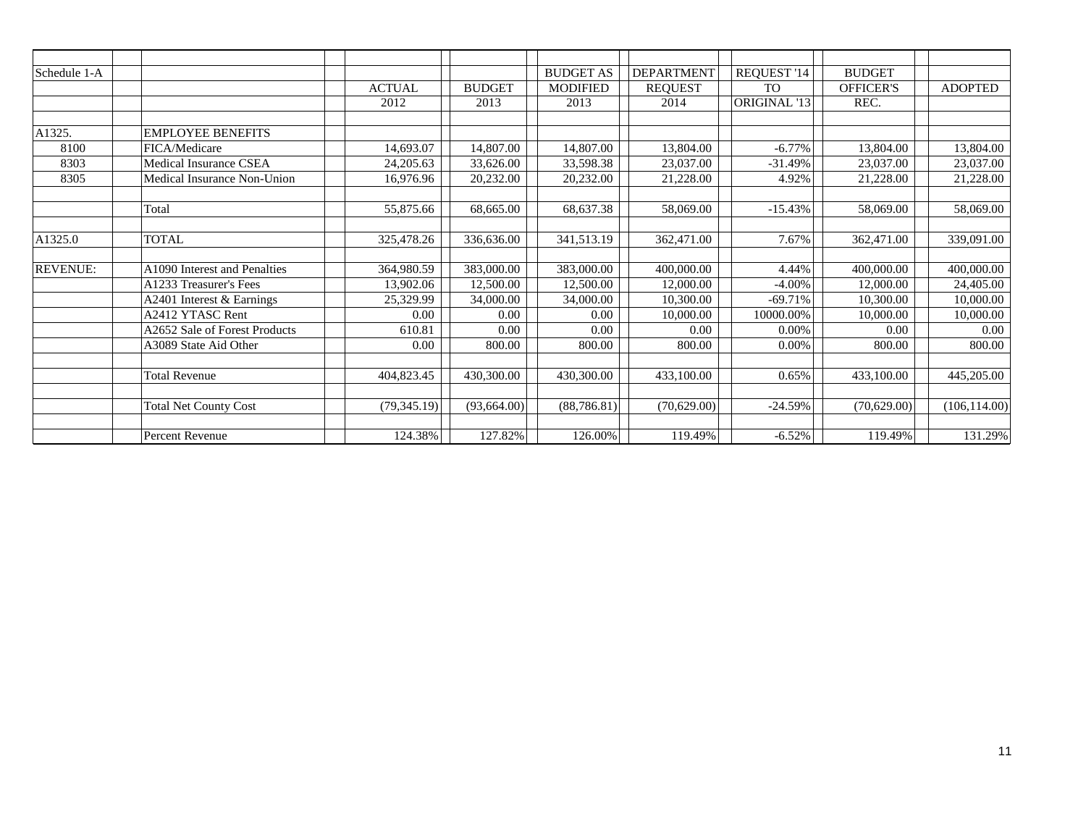| Schedule 1-A    |                               |               |               | <b>BUDGET AS</b> | <b>DEPARTMENT</b> | REQUEST '14  | <b>BUDGET</b>    |                |
|-----------------|-------------------------------|---------------|---------------|------------------|-------------------|--------------|------------------|----------------|
|                 |                               | <b>ACTUAL</b> | <b>BUDGET</b> | <b>MODIFIED</b>  | <b>REQUEST</b>    | <b>TO</b>    | <b>OFFICER'S</b> | <b>ADOPTED</b> |
|                 |                               | 2012          | 2013          | 2013             | 2014              | ORIGINAL '13 | REC.             |                |
|                 |                               |               |               |                  |                   |              |                  |                |
| A1325.          | <b>EMPLOYEE BENEFITS</b>      |               |               |                  |                   |              |                  |                |
| 8100            | FICA/Medicare                 | 14,693.07     | 14,807.00     | 14,807.00        | 13,804.00         | $-6.77\%$    | 13,804.00        | 13,804.00      |
| 8303            | Medical Insurance CSEA        | 24,205.63     | 33,626.00     | 33,598.38        | 23,037.00         | $-31.49%$    | 23,037.00        | 23,037.00      |
| 8305            | Medical Insurance Non-Union   | 16,976.96     | 20,232.00     | 20,232.00        | 21,228.00         | 4.92%        | 21,228.00        | 21,228.00      |
|                 |                               |               |               |                  |                   |              |                  |                |
|                 | Total                         | 55,875.66     | 68,665.00     | 68,637.38        | 58,069.00         | $-15.43%$    | 58,069.00        | 58,069.00      |
|                 |                               |               |               |                  |                   |              |                  |                |
| A1325.0         | <b>TOTAL</b>                  | 325,478.26    | 336,636.00    | 341,513.19       | 362,471.00        | 7.67%        | 362,471.00       | 339,091.00     |
|                 |                               |               |               |                  |                   |              |                  |                |
| <b>REVENUE:</b> | A1090 Interest and Penalties  | 364,980.59    | 383,000.00    | 383,000.00       | 400,000.00        | 4.44%        | 400,000.00       | 400,000.00     |
|                 | A1233 Treasurer's Fees        | 13,902.06     | 12,500.00     | 12,500.00        | 12,000.00         | $-4.00\%$    | 12,000.00        | 24,405.00      |
|                 | A2401 Interest & Earnings     | 25,329.99     | 34,000.00     | 34,000.00        | 10,300.00         | $-69.71%$    | 10,300.00        | 10,000.00      |
|                 | A2412 YTASC Rent              | 0.00          | 0.00          | $0.00\,$         | 10,000.00         | 10000.00%    | 10,000.00        | 10,000.00      |
|                 | A2652 Sale of Forest Products | 610.81        | 0.00          | 0.00             | 0.00              | 0.00%        | 0.00             | 0.00           |
|                 | A3089 State Aid Other         | 0.00          | 800.00        | 800.00           | 800.00            | 0.00%        | 800.00           | 800.00         |
|                 |                               |               |               |                  |                   |              |                  |                |
|                 | <b>Total Revenue</b>          | 404,823.45    | 430,300.00    | 430,300.00       | 433,100.00        | 0.65%        | 433,100.00       | 445,205.00     |
|                 |                               |               |               |                  |                   |              |                  |                |
|                 | <b>Total Net County Cost</b>  | (79, 345.19)  | (93, 664.00)  | (88, 786.81)     | (70,629.00)       | $-24.59%$    | (70,629.00)      | (106, 114.00)  |
|                 |                               |               |               |                  |                   |              |                  |                |
|                 | Percent Revenue               | 124.38%       | 127.82%       | 126.00%          | 119.49%           | $-6.52%$     | 119.49%          | 131.29%        |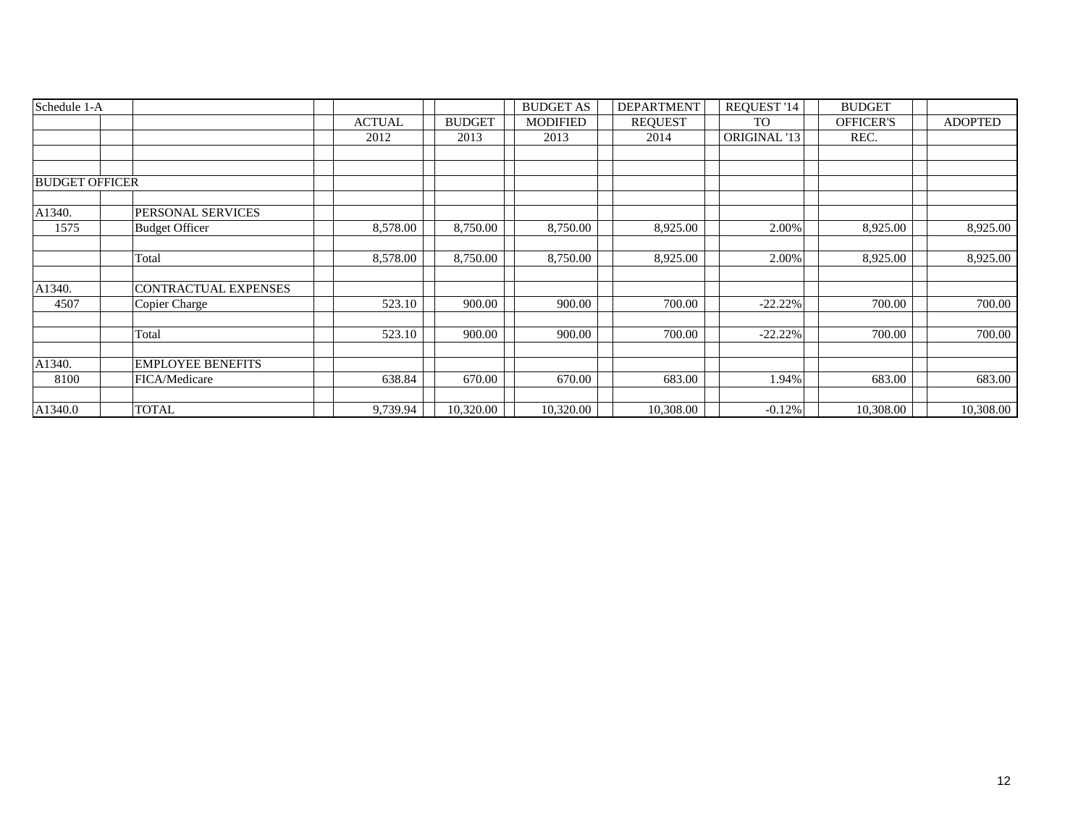| Schedule 1-A          |                          |               |               | <b>BUDGET AS</b> | <b>DEPARTMENT</b> | REQUEST '14  | <b>BUDGET</b>    |                |
|-----------------------|--------------------------|---------------|---------------|------------------|-------------------|--------------|------------------|----------------|
|                       |                          | <b>ACTUAL</b> | <b>BUDGET</b> | <b>MODIFIED</b>  | <b>REQUEST</b>    | TO           | <b>OFFICER'S</b> | <b>ADOPTED</b> |
|                       |                          | 2012          | 2013          | 2013             | 2014              | ORIGINAL '13 | REC.             |                |
|                       |                          |               |               |                  |                   |              |                  |                |
|                       |                          |               |               |                  |                   |              |                  |                |
| <b>BUDGET OFFICER</b> |                          |               |               |                  |                   |              |                  |                |
| A1340.                | PERSONAL SERVICES        |               |               |                  |                   |              |                  |                |
| 1575                  | <b>Budget Officer</b>    | 8,578.00      | 8,750.00      | 8,750.00         | 8,925.00          | 2.00%        | 8,925.00         | 8,925.00       |
|                       | Total                    | 8,578.00      | 8,750.00      | 8,750.00         | 8,925.00          | 2.00%        | 8,925.00         | 8,925.00       |
|                       |                          |               |               |                  |                   |              |                  |                |
| A1340.                | CONTRACTUAL EXPENSES     |               |               |                  |                   |              |                  |                |
| 4507                  | Copier Charge            | 523.10        | 900.00        | 900.00           | 700.00            | $-22.22%$    | 700.00           | 700.00         |
|                       | Total                    | 523.10        | 900.00        | 900.00           | 700.00            | $-22.22%$    | 700.00           | 700.00         |
| A1340.                | <b>EMPLOYEE BENEFITS</b> |               |               |                  |                   |              |                  |                |
| 8100                  | FICA/Medicare            | 638.84        | 670.00        | 670.00           | 683.00            | 1.94%        | 683.00           | 683.00         |
|                       |                          |               |               |                  |                   |              |                  |                |
| A1340.0               | TOTAL                    | 9,739.94      | 10,320.00     | 10,320.00        | 10,308.00         | $-0.12%$     | 10,308.00        | 10,308.00      |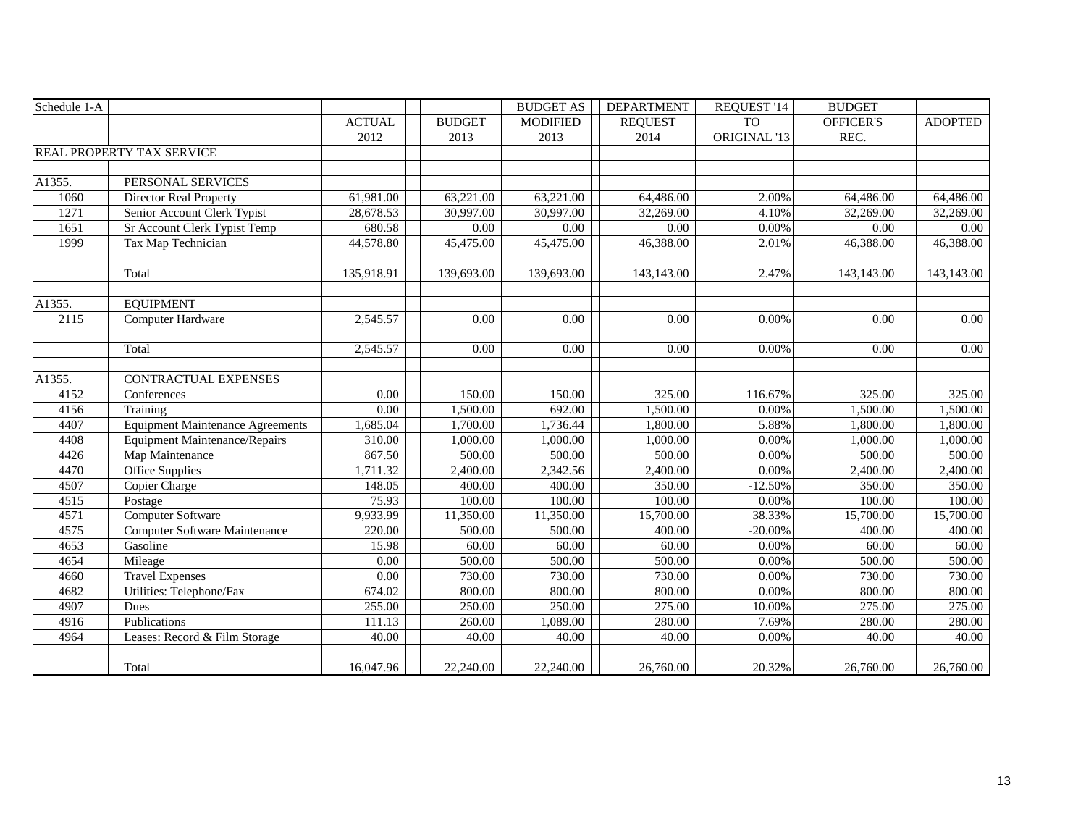| Schedule 1-A |                                         |               |               | <b>BUDGET AS</b> | <b>DEPARTMENT</b> | REQUEST '14  | <b>BUDGET</b> |                |
|--------------|-----------------------------------------|---------------|---------------|------------------|-------------------|--------------|---------------|----------------|
|              |                                         | <b>ACTUAL</b> | <b>BUDGET</b> | <b>MODIFIED</b>  | <b>REQUEST</b>    | <b>TO</b>    | OFFICER'S     | <b>ADOPTED</b> |
|              |                                         | 2012          | 2013          | 2013             | 2014              | ORIGINAL '13 | REC.          |                |
|              | REAL PROPERTY TAX SERVICE               |               |               |                  |                   |              |               |                |
|              |                                         |               |               |                  |                   |              |               |                |
| A1355.       | PERSONAL SERVICES                       |               |               |                  |                   |              |               |                |
| 1060         | Director Real Property                  | 61,981.00     | 63,221.00     | 63,221.00        | 64,486.00         | 2.00%        | 64,486.00     | 64,486.00      |
| 1271         | Senior Account Clerk Typist             | 28,678.53     | 30,997.00     | 30,997.00        | 32,269.00         | 4.10%        | 32,269.00     | 32,269.00      |
| 1651         | Sr Account Clerk Typist Temp            | 680.58        | 0.00          | 0.00             | 0.00              | $0.00\%$     | 0.00          | 0.00           |
| 1999         | Tax Map Technician                      | 44,578.80     | 45,475.00     | 45,475.00        | 46,388.00         | 2.01%        | 46,388.00     | 46,388.00      |
|              |                                         |               |               |                  |                   |              |               |                |
|              | Total                                   | 135,918.91    | 139,693.00    | 139,693.00       | 143,143.00        | 2.47%        | 143,143.00    | 143,143.00     |
|              |                                         |               |               |                  |                   |              |               |                |
| A1355.       | <b>EQUIPMENT</b>                        |               |               |                  |                   |              |               |                |
| 2115         | <b>Computer Hardware</b>                | 2,545.57      | 0.00          | 0.00             | 0.00              | 0.00%        | 0.00          | 0.00           |
|              |                                         |               |               |                  |                   |              |               |                |
|              | Total                                   | 2,545.57      | 0.00          | 0.00             | 0.00              | 0.00%        | 0.00          | 0.00           |
|              |                                         |               |               |                  |                   |              |               |                |
| A1355.       | CONTRACTUAL EXPENSES                    |               |               |                  |                   |              |               |                |
| 4152         | Conferences                             | 0.00          | 150.00        | 150.00           | 325.00            | 116.67%      | 325.00        | 325.00         |
| 4156         | Training                                | 0.00          | 1,500.00      | 692.00           | 1,500.00          | 0.00%        | 1,500.00      | 1,500.00       |
| 4407         | <b>Equipment Maintenance Agreements</b> | 1,685.04      | 1,700.00      | 1,736.44         | 1,800.00          | 5.88%        | 1,800.00      | 1,800.00       |
| 4408         | <b>Equipment Maintenance/Repairs</b>    | 310.00        | 1,000.00      | 1,000.00         | 1,000.00          | 0.00%        | 1,000.00      | 1,000.00       |
| 4426         | Map Maintenance                         | 867.50        | 500.00        | 500.00           | 500.00            | 0.00%        | 500.00        | 500.00         |
| 4470         | <b>Office Supplies</b>                  | 1,711.32      | 2,400.00      | 2,342.56         | 2,400.00          | 0.00%        | 2,400.00      | 2,400.00       |
| 4507         | Copier Charge                           | 148.05        | 400.00        | 400.00           | 350.00            | $-12.50%$    | 350.00        | 350.00         |
| 4515         | Postage                                 | 75.93         | 100.00        | 100.00           | 100.00            | 0.00%        | 100.00        | 100.00         |
| 4571         | <b>Computer Software</b>                | 9,933.99      | 11,350.00     | 11,350.00        | 15,700.00         | 38.33%       | 15,700.00     | 15,700.00      |
| 4575         | Computer Software Maintenance           | 220.00        | 500.00        | 500.00           | 400.00            | $-20.00\%$   | 400.00        | 400.00         |
| 4653         | Gasoline                                | 15.98         | 60.00         | 60.00            | 60.00             | 0.00%        | 60.00         | 60.00          |
| 4654         | Mileage                                 | 0.00          | 500.00        | 500.00           | 500.00            | 0.00%        | 500.00        | 500.00         |
| 4660         | <b>Travel Expenses</b>                  | 0.00          | 730.00        | 730.00           | 730.00            | 0.00%        | 730.00        | 730.00         |
| 4682         | Utilities: Telephone/Fax                | 674.02        | 800.00        | 800.00           | 800.00            | 0.00%        | 800.00        | 800.00         |
| 4907         | Dues                                    | 255.00        | 250.00        | 250.00           | 275.00            | 10.00%       | 275.00        | 275.00         |
| 4916         | Publications                            | 111.13        | 260.00        | 1,089.00         | 280.00            | 7.69%        | 280.00        | 280.00         |
| 4964         | Leases: Record & Film Storage           | 40.00         | 40.00         | 40.00            | 40.00             | 0.00%        | 40.00         | 40.00          |
|              |                                         |               |               |                  |                   |              |               |                |
|              | Total                                   | 16,047.96     | 22,240.00     | 22,240.00        | 26,760.00         | 20.32%       | 26,760.00     | 26,760.00      |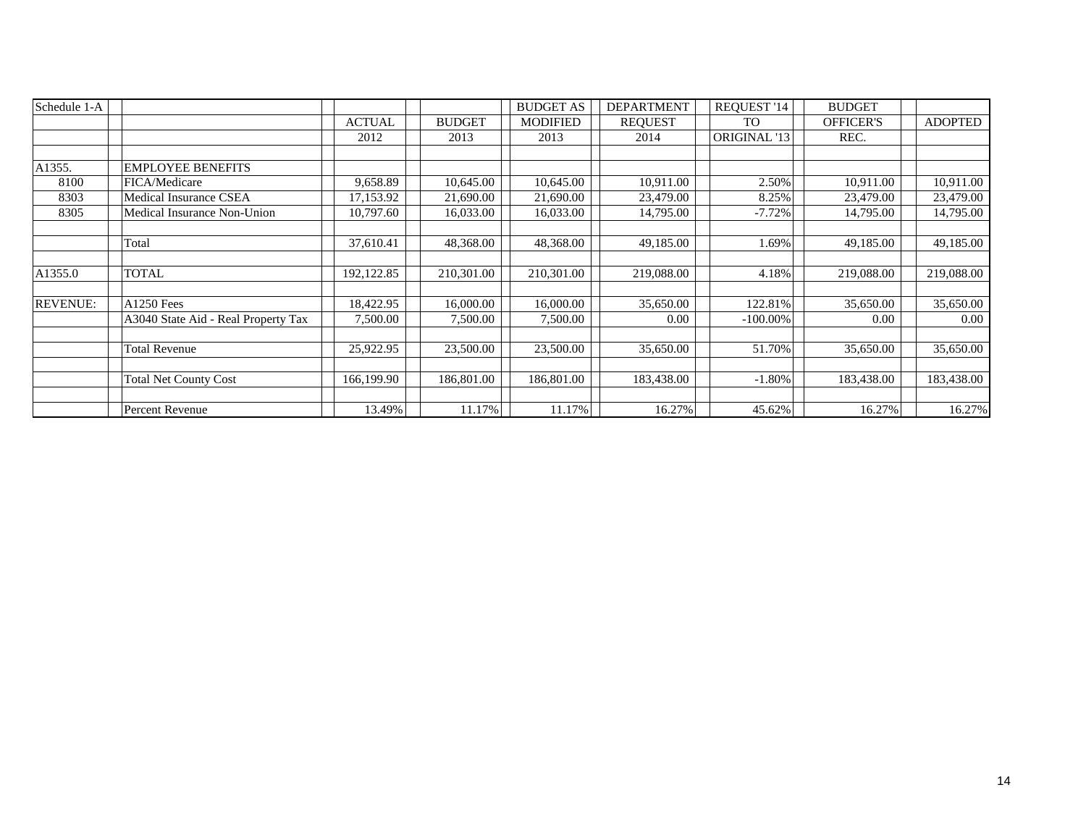| Schedule 1-A    |                                     |               |               | <b>BUDGET AS</b> | <b>DEPARTMENT</b> | REOUEST '14  | <b>BUDGET</b>    |                |
|-----------------|-------------------------------------|---------------|---------------|------------------|-------------------|--------------|------------------|----------------|
|                 |                                     | <b>ACTUAL</b> | <b>BUDGET</b> | <b>MODIFIED</b>  | <b>REQUEST</b>    | <b>TO</b>    | <b>OFFICER'S</b> | <b>ADOPTED</b> |
|                 |                                     | 2012          | 2013          | 2013             | 2014              | ORIGINAL '13 | REC.             |                |
|                 |                                     |               |               |                  |                   |              |                  |                |
| A1355.          | <b>EMPLOYEE BENEFITS</b>            |               |               |                  |                   |              |                  |                |
| 8100            | FICA/Medicare                       | 9,658.89      | 10,645.00     | 10,645.00        | 10,911.00         | 2.50%        | 10,911.00        | 10,911.00      |
| 8303            | Medical Insurance CSEA              | 17,153.92     | 21,690.00     | 21,690.00        | 23,479.00         | 8.25%        | 23,479.00        | 23,479.00      |
| 8305            | Medical Insurance Non-Union         | 10,797.60     | 16,033.00     | 16,033.00        | 14,795.00         | $-7.72%$     | 14,795.00        | 14,795.00      |
|                 |                                     |               |               |                  |                   |              |                  |                |
|                 | Total                               | 37,610.41     | 48,368.00     | 48,368.00        | 49,185.00         | 1.69%        | 49,185.00        | 49,185.00      |
|                 |                                     |               |               |                  |                   |              |                  |                |
| A1355.0         | <b>TOTAL</b>                        | 192, 122.85   | 210,301.00    | 210,301.00       | 219,088.00        | 4.18%        | 219,088.00       | 219,088.00     |
|                 |                                     |               |               |                  |                   |              |                  |                |
| <b>REVENUE:</b> | <b>A1250 Fees</b>                   | 18,422.95     | 16,000.00     | 16,000.00        | 35,650.00         | 122.81%      | 35,650.00        | 35,650.00      |
|                 | A3040 State Aid - Real Property Tax | 7,500.00      | 7,500.00      | 7,500.00         | 0.00              | $-100.00\%$  | 0.00             | 0.00           |
|                 |                                     |               |               |                  |                   |              |                  |                |
|                 | <b>Total Revenue</b>                | 25,922.95     | 23,500.00     | 23,500.00        | 35,650.00         | 51.70%       | 35,650.00        | 35,650.00      |
|                 |                                     |               |               |                  |                   |              |                  |                |
|                 | <b>Total Net County Cost</b>        | 166,199.90    | 186,801.00    | 186,801.00       | 183,438.00        | $-1.80%$     | 183,438.00       | 183,438.00     |
|                 |                                     |               |               |                  |                   |              |                  |                |
|                 | Percent Revenue                     | 13.49%        | 11.17%        | 11.17%           | 16.27%            | 45.62%       | 16.27%           | 16.27%         |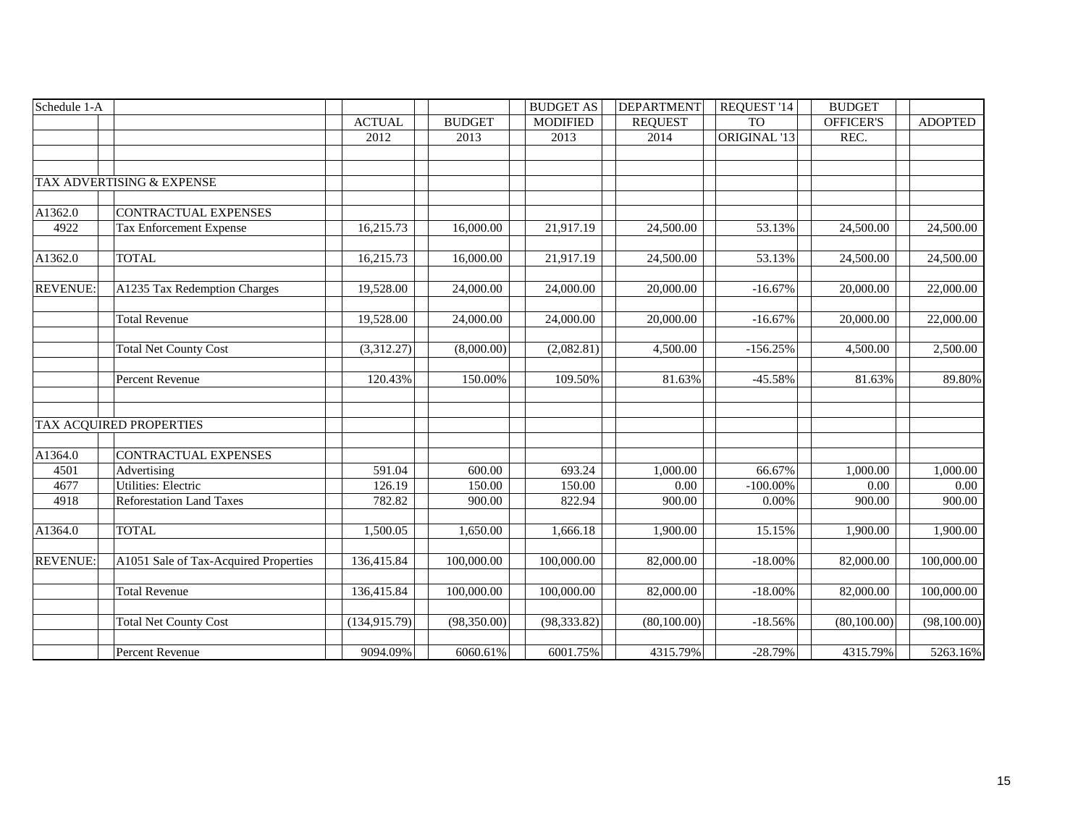| Schedule 1-A    |                                       |               |               | <b>BUDGET AS</b> | <b>DEPARTMENT</b> | REQUEST <sup>'14</sup> | <b>BUDGET</b> |                |
|-----------------|---------------------------------------|---------------|---------------|------------------|-------------------|------------------------|---------------|----------------|
|                 |                                       | <b>ACTUAL</b> | <b>BUDGET</b> | <b>MODIFIED</b>  | <b>REQUEST</b>    | <b>TO</b>              | OFFICER'S     | <b>ADOPTED</b> |
|                 |                                       | 2012          | 2013          | 2013             | 2014              | ORIGINAL '13           | REC.          |                |
|                 |                                       |               |               |                  |                   |                        |               |                |
|                 |                                       |               |               |                  |                   |                        |               |                |
|                 | TAX ADVERTISING & EXPENSE             |               |               |                  |                   |                        |               |                |
|                 |                                       |               |               |                  |                   |                        |               |                |
| A1362.0         | <b>CONTRACTUAL EXPENSES</b>           |               |               |                  |                   |                        |               |                |
| 4922            | Tax Enforcement Expense               | 16,215.73     | 16,000.00     | 21,917.19        | 24,500.00         | 53.13%                 | 24,500.00     | 24,500.00      |
|                 |                                       |               |               |                  |                   |                        |               |                |
| A1362.0         | <b>TOTAL</b>                          | 16,215.73     | 16,000.00     | 21,917.19        | 24,500.00         | 53.13%                 | 24,500.00     | 24,500.00      |
|                 |                                       |               |               |                  |                   |                        |               |                |
| <b>REVENUE:</b> | A1235 Tax Redemption Charges          | 19,528.00     | 24,000.00     | 24,000.00        | 20,000.00         | $-16.67%$              | 20,000.00     | 22,000.00      |
|                 |                                       |               |               |                  |                   |                        |               |                |
|                 | Total Revenue                         | 19,528.00     | 24,000.00     | 24,000.00        | 20,000.00         | $-16.67%$              | 20,000.00     | 22,000.00      |
|                 |                                       |               |               |                  |                   |                        |               |                |
|                 | <b>Total Net County Cost</b>          | (3,312.27)    | (8,000.00)    | (2,082.81)       | 4,500.00          | $-156.25%$             | 4,500.00      | 2,500.00       |
|                 |                                       |               |               |                  |                   |                        |               |                |
|                 | Percent Revenue                       | 120.43%       | 150.00%       | 109.50%          | 81.63%            | $-45.58%$              | 81.63%        | 89.80%         |
|                 |                                       |               |               |                  |                   |                        |               |                |
|                 |                                       |               |               |                  |                   |                        |               |                |
|                 | TAX ACQUIRED PROPERTIES               |               |               |                  |                   |                        |               |                |
|                 |                                       |               |               |                  |                   |                        |               |                |
| A1364.0         | <b>CONTRACTUAL EXPENSES</b>           |               |               |                  |                   |                        |               |                |
| 4501            | Advertising                           | 591.04        | 600.00        | 693.24           | 1,000.00          | 66.67%                 | 1,000.00      | 1,000.00       |
| 4677            | <b>Utilities: Electric</b>            | 126.19        | 150.00        | 150.00           | 0.00              | $-100.00\%$            | 0.00          | 0.00           |
| 4918            | <b>Reforestation Land Taxes</b>       | 782.82        | 900.00        | 822.94           | 900.00            | 0.00%                  | 900.00        | 900.00         |
|                 |                                       |               |               |                  |                   |                        |               |                |
| A1364.0         | <b>TOTAL</b>                          | 1,500.05      | 1,650.00      | 1,666.18         | 1,900.00          | 15.15%                 | 1,900.00      | 1,900.00       |
|                 |                                       |               |               |                  |                   |                        |               |                |
| <b>REVENUE:</b> | A1051 Sale of Tax-Acquired Properties | 136,415.84    | 100,000.00    | 100,000.00       | 82,000.00         | $-18.00\%$             | 82,000.00     | 100,000.00     |
|                 |                                       |               |               |                  |                   |                        |               |                |
|                 | <b>Total Revenue</b>                  | 136,415.84    | 100,000.00    | 100,000.00       | 82,000.00         | $-18.00\%$             | 82,000.00     | 100,000.00     |
|                 |                                       |               |               |                  |                   |                        |               |                |
|                 | <b>Total Net County Cost</b>          | (134, 915.79) | (98, 350.00)  | (98, 333.82)     | (80, 100.00)      | $-18.56%$              | (80,100.00)   | (98,100.00)    |
|                 |                                       |               |               |                  |                   |                        |               |                |
|                 | Percent Revenue                       | 9094.09%      | 6060.61%      | 6001.75%         | 4315.79%          | $-28.79%$              | 4315.79%      | 5263.16%       |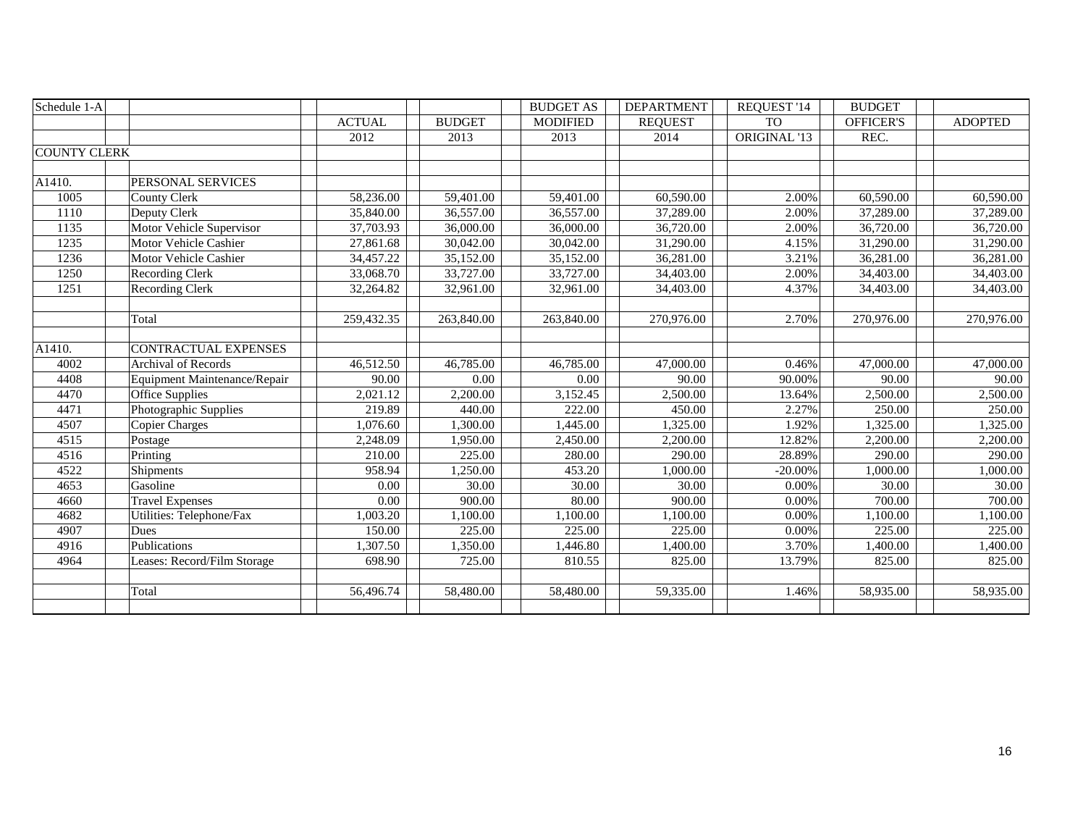| Schedule 1-A        |                              |               |               | <b>BUDGET AS</b> | <b>DEPARTMENT</b> | REQUEST '14  | <b>BUDGET</b>    |                |
|---------------------|------------------------------|---------------|---------------|------------------|-------------------|--------------|------------------|----------------|
|                     |                              | <b>ACTUAL</b> | <b>BUDGET</b> | <b>MODIFIED</b>  | <b>REOUEST</b>    | <b>TO</b>    | <b>OFFICER'S</b> | <b>ADOPTED</b> |
|                     |                              | 2012          | 2013          | 2013             | 2014              | ORIGINAL '13 | REC.             |                |
| <b>COUNTY CLERK</b> |                              |               |               |                  |                   |              |                  |                |
|                     |                              |               |               |                  |                   |              |                  |                |
| A1410.              | PERSONAL SERVICES            |               |               |                  |                   |              |                  |                |
| 1005                | County Clerk                 | 58,236.00     | 59,401.00     | 59,401.00        | 60,590.00         | 2.00%        | 60,590.00        | 60,590.00      |
| 1110                | Deputy Clerk                 | 35,840.00     | 36,557.00     | 36,557.00        | 37,289.00         | 2.00%        | 37,289.00        | 37,289.00      |
| 1135                | Motor Vehicle Supervisor     | 37,703.93     | 36,000.00     | 36,000.00        | 36,720.00         | 2.00%        | 36,720.00        | 36,720.00      |
| 1235                | Motor Vehicle Cashier        | 27,861.68     | 30,042.00     | 30,042.00        | 31,290.00         | 4.15%        | 31,290.00        | 31,290.00      |
| 1236                | Motor Vehicle Cashier        | 34,457.22     | 35,152.00     | 35,152.00        | 36,281.00         | 3.21%        | 36,281.00        | 36,281.00      |
| 1250                | Recording Clerk              | 33,068.70     | 33,727.00     | 33,727.00        | 34,403.00         | 2.00%        | 34,403.00        | 34,403.00      |
| 1251                | Recording Clerk              | 32,264.82     | 32,961.00     | 32,961.00        | 34,403.00         | 4.37%        | 34,403.00        | 34,403.00      |
|                     |                              |               |               |                  |                   |              |                  |                |
|                     | Total                        | 259,432.35    | 263,840.00    | 263,840.00       | 270,976.00        | 2.70%        | 270,976.00       | 270,976.00     |
|                     |                              |               |               |                  |                   |              |                  |                |
| A1410.              | CONTRACTUAL EXPENSES         |               |               |                  |                   |              |                  |                |
| 4002                | <b>Archival of Records</b>   | 46,512.50     | 46,785.00     | 46,785.00        | 47,000.00         | 0.46%        | 47,000.00        | 47,000.00      |
| 4408                | Equipment Maintenance/Repair | 90.00         | 0.00          | 0.00             | 90.00             | 90.00%       | 90.00            | 90.00          |
| 4470                | <b>Office Supplies</b>       | 2,021.12      | 2,200.00      | 3,152.45         | 2,500.00          | 13.64%       | 2,500.00         | 2,500.00       |
| 4471                | Photographic Supplies        | 219.89        | 440.00        | 222.00           | 450.00            | 2.27%        | 250.00           | 250.00         |
| 4507                | <b>Copier Charges</b>        | 1,076.60      | 1,300.00      | 1,445.00         | 1,325.00          | 1.92%        | 1,325.00         | 1,325.00       |
| 4515                | Postage                      | 2,248.09      | 1,950.00      | 2,450.00         | 2,200.00          | 12.82%       | 2,200.00         | 2,200.00       |
| 4516                | Printing                     | 210.00        | 225.00        | 280.00           | 290.00            | 28.89%       | 290.00           | 290.00         |
| 4522                | Shipments                    | 958.94        | 1,250.00      | 453.20           | 1,000.00          | $-20.00%$    | 1,000.00         | 1,000.00       |
| 4653                | Gasoline                     | 0.00          | 30.00         | 30.00            | 30.00             | 0.00%        | 30.00            | 30.00          |
| 4660                | Travel Expenses              | 0.00          | 900.00        | 80.00            | 900.00            | 0.00%        | 700.00           | 700.00         |
| 4682                | Utilities: Telephone/Fax     | 1,003.20      | 1,100.00      | 1,100.00         | 1,100.00          | 0.00%        | 1,100.00         | 1,100.00       |
| 4907                | Dues                         | 150.00        | 225.00        | 225.00           | 225.00            | 0.00%        | 225.00           | 225.00         |
| 4916                | Publications                 | 1,307.50      | 1,350.00      | 1,446.80         | 1,400.00          | 3.70%        | 1,400.00         | 1,400.00       |
| 4964                | Leases: Record/Film Storage  | 698.90        | 725.00        | 810.55           | 825.00            | 13.79%       | 825.00           | 825.00         |
|                     |                              |               |               |                  |                   |              |                  |                |
|                     | Total                        | 56,496.74     | 58,480.00     | 58,480.00        | 59,335.00         | 1.46%        | 58,935.00        | 58,935.00      |
|                     |                              |               |               |                  |                   |              |                  |                |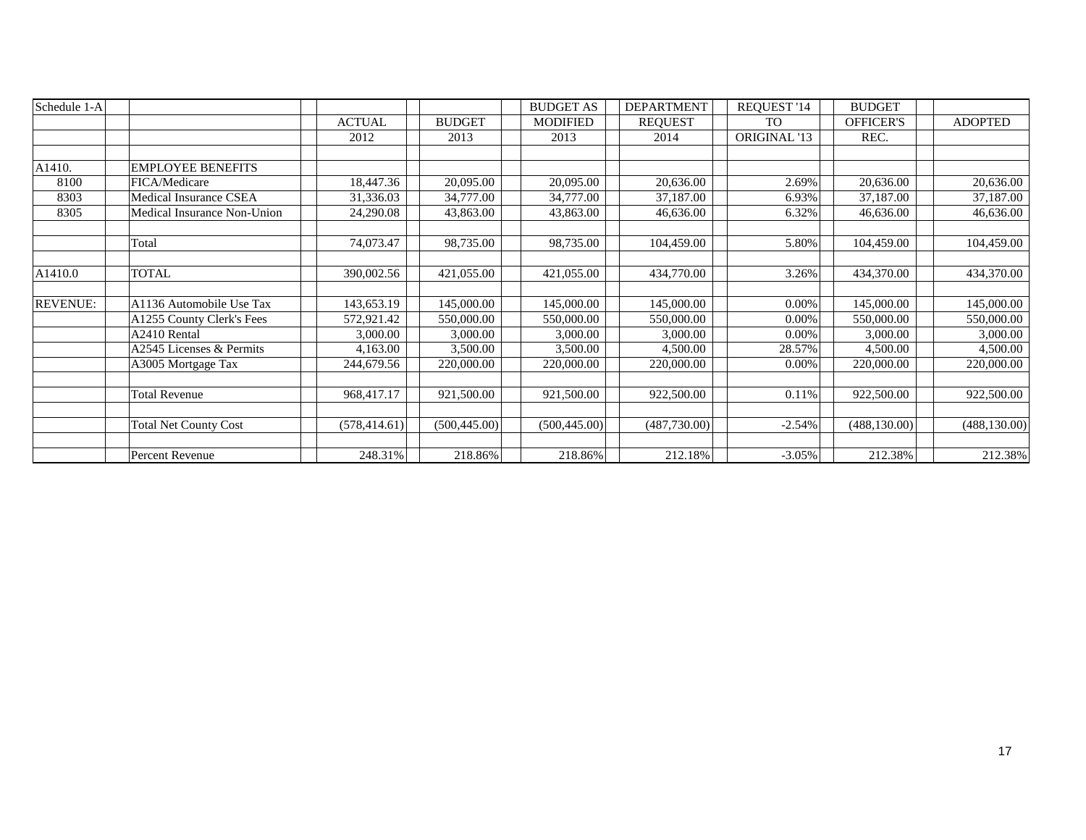| Schedule 1-A    |                              |               |               | <b>BUDGET AS</b> | <b>DEPARTMENT</b> | REQUEST '14  | <b>BUDGET</b>    |                |
|-----------------|------------------------------|---------------|---------------|------------------|-------------------|--------------|------------------|----------------|
|                 |                              | <b>ACTUAL</b> | <b>BUDGET</b> | <b>MODIFIED</b>  | <b>REQUEST</b>    | <b>TO</b>    | <b>OFFICER'S</b> | <b>ADOPTED</b> |
|                 |                              | 2012          | 2013          | 2013             | 2014              | ORIGINAL '13 | REC.             |                |
|                 |                              |               |               |                  |                   |              |                  |                |
| A1410.          | <b>EMPLOYEE BENEFITS</b>     |               |               |                  |                   |              |                  |                |
| 8100            | FICA/Medicare                | 18,447.36     | 20,095.00     | 20,095.00        | 20,636.00         | 2.69%        | 20,636.00        | 20,636.00      |
| 8303            | Medical Insurance CSEA       | 31,336.03     | 34,777.00     | 34,777.00        | 37,187.00         | 6.93%        | 37,187.00        | 37,187.00      |
| 8305            | Medical Insurance Non-Union  | 24,290.08     | 43,863.00     | 43,863.00        | 46,636.00         | 6.32%        | 46,636.00        | 46,636.00      |
|                 | Total                        | 74,073.47     | 98,735.00     | 98,735.00        | 104,459.00        | 5.80%        | 104,459.00       | 104,459.00     |
| A1410.0         | <b>TOTAL</b>                 | 390,002.56    | 421,055.00    | 421,055.00       | 434,770.00        | 3.26%        | 434,370.00       | 434,370.00     |
| <b>REVENUE:</b> | A1136 Automobile Use Tax     | 143,653.19    | 145,000.00    | 145,000.00       | 145,000.00        | $0.00\%$     | 145,000.00       | 145,000.00     |
|                 | A1255 County Clerk's Fees    | 572,921.42    | 550,000.00    | 550,000.00       | 550,000.00        | $0.00\%$     | 550,000.00       | 550,000.00     |
|                 | A2410 Rental                 | 3,000.00      | 3,000.00      | 3,000.00         | 3,000.00          | 0.00%        | 3,000.00         | 3,000.00       |
|                 | A2545 Licenses & Permits     | 4,163.00      | 3,500.00      | 3,500.00         | 4,500.00          | 28.57%       | 4,500.00         | 4,500.00       |
|                 | A3005 Mortgage Tax           | 244,679.56    | 220,000.00    | 220,000.00       | 220,000.00        | $0.00\%$     | 220,000.00       | 220,000.00     |
|                 | <b>Total Revenue</b>         | 968,417.17    | 921,500.00    | 921,500.00       | 922,500.00        | 0.11%        | 922,500.00       | 922,500.00     |
|                 | <b>Total Net County Cost</b> | (578, 414.61) | (500, 445.00) | (500, 445.00)    | (487,730.00)      | $-2.54%$     | (488, 130.00)    | (488, 130.00)  |
|                 | Percent Revenue              | 248.31%       | 218.86%       | 218.86%          | 212.18%           | $-3.05%$     | 212.38%          | 212.38%        |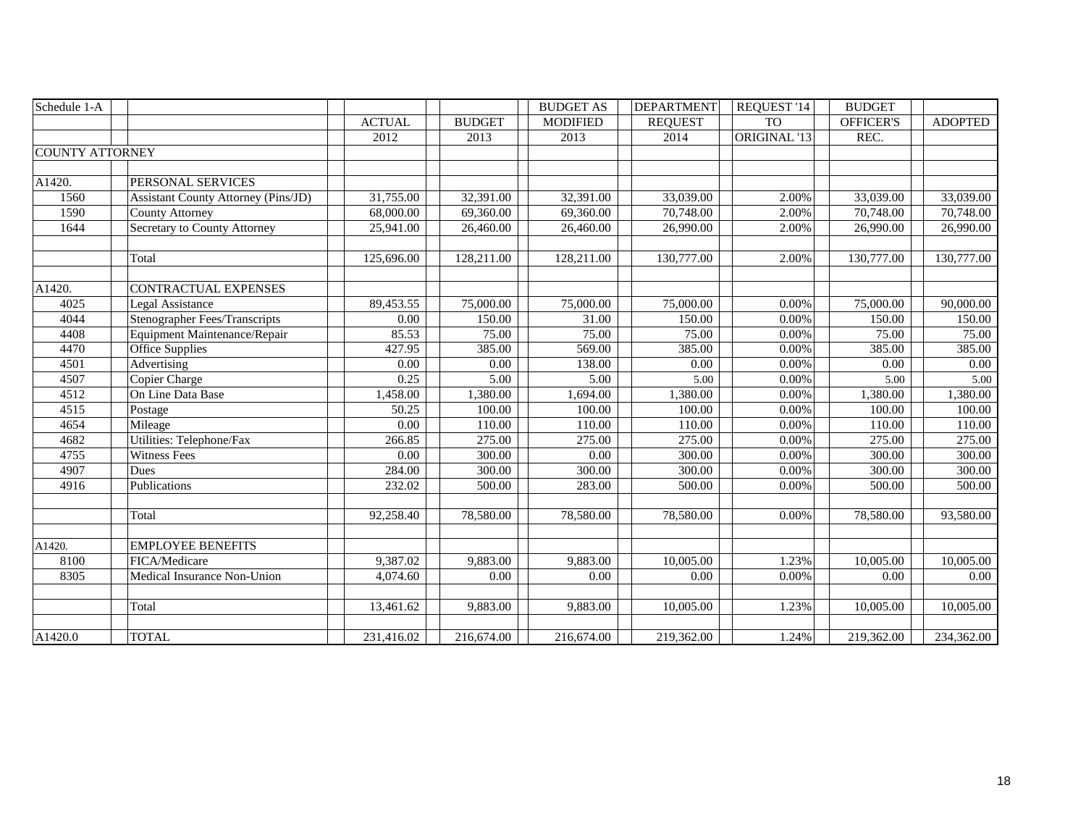| Schedule 1-A           |                                            |               |               | <b>BUDGET AS</b> | <b>DEPARTMENT</b> | REOUEST '14  | <b>BUDGET</b>    |                |
|------------------------|--------------------------------------------|---------------|---------------|------------------|-------------------|--------------|------------------|----------------|
|                        |                                            | <b>ACTUAL</b> | <b>BUDGET</b> | <b>MODIFIED</b>  | <b>REQUEST</b>    | <b>TO</b>    | <b>OFFICER'S</b> | <b>ADOPTED</b> |
|                        |                                            | 2012          | 2013          | 2013             | 2014              | ORIGINAL '13 | REC.             |                |
| <b>COUNTY ATTORNEY</b> |                                            |               |               |                  |                   |              |                  |                |
|                        |                                            |               |               |                  |                   |              |                  |                |
| A1420.                 | PERSONAL SERVICES                          |               |               |                  |                   |              |                  |                |
| 1560                   | <b>Assistant County Attorney (Pins/JD)</b> | 31,755.00     | 32,391.00     | 32,391.00        | 33,039.00         | 2.00%        | 33,039.00        | 33,039.00      |
| 1590                   | <b>County Attorney</b>                     | 68,000.00     | 69,360.00     | 69,360.00        | 70,748.00         | 2.00%        | 70,748.00        | 70,748.00      |
| 1644                   | Secretary to County Attorney               | 25,941.00     | 26,460.00     | 26,460.00        | 26,990.00         | 2.00%        | 26,990.00        | 26,990.00      |
|                        |                                            |               |               |                  |                   |              |                  |                |
|                        | Total                                      | 125,696.00    | 128,211.00    | 128,211.00       | 130,777.00        | 2.00%        | 130,777.00       | 130,777.00     |
|                        |                                            |               |               |                  |                   |              |                  |                |
| A1420.                 | <b>CONTRACTUAL EXPENSES</b>                |               |               |                  |                   |              |                  |                |
| 4025                   | Legal Assistance                           | 89,453.55     | 75,000.00     | 75,000.00        | 75,000.00         | 0.00%        | 75,000.00        | 90,000.00      |
| 4044                   | <b>Stenographer Fees/Transcripts</b>       | 0.00          | 150.00        | 31.00            | 150.00            | 0.00%        | 150.00           | 150.00         |
| 4408                   | Equipment Maintenance/Repair               | 85.53         | 75.00         | 75.00            | 75.00             | $0.00\%$     | 75.00            | 75.00          |
| 4470                   | Office Supplies                            | 427.95        | 385.00        | 569.00           | 385.00            | 0.00%        | 385.00           | 385.00         |
| 4501                   | Advertising                                | 0.00          | 0.00          | 138.00           | 0.00              | 0.00%        | 0.00             | 0.00           |
| 4507                   | Copier Charge                              | 0.25          | 5.00          | 5.00             | 5.00              | 0.00%        | 5.00             | 5.00           |
| 4512                   | On Line Data Base                          | 1,458.00      | 1,380.00      | 1,694.00         | 1,380.00          | 0.00%        | 1,380.00         | 1,380.00       |
| 4515                   | Postage                                    | 50.25         | 100.00        | 100.00           | 100.00            | 0.00%        | 100.00           | 100.00         |
| 4654                   | Mileage                                    | 0.00          | 110.00        | 110.00           | 110.00            | 0.00%        | 110.00           | 110.00         |
| 4682                   | Utilities: Telephone/Fax                   | 266.85        | 275.00        | 275.00           | 275.00            | 0.00%        | 275.00           | 275.00         |
| 4755                   | Witness Fees                               | 0.00          | 300.00        | 0.00             | 300.00            | 0.00%        | 300.00           | 300.00         |
| 4907                   | Dues                                       | 284.00        | 300.00        | 300.00           | 300.00            | 0.00%        | 300.00           | 300.00         |
| 4916                   | Publications                               | 232.02        | 500.00        | 283.00           | 500.00            | 0.00%        | 500.00           | 500.00         |
|                        |                                            |               |               |                  |                   |              |                  |                |
|                        | Total                                      | 92,258.40     | 78,580.00     | 78,580.00        | 78,580.00         | $0.00\%$     | 78,580.00        | 93,580.00      |
|                        |                                            |               |               |                  |                   |              |                  |                |
| A1420.                 | <b>EMPLOYEE BENEFITS</b>                   |               |               |                  |                   |              |                  |                |
| 8100                   | FICA/Medicare                              | 9,387.02      | 9,883.00      | 9,883.00         | 10,005.00         | 1.23%        | 10,005.00        | 10,005.00      |
| 8305                   | Medical Insurance Non-Union                | 4,074.60      | 0.00          | 0.00             | 0.00              | $0.00\%$     | 0.00             | 0.00           |
|                        |                                            |               |               |                  |                   |              |                  |                |
|                        | Total                                      | 13,461.62     | 9,883.00      | 9.883.00         | 10,005.00         | 1.23%        | 10,005.00        | 10,005.00      |
|                        |                                            |               |               |                  |                   |              |                  |                |
| A1420.0                | <b>TOTAL</b>                               | 231,416.02    | 216,674.00    | 216,674.00       | 219,362.00        | 1.24%        | 219,362.00       | 234,362.00     |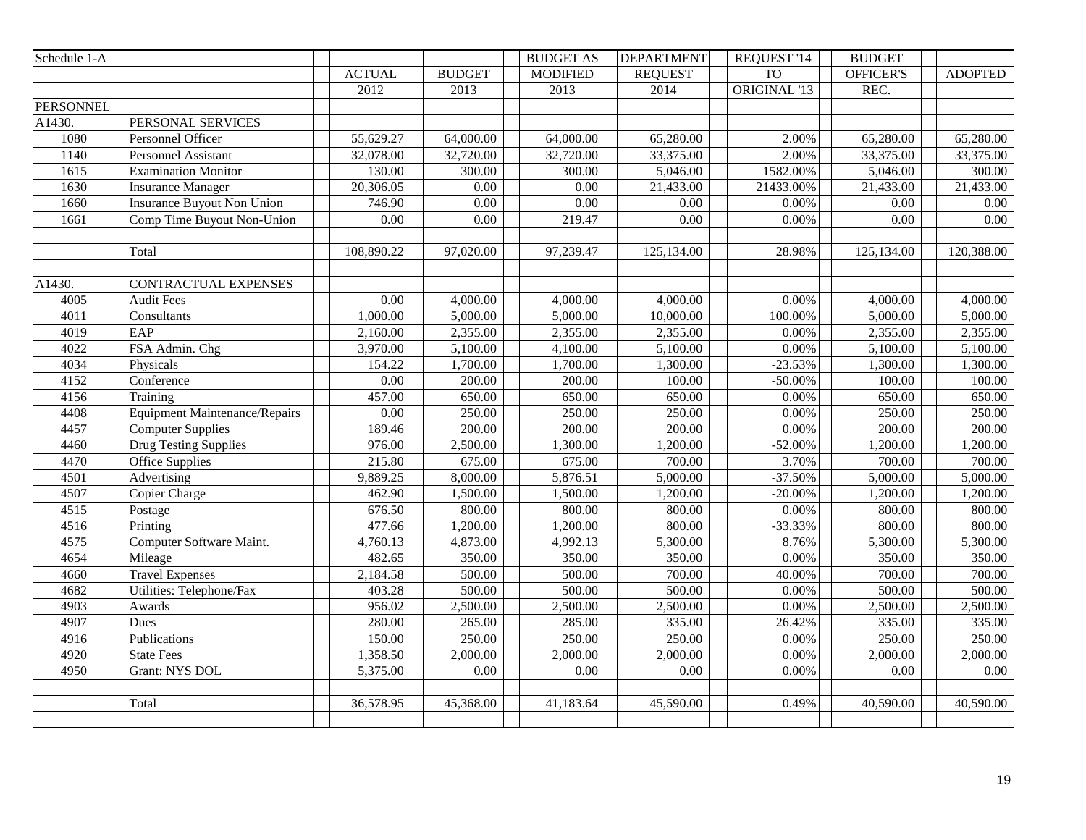| Schedule 1-A     |                                      |                       |                       | <b>BUDGET AS</b>  | <b>DEPARTMENT</b> | REQUEST '14  | <b>BUDGET</b>         |                |
|------------------|--------------------------------------|-----------------------|-----------------------|-------------------|-------------------|--------------|-----------------------|----------------|
|                  |                                      | <b>ACTUAL</b>         | <b>BUDGET</b>         | <b>MODIFIED</b>   | <b>REQUEST</b>    | <b>TO</b>    | <b>OFFICER'S</b>      | <b>ADOPTED</b> |
|                  |                                      | 2012                  | 2013                  | 2013              | 2014              | ORIGINAL '13 | REC.                  |                |
| <b>PERSONNEL</b> |                                      |                       |                       |                   |                   |              |                       |                |
| A1430.           | PERSONAL SERVICES                    |                       |                       |                   |                   |              |                       |                |
| 1080             | Personnel Officer                    | 55,629.27             | 64,000.00             | 64,000.00         | 65,280.00         | 2.00%        | 65,280.00             | 65,280.00      |
| 1140             | <b>Personnel Assistant</b>           | 32,078.00             | 32,720.00             | 32,720.00         | 33,375.00         | 2.00%        | 33,375.00             | 33,375.00      |
| 1615             | <b>Examination Monitor</b>           | 130.00                | 300.00                | 300.00            | 5,046.00          | 1582.00%     | 5,046.00              | 300.00         |
| 1630             | <b>Insurance Manager</b>             | 20,306.05             | $\overline{0.00}$     | $\overline{0.00}$ | 21,433.00         | 21433.00%    | 21,433.00             | 21,433.00      |
| 1660             | <b>Insurance Buyout Non Union</b>    | 746.90                | 0.00                  | 0.00              | 0.00              | $0.00\%$     | 0.00                  | $0.00\,$       |
| 1661             | Comp Time Buyout Non-Union           | 0.00                  | 0.00                  | 219.47            | 0.00              | 0.00%        | 0.00                  | 0.00           |
|                  |                                      |                       |                       |                   |                   |              |                       |                |
|                  | Total                                | 108,890.22            | 97,020.00             | 97,239.47         | 125,134.00        | 28.98%       | 125,134.00            | 120,388.00     |
|                  |                                      |                       |                       |                   |                   |              |                       |                |
| A1430.           | <b>CONTRACTUAL EXPENSES</b>          |                       |                       |                   |                   |              |                       |                |
| 4005             | <b>Audit Fees</b>                    | 0.00                  | 4,000.00              | 4,000.00          | 4,000.00          | 0.00%        | $\overline{4,000.00}$ | 4,000.00       |
| 4011             | Consultants                          | 1,000.00              | 5,000.00              | 5,000.00          | 10,000.00         | 100.00%      | 5,000.00              | 5,000.00       |
| 4019             | EAP                                  | 2,160.00              | 2,355.00              | 2,355.00          | 2,355.00          | 0.00%        | 2,355.00              | 2,355.00       |
| 4022             | FSA Admin. Chg                       | 3,970.00              | 5,100.00              | 4,100.00          | 5,100.00          | 0.00%        | 5,100.00              | 5,100.00       |
| 4034             | Physicals                            | 154.22                | 1,700.00              | 1,700.00          | 1,300.00          | $-23.53%$    | 1,300.00              | 1,300.00       |
| 4152             | $\overline{\text{Conference}}$       | 0.00                  | $\overline{200.00}$   | 200.00            | 100.00            | $-50.00\%$   | 100.00                | 100.00         |
| 4156             | Training                             | 457.00                | 650.00                | 650.00            | 650.00            | 0.00%        | 650.00                | 650.00         |
| 4408             | <b>Equipment Maintenance/Repairs</b> | 0.00                  | 250.00                | 250.00            | 250.00            | 0.00%        | 250.00                | 250.00         |
| 4457             | <b>Computer Supplies</b>             | 189.46                | 200.00                | 200.00            | 200.00            | $0.00\%$     | 200.00                | 200.00         |
| 4460             | <b>Drug Testing Supplies</b>         | 976.00                | 2,500.00              | 1,300.00          | 1,200.00          | $-52.00\%$   | 1,200.00              | 1,200.00       |
| 4470             | <b>Office Supplies</b>               | 215.80                | 675.00                | 675.00            | 700.00            | 3.70%        | 700.00                | 700.00         |
| 4501             | Advertising                          | 9,889.25              | 8,000.00              | 5,876.51          | 5,000.00          | $-37.50%$    | 5,000.00              | 5,000.00       |
| 4507             | Copier Charge                        | 462.90                | 1,500.00              | 1,500.00          | 1,200.00          | $-20.00\%$   | 1,200.00              | 1,200.00       |
| 4515             | Postage                              | 676.50                | 800.00                | 800.00            | 800.00            | 0.00%        | 800.00                | 800.00         |
| 4516             | Printing                             | 477.66                | 1,200.00              | 1,200.00          | 800.00            | $-33.33%$    | 800.00                | 800.00         |
| 4575             | Computer Software Maint.             | 4,760.13              | 4,873.00              | 4,992.13          | 5,300.00          | 8.76%        | 5,300.00              | 5,300.00       |
| 4654             | Mileage                              | 482.65                | 350.00                | 350.00            | 350.00            | 0.00%        | 350.00                | 350.00         |
| 4660             | <b>Travel Expenses</b>               | $\overline{2,}184.58$ | 500.00                | 500.00            | 700.00            | 40.00%       | 700.00                | 700.00         |
| 4682             | Utilities: Telephone/Fax             | 403.28                | 500.00                | 500.00            | 500.00            | 0.00%        | 500.00                | 500.00         |
| 4903             | Awards                               | 956.02                | 2,500.00              | 2,500.00          | 2,500.00          | 0.00%        | 2,500.00              | 2,500.00       |
| 4907             | Dues                                 | 280.00                | 265.00                | 285.00            | 335.00            | 26.42%       | 335.00                | 335.00         |
| 4916             | Publications                         | 150.00                | 250.00                | 250.00            | 250.00            | 0.00%        | 250.00                | 250.00         |
| 4920             | <b>State Fees</b>                    | 1,358.50              | $\overline{2,000.00}$ | 2,000.00          | 2,000.00          | 0.00%        | 2,000.00              | 2,000.00       |
| 4950             | <b>Grant: NYS DOL</b>                | 5,375.00              | 0.00                  | 0.00              | 0.00              | 0.00%        | 0.00                  | 0.00           |
|                  |                                      |                       |                       |                   |                   |              |                       |                |
|                  | Total                                | 36,578.95             | 45,368.00             | 41,183.64         | 45,590.00         | 0.49%        | 40,590.00             | 40,590.00      |
|                  |                                      |                       |                       |                   |                   |              |                       |                |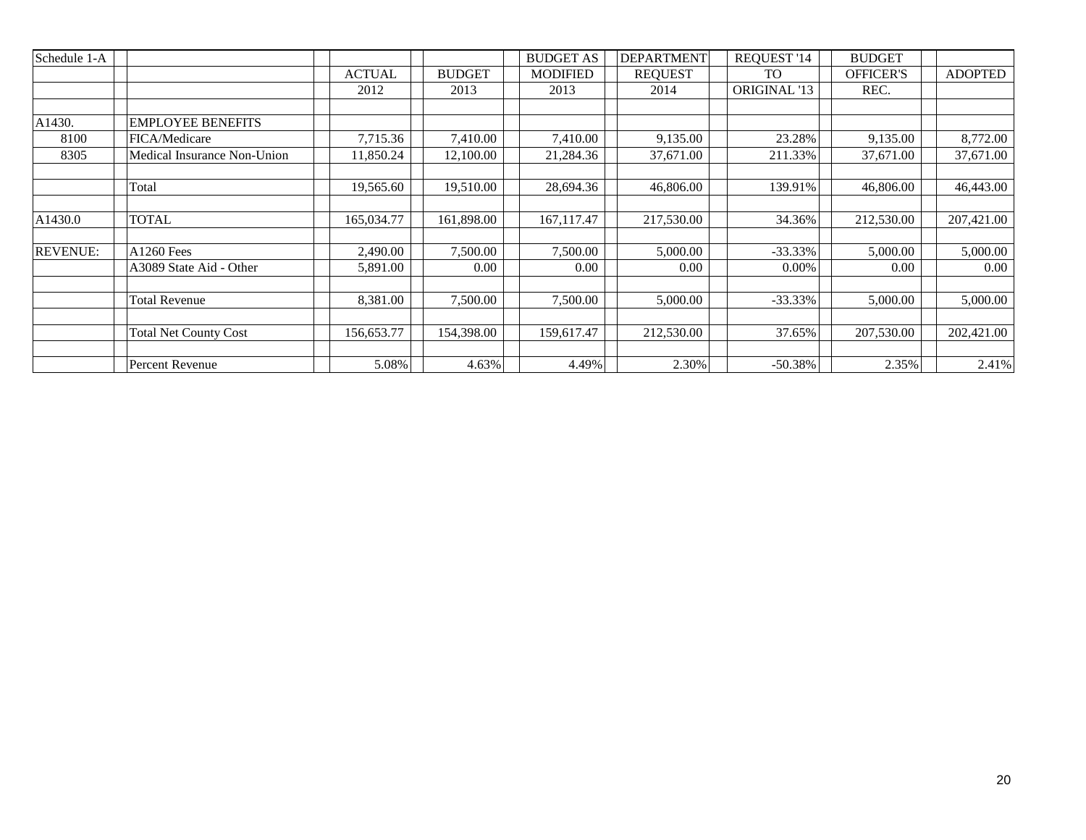| Schedule 1-A    |                              |               |               | <b>BUDGET AS</b> | <b>DEPARTMENT</b> | <b>REQUEST '14</b> | <b>BUDGET</b>    |                |
|-----------------|------------------------------|---------------|---------------|------------------|-------------------|--------------------|------------------|----------------|
|                 |                              | <b>ACTUAL</b> | <b>BUDGET</b> | <b>MODIFIED</b>  | <b>REQUEST</b>    | <b>TO</b>          | <b>OFFICER'S</b> | <b>ADOPTED</b> |
|                 |                              | 2012          | 2013          | 2013             | 2014              | ORIGINAL '13       | REC.             |                |
|                 |                              |               |               |                  |                   |                    |                  |                |
| A1430.          | <b>EMPLOYEE BENEFITS</b>     |               |               |                  |                   |                    |                  |                |
| 8100            | FICA/Medicare                | 7,715.36      | 7,410.00      | 7,410.00         | 9,135.00          | 23.28%             | 9,135.00         | 8,772.00       |
| 8305            | Medical Insurance Non-Union  | 11,850.24     | 12,100.00     | 21,284.36        | 37,671.00         | 211.33%            | 37,671.00        | 37,671.00      |
|                 |                              |               |               |                  |                   |                    |                  |                |
|                 | Total                        | 19.565.60     | 19.510.00     | 28,694.36        | 46,806.00         | 139.91%            | 46,806.00        | 46,443.00      |
|                 |                              |               |               |                  |                   |                    |                  |                |
| A1430.0         | <b>TOTAL</b>                 | 165,034.77    | 161,898.00    | 167,117.47       | 217,530.00        | 34.36%             | 212,530.00       | 207,421.00     |
|                 |                              |               |               |                  |                   |                    |                  |                |
| <b>REVENUE:</b> | A1260 Fees                   | 2,490.00      | 7,500.00      | 7,500.00         | 5,000.00          | $-33.33\%$         | 5,000.00         | 5,000.00       |
|                 | A3089 State Aid - Other      | 5,891.00      | 0.00          | 0.00             | 0.00              | $0.00\%$           | 0.00             | 0.00           |
|                 |                              |               |               |                  |                   |                    |                  |                |
|                 | <b>Total Revenue</b>         | 8.381.00      | 7.500.00      | 7.500.00         | 5,000.00          | $-33.33\%$         | 5,000.00         | 5,000.00       |
|                 |                              |               |               |                  |                   |                    |                  |                |
|                 | <b>Total Net County Cost</b> | 156,653.77    | 154,398.00    | 159,617.47       | 212,530.00        | 37.65%             | 207,530.00       | 202,421.00     |
|                 |                              |               |               |                  |                   |                    |                  |                |
|                 | <b>Percent Revenue</b>       | 5.08%         | 4.63%         | 4.49%            | 2.30%             | $-50.38\%$         | 2.35%            | 2.41%          |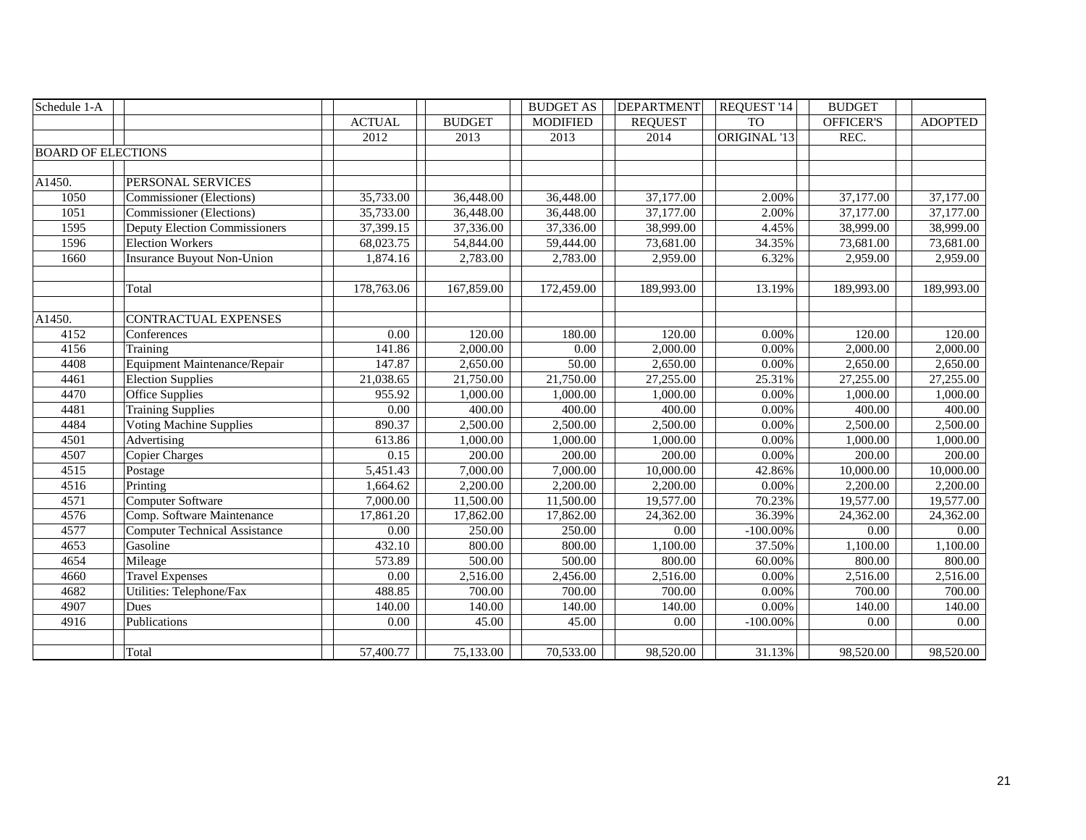| Schedule 1-A              |                                      |               |               | <b>BUDGET AS</b> | <b>DEPARTMENT</b> | REQUEST '14  | <b>BUDGET</b> |                |
|---------------------------|--------------------------------------|---------------|---------------|------------------|-------------------|--------------|---------------|----------------|
|                           |                                      | <b>ACTUAL</b> | <b>BUDGET</b> | <b>MODIFIED</b>  | <b>REQUEST</b>    | <b>TO</b>    | OFFICER'S     | <b>ADOPTED</b> |
|                           |                                      | 2012          | 2013          | 2013             | 2014              | ORIGINAL '13 | REC.          |                |
| <b>BOARD OF ELECTIONS</b> |                                      |               |               |                  |                   |              |               |                |
|                           |                                      |               |               |                  |                   |              |               |                |
| A <sub>1450</sub> .       | PERSONAL SERVICES                    |               |               |                  |                   |              |               |                |
| 1050                      | Commissioner (Elections)             | 35,733.00     | 36,448.00     | 36,448.00        | 37,177.00         | 2.00%        | 37,177.00     | 37,177.00      |
| 1051                      | Commissioner (Elections)             | 35,733.00     | 36,448.00     | 36,448.00        | 37,177.00         | 2.00%        | 37,177.00     | 37,177.00      |
| 1595                      | <b>Deputy Election Commissioners</b> | 37,399.15     | 37,336.00     | 37,336.00        | 38,999.00         | 4.45%        | 38,999.00     | 38,999.00      |
| 1596                      | <b>Election Workers</b>              | 68,023.75     | 54,844.00     | 59,444.00        | 73,681.00         | 34.35%       | 73,681.00     | 73,681.00      |
| 1660                      | <b>Insurance Buyout Non-Union</b>    | 1,874.16      | 2,783.00      | 2,783.00         | 2,959.00          | 6.32%        | 2,959.00      | 2,959.00       |
|                           |                                      |               |               |                  |                   |              |               |                |
|                           | Total                                | 178,763.06    | 167,859.00    | 172,459.00       | 189,993.00        | 13.19%       | 189,993.00    | 189,993.00     |
|                           |                                      |               |               |                  |                   |              |               |                |
| A1450.                    | CONTRACTUAL EXPENSES                 |               |               |                  |                   |              |               |                |
| 4152                      | Conferences                          | 0.00          | 120.00        | 180.00           | 120.00            | 0.00%        | 120.00        | 120.00         |
| 4156                      | Training                             | 141.86        | 2,000.00      | 0.00             | 2,000.00          | 0.00%        | 2,000.00      | 2,000.00       |
| 4408                      | Equipment Maintenance/Repair         | 147.87        | 2,650.00      | 50.00            | 2,650.00          | 0.00%        | 2,650.00      | 2,650.00       |
| 4461                      | <b>Election Supplies</b>             | 21,038.65     | 21,750.00     | 21,750.00        | 27,255.00         | 25.31%       | 27,255.00     | 27,255.00      |
| 4470                      | Office Supplies                      | 955.92        | 1,000.00      | 1,000.00         | 1,000.00          | 0.00%        | 1,000.00      | 1,000.00       |
| 4481                      | <b>Training Supplies</b>             | 0.00          | 400.00        | 400.00           | 400.00            | 0.00%        | 400.00        | 400.00         |
| 4484                      | Voting Machine Supplies              | 890.37        | 2,500.00      | 2,500.00         | 2,500.00          | 0.00%        | 2,500.00      | 2,500.00       |
| 4501                      | Advertising                          | 613.86        | 1,000.00      | 1,000.00         | 1,000.00          | 0.00%        | 1,000.00      | 1,000.00       |
| 4507                      | <b>Copier Charges</b>                | 0.15          | 200.00        | 200.00           | 200.00            | 0.00%        | 200.00        | 200.00         |
| 4515                      | Postage                              | 5,451.43      | 7,000.00      | 7,000.00         | 10,000.00         | 42.86%       | 10,000.00     | 10,000.00      |
| 4516                      | Printing                             | 1,664.62      | 2,200.00      | 2,200.00         | 2,200.00          | 0.00%        | 2,200.00      | 2,200.00       |
| 4571                      | <b>Computer Software</b>             | 7,000.00      | 11,500.00     | 11,500.00        | 19,577.00         | 70.23%       | 19,577.00     | 19,577.00      |
| 4576                      | Comp. Software Maintenance           | 17,861.20     | 17,862.00     | 17,862.00        | 24,362.00         | 36.39%       | 24,362.00     | 24,362.00      |
| 4577                      | <b>Computer Technical Assistance</b> | 0.00          | 250.00        | 250.00           | 0.00              | $-100.00\%$  | 0.00          | 0.00           |
| 4653                      | Gasoline                             | 432.10        | 800.00        | 800.00           | 1,100.00          | 37.50%       | 1,100.00      | 1,100.00       |
| 4654                      | Mileage                              | 573.89        | 500.00        | 500.00           | 800.00            | 60.00%       | 800.00        | 800.00         |
| 4660                      | <b>Travel Expenses</b>               | 0.00          | 2,516.00      | 2,456.00         | 2,516.00          | 0.00%        | 2,516.00      | 2,516.00       |
| 4682                      | Utilities: Telephone/Fax             | 488.85        | 700.00        | 700.00           | 700.00            | 0.00%        | 700.00        | 700.00         |
| 4907                      | Dues                                 | 140.00        | 140.00        | 140.00           | 140.00            | 0.00%        | 140.00        | 140.00         |
| 4916                      | Publications                         | 0.00          | 45.00         | 45.00            | 0.00              | $-100.00\%$  | 0.00          | 0.00           |
|                           |                                      |               |               |                  |                   |              |               |                |
|                           | Total                                | 57,400.77     | 75,133.00     | 70,533.00        | 98,520.00         | 31.13%       | 98,520.00     | 98,520.00      |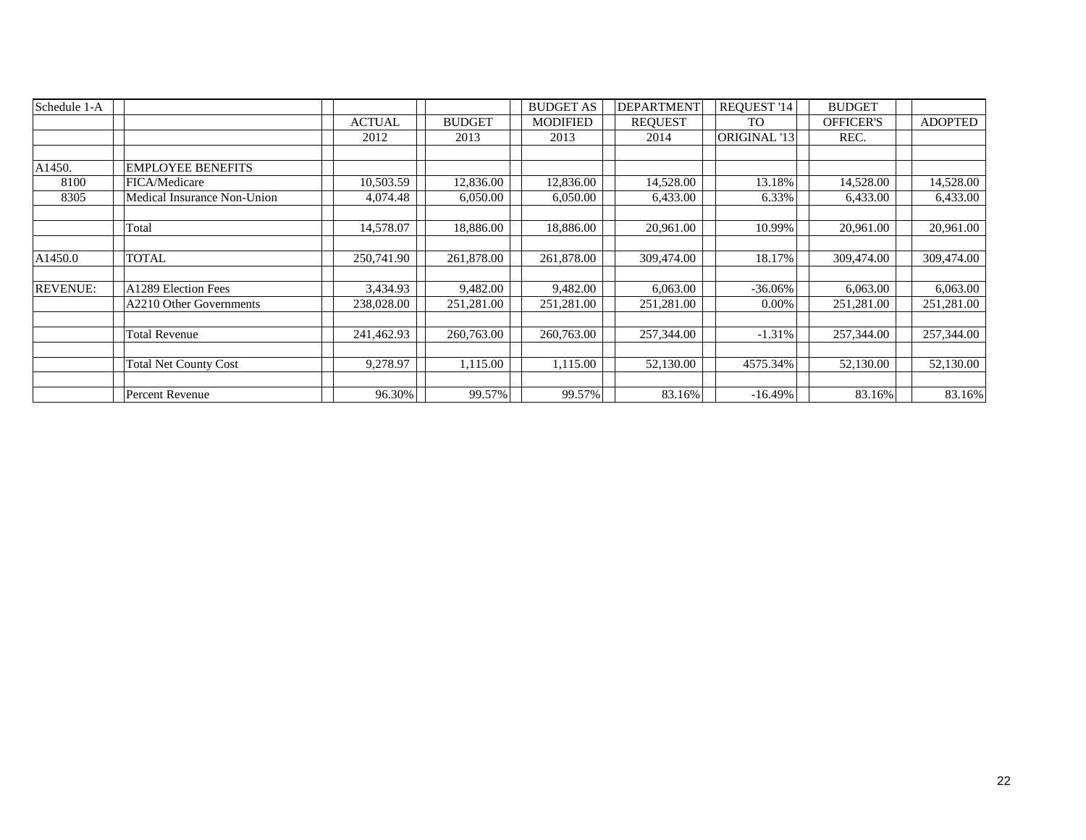| Schedule 1-A    |                              |               |               | <b>BUDGET AS</b> | <b>DEPARTMENT</b> | REQUEST '14         | <b>BUDGET</b>    |                |
|-----------------|------------------------------|---------------|---------------|------------------|-------------------|---------------------|------------------|----------------|
|                 |                              | <b>ACTUAL</b> | <b>BUDGET</b> | <b>MODIFIED</b>  | <b>REQUEST</b>    | <b>TO</b>           | <b>OFFICER'S</b> | <b>ADOPTED</b> |
|                 |                              | 2012          | 2013          | 2013             | 2014              | <b>ORIGINAL '13</b> | REC.             |                |
|                 |                              |               |               |                  |                   |                     |                  |                |
| A1450.          | <b>EMPLOYEE BENEFITS</b>     |               |               |                  |                   |                     |                  |                |
| 8100            | FICA/Medicare                | 10,503.59     | 12,836.00     | 12,836.00        | 14,528.00         | 13.18%              | 14,528.00        | 14,528.00      |
| 8305            | Medical Insurance Non-Union  | 4,074.48      | 6,050.00      | 6,050.00         | 6,433.00          | 6.33%               | 6,433.00         | 6,433.00       |
|                 |                              |               |               |                  |                   |                     |                  |                |
|                 | Total                        | 14,578.07     | 18,886.00     | 18,886.00        | 20,961.00         | 10.99%              | 20,961.00        | 20,961.00      |
|                 |                              |               |               |                  |                   |                     |                  |                |
| A1450.0         | <b>TOTAL</b>                 | 250,741.90    | 261,878.00    | 261,878.00       | 309,474.00        | 18.17%              | 309,474.00       | 309,474.00     |
|                 |                              |               |               |                  |                   |                     |                  |                |
| <b>REVENUE:</b> | A1289 Election Fees          | 3,434.93      | 9,482.00      | 9,482.00         | 6,063.00          | $-36.06\%$          | 6,063.00         | 6,063.00       |
|                 | A2210 Other Governments      | 238,028.00    | 251,281.00    | 251,281.00       | 251,281.00        | 0.00%               | 251,281.00       | 251,281.00     |
|                 |                              |               |               |                  |                   |                     |                  |                |
|                 | <b>Total Revenue</b>         | 241,462.93    | 260,763.00    | 260,763.00       | 257,344.00        | $-1.31%$            | 257,344.00       | 257,344.00     |
|                 |                              |               |               |                  |                   |                     |                  |                |
|                 | <b>Total Net County Cost</b> | 9,278.97      | 1,115.00      | 1,115.00         | 52,130.00         | 4575.34%            | 52,130.00        | 52,130.00      |
|                 |                              |               |               |                  |                   |                     |                  |                |
|                 | Percent Revenue              | 96.30%        | 99.57%        | 99.57%           | 83.16%            | $-16.49%$           | 83.16%           | 83.16%         |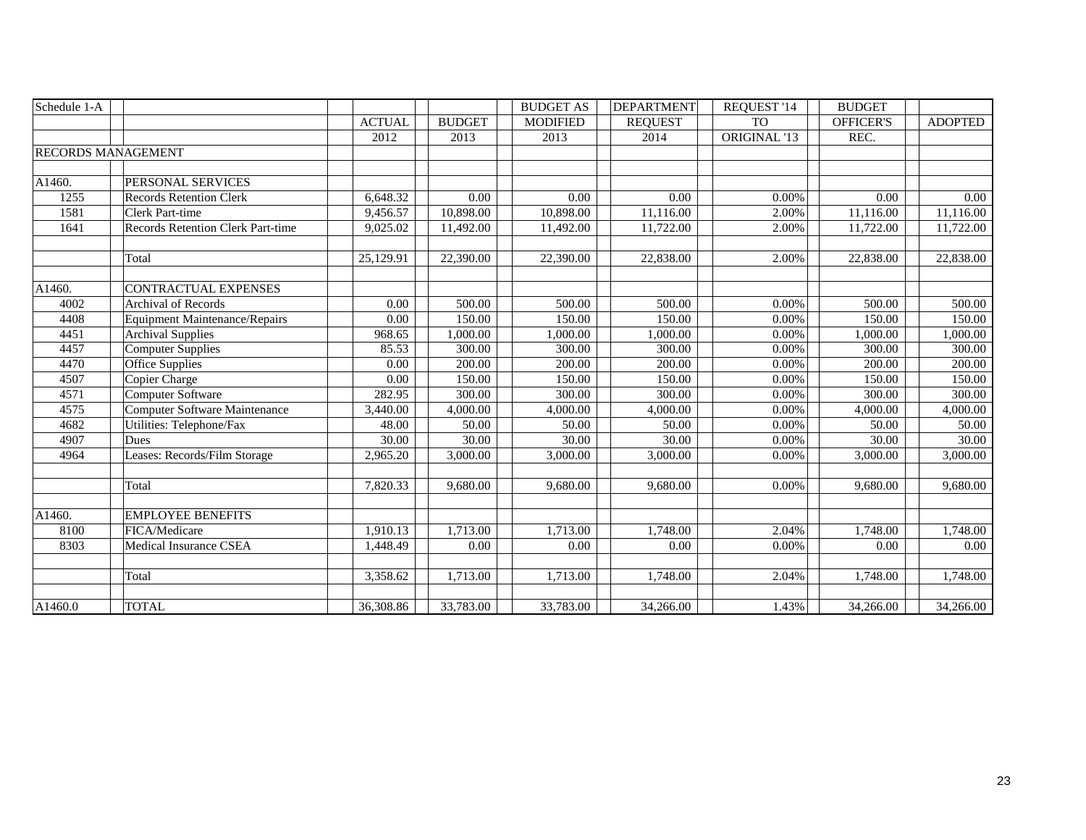| Schedule 1-A              |                                      |               |               | <b>BUDGET AS</b> | <b>DEPARTMENT</b> | REQUEST '14  | <b>BUDGET</b>    |                |
|---------------------------|--------------------------------------|---------------|---------------|------------------|-------------------|--------------|------------------|----------------|
|                           |                                      | <b>ACTUAL</b> | <b>BUDGET</b> | <b>MODIFIED</b>  | <b>REQUEST</b>    | <b>TO</b>    | <b>OFFICER'S</b> | <b>ADOPTED</b> |
|                           |                                      | 2012          | 2013          | 2013             | 2014              | ORIGINAL '13 | REC.             |                |
| <b>RECORDS MANAGEMENT</b> |                                      |               |               |                  |                   |              |                  |                |
|                           |                                      |               |               |                  |                   |              |                  |                |
| A1460.                    | PERSONAL SERVICES                    |               |               |                  |                   |              |                  |                |
| 1255                      | <b>Records Retention Clerk</b>       | 6.648.32      | 0.00          | 0.00             | 0.00              | 0.00%        | 0.00             | 0.00           |
| 1581                      | Clerk Part-time                      | 9,456.57      | 10,898.00     | 10,898.00        | 11,116.00         | 2.00%        | 11,116.00        | 11,116.00      |
| 1641                      | Records Retention Clerk Part-time    | 9,025.02      | 11,492.00     | 11,492.00        | 11,722.00         | 2.00%        | 11,722.00        | 11,722.00      |
|                           |                                      |               |               |                  |                   |              |                  |                |
|                           | Total                                | 25,129.91     | 22,390.00     | 22,390.00        | 22,838.00         | 2.00%        | 22,838.00        | 22,838.00      |
|                           |                                      |               |               |                  |                   |              |                  |                |
| A1460.                    | <b>CONTRACTUAL EXPENSES</b>          |               |               |                  |                   |              |                  |                |
| 4002                      | Archival of Records                  | 0.00          | 500.00        | 500.00           | 500.00            | 0.00%        | 500.00           | 500.00         |
| 4408                      | <b>Equipment Maintenance/Repairs</b> | 0.00          | 150.00        | 150.00           | 150.00            | 0.00%        | 150.00           | 150.00         |
| 4451                      | <b>Archival Supplies</b>             | 968.65        | ,000.00       | 00.000,1         | 1,000.00          | 0.00%        | 1,000.00         | 1,000.00       |
| 4457                      | <b>Computer Supplies</b>             | 85.53         | 300.00        | 300.00           | 300.00            | 0.00%        | 300.00           | 300.00         |
| 4470                      | Office Supplies                      | 0.00          | 200.00        | 200.00           | 200.00            | 0.00%        | 200.00           | 200.00         |
| 4507                      | Copier Charge                        | 0.00          | 150.00        | 150.00           | 150.00            | 0.00%        | 150.00           | 150.00         |
| 4571                      | <b>Computer Software</b>             | 282.95        | 300.00        | 300.00           | 300.00            | 0.00%        | 300.00           | 300.00         |
| 4575                      | <b>Computer Software Maintenance</b> | 3,440.00      | 4,000.00      | 4,000.00         | 4,000.00          | 0.00%        | 4,000.00         | 4,000.00       |
| 4682                      | Utilities: Telephone/Fax             | 48.00         | 50.00         | 50.00            | 50.00             | 0.00%        | 50.00            | 50.00          |
| 4907                      | <b>Dues</b>                          | 30.00         | 30.00         | 30.00            | 30.00             | 0.00%        | 30.00            | 30.00          |
| 4964                      | Leases: Records/Film Storage         | 2,965.20      | 3,000.00      | 3,000.00         | 3,000.00          | 0.00%        | 3,000.00         | 3,000.00       |
|                           |                                      |               |               |                  |                   |              |                  |                |
|                           | Total                                | 7,820.33      | 9,680.00      | 9,680.00         | 9,680.00          | 0.00%        | 9,680.00         | 9,680.00       |
|                           |                                      |               |               |                  |                   |              |                  |                |
| A1460.                    | <b>EMPLOYEE BENEFITS</b>             |               |               |                  |                   |              |                  |                |
| 8100                      | FICA/Medicare                        | 1,910.13      | 1,713.00      | 1,713.00         | 1,748.00          | 2.04%        | 1,748.00         | 1,748.00       |
| 8303                      | Medical Insurance CSEA               | 1,448.49      | 0.00          | 0.00             | 0.00              | 0.00%        | 0.00             | 0.00           |
|                           |                                      |               |               |                  |                   |              |                  |                |
|                           | Total                                | 3,358.62      | 1,713.00      | 1,713.00         | 1,748.00          | 2.04%        | 1,748.00         | 1,748.00       |
|                           |                                      |               |               |                  |                   |              |                  |                |
| A1460.0                   | <b>TOTAL</b>                         | 36,308.86     | 33,783.00     | 33,783.00        | 34,266.00         | 1.43%        | 34,266.00        | 34,266.00      |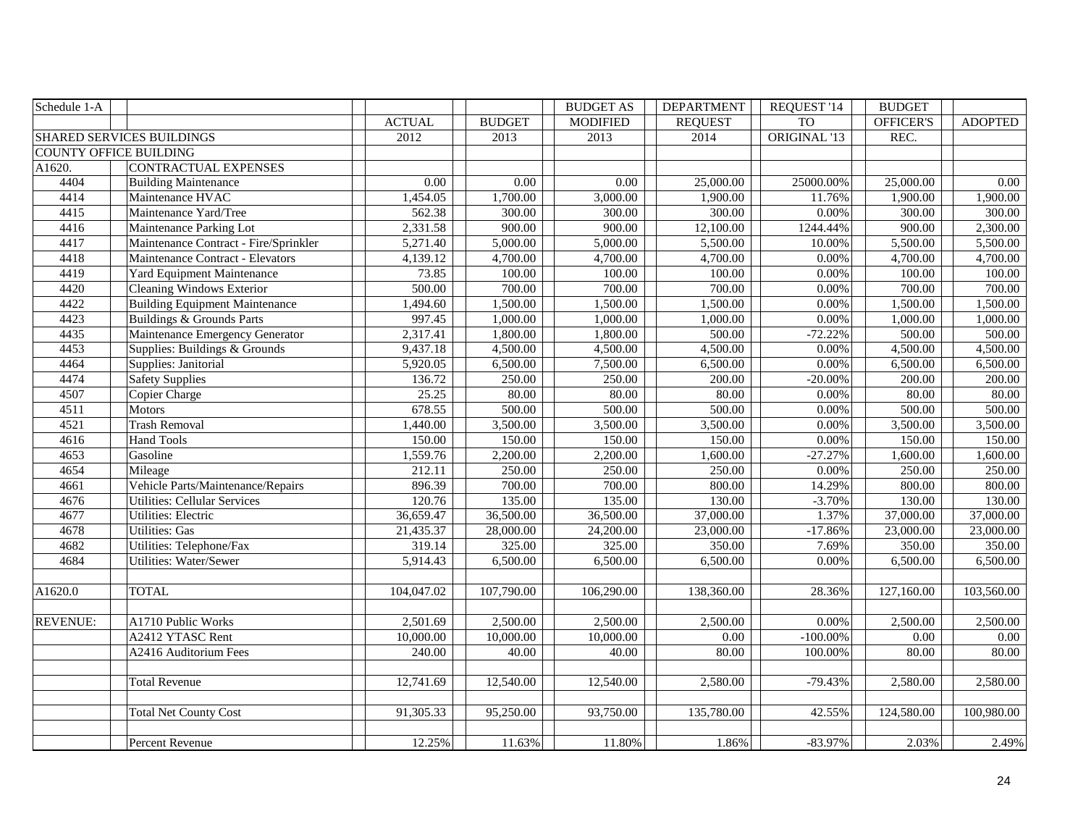| Schedule 1-A                  |                                       |               |               | <b>BUDGET AS</b> | <b>DEPARTMENT</b>     | REQUEST '14  | <b>BUDGET</b> |                |
|-------------------------------|---------------------------------------|---------------|---------------|------------------|-----------------------|--------------|---------------|----------------|
|                               |                                       | <b>ACTUAL</b> | <b>BUDGET</b> | <b>MODIFIED</b>  | <b>REQUEST</b>        | <b>TO</b>    | OFFICER'S     | <b>ADOPTED</b> |
|                               | <b>SHARED SERVICES BUILDINGS</b>      | 2012          | 2013          | 2013             | 2014                  | ORIGINAL '13 | REC.          |                |
| <b>COUNTY OFFICE BUILDING</b> |                                       |               |               |                  |                       |              |               |                |
| A1620.                        | CONTRACTUAL EXPENSES                  |               |               |                  |                       |              |               |                |
| 4404                          | <b>Building Maintenance</b>           | 0.00          | 0.00          | 0.00             | 25,000.00             | 25000.00%    | 25,000.00     | 0.00           |
| 4414                          | Maintenance HVAC                      | 1,454.05      | 1,700.00      | 3,000.00         | 1,900.00              | 11.76%       | 1,900.00      | 1,900.00       |
| 4415                          | Maintenance Yard/Tree                 | 562.38        | 300.00        | 300.00           | 300.00                | 0.00%        | 300.00        | 300.00         |
| 4416                          | Maintenance Parking Lot               | 2,331.58      | 900.00        | 900.00           | 12,100.00             | 1244.44%     | 900.00        | 2,300.00       |
| 4417                          | Maintenance Contract - Fire/Sprinkler | 5,271.40      | 5,000.00      | 5,000.00         | 5,500.00              | 10.00%       | 5,500.00      | 5,500.00       |
| 4418                          | Maintenance Contract - Elevators      | 4,139.12      | 4,700.00      | 4,700.00         | 4,700.00              | 0.00%        | 4,700.00      | 4,700.00       |
| 4419                          | Yard Equipment Maintenance            | 73.85         | 100.00        | 100.00           | 100.00                | 0.00%        | 100.00        | 100.00         |
| 4420                          | Cleaning Windows Exterior             | 500.00        | 700.00        | 700.00           | 700.00                | 0.00%        | 700.00        | 700.00         |
| 4422                          | <b>Building Equipment Maintenance</b> | 1,494.60      | 1,500.00      | 1,500.00         | $\overline{1,500.00}$ | 0.00%        | 1,500.00      | 1,500.00       |
| 4423                          | <b>Buildings &amp; Grounds Parts</b>  | 997.45        | 1,000.00      | 1,000.00         | 1,000.00              | 0.00%        | 1,000.00      | 1,000.00       |
| 4435                          | Maintenance Emergency Generator       | 2,317.41      | 1,800.00      | 1,800.00         | 500.00                | $-72.22%$    | 500.00        | 500.00         |
| 4453                          | Supplies: Buildings & Grounds         | 9,437.18      | 4,500.00      | 4,500.00         | 4,500.00              | 0.00%        | 4,500.00      | 4,500.00       |
| 4464                          | Supplies: Janitorial                  | 5,920.05      | 6,500.00      | 7,500.00         | 6,500.00              | 0.00%        | 6,500.00      | 6,500.00       |
| 4474                          | <b>Safety Supplies</b>                | 136.72        | 250.00        | 250.00           | 200.00                | $-20.00%$    | 200.00        | 200.00         |
| 4507                          | Copier Charge                         | 25.25         | 80.00         | 80.00            | 80.00                 | 0.00%        | 80.00         | 80.00          |
| 4511                          | Motors                                | 678.55        | 500.00        | 500.00           | 500.00                | 0.00%        | 500.00        | 500.00         |
| 4521                          | <b>Trash Removal</b>                  | 1,440.00      | 3,500.00      | 3,500.00         | 3,500.00              | 0.00%        | 3,500.00      | 3,500.00       |
| 4616                          | <b>Hand Tools</b>                     | 150.00        | 150.00        | 150.00           | 150.00                | $0.00\%$     | 150.00        | 150.00         |
| 4653                          | Gasoline                              | 1,559.76      | 2,200.00      | 2,200.00         | 1,600.00              | $-27.27%$    | 1,600.00      | 1,600.00       |
| 4654                          | Mileage                               | 212.11        | 250.00        | 250.00           | 250.00                | 0.00%        | 250.00        | 250.00         |
| 4661                          | Vehicle Parts/Maintenance/Repairs     | 896.39        | 700.00        | 700.00           | 800.00                | 14.29%       | 800.00        | 800.00         |
| 4676                          | <b>Utilities: Cellular Services</b>   | 120.76        | 135.00        | 135.00           | 130.00                | $-3.70%$     | 130.00        | 130.00         |
| 4677                          | <b>Utilities: Electric</b>            | 36,659.47     | 36,500.00     | 36,500.00        | 37,000.00             | 1.37%        | 37,000.00     | 37,000.00      |
| 4678                          | <b>Utilities: Gas</b>                 | 21,435.37     | 28,000.00     | 24,200.00        | 23,000.00             | $-17.86%$    | 23,000.00     | 23,000.00      |
| 4682                          | Utilities: Telephone/Fax              | 319.14        | 325.00        | 325.00           | 350.00                | 7.69%        | 350.00        | 350.00         |
| 4684                          | Utilities: Water/Sewer                | 5,914.43      | 6,500.00      | 6,500.00         | 6,500.00              | 0.00%        | 6,500.00      | 6,500.00       |
|                               |                                       |               |               |                  |                       |              |               |                |
| A1620.0                       | <b>TOTAL</b>                          | 104,047.02    | 107,790.00    | 106,290.00       | 138,360.00            | 28.36%       | 127,160.00    | 103,560.00     |
|                               |                                       |               |               |                  |                       |              |               |                |
| <b>REVENUE:</b>               | A1710 Public Works                    | 2,501.69      | 2,500.00      | 2,500.00         | 2,500.00              | 0.00%        | 2,500.00      | 2,500.00       |
|                               | A2412 YTASC Rent                      | 10,000.00     | 10,000.00     | 10,000.00        | 0.00                  | $-100.00\%$  | 0.00          | $0.00\,$       |
|                               | A2416 Auditorium Fees                 | 240.00        | 40.00         | 40.00            | 80.00                 | 100.00%      | 80.00         | 80.00          |
|                               |                                       |               |               |                  |                       |              |               |                |
|                               | Total Revenue                         | 12,741.69     | 12,540.00     | 12,540.00        | 2,580.00              | $-79.43%$    | 2,580.00      | 2,580.00       |
|                               |                                       |               |               |                  |                       |              |               |                |
|                               | <b>Total Net County Cost</b>          | 91,305.33     | 95,250.00     | 93,750.00        | 135,780.00            | 42.55%       | 124,580.00    | 100,980.00     |
|                               |                                       |               |               |                  |                       |              |               |                |
|                               | Percent Revenue                       | 12.25%        | 11.63%        | 11.80%           | 1.86%                 | $-83.97%$    | 2.03%         | 2.49%          |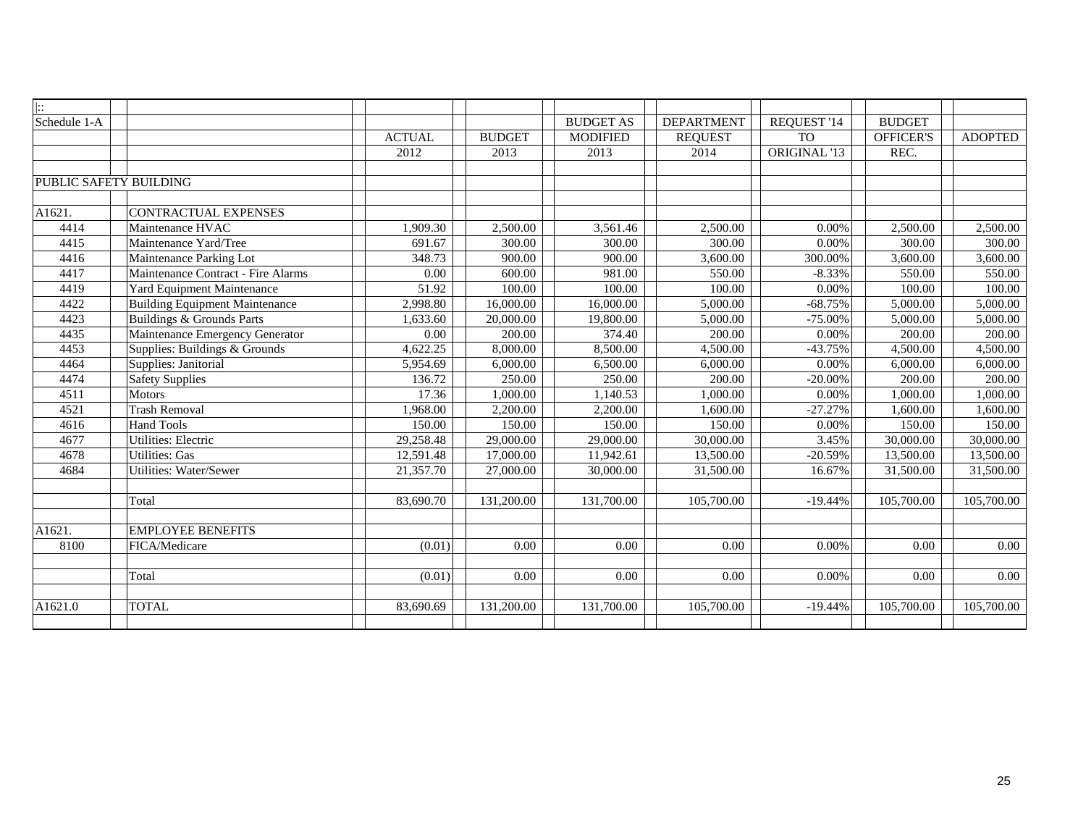| $\left  \vdots \right $ |                                       |               |               |                  |                   |                |                  |                |
|-------------------------|---------------------------------------|---------------|---------------|------------------|-------------------|----------------|------------------|----------------|
| Schedule 1-A            |                                       |               |               | <b>BUDGET AS</b> | <b>DEPARTMENT</b> | REQUEST '14    | <b>BUDGET</b>    |                |
|                         |                                       | <b>ACTUAL</b> | <b>BUDGET</b> | <b>MODIFIED</b>  | <b>REQUEST</b>    | T <sub>O</sub> | <b>OFFICER'S</b> | <b>ADOPTED</b> |
|                         |                                       | 2012          | 2013          | 2013             | 2014              | ORIGINAL '13   | REC.             |                |
|                         |                                       |               |               |                  |                   |                |                  |                |
|                         | PUBLIC SAFETY BUILDING                |               |               |                  |                   |                |                  |                |
|                         |                                       |               |               |                  |                   |                |                  |                |
| A1621.                  | CONTRACTUAL EXPENSES                  |               |               |                  |                   |                |                  |                |
| 4414                    | Maintenance HVAC                      | 1,909.30      | 2,500.00      | 3,561.46         | 2,500.00          | 0.00%          | 2,500.00         | 2,500.00       |
| 4415                    | Maintenance Yard/Tree                 | 691.67        | 300.00        | 300.00           | 300.00            | 0.00%          | 300.00           | 300.00         |
| 4416                    | Maintenance Parking Lot               | 348.73        | 900.00        | 900.00           | 3,600.00          | 300.00%        | 3,600.00         | 3,600.00       |
| 4417                    | Maintenance Contract - Fire Alarms    | 0.00          | 600.00        | 981.00           | 550.00            | $-8.33%$       | 550.00           | 550.00         |
| 4419                    | Yard Equipment Maintenance            | 51.92         | 100.00        | 100.00           | 100.00            | 0.00%          | 100.00           | 100.00         |
| 4422                    | <b>Building Equipment Maintenance</b> | 2,998.80      | 16,000.00     | 16,000.00        | 5,000.00          | $-68.75%$      | 5,000.00         | 5,000.00       |
| 4423                    | Buildings & Grounds Parts             | 1,633.60      | 20,000.00     | 19,800.00        | 5,000.00          | $-75.00%$      | 5,000.00         | 5,000.00       |
| 4435                    | Maintenance Emergency Generator       | 0.00          | 200.00        | 374.40           | 200.00            | 0.00%          | 200.00           | 200.00         |
| 4453                    | Supplies: Buildings & Grounds         | 4,622.25      | 8,000.00      | 8,500.00         | 4,500.00          | $-43.75%$      | 4,500.00         | 4,500.00       |
| 4464                    | Supplies: Janitorial                  | 5,954.69      | 6,000.00      | 6,500.00         | 6,000.00          | 0.00%          | 6,000.00         | 6,000.00       |
| 4474                    | <b>Safety Supplies</b>                | 136.72        | 250.00        | 250.00           | 200.00            | $-20.00%$      | 200.00           | 200.00         |
| 4511                    | Motors                                | 17.36         | 1,000.00      | 1,140.53         | 1,000.00          | 0.00%          | 1,000.00         | 1,000.00       |
| 4521                    | <b>Trash Removal</b>                  | 1,968.00      | 2,200.00      | 2,200.00         | 1,600.00          | $-27.27%$      | 1,600.00         | 1,600.00       |
| 4616                    | <b>Hand Tools</b>                     | 150.00        | 150.00        | 150.00           | 150.00            | 0.00%          | 150.00           | 150.00         |
| 4677                    | <b>Utilities: Electric</b>            | 29,258.48     | 29,000.00     | 29,000.00        | 30,000.00         | 3.45%          | 30,000.00        | 30,000.00      |
| 4678                    | <b>Utilities: Gas</b>                 | 12,591.48     | 17,000.00     | 11,942.61        | 13,500.00         | $-20.59%$      | 13,500.00        | 13,500.00      |
| 4684                    | <b>Utilities: Water/Sewer</b>         | 21,357.70     | 27,000.00     | 30,000.00        | 31,500.00         | 16.67%         | 31,500.00        | 31,500.00      |
|                         |                                       |               |               |                  |                   |                |                  |                |
|                         | Total                                 | 83,690.70     | 131,200.00    | 131,700.00       | 105,700.00        | $-19.44%$      | 105,700.00       | 105,700.00     |
|                         |                                       |               |               |                  |                   |                |                  |                |
| A1621.                  | <b>EMPLOYEE BENEFITS</b>              |               |               |                  |                   |                |                  |                |
| 8100                    | FICA/Medicare                         | (0.01)        | 0.00          | 0.00             | 0.00              | 0.00%          | 0.00             | $0.00\,$       |
|                         |                                       |               |               |                  |                   |                |                  |                |
|                         | Total                                 | (0.01)        | 0.00          | 0.00             | 0.00              | 0.00%          | 0.00             | 0.00           |
|                         |                                       |               |               |                  |                   |                |                  |                |
| A1621.0                 | <b>TOTAL</b>                          | 83,690.69     | 131,200.00    | 131,700.00       | 105,700.00        | $-19.44%$      | 105,700.00       | 105,700.00     |
|                         |                                       |               |               |                  |                   |                |                  |                |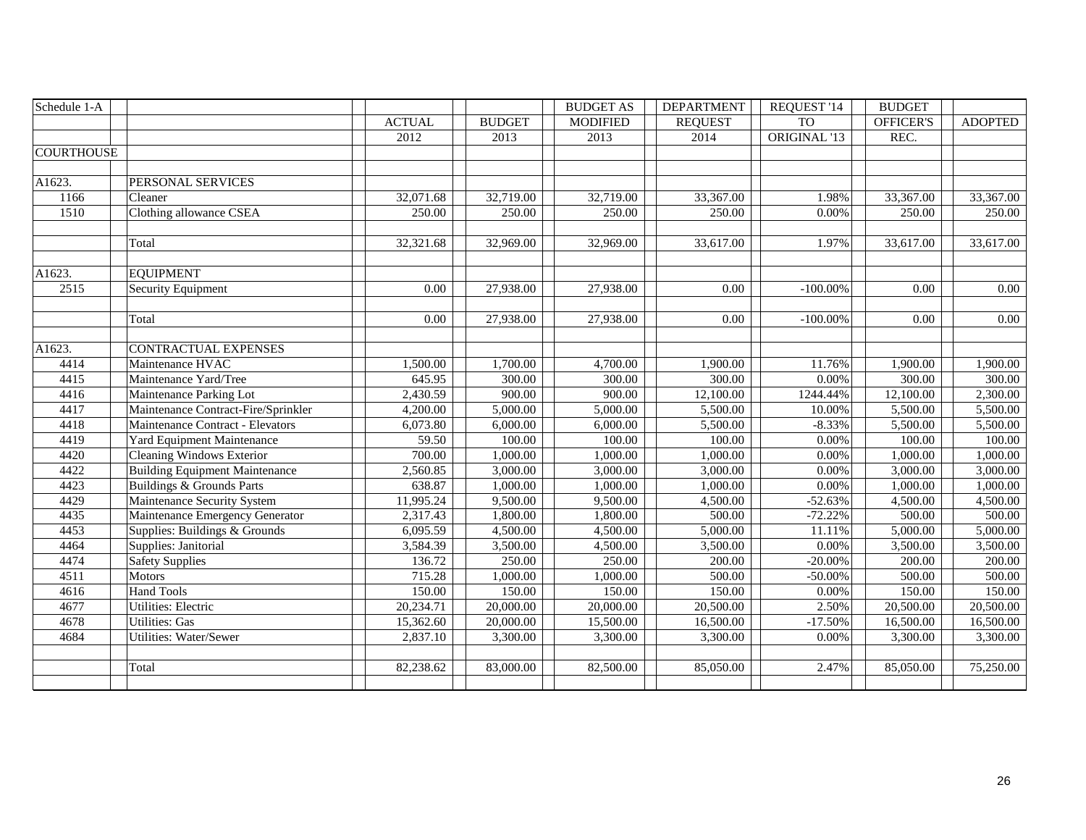| Schedule 1-A      |                                       |               |               | <b>BUDGET AS</b> | <b>DEPARTMENT</b> | REQUEST '14  | <b>BUDGET</b> |                |
|-------------------|---------------------------------------|---------------|---------------|------------------|-------------------|--------------|---------------|----------------|
|                   |                                       | <b>ACTUAL</b> | <b>BUDGET</b> | <b>MODIFIED</b>  | <b>REQUEST</b>    | <b>TO</b>    | OFFICER'S     | <b>ADOPTED</b> |
|                   |                                       | 2012          | 2013          | 2013             | 2014              | ORIGINAL '13 | REC.          |                |
| <b>COURTHOUSE</b> |                                       |               |               |                  |                   |              |               |                |
|                   |                                       |               |               |                  |                   |              |               |                |
| A1623.            | PERSONAL SERVICES                     |               |               |                  |                   |              |               |                |
| 1166              | Cleaner                               | 32,071.68     | 32,719.00     | 32,719.00        | 33,367.00         | 1.98%        | 33,367.00     | 33,367.00      |
| 1510              | Clothing allowance CSEA               | 250.00        | 250.00        | 250.00           | 250.00            | 0.00%        | 250.00        | 250.00         |
|                   |                                       |               |               |                  |                   |              |               |                |
|                   | Total                                 | 32,321.68     | 32,969.00     | 32,969.00        | 33,617.00         | 1.97%        | 33,617.00     | 33,617.00      |
|                   |                                       |               |               |                  |                   |              |               |                |
| A1623.            | <b>EQUIPMENT</b>                      |               |               |                  |                   |              |               |                |
| 2515              | Security Equipment                    | 0.00          | 27,938.00     | 27,938.00        | 0.00              | $-100.00\%$  | 0.00          | 0.00           |
|                   |                                       |               |               |                  |                   |              |               |                |
|                   | Total                                 | 0.00          | 27,938.00     | 27,938.00        | 0.00              | $-100.00\%$  | 0.00          | 0.00           |
|                   |                                       |               |               |                  |                   |              |               |                |
| A1623.            | CONTRACTUAL EXPENSES                  |               |               |                  |                   |              |               |                |
| 4414              | Maintenance HVAC                      | 1,500.00      | 1,700.00      | 4,700.00         | 1,900.00          | 11.76%       | 1,900.00      | 1,900.00       |
| 4415              | Maintenance Yard/Tree                 | 645.95        | 300.00        | 300.00           | 300.00            | 0.00%        | 300.00        | 300.00         |
| 4416              | Maintenance Parking Lot               | 2,430.59      | 900.00        | 900.00           | 12,100.00         | 1244.44%     | 12,100.00     | 2,300.00       |
| 4417              | Maintenance Contract-Fire/Sprinkler   | 4,200.00      | 5,000.00      | 5,000.00         | 5,500.00          | 10.00%       | 5,500.00      | 5,500.00       |
| 4418              | Maintenance Contract - Elevators      | 6,073.80      | 6,000.00      | 6,000.00         | 5,500.00          | $-8.33%$     | 5,500.00      | 5,500.00       |
| 4419              | Yard Equipment Maintenance            | 59.50         | 100.00        | 100.00           | 100.00            | 0.00%        | 100.00        | 100.00         |
| 4420              | <b>Cleaning Windows Exterior</b>      | 700.00        | 1,000.00      | 1,000.00         | 1,000.00          | 0.00%        | 1,000.00      | 1,000.00       |
| 4422              | <b>Building Equipment Maintenance</b> | 2,560.85      | 3,000.00      | 3,000.00         | 3,000.00          | 0.00%        | 3,000.00      | 3,000.00       |
| 4423              | Buildings & Grounds Parts             | 638.87        | 1,000.00      | 1,000.00         | 1,000.00          | 0.00%        | 1,000.00      | 1,000.00       |
| 4429              | Maintenance Security System           | 11,995.24     | 9,500.00      | 9,500.00         | 4,500.00          | $-52.63%$    | 4,500.00      | 4,500.00       |
| 4435              | Maintenance Emergency Generator       | 2,317.43      | 1,800.00      | 1,800.00         | 500.00            | $-72.22%$    | 500.00        | 500.00         |
| 4453              | Supplies: Buildings & Grounds         | 6,095.59      | 4,500.00      | 4,500.00         | 5,000.00          | 11.11%       | 5,000.00      | 5,000.00       |
| 4464              | Supplies: Janitorial                  | 3,584.39      | 3,500.00      | 4,500.00         | 3,500.00          | 0.00%        | 3,500.00      | 3,500.00       |
| 4474              | <b>Safety Supplies</b>                | 136.72        | 250.00        | 250.00           | 200.00            | $-20.00%$    | 200.00        | 200.00         |
| 4511              | Motors                                | 715.28        | 1,000.00      | 1,000.00         | 500.00            | $-50.00%$    | 500.00        | 500.00         |
| 4616              | <b>Hand Tools</b>                     | 150.00        | 150.00        | 150.00           | 150.00            | 0.00%        | 150.00        | 150.00         |
| 4677              | <b>Utilities: Electric</b>            | 20,234.71     | 20,000.00     | 20,000.00        | 20,500.00         | 2.50%        | 20,500.00     | 20,500.00      |
| 4678              | <b>Utilities: Gas</b>                 | 15,362.60     | 20,000.00     | 15,500.00        | 16,500.00         | $-17.50%$    | 16,500.00     | 16,500.00      |
| 4684              | Utilities: Water/Sewer                | 2,837.10      | 3,300.00      | 3,300.00         | 3,300.00          | 0.00%        | 3,300.00      | 3,300.00       |
|                   |                                       |               |               |                  |                   |              |               |                |
|                   | Total                                 | 82,238.62     | 83,000.00     | 82,500.00        | 85,050.00         | 2.47%        | 85,050.00     | 75,250.00      |
|                   |                                       |               |               |                  |                   |              |               |                |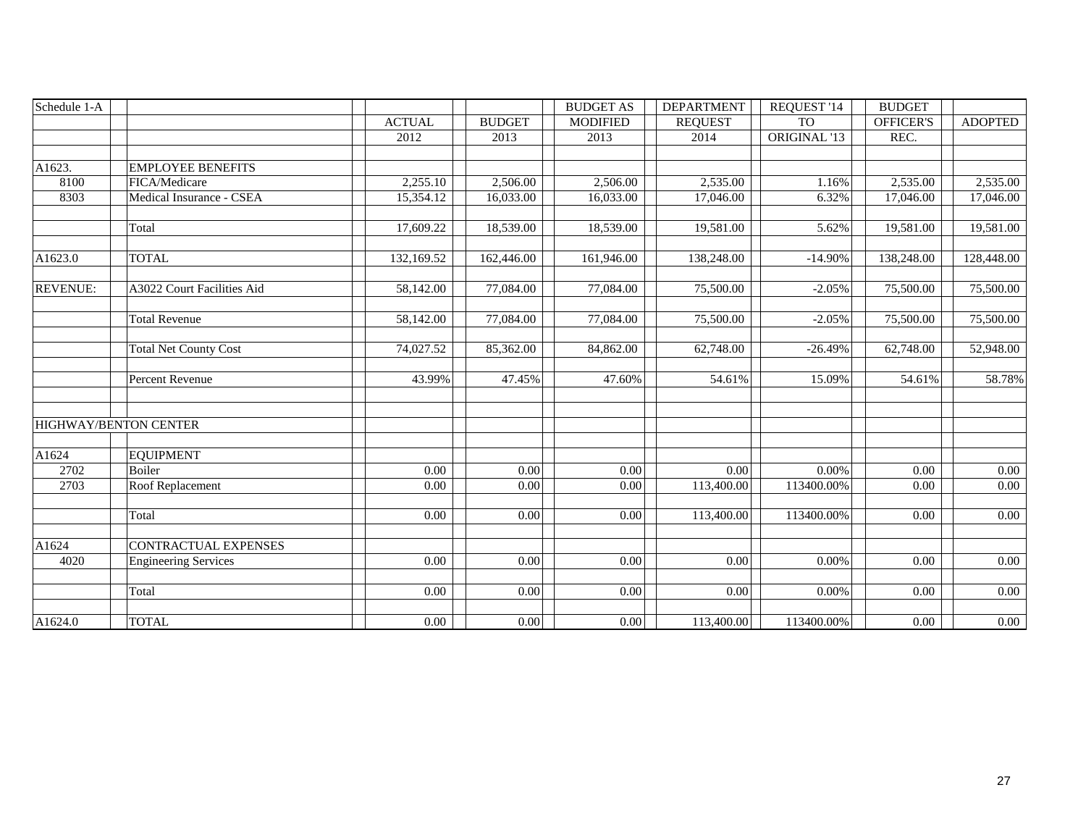| Schedule 1-A    |                              |               |               | <b>BUDGET AS</b> | <b>DEPARTMENT</b> | REQUEST '14  | <b>BUDGET</b> |                |
|-----------------|------------------------------|---------------|---------------|------------------|-------------------|--------------|---------------|----------------|
|                 |                              | <b>ACTUAL</b> | <b>BUDGET</b> | <b>MODIFIED</b>  | <b>REQUEST</b>    | <b>TO</b>    | OFFICER'S     | <b>ADOPTED</b> |
|                 |                              | 2012          | 2013          | 2013             | 2014              | ORIGINAL '13 | REC.          |                |
|                 |                              |               |               |                  |                   |              |               |                |
| A1623.          | <b>EMPLOYEE BENEFITS</b>     |               |               |                  |                   |              |               |                |
| 8100            | FICA/Medicare                | 2,255.10      | 2,506.00      | 2,506.00         | 2,535.00          | 1.16%        | 2,535.00      | 2,535.00       |
| 8303            | Medical Insurance - CSEA     | 15,354.12     | 16,033.00     | 16,033.00        | 17,046.00         | 6.32%        | 17,046.00     | 17,046.00      |
|                 | Total                        | 17,609.22     | 18,539.00     | 18,539.00        | 19,581.00         | 5.62%        | 19,581.00     | 19,581.00      |
| A1623.0         | <b>TOTAL</b>                 | 132,169.52    | 162,446.00    | 161,946.00       | 138,248.00        | $-14.90%$    | 138,248.00    | 128,448.00     |
| <b>REVENUE:</b> | A3022 Court Facilities Aid   | 58,142.00     | 77,084.00     | 77,084.00        | 75,500.00         | $-2.05%$     | 75,500.00     | 75,500.00      |
|                 | <b>Total Revenue</b>         | 58,142.00     | 77,084.00     | 77,084.00        | 75,500.00         | $-2.05%$     | 75,500.00     | 75,500.00      |
|                 | <b>Total Net County Cost</b> | 74,027.52     | 85,362.00     | 84,862.00        | 62,748.00         | $-26.49%$    | 62,748.00     | 52,948.00      |
|                 | Percent Revenue              | 43.99%        | 47.45%        | 47.60%           | 54.61%            | 15.09%       | 54.61%        | 58.78%         |
|                 | <b>HIGHWAY/BENTON CENTER</b> |               |               |                  |                   |              |               |                |
| A1624           | <b>EQUIPMENT</b>             |               |               |                  |                   |              |               |                |
| 2702            | Boiler                       | 0.00          | 0.00          | 0.00             | 0.00              | 0.00%        | 0.00          | $0.00\,$       |
| 2703            | Roof Replacement             | 0.00          | 0.00          | 0.00             | 113,400.00        | 113400.00%   | 0.00          | $0.00\,$       |
|                 | Total                        | 0.00          | 0.00          | 0.00             | 113,400.00        | 113400.00%   | 0.00          | $0.00\,$       |
| A1624           | CONTRACTUAL EXPENSES         |               |               |                  |                   |              |               |                |
| 4020            | <b>Engineering Services</b>  | 0.00          | 0.00          | 0.00             | 0.00              | 0.00%        | 0.00          | $0.00\,$       |
|                 | Total                        | 0.00          | 0.00          | 0.00             | 0.00              | 0.00%        | 0.00          | 0.00           |
| A1624.0         | <b>TOTAL</b>                 | 0.00          | 0.00          | 0.00             | 113,400.00        | 113400.00%   | $0.00\,$      | $0.00\,$       |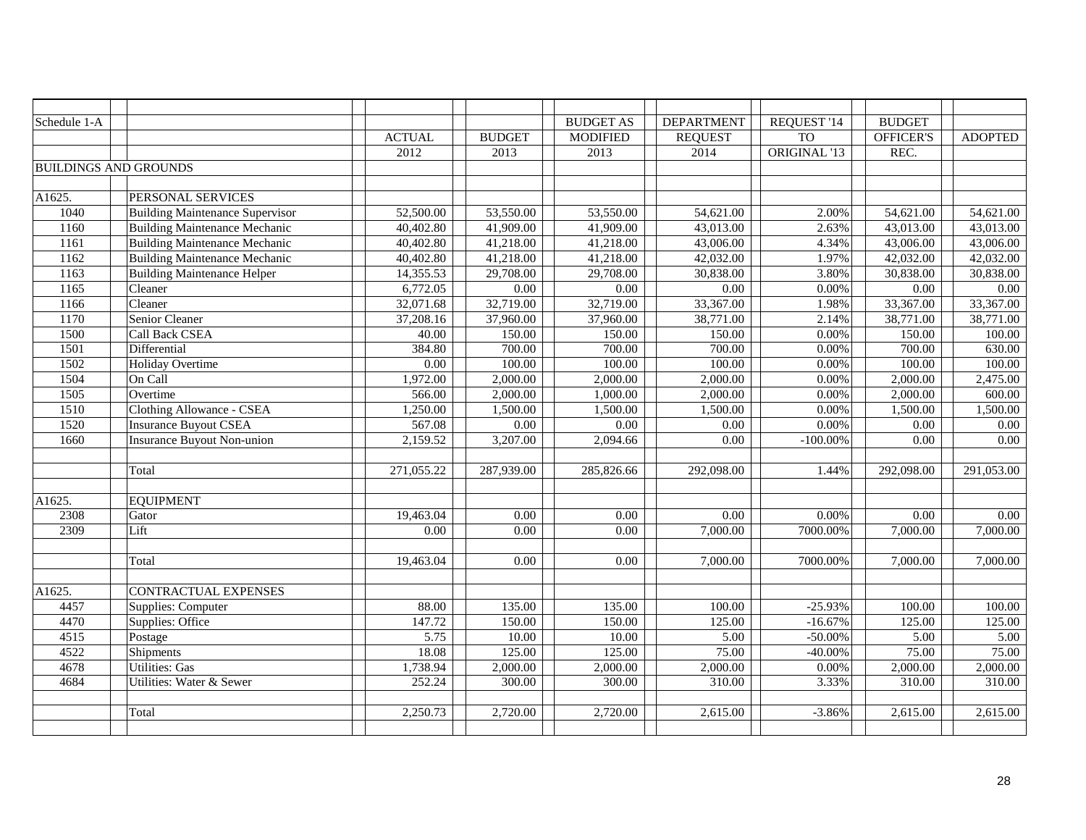| Schedule 1-A |                                        |               |               | <b>BUDGET AS</b>       | <b>DEPARTMENT</b> | REQUEST '14  | <b>BUDGET</b> |                |
|--------------|----------------------------------------|---------------|---------------|------------------------|-------------------|--------------|---------------|----------------|
|              |                                        | <b>ACTUAL</b> | <b>BUDGET</b> | <b>MODIFIED</b>        | <b>REQUEST</b>    | <b>TO</b>    | OFFICER'S     | <b>ADOPTED</b> |
|              |                                        | 2012          | 2013          | 2013                   | 2014              | ORIGINAL '13 | REC.          |                |
|              | <b>BUILDINGS AND GROUNDS</b>           |               |               |                        |                   |              |               |                |
|              |                                        |               |               |                        |                   |              |               |                |
| A1625.       | PERSONAL SERVICES                      |               |               |                        |                   |              |               |                |
| 1040         | <b>Building Maintenance Supervisor</b> | 52,500.00     | 53,550.00     | 53,550.00              | 54,621.00         | 2.00%        | 54,621.00     | 54,621.00      |
| 1160         | <b>Building Maintenance Mechanic</b>   | 40,402.80     | 41,909.00     | 41,909.00              | 43,013.00         | 2.63%        | 43,013.00     | 43,013.00      |
| 1161         | <b>Building Maintenance Mechanic</b>   | 40,402.80     | 41,218.00     | 41,218.00              | 43,006.00         | 4.34%        | 43,006.00     | 43,006.00      |
| 1162         | <b>Building Maintenance Mechanic</b>   | 40,402.80     | 41,218.00     | 41,218.00              | 42,032.00         | 1.97%        | 42,032.00     | 42,032.00      |
| 1163         | <b>Building Maintenance Helper</b>     | 14,355.53     | 29,708.00     | 29,708.00              | 30,838.00         | 3.80%        | 30,838.00     | 30,838.00      |
| 1165         | Cleaner                                | 6,772.05      | 0.00          | $0.00\,$               | 0.00              | 0.00%        | 0.00          | 0.00           |
| 1166         | Cleaner                                | 32,071.68     | 32,719.00     | $\overline{32,719.00}$ | 33,367.00         | 1.98%        | 33,367.00     | 33,367.00      |
| 1170         | Senior Cleaner                         | 37,208.16     | 37,960.00     | 37,960.00              | 38,771.00         | 2.14%        | 38,771.00     | 38,771.00      |
| 1500         | Call Back CSEA                         | 40.00         | 150.00        | 150.00                 | 150.00            | 0.00%        | 150.00        | 100.00         |
| 1501         | Differential                           | 384.80        | 700.00        | 700.00                 | 700.00            | 0.00%        | 700.00        | 630.00         |
| 1502         | <b>Holiday Overtime</b>                | 0.00          | 100.00        | 100.00                 | 100.00            | 0.00%        | 100.00        | 100.00         |
| 1504         | On Call                                | 1,972.00      | 2,000.00      | 2,000.00               | 2,000.00          | 0.00%        | 2,000.00      | 2,475.00       |
| 1505         | Overtime                               | 566.00        | 2,000.00      | 1,000.00               | 2,000.00          | 0.00%        | 2,000.00      | 600.00         |
| 1510         | Clothing Allowance - CSEA              | 1,250.00      | 1,500.00      | 1,500.00               | 1,500.00          | 0.00%        | 1,500.00      | 1,500.00       |
| 1520         | <b>Insurance Buyout CSEA</b>           | 567.08        | 0.00          | 0.00                   | 0.00              | 0.00%        | 0.00          | 0.00           |
| 1660         | <b>Insurance Buyout Non-union</b>      | 2.159.52      | 3,207.00      | 2,094.66               | 0.00              | $-100.00\%$  | 0.00          | 0.00           |
|              |                                        |               |               |                        |                   |              |               |                |
|              | Total                                  | 271,055.22    | 287,939.00    | 285,826.66             | 292,098.00        | 1.44%        | 292,098.00    | 291,053.00     |
|              |                                        |               |               |                        |                   |              |               |                |
| A1625.       | <b>EQUIPMENT</b>                       |               |               |                        |                   |              |               |                |
| 2308         | Gator                                  | 19,463.04     | 0.00          | 0.00                   | 0.00              | 0.00%        | 0.00          | 0.00           |
| 2309         | Lift                                   | 0.00          | 0.00          | 0.00                   | 7,000.00          | 7000.00%     | 7,000.00      | 7,000.00       |
|              |                                        |               |               |                        |                   |              |               |                |
|              | Total                                  | 19,463.04     | 0.00          | 0.00                   | 7,000.00          | 7000.00%     | 7,000.00      | 7,000.00       |
|              |                                        |               |               |                        |                   |              |               |                |
| A1625.       | CONTRACTUAL EXPENSES                   |               |               |                        |                   |              |               |                |
| 4457         | Supplies: Computer                     | 88.00         | 135.00        | 135.00                 | 100.00            | $-25.93%$    | 100.00        | 100.00         |
| 4470         | Supplies: Office                       | 147.72        | 150.00        | 150.00                 | 125.00            | $-16.67%$    | 125.00        | 125.00         |
| 4515         | Postage                                | 5.75          | 10.00         | 10.00                  | 5.00              | $-50.00\%$   | 5.00          | 5.00           |
| 4522         | Shipments                              | 18.08         | 125.00        | 125.00                 | 75.00             | $-40.00%$    | 75.00         | 75.00          |
| 4678         | Utilities: Gas                         | 1,738.94      | 2,000.00      | 2,000.00               | 2,000.00          | 0.00%        | 2,000.00      | 2,000.00       |
| 4684         | Utilities: Water & Sewer               | 252.24        | 300.00        | 300.00                 | 310.00            | 3.33%        | 310.00        | 310.00         |
|              |                                        |               |               |                        |                   |              |               |                |
|              | Total                                  | 2,250.73      | 2,720.00      | 2,720.00               | 2,615.00          | $-3.86%$     | 2,615.00      | 2,615.00       |
|              |                                        |               |               |                        |                   |              |               |                |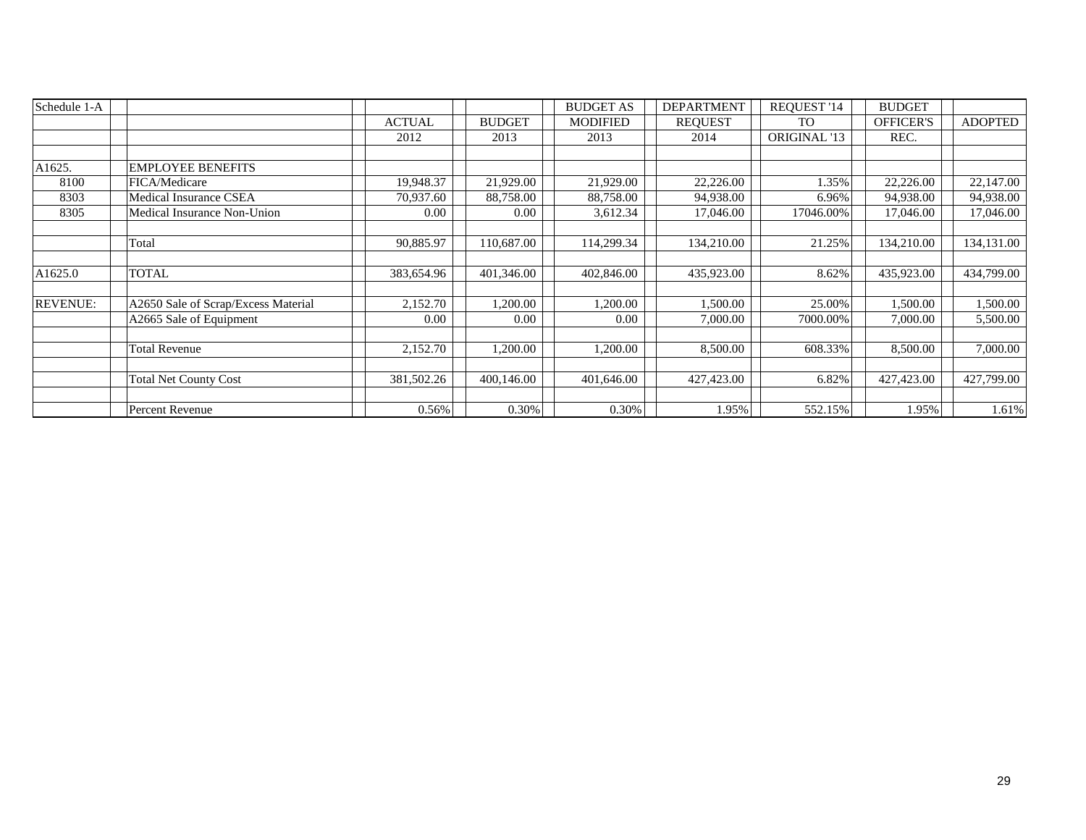| Schedule 1-A    |                                     |               |               | <b>BUDGET AS</b> | <b>DEPARTMENT</b> | REQUEST '14  | <b>BUDGET</b>    |                |
|-----------------|-------------------------------------|---------------|---------------|------------------|-------------------|--------------|------------------|----------------|
|                 |                                     | <b>ACTUAL</b> | <b>BUDGET</b> | <b>MODIFIED</b>  | <b>REQUEST</b>    | <b>TO</b>    | <b>OFFICER'S</b> | <b>ADOPTED</b> |
|                 |                                     | 2012          | 2013          | 2013             | 2014              | ORIGINAL '13 | REC.             |                |
|                 |                                     |               |               |                  |                   |              |                  |                |
| A1625.          | <b>EMPLOYEE BENEFITS</b>            |               |               |                  |                   |              |                  |                |
| 8100            | FICA/Medicare                       | 19,948.37     | 21,929.00     | 21,929.00        | 22,226.00         | 1.35%        | 22,226.00        | 22,147.00      |
| 8303            | Medical Insurance CSEA              | 70,937.60     | 88,758.00     | 88,758.00        | 94,938.00         | 6.96%        | 94,938.00        | 94,938.00      |
| 8305            | Medical Insurance Non-Union         | 0.00          | 0.00          | 3,612.34         | 17,046.00         | 17046.00%    | 17,046.00        | 17,046.00      |
|                 |                                     |               |               |                  |                   |              |                  |                |
|                 | Total                               | 90,885.97     | 110,687.00    | 114,299.34       | 134,210.00        | 21.25%       | 134,210.00       | 134,131.00     |
|                 |                                     |               |               |                  |                   |              |                  |                |
| A1625.0         | <b>TOTAL</b>                        | 383,654.96    | 401,346.00    | 402,846.00       | 435,923.00        | 8.62%        | 435,923.00       | 434,799.00     |
|                 |                                     |               |               |                  |                   |              |                  |                |
| <b>REVENUE:</b> | A2650 Sale of Scrap/Excess Material | 2,152.70      | 1,200.00      | 1,200.00         | ,500.00           | 25.00%       | 1,500.00         | 1,500.00       |
|                 | A2665 Sale of Equipment             | 0.00          | 0.00          | 0.00             | 7,000.00          | 7000.00%     | 7,000.00         | 5,500.00       |
|                 |                                     |               |               |                  |                   |              |                  |                |
|                 | <b>Total Revenue</b>                | 2,152.70      | 1,200.00      | 1,200.00         | 8,500.00          | 608.33%      | 8,500.00         | 7,000.00       |
|                 |                                     |               |               |                  |                   |              |                  |                |
|                 | <b>Total Net County Cost</b>        | 381,502.26    | 400,146.00    | 401,646.00       | 427,423.00        | 6.82%        | 427,423.00       | 427,799.00     |
|                 |                                     |               |               |                  |                   |              |                  |                |
|                 | Percent Revenue                     | 0.56%         | 0.30%         | 0.30%            | 1.95%             | 552.15%      | 1.95%            | 1.61%          |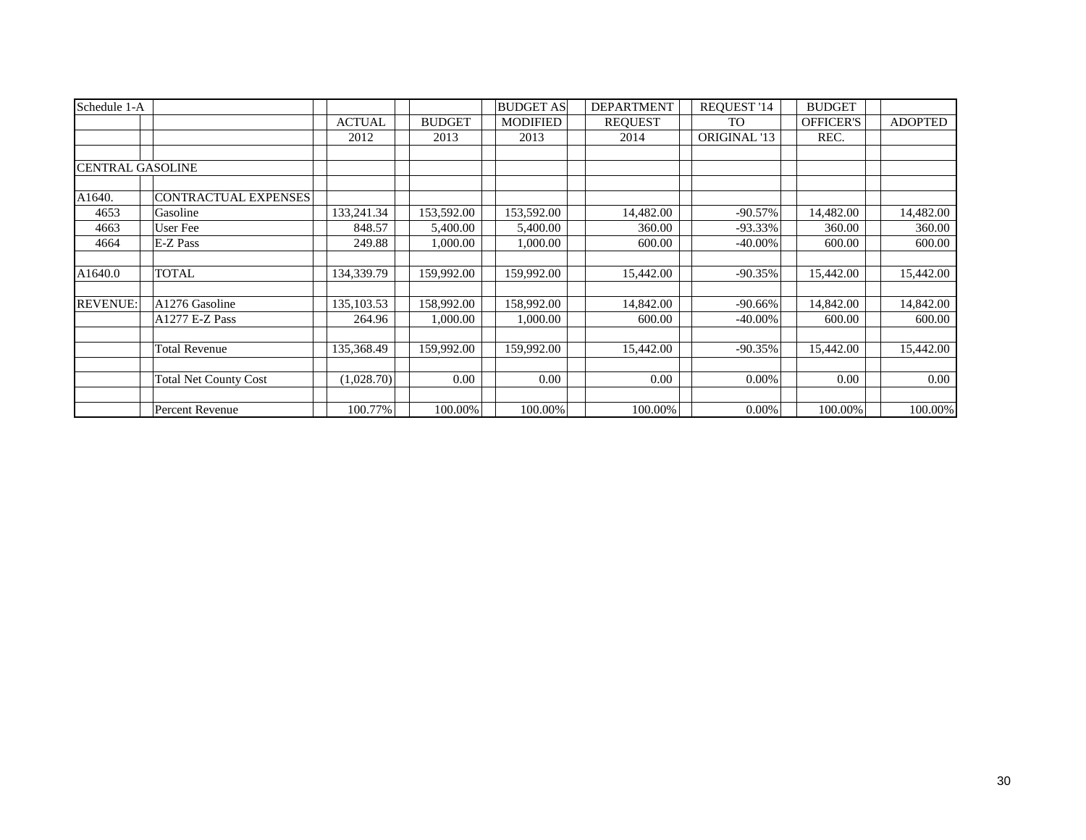| Schedule 1-A            |                              |               |               | <b>BUDGET AS</b> | <b>DEPARTMENT</b> | REQUEST '14         | <b>BUDGET</b>    |                |
|-------------------------|------------------------------|---------------|---------------|------------------|-------------------|---------------------|------------------|----------------|
|                         |                              | <b>ACTUAL</b> | <b>BUDGET</b> | <b>MODIFIED</b>  | <b>REOUEST</b>    | TO                  | <b>OFFICER'S</b> | <b>ADOPTED</b> |
|                         |                              | 2012          | 2013          | 2013             | 2014              | <b>ORIGINAL '13</b> | REC.             |                |
|                         |                              |               |               |                  |                   |                     |                  |                |
| <b>CENTRAL GASOLINE</b> |                              |               |               |                  |                   |                     |                  |                |
| A1640.                  | <b>CONTRACTUAL EXPENSES</b>  |               |               |                  |                   |                     |                  |                |
| 4653                    | Gasoline                     | 133,241.34    | 153,592.00    | 153,592.00       | 14.482.00         | $-90.57%$           | 14,482.00        | 14,482.00      |
| 4663                    | User Fee                     | 848.57        | 5,400.00      | 5,400.00         | 360.00            | $-93.33\%$          | 360.00           | 360.00         |
| 4664                    | E-Z Pass                     | 249.88        | 1,000.00      | 1,000.00         | 600.00            | $-40.00\%$          | 600.00           | 600.00         |
| A1640.0                 | <b>TOTAL</b>                 | 134,339.79    | 159,992.00    | 159,992.00       | 15,442.00         | $-90.35%$           | 15,442.00        | 15,442.00      |
| <b>REVENUE:</b>         | A1276 Gasoline               | 135,103.53    | 158,992.00    | 158,992.00       | 14,842.00         | $-90.66%$           | 14,842.00        | 14,842.00      |
|                         | A1277 E-Z Pass               | 264.96        | 1,000.00      | 1,000.00         | 600.00            | $-40.00\%$          | 600.00           | 600.00         |
|                         | <b>Total Revenue</b>         | 135,368.49    | 159,992.00    | 159.992.00       | 15,442.00         | $-90.35%$           | 15,442.00        | 15,442.00      |
|                         | <b>Total Net County Cost</b> | (1,028.70)    | 0.00          | 0.00             | 0.00              | $0.00\%$            | 0.00             | 0.00           |
|                         | Percent Revenue              | 100.77%       | 100.00%       | 100.00%          | 100.00%           | 0.00%               | 100.00%          | 100.00%        |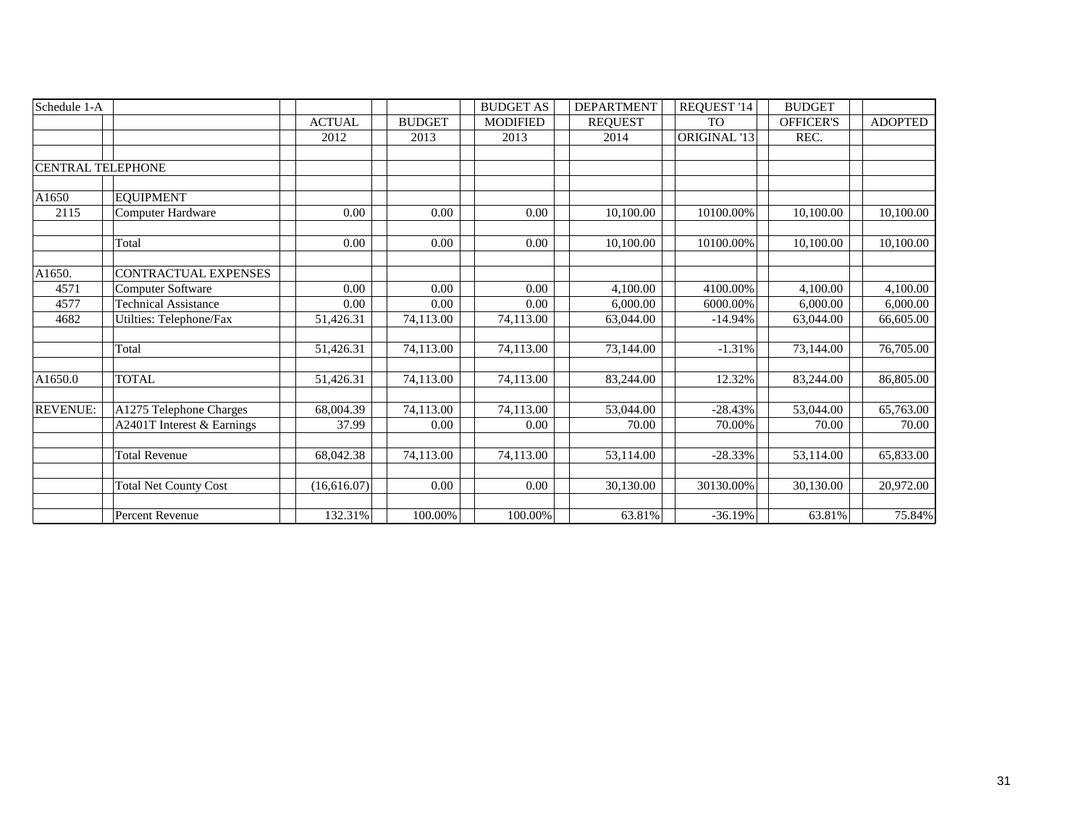| Schedule 1-A             |                              |               |               | <b>BUDGET AS</b> | <b>DEPARTMENT</b> | REQUEST '14  | <b>BUDGET</b>    |                |
|--------------------------|------------------------------|---------------|---------------|------------------|-------------------|--------------|------------------|----------------|
|                          |                              | <b>ACTUAL</b> | <b>BUDGET</b> | <b>MODIFIED</b>  | <b>REQUEST</b>    | <b>TO</b>    | <b>OFFICER'S</b> | <b>ADOPTED</b> |
|                          |                              | 2012          | 2013          | 2013             | 2014              | ORIGINAL '13 | REC.             |                |
|                          |                              |               |               |                  |                   |              |                  |                |
| <b>CENTRAL TELEPHONE</b> |                              |               |               |                  |                   |              |                  |                |
|                          |                              |               |               |                  |                   |              |                  |                |
| A1650                    | <b>EQUIPMENT</b>             |               |               |                  |                   |              |                  |                |
| 2115                     | Computer Hardware            | 0.00          | 0.00          | 0.00             | 10,100.00         | 10100.00%    | 10,100.00        | 10,100.00      |
|                          | Total                        | 0.00          | 0.00          | 0.00             | 10.100.00         | 10100.00%    | 10.100.00        | 10,100.00      |
| A1650.                   | CONTRACTUAL EXPENSES         |               |               |                  |                   |              |                  |                |
| 4571                     | Computer Software            | 0.00          | 0.00          | 0.00             | 4,100.00          | 4100.00%     | 4,100.00         | 4,100.00       |
| 4577                     | <b>Technical Assistance</b>  | 0.00          | 0.00          | 0.00             | 6,000.00          | 6000.00%     | 6,000.00         | 6,000.00       |
| 4682                     | Utilties: Telephone/Fax      | 51,426.31     | 74,113.00     | 74,113.00        | 63,044.00         | $-14.94%$    | 63,044.00        | 66,605.00      |
|                          | Total                        | 51,426.31     | 74,113.00     | 74,113.00        | 73,144.00         | $-1.31%$     | 73,144.00        | 76,705.00      |
| A1650.0                  | <b>TOTAL</b>                 | 51,426.31     | 74,113.00     | 74,113.00        | 83,244.00         | 12.32%       | 83,244.00        | 86,805.00      |
| <b>REVENUE:</b>          | A1275 Telephone Charges      | 68,004.39     | 74,113.00     | 74,113.00        | 53,044.00         | $-28.43%$    | 53,044.00        | 65,763.00      |
|                          | A2401T Interest & Earnings   | 37.99         | 0.00          | 0.00             | 70.00             | 70.00%       | 70.00            | 70.00          |
|                          | <b>Total Revenue</b>         | 68,042.38     | 74,113.00     | 74,113.00        | 53,114.00         | $-28.33%$    | 53,114.00        | 65,833.00      |
|                          | <b>Total Net County Cost</b> | (16,616.07)   | 0.00          | 0.00             | 30,130.00         | 30130.00%    | 30,130.00        | 20,972.00      |
|                          | <b>Percent Revenue</b>       | 132.31%       | 100.00%       | 100.00%          | 63.81%            | $-36.19%$    | 63.81%           | 75.84%         |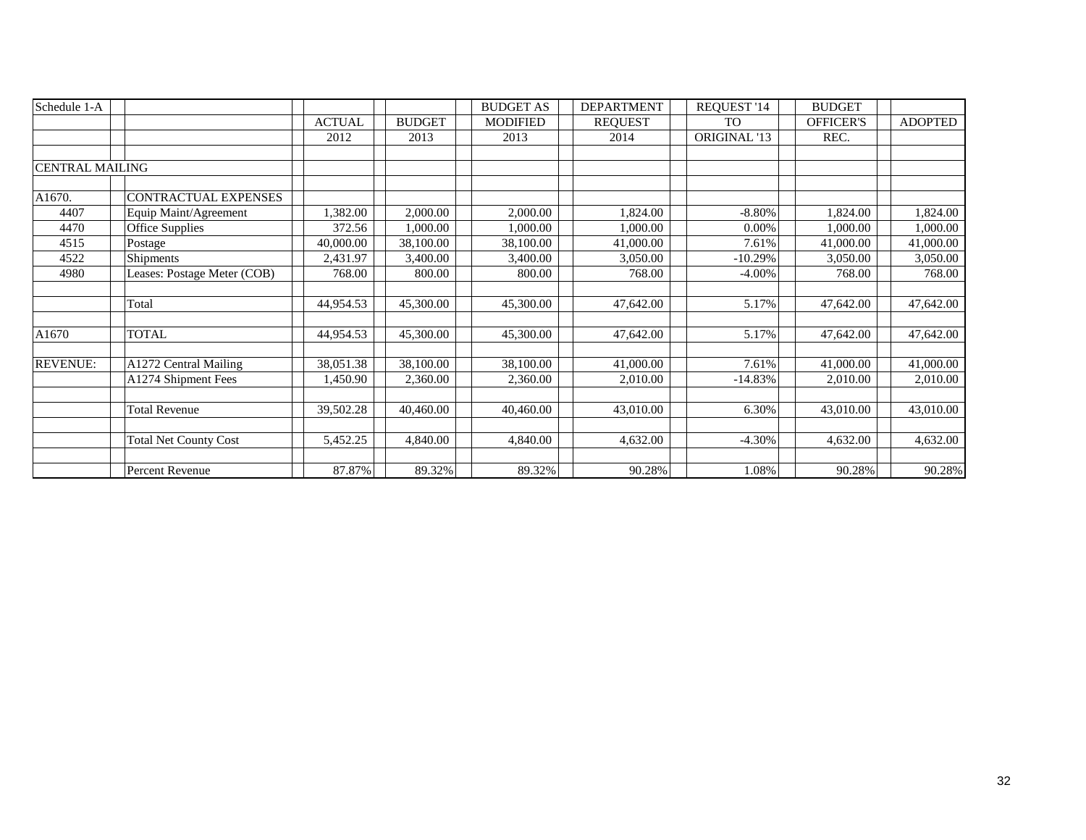| Schedule 1-A           |                              |               |               | <b>BUDGET AS</b> | <b>DEPARTMENT</b> | REQUEST '14    | <b>BUDGET</b>    |                |
|------------------------|------------------------------|---------------|---------------|------------------|-------------------|----------------|------------------|----------------|
|                        |                              | <b>ACTUAL</b> | <b>BUDGET</b> | <b>MODIFIED</b>  | <b>REQUEST</b>    | T <sub>O</sub> | <b>OFFICER'S</b> | <b>ADOPTED</b> |
|                        |                              | 2012          | 2013          | 2013             | 2014              | ORIGINAL '13   | REC.             |                |
|                        |                              |               |               |                  |                   |                |                  |                |
| <b>CENTRAL MAILING</b> |                              |               |               |                  |                   |                |                  |                |
|                        |                              |               |               |                  |                   |                |                  |                |
| A1670.                 | CONTRACTUAL EXPENSES         |               |               |                  |                   |                |                  |                |
| 4407                   | Equip Maint/Agreement        | ,382.00       | 2,000.00      | 2,000.00         | 1,824.00          | $-8.80%$       | 1,824.00         | 1,824.00       |
| 4470                   | <b>Office Supplies</b>       | 372.56        | 1,000.00      | 1,000.00         | 1,000.00          | 0.00%          | 1,000.00         | 1,000.00       |
| 4515                   | Postage                      | 40,000.00     | 38,100.00     | 38,100.00        | 41,000.00         | 7.61%          | 41,000.00        | 41,000.00      |
| 4522                   | Shipments                    | 2,431.97      | 3,400.00      | 3,400.00         | 3,050.00          | $-10.29%$      | 3,050.00         | 3,050.00       |
| 4980                   | Leases: Postage Meter (COB)  | 768.00        | 800.00        | 800.00           | 768.00            | $-4.00%$       | 768.00           | 768.00         |
|                        |                              |               |               |                  |                   |                |                  |                |
|                        | Total                        | 44,954.53     | 45,300.00     | 45,300.00        | 47,642.00         | 5.17%          | 47,642.00        | 47,642.00      |
|                        |                              |               |               |                  |                   |                |                  |                |
| A1670                  | TOTAL                        | 44,954.53     | 45,300.00     | 45,300.00        | 47,642.00         | 5.17%          | 47,642.00        | 47,642.00      |
|                        |                              |               |               |                  |                   |                |                  |                |
| <b>REVENUE:</b>        | A1272 Central Mailing        | 38,051.38     | 38,100.00     | 38,100.00        | 41,000.00         | 7.61%          | 41,000.00        | 41,000.00      |
|                        | A1274 Shipment Fees          | 1,450.90      | 2,360.00      | 2,360.00         | 2,010.00          | $-14.83%$      | 2,010.00         | 2,010.00       |
|                        |                              |               |               |                  |                   |                |                  |                |
|                        | <b>Total Revenue</b>         | 39,502.28     | 40,460.00     | 40,460.00        | 43,010.00         | 6.30%          | 43,010.00        | 43,010.00      |
|                        |                              |               |               |                  |                   |                |                  |                |
|                        | <b>Total Net County Cost</b> | 5,452.25      | 4,840.00      | 4,840.00         | 4,632.00          | $-4.30%$       | 4,632.00         | 4,632.00       |
|                        |                              |               |               |                  |                   |                |                  |                |
|                        | Percent Revenue              | 87.87%        | 89.32%        | 89.32%           | 90.28%            | 1.08%          | 90.28%           | 90.28%         |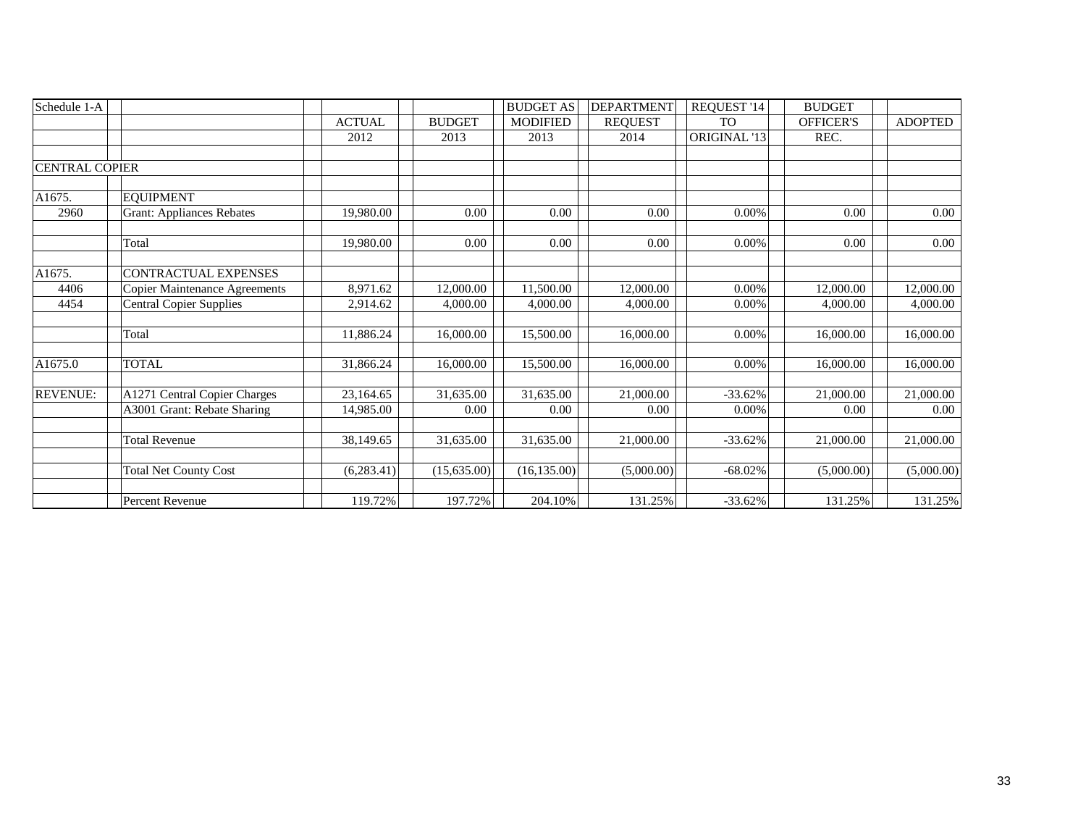| Schedule 1-A          |                                      |               |               | <b>BUDGET AS</b> | <b>DEPARTMENT</b> | REQUEST '14  | <b>BUDGET</b>    |                |
|-----------------------|--------------------------------------|---------------|---------------|------------------|-------------------|--------------|------------------|----------------|
|                       |                                      | <b>ACTUAL</b> | <b>BUDGET</b> | <b>MODIFIED</b>  | <b>REQUEST</b>    | <b>TO</b>    | <b>OFFICER'S</b> | <b>ADOPTED</b> |
|                       |                                      | 2012          | 2013          | 2013             | 2014              | ORIGINAL '13 | REC.             |                |
|                       |                                      |               |               |                  |                   |              |                  |                |
| <b>CENTRAL COPIER</b> |                                      |               |               |                  |                   |              |                  |                |
|                       |                                      |               |               |                  |                   |              |                  |                |
| A1675.                | <b>EQUIPMENT</b>                     |               |               |                  |                   |              |                  |                |
| 2960                  | <b>Grant: Appliances Rebates</b>     | 19,980.00     | 0.00          | 0.00             | 0.00              | $0.00\%$     | 0.00             | 0.00           |
|                       | Total                                | 19,980.00     | 0.00          | 0.00             | 0.00              | 0.00%        | 0.00             | 0.00           |
| A1675.                | <b>CONTRACTUAL EXPENSES</b>          |               |               |                  |                   |              |                  |                |
| 4406                  | <b>Copier Maintenance Agreements</b> | 8,971.62      | 12,000.00     | 11,500.00        | 12,000.00         | $0.00\%$     | 12,000.00        | 12,000.00      |
| 4454                  | <b>Central Copier Supplies</b>       | 2,914.62      | 4,000.00      | 4,000.00         | 4,000.00          | 0.00%        | 4,000.00         | 4,000.00       |
|                       | Total                                | 11,886.24     | 16,000.00     | 15,500.00        | 16,000.00         | $0.00\%$     | 16,000.00        | 16,000.00      |
| A1675.0               | TOTAL                                | 31,866.24     | 16,000.00     | 15,500.00        | 16,000.00         | 0.00%        | 16,000.00        | 16,000.00      |
| <b>REVENUE:</b>       | A1271 Central Copier Charges         | 23,164.65     | 31,635.00     | 31,635.00        | 21,000.00         | $-33.62%$    | 21,000.00        | 21,000.00      |
|                       | A3001 Grant: Rebate Sharing          | 14,985.00     | 0.00          | 0.00             | 0.00              | 0.00%        | 0.00             | 0.00           |
|                       | <b>Total Revenue</b>                 | 38,149.65     | 31,635.00     | 31,635.00        | 21,000.00         | $-33.62%$    | 21,000.00        | 21,000.00      |
|                       | <b>Total Net County Cost</b>         | (6,283.41)    | (15,635.00)   | (16, 135.00)     | (5,000.00)        | $-68.02%$    | (5,000.00)       | (5,000.00)     |
|                       | Percent Revenue                      | 119.72%       | 197.72%       | 204.10%          | 131.25%           | $-33.62%$    | 131.25%          | 131.25%        |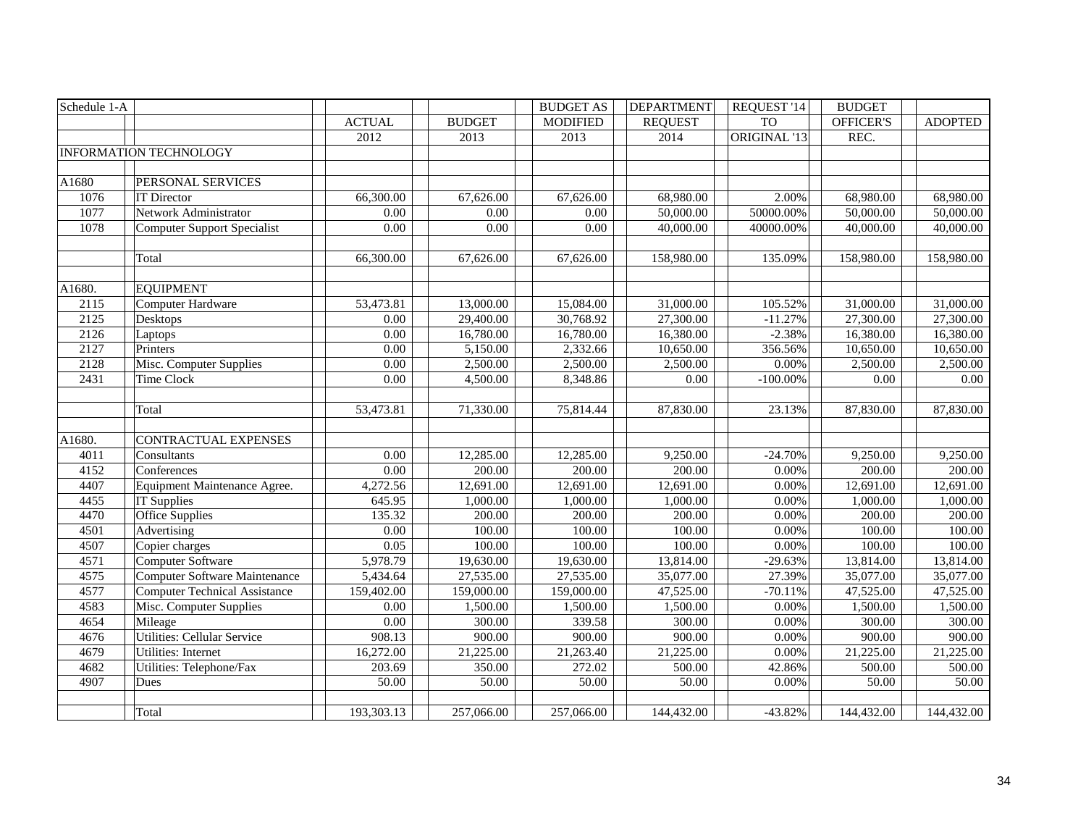| Schedule 1-A |                                      |               |               | <b>BUDGET AS</b> | <b>DEPARTMENT</b> | REQUEST '14             | <b>BUDGET</b> |                |
|--------------|--------------------------------------|---------------|---------------|------------------|-------------------|-------------------------|---------------|----------------|
|              |                                      | <b>ACTUAL</b> | <b>BUDGET</b> | <b>MODIFIED</b>  | <b>REQUEST</b>    | <b>TO</b>               | OFFICER'S     | <b>ADOPTED</b> |
|              |                                      | 2012          | 2013          | 2013             | 2014              | ORIGINAL <sup>'13</sup> | REC.          |                |
|              | <b>INFORMATION TECHNOLOGY</b>        |               |               |                  |                   |                         |               |                |
|              |                                      |               |               |                  |                   |                         |               |                |
| A1680        | <b>PERSONAL SERVICES</b>             |               |               |                  |                   |                         |               |                |
| 1076         | <b>IT Director</b>                   | 66,300.00     | 67,626.00     | 67,626.00        | 68,980.00         | 2.00%                   | 68,980.00     | 68,980.00      |
| 1077         | Network Administrator                | 0.00          | 0.00          | 0.00             | 50,000.00         | 50000.00%               | 50,000.00     | 50,000.00      |
| 1078         | <b>Computer Support Specialist</b>   | 0.00          | 0.00          | 0.00             | 40,000.00         | 40000.00%               | 40,000.00     | 40,000.00      |
|              |                                      |               |               |                  |                   |                         |               |                |
|              | Total                                | 66,300.00     | 67,626.00     | 67,626.00        | 158,980.00        | 135.09%                 | 158,980.00    | 158,980.00     |
|              |                                      |               |               |                  |                   |                         |               |                |
| A1680.       | <b>EQUIPMENT</b>                     |               |               |                  |                   |                         |               |                |
| 2115         | Computer Hardware                    | 53,473.81     | 13,000.00     | 15,084.00        | 31,000.00         | 105.52%                 | 31,000.00     | 31,000.00      |
| 2125         | Desktops                             | 0.00          | 29,400.00     | 30,768.92        | 27,300.00         | $-11.27%$               | 27,300.00     | 27,300.00      |
| 2126         | Laptops                              | 0.00          | 16,780.00     | 16,780.00        | 16,380.00         | $-2.38%$                | 16,380.00     | 16,380.00      |
| 2127         | Printers                             | 0.00          | 5,150.00      | 2,332.66         | 10,650.00         | 356.56%                 | 10,650.00     | 10,650.00      |
| 2128         | Misc. Computer Supplies              | 0.00          | 2,500.00      | 2,500.00         | 2,500.00          | 0.00%                   | 2,500.00      | 2,500.00       |
| 2431         | <b>Time Clock</b>                    | 0.00          | 4,500.00      | 8,348.86         | 0.00              | $-100.00\%$             | 0.00          | 0.00           |
|              |                                      |               |               |                  |                   |                         |               |                |
|              | Total                                | 53,473.81     | 71,330.00     | 75,814.44        | 87,830.00         | 23.13%                  | 87,830.00     | 87,830.00      |
|              |                                      |               |               |                  |                   |                         |               |                |
| A1680.       | CONTRACTUAL EXPENSES                 |               |               |                  |                   |                         |               |                |
| 4011         | Consultants                          | 0.00          | 12,285.00     | 12,285.00        | 9,250.00          | $-24.70%$               | 9,250.00      | 9,250.00       |
| 4152         | Conferences                          | 0.00          | 200.00        | 200.00           | 200.00            | 0.00%                   | 200.00        | 200.00         |
| 4407         | Equipment Maintenance Agree.         | 4,272.56      | 12,691.00     | 12,691.00        | 12,691.00         | 0.00%                   | 12,691.00     | 12,691.00      |
| 4455         | IT Supplies                          | 645.95        | 1,000.00      | 1,000.00         | 1,000.00          | 0.00%                   | 1,000.00      | 1,000.00       |
| 4470         | <b>Office Supplies</b>               | 135.32        | 200.00        | 200.00           | 200.00            | 0.00%                   | 200.00        | 200.00         |
| 4501         | Advertising                          | 0.00          | 100.00        | 100.00           | 100.00            | 0.00%                   | 100.00        | 100.00         |
| 4507         | Copier charges                       | 0.05          | 100.00        | 100.00           | 100.00            | 0.00%                   | 100.00        | 100.00         |
| 4571         | <b>Computer Software</b>             | 5,978.79      | 19,630.00     | 19,630.00        | 13,814.00         | $-29.63%$               | 13,814.00     | 13,814.00      |
| 4575         | <b>Computer Software Maintenance</b> | 5,434.64      | 27,535.00     | 27,535.00        | 35,077.00         | 27.39%                  | 35,077.00     | 35,077.00      |
| 4577         | <b>Computer Technical Assistance</b> | 159,402.00    | 159,000.00    | 159,000.00       | 47,525.00         | $-70.11%$               | 47,525.00     | 47,525.00      |
| 4583         | Misc. Computer Supplies              | 0.00          | 1,500.00      | 1,500.00         | 1,500.00          | 0.00%                   | 1,500.00      | 1,500.00       |
| 4654         | Mileage                              | 0.00          | 300.00        | 339.58           | 300.00            | 0.00%                   | 300.00        | 300.00         |
| 4676         | <b>Utilities: Cellular Service</b>   | 908.13        | 900.00        | 900.00           | 900.00            | 0.00%                   | 900.00        | 900.00         |
| 4679         | <b>Utilities: Internet</b>           | 16,272.00     | 21,225.00     | 21,263.40        | 21,225.00         | 0.00%                   | 21,225.00     | 21,225.00      |
| 4682         | Utilities: Telephone/Fax             | 203.69        | 350.00        | 272.02           | 500.00            | 42.86%                  | 500.00        | 500.00         |
| 4907         | Dues                                 | 50.00         | 50.00         | 50.00            | 50.00             | 0.00%                   | 50.00         | 50.00          |
|              |                                      |               |               |                  |                   |                         |               |                |
|              | Total                                | 193,303.13    | 257,066.00    | 257,066.00       | 144,432.00        | $-43.82%$               | 144,432.00    | 144,432.00     |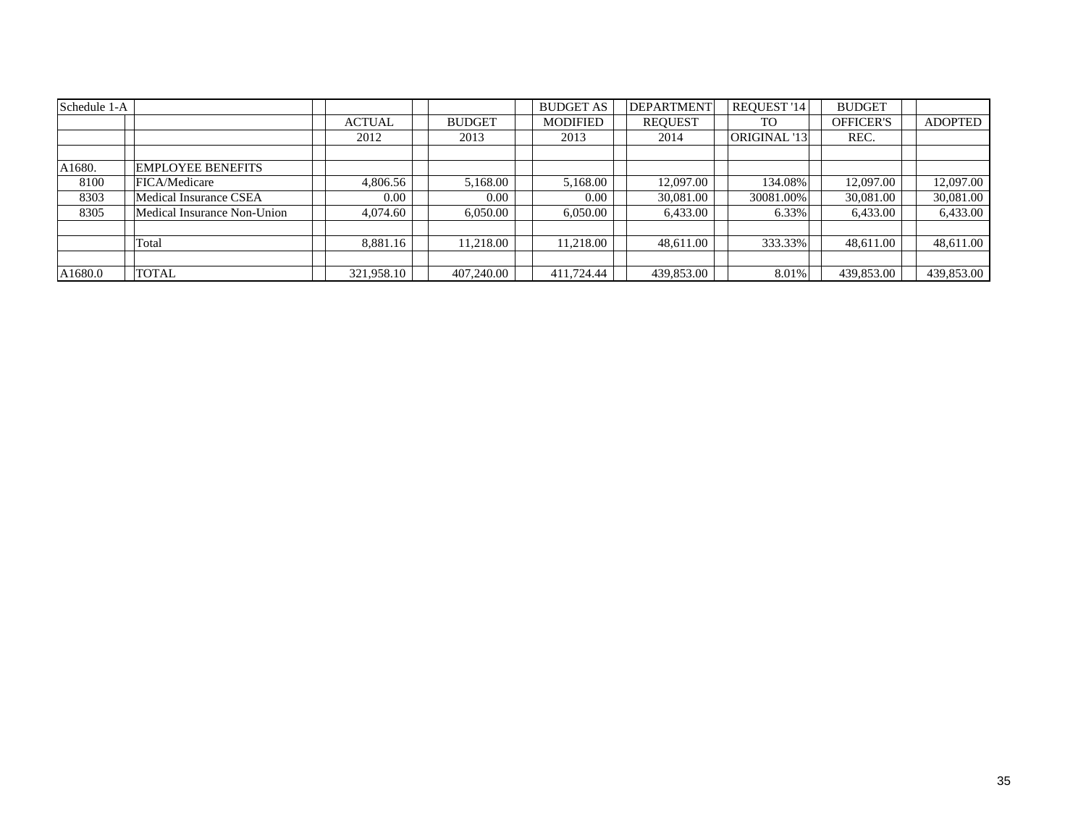| Schedule 1-A |                             |               |               | <b>BUDGET AS</b> | <b>DEPARTMENT</b> | REQUEST '14  | <b>BUDGET</b>    |                |
|--------------|-----------------------------|---------------|---------------|------------------|-------------------|--------------|------------------|----------------|
|              |                             | <b>ACTUAL</b> | <b>BUDGET</b> | MODIFIED         | <b>REOUEST</b>    | TO.          | <b>OFFICER'S</b> | <b>ADOPTED</b> |
|              |                             | 2012          | 2013          | 2013             | 2014              | ORIGINAL '13 | REC.             |                |
|              |                             |               |               |                  |                   |              |                  |                |
| A1680.       | <b>EMPLOYEE BENEFITS</b>    |               |               |                  |                   |              |                  |                |
| 8100         | FICA/Medicare               | 4,806.56      | 5,168.00      | 5,168.00         | 12,097.00         | 134.08%      | 12,097.00        | 12,097.00      |
| 8303         | Medical Insurance CSEA      | 0.00          | 0.00          | 0.00             | 30.081.00         | 30081.00%    | 30,081.00        | 30,081.00      |
| 8305         | Medical Insurance Non-Union | 4,074.60      | 6,050.00      | 6,050.00         | 6,433.00          | 6.33%        | 6,433.00         | 6,433.00       |
|              |                             |               |               |                  |                   |              |                  |                |
|              | Total                       | 8.881.16      | 11,218.00     | 11.218.00        | 48.611.00         | 333.33%      | 48,611.00        | 48.611.00      |
|              |                             |               |               |                  |                   |              |                  |                |
| A1680.0      | <b>TOTAL</b>                | 321,958.10    | 407,240.00    | 411,724.44       | 439,853.00        | 8.01%        | 439,853.00       | 439,853.00     |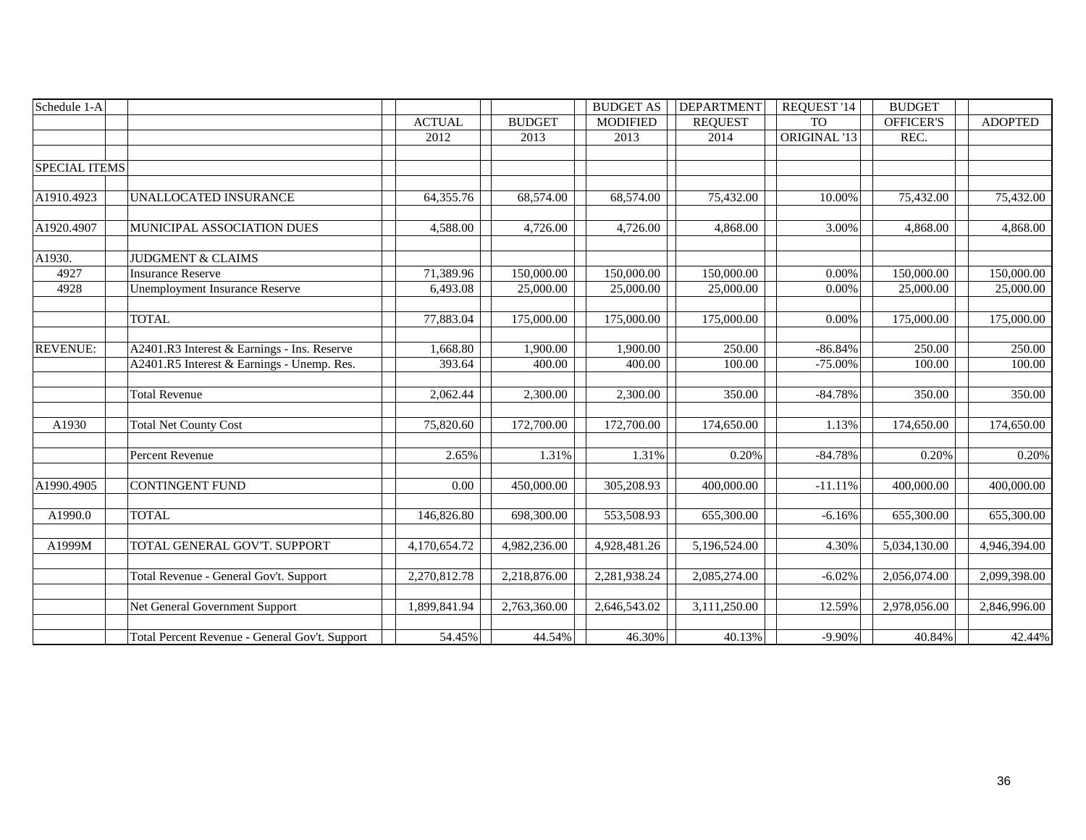| Schedule 1-A         |                                                |                    |                    | <b>BUDGET AS</b>   | <b>DEPARTMENT</b> | REQUEST '14             | <b>BUDGET</b>    |                |
|----------------------|------------------------------------------------|--------------------|--------------------|--------------------|-------------------|-------------------------|------------------|----------------|
|                      |                                                | <b>ACTUAL</b>      | <b>BUDGET</b>      | <b>MODIFIED</b>    | <b>REQUEST</b>    | <b>TO</b>               | OFFICER'S        | <b>ADOPTED</b> |
|                      |                                                | 2012               | 2013               | 2013               | 2014              | ORIGINAL '13            | REC.             |                |
|                      |                                                |                    |                    |                    |                   |                         |                  |                |
| <b>SPECIAL ITEMS</b> |                                                |                    |                    |                    |                   |                         |                  |                |
|                      |                                                |                    |                    |                    |                   |                         |                  |                |
| A1910.4923           | UNALLOCATED INSURANCE                          | 64,355.76          | 68,574.00          | 68,574.00          | 75,432.00         | 10.00%                  | 75,432.00        | 75,432.00      |
|                      |                                                |                    |                    |                    |                   |                         |                  |                |
| A1920.4907           | MUNICIPAL ASSOCIATION DUES                     | 4,588.00           | 4,726.00           | 4,726.00           | 4,868.00          | 3.00%                   | 4,868.00         | 4,868.00       |
|                      |                                                |                    |                    |                    |                   |                         |                  |                |
| A1930.               | <b>JUDGMENT &amp; CLAIMS</b>                   |                    |                    |                    |                   |                         |                  |                |
| 4927                 | <b>Insurance Reserve</b>                       | 71,389.96          | 150,000.00         | 150,000.00         | 150,000.00        | 0.00%                   | 150,000.00       | 150,000.00     |
| 4928                 | <b>Unemployment Insurance Reserve</b>          | 6,493.08           | 25,000.00          | 25,000.00          | 25,000.00         | 0.00%                   | 25,000.00        | 25,000.00      |
|                      |                                                |                    |                    |                    |                   |                         |                  |                |
|                      | <b>TOTAL</b>                                   | 77,883.04          | 175,000.00         | 175,000.00         | 175,000.00        | 0.00%                   | 175,000.00       | 175,000.00     |
|                      |                                                |                    |                    |                    |                   |                         |                  |                |
| <b>REVENUE:</b>      | A2401.R3 Interest & Earnings - Ins. Reserve    | 1,668.80<br>393.64 | 1,900.00<br>400.00 | 1,900.00<br>400.00 | 250.00<br>100.00  | $-86.84%$<br>$-75.00\%$ | 250.00<br>100.00 | 250.00         |
|                      | A2401.R5 Interest & Earnings - Unemp. Res.     |                    |                    |                    |                   |                         |                  | 100.00         |
|                      | <b>Total Revenue</b>                           | 2,062.44           | 2,300.00           | 2,300.00           | 350.00            | $-84.78%$               | 350.00           | 350.00         |
|                      |                                                |                    |                    |                    |                   |                         |                  |                |
| A1930                | <b>Total Net County Cost</b>                   | 75,820.60          | 172,700.00         | 172,700.00         | 174,650.00        | 1.13%                   | 174,650.00       | 174,650.00     |
|                      |                                                |                    |                    |                    |                   |                         |                  |                |
|                      | <b>Percent Revenue</b>                         | 2.65%              | 1.31%              | 1.31%              | 0.20%             | $-84.78%$               | 0.20%            | 0.20%          |
|                      |                                                |                    |                    |                    |                   |                         |                  |                |
| A1990.4905           | <b>CONTINGENT FUND</b>                         | $0.00\,$           | 450,000.00         | 305,208.93         | 400,000.00        | $-11.11%$               | 400,000.00       | 400,000.00     |
|                      |                                                |                    |                    |                    |                   |                         |                  |                |
| A1990.0              | <b>TOTAL</b>                                   | 146,826.80         | 698,300.00         | 553,508.93         | 655,300.00        | $-6.16%$                | 655,300.00       | 655,300.00     |
|                      |                                                |                    |                    |                    |                   |                         |                  |                |
| A1999M               | TOTAL GENERAL GOV'T. SUPPORT                   | 4,170,654.72       | 4,982,236.00       | 4,928,481.26       | 5,196,524.00      | 4.30%                   | 5,034,130.00     | 4,946,394.00   |
|                      |                                                |                    |                    |                    |                   |                         |                  |                |
|                      | Total Revenue - General Gov't. Support         | 2,270,812.78       | 2,218,876.00       | 2,281,938.24       | 2,085,274.00      | $-6.02%$                | 2,056,074.00     | 2,099,398.00   |
|                      |                                                |                    |                    |                    |                   |                         |                  |                |
|                      | Net General Government Support                 | 1,899,841.94       | 2,763,360.00       | 2,646,543.02       | 3,111,250.00      | 12.59%                  | 2,978,056.00     | 2,846,996.00   |
|                      |                                                |                    |                    |                    |                   |                         |                  |                |
|                      | Total Percent Revenue - General Gov't. Support | 54.45%             | 44.54%             | 46.30%             | 40.13%            | $-9.90\%$               | 40.84%           | 42.44%         |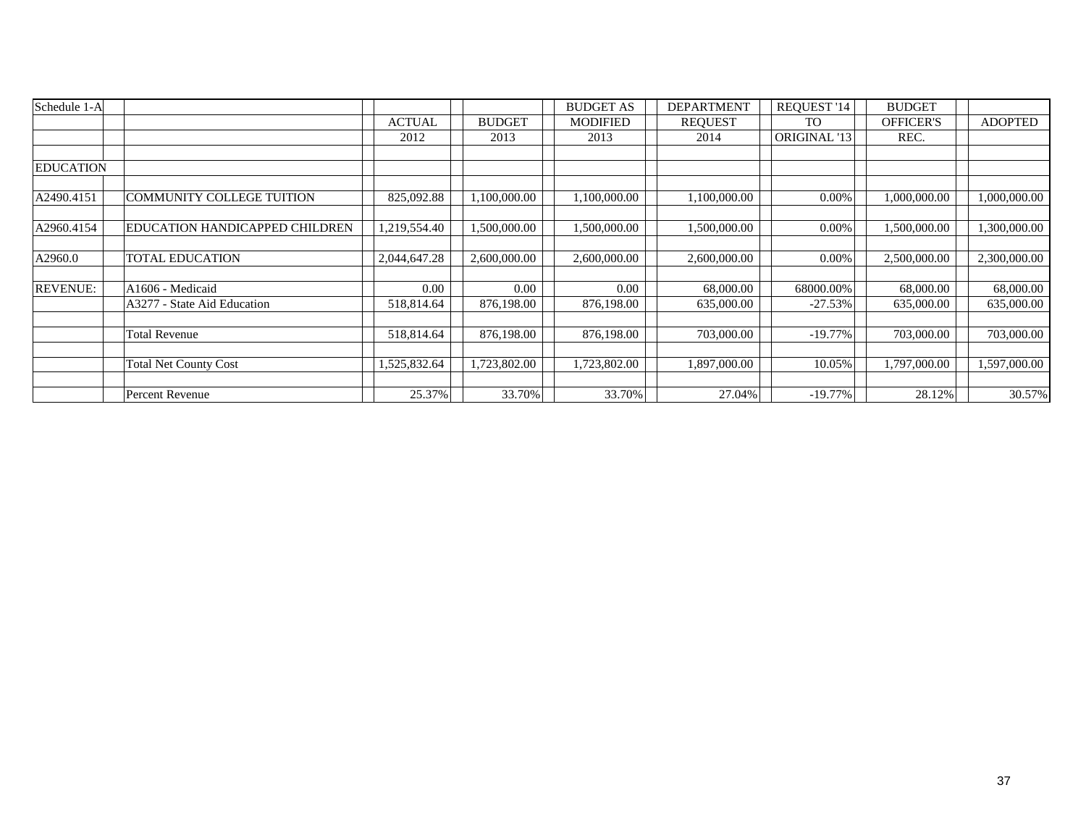| Schedule 1-A     |                                       |               |               | <b>BUDGET AS</b> | <b>DEPARTMENT</b> | REQUEST '14  | <b>BUDGET</b>    |                |
|------------------|---------------------------------------|---------------|---------------|------------------|-------------------|--------------|------------------|----------------|
|                  |                                       | <b>ACTUAL</b> | <b>BUDGET</b> | <b>MODIFIED</b>  | <b>REQUEST</b>    | TO           | <b>OFFICER'S</b> | <b>ADOPTED</b> |
|                  |                                       | 2012          | 2013          | 2013             | 2014              | ORIGINAL '13 | REC.             |                |
|                  |                                       |               |               |                  |                   |              |                  |                |
| <b>EDUCATION</b> |                                       |               |               |                  |                   |              |                  |                |
|                  |                                       |               |               |                  |                   |              |                  |                |
| A2490.4151       | <b>COMMUNITY COLLEGE TUITION</b>      | 825,092.88    | 1,100,000.00  | 1,100,000.00     | 1,100,000.00      | $0.00\%$     | 1,000,000.00     | 1,000,000.00   |
|                  |                                       |               |               |                  |                   |              |                  |                |
| A2960.4154       | <b>EDUCATION HANDICAPPED CHILDREN</b> | 1,219,554.40  | 1.500.000.00  | 1,500,000.00     | 1,500,000.00      | 0.00%        | 1,500,000.00     | .300,000.00    |
|                  |                                       |               |               |                  |                   |              |                  |                |
| A2960.0          | <b>TOTAL EDUCATION</b>                | 2,044,647.28  | 2,600,000.00  | 2,600,000.00     | 2,600,000.00      | 0.00%        | 2,500,000.00     | 2,300,000.00   |
|                  |                                       |               |               |                  |                   |              |                  |                |
| <b>REVENUE:</b>  | A1606 - Medicaid                      | 0.00          | 0.00          | 0.00             | 68,000.00         | 68000.00%    | 68,000.00        | 68,000.00      |
|                  | A3277 - State Aid Education           | 518,814.64    | 876,198.00    | 876,198.00       | 635,000.00        | $-27.53%$    | 635,000.00       | 635,000.00     |
|                  |                                       |               |               |                  |                   |              |                  |                |
|                  | <b>Total Revenue</b>                  | 518,814.64    | 876,198.00    | 876,198.00       | 703,000.00        | $-19.77\%$   | 703,000.00       | 703,000.00     |
|                  |                                       |               |               |                  |                   |              |                  |                |
|                  | <b>Total Net County Cost</b>          | .525,832.64   | 1,723,802.00  | 1,723,802.00     | 1,897,000.00      | 10.05%       | 1,797,000.00     | 1,597,000.00   |
|                  |                                       |               |               |                  |                   |              |                  |                |
|                  | Percent Revenue                       | 25.37%        | 33.70%        | 33.70%           | 27.04%            | $-19.77%$    | 28.12%           | 30.57%         |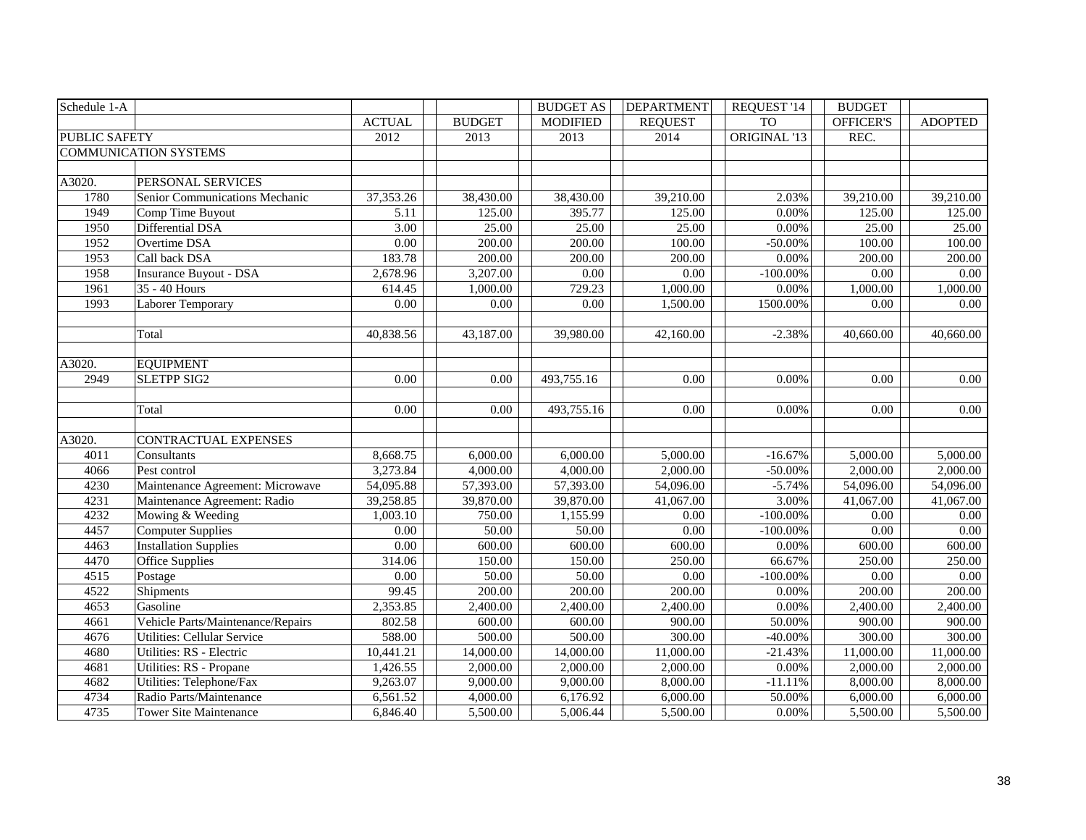| Schedule 1-A         |                                   |               |                       | <b>BUDGET AS</b> | <b>DEPARTMENT</b> | REQUEST '14  | <b>BUDGET</b>    |                |
|----------------------|-----------------------------------|---------------|-----------------------|------------------|-------------------|--------------|------------------|----------------|
|                      |                                   | <b>ACTUAL</b> | <b>BUDGET</b>         | <b>MODIFIED</b>  | <b>REQUEST</b>    | <b>TO</b>    | <b>OFFICER'S</b> | <b>ADOPTED</b> |
| <b>PUBLIC SAFETY</b> |                                   | 2012          | 2013                  | 2013             | 2014              | ORIGINAL '13 | REC.             |                |
|                      | <b>COMMUNICATION SYSTEMS</b>      |               |                       |                  |                   |              |                  |                |
|                      |                                   |               |                       |                  |                   |              |                  |                |
| A3020.               | PERSONAL SERVICES                 |               |                       |                  |                   |              |                  |                |
| 1780                 | Senior Communications Mechanic    | 37, 353. 26   | 38,430.00             | 38,430.00        | 39,210.00         | 2.03%        | 39,210.00        | 39,210.00      |
| 1949                 | Comp Time Buyout                  | 5.11          | 125.00                | 395.77           | 125.00            | 0.00%        | 125.00           | 125.00         |
| 1950                 | Differential DSA                  | 3.00          | 25.00                 | 25.00            | 25.00             | 0.00%        | 25.00            | 25.00          |
| 1952                 | Overtime DSA                      | 0.00          | 200.00                | 200.00           | 100.00            | $-50.00\%$   | 100.00           | 100.00         |
| 1953                 | Call back DSA                     | 183.78        | 200.00                | 200.00           | 200.00            | $0.00\%$     | 200.00           | 200.00         |
| 1958                 | <b>Insurance Buyout - DSA</b>     | 2,678.96      | 3,207.00              | 0.00             | 0.00              | $-100.00\%$  | 0.00             | 0.00           |
| 1961                 | 35 - 40 Hours                     | 614.45        | 1,000.00              | 729.23           | 1,000.00          | $0.00\%$     | 1,000.00         | 1,000.00       |
| 1993                 | <b>Laborer Temporary</b>          | 0.00          | 0.00                  | 0.00             | 1,500.00          | 1500.00%     | 0.00             | 0.00           |
|                      |                                   |               |                       |                  |                   |              |                  |                |
|                      | Total                             | 40,838.56     | 43,187.00             | 39,980.00        | 42,160.00         | $-2.38%$     | 40,660.00        | 40,660.00      |
|                      |                                   |               |                       |                  |                   |              |                  |                |
| A3020.               | <b>EQUIPMENT</b>                  |               |                       |                  |                   |              |                  |                |
| 2949                 | <b>SLETPP SIG2</b>                | 0.00          | 0.00                  | 493,755.16       | 0.00              | 0.00%        | 0.00             | 0.00           |
|                      |                                   |               |                       |                  |                   |              |                  |                |
|                      | Total                             | 0.00          | 0.00                  | 493,755.16       | 0.00              | 0.00%        | 0.00             | 0.00           |
|                      |                                   |               |                       |                  |                   |              |                  |                |
| A3020.               | <b>CONTRACTUAL EXPENSES</b>       |               |                       |                  |                   |              |                  |                |
| 4011                 | Consultants                       | 8,668.75      | $\overline{6,000.00}$ | 6,000.00         | 5,000.00          | $-16.67%$    | 5,000.00         | 5,000.00       |
| 4066                 | Pest control                      | 3,273.84      | 4,000.00              | 4,000.00         | 2,000.00          | $-50.00\%$   | 2,000.00         | 2,000.00       |
| 4230                 | Maintenance Agreement: Microwave  | 54,095.88     | 57,393.00             | 57,393.00        | 54,096.00         | $-5.74%$     | 54,096.00        | 54,096.00      |
| 4231                 | Maintenance Agreement: Radio      | 39,258.85     | 39,870.00             | 39,870.00        | 41,067.00         | 3.00%        | 41,067.00        | 41,067.00      |
| 4232                 | Mowing & Weeding                  | 1,003.10      | 750.00                | 1,155.99         | 0.00              | $-100.00\%$  | 0.00             | 0.00           |
| 4457                 | <b>Computer Supplies</b>          | 0.00          | 50.00                 | 50.00            | 0.00              | $-100.00\%$  | 0.00             | 0.00           |
| 4463                 | <b>Installation Supplies</b>      | 0.00          | 600.00                | 600.00           | 600.00            | 0.00%        | 600.00           | 600.00         |
| 4470                 | <b>Office Supplies</b>            | 314.06        | 150.00                | 150.00           | 250.00            | 66.67%       | 250.00           | 250.00         |
| 4515                 | Postage                           | 0.00          | 50.00                 | 50.00            | 0.00              | $-100.00\%$  | 0.00             | 0.00           |
| 4522                 | Shipments                         | 99.45         | 200.00                | 200.00           | 200.00            | 0.00%        | 200.00           | 200.00         |
| 4653                 | Gasoline                          | 2,353.85      | 2,400.00              | 2,400.00         | 2,400.00          | 0.00%        | 2,400.00         | 2,400.00       |
| 4661                 | Vehicle Parts/Maintenance/Repairs | 802.58        | 600.00                | 600.00           | 900.00            | 50.00%       | 900.00           | 900.00         |
| 4676                 | Utilities: Cellular Service       | 588.00        | 500.00                | 500.00           | 300.00            | $-40.00%$    | 300.00           | 300.00         |
| 4680                 | Utilities: RS - Electric          | 10,441.21     | 14,000.00             | 14,000.00        | 11,000.00         | $-21.43%$    | 11,000.00        | 11,000.00      |
| 4681                 | Utilities: RS - Propane           | 1,426.55      | 2,000.00              | 2,000.00         | 2,000.00          | $0.00\%$     | 2,000.00         | 2,000.00       |
| 4682                 | Utilities: Telephone/Fax          | 9,263.07      | 9,000.00              | 9,000.00         | 8,000.00          | $-11.11%$    | 8,000.00         | 8,000.00       |
| 4734                 | Radio Parts/Maintenance           | 6,561.52      | 4,000.00              | 6,176.92         | 6,000.00          | 50.00%       | 6,000.00         | 6,000.00       |
| 4735                 | <b>Tower Site Maintenance</b>     | 6,846.40      | 5,500.00              | 5,006.44         | 5,500.00          | 0.00%        | 5,500.00         | 5,500.00       |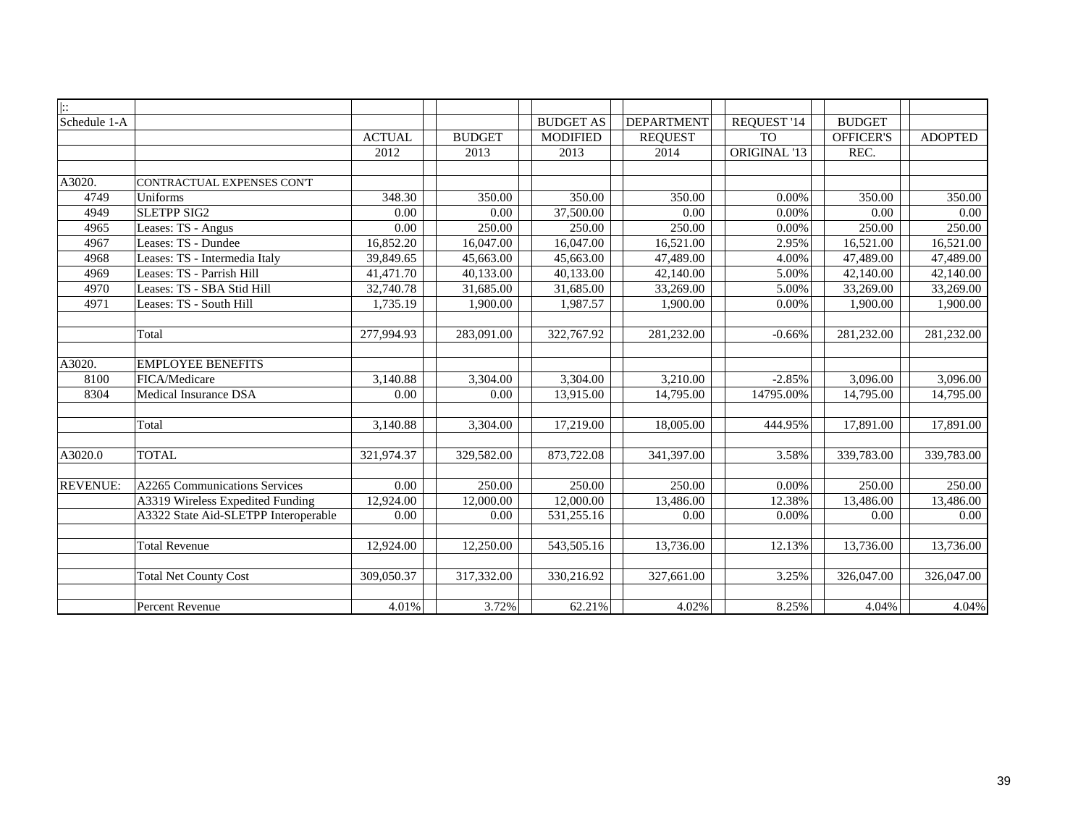| $\  \colon$     |                                      |               |               |                  |                   |              |               |                |
|-----------------|--------------------------------------|---------------|---------------|------------------|-------------------|--------------|---------------|----------------|
| Schedule 1-A    |                                      |               |               | <b>BUDGET AS</b> | <b>DEPARTMENT</b> | REQUEST '14  | <b>BUDGET</b> |                |
|                 |                                      | <b>ACTUAL</b> | <b>BUDGET</b> | <b>MODIFIED</b>  | <b>REQUEST</b>    | <b>TO</b>    | OFFICER'S     | <b>ADOPTED</b> |
|                 |                                      | 2012          | 2013          | 2013             | 2014              | ORIGINAL '13 | REC.          |                |
|                 |                                      |               |               |                  |                   |              |               |                |
| A3020.          | CONTRACTUAL EXPENSES CON'T           |               |               |                  |                   |              |               |                |
| 4749            | Uniforms                             | 348.30        | 350.00        | 350.00           | 350.00            | 0.00%        | 350.00        | 350.00         |
| 4949            | <b>SLETPP SIG2</b>                   | 0.00          | 0.00          | 37,500.00        | 0.00              | 0.00%        | 0.00          | 0.00           |
| 4965            | Leases: TS - Angus                   | 0.00          | 250.00        | 250.00           | 250.00            | 0.00%        | 250.00        | 250.00         |
| 4967            | Leases: TS - Dundee                  | 16,852.20     | 16,047.00     | 16,047.00        | 16,521.00         | 2.95%        | 16,521.00     | 16,521.00      |
| 4968            | Leases: TS - Intermedia Italy        | 39,849.65     | 45,663.00     | 45,663.00        | 47,489.00         | 4.00%        | 47,489.00     | 47,489.00      |
| 4969            | Leases: TS - Parrish Hill            | 41,471.70     | 40,133.00     | 40,133.00        | 42,140.00         | 5.00%        | 42,140.00     | 42,140.00      |
| 4970            | Leases: TS - SBA Stid Hill           | 32,740.78     | 31,685.00     | 31,685.00        | 33,269.00         | 5.00%        | 33,269.00     | 33,269.00      |
| 4971            | Leases: TS - South Hill              | 1,735.19      | 1,900.00      | 1,987.57         | 1,900.00          | 0.00%        | 1,900.00      | 1,900.00       |
|                 |                                      |               |               |                  |                   |              |               |                |
|                 | Total                                | 277,994.93    | 283,091.00    | 322,767.92       | 281,232.00        | $-0.66%$     | 281,232.00    | 281,232.00     |
| A3020.          | <b>EMPLOYEE BENEFITS</b>             |               |               |                  |                   |              |               |                |
| 8100            | FICA/Medicare                        | 3,140.88      | 3,304.00      | 3,304.00         | 3,210.00          | $-2.85%$     | 3,096.00      | 3,096.00       |
| 8304            | <b>Medical Insurance DSA</b>         | 0.00          | 0.00          | 13,915.00        | 14,795.00         | 14795.00%    | 14,795.00     | 14,795.00      |
|                 |                                      |               |               |                  |                   |              |               |                |
|                 | Total                                | 3,140.88      | 3,304.00      | 17,219.00        | 18,005.00         | 444.95%      | 17,891.00     | 17,891.00      |
|                 |                                      |               |               |                  |                   |              |               |                |
| A3020.0         | <b>TOTAL</b>                         | 321,974.37    | 329,582.00    | 873,722.08       | 341,397.00        | 3.58%        | 339,783.00    | 339,783.00     |
|                 |                                      |               |               |                  |                   |              |               |                |
| <b>REVENUE:</b> | A2265 Communications Services        | 0.00          | 250.00        | 250.00           | 250.00            | 0.00%        | 250.00        | 250.00         |
|                 | A3319 Wireless Expedited Funding     | 12,924.00     | 12,000.00     | 12,000.00        | 13,486.00         | 12.38%       | 13,486.00     | 13,486.00      |
|                 | A3322 State Aid-SLETPP Interoperable | 0.00          | 0.00          | 531,255.16       | 0.00              | 0.00%        | 0.00          | 0.00           |
|                 | <b>Total Revenue</b>                 | 12,924.00     | 12,250.00     | 543,505.16       | 13,736.00         | 12.13%       | 13,736.00     | 13,736.00      |
|                 |                                      |               |               |                  |                   |              |               |                |
|                 | <b>Total Net County Cost</b>         | 309,050.37    | 317,332.00    | 330,216.92       | 327,661.00        | 3.25%        | 326,047.00    | 326,047.00     |
|                 | Percent Revenue                      | 4.01%         | 3.72%         | 62.21%           | 4.02%             | 8.25%        | 4.04%         | 4.04%          |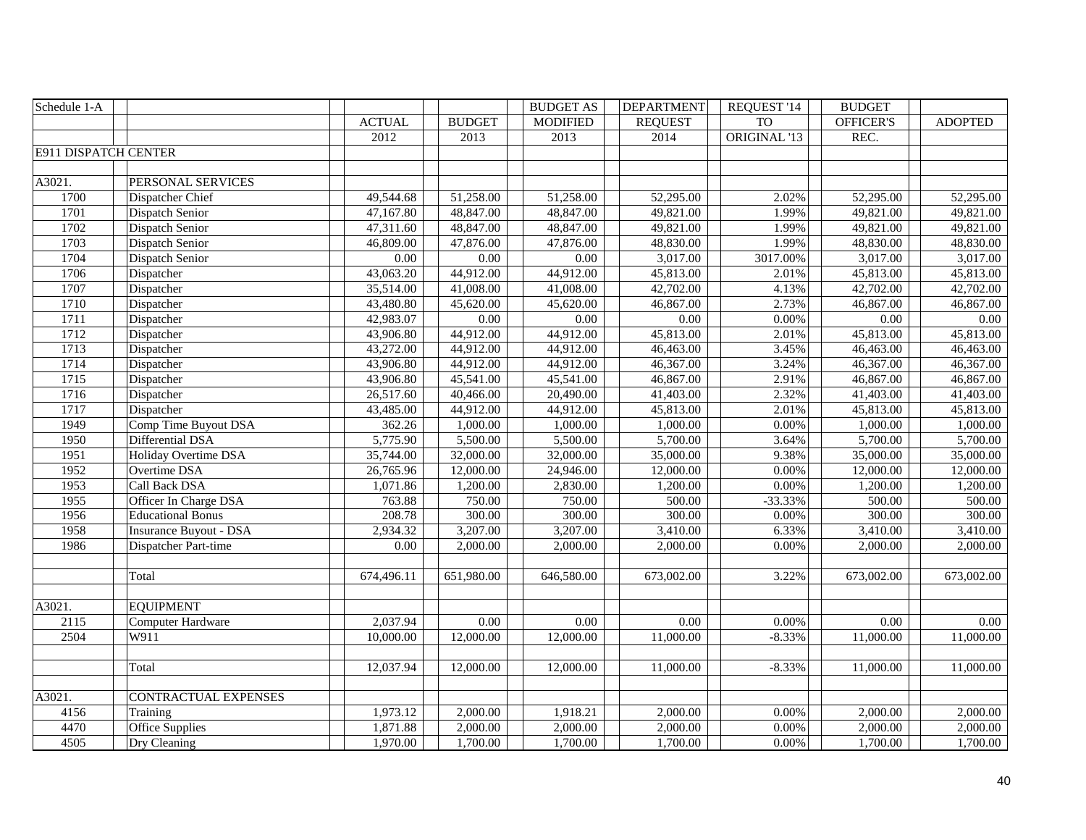| Schedule 1-A         |                             |               |               | <b>BUDGET AS</b>  | <b>DEPARTMENT</b> | REQUEST '14  | <b>BUDGET</b> |                |
|----------------------|-----------------------------|---------------|---------------|-------------------|-------------------|--------------|---------------|----------------|
|                      |                             | <b>ACTUAL</b> | <b>BUDGET</b> | <b>MODIFIED</b>   | <b>REQUEST</b>    | <b>TO</b>    | OFFICER'S     | <b>ADOPTED</b> |
|                      |                             | 2012          | 2013          | 2013              | 2014              | ORIGINAL '13 | REC.          |                |
| E911 DISPATCH CENTER |                             |               |               |                   |                   |              |               |                |
|                      |                             |               |               |                   |                   |              |               |                |
| A3021.               | PERSONAL SERVICES           |               |               |                   |                   |              |               |                |
| 1700                 | Dispatcher Chief            | 49,544.68     | 51,258.00     | 51,258.00         | 52,295.00         | 2.02%        | 52,295.00     | 52,295.00      |
| 1701                 | Dispatch Senior             | 47,167.80     | 48,847.00     | 48,847.00         | 49,821.00         | 1.99%        | 49,821.00     | 49,821.00      |
| 1702                 | Dispatch Senior             | 47,311.60     | 48,847.00     | 48,847.00         | 49,821.00         | 1.99%        | 49,821.00     | 49,821.00      |
| 1703                 | <b>Dispatch Senior</b>      | 46,809.00     | 47,876.00     | 47,876.00         | 48,830.00         | 1.99%        | 48,830.00     | 48,830.00      |
| 1704                 | <b>Dispatch Senior</b>      | $0.00\,$      | $0.00\,$      | $0.00\,$          | 3,017.00          | 3017.00%     | 3,017.00      | 3,017.00       |
| 1706                 | Dispatcher                  | 43,063.20     | 44,912.00     | 44,912.00         | 45,813.00         | 2.01%        | 45,813.00     | 45,813.00      |
| 1707                 | Dispatcher                  | 35,514.00     | 41,008.00     | 41,008.00         | 42,702.00         | 4.13%        | 42,702.00     | 42,702.00      |
| 1710                 | Dispatcher                  | 43,480.80     | 45,620.00     | 45,620.00         | 46,867.00         | 2.73%        | 46,867.00     | 46,867.00      |
| 1711                 | Dispatcher                  | 42,983.07     | $0.00\,$      | $\overline{0.00}$ | $\overline{0.00}$ | 0.00%        | 0.00          | $0.00\,$       |
| 1712                 | Dispatcher                  | 43,906.80     | 44,912.00     | 44,912.00         | 45,813.00         | 2.01%        | 45,813.00     | 45,813.00      |
| 1713                 | Dispatcher                  | 43,272.00     | 44,912.00     | 44,912.00         | 46,463.00         | 3.45%        | 46,463.00     | 46,463.00      |
| 1714                 | Dispatcher                  | 43,906.80     | 44,912.00     | 44,912.00         | 46,367.00         | 3.24%        | 46,367.00     | 46,367.00      |
| 1715                 | Dispatcher                  | 43,906.80     | 45,541.00     | 45,541.00         | 46,867.00         | 2.91%        | 46,867.00     | 46,867.00      |
| 1716                 | Dispatcher                  | 26,517.60     | 40,466.00     | 20,490.00         | 41,403.00         | 2.32%        | 41,403.00     | 41,403.00      |
| 1717                 | Dispatcher                  | 43,485.00     | 44,912.00     | 44,912.00         | 45,813.00         | 2.01%        | 45,813.00     | 45,813.00      |
| 1949                 | Comp Time Buyout DSA        | 362.26        | 1,000.00      | 1,000.00          | 1,000.00          | 0.00%        | 1,000.00      | 1,000.00       |
| 1950                 | Differential DSA            | 5,775.90      | 5,500.00      | 5,500.00          | 5,700.00          | 3.64%        | 5,700.00      | 5,700.00       |
| 1951                 | <b>Holiday Overtime DSA</b> | 35,744.00     | 32,000.00     | 32,000.00         | 35,000.00         | 9.38%        | 35,000.00     | 35,000.00      |
| 1952                 | Overtime DSA                | 26,765.96     | 12,000.00     | 24,946.00         | 12,000.00         | 0.00%        | 12,000.00     | 12,000.00      |
| 1953                 | Call Back DSA               | 1,071.86      | 1,200.00      | 2,830.00          | 1,200.00          | 0.00%        | 1,200.00      | 1,200.00       |
| 1955                 | Officer In Charge DSA       | 763.88        | 750.00        | 750.00            | 500.00            | $-33.33%$    | 500.00        | 500.00         |
| 1956                 | <b>Educational Bonus</b>    | 208.78        | 300.00        | 300.00            | 300.00            | 0.00%        | 300.00        | 300.00         |
| 1958                 | Insurance Buyout - DSA      | 2,934.32      | 3,207.00      | 3,207.00          | 3,410.00          | 6.33%        | 3,410.00      | 3,410.00       |
| 1986                 | Dispatcher Part-time        | $0.00\,$      | 2,000.00      | 2,000.00          | 2,000.00          | 0.00%        | 2,000.00      | 2,000.00       |
|                      |                             |               |               |                   |                   |              |               |                |
|                      | Total                       | 674,496.11    | 651,980.00    | 646,580.00        | 673,002.00        | 3.22%        | 673,002.00    | 673,002.00     |
|                      |                             |               |               |                   |                   |              |               |                |
| A3021.               | <b>EQUIPMENT</b>            |               |               |                   |                   |              |               |                |
| 2115                 | Computer Hardware           | 2,037.94      | $0.00\,$      | 0.00              | $0.00\,$          | 0.00%        | 0.00          | 0.00           |
| 2504                 | W911                        | 10,000.00     | 12,000.00     | 12,000.00         | 11,000.00         | $-8.33%$     | 11,000.00     | 11,000.00      |
|                      |                             |               |               |                   |                   |              |               |                |
|                      | Total                       | 12,037.94     | 12,000.00     | 12,000.00         | 11,000.00         | $-8.33%$     | 11,000.00     | 11,000.00      |
|                      |                             |               |               |                   |                   |              |               |                |
| A3021.               | CONTRACTUAL EXPENSES        |               |               |                   |                   |              |               |                |
| 4156                 | Training                    | 1,973.12      | 2,000.00      | 1,918.21          | 2,000.00          | 0.00%        | 2,000.00      | 2,000.00       |
| 4470                 | <b>Office Supplies</b>      | 1,871.88      | 2,000.00      | 2,000.00          | 2,000.00          | 0.00%        | 2,000.00      | 2,000.00       |
| 4505                 | Dry Cleaning                | 1,970.00      | 1,700.00      | 1,700.00          | 1,700.00          | 0.00%        | 1,700.00      | 1,700.00       |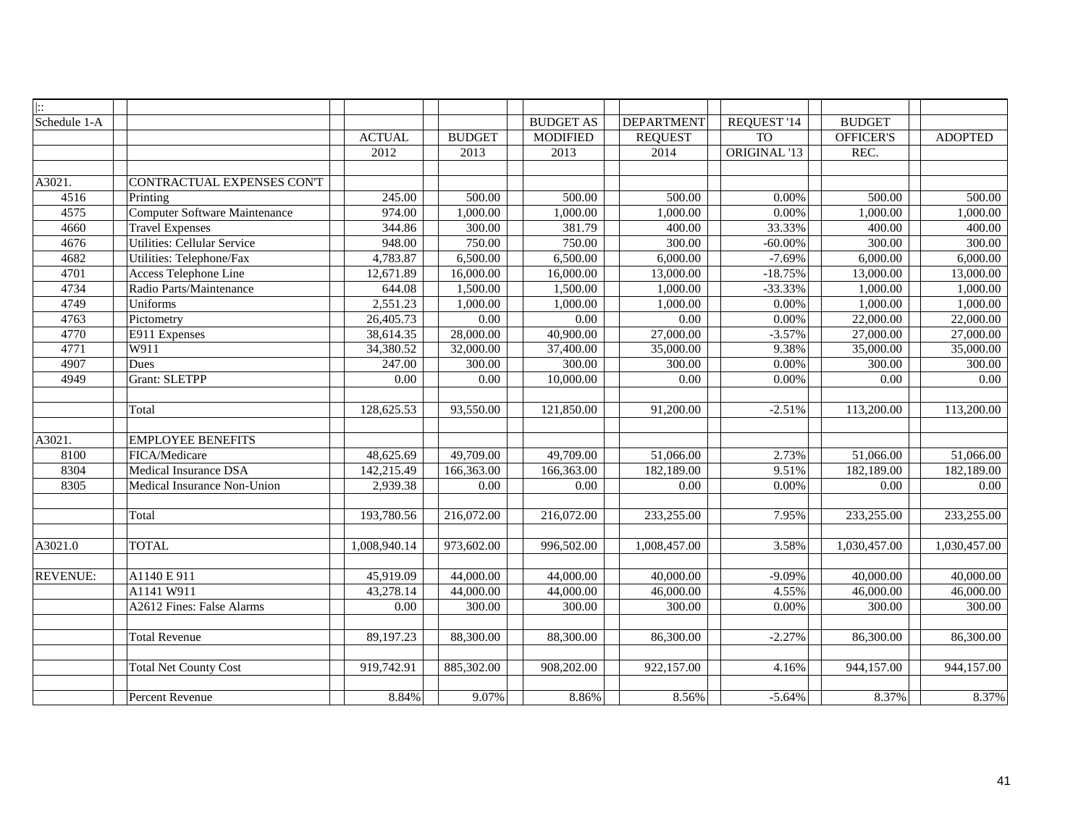| $\left  \because \right $ |                                      |                        |               |                   |                   |              |               |                |
|---------------------------|--------------------------------------|------------------------|---------------|-------------------|-------------------|--------------|---------------|----------------|
| Schedule 1-A              |                                      |                        |               | <b>BUDGET AS</b>  | <b>DEPARTMENT</b> | REQUEST '14  | <b>BUDGET</b> |                |
|                           |                                      | <b>ACTUAL</b>          | <b>BUDGET</b> | <b>MODIFIED</b>   | <b>REQUEST</b>    | <b>TO</b>    | OFFICER'S     | <b>ADOPTED</b> |
|                           |                                      | 2012                   | 2013          | 2013              | 2014              | ORIGINAL '13 | REC.          |                |
|                           |                                      |                        |               |                   |                   |              |               |                |
| A3021.                    | CONTRACTUAL EXPENSES CON'T           |                        |               |                   |                   |              |               |                |
| 4516                      | Printing                             | 245.00                 | 500.00        | 500.00            | 500.00            | 0.00%        | 500.00        | 500.00         |
| 4575                      | <b>Computer Software Maintenance</b> | 974.00                 | 1,000.00      | 1,000.00          | 1,000.00          | 0.00%        | 1,000.00      | 1,000.00       |
| 4660                      | <b>Travel Expenses</b>               | 344.86                 | 300.00        | 381.79            | 400.00            | 33.33%       | 400.00        | 400.00         |
| 4676                      | <b>Utilities: Cellular Service</b>   | 948.00                 | 750.00        | 750.00            | 300.00            | $-60.00\%$   | 300.00        | 300.00         |
| 4682                      | Utilities: Telephone/Fax             | 4,783.87               | 6,500.00      | 6,500.00          | 6,000.00          | $-7.69%$     | 6,000.00      | 6,000.00       |
| 4701                      | Access Telephone Line                | $\overline{12,671.89}$ | 16,000.00     | 16,000.00         | 13,000.00         | $-18.75%$    | 13,000.00     | 13,000.00      |
| 4734                      | Radio Parts/Maintenance              | 644.08                 | 1,500.00      | 1,500.00          | 1,000.00          | $-33.33%$    | 1,000.00      | 1,000.00       |
| 4749                      | Uniforms                             | 2,551.23               | 1,000.00      | 1,000.00          | 1,000.00          | 0.00%        | 1,000.00      | 1,000.00       |
| 4763                      | Pictometry                           | 26,405.73              | $0.00\,$      | $\overline{0.00}$ | 0.00              | 0.00%        | 22,000.00     | 22,000.00      |
| 4770                      | E911 Expenses                        | 38,614.35              | 28,000.00     | 40,900.00         | 27,000.00         | $-3.57%$     | 27,000.00     | 27,000.00      |
| 4771                      | W911                                 | 34,380.52              | 32,000.00     | 37,400.00         | 35,000.00         | 9.38%        | 35,000.00     | 35,000.00      |
| 4907                      | <b>Dues</b>                          | 247.00                 | 300.00        | 300.00            | 300.00            | 0.00%        | 300.00        | 300.00         |
| 4949                      | <b>Grant: SLETPP</b>                 | 0.00                   | 0.00          | 10,000.00         | 0.00              | 0.00%        | 0.00          | 0.00           |
|                           |                                      |                        |               |                   |                   |              |               |                |
|                           | Total                                | 128,625.53             | 93,550.00     | 121,850.00        | 91,200.00         | $-2.51%$     | 113,200.00    | 113,200.00     |
|                           |                                      |                        |               |                   |                   |              |               |                |
| A3021.                    | <b>EMPLOYEE BENEFITS</b>             |                        |               |                   |                   |              |               |                |
| 8100                      | FICA/Medicare                        | 48,625.69              | 49,709.00     | 49,709.00         | 51,066.00         | 2.73%        | 51,066.00     | 51,066.00      |
| 8304                      | Medical Insurance DSA                | 142,215.49             | 166,363.00    | 166,363.00        | 182,189.00        | 9.51%        | 182,189.00    | 182,189.00     |
| 8305                      | Medical Insurance Non-Union          | 2,939.38               | 0.00          | $0.00\,$          | 0.00              | 0.00%        | 0.00          | 0.00           |
|                           |                                      |                        |               |                   |                   |              |               |                |
|                           | Total                                | 193,780.56             | 216,072.00    | 216,072.00        | 233,255.00        | 7.95%        | 233,255.00    | 233,255.00     |
|                           |                                      |                        |               |                   |                   |              |               |                |
| A3021.0                   | <b>TOTAL</b>                         | 1,008,940.14           | 973,602.00    | 996,502.00        | 1,008,457.00      | 3.58%        | 1,030,457.00  | 1,030,457.00   |
|                           |                                      |                        |               |                   |                   |              |               |                |
| <b>REVENUE:</b>           | A1140 E 911                          | 45,919.09              | 44,000.00     | 44,000.00         | 40,000.00         | $-9.09%$     | 40,000.00     | 40,000.00      |
|                           | A1141 W911                           | 43,278.14              | 44,000.00     | 44,000.00         | 46,000.00         | 4.55%        | 46,000.00     | 46,000.00      |
|                           | A2612 Fines: False Alarms            | $0.00\,$               | 300.00        | 300.00            | 300.00            | 0.00%        | 300.00        | 300.00         |
|                           |                                      |                        |               |                   |                   |              |               |                |
|                           | <b>Total Revenue</b>                 | 89,197.23              | 88,300.00     | 88,300.00         | 86,300.00         | $-2.27%$     | 86,300.00     | 86,300.00      |
|                           |                                      |                        |               |                   |                   |              |               |                |
|                           | <b>Total Net County Cost</b>         | 919,742.91             | 885,302.00    | 908,202.00        | 922,157.00        | 4.16%        | 944,157.00    | 944,157.00     |
|                           |                                      |                        |               |                   |                   |              |               |                |
|                           | Percent Revenue                      | 8.84%                  | 9.07%         | 8.86%             | 8.56%             | $-5.64%$     | 8.37%         | 8.37%          |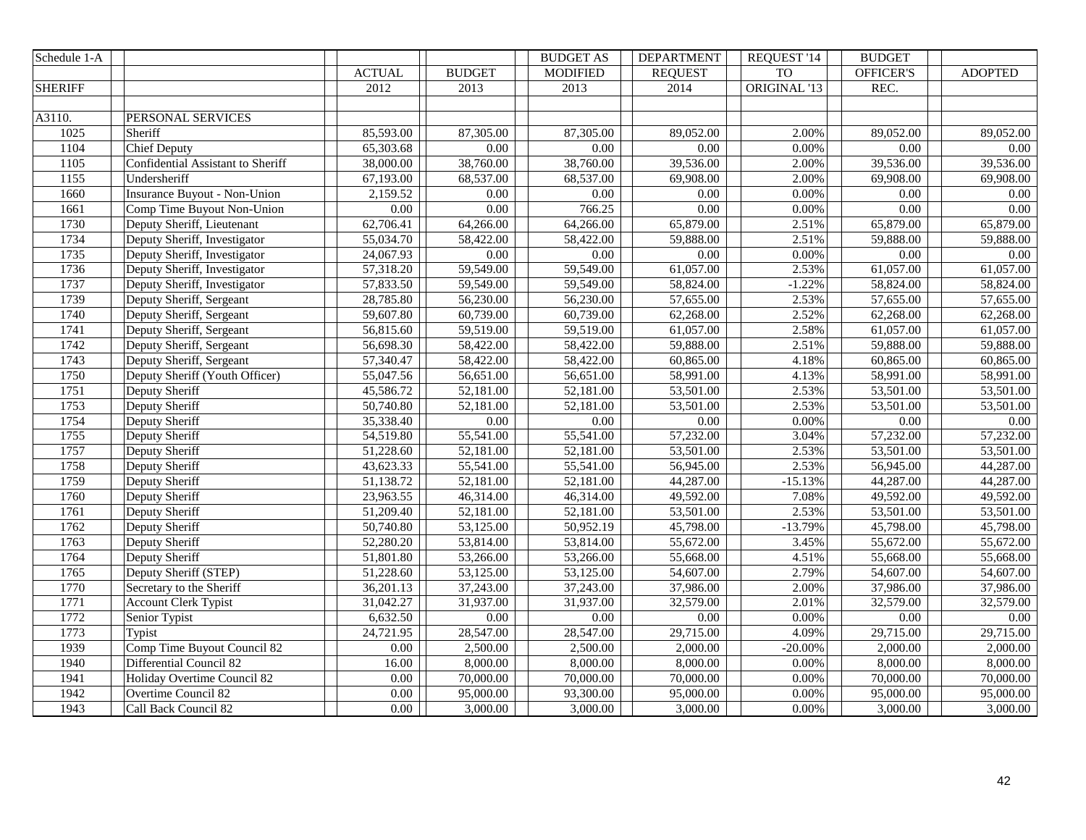| Schedule 1-A   |                                   |               |               | <b>BUDGET AS</b> | <b>DEPARTMENT</b> | REQUEST '14  | <b>BUDGET</b> |                |
|----------------|-----------------------------------|---------------|---------------|------------------|-------------------|--------------|---------------|----------------|
|                |                                   | <b>ACTUAL</b> | <b>BUDGET</b> | <b>MODIFIED</b>  | <b>REQUEST</b>    | <b>TO</b>    | OFFICER'S     | <b>ADOPTED</b> |
| <b>SHERIFF</b> |                                   | 2012          | 2013          | 2013             | 2014              | ORIGINAL '13 | REC.          |                |
|                |                                   |               |               |                  |                   |              |               |                |
| A3110.         | PERSONAL SERVICES                 |               |               |                  |                   |              |               |                |
| 1025           | Sheriff                           | 85,593.00     | 87,305.00     | 87,305.00        | 89.052.00         | 2.00%        | 89,052.00     | 89,052.00      |
| 1104           | <b>Chief Deputy</b>               | 65,303.68     | 0.00          | 0.00             | 0.00              | 0.00%        | 0.00          | 0.00           |
| 1105           | Confidential Assistant to Sheriff | 38,000.00     | 38,760.00     | 38,760.00        | 39,536.00         | 2.00%        | 39,536.00     | 39,536.00      |
| 1155           | Undersheriff                      | 67,193.00     | 68,537.00     | 68,537.00        | 69,908.00         | 2.00%        | 69,908.00     | 69,908.00      |
| 1660           | Insurance Buyout - Non-Union      | 2,159.52      | 0.00          | 0.00             | 0.00              | 0.00%        | 0.00          | 0.00           |
| 1661           | Comp Time Buyout Non-Union        | $0.00\,$      | 0.00          | 766.25           | 0.00              | 0.00%        | 0.00          | 0.00           |
| 1730           | Deputy Sheriff, Lieutenant        | 62,706.41     | 64,266.00     | 64,266.00        | 65,879.00         | 2.51%        | 65,879.00     | 65,879.00      |
| 1734           | Deputy Sheriff, Investigator      | 55,034.70     | 58,422.00     | 58,422.00        | 59,888.00         | 2.51%        | 59,888.00     | 59,888.00      |
| 1735           | Deputy Sheriff, Investigator      | 24,067.93     | 0.00          | 0.00             | 0.00              | 0.00%        | 0.00          | 0.00           |
| 1736           | Deputy Sheriff, Investigator      | 57,318.20     | 59,549.00     | 59,549.00        | 61,057.00         | 2.53%        | 61,057.00     | 61,057.00      |
| 1737           | Deputy Sheriff, Investigator      | 57,833.50     | 59,549.00     | 59,549.00        | 58,824.00         | $-1.22%$     | 58,824.00     | 58,824.00      |
| 1739           | Deputy Sheriff, Sergeant          | 28,785.80     | 56,230.00     | 56,230.00        | 57,655.00         | 2.53%        | 57,655.00     | 57,655.00      |
| 1740           | Deputy Sheriff, Sergeant          | 59,607.80     | 60,739.00     | 60,739.00        | 62,268.00         | 2.52%        | 62,268.00     | 62,268.00      |
| 1741           | Deputy Sheriff, Sergeant          | 56,815.60     | 59,519.00     | 59,519.00        | 61,057.00         | 2.58%        | 61,057.00     | 61,057.00      |
| 1742           | Deputy Sheriff, Sergeant          | 56,698.30     | 58,422.00     | 58,422.00        | 59,888.00         | 2.51%        | 59,888.00     | 59,888.00      |
| 1743           | Deputy Sheriff, Sergeant          | 57,340.47     | 58,422.00     | 58,422.00        | 60,865.00         | 4.18%        | 60,865.00     | 60,865.00      |
| 1750           | Deputy Sheriff (Youth Officer)    | 55,047.56     | 56,651.00     | 56,651.00        | 58,991.00         | 4.13%        | 58,991.00     | 58,991.00      |
| 1751           | Deputy Sheriff                    | 45,586.72     | 52,181.00     | 52,181.00        | 53,501.00         | 2.53%        | 53,501.00     | 53,501.00      |
| 1753           | Deputy Sheriff                    | 50,740.80     | 52,181.00     | 52,181.00        | 53,501.00         | 2.53%        | 53,501.00     | 53,501.00      |
| 1754           | Deputy Sheriff                    | 35,338.40     | 0.00          | 0.00             | 0.00              | 0.00%        | 0.00          | 0.00           |
| 1755           | Deputy Sheriff                    | 54,519.80     | 55,541.00     | 55,541.00        | 57,232.00         | 3.04%        | 57,232.00     | 57,232.00      |
| 1757           | Deputy Sheriff                    | 51,228.60     | 52,181.00     | 52,181.00        | 53,501.00         | 2.53%        | 53,501.00     | 53,501.00      |
| 1758           | Deputy Sheriff                    | 43,623.33     | 55,541.00     | 55,541.00        | 56,945.00         | 2.53%        | 56,945.00     | 44,287.00      |
| 1759           | Deputy Sheriff                    | 51,138.72     | 52,181.00     | 52,181.00        | 44,287.00         | $-15.13%$    | 44,287.00     | 44,287.00      |
| 1760           | Deputy Sheriff                    | 23,963.55     | 46,314.00     | 46,314.00        | 49,592.00         | 7.08%        | 49,592.00     | 49,592.00      |
| 1761           | Deputy Sheriff                    | 51,209.40     | 52,181.00     | 52,181.00        | 53,501.00         | 2.53%        | 53,501.00     | 53,501.00      |
| 1762           | Deputy Sheriff                    | 50,740.80     | 53,125.00     | 50,952.19        | 45,798.00         | $-13.79%$    | 45,798.00     | 45,798.00      |
| 1763           | Deputy Sheriff                    | 52,280.20     | 53,814.00     | 53,814.00        | 55,672.00         | 3.45%        | 55,672.00     | 55,672.00      |
| 1764           | Deputy Sheriff                    | 51,801.80     | 53,266.00     | 53,266.00        | 55,668.00         | 4.51%        | 55,668.00     | 55,668.00      |
| 1765           | Deputy Sheriff (STEP)             | 51,228.60     | 53,125.00     | 53,125.00        | 54,607.00         | 2.79%        | 54,607.00     | 54,607.00      |
| 1770           | Secretary to the Sheriff          | 36,201.13     | 37,243.00     | 37,243.00        | 37,986.00         | 2.00%        | 37,986.00     | 37,986.00      |
| 1771           | <b>Account Clerk Typist</b>       | 31,042.27     | 31,937.00     | 31,937.00        | 32,579.00         | 2.01%        | 32,579.00     | 32,579.00      |
| 1772           | Senior Typist                     | 6,632.50      | 0.00          | 0.00             | 0.00              | 0.00%        | $0.00\,$      | $0.00\,$       |
| 1773           | Typist                            | 24,721.95     | 28,547.00     | 28,547.00        | 29,715.00         | 4.09%        | 29,715.00     | 29,715.00      |
| 1939           | Comp Time Buyout Council 82       | 0.00          | 2,500.00      | 2,500.00         | 2,000.00          | $-20.00%$    | 2,000.00      | 2,000.00       |
| 1940           | Differential Council 82           | 16.00         | 8,000.00      | 8,000.00         | 8,000.00          | 0.00%        | 8,000.00      | 8,000.00       |
| 1941           | Holiday Overtime Council 82       | $0.00\,$      | 70,000.00     | 70,000.00        | 70,000.00         | 0.00%        | 70,000.00     | 70,000.00      |
| 1942           | Overtime Council 82               | $0.00\,$      | 95,000.00     | 93,300.00        | 95,000.00         | 0.00%        | 95,000.00     | 95,000.00      |
| 1943           | Call Back Council 82              | 0.00          | 3,000.00      | 3,000.00         | 3,000.00          | 0.00%        | 3,000.00      | 3,000.00       |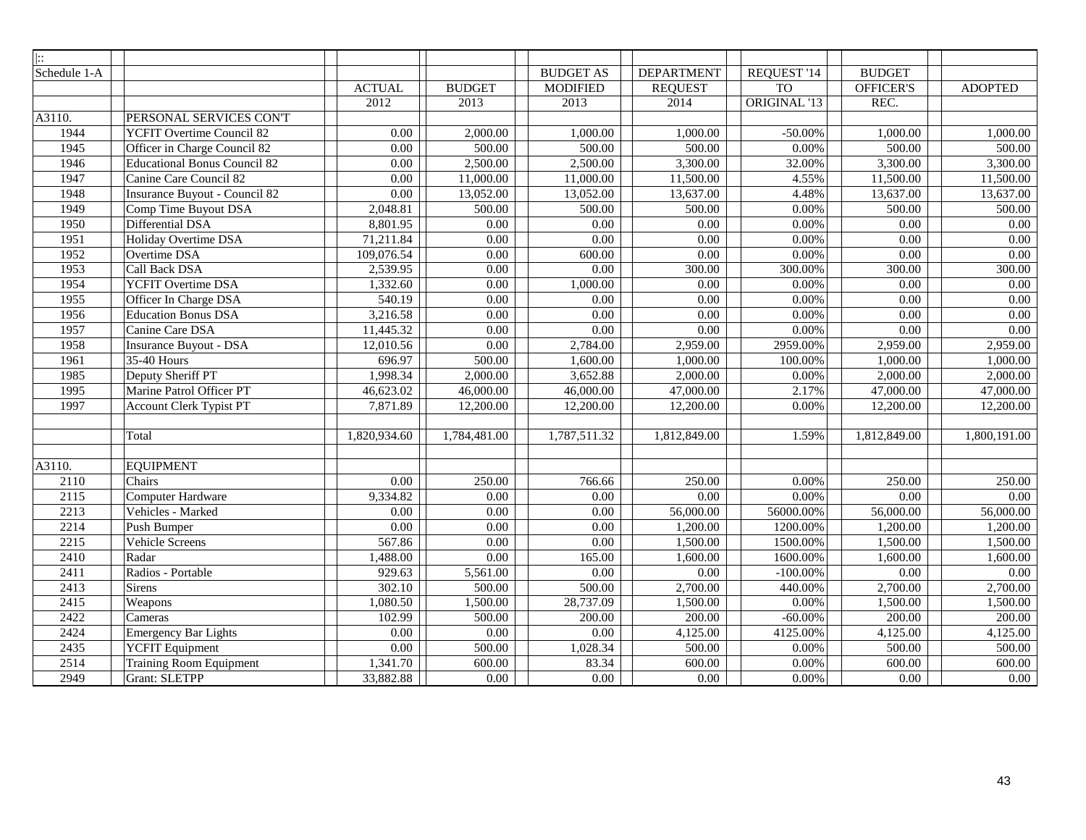| $\pm$        |                                     |                   |                   |                  |                   |              |               |                   |
|--------------|-------------------------------------|-------------------|-------------------|------------------|-------------------|--------------|---------------|-------------------|
| Schedule 1-A |                                     |                   |                   | <b>BUDGET AS</b> | <b>DEPARTMENT</b> | REQUEST '14  | <b>BUDGET</b> |                   |
|              |                                     | <b>ACTUAL</b>     | <b>BUDGET</b>     | <b>MODIFIED</b>  | <b>REQUEST</b>    | TO           | OFFICER'S     | <b>ADOPTED</b>    |
|              |                                     | 2012              | 2013              | 2013             | 2014              | ORIGINAL '13 | REC.          |                   |
| A3110.       | PERSONAL SERVICES CON'T             |                   |                   |                  |                   |              |               |                   |
| 1944         | YCFIT Overtime Council 82           | 0.00              | 2,000.00          | 1,000.00         | 1,000.00          | $-50.00%$    | 1,000.00      | 1,000.00          |
| 1945         | Officer in Charge Council 82        | 0.00              | 500.00            | 500.00           | 500.00            | 0.00%        | 500.00        | 500.00            |
| 1946         | <b>Educational Bonus Council 82</b> | 0.00              | 2,500.00          | 2,500.00         | 3,300.00          | 32.00%       | 3,300.00      | 3,300.00          |
| 1947         | Canine Care Council 82              | 0.00              | 11,000.00         | 11,000.00        | 11,500.00         | 4.55%        | 11,500.00     | 11,500.00         |
| 1948         | Insurance Buyout - Council 82       | $\overline{0.00}$ | 13,052.00         | 13,052.00        | 13,637.00         | 4.48%        | 13,637.00     | 13,637.00         |
| 1949         | Comp Time Buyout DSA                | 2,048.81          | 500.00            | 500.00           | 500.00            | 0.00%        | 500.00        | 500.00            |
| 1950         | Differential DSA                    | 8,801.95          | 0.00              | 0.00             | 0.00              | 0.00%        | 0.00          | 0.00              |
| 1951         | Holiday Overtime DSA                | 71,211.84         | 0.00              | 0.00             | 0.00              | 0.00%        | 0.00          | 0.00              |
| 1952         | Overtime DSA                        | 109,076.54        | 0.00              | 600.00           | 0.00              | 0.00%        | 0.00          | 0.00              |
| 1953         | Call Back DSA                       | 2,539.95          | 0.00              | 0.00             | 300.00            | 300.00%      | 300.00        | 300.00            |
| 1954         | YCFIT Overtime DSA                  | 1,332.60          | 0.00              | 1,000.00         | 0.00              | 0.00%        | 0.00          | 0.00              |
| 1955         | Officer In Charge DSA               | 540.19            | 0.00              | 0.00             | 0.00              | 0.00%        | 0.00          | 0.00              |
| 1956         | <b>Education Bonus DSA</b>          | 3,216.58          | 0.00              | 0.00             | 0.00              | 0.00%        | 0.00          | $0.00\,$          |
| 1957         | Canine Care DSA                     | 11,445.32         | 0.00              | 0.00             | 0.00              | 0.00%        | 0.00          | 0.00              |
| 1958         | Insurance Buyout - DSA              | 12,010.56         | 0.00              | 2,784.00         | 2,959.00          | 2959.00%     | 2,959.00      | 2,959.00          |
| 1961         | 35-40 Hours                         | 696.97            | 500.00            | 1,600.00         | 1,000.00          | 100.00%      | 1,000.00      | 1,000.00          |
| 1985         | Deputy Sheriff PT                   | 1,998.34          | 2,000.00          | 3,652.88         | 2,000.00          | 0.00%        | 2,000.00      | 2,000.00          |
| 1995         | Marine Patrol Officer PT            | 46,623.02         | 46,000.00         | 46,000.00        | 47,000.00         | 2.17%        | 47,000.00     | 47,000.00         |
| 1997         | <b>Account Clerk Typist PT</b>      | 7,871.89          | 12,200.00         | 12,200.00        | 12,200.00         | 0.00%        | 12,200.00     | 12,200.00         |
|              |                                     |                   |                   |                  |                   |              |               |                   |
|              | Total                               | 1,820,934.60      | 1,784,481.00      | 1,787,511.32     | 1,812,849.00      | 1.59%        | 1,812,849.00  | 1,800,191.00      |
|              |                                     |                   |                   |                  |                   |              |               |                   |
| A3110.       | <b>EQUIPMENT</b>                    |                   |                   |                  |                   |              |               |                   |
| 2110         | Chairs                              | 0.00              | 250.00            | 766.66           | 250.00            | 0.00%        | 250.00        | 250.00            |
| 2115         | Computer Hardware                   | 9,334.82          | 0.00              | 0.00             | 0.00              | 0.00%        | 0.00          | 0.00              |
| 2213         | Vehicles - Marked                   | 0.00              | 0.00              | 0.00             | 56,000.00         | 56000.00%    | 56,000.00     | 56,000.00         |
| 2214         | Push Bumper                         | 0.00              | 0.00              | $0.00\,$         | 1,200.00          | 1200.00%     | 1,200.00      | 1,200.00          |
| 2215         | Vehicle Screens                     | 567.86            | $\overline{0.00}$ | 0.00             | 1,500.00          | 1500.00%     | 1,500.00      | 1,500.00          |
| 2410         | Radar                               | 1,488.00          | 0.00              | 165.00           | 1,600.00          | 1600.00%     | 1,600.00      | 1,600.00          |
| 2411         | Radios - Portable                   | 929.63            | 5,561.00          | 0.00             | 0.00              | $-100.00\%$  | 0.00          | 0.00              |
| 2413         | <b>Sirens</b>                       | 302.10            | 500.00            | 500.00           | 2,700.00          | 440.00%      | 2,700.00      | 2,700.00          |
| 2415         | Weapons                             | 1,080.50          | 1,500.00          | 28,737.09        | 1,500.00          | 0.00%        | 1,500.00      | 1,500.00          |
| 2422         | Cameras                             | 102.99            | 500.00            | 200.00           | 200.00            | $-60.00%$    | 200.00        | 200.00            |
| 2424         | Emergency Bar Lights                | 0.00              | 0.00              | 0.00             | 4,125.00          | 4125.00%     | 4,125.00      | 4,125.00          |
| 2435         | <b>YCFIT</b> Equipment              | 0.00              | 500.00            | 1,028.34         | 500.00            | 0.00%        | 500.00        | 500.00            |
| 2514         | <b>Training Room Equipment</b>      | 1,341.70          | 600.00            | 83.34            | 600.00            | 0.00%        | 600.00        | 600.00            |
| 2949         | <b>Grant: SLETPP</b>                | 33,882.88         | 0.00              | 0.00             | 0.00              | 0.00%        | 0.00          | $\overline{0.00}$ |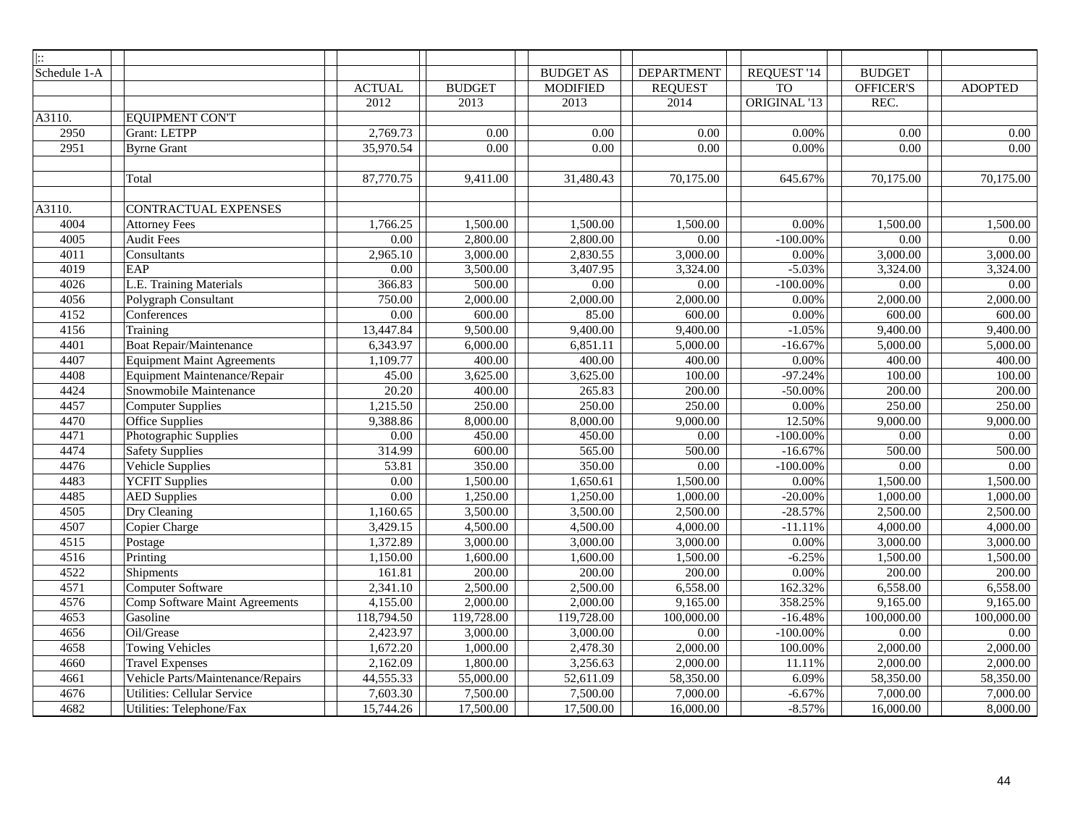| $\overline{\mathbb{R}}$ |                                   |                   |                    |                  |                   |              |               |                |
|-------------------------|-----------------------------------|-------------------|--------------------|------------------|-------------------|--------------|---------------|----------------|
| Schedule 1-A            |                                   |                   |                    | <b>BUDGET AS</b> | <b>DEPARTMENT</b> | REQUEST '14  | <b>BUDGET</b> |                |
|                         |                                   | <b>ACTUAL</b>     | <b>BUDGET</b>      | <b>MODIFIED</b>  | <b>REQUEST</b>    | <b>TO</b>    | OFFICER'S     | <b>ADOPTED</b> |
|                         |                                   | 2012              | 2013               | 2013             | 2014              | ORIGINAL '13 | REC.          |                |
| A3110.                  | <b>EQUIPMENT CON'T</b>            |                   |                    |                  |                   |              |               |                |
| 2950                    | <b>Grant: LETPP</b>               | 2,769.73          | 0.00               | 0.00             | 0.00              | 0.00%        | 0.00          | 0.00           |
| 2951                    | <b>Byrne Grant</b>                | 35,970.54         | 0.00               | 0.00             | 0.00              | 0.00%        | 0.00          | 0.00           |
|                         |                                   |                   |                    |                  |                   |              |               |                |
|                         | Total                             | 87,770.75         | 9,411.00           | 31,480.43        | 70,175.00         | 645.67%      | 70,175.00     | 70,175.00      |
|                         |                                   |                   |                    |                  |                   |              |               |                |
| A3110.                  | CONTRACTUAL EXPENSES              |                   |                    |                  |                   |              |               |                |
| 4004                    | <b>Attorney Fees</b>              | 1,766.25          | 1,500.00           | 1,500.00         | 1,500.00          | 0.00%        | 1,500.00      | 1,500.00       |
| 4005                    | <b>Audit Fees</b>                 | 0.00              | 2,800.00           | 2,800.00         | 0.00              | $-100.00\%$  | 0.00          | 0.00           |
| 4011                    | Consultants                       | 2,965.10          | 3,000.00           | 2,830.55         | 3,000.00          | 0.00%        | 3,000.00      | 3,000.00       |
| 4019                    | EAP                               | 0.00              | 3,500.00           | 3,407.95         | 3,324.00          | $-5.03%$     | 3,324.00      | 3,324.00       |
| 4026                    | L.E. Training Materials           | 366.83            | 500.00             | 0.00             | 0.00              | $-100.00\%$  | 0.00          | 0.00           |
| 4056                    | Polygraph Consultant              | 750.00            | 2,000.00           | 2,000.00         | 2,000.00          | 0.00%        | 2,000.00      | 2,000.00       |
| 4152                    | Conferences                       | $\overline{0.00}$ | 600.00             | 85.00            | 600.00            | 0.00%        | 600.00        | 600.00         |
| 4156                    | Training                          | 13,447.84         | 9,500.00           | 9,400.00         | 9,400.00          | $-1.05%$     | 9,400.00      | 9,400.00       |
| 4401                    | <b>Boat Repair/Maintenance</b>    | 6,343.97          | 6,000.00           | 6,851.11         | 5,000.00          | $-16.67%$    | 5,000.00      | 5,000.00       |
| 4407                    | <b>Equipment Maint Agreements</b> | 1,109.77          | 400.00             | 400.00           | 400.00            | 0.00%        | 400.00        | 400.00         |
| 4408                    | Equipment Maintenance/Repair      | 45.00             | 3,625.00           | 3,625.00         | 100.00            | $-97.24%$    | 100.00        | 100.00         |
| 4424                    | Snowmobile Maintenance            | 20.20             | $\frac{1}{400.00}$ | 265.83           | 200.00            | $-50.00\%$   | 200.00        | 200.00         |
| 4457                    | <b>Computer Supplies</b>          | 1,215.50          | 250.00             | 250.00           | 250.00            | 0.00%        | 250.00        | 250.00         |
| 4470                    | Office Supplies                   | 9,388.86          | 8,000.00           | 8,000.00         | 9,000.00          | 12.50%       | 9,000.00      | 9,000.00       |
| 4471                    | Photographic Supplies             | 0.00              | 450.00             | 450.00           | 0.00              | $-100.00\%$  | 0.00          | 0.00           |
| 4474                    | <b>Safety Supplies</b>            | 314.99            | 600.00             | 565.00           | 500.00            | $-16.67%$    | 500.00        | 500.00         |
| 4476                    | Vehicle Supplies                  | 53.81             | 350.00             | 350.00           | 0.00              | $-100.00\%$  | 0.00          | 0.00           |
| 4483                    | <b>YCFIT Supplies</b>             | 0.00              | 1,500.00           | 1,650.61         | 1,500.00          | 0.00%        | 1,500.00      | 1,500.00       |
| 4485                    | <b>AED Supplies</b>               | 0.00              | 1,250.00           | 1,250.00         | 1,000.00          | $-20.00%$    | 1,000.00      | 1,000.00       |
| 4505                    | Dry Cleaning                      | 1,160.65          | 3,500.00           | 3,500.00         | 2,500.00          | $-28.57%$    | 2,500.00      | 2,500.00       |
| 4507                    | Copier Charge                     | 3,429.15          | 4,500.00           | 4,500.00         | 4,000.00          | $-11.11%$    | 4,000.00      | 4,000.00       |
| 4515                    | Postage                           | 1,372.89          | 3,000.00           | 3,000.00         | 3,000.00          | 0.00%        | 3,000.00      | 3,000.00       |
| 4516                    | Printing                          | 1,150.00          | 1,600.00           | 1,600.00         | 1,500.00          | $-6.25%$     | 1,500.00      | 1,500.00       |
| 4522                    | Shipments                         | 161.81            | 200.00             | 200.00           | 200.00            | 0.00%        | 200.00        | 200.00         |
| 4571                    | <b>Computer Software</b>          | 2,341.10          | 2,500.00           | 2,500.00         | 6,558.00          | 162.32%      | 6,558.00      | 6,558.00       |
| 4576                    | Comp Software Maint Agreements    | 4,155.00          | 2,000.00           | 2,000.00         | 9,165.00          | 358.25%      | 9,165.00      | 9,165.00       |
| 4653                    | Gasoline                          | 118,794.50        | 119,728.00         | 119,728.00       | 100,000.00        | $-16.48%$    | 100,000.00    | 100,000.00     |
| 4656                    | Oil/Grease                        | 2,423.97          | 3,000.00           | 3,000.00         | 0.00              | $-100.00\%$  | 0.00          | 0.00           |
| 4658                    | <b>Towing Vehicles</b>            | 1,672.20          | 1,000.00           | 2,478.30         | 2,000.00          | 100.00%      | 2,000.00      | 2,000.00       |
| 4660                    | <b>Travel Expenses</b>            | 2,162.09          | 1,800.00           | 3,256.63         | 2,000.00          | 11.11%       | 2,000.00      | 2,000.00       |
| 4661                    | Vehicle Parts/Maintenance/Repairs | 44,555.33         | 55,000.00          | 52,611.09        | 58,350.00         | 6.09%        | 58,350.00     | 58,350.00      |
| 4676                    | Utilities: Cellular Service       | 7,603.30          | 7,500.00           | 7,500.00         | 7,000.00          | $-6.67%$     | 7,000.00      | 7,000.00       |
| 4682                    | Utilities: Telephone/Fax          | 15,744.26         | 17,500.00          | 17,500.00        | 16,000.00         | $-8.57%$     | 16,000.00     | 8,000.00       |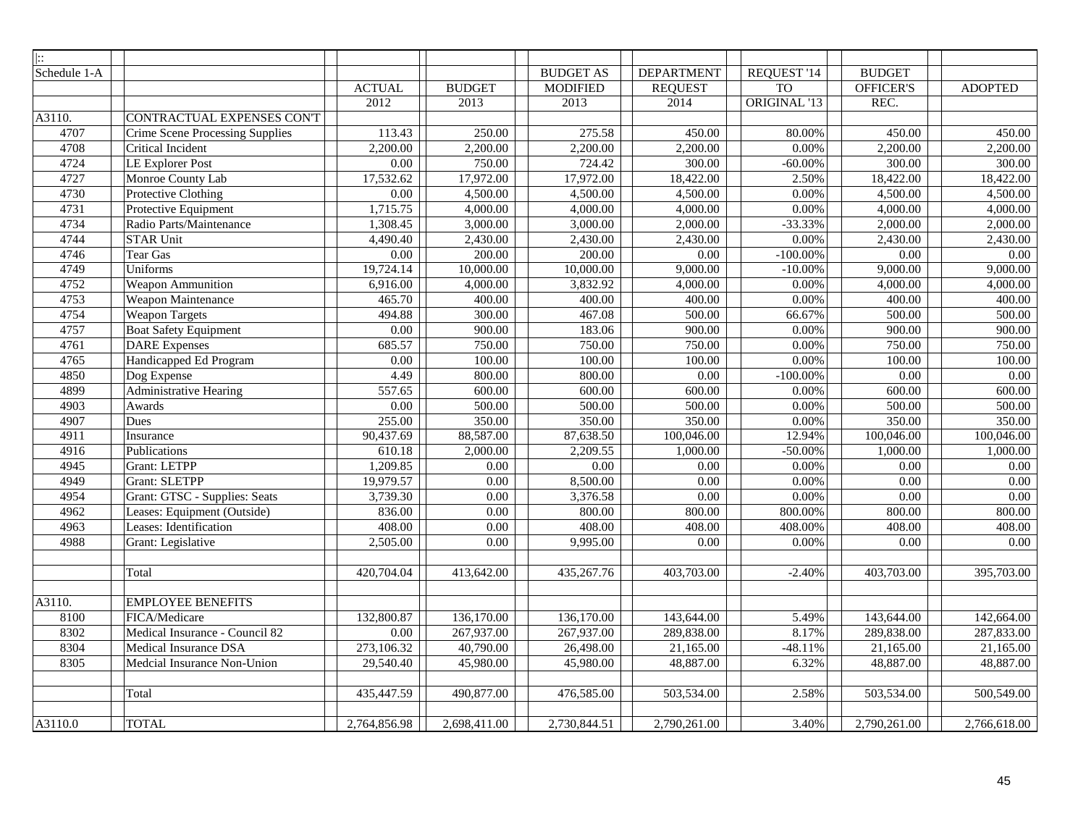| ::           |                                        |                   |               |                   |                   |              |               |                   |
|--------------|----------------------------------------|-------------------|---------------|-------------------|-------------------|--------------|---------------|-------------------|
| Schedule 1-A |                                        |                   |               | <b>BUDGET AS</b>  | <b>DEPARTMENT</b> | REQUEST '14  | <b>BUDGET</b> |                   |
|              |                                        | <b>ACTUAL</b>     | <b>BUDGET</b> | <b>MODIFIED</b>   | <b>REQUEST</b>    | <b>TO</b>    | OFFICER'S     | <b>ADOPTED</b>    |
|              |                                        | 2012              | 2013          | 2013              | 2014              | ORIGINAL '13 | REC.          |                   |
| A3110.       | CONTRACTUAL EXPENSES CON'T             |                   |               |                   |                   |              |               |                   |
| 4707         | <b>Crime Scene Processing Supplies</b> | 113.43            | 250.00        | 275.58            | 450.00            | 80.00%       | 450.00        | 450.00            |
| 4708         | Critical Incident                      | 2,200.00          | 2,200.00      | 2,200.00          | 2,200.00          | 0.00%        | 2,200.00      | 2,200.00          |
| 4724         | <b>LE Explorer Post</b>                | 0.00              | 750.00        | 724.42            | 300.00            | $-60.00%$    | 300.00        | 300.00            |
| 4727         | Monroe County Lab                      | 17,532.62         | 17,972.00     | 17,972.00         | 18,422.00         | 2.50%        | 18,422.00     | 18,422.00         |
| 4730         | Protective Clothing                    | 0.00              | 4,500.00      | 4,500.00          | 4,500.00          | 0.00%        | 4,500.00      | 4,500.00          |
| 4731         | Protective Equipment                   | 1,715.75          | 4,000.00      | 4,000.00          | 4,000.00          | 0.00%        | 4,000.00      | 4,000.00          |
| 4734         | Radio Parts/Maintenance                | 1,308.45          | 3,000.00      | 3,000.00          | 2,000.00          | $-33.33%$    | 2,000.00      | 2,000.00          |
| 4744         | <b>STAR Unit</b>                       | 4,490.40          | 2,430.00      | 2,430.00          | 2,430.00          | 0.00%        | 2,430.00      | 2,430.00          |
| 4746         | Tear Gas                               | 0.00              | 200.00        | 200.00            | 0.00              | $-100.00\%$  | 0.00          | 0.00              |
| 4749         | Uniforms                               | 19,724.14         | 10,000.00     | 10,000.00         | 9,000.00          | $-10.00%$    | 9,000.00      | 9,000.00          |
| 4752         | Weapon Ammunition                      | 6,916.00          | 4,000.00      | 3,832.92          | 4,000.00          | 0.00%        | 4,000.00      | 4,000.00          |
| 4753         | Weapon Maintenance                     | 465.70            | 400.00        | 400.00            | 400.00            | 0.00%        | 400.00        | 400.00            |
| 4754         | <b>Weapon Targets</b>                  | 494.88            | 300.00        | 467.08            | 500.00            | 66.67%       | 500.00        | 500.00            |
| 4757         | <b>Boat Safety Equipment</b>           | $\overline{0.00}$ | 900.00        | 183.06            | 900.00            | 0.00%        | 900.00        | 900.00            |
| 4761         | <b>DARE</b> Expenses                   | 685.57            | 750.00        | 750.00            | 750.00            | 0.00%        | 750.00        | 750.00            |
| 4765         | Handicapped Ed Program                 | 0.00              | 100.00        | 100.00            | 100.00            | 0.00%        | 100.00        | 100.00            |
| 4850         | Dog Expense                            | 4.49              | 800.00        | 800.00            | 0.00              | $-100.00\%$  | 0.00          | 0.00              |
| 4899         | Administrative Hearing                 | 557.65            | 600.00        | 600.00            | 600.00            | 0.00%        | 600.00        | 600.00            |
| 4903         | Awards                                 | $\overline{0.00}$ | 500.00        | 500.00            | 500.00            | 0.00%        | 500.00        | 500.00            |
| 4907         | Dues                                   | 255.00            | 350.00        | 350.00            | 350.00            | 0.00%        | 350.00        | 350.00            |
| 4911         | Insurance                              | 90,437.69         | 88,587.00     | 87,638.50         | 100,046.00        | 12.94%       | 100,046.00    | 100,046.00        |
| 4916         | Publications                           | 610.18            | 2,000.00      | 2,209.55          | 1,000.00          | $-50.00%$    | 1,000.00      | 1,000.00          |
| 4945         | <b>Grant: LETPP</b>                    | 1,209.85          | 0.00          | $\overline{0.00}$ | 0.00              | 0.00%        | 0.00          | 0.00              |
| 4949         | <b>Grant: SLETPP</b>                   | 19,979.57         | 0.00          | 8,500.00          | 0.00              | 0.00%        | 0.00          | $\overline{0.00}$ |
| 4954         | Grant: GTSC - Supplies: Seats          | 3,739.30          | 0.00          | 3,376.58          | 0.00              | 0.00%        | 0.00          | $\overline{0.00}$ |
| 4962         | Leases: Equipment (Outside)            | 836.00            | 0.00          | 800.00            | 800.00            | 800.00%      | 800.00        | 800.00            |
| 4963         | Leases: Identification                 | 408.00            | 0.00          | 408.00            | 408.00            | 408.00%      | 408.00        | 408.00            |
| 4988         | Grant: Legislative                     | 2,505.00          | 0.00          | 9.995.00          | 0.00              | 0.00%        | 0.00          | 0.00              |
|              |                                        |                   |               |                   |                   |              |               |                   |
|              | Total                                  | 420,704.04        | 413,642.00    | 435,267.76        | 403,703.00        | $-2.40%$     | 403,703.00    | 395,703.00        |
| A3110.       | <b>EMPLOYEE BENEFITS</b>               |                   |               |                   |                   |              |               |                   |
| 8100         | FICA/Medicare                          | 132,800.87        | 136,170.00    | 136,170.00        | 143,644.00        | 5.49%        | 143,644.00    | 142,664.00        |
| 8302         | Medical Insurance - Council 82         | 0.00              | 267,937.00    | 267,937.00        | 289,838.00        | 8.17%        | 289,838.00    | 287,833.00        |
| 8304         | Medical Insurance DSA                  | 273,106.32        | 40,790.00     | 26,498.00         | 21,165.00         | $-48.11%$    | 21,165.00     | 21,165.00         |
| 8305         | Medcial Insurance Non-Union            | 29,540.40         | 45,980.00     | 45,980.00         | 48,887.00         | 6.32%        | 48,887.00     | 48,887.00         |
|              |                                        |                   |               |                   |                   |              |               |                   |
|              | Total                                  | 435,447.59        | 490,877.00    | 476,585.00        | 503,534.00        | 2.58%        | 503,534.00    | 500,549.00        |
| A3110.0      | <b>TOTAL</b>                           | 2,764,856.98      | 2,698,411.00  | 2,730,844.51      | 2,790,261.00      | 3.40%        | 2,790,261.00  | 2,766,618.00      |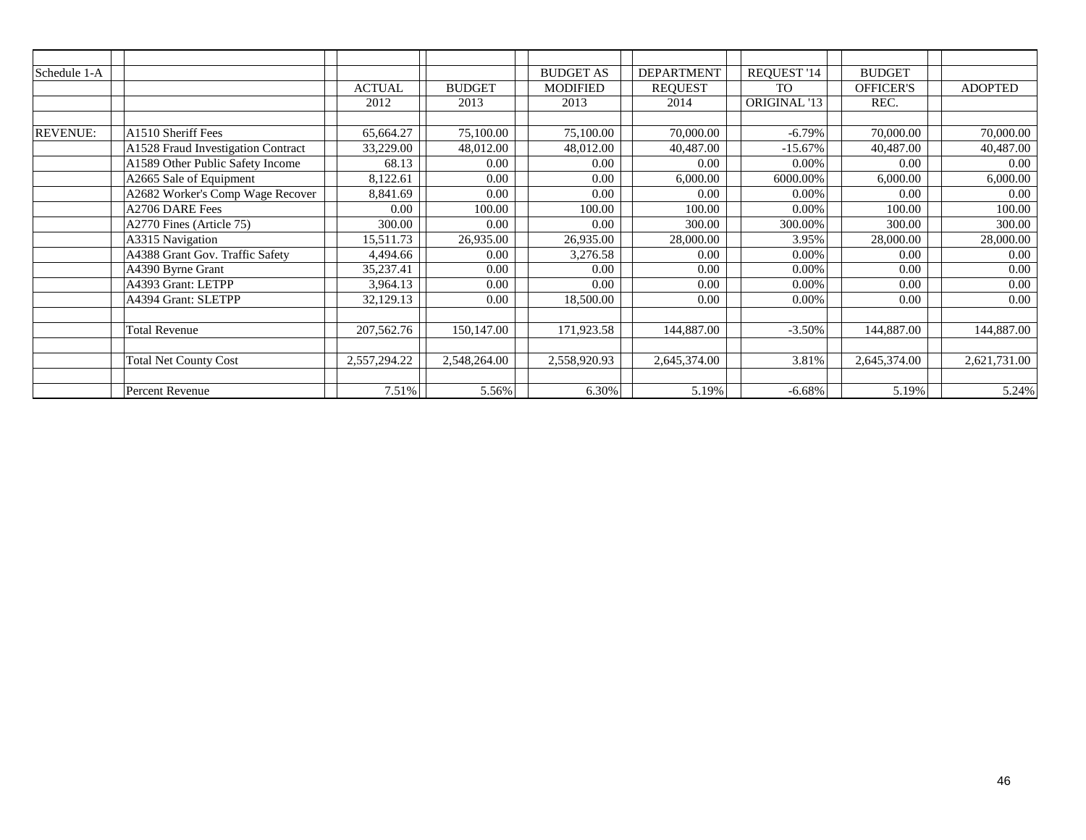| Schedule 1-A    |                                    |               |               | <b>BUDGET AS</b> | <b>DEPARTMENT</b> | REQUEST '14         | <b>BUDGET</b>    |                |
|-----------------|------------------------------------|---------------|---------------|------------------|-------------------|---------------------|------------------|----------------|
|                 |                                    | <b>ACTUAL</b> | <b>BUDGET</b> | <b>MODIFIED</b>  | <b>REQUEST</b>    | <b>TO</b>           | <b>OFFICER'S</b> | <b>ADOPTED</b> |
|                 |                                    | 2012          | 2013          | 2013             | 2014              | <b>ORIGINAL '13</b> | REC.             |                |
|                 |                                    |               |               |                  |                   |                     |                  |                |
| <b>REVENUE:</b> | A1510 Sheriff Fees                 | 65,664.27     | 75,100.00     | 75,100.00        | 70,000.00         | $-6.79%$            | 70,000.00        | 70,000.00      |
|                 | A1528 Fraud Investigation Contract | 33,229.00     | 48,012.00     | 48,012.00        | 40,487.00         | $-15.67%$           | 40,487.00        | 40,487.00      |
|                 | A1589 Other Public Safety Income   | 68.13         | 0.00          | 0.00             | 0.00              | 0.00%               | 0.00             | 0.00           |
|                 | A2665 Sale of Equipment            | 8,122.61      | 0.00          | 0.00             | 6,000.00          | 6000.00%            | 6,000.00         | 6,000.00       |
|                 | A2682 Worker's Comp Wage Recover   | 8,841.69      | 0.00          | 0.00             | 0.00              | 0.00%               | 0.00             | 0.00           |
|                 | A2706 DARE Fees                    | 0.00          | 100.00        | 100.00           | 100.00            | 0.00%               | 100.00           | 100.00         |
|                 | A2770 Fines (Article 75)           | 300.00        | 0.00          | 0.00             | 300.00            | 300.00%             | 300.00           | 300.00         |
|                 | A3315 Navigation                   | 15,511.73     | 26,935.00     | 26,935.00        | 28,000.00         | 3.95%               | 28,000.00        | 28,000.00      |
|                 | A4388 Grant Gov. Traffic Safety    | 4,494.66      | 0.00          | 3,276.58         | 0.00              | 0.00%               | 0.00             | 0.00           |
|                 | A4390 Byrne Grant                  | 35,237.41     | 0.00          | 0.00             | 0.00              | 0.00%               | 0.00             | 0.00           |
|                 | A4393 Grant: LETPP                 | 3,964.13      | 0.00          | 0.00             | 0.00              | 0.00%               | 0.00             | 0.00           |
|                 | A4394 Grant: SLETPP                | 32,129.13     | 0.00          | 18,500.00        | 0.00              | $0.00\%$            | 0.00             | 0.00           |
|                 |                                    |               |               |                  |                   |                     |                  |                |
|                 | <b>Total Revenue</b>               | 207,562.76    | 150,147.00    | 171,923.58       | 144,887.00        | $-3.50%$            | 144,887.00       | 144,887.00     |
|                 |                                    |               |               |                  |                   |                     |                  |                |
|                 | <b>Total Net County Cost</b>       | 2,557,294.22  | 2,548,264.00  | 2,558,920.93     | 2,645,374.00      | 3.81%               | 2,645,374.00     | 2,621,731.00   |
|                 |                                    |               |               |                  |                   |                     |                  |                |
|                 | Percent Revenue                    | 7.51%         | 5.56%         | 6.30%            | 5.19%             | $-6.68%$            | 5.19%            | 5.24%          |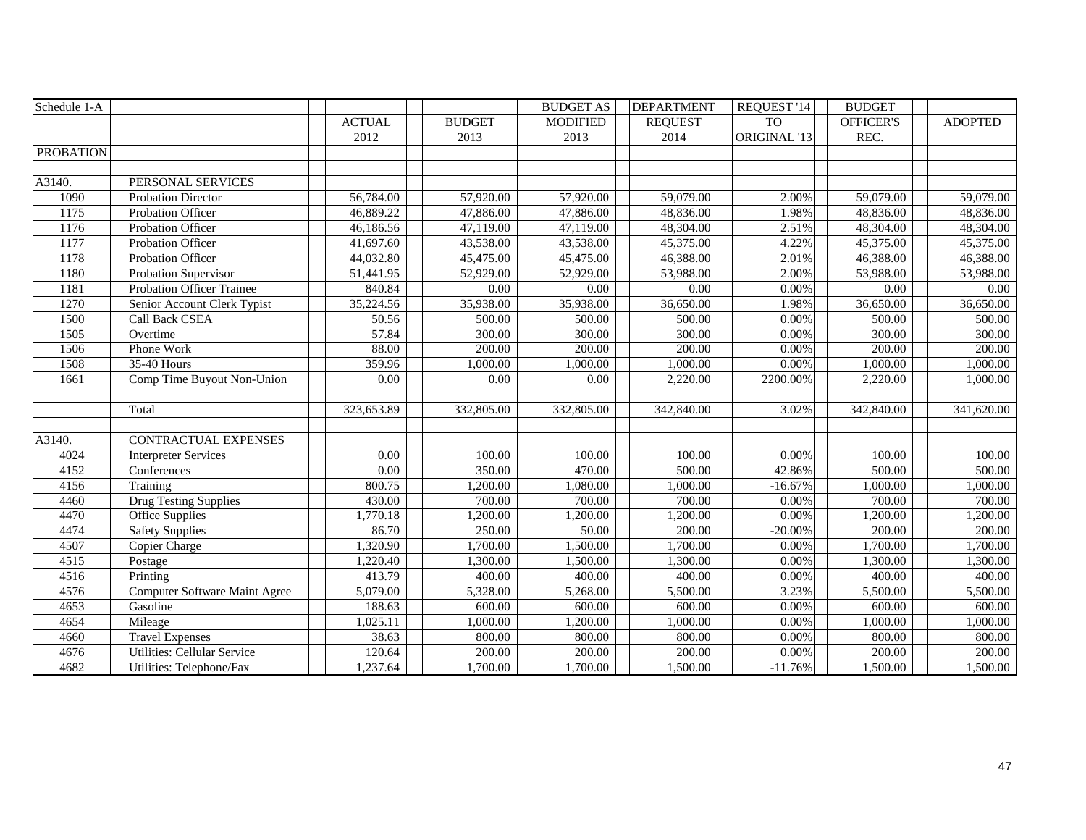| Schedule 1-A     |                                    |               |               | <b>BUDGET AS</b> | <b>DEPARTMENT</b> | REQUEST '14  | <b>BUDGET</b> |                |
|------------------|------------------------------------|---------------|---------------|------------------|-------------------|--------------|---------------|----------------|
|                  |                                    | <b>ACTUAL</b> | <b>BUDGET</b> | <b>MODIFIED</b>  | <b>REQUEST</b>    | <b>TO</b>    | OFFICER'S     | <b>ADOPTED</b> |
|                  |                                    | 2012          | 2013          | 2013             | 2014              | ORIGINAL '13 | REC.          |                |
| <b>PROBATION</b> |                                    |               |               |                  |                   |              |               |                |
|                  |                                    |               |               |                  |                   |              |               |                |
| A3140.           | PERSONAL SERVICES                  |               |               |                  |                   |              |               |                |
| 1090             | <b>Probation Director</b>          | 56,784.00     | 57,920.00     | 57,920.00        | 59,079.00         | 2.00%        | 59,079.00     | 59,079.00      |
| 1175             | <b>Probation Officer</b>           | 46,889.22     | 47,886.00     | 47,886.00        | 48,836.00         | 1.98%        | 48,836.00     | 48,836.00      |
| 1176             | Probation Officer                  | 46,186.56     | 47,119.00     | 47,119.00        | 48,304.00         | 2.51%        | 48,304.00     | 48,304.00      |
| 1177             | <b>Probation Officer</b>           | 41,697.60     | 43,538.00     | 43,538.00        | 45,375.00         | 4.22%        | 45,375.00     | 45,375.00      |
| 1178             | <b>Probation Officer</b>           | 44,032.80     | 45,475.00     | 45,475.00        | 46,388.00         | 2.01%        | 46,388.00     | 46,388.00      |
| 1180             | Probation Supervisor               | 51,441.95     | 52,929.00     | 52,929.00        | 53,988.00         | 2.00%        | 53,988.00     | 53,988.00      |
| 1181             | Probation Officer Trainee          | 840.84        | 0.00          | 0.00             | 0.00              | 0.00%        | 0.00          | 0.00           |
| 1270             | Senior Account Clerk Typist        | 35,224.56     | 35,938.00     | 35,938.00        | 36,650.00         | 1.98%        | 36,650.00     | 36,650.00      |
| 1500             | Call Back CSEA                     | 50.56         | 500.00        | 500.00           | 500.00            | 0.00%        | 500.00        | 500.00         |
| 1505             | Overtime                           | 57.84         | 300.00        | 300.00           | 300.00            | 0.00%        | 300.00        | 300.00         |
| 1506             | Phone Work                         | 88.00         | 200.00        | 200.00           | 200.00            | 0.00%        | 200.00        | 200.00         |
| 1508             | 35-40 Hours                        | 359.96        | 1,000.00      | 1,000.00         | 1,000.00          | 0.00%        | 1,000.00      | 1,000.00       |
| 1661             | Comp Time Buyout Non-Union         | 0.00          | 0.00          | 0.00             | 2,220.00          | 2200.00%     | 2,220.00      | 1,000.00       |
|                  |                                    |               |               |                  |                   |              |               |                |
|                  | Total                              | 323,653.89    | 332,805.00    | 332,805.00       | 342,840.00        | 3.02%        | 342,840.00    | 341,620.00     |
|                  |                                    |               |               |                  |                   |              |               |                |
| A3140.           | CONTRACTUAL EXPENSES               |               |               |                  |                   |              |               |                |
| 4024             | <b>Interpreter Services</b>        | 0.00          | 100.00        | 100.00           | 100.00            | 0.00%        | 100.00        | 100.00         |
| 4152             | Conferences                        | 0.00          | 350.00        | 470.00           | 500.00            | 42.86%       | 500.00        | 500.00         |
| 4156             | Training                           | 800.75        | 1,200.00      | 1,080.00         | 1,000.00          | $-16.67%$    | 1,000.00      | 1,000.00       |
| 4460             | Drug Testing Supplies              | 430.00        | 700.00        | 700.00           | 700.00            | 0.00%        | 700.00        | 700.00         |
| 4470             | Office Supplies                    | 1,770.18      | 1,200.00      | 1,200.00         | 1.200.00          | 0.00%        | 1,200.00      | 1,200.00       |
| 4474             | <b>Safety Supplies</b>             | 86.70         | 250.00        | 50.00            | 200.00            | $-20.00%$    | 200.00        | 200.00         |
| 4507             | Copier Charge                      | 1,320.90      | 1,700.00      | 1,500.00         | 1,700.00          | 0.00%        | 1,700.00      | 1,700.00       |
| 4515             | Postage                            | 1,220.40      | 1,300.00      | 1,500.00         | 1,300.00          | 0.00%        | 1,300.00      | 1,300.00       |
| 4516             | Printing                           | 413.79        | 400.00        | 400.00           | 400.00            | 0.00%        | 400.00        | 400.00         |
| 4576             | Computer Software Maint Agree      | 5,079.00      | 5,328.00      | 5,268.00         | 5,500.00          | 3.23%        | 5,500.00      | 5,500.00       |
| 4653             | Gasoline                           | 188.63        | 600.00        | 600.00           | 600.00            | 0.00%        | 600.00        | 600.00         |
| 4654             | Mileage                            | 1,025.11      | 1,000.00      | 1,200.00         | 1,000.00          | 0.00%        | 1,000.00      | 1,000.00       |
| 4660             | <b>Travel Expenses</b>             | 38.63         | 800.00        | 800.00           | 800.00            | 0.00%        | 800.00        | 800.00         |
| 4676             | <b>Utilities: Cellular Service</b> | 120.64        | 200.00        | 200.00           | 200.00            | 0.00%        | 200.00        | 200.00         |
| 4682             | Utilities: Telephone/Fax           | 1,237.64      | 1,700.00      | 1,700.00         | 1,500.00          | $-11.76%$    | 1,500.00      | 1,500.00       |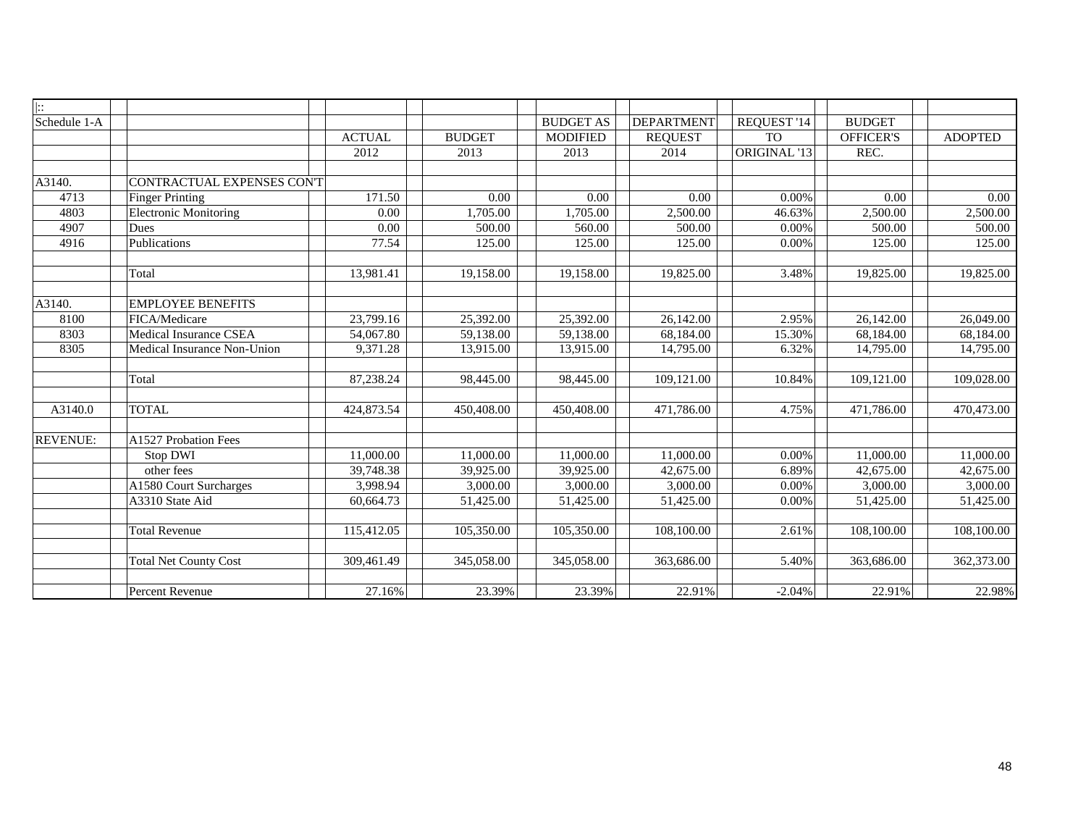| $\left  \cdot \right $ |                              |               |               |                  |                   |              |                  |                |
|------------------------|------------------------------|---------------|---------------|------------------|-------------------|--------------|------------------|----------------|
| Schedule 1-A           |                              |               |               | <b>BUDGET AS</b> | <b>DEPARTMENT</b> | REQUEST '14  | <b>BUDGET</b>    |                |
|                        |                              | <b>ACTUAL</b> | <b>BUDGET</b> | <b>MODIFIED</b>  | <b>REQUEST</b>    | <b>TO</b>    | <b>OFFICER'S</b> | <b>ADOPTED</b> |
|                        |                              | 2012          | 2013          | 2013             | 2014              | ORIGINAL '13 | REC.             |                |
|                        |                              |               |               |                  |                   |              |                  |                |
| A3140.                 | CONTRACTUAL EXPENSES CON'T   |               |               |                  |                   |              |                  |                |
| 4713                   | <b>Finger Printing</b>       | 171.50        | 0.00          | 0.00             | 0.00              | 0.00%        | 0.00             | 0.00           |
| 4803                   | <b>Electronic Monitoring</b> | 0.00          | 1,705.00      | 1,705.00         | 2,500.00          | 46.63%       | 2,500.00         | 2,500.00       |
| 4907                   | Dues                         | 0.00          | 500.00        | 560.00           | 500.00            | 0.00%        | 500.00           | 500.00         |
| 4916                   | Publications                 | 77.54         | 125.00        | 125.00           | 125.00            | 0.00%        | 125.00           | 125.00         |
|                        |                              |               |               |                  |                   |              |                  |                |
|                        | Total                        | 13,981.41     | 19,158.00     | 19,158.00        | 19,825.00         | 3.48%        | 19,825.00        | 19,825.00      |
|                        |                              |               |               |                  |                   |              |                  |                |
| A3140.                 | <b>EMPLOYEE BENEFITS</b>     |               |               |                  |                   |              |                  |                |
| 8100                   | FICA/Medicare                | 23,799.16     | 25,392.00     | 25,392.00        | 26,142.00         | 2.95%        | 26,142.00        | 26,049.00      |
| 8303                   | Medical Insurance CSEA       | 54,067.80     | 59,138.00     | 59,138.00        | 68,184.00         | 15.30%       | 68,184.00        | 68,184.00      |
| 8305                   | Medical Insurance Non-Union  | 9.371.28      | 13,915.00     | 13,915.00        | 14,795.00         | 6.32%        | 14,795.00        | 14,795.00      |
|                        |                              |               |               |                  |                   |              |                  |                |
|                        | Total                        | 87,238.24     | 98,445.00     | 98,445.00        | 109,121.00        | 10.84%       | 109,121.00       | 109,028.00     |
|                        |                              |               |               |                  |                   |              |                  |                |
| A3140.0                | <b>TOTAL</b>                 | 424,873.54    | 450,408.00    | 450,408.00       | 471,786.00        | 4.75%        | 471,786.00       | 470,473.00     |
|                        |                              |               |               |                  |                   |              |                  |                |
| <b>REVENUE:</b>        | A1527 Probation Fees         |               |               |                  |                   |              |                  |                |
|                        | Stop DWI                     | 11,000.00     | 11,000.00     | 11,000.00        | 11,000.00         | 0.00%        | 11,000.00        | 11,000.00      |
|                        | other fees                   | 39,748.38     | 39.925.00     | 39,925.00        | 42,675.00         | 6.89%        | 42,675.00        | 42,675.00      |
|                        | A1580 Court Surcharges       | 3,998.94      | 3,000.00      | 3,000.00         | 3,000.00          | 0.00%        | 3,000.00         | 3,000.00       |
|                        | A3310 State Aid              | 60,664.73     | 51,425.00     | 51,425.00        | 51,425.00         | 0.00%        | 51,425.00        | 51,425.00      |
|                        |                              |               |               |                  |                   |              |                  |                |
|                        | <b>Total Revenue</b>         | 115,412.05    | 105.350.00    | 105,350.00       | 108,100.00        | 2.61%        | 108,100.00       | 108,100.00     |
|                        |                              |               |               |                  |                   |              |                  |                |
|                        | <b>Total Net County Cost</b> | 309,461.49    | 345,058.00    | 345,058.00       | 363,686.00        | 5.40%        | 363,686.00       | 362,373.00     |
|                        |                              |               |               |                  |                   |              |                  |                |
|                        | Percent Revenue              | 27.16%        | 23.39%        | 23.39%           | 22.91%            | $-2.04%$     | 22.91%           | 22.98%         |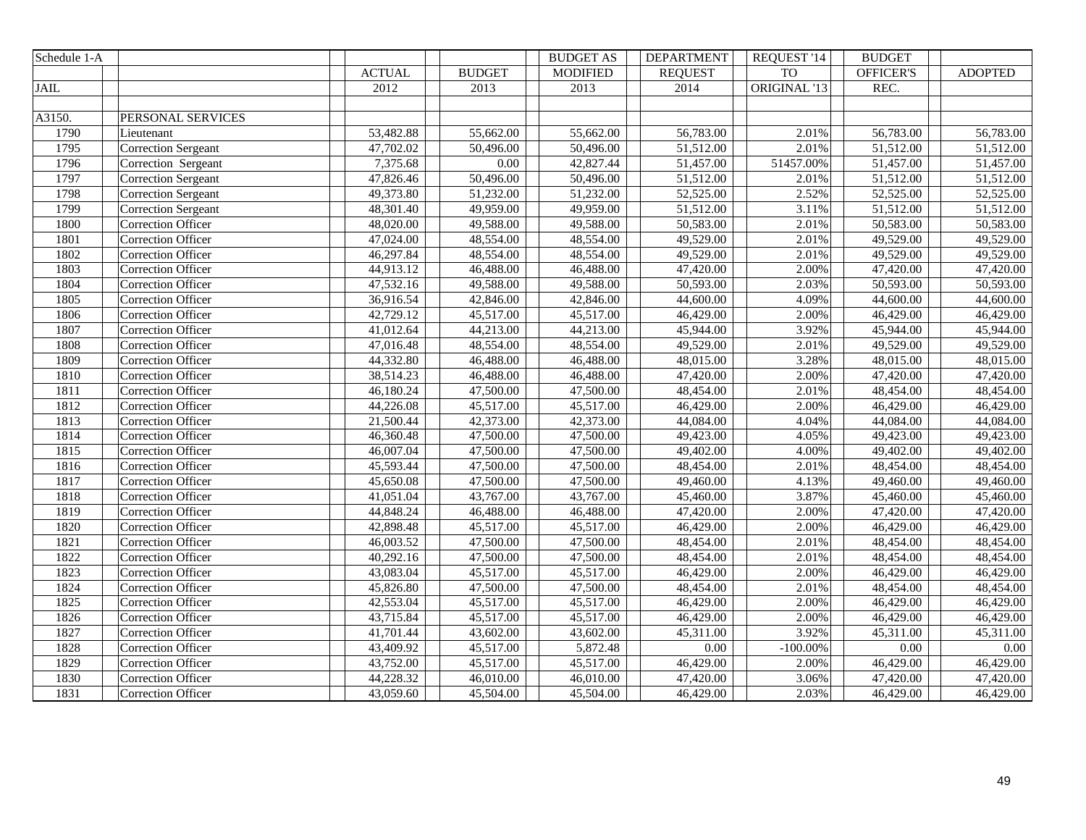| Schedule 1-A |                            |               |                        | <b>BUDGET AS</b> | <b>DEPARTMENT</b> | REQUEST '14  | <b>BUDGET</b>          |                |
|--------------|----------------------------|---------------|------------------------|------------------|-------------------|--------------|------------------------|----------------|
|              |                            | <b>ACTUAL</b> | <b>BUDGET</b>          | <b>MODIFIED</b>  | <b>REQUEST</b>    | <b>TO</b>    | <b>OFFICER'S</b>       | <b>ADOPTED</b> |
| <b>JAIL</b>  |                            | 2012          | 2013                   | 2013             | 2014              | ORIGINAL '13 | REC.                   |                |
|              |                            |               |                        |                  |                   |              |                        |                |
| A3150.       | PERSONAL SERVICES          |               |                        |                  |                   |              |                        |                |
| 1790         | Lieutenant                 | 53,482.88     | 55,662.00              | 55,662.00        | 56,783.00         | 2.01%        | 56,783.00              | 56,783.00      |
| 1795         | Correction Sergeant        | 47,702.02     | 50,496.00              | 50,496.00        | 51,512.00         | 2.01%        | 51,512.00              | 51,512.00      |
| 1796         | Correction Sergeant        | 7,375.68      | 0.00                   | 42,827.44        | 51,457.00         | 51457.00%    | 51,457.00              | 51,457.00      |
| 1797         | <b>Correction Sergeant</b> | 47,826.46     | 50,496.00              | 50,496.00        | 51,512.00         | 2.01%        | 51,512.00              | 51,512.00      |
| 1798         | <b>Correction Sergeant</b> | 49,373.80     | 51,232.00              | 51,232.00        | 52,525.00         | 2.52%        | 52,525.00              | 52,525.00      |
| 1799         | <b>Correction Sergeant</b> | 48,301.40     | 49,959.00              | 49,959.00        | 51,512.00         | 3.11%        | 51,512.00              | 51,512.00      |
| 1800         | <b>Correction Officer</b>  | 48,020.00     | 49,588.00              | 49,588.00        | 50,583.00         | 2.01%        | 50,583.00              | 50,583.00      |
| 1801         | <b>Correction Officer</b>  | 47,024.00     | 48,554.00              | 48,554.00        | 49,529.00         | 2.01%        | 49,529.00              | 49,529.00      |
| 1802         | Correction Officer         | 46,297.84     | 48,554.00              | 48,554.00        | 49,529.00         | 2.01%        | 49,529.00              | 49,529.00      |
| 1803         | Correction Officer         | 44,913.12     | 46,488.00              | 46,488.00        | 47,420.00         | 2.00%        | 47,420.00              | 47,420.00      |
| 1804         | <b>Correction Officer</b>  | 47,532.16     | 49,588.00              | 49,588.00        | 50,593.00         | 2.03%        | 50,593.00              | 50,593.00      |
| 1805         | <b>Correction Officer</b>  | 36,916.54     | 42,846.00              | 42,846.00        | 44,600.00         | 4.09%        | 44,600.00              | 44,600.00      |
| 1806         | Correction Officer         | 42,729.12     | $\overline{45,517.00}$ | 45,517.00        | 46,429.00         | 2.00%        | $\overline{46,429.00}$ | 46,429.00      |
| 1807         | <b>Correction Officer</b>  | 41,012.64     | 44,213.00              | 44,213.00        | 45,944.00         | 3.92%        | 45,944.00              | 45,944.00      |
| 1808         | Correction Officer         | 47,016.48     | 48,554.00              | 48,554.00        | 49,529.00         | 2.01%        | 49,529.00              | 49,529.00      |
| 1809         | Correction Officer         | 44,332.80     | 46,488.00              | 46,488.00        | 48,015.00         | 3.28%        | 48,015.00              | 48,015.00      |
| 1810         | Correction Officer         | 38,514.23     | 46,488.00              | 46,488.00        | 47,420.00         | 2.00%        | $\overline{47,420.00}$ | 47,420.00      |
| 1811         | <b>Correction Officer</b>  | 46,180.24     | 47,500.00              | 47,500.00        | 48,454.00         | 2.01%        | 48,454.00              | 48,454.00      |
| 1812         | <b>Correction Officer</b>  | 44,226.08     | 45,517.00              | 45,517.00        | 46,429.00         | 2.00%        | 46,429.00              | 46,429.00      |
| 1813         | Correction Officer         | 21,500.44     | 42,373.00              | 42,373.00        | 44,084.00         | 4.04%        | 44,084.00              | 44,084.00      |
| 1814         | Correction Officer         | 46,360.48     | 47,500.00              | 47,500.00        | 49,423.00         | 4.05%        | 49,423.00              | 49,423.00      |
| 1815         | <b>Correction Officer</b>  | 46,007.04     | 47,500.00              | 47,500.00        | 49,402.00         | 4.00%        | 49,402.00              | 49,402.00      |
| 1816         | <b>Correction Officer</b>  | 45,593.44     | 47,500.00              | 47,500.00        | 48,454.00         | 2.01%        | 48,454.00              | 48,454.00      |
| 1817         | Correction Officer         | 45,650.08     | 47,500.00              | 47,500.00        | 49,460.00         | 4.13%        | 49,460.00              | 49,460.00      |
| 1818         | <b>Correction Officer</b>  | 41,051.04     | 43,767.00              | 43,767.00        | 45,460.00         | 3.87%        | 45,460.00              | 45,460.00      |
| 1819         | Correction Officer         | 44,848.24     | 46,488.00              | 46,488.00        | 47,420.00         | 2.00%        | 47,420.00              | 47,420.00      |
| 1820         | <b>Correction Officer</b>  | 42,898.48     | 45,517.00              | 45,517.00        | 46,429.00         | 2.00%        | 46,429.00              | 46,429.00      |
| 1821         | Correction Officer         | 46,003.52     | 47,500.00              | 47,500.00        | 48,454.00         | 2.01%        | 48,454.00              | 48,454.00      |
| 1822         | <b>Correction Officer</b>  | 40,292.16     | 47,500.00              | 47,500.00        | 48,454.00         | 2.01%        | 48,454.00              | 48,454.00      |
| 1823         | Correction Officer         | 43,083.04     | 45,517.00              | 45,517.00        | 46,429.00         | 2.00%        | 46,429.00              | 46,429.00      |
| 1824         | Correction Officer         | 45,826.80     | 47,500.00              | 47,500.00        | 48,454.00         | 2.01%        | 48,454.00              | 48,454.00      |
| 1825         | Correction Officer         | 42,553.04     | 45,517.00              | 45,517.00        | 46,429.00         | 2.00%        | 46,429.00              | 46,429.00      |
| 1826         | <b>Correction Officer</b>  | 43,715.84     | 45,517.00              | 45,517.00        | 46,429.00         | 2.00%        | 46,429.00              | 46,429.00      |
| 1827         | Correction Officer         | 41,701.44     | 43,602.00              | 43,602.00        | 45,311.00         | 3.92%        | 45,311.00              | 45,311.00      |
| 1828         | Correction Officer         | 43,409.92     | 45,517.00              | 5,872.48         | $0.00\,$          | $-100.00\%$  | 0.00                   | 0.00           |
| 1829         | Correction Officer         | 43,752.00     | 45,517.00              | 45,517.00        | 46,429.00         | 2.00%        | 46,429.00              | 46,429.00      |
| 1830         | <b>Correction Officer</b>  | 44,228.32     | 46,010.00              | 46,010.00        | 47,420.00         | 3.06%        | 47,420.00              | 47,420.00      |
| 1831         | <b>Correction Officer</b>  | 43,059.60     | 45,504.00              | 45,504.00        | 46,429.00         | 2.03%        | 46,429.00              | 46,429.00      |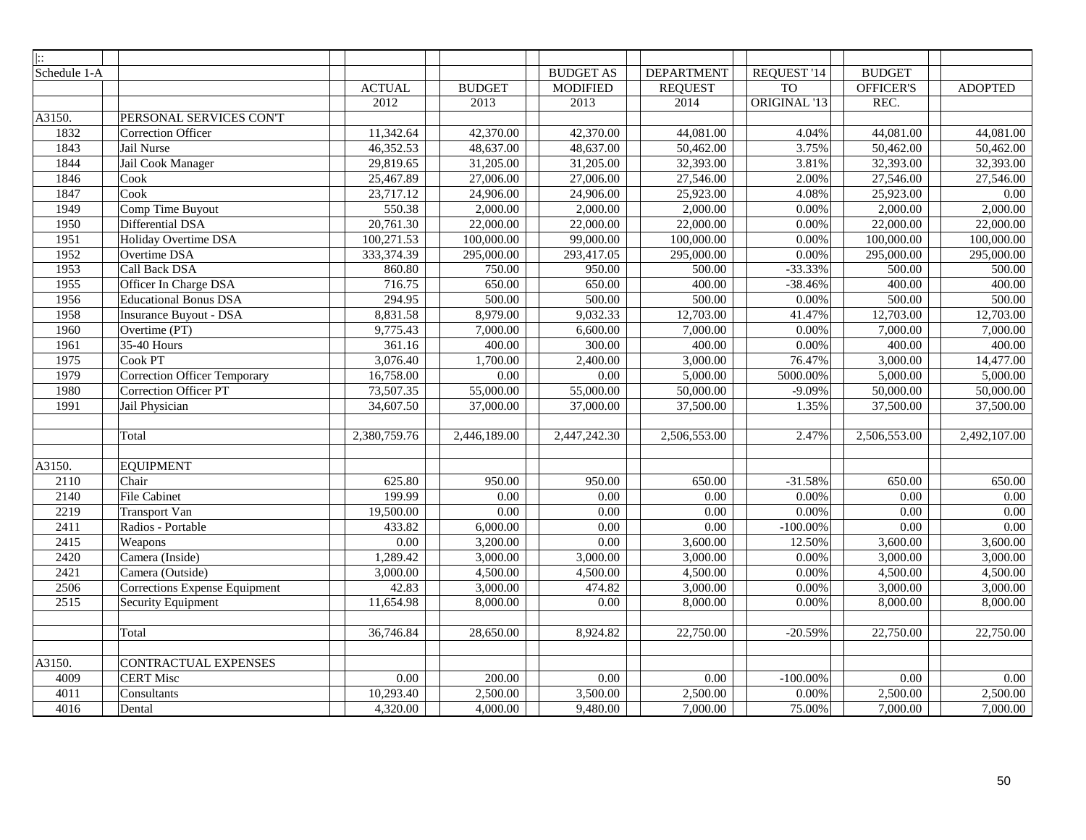| $\overline{\mathbb{R}}$ |                               |               |                   |                  |                |              |               |                   |
|-------------------------|-------------------------------|---------------|-------------------|------------------|----------------|--------------|---------------|-------------------|
| Schedule 1-A            |                               |               |                   | <b>BUDGET AS</b> | DEPARTMENT     | REQUEST '14  | <b>BUDGET</b> |                   |
|                         |                               | <b>ACTUAL</b> | <b>BUDGET</b>     | <b>MODIFIED</b>  | <b>REQUEST</b> | <b>TO</b>    | OFFICER'S     | <b>ADOPTED</b>    |
|                         |                               | 2012          | 2013              | 2013             | 2014           | ORIGINAL '13 | REC.          |                   |
| A3150.                  | PERSONAL SERVICES CON'T       |               |                   |                  |                |              |               |                   |
| 1832                    | <b>Correction Officer</b>     | 11,342.64     | 42,370.00         | 42,370.00        | 44,081.00      | 4.04%        | 44,081.00     | 44,081.00         |
| 1843                    | Jail Nurse                    | 46,352.53     | 48,637.00         | 48,637.00        | 50,462.00      | 3.75%        | 50,462.00     | 50,462.00         |
| 1844                    | Jail Cook Manager             | 29,819.65     | 31,205.00         | 31,205.00        | 32,393.00      | 3.81%        | 32,393.00     | 32,393.00         |
| 1846                    | Cook                          | 25,467.89     | 27,006.00         | 27,006.00        | 27,546.00      | 2.00%        | 27,546.00     | 27,546.00         |
| 1847                    | Cook                          | 23,717.12     | 24,906.00         | 24,906.00        | 25,923.00      | 4.08%        | 25,923.00     | 0.00              |
| 1949                    | Comp Time Buyout              | 550.38        | 2,000.00          | 2,000.00         | 2,000.00       | 0.00%        | 2,000.00      | 2,000.00          |
| 1950                    | Differential DSA              | 20,761.30     | 22,000.00         | 22,000.00        | 22,000.00      | 0.00%        | 22,000.00     | 22,000.00         |
| 1951                    | Holiday Overtime DSA          | 100,271.53    | 100,000.00        | 99,000.00        | 100,000.00     | 0.00%        | 100,000.00    | 100,000.00        |
| 1952                    | Overtime DSA                  | 333, 374. 39  | 295,000.00        | 293,417.05       | 295,000.00     | 0.00%        | 295,000.00    | 295,000.00        |
| 1953                    | Call Back DSA                 | 860.80        | 750.00            | 950.00           | 500.00         | $-33.33%$    | 500.00        | 500.00            |
| 1955                    | Officer In Charge DSA         | 716.75        | 650.00            | 650.00           | 400.00         | $-38.46%$    | 400.00        | 400.00            |
| 1956                    | <b>Educational Bonus DSA</b>  | 294.95        | 500.00            | 500.00           | 500.00         | 0.00%        | 500.00        | 500.00            |
| 1958                    | Insurance Buyout - DSA        | 8,831.58      | 8,979.00          | 9,032.33         | 12,703.00      | 41.47%       | 12,703.00     | 12,703.00         |
| 1960                    | Overtime (PT)                 | 9,775.43      | 7,000.00          | 6,600.00         | 7,000.00       | 0.00%        | 7,000.00      | 7,000.00          |
| 1961                    | <b>35-40 Hours</b>            | 361.16        | 400.00            | 300.00           | 400.00         | 0.00%        | 400.00        | 400.00            |
| 1975                    | Cook PT                       | 3,076.40      | 1,700.00          | 2,400.00         | 3,000.00       | 76.47%       | 3,000.00      | 14,477.00         |
| 1979                    | Correction Officer Temporary  | 16,758.00     | $\overline{0.00}$ | 0.00             | 5,000.00       | 5000.00%     | 5,000.00      | 5,000.00          |
| 1980                    | Correction Officer PT         | 73,507.35     | 55,000.00         | 55,000.00        | 50,000.00      | $-9.09%$     | 50,000.00     | 50,000.00         |
| 1991                    | Jail Physician                | 34,607.50     | 37,000.00         | 37,000.00        | 37,500.00      | 1.35%        | 37,500.00     | 37,500.00         |
|                         |                               |               |                   |                  |                |              |               |                   |
|                         | Total                         | 2,380,759.76  | 2,446,189.00      | 2,447,242.30     | 2,506,553.00   | 2.47%        | 2,506,553.00  | 2,492,107.00      |
|                         |                               |               |                   |                  |                |              |               |                   |
| A3150.                  | <b>EQUIPMENT</b>              |               |                   |                  |                |              |               |                   |
| 2110                    | Chair                         | 625.80        | 950.00            | 950.00           | 650.00         | $-31.58%$    | 650.00        | 650.00            |
| 2140                    | <b>File Cabinet</b>           | 199.99        | 0.00              | 0.00             | 0.00           | 0.00%        | 0.00          | $0.00\,$          |
| 2219                    | Transport Van                 | 19,500.00     | 0.00              | 0.00             | 0.00           | 0.00%        | 0.00          | $\overline{0.00}$ |
| 2411                    | Radios - Portable             | 433.82        | 6,000.00          | 0.00             | 0.00           | $-100.00\%$  | 0.00          | 0.00              |
| 2415                    | Weapons                       | 0.00          | 3,200.00          | 0.00             | 3,600.00       | 12.50%       | 3,600.00      | 3,600.00          |
| 2420                    | Camera (Inside)               | 1,289.42      | 3,000.00          | 3,000.00         | 3,000.00       | 0.00%        | 3,000.00      | 3,000.00          |
| 2421                    | Camera (Outside)              | 3,000.00      | 4,500.00          | 4,500.00         | 4,500.00       | 0.00%        | 4,500.00      | 4,500.00          |
| 2506                    | Corrections Expense Equipment | 42.83         | 3,000.00          | 474.82           | 3,000.00       | 0.00%        | 3,000.00      | 3,000.00          |
| 2515                    | <b>Security Equipment</b>     | 11,654.98     | 8,000.00          | 0.00             | 8,000.00       | 0.00%        | 8,000.00      | 8,000.00          |
|                         |                               |               |                   |                  |                |              |               |                   |
|                         | Total                         | 36,746.84     | 28,650.00         | 8,924.82         | 22,750.00      | $-20.59%$    | 22,750.00     | 22,750.00         |
|                         |                               |               |                   |                  |                |              |               |                   |
| A3150.                  | <b>CONTRACTUAL EXPENSES</b>   |               |                   |                  |                |              |               |                   |
| 4009                    | <b>CERT Misc</b>              | 0.00          | 200.00            | 0.00             | 0.00           | $-100.00\%$  | 0.00          | 0.00              |
| 4011                    | Consultants                   | 10,293.40     | 2,500.00          | 3,500.00         | 2,500.00       | 0.00%        | 2,500.00      | 2,500.00          |
| 4016                    | Dental                        | 4,320.00      | 4,000.00          | 9,480.00         | 7,000.00       | 75.00%       | 7,000.00      | 7,000.00          |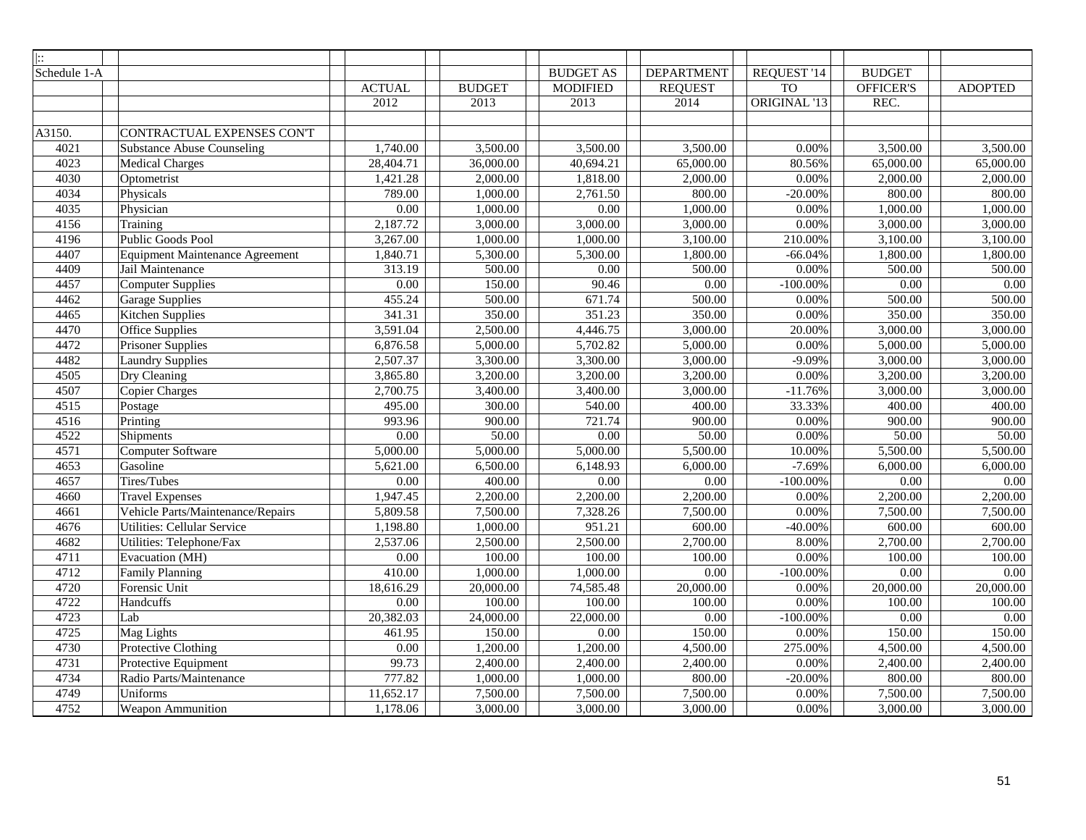| $\overline{\mathbb{R}}$ |                                        |               |               |                   |                   |                         |                   |                     |
|-------------------------|----------------------------------------|---------------|---------------|-------------------|-------------------|-------------------------|-------------------|---------------------|
| Schedule 1-A            |                                        |               |               | <b>BUDGET AS</b>  | <b>DEPARTMENT</b> | REQUEST '14             | <b>BUDGET</b>     |                     |
|                         |                                        | <b>ACTUAL</b> | <b>BUDGET</b> | <b>MODIFIED</b>   | <b>REQUEST</b>    | <b>TO</b>               | OFFICER'S         | <b>ADOPTED</b>      |
|                         |                                        | 2012          | 2013          | 2013              | 2014              | ORIGINAL <sup>'13</sup> | REC.              |                     |
|                         |                                        |               |               |                   |                   |                         |                   |                     |
| A3150.                  | CONTRACTUAL EXPENSES CON'T             |               |               |                   |                   |                         |                   |                     |
| 4021                    | <b>Substance Abuse Counseling</b>      | 1,740.00      | 3,500.00      | 3,500.00          | 3,500.00          | 0.00%                   | 3,500.00          | 3,500.00            |
| 4023                    | <b>Medical Charges</b>                 | 28,404.71     | 36,000.00     | 40,694.21         | 65,000.00         | 80.56%                  | 65,000.00         | 65,000.00           |
| 4030                    | Optometrist                            | 1,421.28      | 2,000.00      | 1,818.00          | 2,000.00          | 0.00%                   | 2,000.00          | 2,000.00            |
| 4034                    | Physicals                              | 789.00        | 1,000.00      | 2,761.50          | 800.00            | $-20.00\%$              | 800.00            | 800.00              |
| 4035                    | Physician                              | 0.00          | 1,000.00      | $\overline{0.00}$ | 1,000.00          | 0.00%                   | 1,000.00          | 1,000.00            |
| 4156                    | Training                               | 2,187.72      | 3,000.00      | 3,000.00          | 3,000.00          | 0.00%                   | 3,000.00          | 3,000.00            |
| 4196                    | Public Goods Pool                      | 3,267.00      | 1,000.00      | 1,000.00          | 3,100.00          | 210.00%                 | 3,100.00          | 3,100.00            |
| 4407                    | <b>Equipment Maintenance Agreement</b> | 1,840.71      | 5,300.00      | 5,300.00          | 1,800.00          | $-66.04%$               | 1,800.00          | 1,800.00            |
| 4409                    | Jail Maintenance                       | 313.19        | 500.00        | 0.00              | 500.00            | 0.00%                   | 500.00            | 500.00              |
| 4457                    | Computer Supplies                      | 0.00          | 150.00        | 90.46             | 0.00              | $-100.00\%$             | 0.00              | 0.00                |
| 4462                    | <b>Garage Supplies</b>                 | 455.24        | 500.00        | 671.74            | 500.00            | 0.00%                   | 500.00            | 500.00              |
| 4465                    | <b>Kitchen Supplies</b>                | 341.31        | 350.00        | 351.23            | 350.00            | 0.00%                   | 350.00            | 350.00              |
| 4470                    | <b>Office Supplies</b>                 | 3,591.04      | 2,500.00      | 4,446.75          | 3,000.00          | 20.00%                  | 3,000.00          | 3,000.00            |
| 4472                    | <b>Prisoner Supplies</b>               | 6,876.58      | 5,000.00      | 5,702.82          | 5,000.00          | 0.00%                   | 5,000.00          | 5,000.00            |
| 4482                    | Laundry Supplies                       | 2,507.37      | 3,300.00      | 3,300.00          | 3,000.00          | $-9.09%$                | 3,000.00          | 3,000.00            |
| 4505                    | Dry Cleaning                           | 3,865.80      | 3,200.00      | 3,200.00          | 3,200.00          | 0.00%                   | 3,200.00          | 3,200.00            |
| 4507                    | <b>Copier Charges</b>                  | 2,700.75      | 3,400.00      | 3,400.00          | 3,000.00          | $-11.76%$               | 3,000.00          | 3,000.00            |
| 4515                    | Postage                                | 495.00        | 300.00        | 540.00            | 400.00            | 33.33%                  | 400.00            | $\overline{400.00}$ |
| 4516                    | Printing                               | 993.96        | 900.00        | 721.74            | 900.00            | 0.00%                   | 900.00            | 900.00              |
| 4522                    | <b>Shipments</b>                       | 0.00          | 50.00         | 0.00              | 50.00             | 0.00%                   | 50.00             | 50.00               |
| 4571                    | Computer Software                      | 5,000.00      | 5,000.00      | 5,000.00          | 5,500.00          | 10.00%                  | 5,500.00          | 5,500.00            |
| 4653                    | Gasoline                               | 5,621.00      | 6,500.00      | 6,148.93          | 6,000.00          | $-7.69%$                | 6,000.00          | 6,000.00            |
| 4657                    | Tires/Tubes                            | 0.00          | 400.00        | 0.00              | 0.00              | $-100.00\%$             | 0.00              | 0.00                |
| 4660                    | <b>Travel Expenses</b>                 | 1,947.45      | 2,200.00      | 2,200.00          | 2,200.00          | 0.00%                   | 2,200.00          | 2,200.00            |
| 4661                    | Vehicle Parts/Maintenance/Repairs      | 5,809.58      | 7,500.00      | 7,328.26          | 7,500.00          | 0.00%                   | 7,500.00          | 7,500.00            |
| 4676                    | Utilities: Cellular Service            | 1,198.80      | 1,000.00      | 951.21            | 600.00            | $-40.00\%$              | 600.00            | 600.00              |
| 4682                    | Utilities: Telephone/Fax               | 2,537.06      | 2,500.00      | 2,500.00          | 2,700.00          | 8.00%                   | 2,700.00          | 2,700.00            |
| 4711                    | Evacuation (MH)                        | 0.00          | 100.00        | 100.00            | 100.00            | 0.00%                   | 100.00            | 100.00              |
| 4712                    | <b>Family Planning</b>                 | 410.00        | 1,000.00      | 1,000.00          | 0.00              | $-100.00\%$             | 0.00              | 0.00                |
| 4720                    | Forensic Unit                          | 18,616.29     | 20,000.00     | 74,585.48         | 20,000.00         | 0.00%                   | 20,000.00         | 20,000.00           |
| 4722                    | Handcuffs                              | 0.00          | 100.00        | 100.00            | 100.00            | 0.00%                   | 100.00            | 100.00              |
| 4723                    | Lab                                    | 20,382.03     | 24,000.00     | 22,000.00         | 0.00              | $-100.00\%$             | $\overline{0.00}$ | 0.00                |
| 4725                    | Mag Lights                             | 461.95        | 150.00        | 0.00              | 150.00            | 0.00%                   | 150.00            | 150.00              |
| 4730                    | Protective Clothing                    | 0.00          | 1,200.00      | 1,200.00          | 4,500.00          | 275.00%                 | 4,500.00          | 4,500.00            |
| 4731                    | Protective Equipment                   | 99.73         | 2,400.00      | 2,400.00          | 2,400.00          | 0.00%                   | 2,400.00          | 2,400.00            |
| 4734                    | Radio Parts/Maintenance                | 777.82        | 1,000.00      | 1,000.00          | 800.00            | $-20.00%$               | 800.00            | 800.00              |
| 4749                    | Uniforms                               | 11,652.17     | 7,500.00      | 7,500.00          | 7,500.00          | 0.00%                   | 7,500.00          | 7,500.00            |
| 4752                    | Weapon Ammunition                      | 1,178.06      | 3,000.00      | 3,000.00          | 3,000.00          | 0.00%                   | 3,000.00          | 3,000.00            |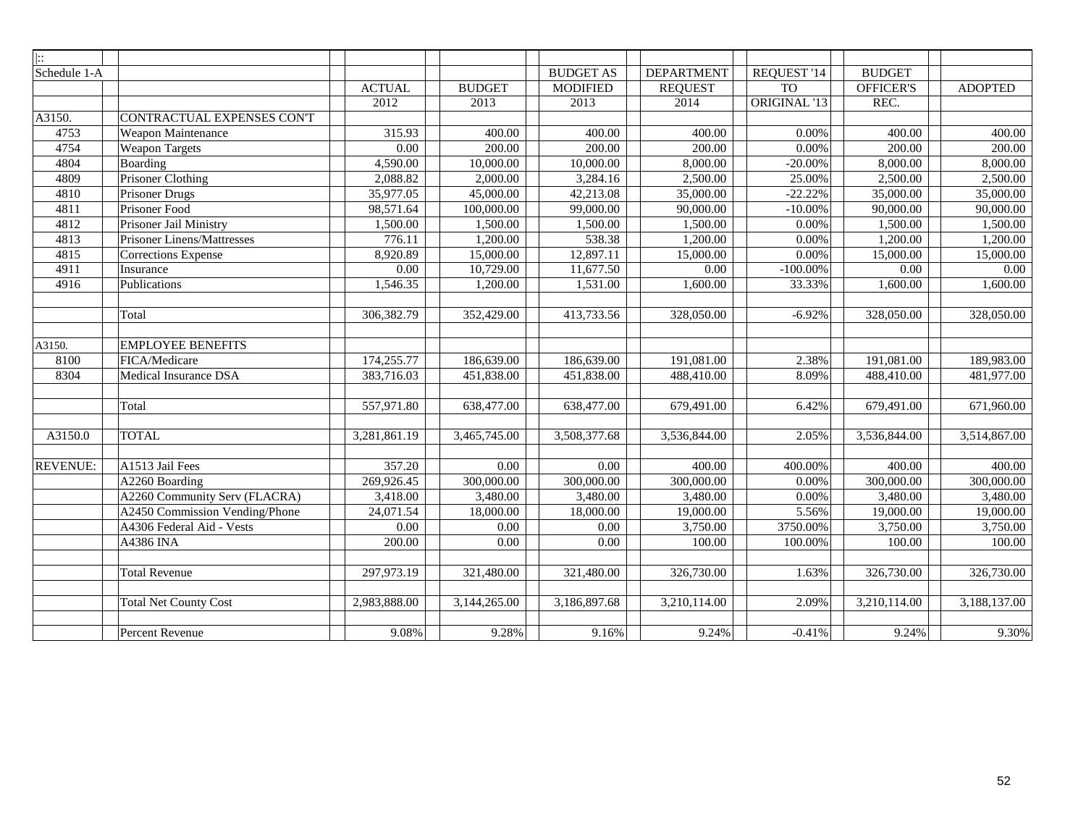| $\mathbb{R}$    |                                   |               |               |                  |                   |              |                  |                |
|-----------------|-----------------------------------|---------------|---------------|------------------|-------------------|--------------|------------------|----------------|
| Schedule 1-A    |                                   |               |               | <b>BUDGET AS</b> | <b>DEPARTMENT</b> | REQUEST '14  | <b>BUDGET</b>    |                |
|                 |                                   | <b>ACTUAL</b> | <b>BUDGET</b> | <b>MODIFIED</b>  | <b>REQUEST</b>    | <b>TO</b>    | <b>OFFICER'S</b> | <b>ADOPTED</b> |
|                 |                                   | 2012          | 2013          | 2013             | 2014              | ORIGINAL '13 | REC.             |                |
| A3150.          | CONTRACTUAL EXPENSES CON'T        |               |               |                  |                   |              |                  |                |
| 4753            | Weapon Maintenance                | 315.93        | 400.00        | 400.00           | 400.00            | 0.00%        | 400.00           | 400.00         |
| 4754            | <b>Weapon Targets</b>             | 0.00          | 200.00        | 200.00           | 200.00            | 0.00%        | 200.00           | 200.00         |
| 4804            | Boarding                          | 4,590.00      | 10,000.00     | 10,000.00        | 8,000.00          | $-20.00\%$   | 8,000.00         | 8,000.00       |
| 4809            | Prisoner Clothing                 | 2,088.82      | 2,000.00      | 3,284.16         | 2,500.00          | 25.00%       | 2,500.00         | 2,500.00       |
| 4810            | Prisoner Drugs                    | 35,977.05     | 45,000.00     | 42,213.08        | 35,000.00         | $-22.22%$    | 35,000.00        | 35,000.00      |
| 4811            | Prisoner Food                     | 98,571.64     | 100,000.00    | 99,000.00        | 90,000.00         | $-10.00\%$   | 90,000.00        | 90,000.00      |
| 4812            | Prisoner Jail Ministry            | 1,500.00      | 1,500.00      | 1,500.00         | 1,500.00          | 0.00%        | 1,500.00         | 1,500.00       |
| 4813            | <b>Prisoner Linens/Mattresses</b> | 776.11        | 1,200.00      | 538.38           | 1,200.00          | $0.00\%$     | 1,200.00         | 1,200.00       |
| 4815            | <b>Corrections Expense</b>        | 8,920.89      | 15,000.00     | 12,897.11        | 15,000.00         | 0.00%        | 15,000.00        | 15,000.00      |
| 4911            | Insurance                         | 0.00          | 10,729.00     | 11,677.50        | 0.00              | $-100.00\%$  | $0.00\,$         | 0.00           |
| 4916            | Publications                      | 1,546.35      | 1,200.00      | 1,531.00         | 1,600.00          | 33.33%       | 1,600.00         | 1,600.00       |
|                 |                                   |               |               |                  |                   |              |                  |                |
|                 | Total                             | 306,382.79    | 352,429.00    | 413,733.56       | 328,050.00        | $-6.92%$     | 328,050.00       | 328,050.00     |
|                 |                                   |               |               |                  |                   |              |                  |                |
| A3150.          | <b>EMPLOYEE BENEFITS</b>          |               |               |                  |                   |              |                  |                |
| 8100            | FICA/Medicare                     | 174,255.77    | 186,639.00    | 186,639.00       | 191,081.00        | 2.38%        | 191,081.00       | 189,983.00     |
| 8304            | Medical Insurance DSA             | 383,716.03    | 451,838.00    | 451,838.00       | 488,410.00        | 8.09%        | 488,410.00       | 481,977.00     |
|                 |                                   |               |               |                  |                   |              |                  |                |
|                 | Total                             | 557,971.80    | 638,477.00    | 638,477.00       | 679,491.00        | 6.42%        | 679,491.00       | 671,960.00     |
|                 |                                   |               |               |                  |                   |              |                  |                |
| A3150.0         | <b>TOTAL</b>                      | 3,281,861.19  | 3,465,745.00  | 3,508,377.68     | 3,536,844.00      | 2.05%        | 3,536,844.00     | 3,514,867.00   |
|                 |                                   |               |               |                  |                   |              |                  |                |
| <b>REVENUE:</b> | A1513 Jail Fees                   | 357.20        | 0.00          | 0.00             | 400.00            | 400.00%      | 400.00           | 400.00         |
|                 | $\overline{A2260}$ Boarding       | 269,926.45    | 300,000.00    | 300,000.00       | 300,000.00        | 0.00%        | 300,000.00       | 300,000.00     |
|                 | A2260 Community Serv (FLACRA)     | 3,418.00      | 3,480.00      | 3,480.00         | 3,480.00          | 0.00%        | 3,480.00         | 3,480.00       |
|                 | A2450 Commission Vending/Phone    | 24,071.54     | 18,000.00     | 18,000.00        | 19,000.00         | 5.56%        | 19,000.00        | 19,000.00      |
|                 | A4306 Federal Aid - Vests         | 0.00          | 0.00          | 0.00             | 3,750.00          | 3750.00%     | 3,750.00         | 3,750.00       |
|                 | A4386 INA                         | 200.00        | 0.00          | 0.00             | 100.00            | 100.00%      | 100.00           | 100.00         |
|                 |                                   |               |               |                  |                   |              |                  |                |
|                 | <b>Total Revenue</b>              | 297,973.19    | 321,480.00    | 321,480.00       | 326,730.00        | 1.63%        | 326,730.00       | 326,730.00     |
|                 |                                   |               |               |                  |                   |              |                  |                |
|                 | <b>Total Net County Cost</b>      | 2,983,888.00  | 3,144,265.00  | 3,186,897.68     | 3,210,114.00      | 2.09%        | 3,210,114.00     | 3,188,137.00   |
|                 |                                   |               |               |                  |                   |              |                  |                |
|                 | Percent Revenue                   | 9.08%         | 9.28%         | 9.16%            | 9.24%             | $-0.41%$     | 9.24%            | 9.30%          |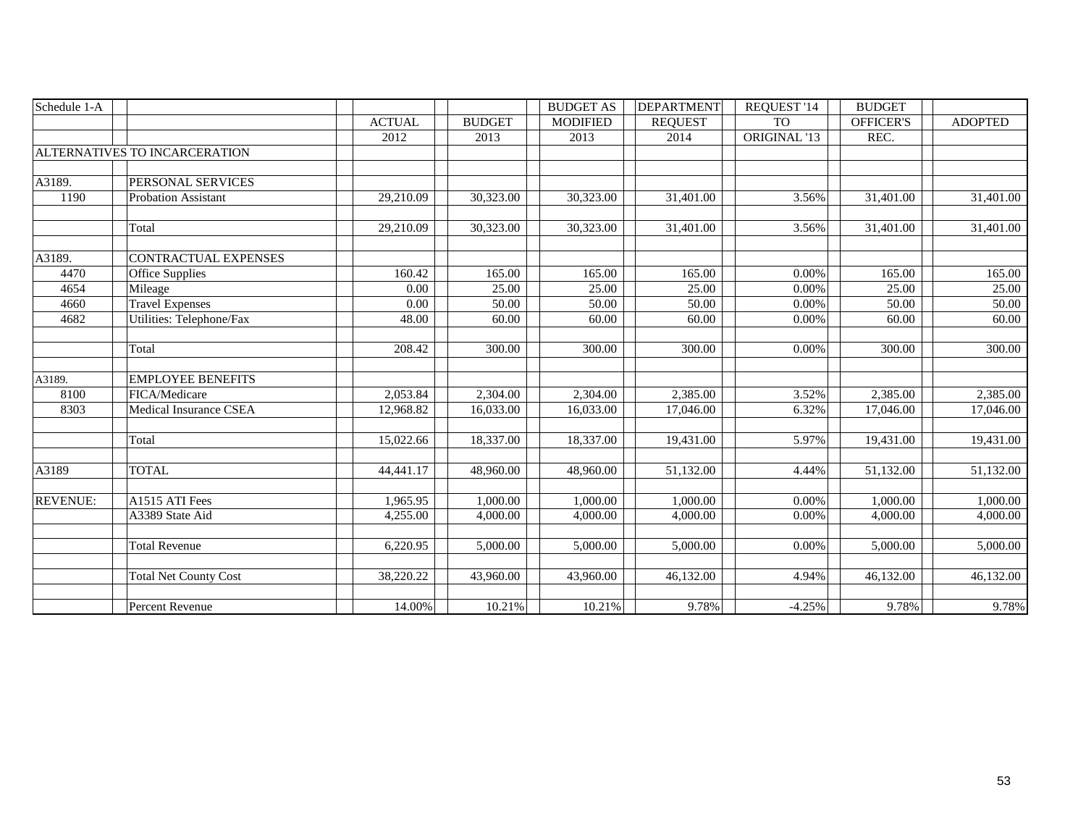| Schedule 1-A    |                               |               |               | <b>BUDGET AS</b> | <b>DEPARTMENT</b> | <b>REOUEST '14</b> | <b>BUDGET</b> |                |
|-----------------|-------------------------------|---------------|---------------|------------------|-------------------|--------------------|---------------|----------------|
|                 |                               | <b>ACTUAL</b> | <b>BUDGET</b> | <b>MODIFIED</b>  | <b>REOUEST</b>    | <b>TO</b>          | OFFICER'S     | <b>ADOPTED</b> |
|                 |                               | 2012          | 2013          | 2013             | 2014              | ORIGINAL '13       | REC.          |                |
|                 | ALTERNATIVES TO INCARCERATION |               |               |                  |                   |                    |               |                |
|                 |                               |               |               |                  |                   |                    |               |                |
| A3189.          | PERSONAL SERVICES             |               |               |                  |                   |                    |               |                |
| 1190            | <b>Probation Assistant</b>    | 29,210.09     | 30,323.00     | 30,323.00        | 31,401.00         | 3.56%              | 31,401.00     | 31,401.00      |
|                 |                               |               |               |                  |                   |                    |               |                |
|                 | Total                         | 29,210.09     | 30,323.00     | 30,323.00        | 31,401.00         | 3.56%              | 31,401.00     | 31,401.00      |
|                 |                               |               |               |                  |                   |                    |               |                |
| A3189.          | CONTRACTUAL EXPENSES          |               |               |                  |                   |                    |               |                |
| 4470            | Office Supplies               | 160.42        | 165.00        | 165.00           | 165.00            | 0.00%              | 165.00        | 165.00         |
| 4654            | Mileage                       | 0.00          | 25.00         | 25.00            | 25.00             | 0.00%              | 25.00         | 25.00          |
| 4660            | <b>Travel Expenses</b>        | 0.00          | 50.00         | 50.00            | 50.00             | 0.00%              | 50.00         | 50.00          |
| 4682            | Utilities: Telephone/Fax      | 48.00         | 60.00         | 60.00            | 60.00             | 0.00%              | 60.00         | 60.00          |
|                 |                               |               |               |                  |                   |                    |               |                |
|                 | Total                         | 208.42        | 300.00        | 300.00           | 300.00            | 0.00%              | 300.00        | 300.00         |
|                 |                               |               |               |                  |                   |                    |               |                |
| A3189.          | <b>EMPLOYEE BENEFITS</b>      |               |               |                  |                   |                    |               |                |
| 8100            | FICA/Medicare                 | 2,053.84      | 2,304.00      | 2,304.00         | 2,385.00          | 3.52%              | 2,385.00      | 2,385.00       |
| 8303            | Medical Insurance CSEA        | 12,968.82     | 16,033.00     | 16,033.00        | 17,046.00         | 6.32%              | 17,046.00     | 17,046.00      |
|                 |                               |               |               |                  |                   |                    |               |                |
|                 | Total                         | 15,022.66     | 18,337.00     | 18,337.00        | 19,431.00         | 5.97%              | 19,431.00     | 19,431.00      |
| A3189           | <b>TOTAL</b>                  |               | 48,960.00     | 48,960.00        | 51,132.00         | 4.44%              | 51,132.00     |                |
|                 |                               | 44,441.17     |               |                  |                   |                    |               | 51,132.00      |
| <b>REVENUE:</b> | A1515 ATI Fees                | 1,965.95      | 1,000.00      | 1,000.00         | 1,000.00          | 0.00%              | 1,000.00      | 1,000.00       |
|                 | A3389 State Aid               | 4,255.00      | 4,000.00      | 4,000.00         | 4,000.00          | 0.00%              | 4,000.00      | 4,000.00       |
|                 |                               |               |               |                  |                   |                    |               |                |
|                 | <b>Total Revenue</b>          | 6,220.95      | 5,000.00      | 5,000.00         | 5,000.00          | 0.00%              | 5,000.00      | 5,000.00       |
|                 |                               |               |               |                  |                   |                    |               |                |
|                 | <b>Total Net County Cost</b>  | 38,220.22     | 43,960.00     | 43,960.00        | 46,132.00         | 4.94%              | 46,132.00     | 46,132.00      |
|                 |                               |               |               |                  |                   |                    |               |                |
|                 | Percent Revenue               | 14.00%        | 10.21%        | 10.21%           | 9.78%             | $-4.25%$           | 9.78%         | 9.78%          |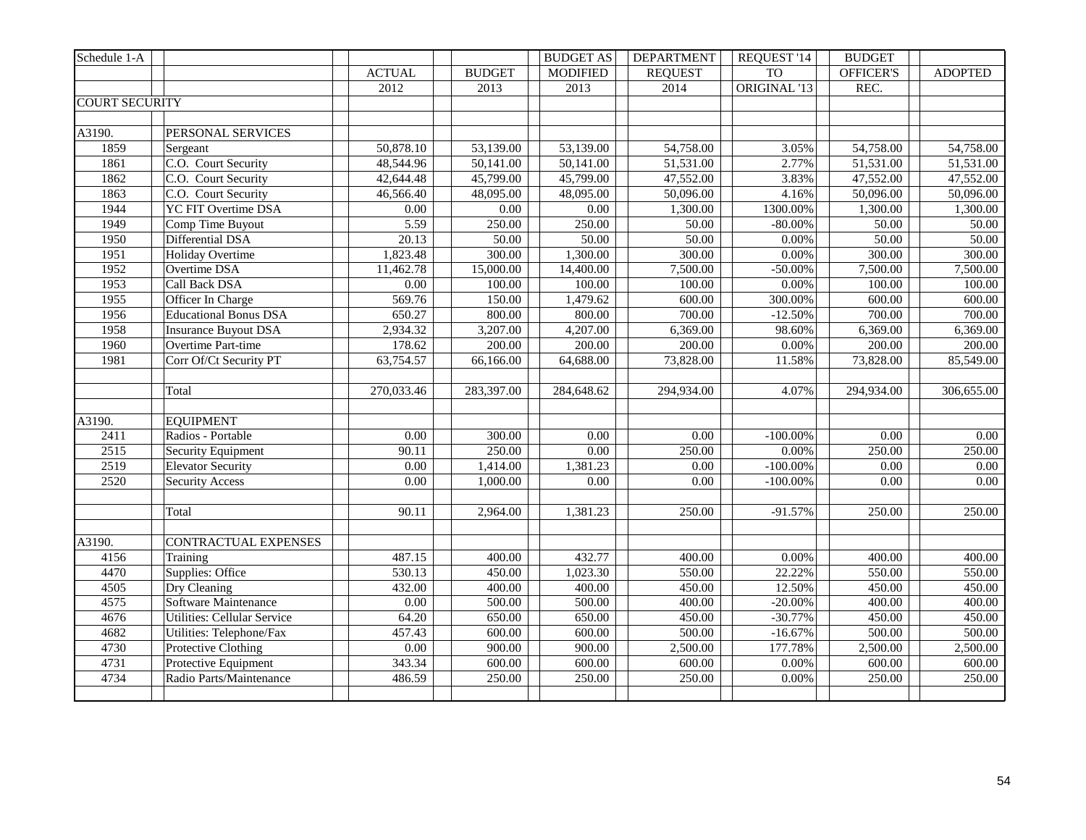| Schedule 1-A          |                                    |               |                    | <b>BUDGET AS</b>  | <b>DEPARTMENT</b> | REQUEST '14  | <b>BUDGET</b> |                |
|-----------------------|------------------------------------|---------------|--------------------|-------------------|-------------------|--------------|---------------|----------------|
|                       |                                    | <b>ACTUAL</b> | <b>BUDGET</b>      | <b>MODIFIED</b>   | <b>REQUEST</b>    | <b>TO</b>    | OFFICER'S     | <b>ADOPTED</b> |
|                       |                                    | 2012          | 2013               | 2013              | 2014              | ORIGINAL '13 | REC.          |                |
| <b>COURT SECURITY</b> |                                    |               |                    |                   |                   |              |               |                |
|                       |                                    |               |                    |                   |                   |              |               |                |
| A3190.                | PERSONAL SERVICES                  |               |                    |                   |                   |              |               |                |
| 1859                  | Sergeant                           | 50,878.10     | 53,139.00          | 53,139.00         | 54,758.00         | 3.05%        | 54,758.00     | 54,758.00      |
| 1861                  | C.O. Court Security                | 48,544.96     | 50,141.00          | 50,141.00         | 51,531.00         | 2.77%        | 51,531.00     | 51,531.00      |
| 1862                  | C.O. Court Security                | 42,644.48     | 45,799.00          | 45,799.00         | 47,552.00         | 3.83%        | 47,552.00     | 47,552.00      |
| 1863                  | C.O. Court Security                | 46,566.40     | 48,095.00          | 48,095.00         | 50,096.00         | 4.16%        | 50,096.00     | 50,096.00      |
| 1944                  | YC FIT Overtime DSA                | 0.00          | 0.00               | 0.00              | 1,300.00          | 1300.00%     | 1,300.00      | 1,300.00       |
| 1949                  | Comp Time Buyout                   | 5.59          | 250.00             | 250.00            | 50.00             | $-80.00\%$   | 50.00         | 50.00          |
| 1950                  | Differential DSA                   | 20.13         | 50.00              | 50.00             | 50.00             | 0.00%        | 50.00         | 50.00          |
| 1951                  | Holiday Overtime                   | 1,823.48      | 300.00             | 1,300.00          | 300.00            | 0.00%        | 300.00        | 300.00         |
| 1952                  | Overtime DSA                       | 11,462.78     | 15,000.00          | 14,400.00         | 7,500.00          | $-50.00\%$   | 7,500.00      | 7,500.00       |
| 1953                  | Call Back DSA                      | 0.00          | 100.00             | 100.00            | 100.00            | 0.00%        | 100.00        | 100.00         |
| 1955                  | Officer In Charge                  | 569.76        | 150.00             | 1,479.62          | 600.00            | 300.00%      | 600.00        | 600.00         |
| 1956                  | <b>Educational Bonus DSA</b>       | 650.27        | 800.00             | 800.00            | 700.00            | $-12.50%$    | 700.00        | 700.00         |
| 1958                  | <b>Insurance Buyout DSA</b>        | 2,934.32      | 3,207.00           | 4,207.00          | 6,369.00          | 98.60%       | 6,369.00      | 6,369.00       |
| 1960                  | Overtime Part-time                 | 178.62        | 200.00             | 200.00            | 200.00            | 0.00%        | 200.00        | 200.00         |
| 1981                  | Corr Of/Ct Security PT             | 63,754.57     | 66,166.00          | 64,688.00         | 73,828.00         | 11.58%       | 73,828.00     | 85,549.00      |
|                       |                                    |               |                    |                   |                   |              |               |                |
|                       | Total                              | 270,033.46    | 283,397.00         | 284,648.62        | 294,934.00        | 4.07%        | 294,934.00    | 306,655.00     |
|                       |                                    |               |                    |                   |                   |              |               |                |
| A3190.                | <b>EQUIPMENT</b>                   |               |                    |                   |                   |              |               |                |
| 2411                  | Radios - Portable                  | $0.00\,$      | 300.00             | 0.00              | 0.00              | $-100.00\%$  | 0.00          | 0.00           |
| 2515                  | <b>Security Equipment</b>          | 90.11         | 250.00             | $\overline{0.00}$ | 250.00            | 0.00%        | 250.00        | 250.00         |
| 2519                  | <b>Elevator Security</b>           | 0.00          | 1,414.00           | 1,381.23          | 0.00              | $-100.00\%$  | 0.00          | 0.00           |
| 2520                  | Security Access                    | 0.00          | 1,000.00           | 0.00              | 0.00              | $-100.00\%$  | 0.00          | $0.00\,$       |
|                       |                                    |               |                    |                   |                   |              |               |                |
|                       | Total                              | 90.11         | 2,964.00           | 1,381.23          | 250.00            | $-91.57%$    | 250.00        | 250.00         |
|                       |                                    |               |                    |                   |                   |              |               |                |
| A3190.                | CONTRACTUAL EXPENSES               |               |                    |                   |                   |              |               |                |
| 4156                  | Training                           | 487.15        | 400.00             | 432.77            | 400.00            | 0.00%        | 400.00        | 400.00         |
| 4470                  | Supplies: Office                   | 530.13        | 450.00             | 1,023.30          | 550.00            | 22.22%       | 550.00        | 550.00         |
| 4505                  | Dry Cleaning                       | 432.00        | $\frac{400.00}{ }$ | 400.00            | 450.00            | 12.50%       | 450.00        | 450.00         |
| 4575                  | Software Maintenance               | 0.00          | 500.00             | 500.00            | 400.00            | $-20.00\%$   | 400.00        | 400.00         |
| 4676                  | <b>Utilities: Cellular Service</b> | 64.20         | 650.00             | 650.00            | 450.00            | $-30.77%$    | 450.00        | 450.00         |
| 4682                  | Utilities: Telephone/Fax           | 457.43        | 600.00             | 600.00            | 500.00            | $-16.67%$    | 500.00        | 500.00         |
| 4730                  | <b>Protective Clothing</b>         | 0.00          | 900.00             | 900.00            | 2,500.00          | 177.78%      | 2,500.00      | 2,500.00       |
| 4731                  | Protective Equipment               | 343.34        | 600.00             | 600.00            | 600.00            | 0.00%        | 600.00        | 600.00         |
| 4734                  | Radio Parts/Maintenance            | 486.59        | 250.00             | 250.00            | 250.00            | 0.00%        | 250.00        | 250.00         |
|                       |                                    |               |                    |                   |                   |              |               |                |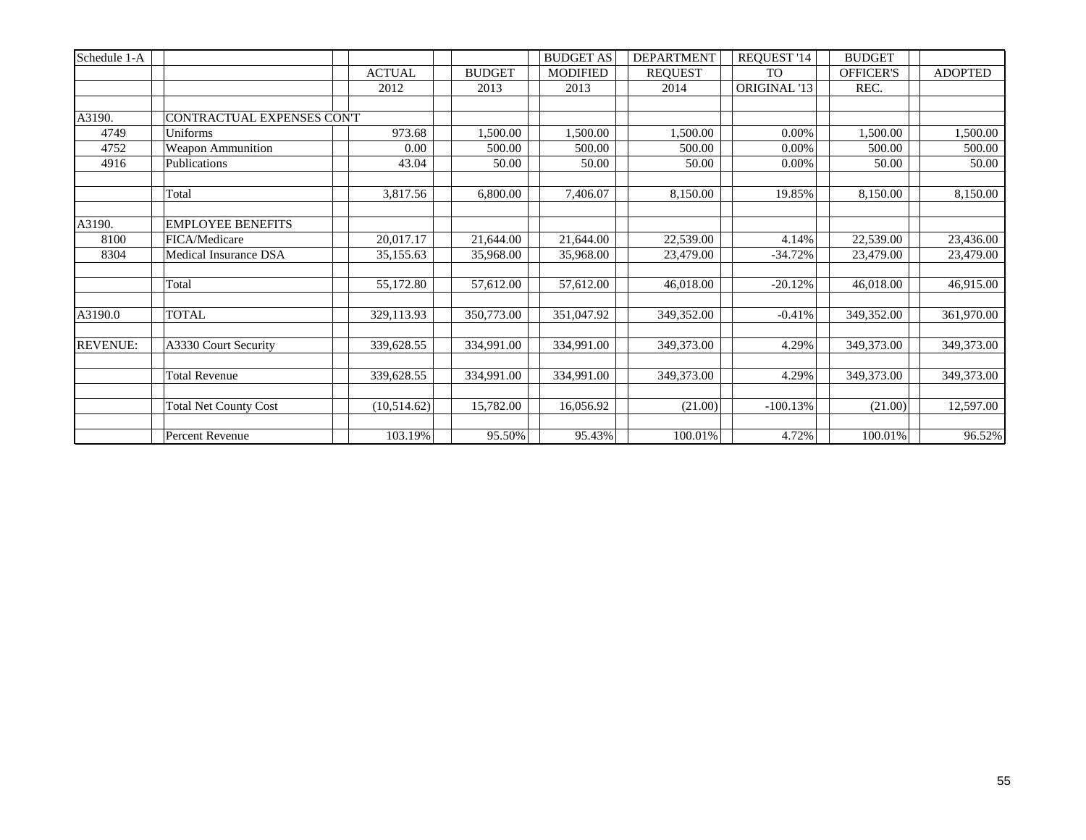| Schedule 1-A    |                              |               |               | <b>BUDGET AS</b> | <b>DEPARTMENT</b> | REQUEST '14  | <b>BUDGET</b>    |                |
|-----------------|------------------------------|---------------|---------------|------------------|-------------------|--------------|------------------|----------------|
|                 |                              | <b>ACTUAL</b> | <b>BUDGET</b> | <b>MODIFIED</b>  | <b>REQUEST</b>    | <b>TO</b>    | <b>OFFICER'S</b> | <b>ADOPTED</b> |
|                 |                              | 2012          | 2013          | 2013             | 2014              | ORIGINAL '13 | REC.             |                |
|                 |                              |               |               |                  |                   |              |                  |                |
| A3190.          | CONTRACTUAL EXPENSES CON'T   |               |               |                  |                   |              |                  |                |
| 4749            | Uniforms                     | 973.68        | 1,500.00      | 1,500.00         | 1,500.00          | 0.00%        | 1,500.00         | 1,500.00       |
| 4752            | <b>Weapon Ammunition</b>     | 0.00          | 500.00        | 500.00           | 500.00            | 0.00%        | 500.00           | 500.00         |
| 4916            | Publications                 | 43.04         | 50.00         | 50.00            | 50.00             | 0.00%        | 50.00            | 50.00          |
|                 |                              |               |               |                  |                   |              |                  |                |
|                 | Total                        | 3,817.56      | 6,800.00      | 7,406.07         | 8,150.00          | 19.85%       | 8,150.00         | 8,150.00       |
|                 |                              |               |               |                  |                   |              |                  |                |
| A3190.          | <b>EMPLOYEE BENEFITS</b>     |               |               |                  |                   |              |                  |                |
| 8100            | FICA/Medicare                | 20,017.17     | 21,644.00     | 21,644.00        | 22,539.00         | 4.14%        | 22,539.00        | 23,436.00      |
| 8304            | Medical Insurance DSA        | 35,155.63     | 35,968.00     | 35,968.00        | 23,479.00         | $-34.72%$    | 23,479.00        | 23,479.00      |
|                 |                              |               |               |                  |                   |              |                  |                |
|                 | Total                        | 55,172.80     | 57,612.00     | 57,612.00        | 46,018.00         | $-20.12%$    | 46,018.00        | 46,915.00      |
|                 |                              |               |               |                  |                   |              |                  |                |
| A3190.0         | <b>TOTAL</b>                 | 329,113.93    | 350,773.00    | 351,047.92       | 349,352.00        | $-0.41%$     | 349,352.00       | 361,970.00     |
|                 |                              |               |               |                  |                   |              |                  |                |
| <b>REVENUE:</b> | A3330 Court Security         | 339,628.55    | 334,991.00    | 334,991.00       | 349,373.00        | 4.29%        | 349,373.00       | 349,373.00     |
|                 |                              |               |               |                  |                   |              |                  |                |
|                 | <b>Total Revenue</b>         | 339,628.55    | 334,991.00    | 334,991.00       | 349,373.00        | 4.29%        | 349,373.00       | 349,373.00     |
|                 |                              |               |               |                  |                   |              |                  |                |
|                 | <b>Total Net County Cost</b> | (10,514.62)   | 15,782.00     | 16,056.92        | (21.00)           | $-100.13%$   | (21.00)          | 12,597.00      |
|                 |                              |               |               |                  |                   |              |                  |                |
|                 | Percent Revenue              | 103.19%       | 95.50%        | 95.43%           | 100.01%           | 4.72%        | 100.01%          | 96.52%         |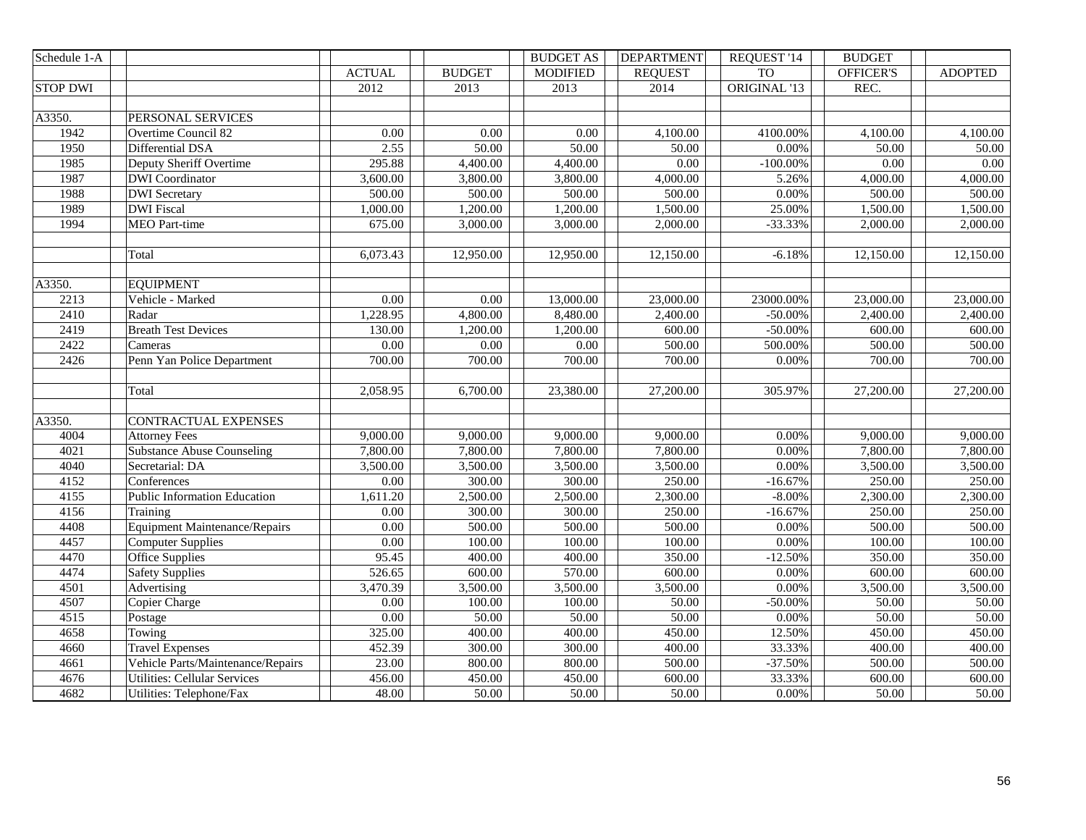| Schedule 1-A    |                                     |                       |                   | <b>BUDGET AS</b>  | <b>DEPARTMENT</b> | REQUEST '14  | <b>BUDGET</b> |                     |
|-----------------|-------------------------------------|-----------------------|-------------------|-------------------|-------------------|--------------|---------------|---------------------|
|                 |                                     | <b>ACTUAL</b>         | <b>BUDGET</b>     | <b>MODIFIED</b>   | <b>REQUEST</b>    | <b>TO</b>    | OFFICER'S     | <b>ADOPTED</b>      |
| <b>STOP DWI</b> |                                     | 2012                  | $\overline{2013}$ | 2013              | 2014              | ORIGINAL '13 | REC.          |                     |
|                 |                                     |                       |                   |                   |                   |              |               |                     |
| A3350.          | PERSONAL SERVICES                   |                       |                   |                   |                   |              |               |                     |
| 1942            | Overtime Council 82                 | 0.00                  | 0.00              | 0.00              | 4,100.00          | 4100.00%     | 4,100.00      | 4,100.00            |
| 1950            | Differential DSA                    | 2.55                  | 50.00             | 50.00             | 50.00             | 0.00%        | 50.00         | 50.00               |
| 1985            | Deputy Sheriff Overtime             | 295.88                | 4,400.00          | 4,400.00          | 0.00              | $-100.00\%$  | 0.00          | 0.00                |
| 1987            | <b>DWI</b> Coordinator              | 3,600.00              | 3,800.00          | 3,800.00          | 4,000.00          | 5.26%        | 4,000.00      | 4,000.00            |
| 1988            | <b>DWI</b> Secretary                | 500.00                | 500.00            | 500.00            | 500.00            | $0.00\%$     | 500.00        | 500.00              |
| 1989            | <b>DWI</b> Fiscal                   | 1,000.00              | 1,200.00          | 1,200.00          | 1,500.00          | 25.00%       | 1,500.00      | 1,500.00            |
| 1994            | <b>MEO</b> Part-time                | 675.00                | 3,000.00          | 3,000.00          | 2,000.00          | $-33.33%$    | 2,000.00      | 2,000.00            |
|                 |                                     |                       |                   |                   |                   |              |               |                     |
|                 | Total                               | 6,073.43              | 12,950.00         | 12,950.00         | 12,150.00         | $-6.18%$     | 12,150.00     | 12,150.00           |
|                 |                                     |                       |                   |                   |                   |              |               |                     |
| A3350.          | <b>EQUIPMENT</b>                    |                       |                   |                   |                   |              |               |                     |
| 2213            | Vehicle - Marked                    | 0.00                  | 0.00              | 13,000.00         | 23,000.00         | 23000.00%    | 23,000.00     | 23,000.00           |
| 2410            | Radar                               | 1,228.95              | 4,800.00          | 8,480.00          | 2,400.00          | $-50.00\%$   | 2,400.00      | 2,400.00            |
| 2419            | <b>Breath Test Devices</b>          | 130.00                | 1,200.00          | 1,200.00          | 600.00            | $-50.00\%$   | 600.00        | 600.00              |
| 2422            | Cameras                             | $\overline{0.00}$     | $\overline{0.00}$ | $\overline{0.00}$ | 500.00            | 500.00%      | 500.00        | 500.00              |
| 2426            | Penn Yan Police Department          | 700.00                | 700.00            | 700.00            | 700.00            | 0.00%        | 700.00        | 700.00              |
|                 |                                     |                       |                   |                   |                   |              |               |                     |
|                 | Total                               | 2,058.95              | 6,700.00          | 23,380.00         | 27,200.00         | 305.97%      | 27,200.00     | 27,200.00           |
|                 |                                     |                       |                   |                   |                   |              |               |                     |
| A3350.          | CONTRACTUAL EXPENSES                |                       |                   |                   |                   |              |               |                     |
| 4004            | <b>Attorney Fees</b>                | 9,000.00              | 9,000.00          | 9,000.00          | 9,000.00          | 0.00%        | 9,000.00      | 9,000.00            |
| 4021            | <b>Substance Abuse Counseling</b>   | $\overline{7,800.00}$ | 7,800.00          | 7,800.00          | 7,800.00          | $0.00\%$     | 7,800.00      | 7,800.00            |
| 4040            | Secretarial: DA                     | 3,500.00              | 3,500.00          | 3,500.00          | 3,500.00          | 0.00%        | 3,500.00      | 3,500.00            |
| 4152            | Conferences                         | 0.00                  | 300.00            | 300.00            | 250.00            | $-16.67%$    | 250.00        | 250.00              |
| 4155            | <b>Public Information Education</b> | 1,611.20              | 2,500.00          | 2,500.00          | 2,300.00          | $-8.00\%$    | 2,300.00      | 2,300.00            |
| 4156            | Training                            | 0.00                  | 300.00            | 300.00            | 250.00            | $-16.67%$    | 250.00        | 250.00              |
| 4408            | Equipment Maintenance/Repairs       | $\overline{0.00}$     | 500.00            | 500.00            | 500.00            | 0.00%        | 500.00        | 500.00              |
| 4457            | <b>Computer Supplies</b>            | $\overline{0.00}$     | 100.00            | 100.00            | 100.00            | 0.00%        | 100.00        | 100.00              |
| 4470            | Office Supplies                     | 95.45                 | 400.00            | 400.00            | 350.00            | $-12.50%$    | 350.00        | 350.00              |
| 4474            | <b>Safety Supplies</b>              | 526.65                | 600.00            | 570.00            | 600.00            | 0.00%        | 600.00        | 600.00              |
| 4501            | Advertising                         | 3,470.39              | 3,500.00          | 3,500.00          | 3,500.00          | 0.00%        | 3,500.00      | 3,500.00            |
| 4507            | Copier Charge                       | 0.00                  | 100.00            | 100.00            | 50.00             | $-50.00\%$   | 50.00         | 50.00               |
| 4515            | Postage                             | $\overline{0.00}$     | 50.00             | 50.00             | 50.00             | $0.00\%$     | 50.00         | 50.00               |
| 4658            | Towing                              | 325.00                | 400.00            | 400.00            | 450.00            | 12.50%       | 450.00        | 450.00              |
| 4660            | <b>Travel Expenses</b>              | 452.39                | 300.00            | 300.00            | 400.00            | 33.33%       | 400.00        | 400.00              |
| 4661            | Vehicle Parts/Maintenance/Repairs   | 23.00                 | 800.00            | 800.00            | 500.00            | $-37.50%$    | 500.00        | 500.00              |
| 4676            | <b>Utilities: Cellular Services</b> | 456.00                | 450.00            | 450.00            | 600.00            | 33.33%       | 600.00        | $\overline{600.00}$ |
| 4682            | Utilities: Telephone/Fax            | 48.00                 | 50.00             | 50.00             | 50.00             | $0.00\%$     | 50.00         | 50.00               |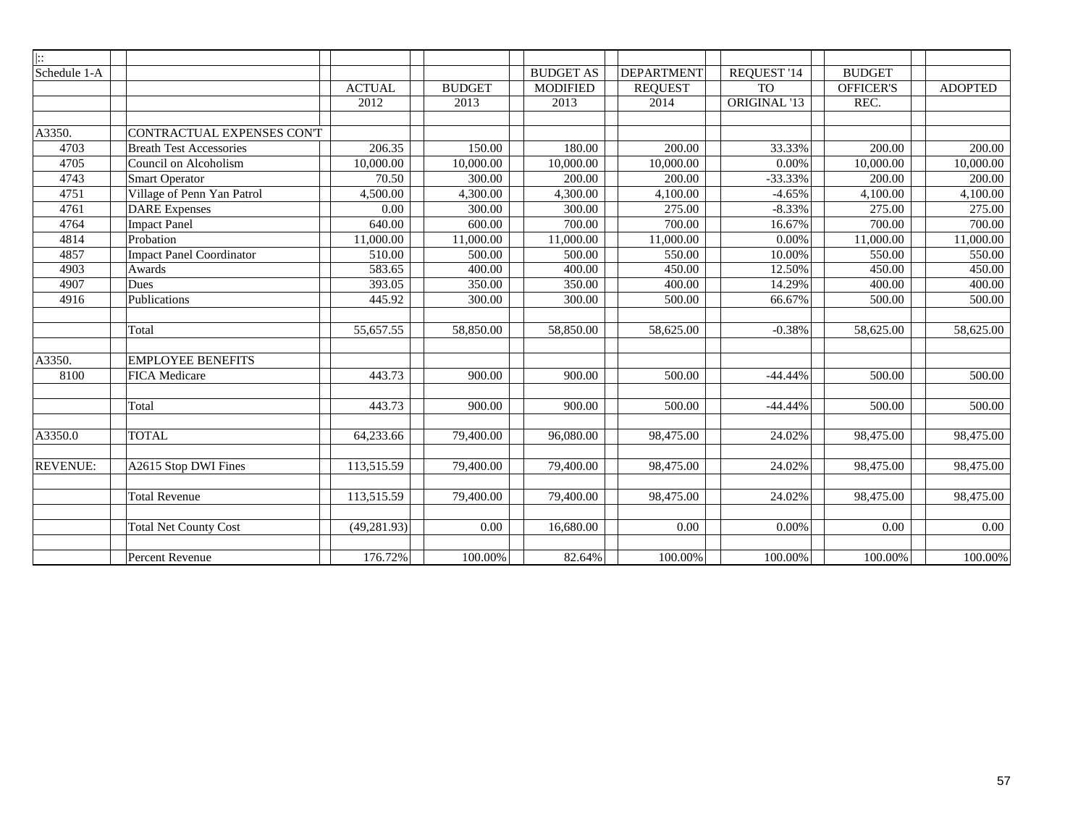| $\ddot{}$       |                                 |               |               |                  |                   |              |                  |                |
|-----------------|---------------------------------|---------------|---------------|------------------|-------------------|--------------|------------------|----------------|
| Schedule 1-A    |                                 |               |               | <b>BUDGET AS</b> | <b>DEPARTMENT</b> | REQUEST '14  | <b>BUDGET</b>    |                |
|                 |                                 | <b>ACTUAL</b> | <b>BUDGET</b> | <b>MODIFIED</b>  | <b>REOUEST</b>    | <b>TO</b>    | <b>OFFICER'S</b> | <b>ADOPTED</b> |
|                 |                                 | 2012          | 2013          | 2013             | 2014              | ORIGINAL '13 | REC.             |                |
|                 |                                 |               |               |                  |                   |              |                  |                |
| A3350.          | CONTRACTUAL EXPENSES CON'T      |               |               |                  |                   |              |                  |                |
| 4703            | <b>Breath Test Accessories</b>  | 206.35        | 150.00        | 180.00           | 200.00            | 33.33%       | 200.00           | 200.00         |
| 4705            | Council on Alcoholism           | 10,000.00     | 10,000.00     | 10,000.00        | 10,000.00         | 0.00%        | 10,000.00        | 10,000.00      |
| 4743            | <b>Smart Operator</b>           | 70.50         | 300.00        | 200.00           | 200.00            | $-33.33%$    | 200.00           | 200.00         |
| 4751            | Village of Penn Yan Patrol      | 4,500.00      | 4,300.00      | 4,300.00         | 4,100.00          | $-4.65%$     | 4,100.00         | 4,100.00       |
| 4761            | <b>DARE</b> Expenses            | 0.00          | 300.00        | 300.00           | 275.00            | $-8.33%$     | 275.00           | 275.00         |
| 4764            | <b>Impact Panel</b>             | 640.00        | 600.00        | 700.00           | 700.00            | 16.67%       | 700.00           | 700.00         |
| 4814            | Probation                       | 11,000.00     | 11,000.00     | 11,000.00        | 11,000.00         | $0.00\%$     | 11,000.00        | 11,000.00      |
| 4857            | <b>Impact Panel Coordinator</b> | 510.00        | 500.00        | 500.00           | 550.00            | 10.00%       | 550.00           | 550.00         |
| 4903            | Awards                          | 583.65        | 400.00        | 400.00           | 450.00            | 12.50%       | 450.00           | 450.00         |
| 4907            | Dues                            | 393.05        | 350.00        | 350.00           | 400.00            | 14.29%       | 400.00           | 400.00         |
| 4916            | Publications                    | 445.92        | 300.00        | 300.00           | 500.00            | 66.67%       | 500.00           | 500.00         |
|                 |                                 |               |               |                  |                   |              |                  |                |
|                 | Total                           | 55,657.55     | 58,850.00     | 58,850.00        | 58,625.00         | $-0.38%$     | 58,625.00        | 58,625.00      |
|                 |                                 |               |               |                  |                   |              |                  |                |
| A3350.          | <b>EMPLOYEE BENEFITS</b>        |               |               |                  |                   |              |                  |                |
| 8100            | <b>FICA</b> Medicare            | 443.73        | 900.00        | 900.00           | 500.00            | $-44.44%$    | 500.00           | 500.00         |
|                 |                                 |               |               |                  |                   |              |                  |                |
|                 | Total                           | 443.73        | 900.00        | 900.00           | 500.00            | $-44.44%$    | 500.00           | 500.00         |
|                 |                                 |               |               |                  |                   |              |                  |                |
| A3350.0         | <b>TOTAL</b>                    | 64,233.66     | 79,400.00     | 96,080.00        | 98,475.00         | 24.02%       | 98,475.00        | 98,475.00      |
|                 |                                 |               |               |                  |                   |              |                  |                |
| <b>REVENUE:</b> | A2615 Stop DWI Fines            | 113,515.59    | 79,400.00     | 79,400.00        | 98,475.00         | 24.02%       | 98,475.00        | 98,475.00      |
|                 |                                 |               |               |                  |                   |              |                  |                |
|                 | <b>Total Revenue</b>            | 113,515.59    | 79,400.00     | 79,400.00        | 98,475.00         | 24.02%       | 98,475.00        | 98,475.00      |
|                 |                                 |               |               |                  |                   |              |                  |                |
|                 | <b>Total Net County Cost</b>    | (49, 281.93)  | 0.00          | 16,680.00        | 0.00              | 0.00%        | 0.00             | 0.00           |
|                 |                                 |               |               |                  |                   |              |                  |                |
|                 | Percent Revenue                 | 176.72%       | 100.00%       | 82.64%           | 100.00%           | 100.00%      | 100.00%          | 100.00%        |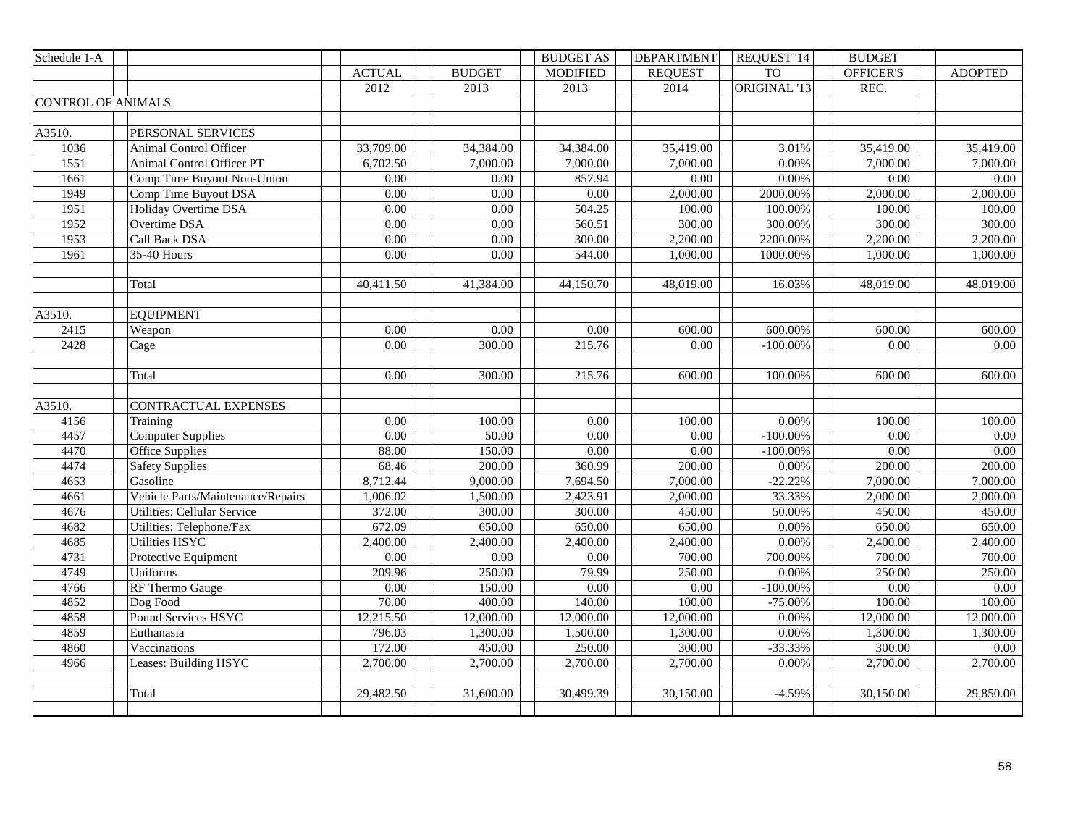| Schedule 1-A              |                                    |                   |                   | <b>BUDGET AS</b>  | <b>DEPARTMENT</b> | REQUEST '14           | <b>BUDGET</b>     |                |
|---------------------------|------------------------------------|-------------------|-------------------|-------------------|-------------------|-----------------------|-------------------|----------------|
|                           |                                    | <b>ACTUAL</b>     | <b>BUDGET</b>     | <b>MODIFIED</b>   | <b>REQUEST</b>    | TO <sub>1</sub>       | OFFICER'S         | <b>ADOPTED</b> |
|                           |                                    | 2012              | 2013              | 2013              | 2014              | ORIGINAL '13          | REC.              |                |
| <b>CONTROL OF ANIMALS</b> |                                    |                   |                   |                   |                   |                       |                   |                |
|                           |                                    |                   |                   |                   |                   |                       |                   |                |
| A3510.                    | PERSONAL SERVICES                  |                   |                   |                   |                   |                       |                   |                |
| 1036                      | Animal Control Officer             | 33,709.00         | 34,384.00         | 34,384.00         | 35,419.00         | 3.01%                 | 35,419.00         | 35,419.00      |
| 1551                      | Animal Control Officer PT          | 6,702.50          | 7,000.00          | 7,000.00          | 7,000.00          | 0.00%                 | 7,000.00          | 7,000.00       |
| 1661                      | Comp Time Buyout Non-Union         | 0.00              | 0.00              | 857.94            | 0.00              | 0.00%                 | $0.00\,$          | 0.00           |
| 1949                      | Comp Time Buyout DSA               | 0.00              | $\overline{0.00}$ | 0.00              | 2,000.00          | 2000.00%              | 2,000.00          | 2,000.00       |
| 1951                      | <b>Holiday Overtime DSA</b>        | 0.00              | $\overline{0.00}$ | 504.25            | 100.00            | 100.00%               | 100.00            | 100.00         |
| 1952                      | Overtime DSA                       | $\overline{0.00}$ | 0.00              | 560.51            | 300.00            | 300.00%               | 300.00            | 300.00         |
| 1953                      | Call Back DSA                      | 0.00              | $0.00\,$          | 300.00            | 2,200.00          | 2200.00%              | 2,200.00          | 2,200.00       |
| 1961                      | 35-40 Hours                        | 0.00              | 0.00              | 544.00            | 1,000.00          | 1000.00%              | 1,000.00          | 1,000.00       |
|                           |                                    |                   |                   |                   |                   |                       |                   |                |
|                           | Total                              | 40,411.50         | 41,384.00         | 44,150.70         | 48,019.00         | 16.03%                | 48,019.00         | 48,019.00      |
|                           |                                    |                   |                   |                   |                   |                       |                   |                |
| A3510.                    | <b>EQUIPMENT</b>                   |                   |                   |                   |                   |                       |                   |                |
| 2415                      | Weapon                             | 0.00              | 0.00              | 0.00              | 600.00            | $\overline{600.00\%}$ | 600.00            | 600.00         |
| 2428                      | Cage                               | 0.00              | 300.00            | 215.76            | 0.00              | $-100.00\%$           | 0.00              | $0.00\,$       |
|                           |                                    |                   |                   |                   |                   |                       |                   |                |
|                           | Total                              | 0.00              | 300.00            | 215.76            | 600.00            | 100.00%               | 600.00            | 600.00         |
|                           |                                    |                   |                   |                   |                   |                       |                   |                |
| A3510.                    | CONTRACTUAL EXPENSES               |                   |                   |                   |                   |                       |                   |                |
| 4156                      | Training                           | 0.00              | 100.00            | 0.00              | 100.00            | 0.00%                 | 100.00            | 100.00         |
| 4457                      | <b>Computer Supplies</b>           | 0.00              | 50.00             | 0.00              | 0.00              | $-100.00\%$           | $0.00\,$          | $0.00\,$       |
| 4470                      | <b>Office Supplies</b>             | 88.00             | 150.00            | 0.00              | 0.00              | $-100.00\%$           | $\overline{0.00}$ | 0.00           |
| 4474                      | <b>Safety Supplies</b>             | 68.46             | 200.00            | 360.99            | 200.00            | 0.00%                 | 200.00            | 200.00         |
| 4653                      | Gasoline                           | 8,712.44          | 9,000.00          | 7,694.50          | 7,000.00          | $-22.22%$             | 7,000.00          | 7,000.00       |
| 4661                      | Vehicle Parts/Maintenance/Repairs  | 1,006.02          | 1,500.00          | 2,423.91          | 2,000.00          | 33.33%                | 2,000.00          | 2,000.00       |
| 4676                      | <b>Utilities: Cellular Service</b> | 372.00            | 300.00            | 300.00            | 450.00            | 50.00%                | 450.00            | 450.00         |
| 4682                      | Utilities: Telephone/Fax           | 672.09            | 650.00            | 650.00            | 650.00            | 0.00%                 | 650.00            | 650.00         |
| 4685                      | <b>Utilities HSYC</b>              | 2,400.00          | 2,400.00          | 2,400.00          | 2,400.00          | 0.00%                 | 2,400.00          | 2,400.00       |
| 4731                      | Protective Equipment               | 0.00              | 0.00              | $0.00\,$          | 700.00            | 700.00%               | 700.00            | 700.00         |
| 4749                      | Uniforms                           | 209.96            | 250.00            | 79.99             | 250.00            | 0.00%                 | 250.00            | 250.00         |
| 4766                      | <b>RF</b> Thermo Gauge             | 0.00              | 150.00            | $\overline{0.00}$ | 0.00              | $-100.00\%$           | $0.00\,$          | $0.00\,$       |
| 4852                      | Dog Food                           | 70.00             | 400.00            | 140.00            | 100.00            | $-75.00\%$            | 100.00            | 100.00         |
| 4858                      | <b>Pound Services HSYC</b>         | 12,215.50         | 12,000.00         | 12,000.00         | 12,000.00         | 0.00%                 | 12,000.00         | 12,000.00      |
| 4859                      | Euthanasia                         | 796.03            | 1,300.00          | 1,500.00          | 1,300.00          | 0.00%                 | 1,300.00          | 1,300.00       |
| 4860                      | Vaccinations                       | 172.00            | 450.00            | 250.00            | 300.00            | $-33.33%$             | 300.00            | $0.00\,$       |
| 4966                      | Leases: Building HSYC              | 2,700.00          | 2,700.00          | 2,700.00          | 2,700.00          | 0.00%                 | 2,700.00          | 2,700.00       |
|                           |                                    |                   |                   |                   |                   |                       |                   |                |
|                           | Total                              | 29,482.50         | 31,600.00         | 30,499.39         | 30,150.00         | $-4.59%$              | 30,150.00         | 29,850.00      |
|                           |                                    |                   |                   |                   |                   |                       |                   |                |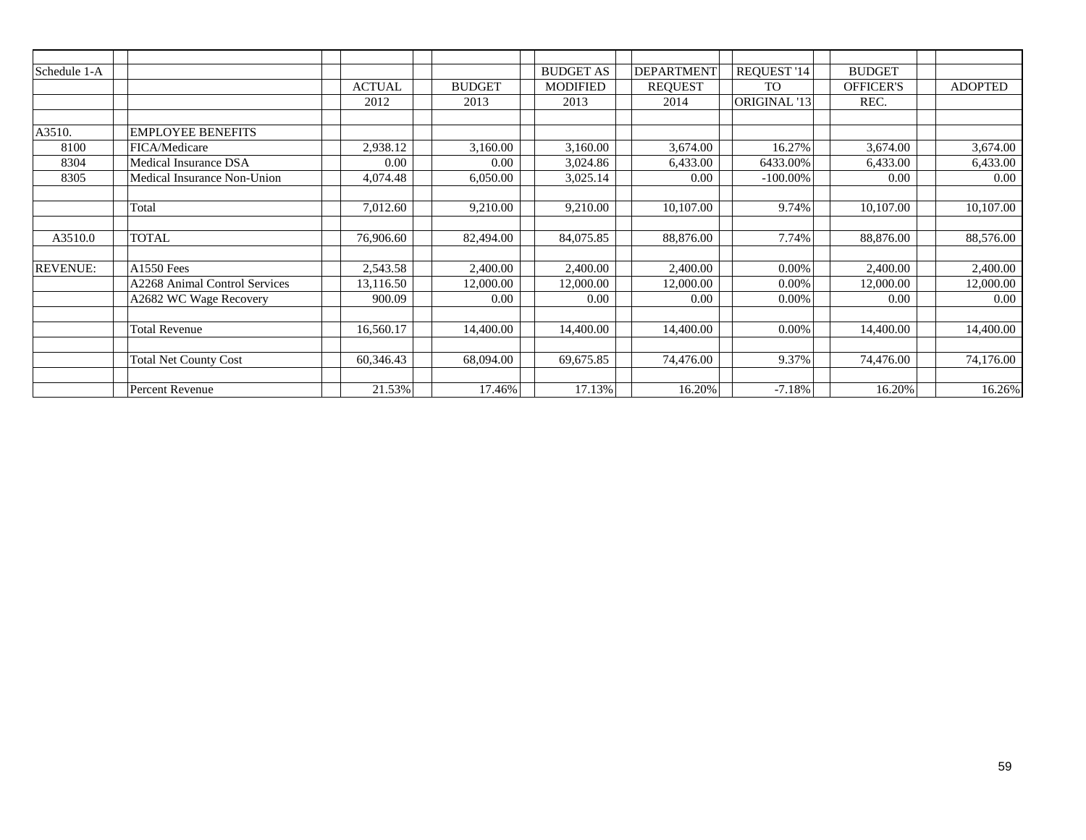| Schedule 1-A    |                               |               |               | <b>BUDGET AS</b> | <b>DEPARTMENT</b> | REQUEST '14         | <b>BUDGET</b>    |                |
|-----------------|-------------------------------|---------------|---------------|------------------|-------------------|---------------------|------------------|----------------|
|                 |                               | <b>ACTUAL</b> | <b>BUDGET</b> | <b>MODIFIED</b>  | <b>REQUEST</b>    | <b>TO</b>           | <b>OFFICER'S</b> | <b>ADOPTED</b> |
|                 |                               | 2012          | 2013          | 2013             | 2014              | <b>ORIGINAL '13</b> | REC.             |                |
| A3510.          | <b>EMPLOYEE BENEFITS</b>      |               |               |                  |                   |                     |                  |                |
| 8100            | FICA/Medicare                 | 2,938.12      | 3,160.00      | 3,160.00         | 3,674.00          | 16.27%              | 3,674.00         | 3,674.00       |
| 8304            | Medical Insurance DSA         | 0.00          | 0.00          | 3,024.86         | 6,433.00          | 6433.00%            | 6,433.00         | 6,433.00       |
| 8305            | Medical Insurance Non-Union   | 4,074.48      | 6,050.00      | 3,025.14         | 0.00              | $-100.00\%$         | 0.00             | 0.00           |
|                 |                               |               |               |                  |                   |                     |                  |                |
|                 | Total                         | 7,012.60      | 9,210.00      | 9,210.00         | 10,107.00         | 9.74%               | 10,107.00        | 10,107.00      |
| A3510.0         | TOTAL                         | 76,906.60     | 82,494.00     | 84,075.85        | 88,876.00         | 7.74%               | 88,876.00        | 88,576.00      |
|                 |                               |               |               |                  |                   |                     |                  |                |
| <b>REVENUE:</b> | <b>A1550 Fees</b>             | 2,543.58      | 2,400.00      | 2,400.00         | 2,400.00          | 0.00%               | 2,400.00         | 2,400.00       |
|                 | A2268 Animal Control Services | 13,116.50     | 12,000.00     | 12,000.00        | 12,000.00         | 0.00%               | 12,000.00        | 12,000.00      |
|                 | A2682 WC Wage Recovery        | 900.09        | 0.00          | 0.00             | 0.00              | 0.00%               | 0.00             | 0.00           |
|                 |                               |               |               |                  |                   |                     |                  |                |
|                 | <b>Total Revenue</b>          | 16,560.17     | 14,400.00     | 14,400.00        | 14,400.00         | 0.00%               | 14,400.00        | 14,400.00      |
|                 |                               |               |               |                  |                   |                     |                  |                |
|                 | <b>Total Net County Cost</b>  | 60,346.43     | 68,094.00     | 69,675.85        | 74,476.00         | 9.37%               | 74,476.00        | 74,176.00      |
|                 | Percent Revenue               | 21.53%        | 17.46%        | 17.13%           | 16.20%            | $-7.18%$            | 16.20%           | 16.26%         |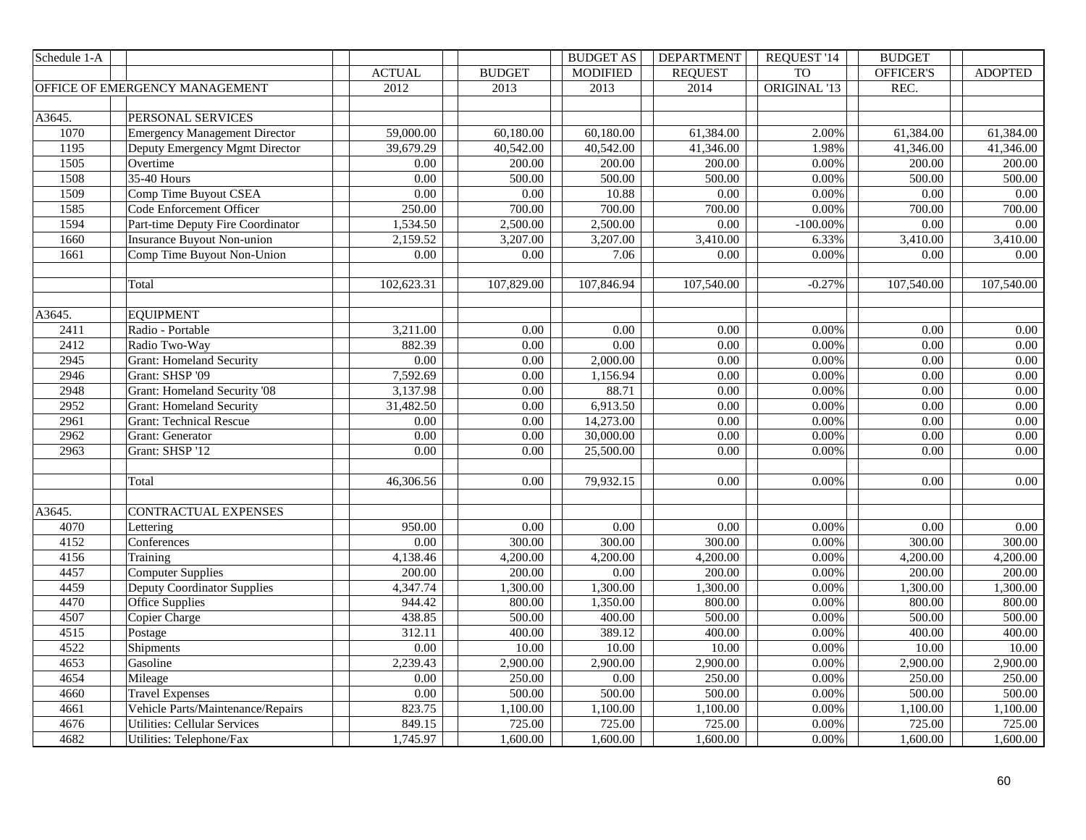| Schedule 1-A |                                      |               |                   | <b>BUDGET AS</b>  | <b>DEPARTMENT</b> | REQUEST '14     | <b>BUDGET</b>     |                   |
|--------------|--------------------------------------|---------------|-------------------|-------------------|-------------------|-----------------|-------------------|-------------------|
|              |                                      | <b>ACTUAL</b> | <b>BUDGET</b>     | <b>MODIFIED</b>   | <b>REOUEST</b>    | TO <sub>1</sub> | OFFICER'S         | <b>ADOPTED</b>    |
|              | OFFICE OF EMERGENCY MANAGEMENT       | 2012          | $\overline{2013}$ | $\overline{2013}$ | 2014              | ORIGINAL '13    | REC.              |                   |
|              |                                      |               |                   |                   |                   |                 |                   |                   |
| A3645.       | PERSONAL SERVICES                    |               |                   |                   |                   |                 |                   |                   |
| 1070         | <b>Emergency Management Director</b> | 59,000.00     | 60,180.00         | 60,180.00         | 61,384.00         | 2.00%           | 61,384.00         | 61,384.00         |
| 1195         | Deputy Emergency Mgmt Director       | 39,679.29     | 40,542.00         | 40,542.00         | 41,346.00         | 1.98%           | 41,346.00         | 41,346.00         |
| 1505         | Overtime                             | 0.00          | 200.00            | 200.00            | 200.00            | $0.00\%$        | 200.00            | 200.00            |
| 1508         | 35-40 Hours                          | 0.00          | 500.00            | 500.00            | 500.00            | $0.00\%$        | 500.00            | 500.00            |
| 1509         | Comp Time Buyout CSEA                | 0.00          | 0.00              | 10.88             | 0.00              | 0.00%           | $\overline{0.00}$ | 0.00              |
| 1585         | Code Enforcement Officer             | 250.00        | 700.00            | 700.00            | 700.00            | 0.00%           | 700.00            | 700.00            |
| 1594         | Part-time Deputy Fire Coordinator    | 1,534.50      | 2,500.00          | 2,500.00          | 0.00              | $-100.00\%$     | 0.00              | 0.00              |
| 1660         | <b>Insurance Buyout Non-union</b>    | 2,159.52      | 3,207.00          | 3,207.00          | 3,410.00          | 6.33%           | 3,410.00          | 3,410.00          |
| 1661         | Comp Time Buyout Non-Union           | $0.00\,$      | $0.00\,$          | 7.06              | 0.00              | 0.00%           | 0.00              | 0.00              |
|              |                                      |               |                   |                   |                   |                 |                   |                   |
|              | Total                                | 102,623.31    | 107,829.00        | 107,846.94        | 107,540.00        | $-0.27%$        | 107,540.00        | 107,540.00        |
|              |                                      |               |                   |                   |                   |                 |                   |                   |
| A3645.       | <b>EQUIPMENT</b>                     |               |                   |                   |                   |                 |                   |                   |
| 2411         | Radio - Portable                     | 3,211.00      | 0.00              | 0.00              | 0.00              | $0.00\%$        | $0.00\,$          | 0.00              |
| 2412         | Radio Two-Way                        | 882.39        | 0.00              | 0.00              | 0.00              | 0.00%           | 0.00              | 0.00              |
| 2945         | <b>Grant: Homeland Security</b>      | 0.00          | 0.00              | 2,000.00          | 0.00              | 0.00%           | 0.00              | 0.00              |
| 2946         | Grant: SHSP '09                      | 7,592.69      | 0.00              | 1,156.94          | 0.00              | 0.00%           | 0.00              | 0.00              |
| 2948         | Grant: Homeland Security '08         | 3,137.98      | 0.00              | 88.71             | 0.00              | 0.00%           | 0.00              | $\overline{0.00}$ |
| 2952         | <b>Grant: Homeland Security</b>      | 31,482.50     | 0.00              | 6,913.50          | 0.00              | 0.00%           | 0.00              | $\overline{0.00}$ |
| 2961         | <b>Grant: Technical Rescue</b>       | 0.00          | 0.00              | 14,273.00         | 0.00              | 0.00%           | 0.00              | 0.00              |
| 2962         | Grant: Generator                     | 0.00          | 0.00              | 30,000.00         | 0.00              | 0.00%           | 0.00              | $\overline{0.00}$ |
| 2963         | Grant: SHSP '12                      | 0.00          | 0.00              | 25,500.00         | 0.00              | 0.00%           | 0.00              | 0.00              |
|              |                                      |               |                   |                   |                   |                 |                   |                   |
|              | Total                                | 46,306.56     | 0.00              | 79,932.15         | 0.00              | 0.00%           | 0.00              | 0.00              |
|              |                                      |               |                   |                   |                   |                 |                   |                   |
| A3645.       | <b>CONTRACTUAL EXPENSES</b>          |               |                   |                   |                   |                 |                   |                   |
| 4070         | Lettering                            | 950.00        | 0.00              | 0.00              | 0.00              | $0.00\%$        | 0.00              | 0.00              |
| 4152         | Conferences                          | 0.00          | 300.00            | 300.00            | 300.00            | 0.00%           | 300.00            | 300.00            |
| 4156         | Training                             | 4,138.46      | 4,200.00          | 4,200.00          | 4,200.00          | 0.00%           | 4,200.00          | 4,200.00          |
| 4457         | <b>Computer Supplies</b>             | 200.00        | 200.00            | 0.00              | 200.00            | 0.00%           | 200.00            | 200.00            |
| 4459         | <b>Deputy Coordinator Supplies</b>   | 4,347.74      | 1,300.00          | 1,300.00          | 1,300.00          | 0.00%           | 1,300.00          | 1,300.00          |
| 4470         | Office Supplies                      | 944.42        | 800.00            | 1,350.00          | 800.00            | 0.00%           | 800.00            | 800.00            |
| 4507         | Copier Charge                        | 438.85        | 500.00            | 400.00            | 500.00            | 0.00%           | 500.00            | 500.00            |
| 4515         | Postage                              | 312.11        | 400.00            | 389.12            | 400.00            | 0.00%           | 400.00            | 400.00            |
| 4522         | Shipments                            | 0.00          | 10.00             | 10.00             | 10.00             | 0.00%           | 10.00             | 10.00             |
| 4653         | Gasoline                             | 2,239.43      | 2,900.00          | 2,900.00          | 2,900.00          | 0.00%           | 2,900.00          | 2,900.00          |
| 4654         | Mileage                              | 0.00          | 250.00            | 0.00              | 250.00            | 0.00%           | 250.00            | 250.00            |
| 4660         | <b>Travel Expenses</b>               | 0.00          | 500.00            | 500.00            | 500.00            | 0.00%           | 500.00            | 500.00            |
| 4661         | Vehicle Parts/Maintenance/Repairs    | 823.75        | 1,100.00          | 1,100.00          | 1,100.00          | 0.00%           | 1,100.00          | 1,100.00          |
| 4676         | <b>Utilities: Cellular Services</b>  | 849.15        | 725.00            | 725.00            | 725.00            | $0.00\%$        | 725.00            | 725.00            |
| 4682         | Utilities: Telephone/Fax             | 1,745.97      | 1,600.00          | 1,600.00          | 1,600.00          | $0.00\%$        | 1,600.00          | 1,600.00          |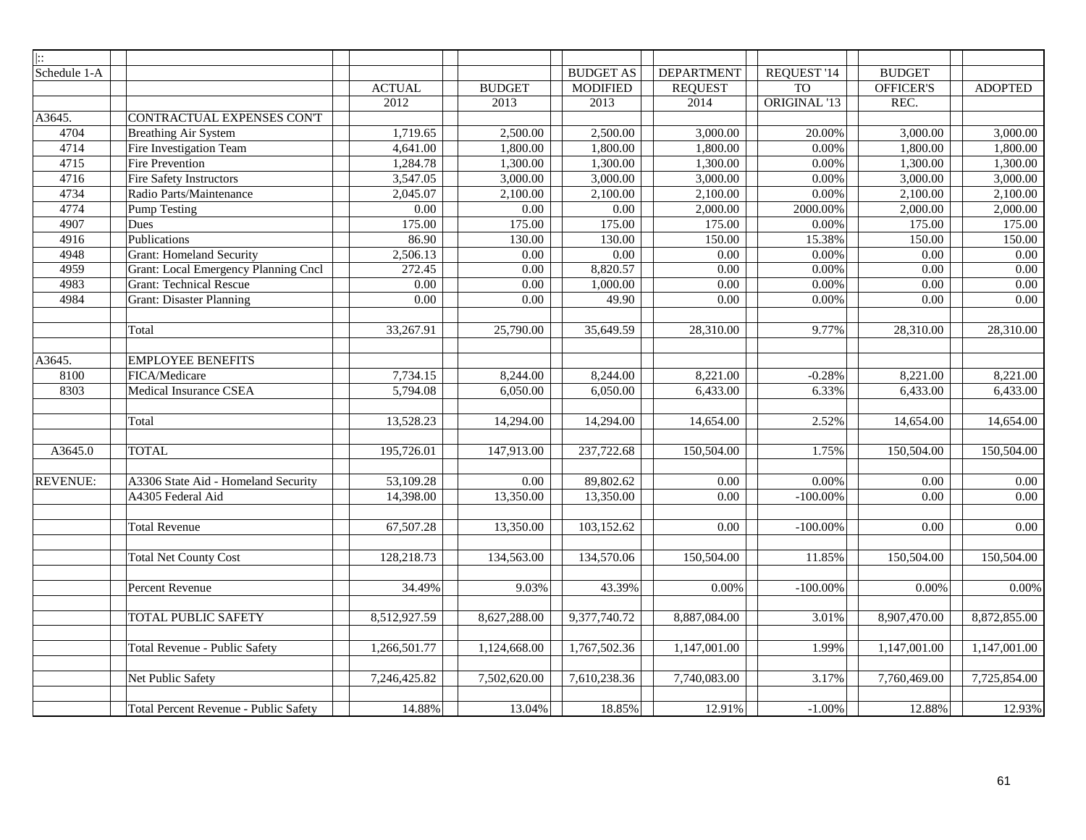| $\left  \cdot \right $ |                                       |                   |               |                   |                   |              |                        |                   |
|------------------------|---------------------------------------|-------------------|---------------|-------------------|-------------------|--------------|------------------------|-------------------|
| Schedule 1-A           |                                       |                   |               | <b>BUDGET AS</b>  | <b>DEPARTMENT</b> | REQUEST '14  | <b>BUDGET</b>          |                   |
|                        |                                       | <b>ACTUAL</b>     | <b>BUDGET</b> | <b>MODIFIED</b>   | <b>REQUEST</b>    | <b>TO</b>    | OFFICER'S              | <b>ADOPTED</b>    |
|                        |                                       | 2012              | 2013          | 2013              | 2014              | ORIGINAL '13 | REC.                   |                   |
| A3645.                 | CONTRACTUAL EXPENSES CON'T            |                   |               |                   |                   |              |                        |                   |
| 4704                   | <b>Breathing Air System</b>           | 1,719.65          | 2,500.00      | 2,500.00          | 3,000.00          | 20.00%       | 3,000.00               | 3,000.00          |
| 4714                   | Fire Investigation Team               | 4,641.00          | 1,800.00      | 1,800.00          | 1,800.00          | 0.00%        | 1,800.00               | 1,800.00          |
| 4715                   | <b>Fire Prevention</b>                | 1,284.78          | 1,300.00      | 1,300.00          | 1,300.00          | $0.00\%$     | 1,300.00               | 1,300.00          |
| 4716                   | <b>Fire Safety Instructors</b>        | 3,547.05          | 3,000.00      | 3,000.00          | 3,000.00          | 0.00%        | 3,000.00               | 3,000.00          |
| 4734                   | Radio Parts/Maintenance               | 2,045.07          | 2,100.00      | 2,100.00          | 2,100.00          | $0.00\%$     | 2,100.00               | 2,100.00          |
| 4774                   | <b>Pump Testing</b>                   | $\overline{0.00}$ | 0.00          | $\overline{0.00}$ | 2,000.00          | 2000.00%     | 2,000.00               | 2,000.00          |
| 4907                   | Dues                                  | 175.00            | 175.00        | 175.00            | 175.00            | 0.00%        | 175.00                 | 175.00            |
| 4916                   | Publications                          | 86.90             | 130.00        | 130.00            | 150.00            | 15.38%       | 150.00                 | 150.00            |
| 4948                   | <b>Grant: Homeland Security</b>       | 2,506.13          | $0.00\,$      | $0.00\,$          | 0.00              | $0.00\%$     | 0.00                   | $0.00\,$          |
| 4959                   | Grant: Local Emergency Planning Cncl  | 272.45            | 0.00          | 8,820.57          | 0.00              | 0.00%        | 0.00                   | $\overline{0.00}$ |
| 4983                   | <b>Grant: Technical Rescue</b>        | 0.00              | 0.00          | 1,000.00          | $0.00\,$          | $0.00\%$     | 0.00                   | $0.00\,$          |
| 4984                   | <b>Grant: Disaster Planning</b>       | $\overline{0.00}$ | 0.00          | 49.90             | $\overline{0.00}$ | $0.00\%$     | $0.00\,$               | $\overline{0.00}$ |
|                        |                                       |                   |               |                   |                   |              |                        |                   |
|                        | Total                                 | 33,267.91         | 25,790.00     | 35,649.59         | 28,310.00         | 9.77%        | 28,310.00              | 28,310.00         |
|                        |                                       |                   |               |                   |                   |              |                        |                   |
| A3645.                 | <b>EMPLOYEE BENEFITS</b>              |                   |               |                   |                   |              |                        |                   |
| 8100                   | FICA/Medicare                         | 7,734.15          | 8,244.00      | 8,244.00          | 8,221.00          | $-0.28%$     | 8,221.00               | 8,221.00          |
| 8303                   | Medical Insurance CSEA                | 5,794.08          | 6,050.00      | 6,050.00          | 6,433.00          | 6.33%        | 6,433.00               | 6,433.00          |
|                        |                                       |                   |               |                   |                   |              |                        |                   |
|                        | Total                                 | 13,528.23         | 14,294.00     | 14,294.00         | 14,654.00         | 2.52%        | $\overline{14,654.00}$ | 14,654.00         |
|                        |                                       |                   |               |                   |                   |              |                        |                   |
| A3645.0                | <b>TOTAL</b>                          | 195,726.01        | 147,913.00    | 237,722.68        | 150,504.00        | 1.75%        | 150,504.00             | 150,504.00        |
|                        |                                       |                   |               |                   |                   |              |                        |                   |
| <b>REVENUE:</b>        | A3306 State Aid - Homeland Security   | 53,109.28         | 0.00          | 89,802.62         | 0.00              | 0.00%        | 0.00                   | 0.00              |
|                        | A4305 Federal Aid                     | 14,398.00         | 13,350.00     | 13,350.00         | $0.00\,$          | $-100.00\%$  | 0.00                   | 0.00              |
|                        |                                       |                   |               |                   |                   |              |                        |                   |
|                        | <b>Total Revenue</b>                  | 67,507.28         | 13,350.00     | 103,152.62        | 0.00              | $-100.00\%$  | 0.00                   | 0.00              |
|                        |                                       |                   |               |                   |                   |              |                        |                   |
|                        | <b>Total Net County Cost</b>          | 128,218.73        | 134,563.00    | 134,570.06        | 150,504.00        | 11.85%       | 150,504.00             | 150,504.00        |
|                        |                                       |                   |               |                   |                   |              |                        |                   |
|                        | Percent Revenue                       | 34.49%            | 9.03%         | 43.39%            | 0.00%             | $-100.00\%$  | 0.00%                  | 0.00%             |
|                        |                                       |                   |               |                   |                   |              |                        |                   |
|                        | <b>TOTAL PUBLIC SAFETY</b>            | 8,512,927.59      | 8,627,288.00  | 9,377,740.72      | 8,887,084.00      | 3.01%        | 8,907,470.00           | 8,872,855.00      |
|                        |                                       |                   |               |                   |                   |              |                        |                   |
|                        | Total Revenue - Public Safety         | 1,266,501.77      | 1,124,668.00  | 1,767,502.36      | 1,147,001.00      | 1.99%        | 1,147,001.00           | 1,147,001.00      |
|                        |                                       |                   |               |                   |                   |              |                        |                   |
|                        | Net Public Safety                     | 7,246,425.82      | 7,502,620.00  | 7,610,238.36      | 7,740,083.00      | 3.17%        | 7,760,469.00           | 7,725,854.00      |
|                        |                                       |                   |               |                   |                   |              |                        |                   |
|                        | Total Percent Revenue - Public Safety | 14.88%            | 13.04%        | 18.85%            | 12.91%            | $-1.00\%$    | 12.88%                 | 12.93%            |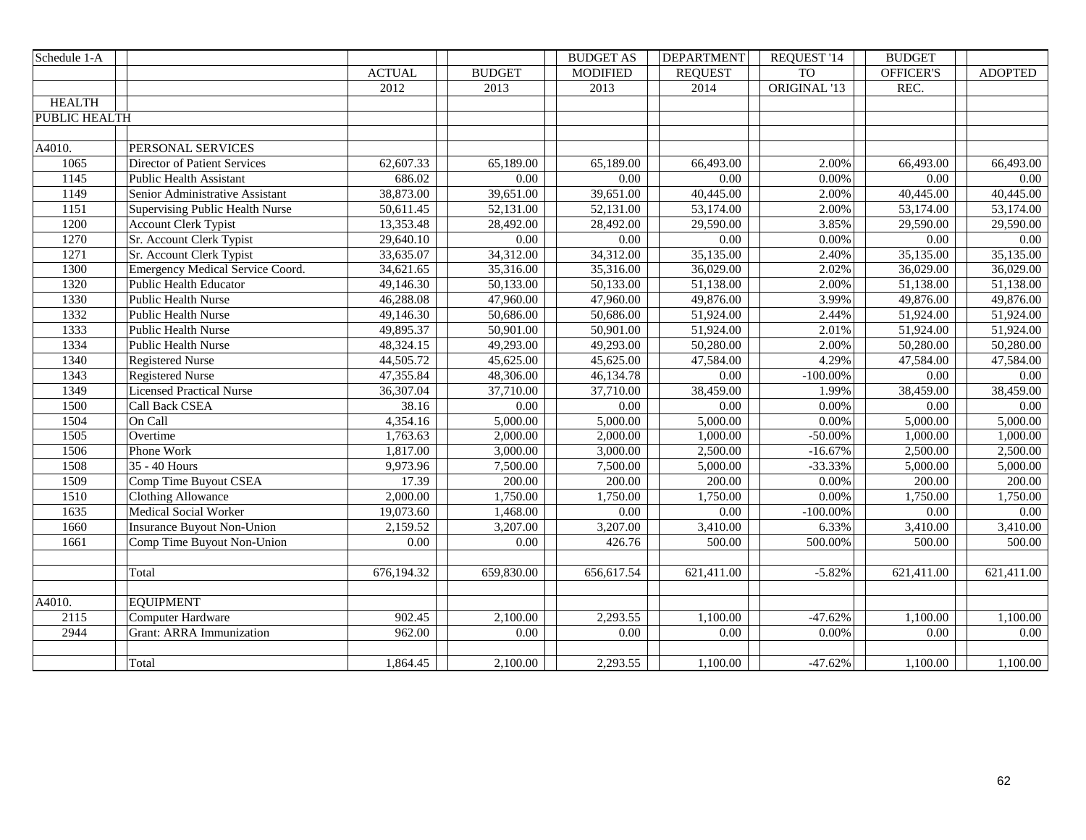| Schedule 1-A  |                                   |               |                   | <b>BUDGET AS</b> | <b>DEPARTMENT</b> | REQUEST '14  | <b>BUDGET</b>           |                |
|---------------|-----------------------------------|---------------|-------------------|------------------|-------------------|--------------|-------------------------|----------------|
|               |                                   | <b>ACTUAL</b> | <b>BUDGET</b>     | <b>MODIFIED</b>  | <b>REQUEST</b>    | <b>TO</b>    | OFFICER'S               | <b>ADOPTED</b> |
|               |                                   | 2012          | $\overline{2013}$ | 2013             | 2014              | ORIGINAL '13 | REC.                    |                |
| <b>HEALTH</b> |                                   |               |                   |                  |                   |              |                         |                |
| PUBLIC HEALTH |                                   |               |                   |                  |                   |              |                         |                |
|               |                                   |               |                   |                  |                   |              |                         |                |
| A4010.        | PERSONAL SERVICES                 |               |                   |                  |                   |              |                         |                |
| 1065          | Director of Patient Services      | 62,607.33     | 65,189.00         | 65,189.00        | 66,493.00         | 2.00%        | 66,493.00               | 66,493.00      |
| 1145          | <b>Public Health Assistant</b>    | 686.02        | 0.00              | 0.00             | 0.00              | $0.00\%$     | 0.00                    | 0.00           |
| 1149          | Senior Administrative Assistant   | 38,873.00     | 39,651.00         | 39,651.00        | 40,445.00         | 2.00%        | 40,445.00               | 40,445.00      |
| 1151          | Supervising Public Health Nurse   | 50,611.45     | 52,131.00         | 52,131.00        | 53,174.00         | 2.00%        | 53,174.00               | 53,174.00      |
| 1200          | <b>Account Clerk Typist</b>       | 13,353.48     | 28,492.00         | 28,492.00        | 29,590.00         | 3.85%        | 29,590.00               | 29,590.00      |
| 1270          | Sr. Account Clerk Typist          | 29,640.10     | 0.00              | $0.00\,$         | $0.00\,$          | $0.00\%$     | 0.00                    | 0.00           |
| 1271          | Sr. Account Clerk Typist          | 33,635.07     | 34,312.00         | 34,312.00        | 35,135.00         | 2.40%        | 35,135.00               | 35,135.00      |
| 1300          | Emergency Medical Service Coord.  | 34,621.65     | 35,316.00         | 35,316.00        | 36,029.00         | 2.02%        | 36,029.00               | 36,029.00      |
| 1320          | Public Health Educator            | 49,146.30     | 50,133.00         | 50,133.00        | 51,138.00         | 2.00%        | 51,138.00               | 51,138.00      |
| 1330          | <b>Public Health Nurse</b>        | 46,288.08     | 47,960.00         | 47,960.00        | 49,876.00         | 3.99%        | 49,876.00               | 49,876.00      |
| 1332          | Public Health Nurse               | 49,146.30     | 50,686.00         | 50,686.00        | 51,924.00         | 2.44%        | 51,924.00               | 51,924.00      |
| 1333          | Public Health Nurse               | 49,895.37     | 50,901.00         | 50,901.00        | 51,924.00         | 2.01%        | 51,924.00               | 51,924.00      |
| 1334          | Public Health Nurse               | 48,324.15     | 49,293.00         | 49,293.00        | 50,280.00         | 2.00%        | 50,280.00               | 50,280.00      |
| 1340          | <b>Registered Nurse</b>           | 44,505.72     | 45,625.00         | 45,625.00        | 47,584.00         | 4.29%        | 47,584.00               | 47,584.00      |
| 1343          | <b>Registered Nurse</b>           | 47,355.84     | 48,306.00         | 46,134.78        | 0.00              | $-100.00\%$  | 0.00                    | 0.00           |
| 1349          | <b>Licensed Practical Nurse</b>   | 36,307.04     | 37,710.00         | 37,710.00        | 38,459.00         | 1.99%        | 38,459.00               | 38,459.00      |
| 1500          | Call Back CSEA                    | 38.16         | 0.00              | 0.00             | 0.00              | 0.00%        | 0.00                    | 0.00           |
| 1504          | On Call                           | 4,354.16      | 5,000.00          | 5,000.00         | 5,000.00          | 0.00%        | 5,000.00                | 5,000.00       |
| 1505          | Overtime                          | 1,763.63      | 2,000.00          | 2,000.00         | 1,000.00          | $-50.00\%$   | 1,000.00                | 1,000.00       |
| 1506          | Phone Work                        | 1,817.00      | 3,000.00          | 3,000.00         | 2,500.00          | $-16.67%$    | 2,500.00                | 2,500.00       |
| 1508          | 35 - 40 Hours                     | 9,973.96      | 7,500.00          | 7,500.00         | 5,000.00          | $-33.33%$    | 5,000.00                | 5,000.00       |
| 1509          | Comp Time Buyout CSEA             | 17.39         | 200.00            | 200.00           | 200.00            | 0.00%        | 200.00                  | 200.00         |
| 1510          | <b>Clothing Allowance</b>         | 2,000.00      | 1,750.00          | 1,750.00         | 1,750.00          | 0.00%        | 1,750.00                | 1,750.00       |
| 1635          | <b>Medical Social Worker</b>      | 19,073.60     | 1,468.00          | $0.00\,$         | $0.00\,$          | $-100.00\%$  | $0.00\,$                | 0.00           |
| 1660          | <b>Insurance Buyout Non-Union</b> | 2,159.52      | 3,207.00          | 3,207.00         | 3,410.00          | 6.33%        | 3,410.00                | 3,410.00       |
| 1661          | Comp Time Buyout Non-Union        | 0.00          | 0.00              | 426.76           | 500.00            | 500.00%      | 500.00                  | 500.00         |
|               |                                   |               |                   |                  |                   |              |                         |                |
|               | Total                             | 676,194.32    | 659,830.00        | 656,617.54       | 621,411.00        | $-5.82%$     | $\overline{62}1,411.00$ | 621,411.00     |
|               |                                   |               |                   |                  |                   |              |                         |                |
| A4010.        | <b>EQUIPMENT</b>                  |               |                   |                  |                   |              |                         |                |
| 2115          | Computer Hardware                 | 902.45        | 2,100.00          | 2,293.55         | 1,100.00          | $-47.62%$    | 1,100.00                | 1,100.00       |
| 2944          | <b>Grant: ARRA Immunization</b>   | 962.00        | $0.00\,$          | $0.00\,$         | $0.00\,$          | $0.00\%$     | $0.00\,$                | 0.00           |
|               |                                   |               |                   |                  |                   |              |                         |                |
|               | Total                             | 1,864.45      | 2,100.00          | 2,293.55         | 1,100.00          | $-47.62%$    | 1,100.00                | 1,100.00       |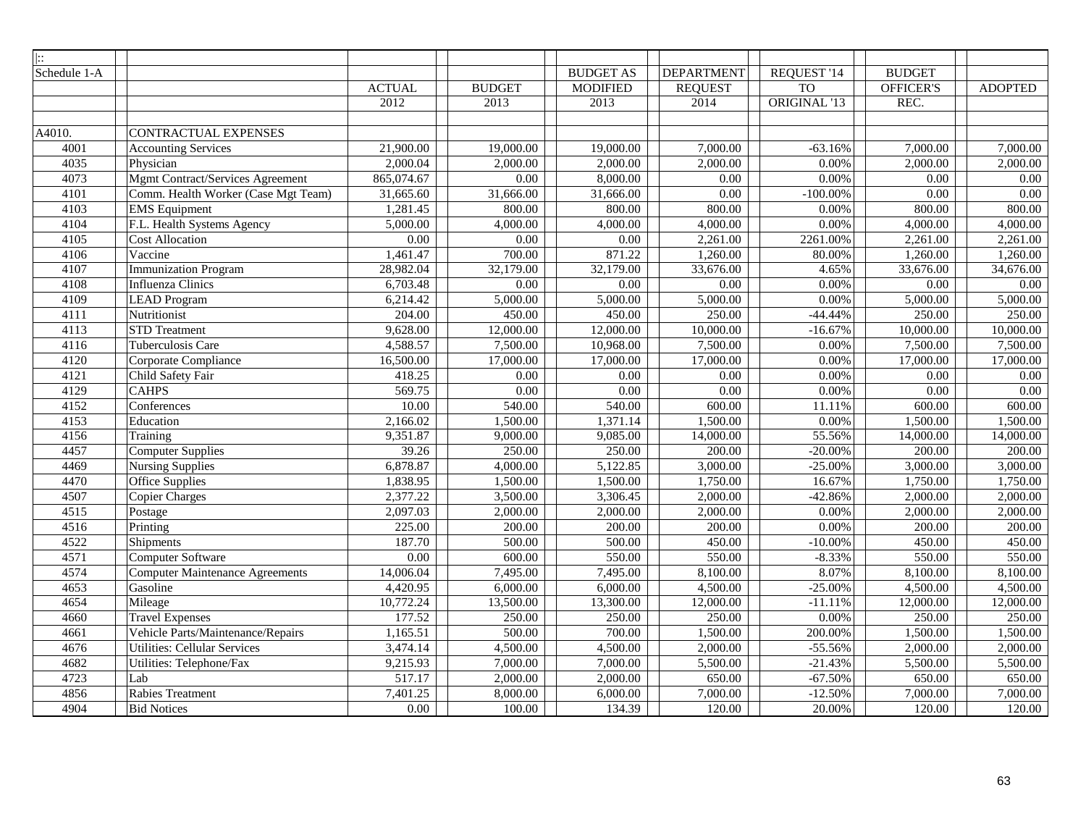| $\mathbb{R}$ |                                     |                   |                   |                       |                   |                 |               |                |
|--------------|-------------------------------------|-------------------|-------------------|-----------------------|-------------------|-----------------|---------------|----------------|
| Schedule 1-A |                                     |                   |                   | <b>BUDGET AS</b>      | <b>DEPARTMENT</b> | REQUEST '14     | <b>BUDGET</b> |                |
|              |                                     | <b>ACTUAL</b>     | <b>BUDGET</b>     | <b>MODIFIED</b>       | <b>REQUEST</b>    | TO <sub>1</sub> | OFFICER'S     | <b>ADOPTED</b> |
|              |                                     | 2012              | 2013              | 2013                  | 2014              | ORIGINAL '13    | REC.          |                |
|              |                                     |                   |                   |                       |                   |                 |               |                |
| A4010.       | <b>CONTRACTUAL EXPENSES</b>         |                   |                   |                       |                   |                 |               |                |
| 4001         | <b>Accounting Services</b>          | 21,900.00         | 19,000.00         | 19,000.00             | 7,000.00          | $-63.16%$       | 7,000.00      | 7,000.00       |
| 4035         | Physician                           | 2,000.04          | 2,000.00          | 2,000.00              | 2,000.00          | 0.00%           | 2,000.00      | 2,000.00       |
| 4073         | Mgmt Contract/Services Agreement    | 865,074.67        | 0.00              | 8,000.00              | $0.00\,$          | 0.00%           | 0.00          | 0.00           |
| 4101         | Comm. Health Worker (Case Mgt Team) | 31,665.60         | 31,666.00         | 31,666.00             | 0.00              | $-100.00\%$     | 0.00          | 0.00           |
| 4103         | <b>EMS</b> Equipment                | 1,281.45          | 800.00            | 800.00                | 800.00            | 0.00%           | 800.00        | 800.00         |
| 4104         | F.L. Health Systems Agency          | 5,000.00          | 4,000.00          | 4,000.00              | 4,000.00          | 0.00%           | 4,000.00      | 4,000.00       |
| 4105         | <b>Cost Allocation</b>              | $\overline{0.00}$ | $\overline{0.00}$ | 0.00                  | 2,261.00          | 2261.00%        | 2,261.00      | 2,261.00       |
| 4106         | Vaccine                             | 1,461.47          | 700.00            | 871.22                | 1,260.00          | 80.00%          | 1,260.00      | 1,260.00       |
| 4107         | <b>Immunization Program</b>         | 28,982.04         | 32,179.00         | 32,179.00             | 33,676.00         | 4.65%           | 33,676.00     | 34,676.00      |
| 4108         | Influenza Clinics                   | 6,703.48          | 0.00              | 0.00                  | $0.00\,$          | 0.00%           | 0.00          | 0.00           |
| 4109         | <b>LEAD Program</b>                 | 6,214.42          | 5,000.00          | 5,000.00              | 5,000.00          | 0.00%           | 5,000.00      | 5,000.00       |
| 4111         | Nutritionist                        | 204.00            | 450.00            | 450.00                | 250.00            | $-44.44%$       | 250.00        | 250.00         |
| 4113         | <b>STD</b> Treatment                | 9,628.00          | 12,000.00         | 12,000.00             | 10,000.00         | $-16.67%$       | 10,000.00     | 10,000.00      |
| 4116         | Tuberculosis Care                   | 4,588.57          | 7,500.00          | 10,968.00             | 7,500.00          | 0.00%           | 7,500.00      | 7,500.00       |
| 4120         | Corporate Compliance                | 16,500.00         | 17,000.00         | 17,000.00             | 17,000.00         | 0.00%           | 17,000.00     | 17,000.00      |
| 4121         | Child Safety Fair                   | 418.25            | 0.00              | 0.00                  | $0.00\,$          | 0.00%           | 0.00          | 0.00           |
| 4129         | <b>CAHPS</b>                        | 569.75            | 0.00              | 0.00                  | 0.00              | 0.00%           | 0.00          | $0.00\,$       |
| 4152         | Conferences                         | 10.00             | 540.00            | 540.00                | 600.00            | 11.11%          | 600.00        | 600.00         |
| 4153         | Education                           | 2,166.02          | 1,500.00          | 1,371.14              | 1,500.00          | 0.00%           | 1,500.00      | 1,500.00       |
| 4156         | Training                            | 9,351.87          | 9,000.00          | 9,085.00              | 14,000.00         | 55.56%          | 14,000.00     | 14,000.00      |
| 4457         | Computer Supplies                   | 39.26             | 250.00            | 250.00                | 200.00            | $-20.00\%$      | 200.00        | 200.00         |
| 4469         | <b>Nursing Supplies</b>             | 6,878.87          | 4,000.00          | 5,122.85              | 3,000.00          | $-25.00%$       | 3,000.00      | 3,000.00       |
| 4470         | <b>Office Supplies</b>              | 1,838.95          | 1,500.00          | 1,500.00              | 1,750.00          | 16.67%          | 1,750.00      | 1,750.00       |
| 4507         | Copier Charges                      | 2,377.22          | 3,500.00          | $3,306.\overline{45}$ | 2,000.00          | $-42.86%$       | 2,000.00      | 2,000.00       |
| 4515         | Postage                             | 2,097.03          | 2,000.00          | 2,000.00              | 2,000.00          | 0.00%           | 2,000.00      | 2,000.00       |
| 4516         | Printing                            | 225.00            | 200.00            | 200.00                | 200.00            | 0.00%           | 200.00        | 200.00         |
| 4522         | Shipments                           | 187.70            | 500.00            | 500.00                | 450.00            | $-10.00\%$      | 450.00        | 450.00         |
| 4571         | Computer Software                   | 0.00              | 600.00            | 550.00                | 550.00            | $-8.33%$        | 550.00        | 550.00         |
| 4574         | Computer Maintenance Agreements     | 14,006.04         | 7,495.00          | 7,495.00              | 8,100.00          | 8.07%           | 8,100.00      | 8,100.00       |
| 4653         | Gasoline                            | 4,420.95          | 6,000.00          | 6,000.00              | 4,500.00          | $-25.00%$       | 4,500.00      | 4,500.00       |
| 4654         | Mileage                             | 10,772.24         | 13,500.00         | 13,300.00             | 12,000.00         | $-11.11%$       | 12,000.00     | 12,000.00      |
| 4660         | <b>Travel Expenses</b>              | 177.52            | 250.00            | 250.00                | 250.00            | 0.00%           | 250.00        | 250.00         |
| 4661         | Vehicle Parts/Maintenance/Repairs   | 1,165.51          | 500.00            | 700.00                | 1,500.00          | 200.00%         | 1,500.00      | 1,500.00       |
| 4676         | <b>Utilities: Cellular Services</b> | 3,474.14          | 4,500.00          | 4,500.00              | 2,000.00          | $-55.56%$       | 2,000.00      | 2,000.00       |
| 4682         | Utilities: Telephone/Fax            | 9,215.93          | 7,000.00          | 7,000.00              | 5,500.00          | $-21.43%$       | 5,500.00      | 5,500.00       |
| 4723         | Lab                                 | 517.17            | 2,000.00          | 2,000.00              | 650.00            | $-67.50%$       | 650.00        | 650.00         |
| 4856         | Rabies Treatment                    | 7,401.25          | 8,000.00          | 6,000.00              | 7,000.00          | $-12.50%$       | 7,000.00      | 7,000.00       |
| 4904         | <b>Bid Notices</b>                  | 0.00              | 100.00            | 134.39                | 120.00            | 20.00%          | 120.00        | 120.00         |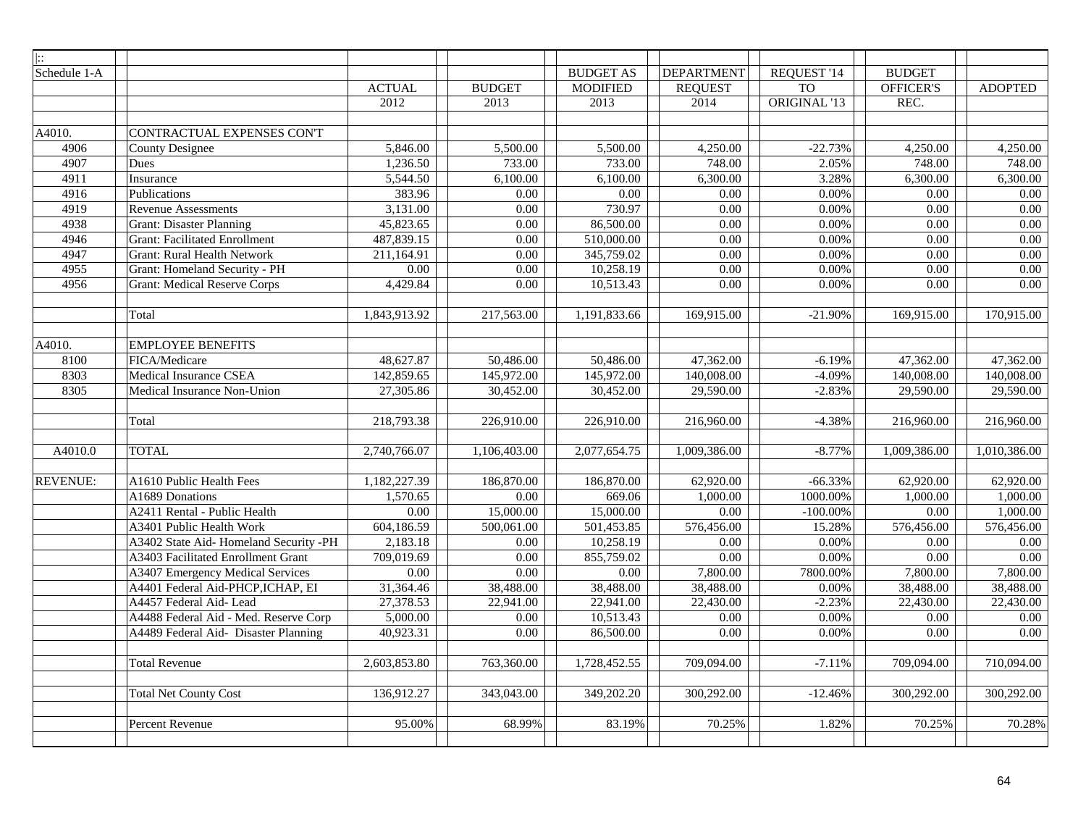| ::              |                                       |                   |                   |                   |                   |              |                   |                   |
|-----------------|---------------------------------------|-------------------|-------------------|-------------------|-------------------|--------------|-------------------|-------------------|
| Schedule 1-A    |                                       |                   |                   | <b>BUDGET AS</b>  | <b>DEPARTMENT</b> | REQUEST '14  | <b>BUDGET</b>     |                   |
|                 |                                       | <b>ACTUAL</b>     | <b>BUDGET</b>     | <b>MODIFIED</b>   | <b>REQUEST</b>    | <b>TO</b>    | OFFICER'S         | <b>ADOPTED</b>    |
|                 |                                       | 2012              | 2013              | 2013              | 2014              | ORIGINAL '13 | REC.              |                   |
|                 |                                       |                   |                   |                   |                   |              |                   |                   |
| A4010.          | CONTRACTUAL EXPENSES CON'T            |                   |                   |                   |                   |              |                   |                   |
| 4906            | <b>County Designee</b>                | 5,846.00          | 5,500.00          | 5,500.00          | 4,250.00          | $-22.73%$    | 4,250.00          | 4,250.00          |
| 4907            | Dues                                  | 1,236.50          | 733.00            | 733.00            | 748.00            | 2.05%        | 748.00            | 748.00            |
| 4911            | Insurance                             | 5,544.50          | 6,100.00          | 6,100.00          | 6,300.00          | 3.28%        | 6,300.00          | 6,300.00          |
| 4916            | Publications                          | 383.96            | 0.00              | $\overline{0.00}$ | 0.00              | 0.00%        | 0.00              | 0.00              |
| 4919            | Revenue Assessments                   | 3,131.00          | 0.00              | 730.97            | 0.00              | 0.00%        | 0.00              | 0.00              |
| 4938            | Grant: Disaster Planning              | 45,823.65         | 0.00              | 86,500.00         | 0.00              | 0.00%        | 0.00              | $\overline{0.00}$ |
| 4946            | <b>Grant: Facilitated Enrollment</b>  | 487,839.15        | $0.00\,$          | 510,000.00        | 0.00              | $0.00\%$     | 0.00              | 0.00              |
| 4947            | Grant: Rural Health Network           | 211,164.91        | 0.00              | 345,759.02        | 0.00              | 0.00%        | 0.00              | 0.00              |
| 4955            | Grant: Homeland Security - PH         | $\overline{0.00}$ | $\overline{0.00}$ | 10,258.19         | $\overline{0.00}$ | 0.00%        | $\overline{0.00}$ | $\overline{0.00}$ |
| 4956            | <b>Grant: Medical Reserve Corps</b>   | 4,429.84          | 0.00              | 10,513.43         | 0.00              | 0.00%        | 0.00              | 0.00              |
|                 |                                       |                   |                   |                   |                   |              |                   |                   |
|                 | Total                                 | 1,843,913.92      | 217,563.00        | 1,191,833.66      | 169,915.00        | $-21.90%$    | 169,915.00        | 170,915.00        |
|                 |                                       |                   |                   |                   |                   |              |                   |                   |
| A4010.          | <b>EMPLOYEE BENEFITS</b>              |                   |                   |                   |                   |              |                   |                   |
| 8100            | FICA/Medicare                         | 48,627.87         | 50,486.00         | 50,486.00         | 47,362.00         | $-6.19%$     | 47,362.00         | 47,362.00         |
| 8303            | Medical Insurance CSEA                | 142,859.65        | 145,972.00        | 145,972.00        | 140,008.00        | $-4.09%$     | 140,008.00        | 140,008.00        |
| 8305            | Medical Insurance Non-Union           | 27,305.86         | 30,452.00         | 30,452.00         | 29,590.00         | $-2.83%$     | 29,590.00         | 29,590.00         |
|                 |                                       |                   |                   |                   |                   |              |                   |                   |
|                 | Total                                 | 218,793.38        | 226,910.00        | 226,910.00        | 216,960.00        | $-4.38%$     | 216,960.00        | 216,960.00        |
|                 |                                       |                   |                   |                   |                   |              |                   |                   |
| A4010.0         | <b>TOTAL</b>                          | 2,740,766.07      | 1,106,403.00      | 2,077,654.75      | 1,009,386.00      | $-8.77%$     | 1,009,386.00      | 1,010,386.00      |
|                 |                                       |                   |                   |                   |                   |              |                   |                   |
| <b>REVENUE:</b> | A1610 Public Health Fees              | 1,182,227.39      | 186,870.00        | 186,870.00        | 62,920.00         | $-66.33%$    | 62,920.00         | 62,920.00         |
|                 | A1689 Donations                       | 1,570.65          | 0.00              | 669.06            | 1,000.00          | 1000.00%     | 1,000.00          | 1,000.00          |
|                 | A2411 Rental - Public Health          | 0.00              | 15,000.00         | 15,000.00         | 0.00              | $-100.00\%$  | 0.00              | 1,000.00          |
|                 | A3401 Public Health Work              | 604,186.59        | 500,061.00        | 501,453.85        | 576,456.00        | 15.28%       | 576,456.00        | 576,456.00        |
|                 | A3402 State Aid-Homeland Security -PH | 2,183.18          | 0.00              | 10,258.19         | 0.00              | 0.00%        | 0.00              | 0.00              |
|                 | A3403 Facilitated Enrollment Grant    | 709,019.69        | 0.00              | 855,759.02        | $0.00\,$          | 0.00%        | 0.00              | 0.00              |
|                 | A3407 Emergency Medical Services      | 0.00              | 0.00              | 0.00              | 7,800.00          | 7800.00%     | 7,800.00          | 7,800.00          |
|                 | A4401 Federal Aid-PHCP, ICHAP, EI     | 31,364.46         | 38,488.00         | 38,488.00         | 38,488.00         | 0.00%        | 38,488.00         | 38,488.00         |
|                 | A4457 Federal Aid-Lead                | 27,378.53         | 22,941.00         | 22,941.00         | 22,430.00         | $-2.23%$     | 22,430.00         | 22,430.00         |
|                 | A4488 Federal Aid - Med. Reserve Corp | 5,000.00          | 0.00              | 10,513.43         | 0.00              | 0.00%        | 0.00              | 0.00              |
|                 | A4489 Federal Aid- Disaster Planning  | 40,923.31         | 0.00              | 86,500.00         | 0.00              | 0.00%        | 0.00              | 0.00              |
|                 |                                       |                   |                   |                   |                   |              |                   |                   |
|                 | <b>Total Revenue</b>                  | 2,603,853.80      | 763,360.00        | 1,728,452.55      | 709,094.00        | $-7.11%$     | 709,094.00        | 710,094.00        |
|                 |                                       |                   |                   |                   |                   |              |                   |                   |
|                 | <b>Total Net County Cost</b>          | 136,912.27        | 343,043.00        | 349,202.20        | 300,292.00        | $-12.46%$    | 300,292.00        | 300,292.00        |
|                 |                                       |                   |                   |                   |                   |              |                   |                   |
|                 | Percent Revenue                       | 95.00%            | 68.99%            | 83.19%            | 70.25%            | 1.82%        | 70.25%            | 70.28%            |
|                 |                                       |                   |                   |                   |                   |              |                   |                   |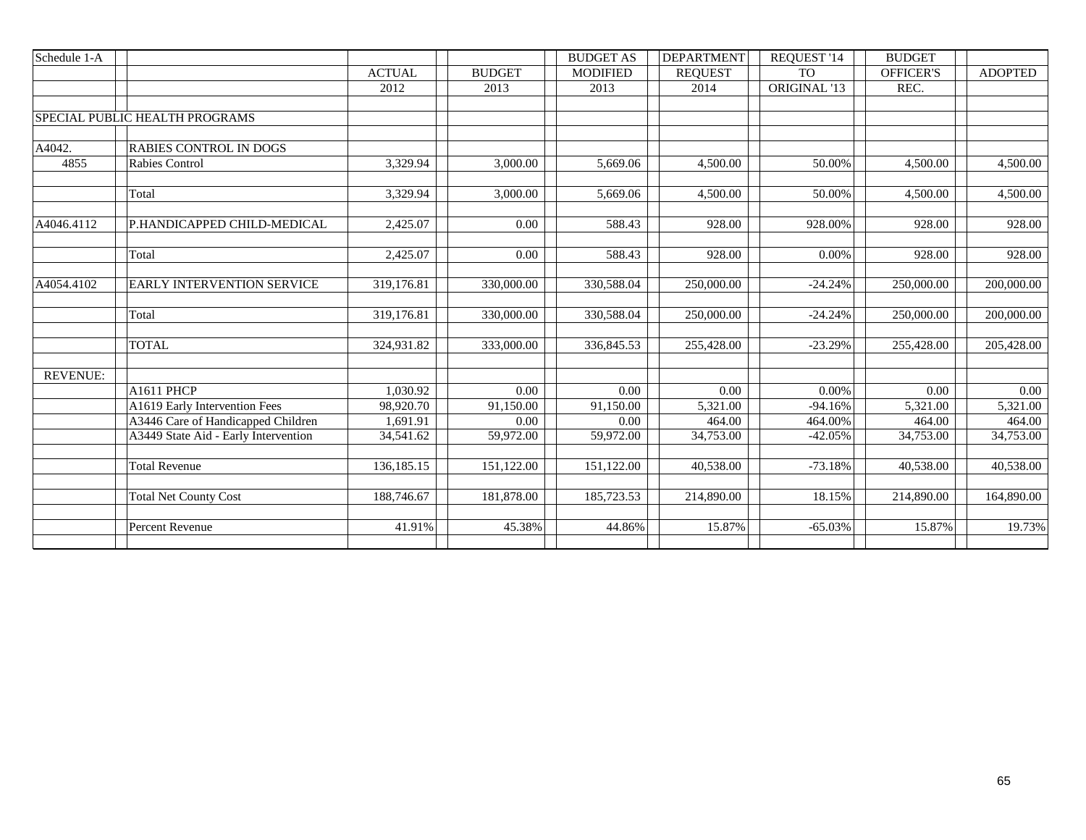| Schedule 1-A    |                                      |               |               | <b>BUDGET AS</b> | <b>DEPARTMENT</b> | REQUEST '14  | <b>BUDGET</b>    |                |
|-----------------|--------------------------------------|---------------|---------------|------------------|-------------------|--------------|------------------|----------------|
|                 |                                      | <b>ACTUAL</b> | <b>BUDGET</b> | <b>MODIFIED</b>  | <b>REQUEST</b>    | <b>TO</b>    | <b>OFFICER'S</b> | <b>ADOPTED</b> |
|                 |                                      | 2012          | 2013          | 2013             | 2014              | ORIGINAL '13 | REC.             |                |
|                 |                                      |               |               |                  |                   |              |                  |                |
|                 | SPECIAL PUBLIC HEALTH PROGRAMS       |               |               |                  |                   |              |                  |                |
|                 |                                      |               |               |                  |                   |              |                  |                |
| A4042.          | RABIES CONTROL IN DOGS               |               |               |                  |                   |              |                  |                |
| 4855            | Rabies Control                       | 3,329.94      | 3,000.00      | 5,669.06         | 4,500.00          | 50.00%       | 4,500.00         | 4,500.00       |
|                 |                                      |               |               |                  |                   |              |                  |                |
|                 | Total                                | 3,329.94      | 3,000.00      | 5,669.06         | 4,500.00          | 50.00%       | 4,500.00         | 4,500.00       |
|                 |                                      |               |               |                  |                   |              |                  |                |
| A4046.4112      | P.HANDICAPPED CHILD-MEDICAL          | 2,425.07      | 0.00          | 588.43           | 928.00            | 928.00%      | 928.00           | 928.00         |
|                 | Total                                | 2,425.07      | 0.00          | 588.43           | 928.00            | 0.00%        | 928.00           | 928.00         |
|                 |                                      |               |               |                  |                   |              |                  |                |
| A4054.4102      | <b>EARLY INTERVENTION SERVICE</b>    | 319,176.81    | 330,000.00    | 330,588.04       | 250,000.00        | $-24.24%$    | 250,000.00       | 200,000.00     |
|                 |                                      |               |               |                  |                   |              |                  |                |
|                 | Total                                | 319,176.81    | 330,000.00    | 330,588.04       | 250,000.00        | $-24.24%$    | 250,000.00       | 200,000.00     |
|                 |                                      |               |               |                  |                   |              |                  |                |
|                 | <b>TOTAL</b>                         | 324,931.82    | 333,000.00    | 336,845.53       | 255,428.00        | $-23.29%$    | 255,428.00       | 205,428.00     |
|                 |                                      |               |               |                  |                   |              |                  |                |
| <b>REVENUE:</b> |                                      |               |               |                  |                   |              |                  |                |
|                 | <b>A1611 PHCP</b>                    | 1,030.92      | 0.00          | 0.00             | 0.00              | 0.00%        | 0.00             | 0.00           |
|                 | A1619 Early Intervention Fees        | 98,920.70     | 91.150.00     | 91.150.00        | 5,321.00          | $-94.16%$    | 5,321.00         | 5,321.00       |
|                 | A3446 Care of Handicapped Children   | 1,691.91      | 0.00          | 0.00             | 464.00            | 464.00%      | 464.00           | 464.00         |
|                 | A3449 State Aid - Early Intervention | 34,541.62     | 59,972.00     | 59,972.00        | 34,753.00         | $-42.05%$    | 34,753.00        | 34,753.00      |
|                 |                                      |               |               |                  |                   |              |                  |                |
|                 | <b>Total Revenue</b>                 | 136, 185. 15  | 151,122.00    | 151,122.00       | 40,538.00         | $-73.18%$    | 40,538.00        | 40,538.00      |
|                 |                                      |               |               |                  |                   |              |                  |                |
|                 | <b>Total Net County Cost</b>         | 188,746.67    | 181,878.00    | 185,723.53       | 214,890.00        | 18.15%       | 214,890.00       | 164,890.00     |
|                 |                                      |               |               |                  |                   |              |                  |                |
|                 | Percent Revenue                      | 41.91%        | 45.38%        | 44.86%           | 15.87%            | $-65.03%$    | 15.87%           | 19.73%         |
|                 |                                      |               |               |                  |                   |              |                  |                |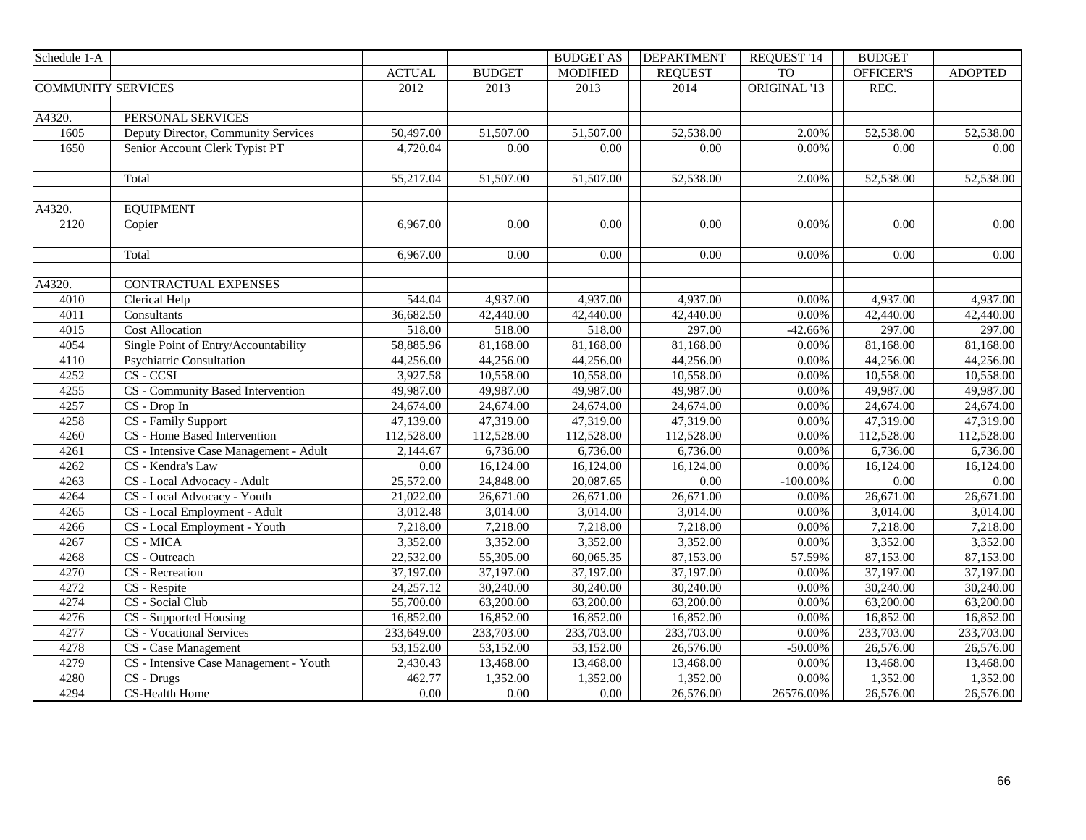| Schedule 1-A              |                                              |                       |                        | <b>BUDGET AS</b>       | <b>DEPARTMENT</b>      | REQUEST '14    | <b>BUDGET</b>          |                        |
|---------------------------|----------------------------------------------|-----------------------|------------------------|------------------------|------------------------|----------------|------------------------|------------------------|
|                           |                                              | <b>ACTUAL</b>         | <b>BUDGET</b>          | <b>MODIFIED</b>        | <b>REQUEST</b>         | <b>TO</b>      | OFFICER'S              | <b>ADOPTED</b>         |
| <b>COMMUNITY SERVICES</b> |                                              | 2012                  | 2013                   | 2013                   | 2014                   | ORIGINAL '13   | REC.                   |                        |
|                           |                                              |                       |                        |                        |                        |                |                        |                        |
| A4320.                    | <b>PERSONAL SERVICES</b>                     |                       |                        |                        |                        |                |                        |                        |
| 1605                      | Deputy Director, Community Services          | 50,497.00             | 51,507.00              | 51,507.00              | 52,538.00              | 2.00%          | 52,538.00              | 52,538.00              |
| 1650                      | Senior Account Clerk Typist PT               | 4,720.04              | 0.00                   | 0.00                   | 0.00                   | 0.00%          | 0.00                   | 0.00                   |
|                           |                                              |                       |                        |                        |                        |                |                        |                        |
|                           | Total                                        | 55,217.04             | 51,507.00              | 51,507.00              | 52,538.00              | 2.00%          | 52,538.00              | 52,538.00              |
|                           |                                              |                       |                        |                        |                        |                |                        |                        |
| A4320.                    | <b>EQUIPMENT</b>                             |                       |                        |                        |                        |                |                        |                        |
| 2120                      | Copier                                       | 6,967.00              | 0.00                   | 0.00                   | 0.00                   | 0.00%          | 0.00                   | 0.00                   |
|                           |                                              |                       |                        |                        |                        |                |                        |                        |
|                           | Total                                        | 6,967.00              | 0.00                   | 0.00                   | 0.00                   | 0.00%          | 0.00                   | 0.00                   |
|                           |                                              |                       |                        |                        |                        |                |                        |                        |
| A4320.                    | <b>CONTRACTUAL EXPENSES</b>                  | 544.04                |                        | 4,937.00               |                        | 0.00%          |                        |                        |
| 4010<br>4011              | Clerical Help<br>Consultants                 | 36,682.50             | 4,937.00<br>42,440.00  | 42,440.00              | 4,937.00<br>42,440.00  | 0.00%          | 4,937.00<br>42,440.00  | 4,937.00<br>42,440.00  |
|                           |                                              |                       | 518.00                 | 518.00                 | 297.00                 |                |                        |                        |
| 4015                      | <b>Cost Allocation</b>                       | 518.00                |                        |                        |                        | $-42.66%$      | 297.00                 | 297.00                 |
| 4054                      | Single Point of Entry/Accountability         | 58,885.96             | 81,168.00              | 81,168.00              | 81,168.00              | 0.00%          | 81,168.00              | 81,168.00              |
| 4110                      | <b>Psychiatric Consultation</b><br>CS - CCSI | 44,256.00<br>3,927.58 | 44,256.00<br>10,558.00 | 44,256.00<br>10,558.00 | 44,256.00<br>10,558.00 | 0.00%          | 44,256.00              | 44,256.00<br>10,558.00 |
| 4252<br>4255              | CS - Community Based Intervention            | 49,987.00             | 49,987.00              | 49,987.00              | 49,987.00              | 0.00%<br>0.00% | 10,558.00<br>49,987.00 | 49,987.00              |
| 4257                      | $CS - Drop$ In                               | 24,674.00             | 24,674.00              | 24,674.00              | 24,674.00              | 0.00%          | 24,674.00              | 24,674.00              |
| 4258                      | CS - Family Support                          | 47,139.00             | 47,319.00              | 47,319.00              | 47,319.00              | 0.00%          | $\overline{47,319.00}$ | 47,319.00              |
| 4260                      | CS - Home Based Intervention                 | 112,528.00            | 112,528.00             | 112,528.00             | 112,528.00             | 0.00%          | 112,528.00             | 112,528.00             |
| 4261                      | CS - Intensive Case Management - Adult       | 2,144.67              | 6,736.00               | 6,736.00               | 6,736.00               | 0.00%          | 6,736.00               | 6,736.00               |
| 4262                      | CS - Kendra's Law                            | 0.00                  | 16,124.00              | 16,124.00              | 16,124.00              | 0.00%          | 16,124.00              | 16,124.00              |
| 4263                      | CS - Local Advocacy - Adult                  | 25,572.00             | 24,848.00              | 20,087.65              | 0.00                   | $-100.00\%$    | 0.00                   | 0.00                   |
| 4264                      | CS - Local Advocacy - Youth                  | 21,022.00             | 26,671.00              | 26,671.00              | 26,671.00              | 0.00%          | 26,671.00              | 26,671.00              |
| 4265                      | CS - Local Employment - Adult                | 3,012.48              | 3,014.00               | 3,014.00               | 3,014.00               | $0.00\%$       | 3,014.00               | 3,014.00               |
| 4266                      | CS - Local Employment - Youth                | 7,218.00              | 7,218.00               | 7,218.00               | 7,218.00               | 0.00%          | 7,218.00               | 7,218.00               |
| 4267                      | CS - MICA                                    | 3,352.00              | 3,352.00               | 3,352.00               | 3,352.00               | 0.00%          | 3,352.00               | 3,352.00               |
| 4268                      | $\overline{\text{CS}}$ - Outreach            | 22,532.00             | 55,305.00              | 60,065.35              | 87,153.00              | 57.59%         | 87,153.00              | 87,153.00              |
| 4270                      | CS - Recreation                              | 37,197.00             | 37,197.00              | 37,197.00              | 37,197.00              | 0.00%          | 37,197.00              | 37,197.00              |
| 4272                      | CS - Respite                                 | 24,257.12             | 30,240.00              | 30,240.00              | 30,240.00              | 0.00%          | 30,240.00              | 30,240.00              |
| 4274                      | CS - Social Club                             | 55,700.00             | 63,200.00              | 63,200.00              | 63,200.00              | 0.00%          | 63,200.00              | 63,200.00              |
| 4276                      | CS - Supported Housing                       | 16,852.00             | 16,852.00              | 16,852.00              | 16,852.00              | 0.00%          | 16,852.00              | 16,852.00              |
| 4277                      | CS - Vocational Services                     | 233,649.00            | 233,703.00             | 233,703.00             | 233,703.00             | 0.00%          | 233,703.00             | 233,703.00             |
| 4278                      | CS - Case Management                         | 53,152.00             | 53,152.00              | 53,152.00              | 26,576.00              | $-50.00\%$     | 26,576.00              | 26,576.00              |
| 4279                      | CS - Intensive Case Management - Youth       | 2,430.43              | 13,468.00              | 13,468.00              | 13,468.00              | 0.00%          | 13,468.00              | 13,468.00              |
| 4280                      | $\overline{\text{CS - Drugs}}$               | 462.77                | 1,352.00               | 1,352.00               | 1,352.00               | 0.00%          | 1,352.00               | 1,352.00               |
| 4294                      | CS-Health Home                               | 0.00                  | 0.00                   | 0.00                   | 26,576.00              | 26576.00%      | 26,576.00              | 26,576.00              |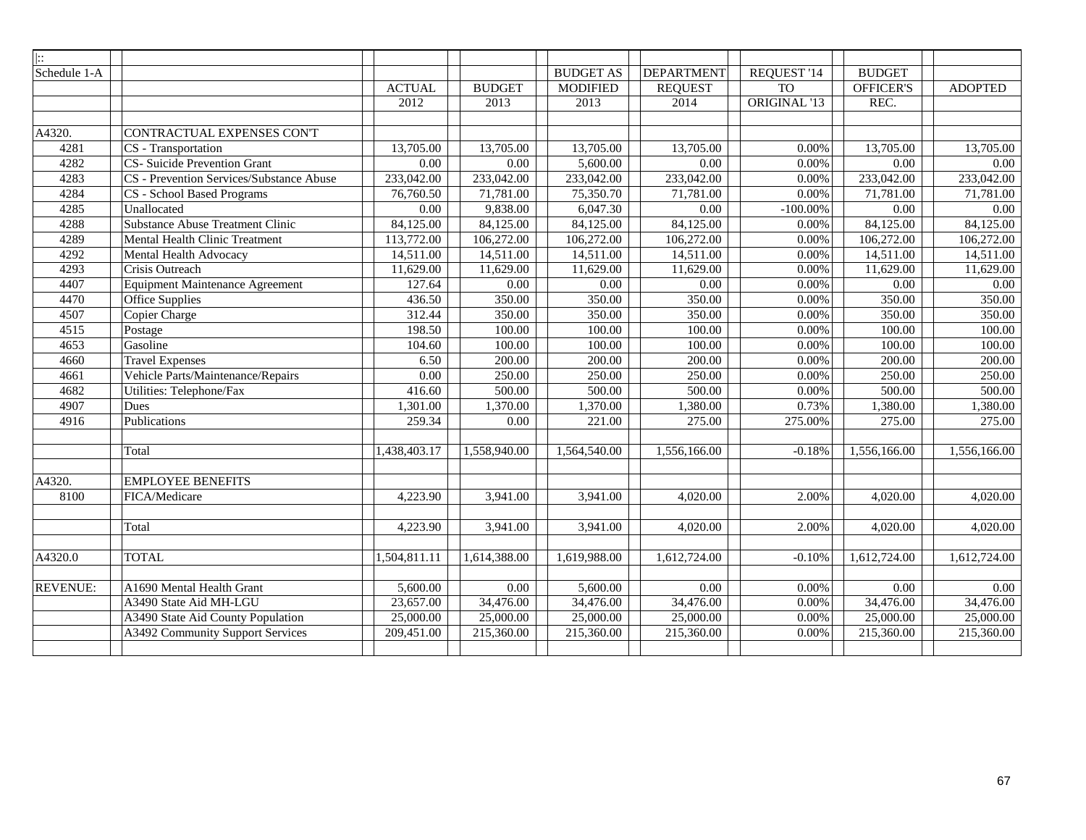| $\overline{ \colon}$ |                                          |               |               |                  |                   |                         |                  |                |
|----------------------|------------------------------------------|---------------|---------------|------------------|-------------------|-------------------------|------------------|----------------|
| Schedule 1-A         |                                          |               |               | <b>BUDGET AS</b> | <b>DEPARTMENT</b> | REQUEST '14             | <b>BUDGET</b>    |                |
|                      |                                          | <b>ACTUAL</b> | <b>BUDGET</b> | <b>MODIFIED</b>  | <b>REQUEST</b>    | <b>TO</b>               | <b>OFFICER'S</b> | <b>ADOPTED</b> |
|                      |                                          | 2012          | 2013          | 2013             | 2014              | ORIGINAL <sup>'13</sup> | REC.             |                |
|                      |                                          |               |               |                  |                   |                         |                  |                |
| A4320.               | CONTRACTUAL EXPENSES CON'T               |               |               |                  |                   |                         |                  |                |
| 4281                 | CS - Transportation                      | 13,705.00     | 13,705.00     | 13,705.00        | 13,705.00         | 0.00%                   | 13,705.00        | 13,705.00      |
| 4282                 | <b>CS-</b> Suicide Prevention Grant      | 0.00          | $0.00\,$      | 5,600.00         | 0.00              | 0.00%                   | 0.00             | 0.00           |
| 4283                 | CS - Prevention Services/Substance Abuse | 233,042.00    | 233,042.00    | 233,042.00       | 233,042.00        | 0.00%                   | 233,042.00       | 233,042.00     |
| 4284                 | CS - School Based Programs               | 76,760.50     | 71,781.00     | 75,350.70        | 71,781.00         | 0.00%                   | 71,781.00        | 71,781.00      |
| 4285                 | Unallocated                              | 0.00          | 9,838.00      | 6,047.30         | 0.00              | $-100.00\%$             | 0.00             | 0.00           |
| 4288                 | Substance Abuse Treatment Clinic         | 84,125.00     | 84,125.00     | 84,125.00        | 84,125.00         | 0.00%                   | 84,125.00        | 84,125.00      |
| 4289                 | Mental Health Clinic Treatment           | 113,772.00    | 106,272.00    | 106,272.00       | 106,272.00        | 0.00%                   | 106,272.00       | 106,272.00     |
| 4292                 | Mental Health Advocacy                   | 14,511.00     | 14,511.00     | 14,511.00        | 14,511.00         | 0.00%                   | 14,511.00        | 14,511.00      |
| 4293                 | Crisis Outreach                          | 11,629.00     | 11,629.00     | 11,629.00        | 11,629.00         | 0.00%                   | 11,629.00        | 11,629.00      |
| 4407                 | <b>Equipment Maintenance Agreement</b>   | 127.64        | 0.00          | 0.00             | 0.00              | $0.00\%$                | 0.00             | 0.00           |
| 4470                 | <b>Office Supplies</b>                   | 436.50        | 350.00        | 350.00           | 350.00            | 0.00%                   | 350.00           | 350.00         |
| 4507                 | Copier Charge                            | 312.44        | 350.00        | 350.00           | 350.00            | 0.00%                   | 350.00           | 350.00         |
| 4515                 | Postage                                  | 198.50        | 100.00        | 100.00           | 100.00            | 0.00%                   | 100.00           | 100.00         |
| 4653                 | Gasoline                                 | 104.60        | 100.00        | 100.00           | 100.00            | 0.00%                   | 100.00           | 100.00         |
| 4660                 | <b>Travel Expenses</b>                   | 6.50          | 200.00        | 200.00           | 200.00            | 0.00%                   | 200.00           | 200.00         |
| 4661                 | Vehicle Parts/Maintenance/Repairs        | 0.00          | 250.00        | 250.00           | 250.00            | 0.00%                   | 250.00           | 250.00         |
| 4682                 | Utilities: Telephone/Fax                 | 416.60        | 500.00        | 500.00           | 500.00            | 0.00%                   | 500.00           | 500.00         |
| 4907                 | Dues                                     | 1,301.00      | 1,370.00      | 1,370.00         | 1,380.00          | 0.73%                   | 1,380.00         | 1,380.00       |
| 4916                 | Publications                             | 259.34        | 0.00          | 221.00           | 275.00            | 275.00%                 | 275.00           | 275.00         |
|                      |                                          |               |               |                  |                   |                         |                  |                |
|                      | Total                                    | 1.438.403.17  | 1.558.940.00  | 1.564.540.00     | 1.556.166.00      | $-0.18%$                | 1.556.166.00     | 1.556.166.00   |
|                      |                                          |               |               |                  |                   |                         |                  |                |
| A4320.               | <b>EMPLOYEE BENEFITS</b>                 |               |               |                  |                   |                         |                  |                |
| 8100                 | FICA/Medicare                            | 4,223.90      | 3,941.00      | 3,941.00         | 4,020.00          | 2.00%                   | 4,020.00         | 4,020.00       |
|                      |                                          |               |               |                  |                   |                         |                  |                |
|                      | Total                                    | 4,223.90      | 3,941.00      | 3,941.00         | 4,020.00          | 2.00%                   | 4,020.00         | 4,020.00       |
|                      |                                          |               |               |                  |                   |                         |                  |                |
| A4320.0              | <b>TOTAL</b>                             | 1,504,811.11  | 1,614,388.00  | 1,619,988.00     | 1,612,724.00      | $-0.10%$                | 1,612,724.00     | 1,612,724.00   |
|                      |                                          |               |               |                  |                   |                         |                  |                |
| <b>REVENUE:</b>      | A1690 Mental Health Grant                | 5,600.00      | 0.00          | 5,600.00         | 0.00              | 0.00%                   | 0.00             | 0.00           |
|                      | A3490 State Aid MH-LGU                   | 23,657.00     | 34,476.00     | 34,476.00        | 34,476.00         | 0.00%                   | 34,476.00        | 34,476.00      |
|                      | A3490 State Aid County Population        | 25,000.00     | 25,000.00     | 25,000.00        | 25,000.00         | 0.00%                   | 25,000.00        | 25,000.00      |
|                      | A3492 Community Support Services         | 209,451.00    | 215,360.00    | 215,360.00       | 215,360.00        | 0.00%                   | 215,360.00       | 215,360.00     |
|                      |                                          |               |               |                  |                   |                         |                  |                |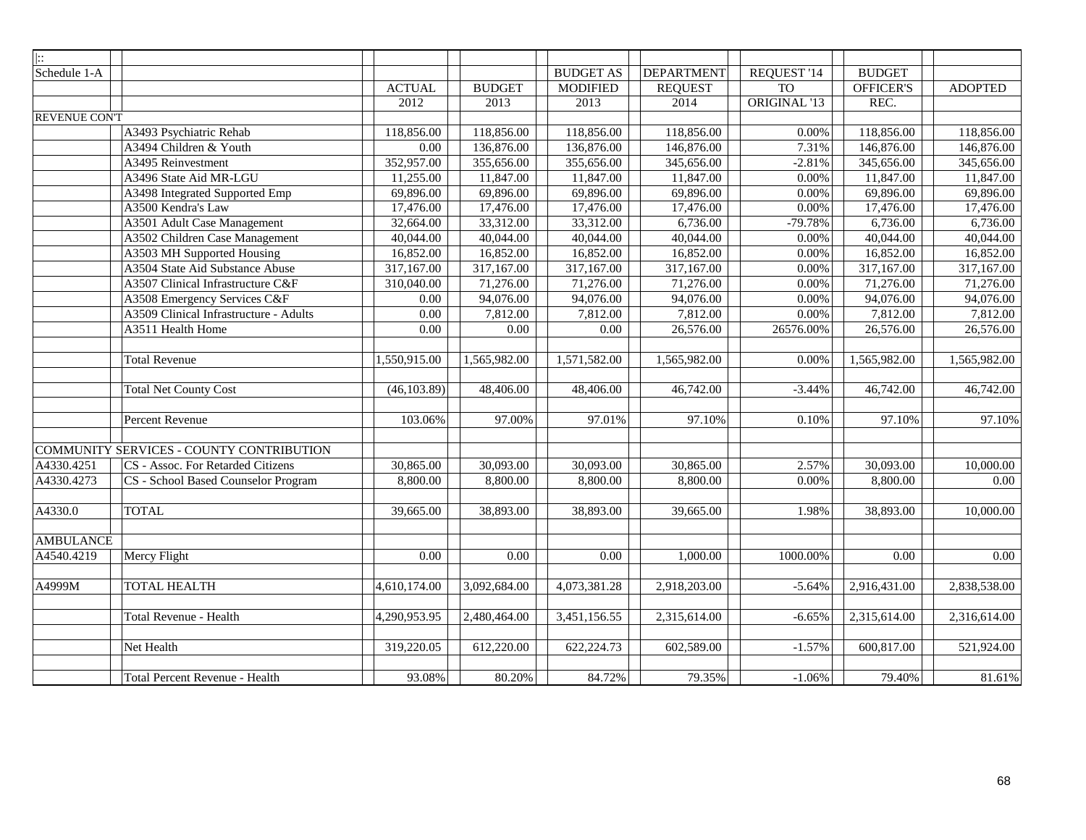| $\left  \cdot \right $ |                                          |               |                        |                  |                   |                 |               |                |
|------------------------|------------------------------------------|---------------|------------------------|------------------|-------------------|-----------------|---------------|----------------|
| Schedule 1-A           |                                          |               |                        | <b>BUDGET AS</b> | <b>DEPARTMENT</b> | REQUEST '14     | <b>BUDGET</b> |                |
|                        |                                          | <b>ACTUAL</b> | <b>BUDGET</b>          | <b>MODIFIED</b>  | <b>REQUEST</b>    | TO <sub>1</sub> | OFFICER'S     | <b>ADOPTED</b> |
|                        |                                          | 2012          | 2013                   | 2013             | 2014              | ORIGINAL '13    | REC.          |                |
| <b>REVENUE CONT</b>    |                                          |               |                        |                  |                   |                 |               |                |
|                        | A3493 Psychiatric Rehab                  | 118,856.00    | 118,856.00             | 118,856.00       | 118,856.00        | 0.00%           | 118,856.00    | 118,856.00     |
|                        | A3494 Children & Youth                   | 0.00          | 136,876.00             | 136,876.00       | 146,876.00        | 7.31%           | 146,876.00    | 146,876.00     |
|                        | A3495 Reinvestment                       | 352,957.00    | 355,656.00             | 355,656.00       | 345,656.00        | $-2.81%$        | 345,656.00    | 345,656.00     |
|                        | A3496 State Aid MR-LGU                   | 11,255.00     | 11,847.00              | 11,847.00        | 11,847.00         | 0.00%           | 11,847.00     | 11,847.00      |
|                        | A3498 Integrated Supported Emp           | 69,896.00     | 69,896.00              | 69,896.00        | 69,896.00         | 0.00%           | 69,896.00     | 69,896.00      |
|                        | A3500 Kendra's Law                       | 17,476.00     | 17,476.00              | 17,476.00        | 17,476.00         | 0.00%           | 17,476.00     | 17,476.00      |
|                        | A3501 Adult Case Management              | 32,664.00     | 33,312.00              | 33,312.00        | 6,736.00          | $-79.78%$       | 6,736.00      | 6,736.00       |
|                        | A3502 Children Case Management           | 40,044.00     | 40,044.00              | 40,044.00        | 40,044.00         | 0.00%           | 40,044.00     | 40,044.00      |
|                        | A3503 MH Supported Housing               | 16,852.00     | 16,852.00              | 16,852.00        | 16,852.00         | 0.00%           | 16,852.00     | 16,852.00      |
|                        | A3504 State Aid Substance Abuse          | 317,167.00    | 317,167.00             | 317,167.00       | 317,167.00        | 0.00%           | 317,167.00    | 317,167.00     |
|                        | A3507 Clinical Infrastructure C&F        | 310,040.00    | $\overline{71,276.00}$ | 71,276.00        | 71,276.00         | 0.00%           | 71,276.00     | 71,276.00      |
|                        | A3508 Emergency Services C&F             | 0.00          | 94,076.00              | 94,076.00        | 94,076.00         | $0.00\%$        | 94,076.00     | 94,076.00      |
|                        | A3509 Clinical Infrastructure - Adults   | 0.00          | 7,812.00               | 7,812.00         | 7,812.00          | 0.00%           | 7,812.00      | 7,812.00       |
|                        | A3511 Health Home                        | 0.00          | 0.00                   | 0.00             | 26,576.00         | 26576.00%       | 26,576.00     | 26,576.00      |
|                        |                                          |               |                        |                  |                   |                 |               |                |
|                        | <b>Total Revenue</b>                     | 1,550,915.00  | 1,565,982.00           | 1,571,582.00     | 1,565,982.00      | 0.00%           | 1,565,982.00  | 1,565,982.00   |
|                        |                                          |               |                        |                  |                   |                 |               |                |
|                        | <b>Total Net County Cost</b>             | (46, 103.89)  | 48,406.00              | 48,406.00        | 46,742.00         | $-3.44%$        | 46,742.00     | 46,742.00      |
|                        |                                          |               |                        |                  |                   |                 |               |                |
|                        | Percent Revenue                          | 103.06%       | 97.00%                 | 97.01%           | 97.10%            | 0.10%           | 97.10%        | 97.10%         |
|                        |                                          |               |                        |                  |                   |                 |               |                |
|                        | COMMUNITY SERVICES - COUNTY CONTRIBUTION |               |                        |                  |                   |                 |               |                |
| A4330.4251             | CS - Assoc. For Retarded Citizens        | 30,865.00     | 30,093.00              | 30,093.00        | 30,865.00         | 2.57%           | 30,093.00     | 10,000.00      |
| A4330.4273             | CS - School Based Counselor Program      | 8,800.00      | 8,800.00               | 8,800.00         | 8,800.00          | 0.00%           | 8,800.00      | 0.00           |
|                        |                                          |               |                        |                  |                   |                 |               |                |
| A4330.0                | <b>TOTAL</b>                             | 39,665.00     | 38,893.00              | 38,893.00        | 39,665.00         | 1.98%           | 38,893.00     | 10,000.00      |
|                        |                                          |               |                        |                  |                   |                 |               |                |
| <b>AMBULANCE</b>       |                                          |               |                        |                  |                   |                 |               |                |
| A4540.4219             | Mercy Flight                             | 0.00          | 0.00                   | 0.00             | 1,000.00          | 1000.00%        | 0.00          | 0.00           |
|                        |                                          |               |                        |                  |                   |                 |               |                |
| A4999M                 | <b>TOTAL HEALTH</b>                      | 4,610,174.00  | 3,092,684.00           | 4,073,381.28     | 2,918,203.00      | $-5.64%$        | 2,916,431.00  | 2,838,538.00   |
|                        |                                          |               |                        |                  |                   |                 |               |                |
|                        | Total Revenue - Health                   | 4,290,953.95  | 2,480,464.00           | 3,451,156.55     | 2,315,614.00      | $-6.65%$        | 2,315,614.00  | 2,316,614.00   |
|                        |                                          |               |                        |                  |                   |                 |               |                |
|                        | Net Health                               | 319,220.05    | 612,220.00             | 622,224.73       | 602,589.00        | $-1.57%$        | 600,817.00    | 521,924.00     |
|                        |                                          |               |                        |                  |                   |                 |               |                |
|                        | Total Percent Revenue - Health           | 93.08%        | 80.20%                 | 84.72%           | 79.35%            | $-1.06%$        | 79.40%        | 81.61%         |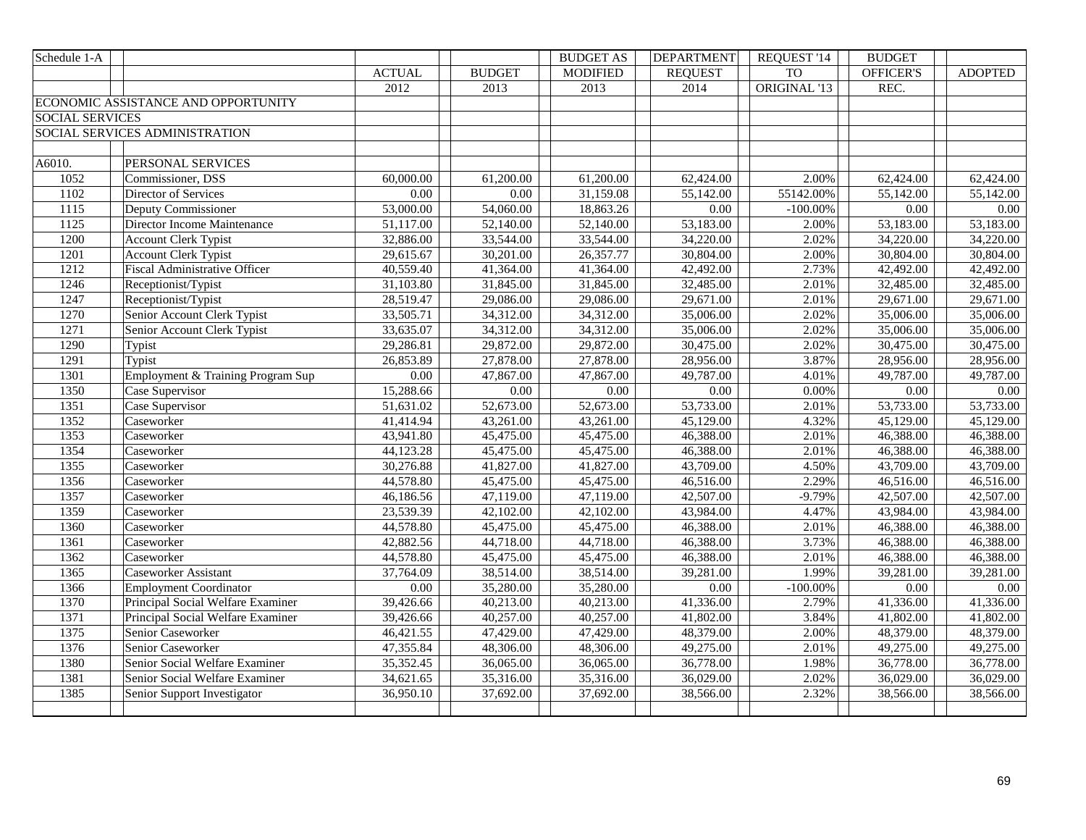| Schedule 1-A           |                                      |               |               | <b>BUDGET AS</b> | <b>DEPARTMENT</b> | REQUEST '14  | <b>BUDGET</b> |                |
|------------------------|--------------------------------------|---------------|---------------|------------------|-------------------|--------------|---------------|----------------|
|                        |                                      | <b>ACTUAL</b> | <b>BUDGET</b> | <b>MODIFIED</b>  | <b>REQUEST</b>    | <b>TO</b>    | OFFICER'S     | <b>ADOPTED</b> |
|                        |                                      | 2012          | 2013          | 2013             | 2014              | ORIGINAL '13 | REC.          |                |
|                        | ECONOMIC ASSISTANCE AND OPPORTUNITY  |               |               |                  |                   |              |               |                |
| <b>SOCIAL SERVICES</b> |                                      |               |               |                  |                   |              |               |                |
|                        | SOCIAL SERVICES ADMINISTRATION       |               |               |                  |                   |              |               |                |
|                        |                                      |               |               |                  |                   |              |               |                |
| A6010.                 | PERSONAL SERVICES                    |               |               |                  |                   |              |               |                |
| 1052                   | Commissioner, DSS                    | 60,000.00     | 61,200.00     | 61,200.00        | 62,424.00         | 2.00%        | 62,424.00     | 62,424.00      |
| 1102                   | Director of Services                 | 0.00          | 0.00          | 31,159.08        | 55,142.00         | 55142.00%    | 55,142.00     | 55,142.00      |
| 1115                   | Deputy Commissioner                  | 53,000.00     | 54,060.00     | 18,863.26        | 0.00              | $-100.00\%$  | 0.00          | $0.00\,$       |
| 1125                   | Director Income Maintenance          | 51,117.00     | 52,140.00     | 52,140.00        | 53,183.00         | 2.00%        | 53,183.00     | 53,183.00      |
| 1200                   | <b>Account Clerk Typist</b>          | 32,886.00     | 33,544.00     | 33,544.00        | 34,220.00         | 2.02%        | 34,220.00     | 34,220.00      |
| 1201                   | <b>Account Clerk Typist</b>          | 29,615.67     | 30,201.00     | 26,357.77        | 30,804.00         | 2.00%        | 30,804.00     | 30,804.00      |
| 1212                   | <b>Fiscal Administrative Officer</b> | 40,559.40     | 41,364.00     | 41,364.00        | 42,492.00         | 2.73%        | 42,492.00     | 42,492.00      |
| 1246                   | Receptionist/Typist                  | 31,103.80     | 31,845.00     | 31,845.00        | 32,485.00         | 2.01%        | 32,485.00     | 32,485.00      |
| 1247                   | Receptionist/Typist                  | 28,519.47     | 29,086.00     | 29,086.00        | 29,671.00         | 2.01%        | 29,671.00     | 29,671.00      |
| 1270                   | Senior Account Clerk Typist          | 33,505.71     | 34,312.00     | 34,312.00        | 35,006.00         | 2.02%        | 35,006.00     | 35,006.00      |
| 1271                   | Senior Account Clerk Typist          | 33,635.07     | 34,312.00     | 34,312.00        | 35,006.00         | 2.02%        | 35,006.00     | 35,006.00      |
| 1290                   | Typist                               | 29,286.81     | 29,872.00     | 29,872.00        | 30,475.00         | 2.02%        | 30,475.00     | 30,475.00      |
| 1291                   | Typist                               | 26,853.89     | 27,878.00     | 27,878.00        | 28,956.00         | 3.87%        | 28,956.00     | 28,956.00      |
| 1301                   | Employment & Training Program Sup    | 0.00          | 47,867.00     | 47,867.00        | 49,787.00         | 4.01%        | 49,787.00     | 49,787.00      |
| 1350                   | Case Supervisor                      | 15,288.66     | 0.00          | 0.00             | 0.00              | 0.00%        | $0.00\,$      | 0.00           |
| 1351                   | Case Supervisor                      | 51,631.02     | 52,673.00     | 52,673.00        | 53,733.00         | 2.01%        | 53,733.00     | 53,733.00      |
| 1352                   | Caseworker                           | 41,414.94     | 43,261.00     | 43,261.00        | 45,129.00         | 4.32%        | 45,129.00     | 45,129.00      |
| 1353                   | Caseworker                           | 43,941.80     | 45,475.00     | 45,475.00        | 46,388.00         | 2.01%        | 46,388.00     | 46,388.00      |
| 1354                   | Caseworker                           | 44,123.28     | 45,475.00     | 45,475.00        | 46,388.00         | 2.01%        | 46,388.00     | 46,388.00      |
| 1355                   | Caseworker                           | 30,276.88     | 41,827.00     | 41,827.00        | 43,709.00         | 4.50%        | 43,709.00     | 43,709.00      |
| 1356                   | Caseworker                           | 44,578.80     | 45,475.00     | 45,475.00        | 46,516.00         | 2.29%        | 46,516.00     | 46,516.00      |
| 1357                   | Caseworker                           | 46,186.56     | 47,119.00     | 47,119.00        | 42,507.00         | $-9.79%$     | 42,507.00     | 42,507.00      |
| 1359                   | Caseworker                           | 23,539.39     | 42,102.00     | 42,102.00        | 43,984.00         | 4.47%        | 43,984.00     | 43,984.00      |
| 1360                   | Caseworker                           | 44,578.80     | 45,475.00     | 45,475.00        | 46,388.00         | 2.01%        | 46,388.00     | 46,388.00      |
| 1361                   | Caseworker                           | 42,882.56     | 44,718.00     | 44,718.00        | 46,388.00         | 3.73%        | 46,388.00     | 46,388.00      |
| 1362                   | Caseworker                           | 44,578.80     | 45,475.00     | 45,475.00        | 46,388.00         | 2.01%        | 46,388.00     | 46,388.00      |
| 1365                   | Caseworker Assistant                 | 37,764.09     | 38,514.00     | 38,514.00        | 39,281.00         | 1.99%        | 39,281.00     | 39,281.00      |
| 1366                   | <b>Employment Coordinator</b>        | 0.00          | 35,280.00     | 35,280.00        | 0.00              | $-100.00\%$  | $0.00\,$      | 0.00           |
| 1370                   | Principal Social Welfare Examiner    | 39,426.66     | 40,213.00     | 40,213.00        | 41,336.00         | 2.79%        | 41,336.00     | 41,336.00      |
| 1371                   | Principal Social Welfare Examiner    | 39,426.66     | 40,257.00     | 40,257.00        | 41,802.00         | 3.84%        | 41,802.00     | 41,802.00      |
| 1375                   | Senior Caseworker                    | 46,421.55     | 47,429.00     | 47,429.00        | 48,379.00         | 2.00%        | 48,379.00     | 48,379.00      |
| 1376                   | Senior Caseworker                    | 47,355.84     | 48,306.00     | 48,306.00        | 49,275.00         | 2.01%        | 49,275.00     | 49,275.00      |
| 1380                   | Senior Social Welfare Examiner       | 35,352.45     | 36,065.00     | 36,065.00        | 36,778.00         | 1.98%        | 36,778.00     | 36,778.00      |
| 1381                   | Senior Social Welfare Examiner       | 34,621.65     | 35,316.00     | 35,316.00        | 36,029.00         | 2.02%        | 36,029.00     | 36,029.00      |
| 1385                   | Senior Support Investigator          | 36,950.10     | 37,692.00     | 37,692.00        | 38,566.00         | 2.32%        | 38,566.00     | 38,566.00      |
|                        |                                      |               |               |                  |                   |              |               |                |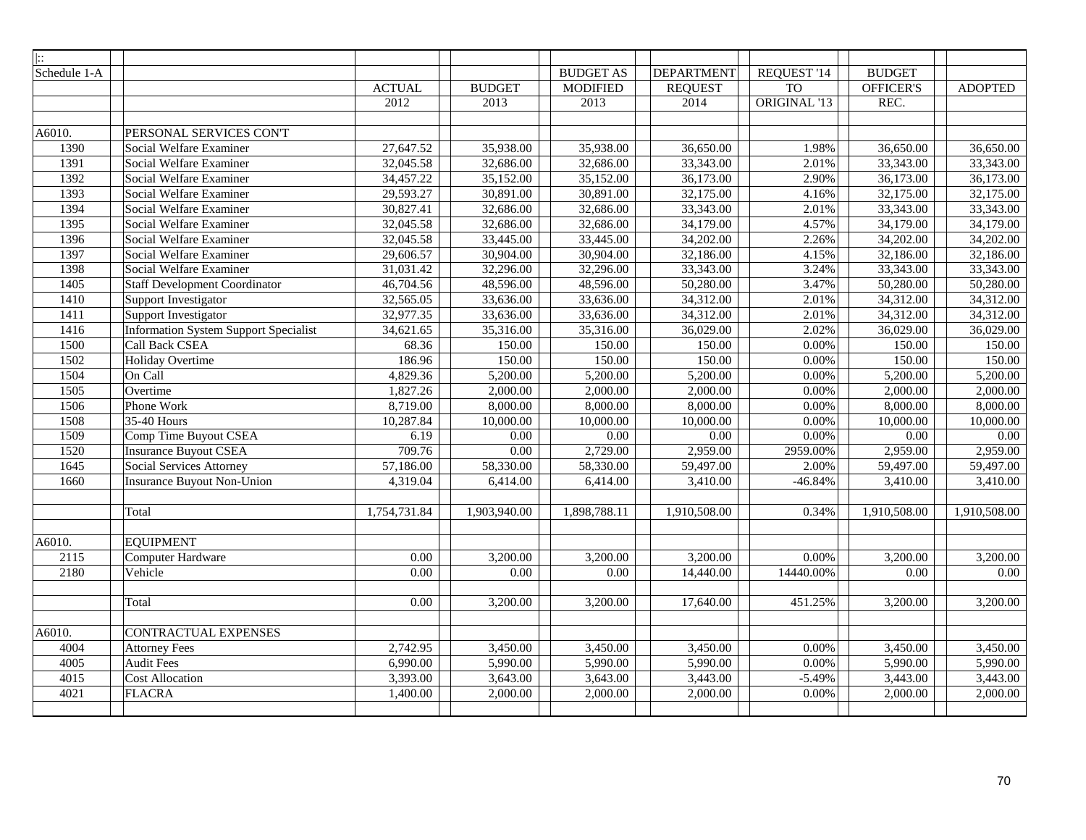| $\left  \cdot \right $ |                                              |               |               |                  |                   |                 |               |                |
|------------------------|----------------------------------------------|---------------|---------------|------------------|-------------------|-----------------|---------------|----------------|
| Schedule 1-A           |                                              |               |               | <b>BUDGET AS</b> | <b>DEPARTMENT</b> | REQUEST '14     | <b>BUDGET</b> |                |
|                        |                                              | <b>ACTUAL</b> | <b>BUDGET</b> | <b>MODIFIED</b>  | <b>REQUEST</b>    | TO <sub>1</sub> | OFFICER'S     | <b>ADOPTED</b> |
|                        |                                              | 2012          | 2013          | 2013             | 2014              | ORIGINAL '13    | REC.          |                |
|                        |                                              |               |               |                  |                   |                 |               |                |
| A6010.                 | PERSONAL SERVICES CON'T                      |               |               |                  |                   |                 |               |                |
| 1390                   | Social Welfare Examiner                      | 27,647.52     | 35,938.00     | 35,938.00        | 36,650.00         | 1.98%           | 36,650.00     | 36,650.00      |
| 1391                   | Social Welfare Examiner                      | 32,045.58     | 32,686.00     | 32,686.00        | 33,343.00         | 2.01%           | 33,343.00     | 33,343.00      |
| 1392                   | Social Welfare Examiner                      | 34,457.22     | 35,152.00     | 35,152.00        | 36,173.00         | 2.90%           | 36,173.00     | 36,173.00      |
| 1393                   | Social Welfare Examiner                      | 29,593.27     | 30,891.00     | 30,891.00        | 32,175.00         | 4.16%           | 32,175.00     | 32,175.00      |
| 1394                   | Social Welfare Examiner                      | 30,827.41     | 32,686.00     | 32,686.00        | 33,343.00         | 2.01%           | 33,343.00     | 33,343.00      |
| 1395                   | Social Welfare Examiner                      | 32,045.58     | 32,686.00     | 32,686.00        | 34,179.00         | 4.57%           | 34,179.00     | 34,179.00      |
| 1396                   | Social Welfare Examiner                      | 32,045.58     | 33,445.00     | 33,445.00        | 34,202.00         | 2.26%           | 34,202.00     | 34,202.00      |
| 1397                   | Social Welfare Examiner                      | 29,606.57     | 30,904.00     | 30,904.00        | 32,186.00         | 4.15%           | 32,186.00     | 32,186.00      |
| 1398                   | Social Welfare Examiner                      | 31,031.42     | 32,296.00     | 32,296.00        | 33,343.00         | 3.24%           | 33,343.00     | 33,343.00      |
| 1405                   | <b>Staff Development Coordinator</b>         | 46,704.56     | 48,596.00     | 48,596.00        | 50,280.00         | 3.47%           | 50,280.00     | 50,280.00      |
| 1410                   | Support Investigator                         | 32,565.05     | 33,636.00     | 33,636.00        | 34,312.00         | 2.01%           | 34,312.00     | 34,312.00      |
| 1411                   | Support Investigator                         | 32,977.35     | 33,636.00     | 33,636.00        | 34,312.00         | 2.01%           | 34,312.00     | 34,312.00      |
| 1416                   | <b>Information System Support Specialist</b> | 34,621.65     | 35,316.00     | 35,316.00        | 36,029.00         | 2.02%           | 36,029.00     | 36,029.00      |
| 1500                   | <b>Call Back CSEA</b>                        | 68.36         | 150.00        | 150.00           | 150.00            | 0.00%           | 150.00        | 150.00         |
| 1502                   | <b>Holiday Overtime</b>                      | 186.96        | 150.00        | 150.00           | 150.00            | 0.00%           | 150.00        | 150.00         |
| 1504                   | On Call                                      | 4,829.36      | 5,200.00      | 5,200.00         | 5,200.00          | 0.00%           | 5,200.00      | 5,200.00       |
| 1505                   | Overtime                                     | 1,827.26      | 2,000.00      | 2,000.00         | 2,000.00          | 0.00%           | 2,000.00      | 2,000.00       |
| 1506                   | Phone Work                                   | 8,719.00      | 8,000.00      | 8,000.00         | 8,000.00          | $0.00\%$        | 8,000.00      | 8,000.00       |
| 1508                   | 35-40 Hours                                  | 10,287.84     | 10,000.00     | 10,000.00        | 10,000.00         | 0.00%           | 10,000.00     | 10,000.00      |
| 1509                   | Comp Time Buyout CSEA                        | 6.19          | 0.00          | 0.00             | 0.00              | 0.00%           | 0.00          | 0.00           |
| 1520                   | <b>Insurance Buyout CSEA</b>                 | 709.76        | $0.00\,$      | 2,729.00         | 2,959.00          | 2959.00%        | 2,959.00      | 2,959.00       |
| 1645                   | <b>Social Services Attorney</b>              | 57,186.00     | 58,330.00     | 58,330.00        | 59,497.00         | 2.00%           | 59,497.00     | 59,497.00      |
| 1660                   | <b>Insurance Buyout Non-Union</b>            | 4,319.04      | 6,414.00      | 6,414.00         | 3,410.00          | $-46.84%$       | 3,410.00      | 3,410.00       |
|                        |                                              |               |               |                  |                   |                 |               |                |
|                        | Total                                        | 1,754,731.84  | 1,903,940.00  | 1,898,788.11     | 1,910,508.00      | 0.34%           | 1,910,508.00  | 1,910,508.00   |
|                        |                                              |               |               |                  |                   |                 |               |                |
| A6010.                 | <b>EQUIPMENT</b>                             |               |               |                  |                   |                 |               |                |
| 2115                   | <b>Computer Hardware</b>                     | 0.00          | 3,200.00      | 3,200.00         | 3,200.00          | 0.00%           | 3,200.00      | 3,200.00       |
| 2180                   | Vehicle                                      | 0.00          | 0.00          | 0.00             | 14,440.00         | 14440.00%       | 0.00          | 0.00           |
|                        |                                              |               |               |                  |                   |                 |               |                |
|                        | Total                                        | 0.00          | 3,200.00      | 3,200.00         | 17,640.00         | 451.25%         | 3,200.00      | 3,200.00       |
|                        |                                              |               |               |                  |                   |                 |               |                |
| A6010.                 | <b>CONTRACTUAL EXPENSES</b>                  |               |               |                  |                   |                 |               |                |
| 4004                   | <b>Attorney Fees</b>                         | 2,742.95      | 3,450.00      | 3,450.00         | 3,450.00          | 0.00%           | 3,450.00      | 3,450.00       |
| 4005                   | <b>Audit Fees</b>                            | 6,990.00      | 5,990.00      | 5,990.00         | 5,990.00          | 0.00%           | 5,990.00      | 5,990.00       |
| 4015                   | <b>Cost Allocation</b>                       | 3,393.00      | 3,643.00      | 3,643.00         | 3,443.00          | $-5.49%$        | 3,443.00      | 3,443.00       |
| 4021                   | <b>FLACRA</b>                                | 1,400.00      | 2,000.00      | 2,000.00         | 2,000.00          | 0.00%           | 2,000.00      | 2,000.00       |
|                        |                                              |               |               |                  |                   |                 |               |                |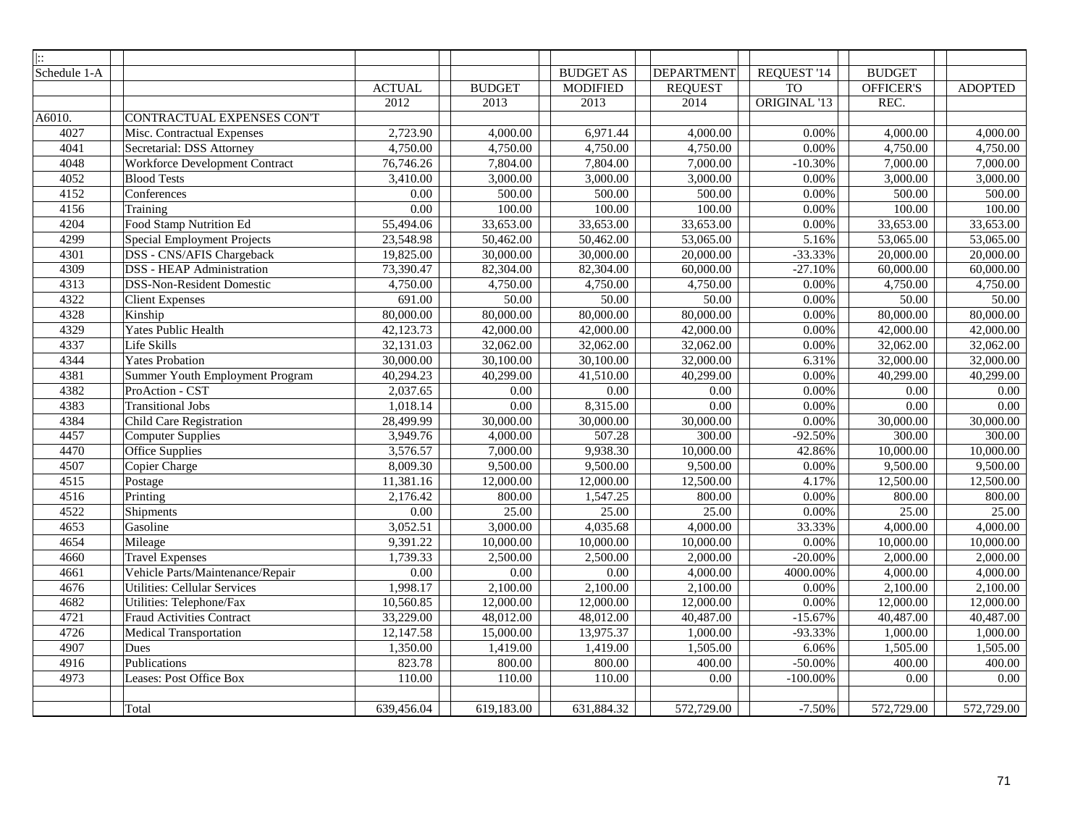| $\overline{\mathbb{R}}$ |                                       |               |                   |                  |                   |              |               |                        |
|-------------------------|---------------------------------------|---------------|-------------------|------------------|-------------------|--------------|---------------|------------------------|
| Schedule 1-A            |                                       |               |                   | <b>BUDGET AS</b> | <b>DEPARTMENT</b> | REQUEST '14  | <b>BUDGET</b> |                        |
|                         |                                       | <b>ACTUAL</b> | <b>BUDGET</b>     | <b>MODIFIED</b>  | <b>REQUEST</b>    | <b>TO</b>    | OFFICER'S     | <b>ADOPTED</b>         |
|                         |                                       | 2012          | 2013              | 2013             | 2014              | ORIGINAL '13 | REC.          |                        |
| A6010.                  | CONTRACTUAL EXPENSES CON'T            |               |                   |                  |                   |              |               |                        |
| 4027                    | Misc. Contractual Expenses            | 2,723.90      | 4,000.00          | 6,971.44         | 4,000.00          | 0.00%        | 4,000.00      | 4,000.00               |
| 4041                    | Secretarial: DSS Attorney             | 4,750.00      | 4,750.00          | 4,750.00         | 4,750.00          | 0.00%        | 4,750.00      | 4,750.00               |
| 4048                    | <b>Workforce Development Contract</b> | 76,746.26     | 7,804.00          | 7,804.00         | 7,000.00          | $-10.30%$    | 7,000.00      | 7,000.00               |
| 4052                    | <b>Blood Tests</b>                    | 3,410.00      | 3,000.00          | 3,000.00         | 3,000.00          | 0.00%        | 3,000.00      | 3,000.00               |
| 4152                    | Conferences                           | 0.00          | 500.00            | 500.00           | 500.00            | 0.00%        | 500.00        | 500.00                 |
| 4156                    | Training                              | 0.00          | 100.00            | 100.00           | 100.00            | 0.00%        | 100.00        | 100.00                 |
| 4204                    | Food Stamp Nutrition Ed               | 55,494.06     | 33,653.00         | 33,653.00        | 33,653.00         | 0.00%        | 33,653.00     | 33,653.00              |
| 4299                    | Special Employment Projects           | 23,548.98     | 50,462.00         | 50,462.00        | 53,065.00         | 5.16%        | 53,065.00     | 53,065.00              |
| 4301                    | DSS - CNS/AFIS Chargeback             | 19,825.00     | 30,000.00         | 30,000.00        | 20,000.00         | $-33.33%$    | 20,000.00     | 20,000.00              |
| 4309                    | <b>DSS - HEAP Administration</b>      | 73,390.47     | 82,304.00         | 82,304.00        | 60,000.00         | $-27.10%$    | 60,000.00     | 60,000.00              |
| 4313                    | <b>DSS-Non-Resident Domestic</b>      | 4,750.00      | 4,750.00          | 4,750.00         | 4,750.00          | 0.00%        | 4,750.00      | 4,750.00               |
| 4322                    | <b>Client Expenses</b>                | 691.00        | 50.00             | 50.00            | 50.00             | 0.00%        | 50.00         | 50.00                  |
| 4328                    | Kinship                               | 80,000.00     | 80,000.00         | 80,000.00        | 80,000.00         | 0.00%        | 80,000.00     | 80,000.00              |
| 4329                    | <b>Yates Public Health</b>            | 42,123.73     | 42,000.00         | 42,000.00        | 42,000.00         | 0.00%        | 42,000.00     | 42,000.00              |
| 4337                    | Life Skills                           | 32,131.03     | 32,062.00         | 32,062.00        | 32,062.00         | 0.00%        | 32,062.00     | 32,062.00              |
| 4344                    | <b>Yates Probation</b>                | 30,000.00     | 30,100.00         | 30,100.00        | 32,000.00         | 6.31%        | 32,000.00     | 32,000.00              |
| 4381                    | Summer Youth Employment Program       | 40,294.23     | 40,299.00         | 41,510.00        | 40,299.00         | 0.00%        | 40,299.00     | 40,299.00              |
| 4382                    | ProAction - CST                       | 2,037.65      | $0.00\,$          | $0.00\,$         | 0.00              | 0.00%        | 0.00          | 0.00                   |
| 4383                    | <b>Transitional Jobs</b>              | 1,018.14      | $\overline{0.00}$ | 8,315.00         | 0.00              | 0.00%        | 0.00          | $\overline{0.00}$      |
| 4384                    | <b>Child Care Registration</b>        | 28,499.99     | 30,000.00         | 30,000.00        | 30,000.00         | 0.00%        | 30,000.00     | 30,000.00              |
| 4457                    | <b>Computer Supplies</b>              | 3,949.76      | 4,000.00          | 507.28           | 300.00            | $-92.50%$    | 300.00        | 300.00                 |
| 4470                    | <b>Office Supplies</b>                | 3,576.57      | 7,000.00          | 9,938.30         | 10,000.00         | 42.86%       | 10,000.00     | 10,000.00              |
| 4507                    | Copier Charge                         | 8,009.30      | 9,500.00          | 9,500.00         | 9,500.00          | 0.00%        | 9,500.00      | 9,500.00               |
| 4515                    | Postage                               | 11,381.16     | 12,000.00         | 12,000.00        | 12,500.00         | 4.17%        | 12,500.00     | $\overline{12,500.00}$ |
| 4516                    | Printing                              | 2,176.42      | 800.00            | 1,547.25         | 800.00            | 0.00%        | 800.00        | 800.00                 |
| 4522                    | Shipments                             | 0.00          | 25.00             | 25.00            | 25.00             | 0.00%        | 25.00         | 25.00                  |
| 4653                    | Gasoline                              | 3,052.51      | 3,000.00          | 4,035.68         | 4,000.00          | 33.33%       | 4,000.00      | 4,000.00               |
| 4654                    | Mileage                               | 9,391.22      | 10,000.00         | 10,000.00        | 10,000.00         | 0.00%        | 10,000.00     | 10,000.00              |
| 4660                    | <b>Travel Expenses</b>                | 1,739.33      | 2,500.00          | 2,500.00         | 2,000.00          | $-20.00%$    | 2,000.00      | 2,000.00               |
| 4661                    | Vehicle Parts/Maintenance/Repair      | 0.00          | $\overline{0.00}$ | 0.00             | 4,000.00          | 4000.00%     | 4,000.00      | 4,000.00               |
| 4676                    | <b>Utilities: Cellular Services</b>   | 1,998.17      | 2,100.00          | 2,100.00         | 2,100.00          | 0.00%        | 2,100.00      | 2,100.00               |
| 4682                    | Utilities: Telephone/Fax              | 10,560.85     | 12,000.00         | 12,000.00        | 12,000.00         | 0.00%        | 12,000.00     | 12,000.00              |
| 4721                    | <b>Fraud Activities Contract</b>      | 33,229.00     | 48,012.00         | 48,012.00        | 40,487.00         | $-15.67%$    | 40,487.00     | 40,487.00              |
| 4726                    | <b>Medical Transportation</b>         | 12,147.58     | 15,000.00         | 13,975.37        | 1,000.00          | $-93.33%$    | 1,000.00      | 1,000.00               |
| 4907                    | Dues                                  | 1,350.00      | 1,419.00          | 1,419.00         | 1,505.00          | 6.06%        | 1,505.00      | 1,505.00               |
| 4916                    | Publications                          | 823.78        | 800.00            | 800.00           | 400.00            | $-50.00\%$   | 400.00        | 400.00                 |
| 4973                    | Leases: Post Office Box               | 110.00        | 110.00            | 110.00           | 0.00              | $-100.00%$   | 0.00          | 0.00                   |
|                         |                                       |               |                   |                  |                   |              |               |                        |
|                         | Total                                 | 639,456.04    | 619,183.00        | 631,884.32       | 572,729.00        | $-7.50%$     | 572,729.00    | 572,729.00             |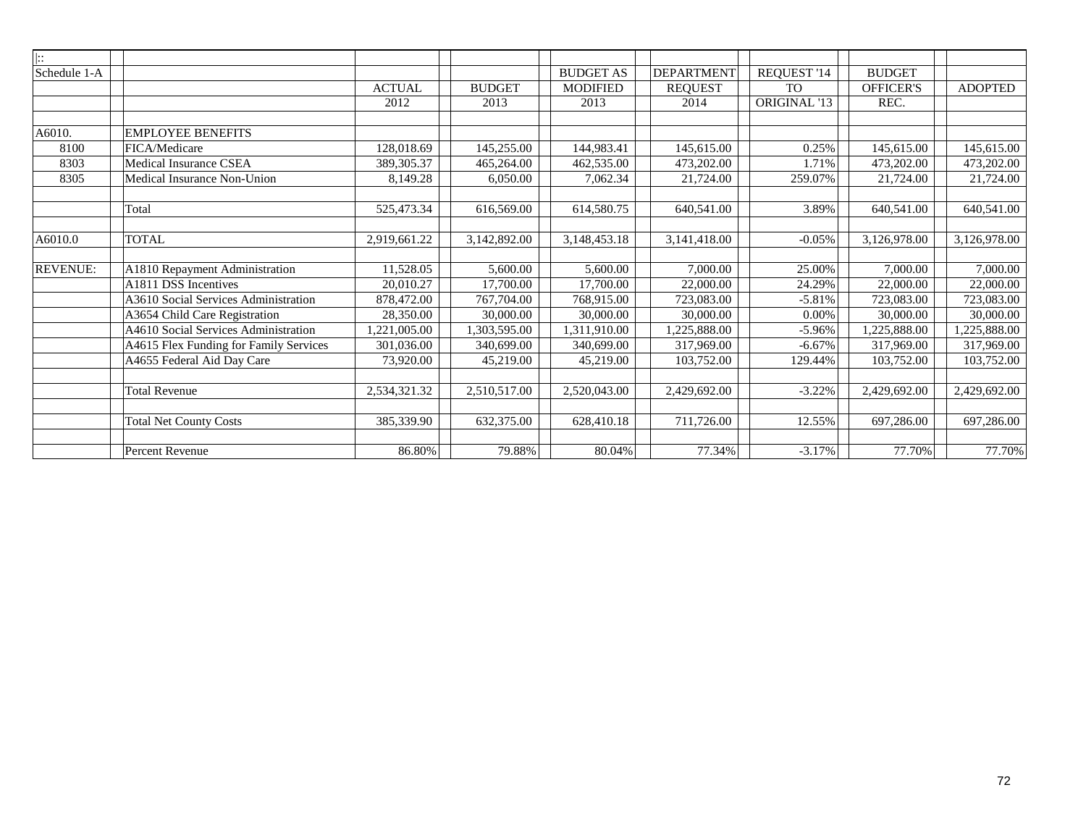| $\mathbb{R}$    |                                        |               |               |                  |                   |              |               |                |
|-----------------|----------------------------------------|---------------|---------------|------------------|-------------------|--------------|---------------|----------------|
| Schedule 1-A    |                                        |               |               | <b>BUDGET AS</b> | <b>DEPARTMENT</b> | REQUEST '14  | <b>BUDGET</b> |                |
|                 |                                        | <b>ACTUAL</b> | <b>BUDGET</b> | <b>MODIFIED</b>  | <b>REQUEST</b>    | <b>TO</b>    | OFFICER'S     | <b>ADOPTED</b> |
|                 |                                        | 2012          | 2013          | 2013             | 2014              | ORIGINAL '13 | REC.          |                |
|                 |                                        |               |               |                  |                   |              |               |                |
| A6010.          | <b>EMPLOYEE BENEFITS</b>               |               |               |                  |                   |              |               |                |
| 8100            | FICA/Medicare                          | 128,018.69    | 145,255.00    | 144,983.41       | 145,615.00        | 0.25%        | 145,615.00    | 145,615.00     |
| 8303            | Medical Insurance CSEA                 | 389,305.37    | 465,264.00    | 462,535.00       | 473,202.00        | 1.71%        | 473,202.00    | 473,202.00     |
| 8305            | Medical Insurance Non-Union            | 8,149.28      | 6,050.00      | 7,062.34         | 21,724.00         | 259.07%      | 21,724.00     | 21,724.00      |
|                 |                                        |               |               |                  |                   |              |               |                |
|                 | Total                                  | 525,473.34    | 616,569.00    | 614,580.75       | 640,541.00        | 3.89%        | 640,541.00    | 640,541.00     |
|                 |                                        |               |               |                  |                   |              |               |                |
| A6010.0         | <b>TOTAL</b>                           | 2,919,661.22  | 3,142,892.00  | 3,148,453.18     | 3,141,418.00      | $-0.05%$     | 3,126,978.00  | 3,126,978.00   |
|                 |                                        |               |               |                  |                   |              |               |                |
| <b>REVENUE:</b> | A1810 Repayment Administration         | 11,528.05     | 5,600.00      | 5,600.00         | 7,000.00          | 25.00%       | 7,000.00      | 7,000.00       |
|                 | A1811 DSS Incentives                   | 20,010.27     | 17,700.00     | 17,700.00        | 22,000.00         | 24.29%       | 22,000.00     | 22,000.00      |
|                 | A3610 Social Services Administration   | 878,472.00    | 767,704.00    | 768,915.00       | 723,083.00        | $-5.81%$     | 723,083.00    | 723,083.00     |
|                 | A3654 Child Care Registration          | 28,350.00     | 30,000.00     | 30,000.00        | 30,000.00         | 0.00%        | 30,000.00     | 30,000.00      |
|                 | A4610 Social Services Administration   | 1,221,005.00  | 1,303,595.00  | ,311,910.00      | 1,225,888.00      | $-5.96%$     | 1,225,888.00  | 1,225,888.00   |
|                 | A4615 Flex Funding for Family Services | 301,036.00    | 340,699.00    | 340,699.00       | 317,969.00        | $-6.67%$     | 317,969.00    | 317,969.00     |
|                 | A4655 Federal Aid Day Care             | 73,920.00     | 45,219.00     | 45,219.00        | 103,752.00        | 129.44%      | 103,752.00    | 103,752.00     |
|                 |                                        |               |               |                  |                   |              |               |                |
|                 | <b>Total Revenue</b>                   | 2,534,321.32  | 2,510,517.00  | 2,520,043.00     | 2,429,692.00      | $-3.22%$     | 2,429,692.00  | 2,429,692.00   |
|                 |                                        |               |               |                  |                   |              |               |                |
|                 | <b>Total Net County Costs</b>          | 385,339.90    | 632, 375.00   | 628,410.18       | 711,726.00        | 12.55%       | 697,286.00    | 697,286.00     |
|                 |                                        |               |               |                  |                   |              |               |                |
|                 | Percent Revenue                        | 86.80%        | 79.88%        | 80.04%           | 77.34%            | $-3.17%$     | 77.70%        | 77.70%         |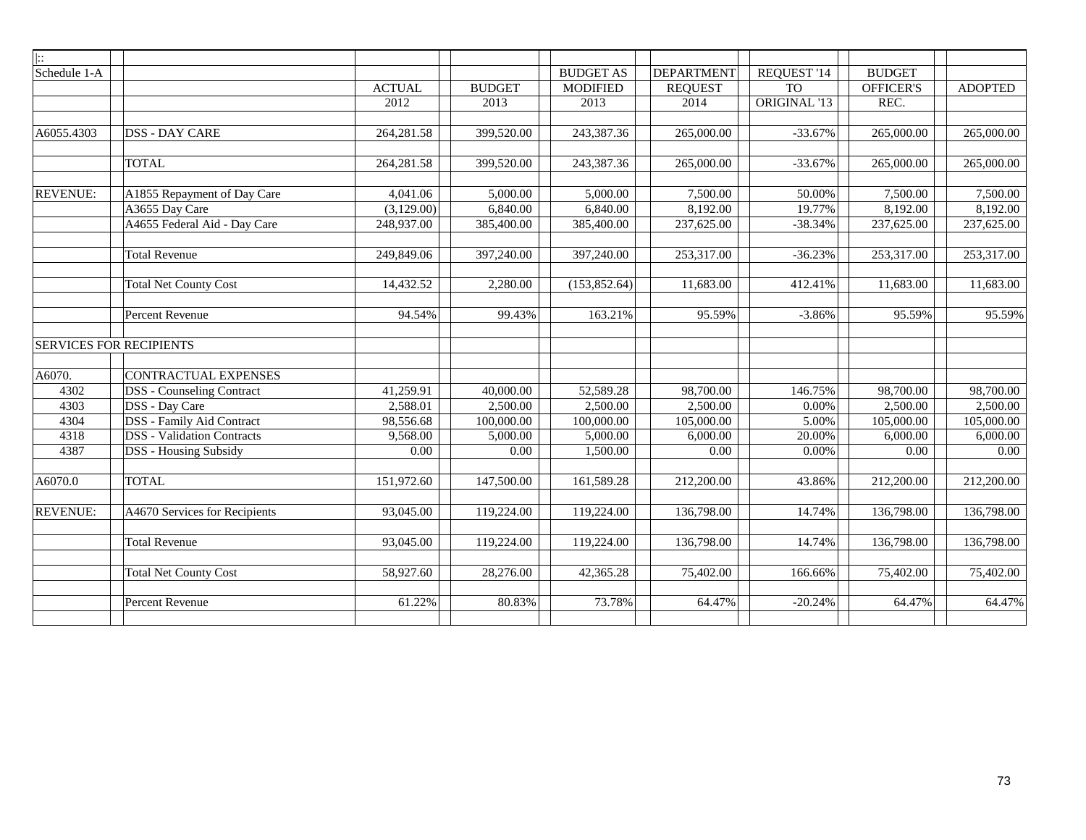| $\overline{  }$ |                                   |               |               |                  |                   |              |               |                |
|-----------------|-----------------------------------|---------------|---------------|------------------|-------------------|--------------|---------------|----------------|
| Schedule 1-A    |                                   |               |               | <b>BUDGET AS</b> | <b>DEPARTMENT</b> | REQUEST '14  | <b>BUDGET</b> |                |
|                 |                                   | <b>ACTUAL</b> | <b>BUDGET</b> | <b>MODIFIED</b>  | <b>REQUEST</b>    | <b>TO</b>    | OFFICER'S     | <b>ADOPTED</b> |
|                 |                                   | 2012          | 2013          | 2013             | 2014              | ORIGINAL '13 | REC.          |                |
|                 |                                   |               |               |                  |                   |              |               |                |
| A6055.4303      | <b>DSS - DAY CARE</b>             | 264,281.58    | 399,520.00    | 243,387.36       | 265,000.00        | $-33.67%$    | 265,000.00    | 265,000.00     |
|                 |                                   |               |               |                  |                   |              |               |                |
|                 | <b>TOTAL</b>                      | 264,281.58    | 399,520.00    | 243,387.36       | 265,000.00        | $-33.67%$    | 265,000.00    | 265,000.00     |
|                 |                                   |               |               |                  |                   |              |               |                |
| <b>REVENUE:</b> | A1855 Repayment of Day Care       | 4,041.06      | 5,000.00      | 5,000.00         | 7,500.00          | 50.00%       | 7,500.00      | 7,500.00       |
|                 | A3655 Day Care                    | (3,129.00)    | 6,840.00      | 6,840.00         | 8,192.00          | 19.77%       | 8,192.00      | 8,192.00       |
|                 | A4655 Federal Aid - Day Care      | 248,937.00    | 385,400.00    | 385,400.00       | 237,625.00        | $-38.34%$    | 237,625.00    | 237,625.00     |
|                 |                                   |               |               |                  |                   |              |               |                |
|                 | <b>Total Revenue</b>              | 249,849.06    | 397,240.00    | 397,240.00       | 253,317.00        | $-36.23%$    | 253,317.00    | 253,317.00     |
|                 |                                   |               |               |                  |                   |              |               |                |
|                 | <b>Total Net County Cost</b>      | 14,432.52     | 2,280.00      | (153, 852.64)    | 11,683.00         | 412.41%      | 11,683.00     | 11,683.00      |
|                 |                                   |               |               |                  |                   |              |               |                |
|                 | Percent Revenue                   | 94.54%        | 99.43%        | 163.21%          | 95.59%            | $-3.86%$     | 95.59%        | 95.59%         |
|                 |                                   |               |               |                  |                   |              |               |                |
|                 | <b>SERVICES FOR RECIPIENTS</b>    |               |               |                  |                   |              |               |                |
| A6070.          | <b>CONTRACTUAL EXPENSES</b>       |               |               |                  |                   |              |               |                |
| 4302            | <b>DSS</b> - Counseling Contract  | 41,259.91     | 40,000.00     | 52,589.28        | 98,700.00         | 146.75%      | 98,700.00     | 98,700.00      |
| 4303            | DSS - Day Care                    | 2,588.01      | 2,500.00      | 2,500.00         | 2,500.00          | 0.00%        | 2,500.00      | 2,500.00       |
| 4304            | DSS - Family Aid Contract         | 98,556.68     | 100,000.00    | 100,000.00       | 105,000.00        | 5.00%        | 105,000.00    | 105,000.00     |
| 4318            | <b>DSS</b> - Validation Contracts | 9,568.00      | 5,000.00      | 5,000.00         | 6,000.00          | 20.00%       | 6,000.00      | 6,000.00       |
| 4387            | DSS - Housing Subsidy             | 0.00          | 0.00          | 1,500.00         | 0.00              | 0.00%        | 0.00          | 0.00           |
|                 |                                   |               |               |                  |                   |              |               |                |
| A6070.0         | <b>TOTAL</b>                      | 151,972.60    | 147,500.00    | 161,589.28       | 212,200.00        | 43.86%       | 212,200.00    | 212,200.00     |
|                 |                                   |               |               |                  |                   |              |               |                |
| <b>REVENUE:</b> | A4670 Services for Recipients     | 93,045.00     | 119,224.00    | 119,224.00       | 136,798.00        | 14.74%       | 136,798.00    | 136,798.00     |
|                 |                                   |               |               |                  |                   |              |               |                |
|                 | <b>Total Revenue</b>              | 93,045.00     | 119,224.00    | 119,224.00       | 136,798.00        | 14.74%       | 136,798.00    | 136,798.00     |
|                 |                                   |               |               |                  |                   |              |               |                |
|                 | <b>Total Net County Cost</b>      | 58,927.60     | 28,276.00     | 42,365.28        | 75,402.00         | 166.66%      | 75,402.00     | 75,402.00      |
|                 |                                   |               |               |                  |                   |              |               |                |
|                 | Percent Revenue                   | 61.22%        | 80.83%        | 73.78%           | 64.47%            | $-20.24%$    | 64.47%        | 64.47%         |
|                 |                                   |               |               |                  |                   |              |               |                |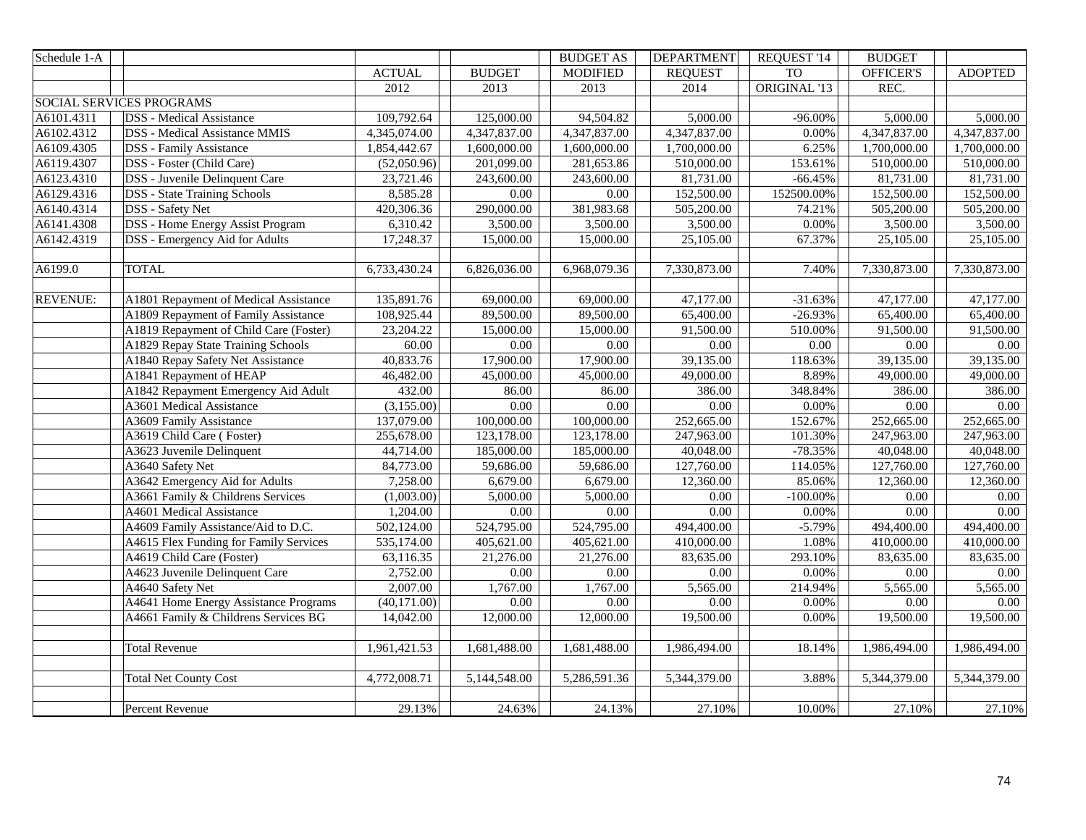| Schedule 1-A    |                                         |               |                           | <b>BUDGET AS</b>  | <b>DEPARTMENT</b>      | REQUEST '14  | <b>BUDGET</b>          |                |
|-----------------|-----------------------------------------|---------------|---------------------------|-------------------|------------------------|--------------|------------------------|----------------|
|                 |                                         | <b>ACTUAL</b> | <b>BUDGET</b>             | <b>MODIFIED</b>   | <b>REQUEST</b>         | <b>TO</b>    | <b>OFFICER'S</b>       | <b>ADOPTED</b> |
|                 |                                         | 2012          | 2013                      | $\overline{2013}$ | 2014                   | ORIGINAL '13 | REC.                   |                |
|                 | <b>SOCIAL SERVICES PROGRAMS</b>         |               |                           |                   |                        |              |                        |                |
| A6101.4311      | <b>DSS</b> - Medical Assistance         | 109,792.64    | 125,000.00                | 94,504.82         | 5,000.00               | $-96.00\%$   | 5,000.00               | 5,000.00       |
| A6102.4312      | DSS - Medical Assistance MMIS           | 4,345,074.00  | 4,347,837.00              | 4,347,837.00      | 4,347,837.00           | 0.00%        | 4,347,837.00           | 4,347,837.00   |
| A6109.4305      | <b>DSS</b> - Family Assistance          | 1,854,442.67  | 1,600,000.00              | 1,600,000.00      | 1,700,000.00           | 6.25%        | 1,700,000.00           | 1,700,000.00   |
| A6119.4307      | DSS - Foster (Child Care)               | (52,050.96)   | 201,099.00                | 281,653.86        | 510,000.00             | 153.61%      | 510,000.00             | 510,000.00     |
| A6123.4310      | <b>DSS</b> - Juvenile Delinquent Care   | 23,721.46     | 243,600.00                | 243,600.00        | 81,731.00              | $-66.45%$    | 81,731.00              | 81,731.00      |
| A6129.4316      | <b>DSS</b> - State Training Schools     | 8,585.28      | 0.00                      | 0.00              | 152,500.00             | 152500.00%   | 152,500.00             | 152,500.00     |
| A6140.4314      | DSS - Safety Net                        | 420,306.36    | 290,000.00                | 381,983.68        | 505,200.00             | 74.21%       | 505,200.00             | 505,200.00     |
| A6141.4308      | <b>DSS</b> - Home Energy Assist Program | 6,310.42      | 3,500.00                  | 3,500.00          | 3,500.00               | 0.00%        | 3,500.00               | 3,500.00       |
| A6142.4319      | DSS - Emergency Aid for Adults          | 17,248.37     | 15,000.00                 | 15,000.00         | 25,105.00              | 67.37%       | 25,105.00              | 25,105.00      |
|                 |                                         |               |                           |                   |                        |              |                        |                |
| A6199.0         | <b>TOTAL</b>                            | 6,733,430.24  | 6,826,036.00              | 6,968,079.36      | 7,330,873.00           | 7.40%        | 7,330,873.00           | 7,330,873.00   |
|                 |                                         |               |                           |                   |                        |              |                        |                |
| <b>REVENUE:</b> | A1801 Repayment of Medical Assistance   | 135,891.76    | 69,000.00                 | 69,000.00         | 47,177.00              | $-31.63%$    | 47,177.00              | 47,177.00      |
|                 | A1809 Repayment of Family Assistance    | 108,925.44    | 89,500.00                 | 89,500.00         | 65,400.00              | $-26.93%$    | 65,400.00              | 65,400.00      |
|                 | A1819 Repayment of Child Care (Foster)  | 23,204.22     | 15,000.00                 | 15,000.00         | 91,500.00              | 510.00%      | 91,500.00              | 91,500.00      |
|                 | A1829 Repay State Training Schools      | 60.00         | 0.00                      | $\overline{0.00}$ | $0.00\,$               | 0.00         | 0.00                   | 0.00           |
|                 | A1840 Repay Safety Net Assistance       | 40,833.76     | 17,900.00                 | 17,900.00         | $\overline{39,}135.00$ | 118.63%      | $\overline{39,}135.00$ | 39,135.00      |
|                 | A1841 Repayment of HEAP                 | 46,482.00     | 45,000.00                 | 45,000.00         | 49,000.00              | 8.89%        | 49,000.00              | 49,000.00      |
|                 | A1842 Repayment Emergency Aid Adult     | 432.00        | 86.00                     | 86.00             | 386.00                 | 348.84%      | 386.00                 | 386.00         |
|                 | A3601 Medical Assistance                | (3,155.00)    | $0.00\,$                  | $0.00\,$          | $0.00\,$               | $0.00\%$     | $0.00\,$               | $0.00\,$       |
|                 | A3609 Family Assistance                 | 137,079.00    | 100,000.00                | 100,000.00        | 252,665.00             | 152.67%      | 252,665.00             | 252,665.00     |
|                 | A3619 Child Care (Foster)               | 255,678.00    | 123,178.00                | 123,178.00        | 247,963.00             | 101.30%      | 247,963.00             | 247,963.00     |
|                 | A3623 Juvenile Delinquent               | 44,714.00     | 185,000.00                | 185,000.00        | 40,048.00              | $-78.35%$    | 40,048.00              | 40,048.00      |
|                 | A3640 Safety Net                        | 84,773.00     | 59,686.00                 | 59,686.00         | 127,760.00             | 114.05%      | 127,760.00             | 127,760.00     |
|                 | A3642 Emergency Aid for Adults          | 7,258.00      | 6,679.00                  | 6,679.00          | 12,360.00              | 85.06%       | 12,360.00              | 12,360.00      |
|                 | A3661 Family & Childrens Services       | (1,003.00)    | 5,000.00                  | 5,000.00          | $0.00\,$               | $-100.00\%$  | $0.00\,$               | 0.00           |
|                 | A4601 Medical Assistance                | 1,204.00      | $\overline{0.00}$         | $\overline{0.00}$ | 0.00                   | 0.00%        | $\overline{0.00}$      | 0.00           |
|                 | A4609 Family Assistance/Aid to D.C.     | 502,124.00    | 524,795.00                | 524,795.00        | 494,400.00             | $-5.79%$     | 494,400.00             | 494,400.00     |
|                 | A4615 Flex Funding for Family Services  | 535,174.00    | 405,621.00                | 405,621.00        | 410,000.00             | 1.08%        | 410,000.00             | 410,000.00     |
|                 | A4619 Child Care (Foster)               | 63,116.35     | 21,276.00                 | 21,276.00         | 83,635.00              | 293.10%      | 83,635.00              | 83,635.00      |
|                 | A4623 Juvenile Delinquent Care          | 2,752.00      | $0.00\,$                  | $0.00\,$          | $0.00\,$               | 0.00%        | $0.00\,$               | 0.00           |
|                 | A4640 Safety Net                        | 2,007.00      | 1,767.00                  | 1,767.00          | 5,565.00               | 214.94%      | 5,565.00               | 5,565.00       |
|                 | A4641 Home Energy Assistance Programs   | (40, 171.00)  | $0.00\,$                  | $0.00\,$          | 0.00                   | 0.00%        | $0.00\,$               | $0.00\,$       |
|                 | A4661 Family & Childrens Services BG    | 14,042.00     | 12,000.00                 | 12,000.00         | 19,500.00              | 0.00%        | 19,500.00              | 19,500.00      |
|                 |                                         |               |                           |                   |                        |              |                        |                |
|                 | <b>Total Revenue</b>                    | 1,961,421.53  | 1,681,488.00              | 1,681,488.00      | 1,986,494.00           | 18.14%       | 1,986,494.00           | 1,986,494.00   |
|                 |                                         |               |                           |                   |                        |              |                        |                |
|                 | <b>Total Net County Cost</b>            | 4,772,008.71  | $\overline{5,144,548.00}$ | 5,286,591.36      | 5,344,379.00           | 3.88%        | 5,344,379.00           | 5,344,379.00   |
|                 |                                         |               |                           |                   |                        |              |                        |                |
|                 | Percent Revenue                         | 29.13%        | 24.63%                    | 24.13%            | 27.10%                 | 10.00%       | 27.10%                 | 27.10%         |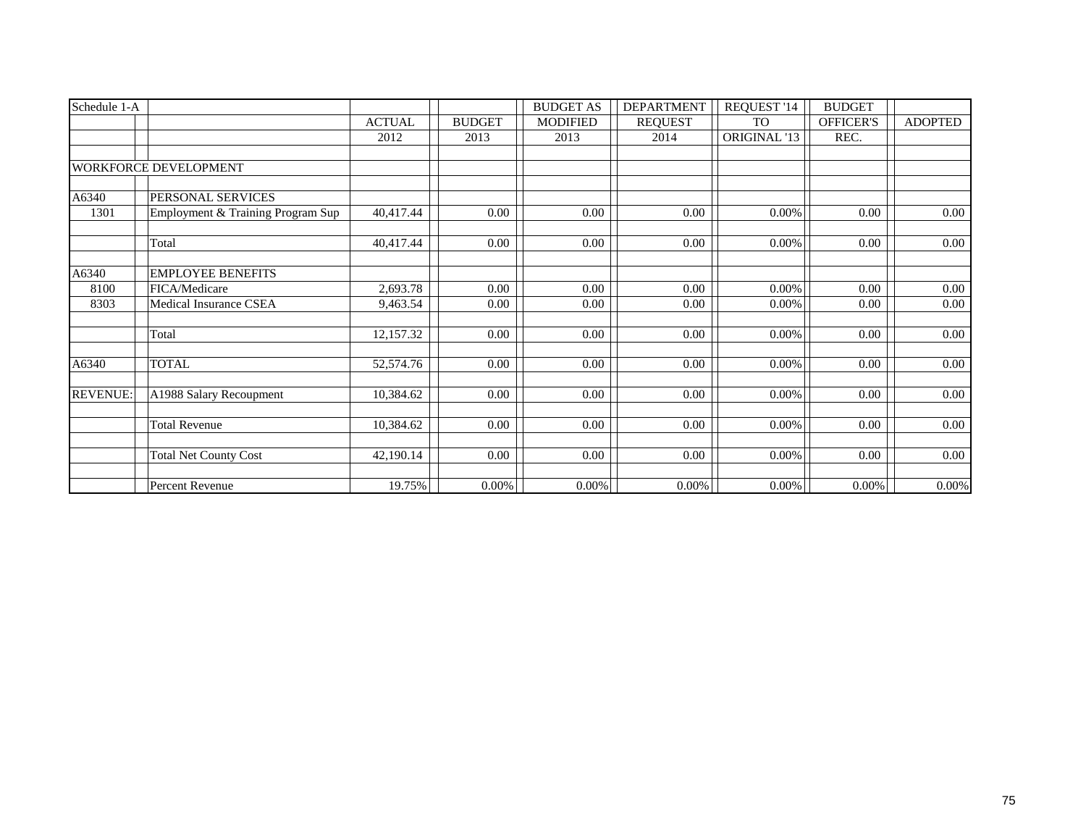| Schedule 1-A    |                                   |               |               | <b>BUDGET AS</b> | <b>DEPARTMENT</b> | REQUEST '14  | <b>BUDGET</b>    |                |
|-----------------|-----------------------------------|---------------|---------------|------------------|-------------------|--------------|------------------|----------------|
|                 |                                   | <b>ACTUAL</b> | <b>BUDGET</b> | <b>MODIFIED</b>  | <b>REQUEST</b>    | <b>TO</b>    | <b>OFFICER'S</b> | <b>ADOPTED</b> |
|                 |                                   | 2012          | 2013          | 2013             | 2014              | ORIGINAL '13 | REC.             |                |
|                 |                                   |               |               |                  |                   |              |                  |                |
|                 | <b>WORKFORCE DEVELOPMENT</b>      |               |               |                  |                   |              |                  |                |
| A6340           | PERSONAL SERVICES                 |               |               |                  |                   |              |                  |                |
| 1301            | Employment & Training Program Sup | 40,417.44     | 0.00          | 0.00             | 0.00              | 0.00%        | 0.00             | 0.00           |
|                 | Total                             | 40,417.44     | 0.00          | 0.00             | 0.00              | 0.00%        | 0.00             | 0.00           |
| A6340           | <b>EMPLOYEE BENEFITS</b>          |               |               |                  |                   |              |                  |                |
| 8100            | FICA/Medicare                     | 2,693.78      | 0.00          | 0.00             | 0.00              | $0.00\%$     | 0.00             | 0.00           |
| 8303            | Medical Insurance CSEA            | 9,463.54      | 0.00          | 0.00             | 0.00              | $0.00\%$     | 0.00             | $0.00\,$       |
|                 | Total                             | 12,157.32     | 0.00          | 0.00             | 0.00              | 0.00%        | 0.00             | 0.00           |
| A6340           | <b>TOTAL</b>                      | 52,574.76     | 0.00          | 0.00             | 0.00              | 0.00%        | 0.00             | $0.00\,$       |
| <b>REVENUE:</b> | A1988 Salary Recoupment           | 10,384.62     | 0.00          | 0.00             | 0.00              | $0.00\%$     | 0.00             | 0.00           |
|                 | <b>Total Revenue</b>              | 10,384.62     | 0.00          | 0.00             | 0.00              | $0.00\%$     | 0.00             | 0.00           |
|                 | <b>Total Net County Cost</b>      | 42,190.14     | 0.00          | 0.00             | 0.00              | 0.00%        | 0.00             | 0.00           |
|                 | Percent Revenue                   | 19.75%        | $0.00\%$      | 0.00%            | 0.00%             | $0.00\%$     | $0.00\%$         | $0.00\%$       |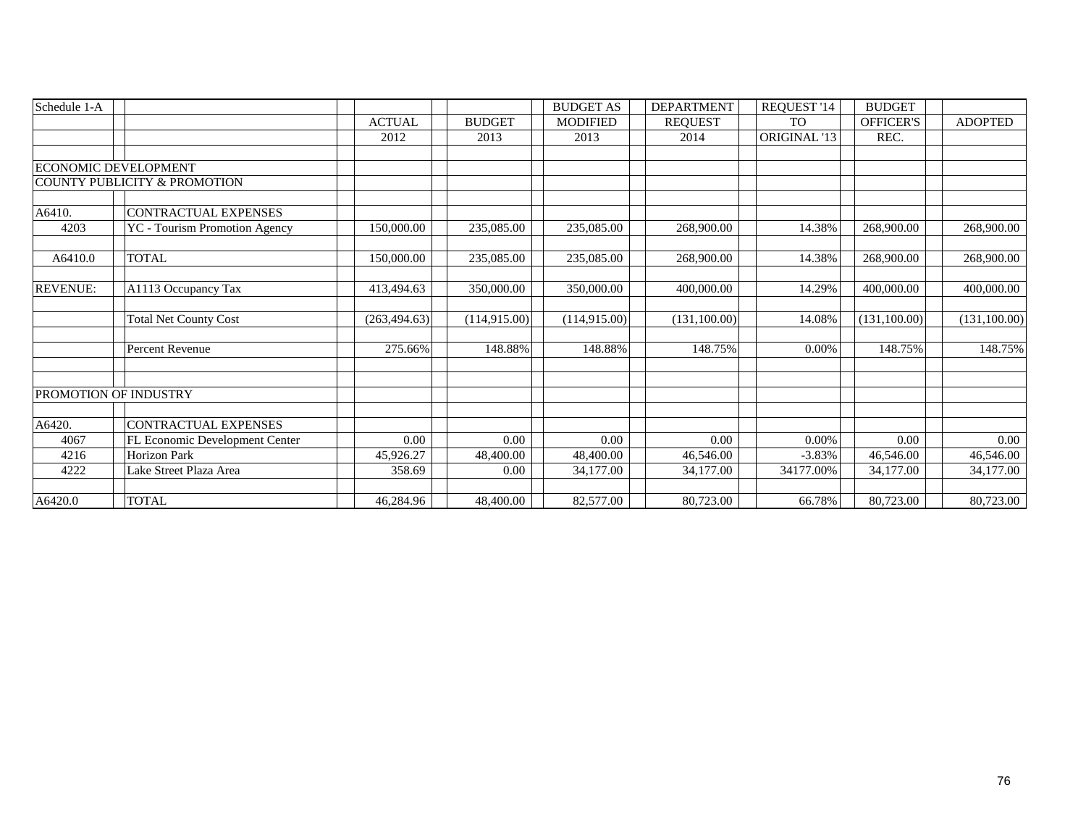| Schedule 1-A    |                                         |               |               | <b>BUDGET AS</b> | <b>DEPARTMENT</b> | REQUEST '14  | <b>BUDGET</b>    |                |
|-----------------|-----------------------------------------|---------------|---------------|------------------|-------------------|--------------|------------------|----------------|
|                 |                                         | <b>ACTUAL</b> | <b>BUDGET</b> | <b>MODIFIED</b>  | <b>REQUEST</b>    | <b>TO</b>    | <b>OFFICER'S</b> | <b>ADOPTED</b> |
|                 |                                         | 2012          | 2013          | 2013             | 2014              | ORIGINAL '13 | REC.             |                |
|                 |                                         |               |               |                  |                   |              |                  |                |
|                 | <b>ECONOMIC DEVELOPMENT</b>             |               |               |                  |                   |              |                  |                |
|                 | <b>COUNTY PUBLICITY &amp; PROMOTION</b> |               |               |                  |                   |              |                  |                |
|                 |                                         |               |               |                  |                   |              |                  |                |
| A6410.          | CONTRACTUAL EXPENSES                    |               |               |                  |                   |              |                  |                |
| 4203            | <b>YC</b> - Tourism Promotion Agency    | 150,000.00    | 235,085.00    | 235,085.00       | 268,900.00        | 14.38%       | 268,900.00       | 268,900.00     |
|                 |                                         |               |               |                  |                   |              |                  |                |
| A6410.0         | <b>TOTAL</b>                            | 150,000.00    | 235,085.00    | 235,085.00       | 268,900.00        | 14.38%       | 268,900.00       | 268,900.00     |
|                 |                                         |               |               |                  |                   |              |                  |                |
| <b>REVENUE:</b> | A1113 Occupancy Tax                     | 413,494.63    | 350,000.00    | 350,000.00       | 400,000.00        | 14.29%       | 400,000.00       | 400,000.00     |
|                 |                                         |               |               |                  |                   |              |                  |                |
|                 | <b>Total Net County Cost</b>            | (263, 494.63) | (114,915.00)  | (114,915.00)     | (131, 100.00)     | 14.08%       | (131, 100.00)    | (131, 100.00)  |
|                 |                                         |               |               |                  |                   |              |                  |                |
|                 | Percent Revenue                         | 275.66%       | 148.88%       | 148.88%          | 148.75%           | 0.00%        | 148.75%          | 148.75%        |
|                 |                                         |               |               |                  |                   |              |                  |                |
|                 |                                         |               |               |                  |                   |              |                  |                |
|                 | PROMOTION OF INDUSTRY                   |               |               |                  |                   |              |                  |                |
| A6420.          | CONTRACTUAL EXPENSES                    |               |               |                  |                   |              |                  |                |
| 4067            | FL Economic Development Center          | 0.00          | 0.00          | 0.00             | $0.00\,$          | 0.00%        | 0.00             | $0.00\,$       |
| 4216            | <b>Horizon Park</b>                     | 45,926.27     | 48,400.00     | 48,400.00        | 46,546.00         | $-3.83%$     | 46,546.00        | 46,546.00      |
| 4222            | Lake Street Plaza Area                  | 358.69        | 0.00          | 34,177.00        | 34,177.00         | 34177.00%    | 34,177.00        | 34,177.00      |
|                 |                                         |               |               |                  |                   |              |                  |                |
| A6420.0         | <b>TOTAL</b>                            | 46,284.96     | 48,400.00     | 82,577.00        | 80,723.00         | 66.78%       | 80,723.00        | 80,723.00      |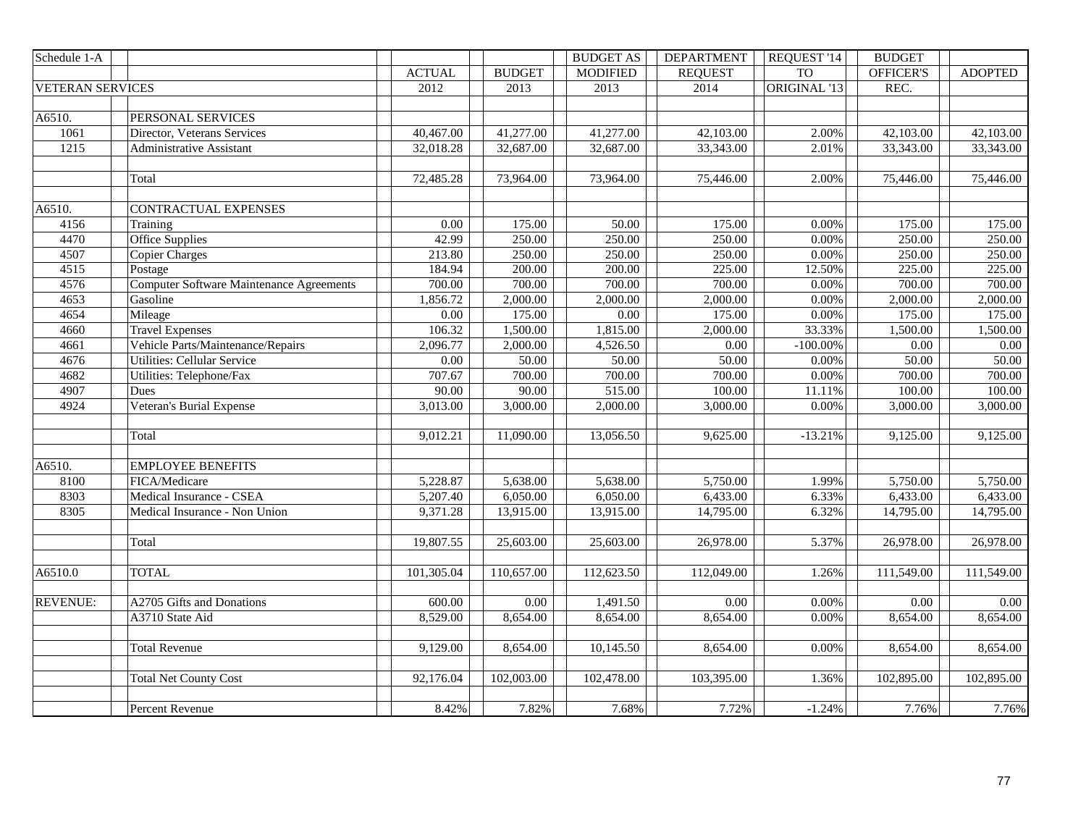| Schedule 1-A            |                                                 |                        |               | <b>BUDGET AS</b>    | <b>DEPARTMENT</b> | REQUEST '14    | <b>BUDGET</b> |                |
|-------------------------|-------------------------------------------------|------------------------|---------------|---------------------|-------------------|----------------|---------------|----------------|
|                         |                                                 | <b>ACTUAL</b>          | <b>BUDGET</b> | <b>MODIFIED</b>     | <b>REQUEST</b>    | T <sub>O</sub> | OFFICER'S     | <b>ADOPTED</b> |
| <b>VETERAN SERVICES</b> |                                                 | 2012                   | 2013          | 2013                | 2014              | ORIGINAL '13   | REC.          |                |
|                         |                                                 |                        |               |                     |                   |                |               |                |
| A6510.                  | PERSONAL SERVICES                               |                        |               |                     |                   |                |               |                |
| 1061                    | Director, Veterans Services                     | 40,467.00              | 41,277.00     | 41,277.00           | 42,103.00         | 2.00%          | 42,103.00     | 42,103.00      |
| 1215                    | Administrative Assistant                        | 32,018.28              | 32,687.00     | 32,687.00           | 33,343.00         | 2.01%          | 33,343.00     | 33,343.00      |
|                         |                                                 |                        |               |                     |                   |                |               |                |
|                         | Total                                           | 72,485.28              | 73,964.00     | 73,964.00           | 75,446.00         | 2.00%          | 75,446.00     | 75,446.00      |
|                         |                                                 |                        |               |                     |                   |                |               |                |
| A6510.                  | CONTRACTUAL EXPENSES                            |                        |               |                     |                   |                |               |                |
| 4156                    | Training                                        | $0.00\,$               | 175.00        | 50.00               | 175.00            | 0.00%          | 175.00        | 175.00         |
| 4470                    | <b>Office Supplies</b>                          | 42.99                  | 250.00        | 250.00              | 250.00            | 0.00%          | 250.00        | 250.00         |
| 4507                    | <b>Copier Charges</b>                           | 213.80                 | 250.00        | 250.00              | 250.00            | 0.00%          | 250.00        | 250.00         |
| 4515                    | Postage                                         | 184.94                 | 200.00        | 200.00              | 225.00            | 12.50%         | 225.00        | 225.00         |
| 4576                    | <b>Computer Software Maintenance Agreements</b> | 700.00                 | 700.00        | 700.00              | 700.00            | 0.00%          | 700.00        | 700.00         |
| 4653                    | Gasoline                                        | 1,856.72               | 2,000.00      | 2,000.00            | 2,000.00          | 0.00%          | 2,000.00      | 2,000.00       |
| 4654                    | Mileage                                         | $\overline{0.00}$      | 175.00        | $\overline{0.00}$   | 175.00            | 0.00%          | 175.00        | 175.00         |
| 4660                    | <b>Travel Expenses</b>                          | 106.32                 | 1,500.00      | 1,815.00            | 2,000.00          | 33.33%         | 1,500.00      | 1,500.00       |
| 4661                    | Vehicle Parts/Maintenance/Repairs               | 2,096.77               | 2,000.00      | 4,526.50            | $0.00\,$          | $-100.00\%$    | 0.00          | $0.00\,$       |
| 4676                    | <b>Utilities: Cellular Service</b>              | $0.00\,$               | 50.00         | 50.00               | 50.00             | 0.00%          | 50.00         | 50.00          |
| 4682                    | Utilities: Telephone/Fax                        | 707.67                 | 700.00        | 700.00              | 700.00            | 0.00%          | 700.00        | 700.00         |
| 4907                    | Dues                                            | 90.00                  | 90.00         | $\overline{515.00}$ | 100.00            | 11.11%         | 100.00        | 100.00         |
| 4924                    | Veteran's Burial Expense                        | 3,013.00               | 3,000.00      | 2,000.00            | 3,000.00          | 0.00%          | 3,000.00      | 3,000.00       |
|                         |                                                 |                        |               |                     |                   |                |               |                |
|                         | Total                                           | 9,012.21               | 11,090.00     | 13,056.50           | 9,625.00          | $-13.21%$      | 9,125.00      | 9,125.00       |
|                         |                                                 |                        |               |                     |                   |                |               |                |
| A6510.                  | <b>EMPLOYEE BENEFITS</b>                        |                        |               |                     |                   |                |               |                |
| 8100                    | FICA/Medicare                                   | 5,228.87               | 5,638.00      | 5,638.00            | 5,750.00          | 1.99%          | 5,750.00      | 5,750.00       |
| 8303                    | Medical Insurance - CSEA                        | 5,207.40               | 6,050.00      | 6,050.00            | 6,433.00          | 6.33%          | 6,433.00      | 6,433.00       |
| 8305                    | Medical Insurance - Non Union                   | 9,371.28               | 13,915.00     | 13,915.00           | 14,795.00         | 6.32%          | 14,795.00     | 14,795.00      |
|                         |                                                 |                        |               |                     |                   |                |               |                |
|                         | Total                                           | 19,807.55              | 25,603.00     | 25,603.00           | 26,978.00         | 5.37%          | 26,978.00     | 26,978.00      |
|                         |                                                 |                        |               |                     |                   |                |               |                |
| A6510.0                 | <b>TOTAL</b>                                    | 101,305.04             | 110,657.00    | 112,623.50          | 112,049.00        | 1.26%          | 111,549.00    | 111,549.00     |
|                         |                                                 |                        |               |                     |                   |                |               |                |
| <b>REVENUE:</b>         | A2705 Gifts and Donations                       | 600.00                 | $0.00\,$      | 1,491.50            | $0.00\,$          | 0.00%          | 0.00          | $0.00\,$       |
|                         | A3710 State Aid                                 | 8,529.00               | 8,654.00      | 8,654.00            | 8,654.00          | 0.00%          | 8,654.00      | 8,654.00       |
|                         |                                                 |                        |               |                     |                   |                |               |                |
|                         | <b>Total Revenue</b>                            | 9,129.00               | 8,654.00      | 10,145.50           | 8,654.00          | 0.00%          | 8,654.00      | 8,654.00       |
|                         |                                                 |                        |               |                     |                   |                |               |                |
|                         | <b>Total Net County Cost</b>                    | $\overline{92,176.04}$ | 102,003.00    | 102,478.00          | 103,395.00        | 1.36%          | 102,895.00    | 102,895.00     |
|                         |                                                 |                        |               |                     |                   |                |               |                |
|                         | Percent Revenue                                 | 8.42%                  | 7.82%         | 7.68%               | 7.72%             | $-1.24%$       | 7.76%         | 7.76%          |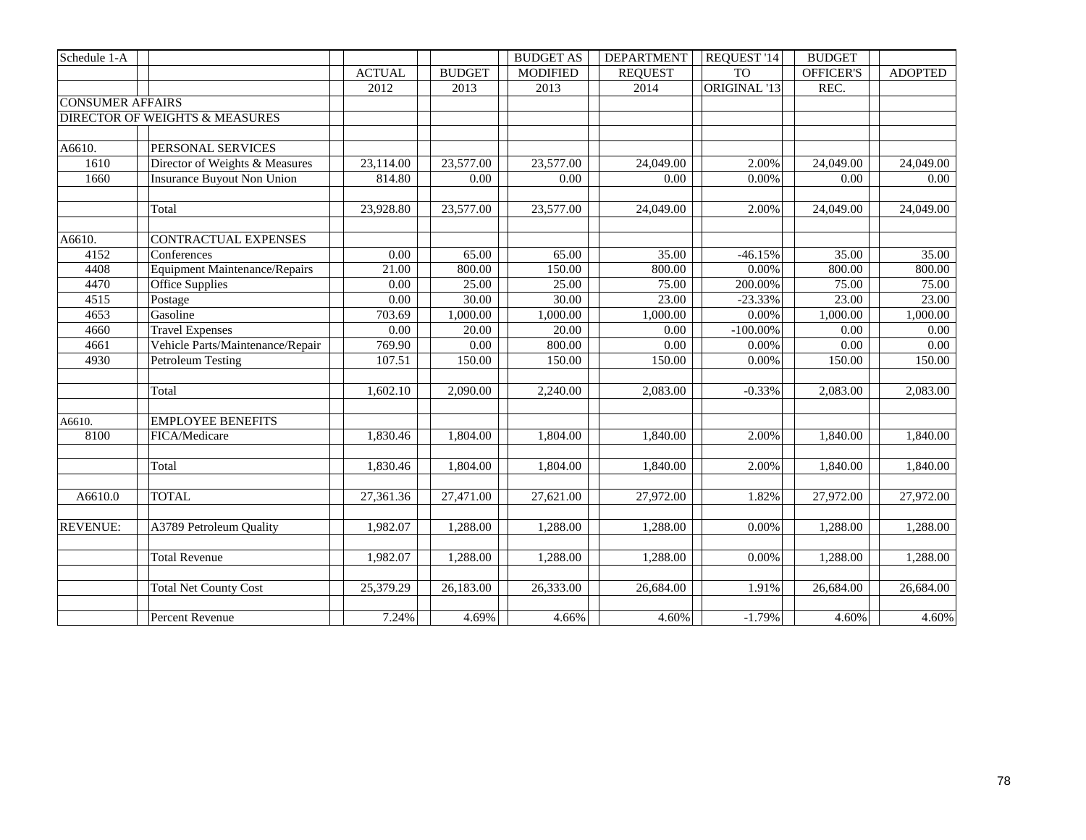| Schedule 1-A            |                                      |               |               | <b>BUDGET AS</b> | <b>DEPARTMENT</b> | REQUEST '14  | <b>BUDGET</b>          |                |
|-------------------------|--------------------------------------|---------------|---------------|------------------|-------------------|--------------|------------------------|----------------|
|                         |                                      | <b>ACTUAL</b> | <b>BUDGET</b> | <b>MODIFIED</b>  | <b>REQUEST</b>    | <b>TO</b>    | <b>OFFICER'S</b>       | <b>ADOPTED</b> |
|                         |                                      | 2012          | 2013          | 2013             | 2014              | ORIGINAL '13 | REC.                   |                |
| <b>CONSUMER AFFAIRS</b> |                                      |               |               |                  |                   |              |                        |                |
|                         | DIRECTOR OF WEIGHTS & MEASURES       |               |               |                  |                   |              |                        |                |
|                         |                                      |               |               |                  |                   |              |                        |                |
| A6610.                  | PERSONAL SERVICES                    |               |               |                  |                   |              |                        |                |
| 1610                    | Director of Weights & Measures       | 23,114.00     | 23,577.00     | 23,577.00        | 24,049.00         | 2.00%        | 24,049.00              | 24,049.00      |
| 1660                    | <b>Insurance Buyout Non Union</b>    | 814.80        | 0.00          | 0.00             | 0.00              | 0.00%        | 0.00                   | 0.00           |
|                         |                                      |               |               |                  |                   |              |                        |                |
|                         | Total                                | 23,928.80     | 23,577.00     | 23,577.00        | 24,049.00         | 2.00%        | 24,049.00              | 24,049.00      |
| A6610.                  | CONTRACTUAL EXPENSES                 |               |               |                  |                   |              |                        |                |
| 4152                    | Conferences                          | 0.00          | 65.00         | 65.00            | 35.00             | $-46.15%$    | 35.00                  | 35.00          |
| 4408                    | <b>Equipment Maintenance/Repairs</b> | 21.00         | 800.00        | 150.00           | 800.00            | 0.00%        | 800.00                 | 800.00         |
| 4470                    | Office Supplies                      | 0.00          | 25.00         | 25.00            | 75.00             | 200.00%      | 75.00                  | 75.00          |
| 4515                    | Postage                              | 0.00          | 30.00         | 30.00            | 23.00             | $-23.33%$    | 23.00                  | 23.00          |
| 4653                    | Gasoline                             | 703.69        | 1,000.00      | 1,000.00         | 1,000.00          | 0.00%        | 1,000.00               | 1,000.00       |
| 4660                    | <b>Travel Expenses</b>               | 0.00          | 20.00         | 20.00            | 0.00              | $-100.00\%$  | 0.00                   | 0.00           |
| 4661                    | Vehicle Parts/Maintenance/Repair     | 769.90        | 0.00          | 800.00           | 0.00              | 0.00%        | 0.00                   | 0.00           |
| 4930                    | Petroleum Testing                    | 107.51        | 150.00        | 150.00           | 150.00            | 0.00%        | 150.00                 | 150.00         |
|                         |                                      |               |               |                  |                   |              |                        |                |
|                         | Total                                | 1,602.10      | 2,090.00      | 2,240.00         | 2,083.00          | $-0.33%$     | 2,083.00               | 2,083.00       |
|                         |                                      |               |               |                  |                   |              |                        |                |
| A6610.                  | <b>EMPLOYEE BENEFITS</b>             |               |               |                  |                   |              |                        |                |
| 8100                    | FICA/Medicare                        | 1,830.46      | 1,804.00      | 1,804.00         | 1,840.00          | 2.00%        | 1,840.00               | 1,840.00       |
|                         | Total                                | 1,830.46      | 1,804.00      | 1,804.00         | 1,840.00          | 2.00%        | 1,840.00               | 1,840.00       |
|                         |                                      |               |               |                  |                   |              |                        |                |
| A6610.0                 | <b>TOTAL</b>                         | 27,361.36     | 27,471.00     | 27,621.00        | 27,972.00         | 1.82%        | 27,972.00              | 27,972.00      |
| <b>REVENUE:</b>         | A3789 Petroleum Quality              | 1,982.07      | 1,288.00      | 1,288.00         | 1,288.00          | 0.00%        | 1,288.00               | 1,288.00       |
|                         |                                      |               |               |                  |                   |              |                        |                |
|                         | <b>Total Revenue</b>                 | 1,982.07      | 1,288.00      | 1,288.00         | 1,288.00          | 0.00%        | 1,288.00               | 1,288.00       |
|                         |                                      |               |               |                  |                   |              |                        |                |
|                         | <b>Total Net County Cost</b>         | 25,379.29     | 26,183.00     | 26,333.00        | 26,684.00         | 1.91%        | $\overline{26,684.00}$ | 26,684.00      |
|                         | Percent Revenue                      | 7.24%         | 4.69%         | 4.66%            | 4.60%             | $-1.79%$     | 4.60%                  | 4.60%          |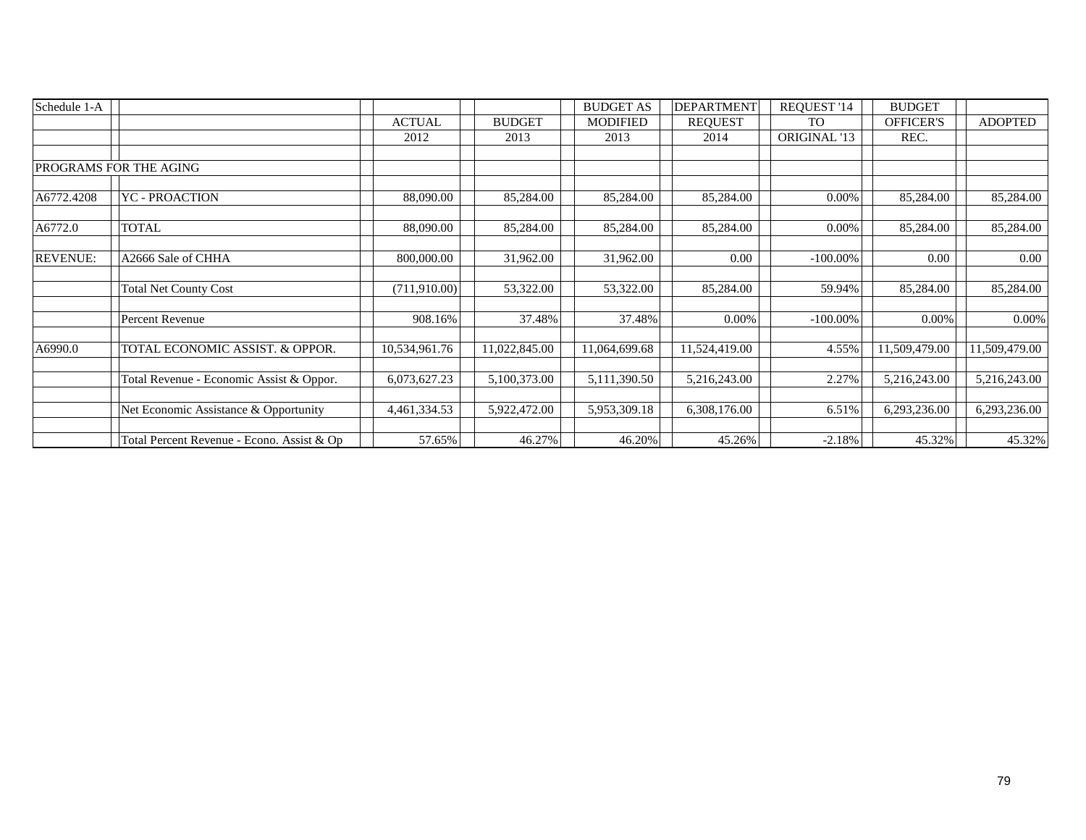| Schedule 1-A    |                                            |               |               | <b>BUDGET AS</b> | <b>DEPARTMENT</b> | REQUEST '14  | <b>BUDGET</b>    |                |
|-----------------|--------------------------------------------|---------------|---------------|------------------|-------------------|--------------|------------------|----------------|
|                 |                                            | <b>ACTUAL</b> | <b>BUDGET</b> | <b>MODIFIED</b>  | <b>REQUEST</b>    | <b>TO</b>    | <b>OFFICER'S</b> | <b>ADOPTED</b> |
|                 |                                            | 2012          | 2013          | 2013             | 2014              | ORIGINAL '13 | REC.             |                |
|                 |                                            |               |               |                  |                   |              |                  |                |
|                 | PROGRAMS FOR THE AGING                     |               |               |                  |                   |              |                  |                |
|                 |                                            |               |               |                  |                   |              |                  |                |
| A6772.4208      | <b>YC - PROACTION</b>                      | 88,090.00     | 85,284.00     | 85,284.00        | 85,284.00         | 0.00%        | 85,284.00        | 85,284.00      |
|                 |                                            |               |               |                  |                   |              |                  |                |
| A6772.0         | <b>TOTAL</b>                               | 88,090.00     | 85,284.00     | 85,284.00        | 85,284.00         | $0.00\%$     | 85,284.00        | 85,284.00      |
|                 |                                            |               |               |                  |                   |              |                  |                |
| <b>REVENUE:</b> | A2666 Sale of CHHA                         | 800,000.00    | 31,962.00     | 31,962.00        | 0.00              | $-100.00\%$  | 0.00             | 0.00           |
|                 |                                            |               |               |                  |                   |              |                  |                |
|                 | <b>Total Net County Cost</b>               | (711,910.00)  | 53,322.00     | 53,322.00        | 85,284.00         | 59.94%       | 85,284.00        | 85,284.00      |
|                 |                                            |               |               |                  |                   |              |                  |                |
|                 | Percent Revenue                            | 908.16%       | 37.48%        | 37.48%           | 0.00%             | $-100.00\%$  | $0.00\%$         | 0.00%          |
| A6990.0         | TOTAL ECONOMIC ASSIST. & OPPOR.            | 10,534,961.76 | 11,022,845.00 | 11,064,699.68    | 11,524,419.00     | 4.55%        | 11,509,479.00    | 11,509,479.00  |
|                 |                                            |               |               |                  |                   |              |                  |                |
|                 | Total Revenue - Economic Assist & Oppor.   | 6,073,627.23  | 5,100,373.00  | 5,111,390.50     | 5,216,243.00      | 2.27%        | 5,216,243.00     | 5,216,243.00   |
|                 |                                            |               |               |                  |                   |              |                  |                |
|                 | Net Economic Assistance & Opportunity      | 4,461,334.53  | 5,922,472.00  | 5,953,309.18     | 6,308,176.00      | 6.51%        | 6,293,236.00     | 6,293,236.00   |
|                 |                                            |               |               |                  |                   |              |                  |                |
|                 | Total Percent Revenue - Econo. Assist & Op | 57.65%        | 46.27%        | 46.20%           | 45.26%            | $-2.18%$     | 45.32%           | 45.32%         |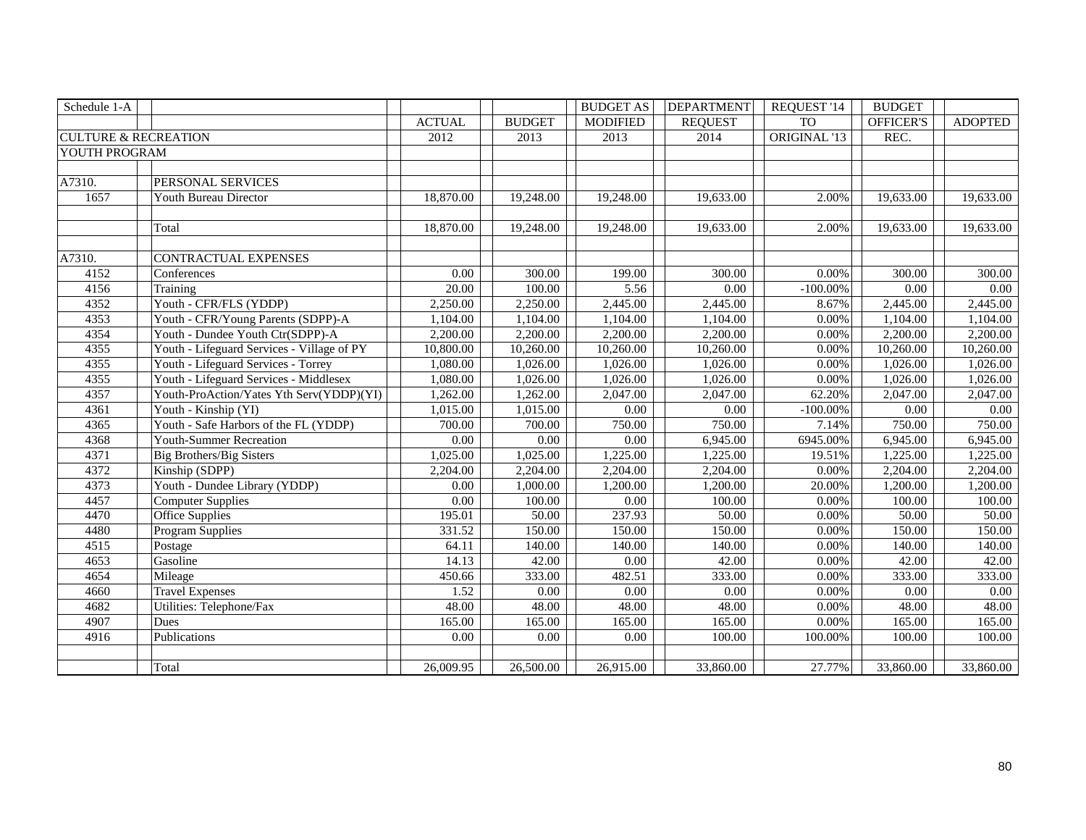| Schedule 1-A                    |                                            |                   |               | <b>BUDGET AS</b> | <b>DEPARTMENT</b> | REQUEST '14  | <b>BUDGET</b> |                |
|---------------------------------|--------------------------------------------|-------------------|---------------|------------------|-------------------|--------------|---------------|----------------|
|                                 |                                            | <b>ACTUAL</b>     | <b>BUDGET</b> | <b>MODIFIED</b>  | <b>REQUEST</b>    | <b>TO</b>    | OFFICER'S     | <b>ADOPTED</b> |
| <b>CULTURE &amp; RECREATION</b> |                                            | 2012              | 2013          | 2013             | 2014              | ORIGINAL '13 | REC.          |                |
| YOUTH PROGRAM                   |                                            |                   |               |                  |                   |              |               |                |
|                                 |                                            |                   |               |                  |                   |              |               |                |
| A7310.                          | PERSONAL SERVICES                          |                   |               |                  |                   |              |               |                |
| 1657                            | Youth Bureau Director                      | 18,870.00         | 19,248.00     | 19,248.00        | 19,633.00         | 2.00%        | 19,633.00     | 19,633.00      |
|                                 |                                            |                   |               |                  |                   |              |               |                |
|                                 | Total                                      | 18,870.00         | 19,248.00     | 19,248.00        | 19,633.00         | 2.00%        | 19,633.00     | 19,633.00      |
|                                 |                                            |                   |               |                  |                   |              |               |                |
| A7310.                          | <b>CONTRACTUAL EXPENSES</b>                |                   |               |                  |                   |              |               |                |
| 4152                            | Conferences                                | 0.00              | 300.00        | 199.00           | 300.00            | 0.00%        | 300.00        | 300.00         |
| 4156                            | Training                                   | 20.00             | 100.00        | 5.56             | 0.00              | $-100.00\%$  | 0.00          | 0.00           |
| 4352                            | Youth - CFR/FLS (YDDP)                     | 2,250.00          | 2,250.00      | 2,445.00         | 2,445.00          | 8.67%        | 2,445.00      | 2,445.00       |
| 4353                            | Youth - CFR/Young Parents (SDPP)-A         | 1,104.00          | 1,104.00      | 1,104.00         | 1,104.00          | $0.00\%$     | 1,104.00      | 1,104.00       |
| 4354                            | Youth - Dundee Youth Ctr(SDPP)-A           | 2,200.00          | 2,200.00      | 2,200.00         | 2,200.00          | $0.00\%$     | 2,200.00      | 2,200.00       |
| 4355                            | Youth - Lifeguard Services - Village of PY | 10,800.00         | 10,260.00     | 10,260.00        | 10,260.00         | 0.00%        | 10,260.00     | 10,260.00      |
| 4355                            | Youth - Lifeguard Services - Torrey        | 1,080.00          | 1,026.00      | 1,026.00         | 1,026.00          | $0.00\%$     | 1.026.00      | 1.026.00       |
| 4355                            | Youth - Lifeguard Services - Middlesex     | 1,080.00          | 1,026.00      | 1,026.00         | 1,026.00          | 0.00%        | 1.026.00      | 1,026.00       |
| 4357                            | Youth-ProAction/Yates Yth Serv(YDDP)(YI)   | 1,262.00          | 1,262.00      | 2,047.00         | 2,047.00          | 62.20%       | 2,047.00      | 2,047.00       |
| 4361                            | Youth - Kinship (YI)                       | 1,015.00          | 1,015.00      | 0.00             | 0.00              | $-100.00\%$  | 0.00          | 0.00           |
| 4365                            | Youth - Safe Harbors of the FL (YDDP)      | 700.00            | 700.00        | 750.00           | 750.00            | 7.14%        | 750.00        | 750.00         |
| 4368                            | Youth-Summer Recreation                    | $0.00\,$          | 0.00          | 0.00             | 6,945.00          | 6945.00%     | 6,945.00      | 6,945.00       |
| 4371                            | <b>Big Brothers/Big Sisters</b>            | 1,025.00          | 1,025.00      | 1,225.00         | 1,225.00          | 19.51%       | 1,225.00      | 1,225.00       |
| 4372                            | Kinship (SDPP)                             | 2,204.00          | 2,204.00      | 2,204.00         | 2,204.00          | 0.00%        | 2,204.00      | 2,204.00       |
| 4373                            | Youth - Dundee Library (YDDP)              | 0.00              | 1,000.00      | 1,200.00         | 1,200.00          | 20.00%       | 1,200.00      | 1,200.00       |
| 4457                            | <b>Computer Supplies</b>                   | $\overline{0.00}$ | 100.00        | 0.00             | 100.00            | 0.00%        | 100.00        | 100.00         |
| 4470                            | <b>Office Supplies</b>                     | 195.01            | 50.00         | 237.93           | 50.00             | $0.00\%$     | 50.00         | 50.00          |
| 4480                            | <b>Program Supplies</b>                    | 331.52            | 150.00        | 150.00           | 150.00            | 0.00%        | 150.00        | 150.00         |
| 4515                            | Postage                                    | 64.11             | 140.00        | 140.00           | 140.00            | 0.00%        | 140.00        | 140.00         |
| 4653                            | Gasoline                                   | 14.13             | 42.00         | 0.00             | 42.00             | 0.00%        | 42.00         | 42.00          |
| 4654                            | Mileage                                    | 450.66            | 333.00        | 482.51           | 333.00            | $0.00\%$     | 333.00        | 333.00         |
| 4660                            | <b>Travel Expenses</b>                     | 1.52              | 0.00          | 0.00             | 0.00              | $0.00\%$     | 0.00          | 0.00           |
| 4682                            | Utilities: Telephone/Fax                   | 48.00             | 48.00         | 48.00            | 48.00             | $0.00\%$     | 48.00         | 48.00          |
| 4907                            | Dues                                       | 165.00            | 165.00        | 165.00           | 165.00            | 0.00%        | 165.00        | 165.00         |
| 4916                            | Publications                               | 0.00              | 0.00          | 0.00             | 100.00            | 100.00%      | 100.00        | 100.00         |
|                                 |                                            |                   |               |                  |                   |              |               |                |
|                                 | Total                                      | 26,009.95         | 26,500.00     | 26,915.00        | 33,860.00         | 27.77%       | 33,860.00     | 33,860.00      |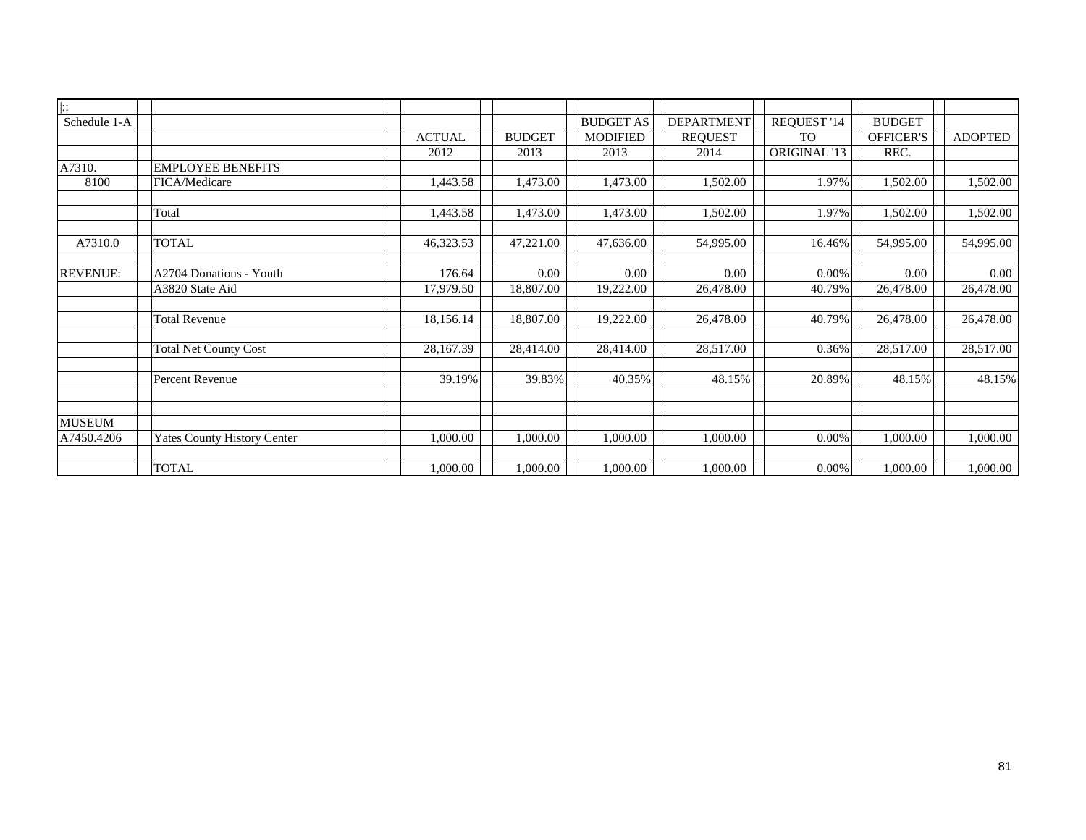| $\overline{\mathbb{R}}$ |                                    |               |               |                  |                   |              |                  |                |
|-------------------------|------------------------------------|---------------|---------------|------------------|-------------------|--------------|------------------|----------------|
| Schedule 1-A            |                                    |               |               | <b>BUDGET AS</b> | <b>DEPARTMENT</b> | REQUEST '14  | <b>BUDGET</b>    |                |
|                         |                                    | <b>ACTUAL</b> | <b>BUDGET</b> | <b>MODIFIED</b>  | <b>REQUEST</b>    | <b>TO</b>    | <b>OFFICER'S</b> | <b>ADOPTED</b> |
|                         |                                    | 2012          | 2013          | 2013             | 2014              | ORIGINAL '13 | REC.             |                |
| A7310.                  | <b>EMPLOYEE BENEFITS</b>           |               |               |                  |                   |              |                  |                |
| 8100                    | FICA/Medicare                      | 1,443.58      | 1,473.00      | 1,473.00         | 1,502.00          | 1.97%        | 1,502.00         | 1,502.00       |
|                         |                                    |               |               |                  |                   |              |                  |                |
|                         | Total                              | 1,443.58      | 1,473.00      | 1,473.00         | 1,502.00          | 1.97%        | 1,502.00         | 1,502.00       |
|                         |                                    |               |               |                  |                   |              |                  |                |
| A7310.0                 | <b>TOTAL</b>                       | 46,323.53     | 47,221.00     | 47,636.00        | 54,995.00         | 16.46%       | 54,995.00        | 54,995.00      |
|                         |                                    |               |               |                  |                   |              |                  |                |
| <b>REVENUE:</b>         | A2704 Donations - Youth            | 176.64        | 0.00          | 0.00             | 0.00              | $0.00\%$     | 0.00             | 0.00           |
|                         | A3820 State Aid                    | 17,979.50     | 18,807.00     | 19,222.00        | 26,478.00         | 40.79%       | 26,478.00        | 26,478.00      |
|                         |                                    |               |               |                  |                   |              |                  |                |
|                         | <b>Total Revenue</b>               | 18,156.14     | 18,807.00     | 19,222.00        | 26,478.00         | 40.79%       | 26,478.00        | 26,478.00      |
|                         |                                    |               |               |                  |                   |              |                  |                |
|                         | <b>Total Net County Cost</b>       | 28,167.39     | 28,414.00     | 28,414.00        | 28,517.00         | 0.36%        | 28,517.00        | 28,517.00      |
|                         |                                    |               |               |                  |                   |              |                  |                |
|                         | Percent Revenue                    | 39.19%        | 39.83%        | 40.35%           | 48.15%            | 20.89%       | 48.15%           | 48.15%         |
|                         |                                    |               |               |                  |                   |              |                  |                |
| <b>MUSEUM</b>           |                                    |               |               |                  |                   |              |                  |                |
| A7450.4206              | <b>Yates County History Center</b> | 1,000.00      | 1,000.00      | 1,000.00         | 1,000.00          | 0.00%        | 1,000.00         | 1,000.00       |
|                         |                                    |               |               |                  |                   |              |                  |                |
|                         | <b>TOTAL</b>                       | 1,000.00      | 1,000.00      | 1,000.00         | 1,000.00          | 0.00%        | 1,000.00         | 1,000.00       |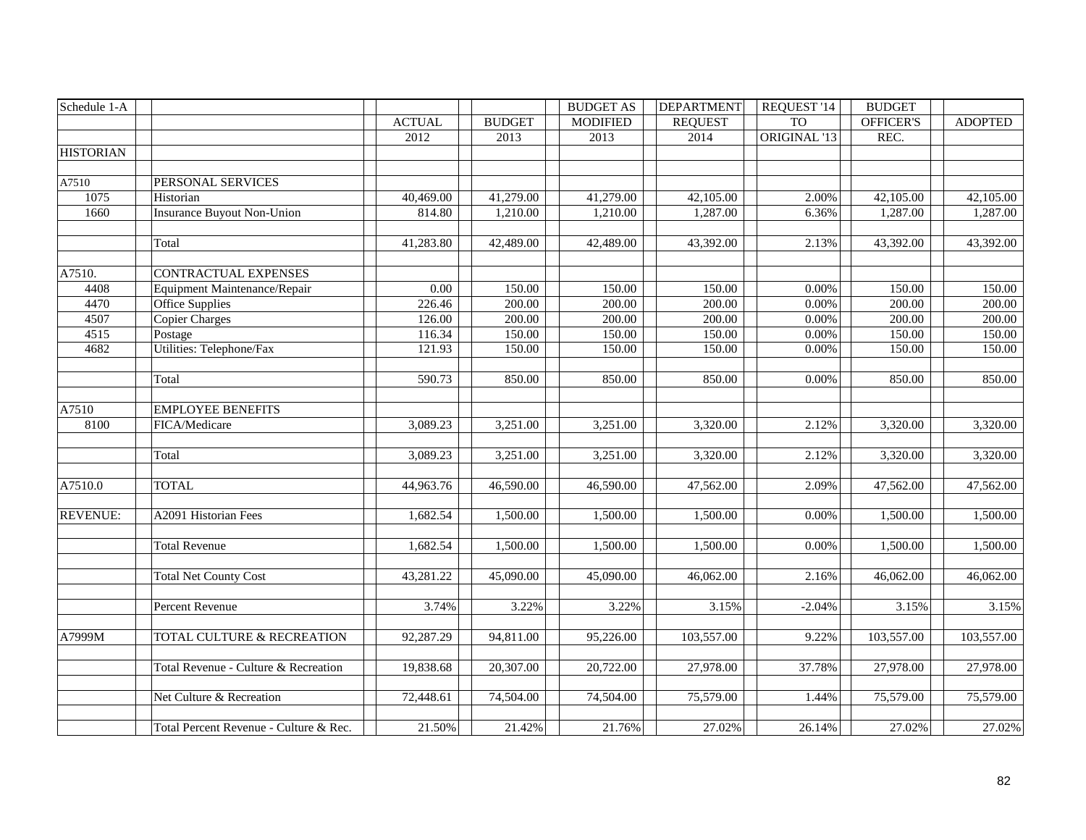| Schedule 1-A     |                                        |               |               | <b>BUDGET AS</b> | <b>DEPARTMENT</b> | REQUEST '14  | <b>BUDGET</b> |                |
|------------------|----------------------------------------|---------------|---------------|------------------|-------------------|--------------|---------------|----------------|
|                  |                                        | <b>ACTUAL</b> | <b>BUDGET</b> | <b>MODIFIED</b>  | <b>REQUEST</b>    | <b>TO</b>    | OFFICER'S     | <b>ADOPTED</b> |
|                  |                                        | 2012          | 2013          | 2013             | 2014              | ORIGINAL '13 | REC.          |                |
| <b>HISTORIAN</b> |                                        |               |               |                  |                   |              |               |                |
|                  |                                        |               |               |                  |                   |              |               |                |
| A7510            | PERSONAL SERVICES                      |               |               |                  |                   |              |               |                |
| 1075             | Historian                              | 40,469.00     | 41,279.00     | 41,279.00        | 42,105.00         | 2.00%        | 42,105.00     | 42,105.00      |
| 1660             | <b>Insurance Buyout Non-Union</b>      | 814.80        | 1,210.00      | 1,210.00         | 1,287.00          | 6.36%        | 1,287.00      | 1,287.00       |
|                  |                                        |               |               |                  |                   |              |               |                |
|                  | Total                                  | 41,283.80     | 42,489.00     | 42,489.00        | 43,392.00         | 2.13%        | 43,392.00     | 43,392.00      |
|                  |                                        |               |               |                  |                   |              |               |                |
| A7510.           | CONTRACTUAL EXPENSES                   |               |               |                  |                   |              |               |                |
| 4408             | Equipment Maintenance/Repair           | 0.00          | 150.00        | 150.00           | 150.00            | 0.00%        | 150.00        | 150.00         |
| 4470             | Office Supplies                        | 226.46        | 200.00        | 200.00           | 200.00            | 0.00%        | 200.00        | 200.00         |
| 4507             | <b>Copier Charges</b>                  | 126.00        | 200.00        | 200.00           | 200.00            | 0.00%        | 200.00        | 200.00         |
| 4515             | Postage                                | 116.34        | 150.00        | 150.00           | 150.00            | 0.00%        | 150.00        | 150.00         |
| 4682             | Utilities: Telephone/Fax               | 121.93        | 150.00        | 150.00           | 150.00            | 0.00%        | 150.00        | 150.00         |
|                  |                                        |               |               |                  |                   |              |               |                |
|                  | Total                                  | 590.73        | 850.00        | 850.00           | 850.00            | 0.00%        | 850.00        | 850.00         |
|                  |                                        |               |               |                  |                   |              |               |                |
| A7510            | <b>EMPLOYEE BENEFITS</b>               |               |               |                  |                   |              |               |                |
| 8100             | FICA/Medicare                          | 3,089.23      | 3,251.00      | 3,251.00         | 3,320.00          | 2.12%        | 3,320.00      | 3,320.00       |
|                  |                                        |               |               |                  |                   |              |               |                |
|                  | Total                                  | 3,089.23      | 3,251.00      | 3,251.00         | 3,320.00          | 2.12%        | 3,320.00      | 3,320.00       |
|                  |                                        |               |               |                  |                   |              |               |                |
| A7510.0          | <b>TOTAL</b>                           | 44,963.76     | 46,590.00     | 46,590.00        | 47,562.00         | 2.09%        | 47,562.00     | 47,562.00      |
|                  |                                        |               |               |                  |                   |              |               |                |
| <b>REVENUE:</b>  | A2091 Historian Fees                   | 1,682.54      | 1.500.00      | 1.500.00         | 1.500.00          | 0.00%        | 1,500.00      | 1,500.00       |
|                  |                                        |               |               |                  |                   |              |               |                |
|                  | <b>Total Revenue</b>                   | 1,682.54      | 1,500.00      | 1,500.00         | 1,500.00          | 0.00%        | 1,500.00      | 1,500.00       |
|                  |                                        |               |               |                  |                   |              |               |                |
|                  | <b>Total Net County Cost</b>           | 43,281.22     | 45,090.00     | 45,090.00        | 46,062.00         | 2.16%        | 46,062.00     | 46,062.00      |
|                  |                                        |               |               |                  |                   |              |               |                |
|                  | Percent Revenue                        | 3.74%         | 3.22%         | 3.22%            | 3.15%             | $-2.04%$     | 3.15%         | 3.15%          |
|                  |                                        |               |               |                  |                   |              |               |                |
| A7999M           | TOTAL CULTURE & RECREATION             | 92,287.29     | 94,811.00     | 95,226.00        | 103,557.00        | 9.22%        | 103,557.00    | 103,557.00     |
|                  |                                        |               |               |                  |                   |              |               |                |
|                  | Total Revenue - Culture & Recreation   | 19,838.68     | 20,307.00     | 20,722.00        | 27,978.00         | 37.78%       | 27,978.00     | 27,978.00      |
|                  |                                        |               |               |                  |                   |              |               |                |
|                  | Net Culture & Recreation               | 72,448.61     | 74,504.00     | 74,504.00        | 75,579.00         | 1.44%        | 75,579.00     | 75,579.00      |
|                  |                                        |               |               |                  |                   |              |               |                |
|                  | Total Percent Revenue - Culture & Rec. | 21.50%        | 21.42%        | 21.76%           | 27.02%            | 26.14%       | 27.02%        | 27.02%         |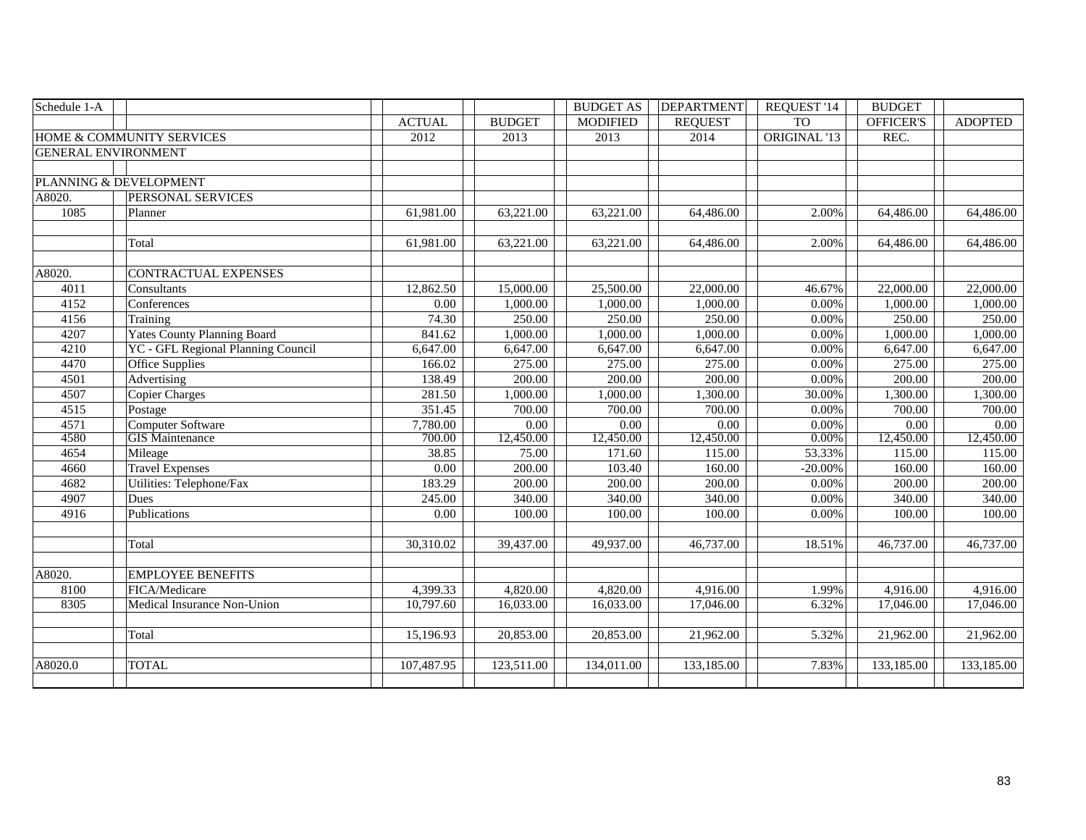| Schedule 1-A               |                                    |               |               | <b>BUDGET AS</b> | <b>DEPARTMENT</b> | REQUEST '14  | <b>BUDGET</b>    |                |
|----------------------------|------------------------------------|---------------|---------------|------------------|-------------------|--------------|------------------|----------------|
|                            |                                    | <b>ACTUAL</b> | <b>BUDGET</b> | <b>MODIFIED</b>  | <b>REQUEST</b>    | <b>TO</b>    | <b>OFFICER'S</b> | <b>ADOPTED</b> |
|                            | HOME & COMMUNITY SERVICES          | 2012          | 2013          | 2013             | 2014              | ORIGINAL '13 | REC.             |                |
| <b>GENERAL ENVIRONMENT</b> |                                    |               |               |                  |                   |              |                  |                |
|                            |                                    |               |               |                  |                   |              |                  |                |
|                            | PLANNING & DEVELOPMENT             |               |               |                  |                   |              |                  |                |
| A8020.                     | PERSONAL SERVICES                  |               |               |                  |                   |              |                  |                |
| 1085                       | Planner                            | 61,981.00     | 63,221.00     | 63,221.00        | 64,486.00         | 2.00%        | 64,486.00        | 64,486.00      |
|                            |                                    |               |               |                  |                   |              |                  |                |
|                            | Total                              | 61,981.00     | 63,221.00     | 63,221.00        | 64,486.00         | 2.00%        | 64,486.00        | 64,486.00      |
|                            |                                    |               |               |                  |                   |              |                  |                |
| A8020.                     | <b>CONTRACTUAL EXPENSES</b>        |               |               |                  |                   |              |                  |                |
| 4011                       | Consultants                        | 12,862.50     | 15,000.00     | 25,500.00        | 22,000.00         | 46.67%       | 22,000.00        | 22,000.00      |
| 4152                       | Conferences                        | 0.00          | 1,000.00      | 1,000.00         | 1,000.00          | 0.00%        | 1,000.00         | 1,000.00       |
| 4156                       | Training                           | 74.30         | 250.00        | 250.00           | 250.00            | 0.00%        | 250.00           | 250.00         |
| 4207                       | <b>Yates County Planning Board</b> | 841.62        | 1,000.00      | 1,000.00         | 1,000.00          | 0.00%        | 1,000.00         | 1,000.00       |
| 4210                       | YC - GFL Regional Planning Council | 6,647.00      | 6,647.00      | 6,647.00         | 6,647.00          | 0.00%        | 6,647.00         | 6,647.00       |
| 4470                       | <b>Office Supplies</b>             | 166.02        | 275.00        | 275.00           | 275.00            | 0.00%        | 275.00           | 275.00         |
| 4501                       | Advertising                        | 138.49        | 200.00        | 200.00           | 200.00            | 0.00%        | 200.00           | 200.00         |
| 4507                       | <b>Copier Charges</b>              | 281.50        | 1,000.00      | 1,000.00         | 1,300.00          | 30.00%       | 1,300.00         | 1,300.00       |
| 4515                       | Postage                            | 351.45        | 700.00        | 700.00           | 700.00            | 0.00%        | 700.00           | 700.00         |
| 4571                       | Computer Software                  | 7,780.00      | 0.00          | 0.00             | 0.00              | 0.00%        | 0.00             | 0.00           |
| 4580                       | <b>GIS</b> Maintenance             | 700.00        | 12,450.00     | 12,450.00        | 12,450.00         | 0.00%        | 12,450.00        | 12,450.00      |
| 4654                       | $\overline{\text{M}}$ ileage       | 38.85         | 75.00         | 171.60           | 115.00            | 53.33%       | 115.00           | 115.00         |
| 4660                       | <b>Travel Expenses</b>             | 0.00          | 200.00        | 103.40           | 160.00            | $-20.00%$    | 160.00           | 160.00         |
| 4682                       | Utilities: Telephone/Fax           | 183.29        | 200.00        | 200.00           | 200.00            | 0.00%        | 200.00           | 200.00         |
| 4907                       | Dues                               | 245.00        | 340.00        | 340.00           | 340.00            | 0.00%        | 340.00           | 340.00         |
| 4916                       | Publications                       | 0.00          | 100.00        | 100.00           | 100.00            | 0.00%        | 100.00           | 100.00         |
|                            |                                    |               |               |                  |                   |              |                  |                |
|                            | Total                              | 30,310.02     | 39,437.00     | 49,937.00        | 46,737.00         | 18.51%       | 46,737.00        | 46,737.00      |
|                            |                                    |               |               |                  |                   |              |                  |                |
| A8020.                     | <b>EMPLOYEE BENEFITS</b>           |               |               |                  |                   |              |                  |                |
| 8100                       | FICA/Medicare                      | 4,399.33      | 4,820.00      | 4,820.00         | 4,916.00          | 1.99%        | 4,916.00         | 4,916.00       |
| 8305                       | Medical Insurance Non-Union        | 10,797.60     | 16,033.00     | 16,033.00        | 17,046.00         | 6.32%        | 17,046.00        | 17,046.00      |
|                            |                                    |               |               |                  |                   |              |                  |                |
|                            | Total                              | 15,196.93     | 20,853.00     | 20,853.00        | 21,962.00         | 5.32%        | 21,962.00        | 21,962.00      |
|                            |                                    |               |               |                  |                   |              |                  |                |
| A8020.0                    | <b>TOTAL</b>                       | 107,487.95    | 123,511.00    | 134,011.00       | 133,185.00        | 7.83%        | 133,185.00       | 133,185.00     |
|                            |                                    |               |               |                  |                   |              |                  |                |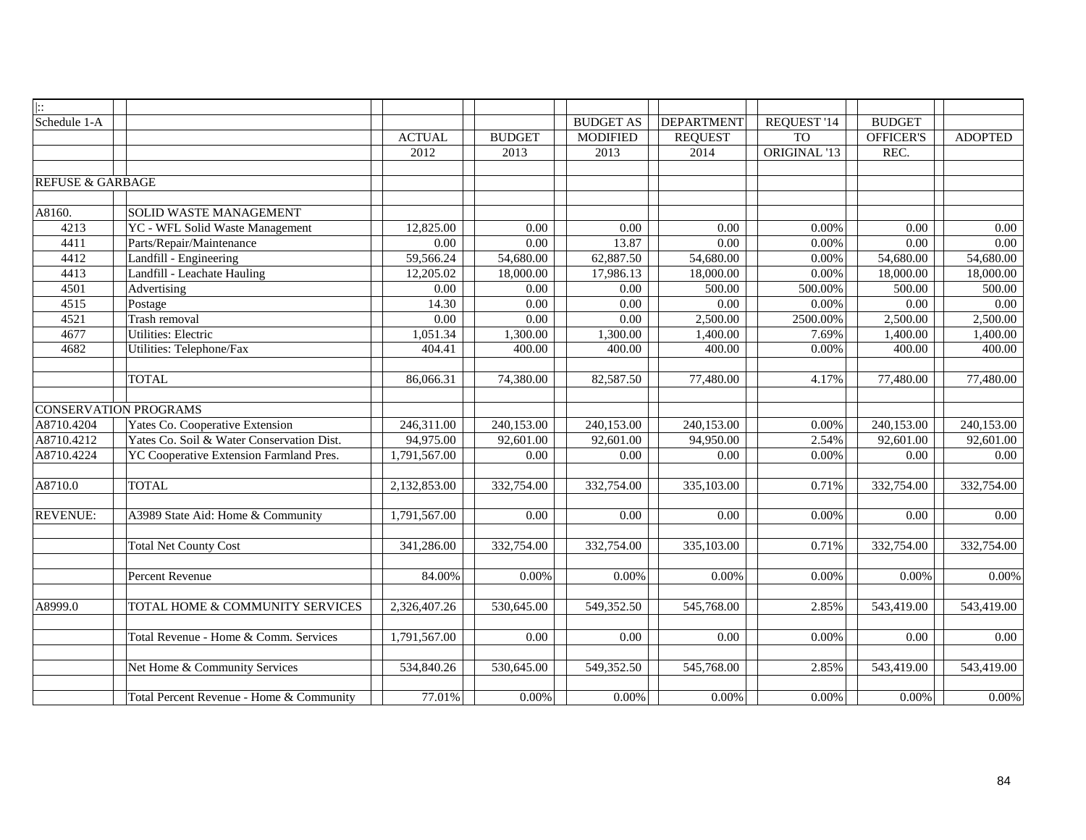| $\left  \cdot \right $      |                                           |                   |               |                  |                   |              |                   |                |
|-----------------------------|-------------------------------------------|-------------------|---------------|------------------|-------------------|--------------|-------------------|----------------|
| Schedule 1-A                |                                           |                   |               | <b>BUDGET AS</b> | <b>DEPARTMENT</b> | REQUEST '14  | <b>BUDGET</b>     |                |
|                             |                                           | <b>ACTUAL</b>     | <b>BUDGET</b> | <b>MODIFIED</b>  | <b>REQUEST</b>    | <b>TO</b>    | <b>OFFICER'S</b>  | <b>ADOPTED</b> |
|                             |                                           | $\overline{2012}$ | 2013          | 2013             | 2014              | ORIGINAL '13 | REC.              |                |
|                             |                                           |                   |               |                  |                   |              |                   |                |
| <b>REFUSE &amp; GARBAGE</b> |                                           |                   |               |                  |                   |              |                   |                |
|                             |                                           |                   |               |                  |                   |              |                   |                |
| A8160.                      | SOLID WASTE MANAGEMENT                    |                   |               |                  |                   |              |                   |                |
| 4213                        | YC - WFL Solid Waste Management           | 12,825.00         | 0.00          | 0.00             | 0.00              | 0.00%        | 0.00              | 0.00           |
| 4411                        | Parts/Repair/Maintenance                  | 0.00              | 0.00          | 13.87            | $\overline{0.00}$ | 0.00%        | $\overline{0.00}$ | 0.00           |
| 4412                        | Landfill - Engineering                    | 59,566.24         | 54,680.00     | 62,887.50        | 54,680.00         | 0.00%        | 54,680.00         | 54,680.00      |
| 4413                        | Landfill - Leachate Hauling               | 12,205.02         | 18,000.00     | 17,986.13        | 18,000.00         | 0.00%        | 18,000.00         | 18,000.00      |
| 4501                        | Advertising                               | 0.00              | 0.00          | 0.00             | 500.00            | 500.00%      | 500.00            | 500.00         |
| 4515                        | Postage                                   | 14.30             | 0.00          | 0.00             | 0.00              | 0.00%        | 0.00              | $0.00\,$       |
| 4521                        | Trash removal                             | 0.00              | 0.00          | 0.00             | 2,500.00          | 2500.00%     | 2,500.00          | 2,500.00       |
| 4677                        | <b>Utilities: Electric</b>                | 1,051.34          | 1,300.00      | 1,300.00         | 1,400.00          | 7.69%        | 1,400.00          | 1,400.00       |
| 4682                        | Utilities: Telephone/Fax                  | 404.41            | 400.00        | 400.00           | 400.00            | 0.00%        | 400.00            | 400.00         |
|                             |                                           |                   |               |                  |                   |              |                   |                |
|                             | <b>TOTAL</b>                              | 86,066.31         | 74,380.00     | 82,587.50        | 77,480.00         | 4.17%        | 77,480.00         | 77,480.00      |
|                             |                                           |                   |               |                  |                   |              |                   |                |
|                             | <b>CONSERVATION PROGRAMS</b>              |                   |               |                  |                   |              |                   |                |
| A8710.4204                  | Yates Co. Cooperative Extension           | 246,311.00        | 240,153.00    | 240,153.00       | 240,153.00        | 0.00%        | 240,153.00        | 240,153.00     |
| A8710.4212                  | Yates Co. Soil & Water Conservation Dist. | 94,975.00         | 92,601.00     | 92,601.00        | 94,950.00         | 2.54%        | 92,601.00         | 92,601.00      |
| A8710.4224                  | YC Cooperative Extension Farmland Pres.   | 1,791,567.00      | 0.00          | 0.00             | 0.00              | 0.00%        | 0.00              | 0.00           |
|                             |                                           |                   |               |                  |                   |              |                   |                |
| A8710.0                     | <b>TOTAL</b>                              | 2,132,853.00      | 332,754.00    | 332,754.00       | 335,103.00        | 0.71%        | 332,754.00        | 332,754.00     |
|                             |                                           |                   |               |                  |                   |              |                   |                |
| <b>REVENUE:</b>             | A3989 State Aid: Home & Community         | 1,791,567.00      | 0.00          | 0.00             | 0.00              | 0.00%        | 0.00              | 0.00           |
|                             |                                           |                   |               |                  |                   |              |                   |                |
|                             | <b>Total Net County Cost</b>              | 341,286.00        | 332,754.00    | 332,754.00       | 335,103.00        | 0.71%        | 332,754.00        | 332,754.00     |
|                             |                                           |                   |               |                  |                   |              |                   |                |
|                             | Percent Revenue                           | 84.00%            | 0.00%         | 0.00%            | 0.00%             | 0.00%        | 0.00%             | 0.00%          |
|                             |                                           |                   |               |                  |                   |              |                   |                |
| A8999.0                     | TOTAL HOME & COMMUNITY SERVICES           | 2,326,407.26      | 530,645.00    | 549,352.50       | 545,768.00        | 2.85%        | 543,419.00        | 543,419.00     |
|                             |                                           |                   |               |                  |                   |              |                   |                |
|                             | Total Revenue - Home & Comm. Services     | 1,791,567.00      | 0.00          | 0.00             | 0.00              | 0.00%        | 0.00              | 0.00           |
|                             |                                           |                   |               |                  |                   |              |                   |                |
|                             | Net Home & Community Services             | 534,840.26        | 530,645.00    | 549,352.50       | 545,768.00        | 2.85%        | 543,419.00        | 543,419.00     |
|                             |                                           |                   |               |                  |                   |              |                   |                |
|                             | Total Percent Revenue - Home & Community  | 77.01%            | 0.00%         | $0.00\%$         | 0.00%             | 0.00%        | 0.00%             | $0.00\%$       |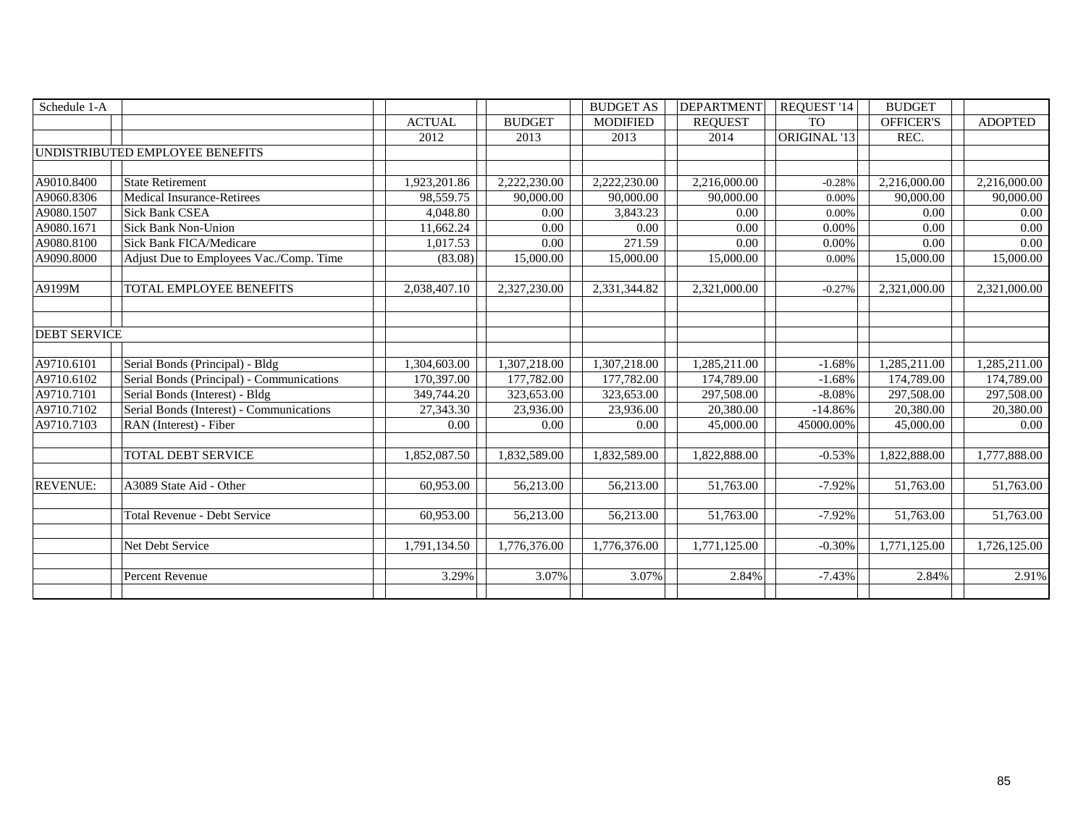| Schedule 1-A        |                                           |               |               | <b>BUDGET AS</b> | <b>DEPARTMENT</b> | <b>REOUEST '14</b> | <b>BUDGET</b> |                |
|---------------------|-------------------------------------------|---------------|---------------|------------------|-------------------|--------------------|---------------|----------------|
|                     |                                           | <b>ACTUAL</b> | <b>BUDGET</b> | <b>MODIFIED</b>  | <b>REQUEST</b>    | <b>TO</b>          | OFFICER'S     | <b>ADOPTED</b> |
|                     |                                           | 2012          | 2013          | 2013             | 2014              | ORIGINAL '13       | REC.          |                |
|                     | UNDISTRIBUTED EMPLOYEE BENEFITS           |               |               |                  |                   |                    |               |                |
|                     |                                           |               |               |                  |                   |                    |               |                |
| A9010.8400          | <b>State Retirement</b>                   | 1,923,201.86  | 2,222,230.00  | 2,222,230.00     | 2,216,000.00      | $-0.28%$           | 2,216,000.00  | 2,216,000.00   |
| A9060.8306          | <b>Medical Insurance-Retirees</b>         | 98,559.75     | 90,000.00     | 90,000.00        | 90,000.00         | $0.00\%$           | 90,000.00     | 90,000.00      |
| A9080.1507          | <b>Sick Bank CSEA</b>                     | 4,048.80      | 0.00          | 3,843.23         | 0.00              | 0.00%              | 0.00          | 0.00           |
| A9080.1671          | <b>Sick Bank Non-Union</b>                | 11.662.24     | 0.00          | 0.00             | 0.00              | 0.00%              | 0.00          | 0.00           |
| A9080.8100          | Sick Bank FICA/Medicare                   | 1,017.53      | 0.00          | 271.59           | 0.00              | 0.00%              | 0.00          | 0.00           |
| A9090.8000          | Adjust Due to Employees Vac./Comp. Time   | (83.08)       | 15,000.00     | 15,000.00        | 15,000.00         | 0.00%              | 15,000.00     | 15,000.00      |
|                     |                                           |               |               |                  |                   |                    |               |                |
| A9199M              | TOTAL EMPLOYEE BENEFITS                   | 2,038,407.10  | 2,327,230.00  | 2,331,344.82     | 2,321,000.00      | $-0.27%$           | 2,321,000.00  | 2,321,000.00   |
|                     |                                           |               |               |                  |                   |                    |               |                |
|                     |                                           |               |               |                  |                   |                    |               |                |
| <b>DEBT SERVICE</b> |                                           |               |               |                  |                   |                    |               |                |
|                     |                                           |               |               |                  |                   |                    |               |                |
| A9710.6101          | Serial Bonds (Principal) - Bldg           | 1,304,603.00  | 1,307,218.00  | 1,307,218.00     | 1,285,211.00      | $-1.68%$           | 1,285,211.00  | 1,285,211.00   |
| A9710.6102          | Serial Bonds (Principal) - Communications | 170,397.00    | 177,782.00    | 177,782.00       | 174,789.00        | $-1.68%$           | 174,789.00    | 174,789.00     |
| A9710.7101          | Serial Bonds (Interest) - Bldg            | 349,744.20    | 323,653.00    | 323,653.00       | 297,508.00        | $-8.08%$           | 297,508.00    | 297,508.00     |
| A9710.7102          | Serial Bonds (Interest) - Communications  | 27,343.30     | 23,936.00     | 23,936.00        | 20,380.00         | $-14.86%$          | 20,380.00     | 20,380.00      |
| A9710.7103          | RAN (Interest) - Fiber                    | 0.00          | 0.00          | 0.00             | 45,000.00         | 45000.00%          | 45,000.00     | 0.00           |
|                     |                                           |               |               |                  |                   |                    |               |                |
|                     | TOTAL DEBT SERVICE                        | 1,852,087.50  | 1,832,589.00  | 1,832,589.00     | 1,822,888.00      | $-0.53%$           | 1,822,888.00  | 1,777,888.00   |
|                     |                                           |               |               |                  |                   |                    |               |                |
| <b>REVENUE:</b>     | A3089 State Aid - Other                   | 60,953.00     | 56,213.00     | 56,213.00        | 51,763.00         | $-7.92\%$          | 51,763.00     | 51,763.00      |
|                     |                                           |               |               |                  |                   |                    |               |                |
|                     | Total Revenue - Debt Service              | 60,953.00     | 56,213.00     | 56,213.00        | 51,763.00         | $-7.92%$           | 51,763.00     | 51,763.00      |
|                     |                                           |               |               |                  |                   |                    |               |                |
|                     | Net Debt Service                          | 1,791,134.50  | 1,776,376.00  | 1,776,376.00     | 1.771.125.00      | $-0.30%$           | 1.771.125.00  | 1,726,125.00   |
|                     |                                           |               |               |                  |                   |                    |               |                |
|                     | <b>Percent Revenue</b>                    | 3.29%         | 3.07%         | 3.07%            | 2.84%             | $-7.43%$           | 2.84%         | 2.91%          |
|                     |                                           |               |               |                  |                   |                    |               |                |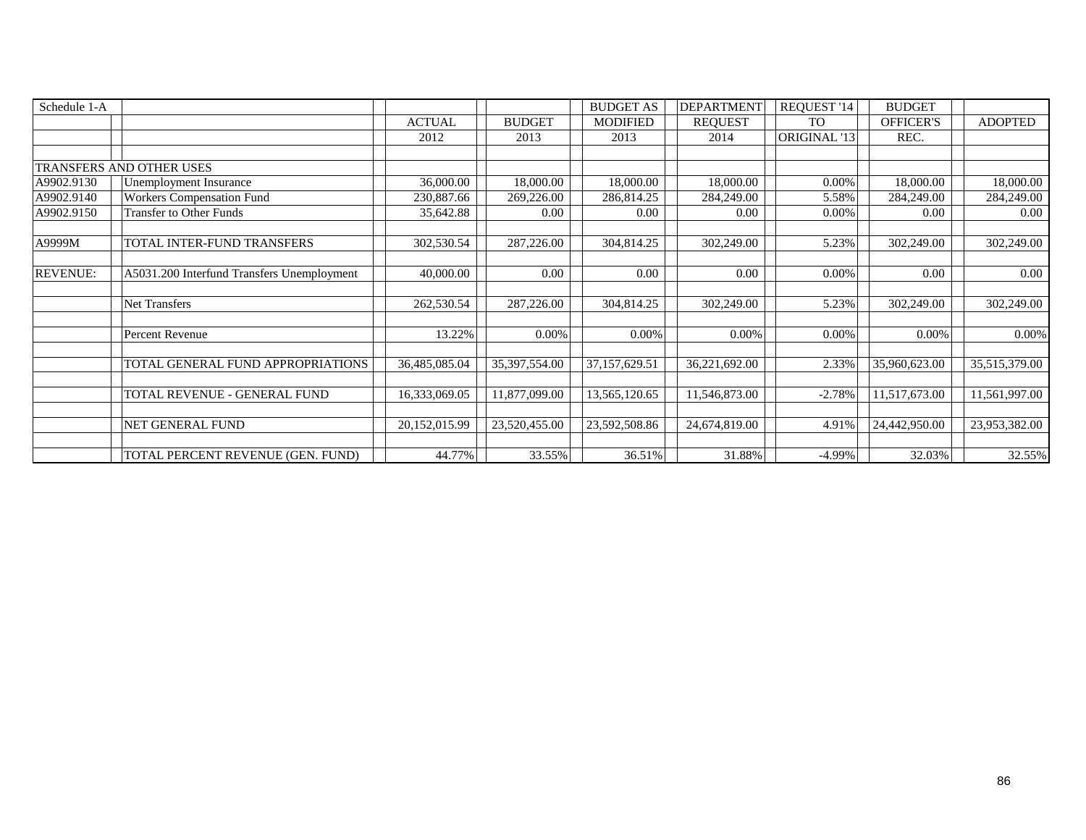| Schedule 1-A    |                                            |               |               | <b>BUDGET AS</b> | <b>DEPARTMENT</b> | REQUEST '14  | <b>BUDGET</b>    |                |
|-----------------|--------------------------------------------|---------------|---------------|------------------|-------------------|--------------|------------------|----------------|
|                 |                                            | <b>ACTUAL</b> | <b>BUDGET</b> | <b>MODIFIED</b>  | <b>REQUEST</b>    | <b>TO</b>    | <b>OFFICER'S</b> | <b>ADOPTED</b> |
|                 |                                            | 2012          | 2013          | 2013             | 2014              | ORIGINAL '13 | REC.             |                |
|                 |                                            |               |               |                  |                   |              |                  |                |
|                 | <b>TRANSFERS AND OTHER USES</b>            |               |               |                  |                   |              |                  |                |
| A9902.9130      | Unemployment Insurance                     | 36,000.00     | 18,000.00     | 18,000.00        | 18,000.00         | 0.00%        | 18,000.00        | 18,000.00      |
| A9902.9140      | Workers Compensation Fund                  | 230,887.66    | 269,226.00    | 286,814.25       | 284,249.00        | 5.58%        | 284,249.00       | 284,249.00     |
| A9902.9150      | <b>Transfer to Other Funds</b>             | 35,642.88     | 0.00          | 0.00             | 0.00              | 0.00%        | 0.00             | 0.00           |
|                 |                                            |               |               |                  |                   |              |                  |                |
| A9999M          | TOTAL INTER-FUND TRANSFERS                 | 302,530.54    | 287,226.00    | 304,814.25       | 302,249.00        | 5.23%        | 302,249.00       | 302,249.00     |
|                 |                                            |               |               |                  |                   |              |                  |                |
| <b>REVENUE:</b> | A5031.200 Interfund Transfers Unemployment | 40,000.00     | 0.00          | 0.00             | 0.00              | 0.00%        | 0.00             | 0.00           |
|                 | Net Transfers                              | 262,530.54    | 287,226.00    | 304,814.25       | 302,249.00        | 5.23%        | 302,249.00       | 302,249.00     |
|                 | Percent Revenue                            | 13.22%        | 0.00%         | 0.00%            | 0.00%             | 0.00%        | 0.00%            | 0.00%          |
|                 | TOTAL GENERAL FUND APPROPRIATIONS          | 36,485,085.04 | 35,397,554.00 | 37,157,629.51    | 36,221,692.00     | 2.33%        | 35,960,623.00    | 35,515,379.00  |
|                 | TOTAL REVENUE - GENERAL FUND               | 16,333,069.05 | 11,877,099.00 | 13,565,120.65    | 11,546,873.00     | $-2.78%$     | 11,517,673.00    | 11,561,997.00  |
|                 | NET GENERAL FUND                           | 20,152,015.99 | 23,520,455.00 | 23,592,508.86    | 24,674,819.00     | 4.91%        | 24,442,950.00    | 23,953,382.00  |
|                 | TOTAL PERCENT REVENUE (GEN. FUND)          | 44.77%        | 33.55%        | 36.51%           | 31.88%            | $-4.99\%$    | 32.03%           | 32.55%         |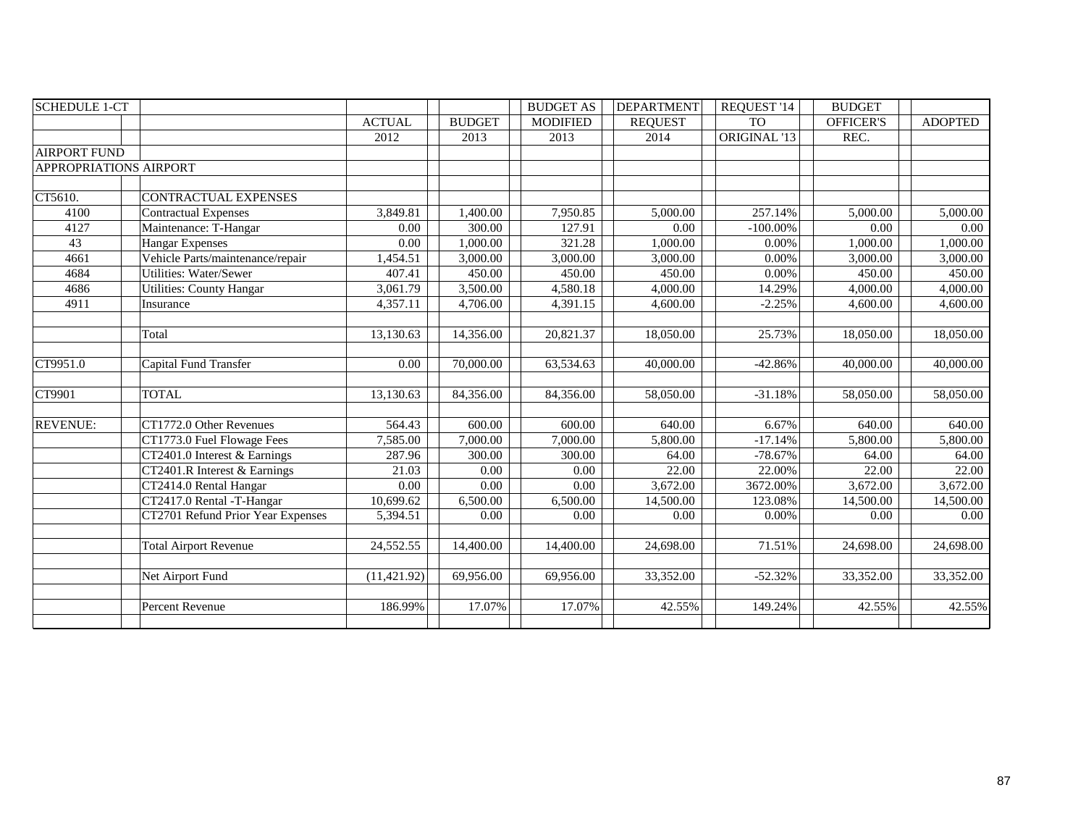| <b>SCHEDULE 1-CT</b>   |                                   |               |               | <b>BUDGET AS</b> | <b>DEPARTMENT</b> | REQUEST '14  | <b>BUDGET</b> |                |
|------------------------|-----------------------------------|---------------|---------------|------------------|-------------------|--------------|---------------|----------------|
|                        |                                   | <b>ACTUAL</b> | <b>BUDGET</b> | <b>MODIFIED</b>  | <b>REQUEST</b>    | <b>TO</b>    | OFFICER'S     | <b>ADOPTED</b> |
|                        |                                   | 2012          | 2013          | 2013             | 2014              | ORIGINAL '13 | REC.          |                |
| <b>AIRPORT FUND</b>    |                                   |               |               |                  |                   |              |               |                |
| APPROPRIATIONS AIRPORT |                                   |               |               |                  |                   |              |               |                |
|                        |                                   |               |               |                  |                   |              |               |                |
| CT5610.                | <b>CONTRACTUAL EXPENSES</b>       |               |               |                  |                   |              |               |                |
| 4100                   | <b>Contractual Expenses</b>       | 3,849.81      | 1,400.00      | 7,950.85         | 5,000.00          | 257.14%      | 5,000.00      | 5,000.00       |
| 4127                   | Maintenance: T-Hangar             | 0.00          | 300.00        | 127.91           | 0.00              | $-100.00\%$  | 0.00          | 0.00           |
| 43                     | <b>Hangar Expenses</b>            | 0.00          | 1,000.00      | 321.28           | 1,000.00          | 0.00%        | 1,000.00      | 1,000.00       |
| 4661                   | Vehicle Parts/maintenance/repair  | 1.454.51      | 3.000.00      | 3.000.00         | 3.000.00          | 0.00%        | 3.000.00      | 3,000.00       |
| 4684                   | Utilities: Water/Sewer            | 407.41        | 450.00        | 450.00           | 450.00            | 0.00%        | 450.00        | 450.00         |
| 4686                   | <b>Utilities: County Hangar</b>   | 3,061.79      | 3,500.00      | 4,580.18         | 4,000.00          | 14.29%       | 4,000.00      | 4,000.00       |
| 4911                   | Insurance                         | 4,357.11      | 4,706.00      | 4,391.15         | 4,600.00          | $-2.25%$     | 4,600.00      | 4,600.00       |
|                        |                                   |               |               |                  |                   |              |               |                |
|                        | Total                             | 13,130.63     | 14,356.00     | 20,821.37        | 18,050.00         | 25.73%       | 18,050.00     | 18,050.00      |
|                        |                                   |               |               |                  |                   |              |               |                |
| CT9951.0               | Capital Fund Transfer             | 0.00          | 70,000.00     | 63,534.63        | 40,000.00         | $-42.86%$    | 40,000.00     | 40,000.00      |
|                        |                                   |               |               |                  |                   |              |               |                |
| CT9901                 | <b>TOTAL</b>                      | 13,130.63     | 84,356.00     | 84,356.00        | 58,050.00         | $-31.18%$    | 58,050.00     | 58,050.00      |
|                        |                                   |               |               |                  |                   |              |               |                |
| <b>REVENUE:</b>        | CT1772.0 Other Revenues           | 564.43        | 600.00        | 600.00           | 640.00            | 6.67%        | 640.00        | 640.00         |
|                        | CT1773.0 Fuel Flowage Fees        | 7,585.00      | 7,000.00      | 7,000.00         | 5,800.00          | $-17.14%$    | 5,800.00      | 5,800.00       |
|                        | CT2401.0 Interest & Earnings      | 287.96        | 300.00        | 300.00           | 64.00             | $-78.67%$    | 64.00         | 64.00          |
|                        | CT2401.R Interest & Earnings      | 21.03         | 0.00          | 0.00             | 22.00             | 22.00%       | 22.00         | 22.00          |
|                        | CT2414.0 Rental Hangar            | 0.00          | 0.00          | 0.00             | 3,672.00          | 3672.00%     | 3,672.00      | 3,672.00       |
|                        | CT2417.0 Rental -T-Hangar         | 10,699.62     | 6,500.00      | 6,500.00         | 14,500.00         | 123.08%      | 14,500.00     | 14,500.00      |
|                        | CT2701 Refund Prior Year Expenses | 5,394.51      | 0.00          | 0.00             | 0.00              | 0.00%        | 0.00          | 0.00           |
|                        |                                   |               |               |                  |                   |              |               |                |
|                        | <b>Total Airport Revenue</b>      | 24,552.55     | 14,400.00     | 14,400.00        | 24,698.00         | 71.51%       | 24,698.00     | 24,698.00      |
|                        |                                   |               |               |                  |                   |              |               |                |
|                        | Net Airport Fund                  | (11, 421.92)  | 69,956.00     | 69,956.00        | 33,352.00         | $-52.32%$    | 33,352.00     | 33,352.00      |
|                        |                                   |               |               |                  |                   |              |               |                |
|                        | Percent Revenue                   | 186.99%       | 17.07%        | 17.07%           | 42.55%            | 149.24%      | 42.55%        | 42.55%         |
|                        |                                   |               |               |                  |                   |              |               |                |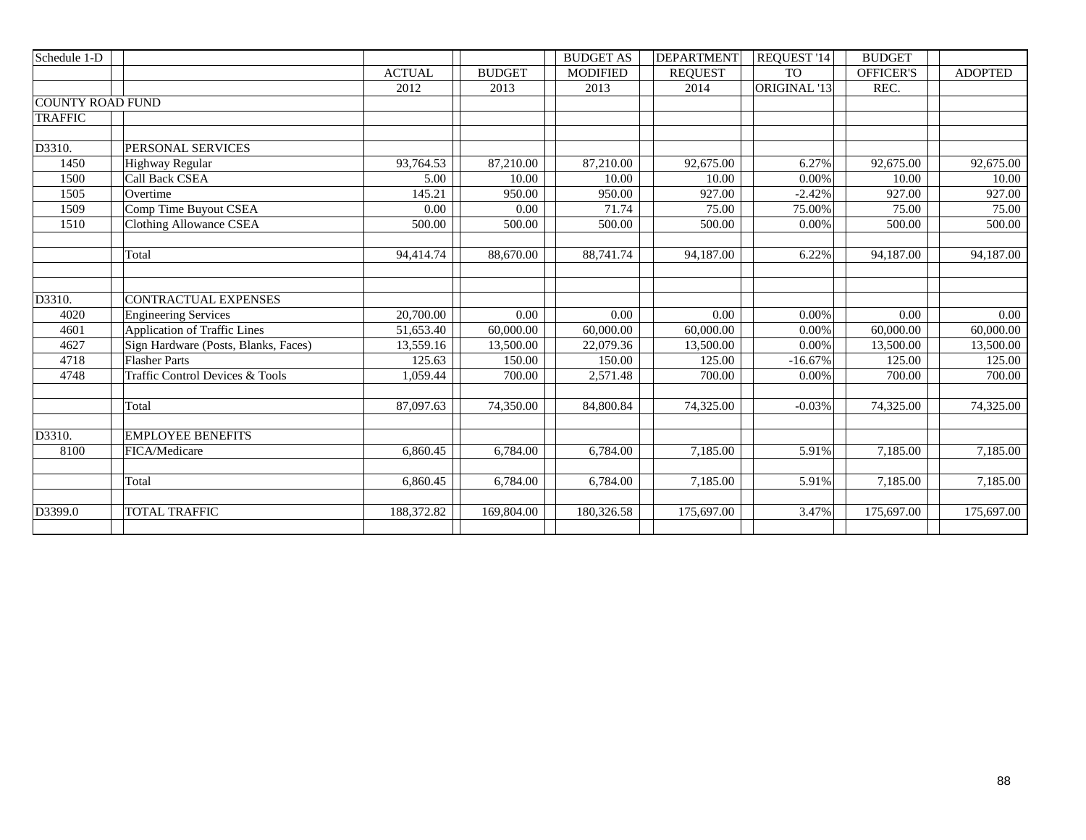| Schedule 1-D            |                                      |               |               | <b>BUDGET AS</b> | <b>DEPARTMENT</b> | REQUEST '14  | <b>BUDGET</b>    |                |
|-------------------------|--------------------------------------|---------------|---------------|------------------|-------------------|--------------|------------------|----------------|
|                         |                                      | <b>ACTUAL</b> | <b>BUDGET</b> | <b>MODIFIED</b>  | <b>REQUEST</b>    | <b>TO</b>    | <b>OFFICER'S</b> | <b>ADOPTED</b> |
|                         |                                      | 2012          | 2013          | 2013             | 2014              | ORIGINAL '13 | REC.             |                |
| <b>COUNTY ROAD FUND</b> |                                      |               |               |                  |                   |              |                  |                |
| <b>TRAFFIC</b>          |                                      |               |               |                  |                   |              |                  |                |
|                         |                                      |               |               |                  |                   |              |                  |                |
| D3310.                  | PERSONAL SERVICES                    |               |               |                  |                   |              |                  |                |
| 1450                    | Highway Regular                      | 93,764.53     | 87,210.00     | 87,210.00        | 92,675.00         | 6.27%        | 92,675.00        | 92,675.00      |
| 1500                    | <b>Call Back CSEA</b>                | 5.00          | 10.00         | 10.00            | 10.00             | $0.00\%$     | 10.00            | 10.00          |
| 1505                    | Overtime                             | 145.21        | 950.00        | 950.00           | 927.00            | $-2.42%$     | 927.00           | 927.00         |
| 1509                    | Comp Time Buyout CSEA                | 0.00          | 0.00          | 71.74            | 75.00             | 75.00%       | 75.00            | 75.00          |
| 1510                    | <b>Clothing Allowance CSEA</b>       | 500.00        | 500.00        | 500.00           | 500.00            | 0.00%        | 500.00           | 500.00         |
|                         |                                      |               |               |                  |                   |              |                  |                |
|                         | Total                                | 94,414.74     | 88,670.00     | 88,741.74        | 94,187.00         | 6.22%        | 94,187.00        | 94,187.00      |
|                         |                                      |               |               |                  |                   |              |                  |                |
|                         |                                      |               |               |                  |                   |              |                  |                |
| D3310.                  | <b>CONTRACTUAL EXPENSES</b>          |               |               |                  |                   |              |                  |                |
| 4020                    | <b>Engineering Services</b>          | 20,700.00     | 0.00          | 0.00             | 0.00              | $0.00\%$     | 0.00             | 0.00           |
| 4601                    | Application of Traffic Lines         | 51,653.40     | 60,000.00     | 60,000.00        | 60,000.00         | 0.00%        | 60,000.00        | 60,000.00      |
| 4627                    | Sign Hardware (Posts, Blanks, Faces) | 13,559.16     | 13,500.00     | 22,079.36        | 13,500.00         | 0.00%        | 13,500.00        | 13,500.00      |
| 4718                    | <b>Flasher Parts</b>                 | 125.63        | 150.00        | 150.00           | 125.00            | $-16.67%$    | 125.00           | 125.00         |
| 4748                    | Traffic Control Devices & Tools      | 1,059.44      | 700.00        | 2,571.48         | 700.00            | 0.00%        | 700.00           | 700.00         |
|                         |                                      |               |               |                  |                   |              |                  |                |
|                         | Total                                | 87,097.63     | 74,350.00     | 84,800.84        | 74,325.00         | $-0.03%$     | 74,325.00        | 74,325.00      |
|                         |                                      |               |               |                  |                   |              |                  |                |
| D3310.                  | <b>EMPLOYEE BENEFITS</b>             |               |               |                  |                   |              |                  |                |
| 8100                    | FICA/Medicare                        | 6,860.45      | 6,784.00      | 6,784.00         | 7,185.00          | 5.91%        | 7,185.00         | 7,185.00       |
|                         |                                      |               |               |                  |                   |              |                  |                |
|                         | Total                                | 6,860.45      | 6,784.00      | 6,784.00         | 7,185.00          | 5.91%        | 7,185.00         | 7,185.00       |
|                         |                                      |               |               |                  |                   |              |                  |                |
| D3399.0                 | <b>TOTAL TRAFFIC</b>                 | 188,372.82    | 169,804.00    | 180,326.58       | 175,697.00        | 3.47%        | 175,697.00       | 175,697.00     |
|                         |                                      |               |               |                  |                   |              |                  |                |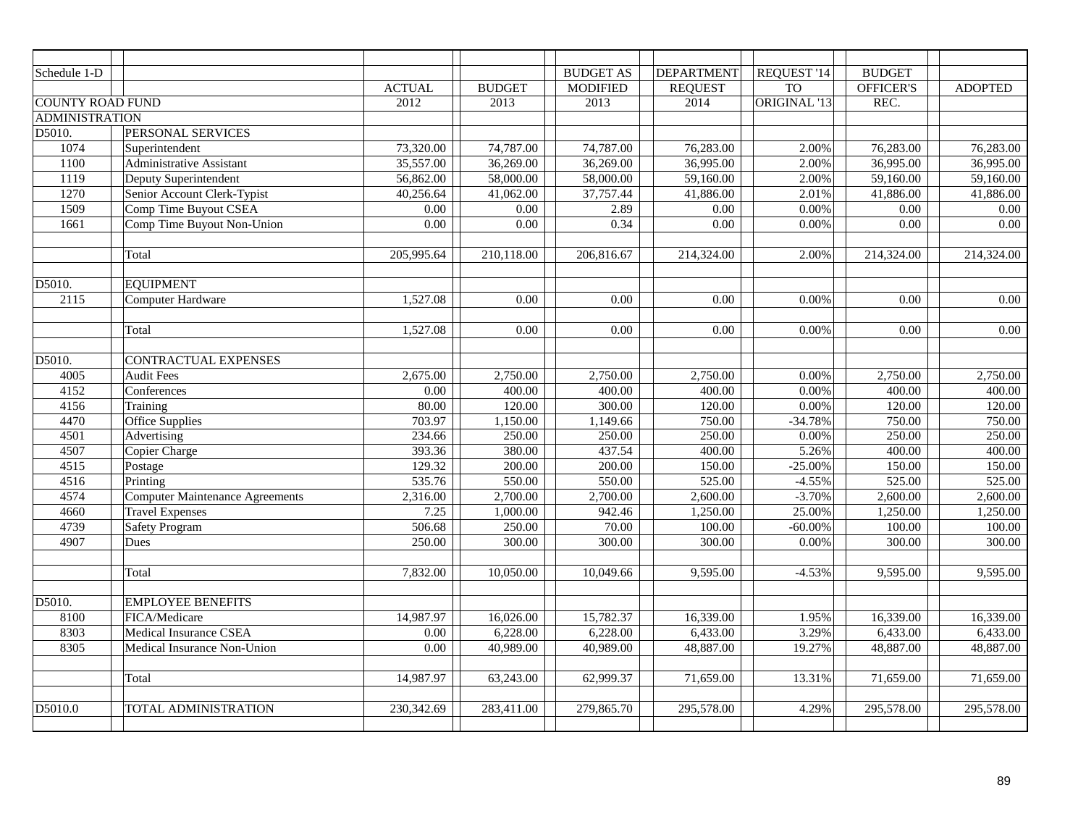| Schedule 1-D            |                                        |               |               | <b>BUDGET AS</b>  | <b>DEPARTMENT</b> | REQUEST '14  | <b>BUDGET</b> |                |
|-------------------------|----------------------------------------|---------------|---------------|-------------------|-------------------|--------------|---------------|----------------|
|                         |                                        | <b>ACTUAL</b> | <b>BUDGET</b> | <b>MODIFIED</b>   | <b>REQUEST</b>    | <b>TO</b>    | OFFICER'S     | <b>ADOPTED</b> |
| <b>COUNTY ROAD FUND</b> |                                        | 2012          | 2013          | 2013              | 2014              | ORIGINAL '13 | REC.          |                |
| <b>ADMINISTRATION</b>   |                                        |               |               |                   |                   |              |               |                |
| D5010.                  | PERSONAL SERVICES                      |               |               |                   |                   |              |               |                |
| 1074                    | Superintendent                         | 73,320.00     | 74,787.00     | 74,787.00         | 76,283.00         | 2.00%        | 76,283.00     | 76,283.00      |
| 1100                    | Administrative Assistant               | 35,557.00     | 36,269.00     | 36,269.00         | 36,995.00         | 2.00%        | 36,995.00     | 36,995.00      |
| 1119                    | Deputy Superintendent                  | 56,862.00     | 58,000.00     | 58,000.00         | 59,160.00         | 2.00%        | 59,160.00     | 59,160.00      |
| 1270                    | Senior Account Clerk-Typist            | 40,256.64     | 41,062.00     | 37,757.44         | 41,886.00         | 2.01%        | 41,886.00     | 41,886.00      |
| 1509                    | Comp Time Buyout CSEA                  | 0.00          | 0.00          | 2.89              | 0.00              | 0.00%        | 0.00          | 0.00           |
| 1661                    | Comp Time Buyout Non-Union             | 0.00          | 0.00          | 0.34              | 0.00              | $0.00\%$     | 0.00          | 0.00           |
|                         |                                        |               |               |                   |                   |              |               |                |
|                         | Total                                  | 205,995.64    | 210,118.00    | 206,816.67        | 214,324.00        | 2.00%        | 214,324.00    | 214,324.00     |
| D5010.                  | <b>EOUIPMENT</b>                       |               |               |                   |                   |              |               |                |
| 2115                    | Computer Hardware                      | 1,527.08      | 0.00          | $0.00\,$          | 0.00              | 0.00%        | 0.00          | 0.00           |
|                         |                                        |               |               |                   |                   |              |               |                |
|                         | Total                                  | 1.527.08      | 0.00          | $\overline{0.00}$ | 0.00              | 0.00%        | 0.00          | 0.00           |
| D5010.                  | <b>CONTRACTUAL EXPENSES</b>            |               |               |                   |                   |              |               |                |
| 4005                    | Audit Fees                             | 2,675.00      | 2,750.00      | 2,750.00          | 2,750.00          | 0.00%        | 2,750.00      | 2,750.00       |
| 4152                    | Conferences                            | 0.00          | 400.00        | 400.00            | 400.00            | 0.00%        | 400.00        | 400.00         |
| 4156                    | Training                               | 80.00         | 120.00        | 300.00            | 120.00            | $0.00\%$     | 120.00        | 120.00         |
| 4470                    | Office Supplies                        | 703.97        | 1,150.00      | 1,149.66          | 750.00            | $-34.78%$    | 750.00        | 750.00         |
| 4501                    | Advertising                            | 234.66        | 250.00        | 250.00            | 250.00            | 0.00%        | 250.00        | 250.00         |
| 4507                    | Copier Charge                          | 393.36        | 380.00        | 437.54            | 400.00            | 5.26%        | 400.00        | 400.00         |
| 4515                    | Postage                                | 129.32        | 200.00        | 200.00            | 150.00            | $-25.00\%$   | 150.00        | 150.00         |
| 4516                    | Printing                               | 535.76        | 550.00        | 550.00            | 525.00            | $-4.55%$     | 525.00        | 525.00         |
| 4574                    | <b>Computer Maintenance Agreements</b> | 2,316.00      | 2,700.00      | 2,700.00          | 2,600.00          | $-3.70%$     | 2,600.00      | 2,600.00       |
| 4660                    | <b>Travel Expenses</b>                 | 7.25          | 1,000.00      | 942.46            | 1,250.00          | 25.00%       | 1,250.00      | 1,250.00       |
| 4739                    | Safety Program                         | 506.68        | 250.00        | 70.00             | 100.00            | $-60.00\%$   | 100.00        | 100.00         |
| 4907                    | Dues                                   | 250.00        | 300.00        | 300.00            | 300.00            | 0.00%        | 300.00        | 300.00         |
|                         | Total                                  | 7,832.00      | 10,050.00     | 10,049.66         | 9,595.00          | $-4.53%$     | 9,595.00      | 9,595.00       |
| D5010.                  | <b>EMPLOYEE BENEFITS</b>               |               |               |                   |                   |              |               |                |
| 8100                    | FICA/Medicare                          | 14,987.97     | 16,026.00     | 15,782.37         | 16,339.00         | 1.95%        | 16,339.00     | 16,339.00      |
| 8303                    | Medical Insurance CSEA                 | 0.00          | 6,228.00      | 6,228.00          | 6,433.00          | 3.29%        | 6,433.00      | 6,433.00       |
| 8305                    | Medical Insurance Non-Union            | 0.00          | 40,989.00     | 40,989.00         | 48,887.00         | 19.27%       | 48,887.00     | 48,887.00      |
|                         |                                        |               |               |                   |                   |              |               |                |
|                         | Total                                  | 14,987.97     | 63,243.00     | 62,999.37         | 71,659.00         | 13.31%       | 71,659.00     | 71,659.00      |
| D5010.0                 | TOTAL ADMINISTRATION                   | 230,342.69    | 283,411.00    | 279,865.70        | 295,578.00        | 4.29%        | 295,578.00    | 295,578.00     |
|                         |                                        |               |               |                   |                   |              |               |                |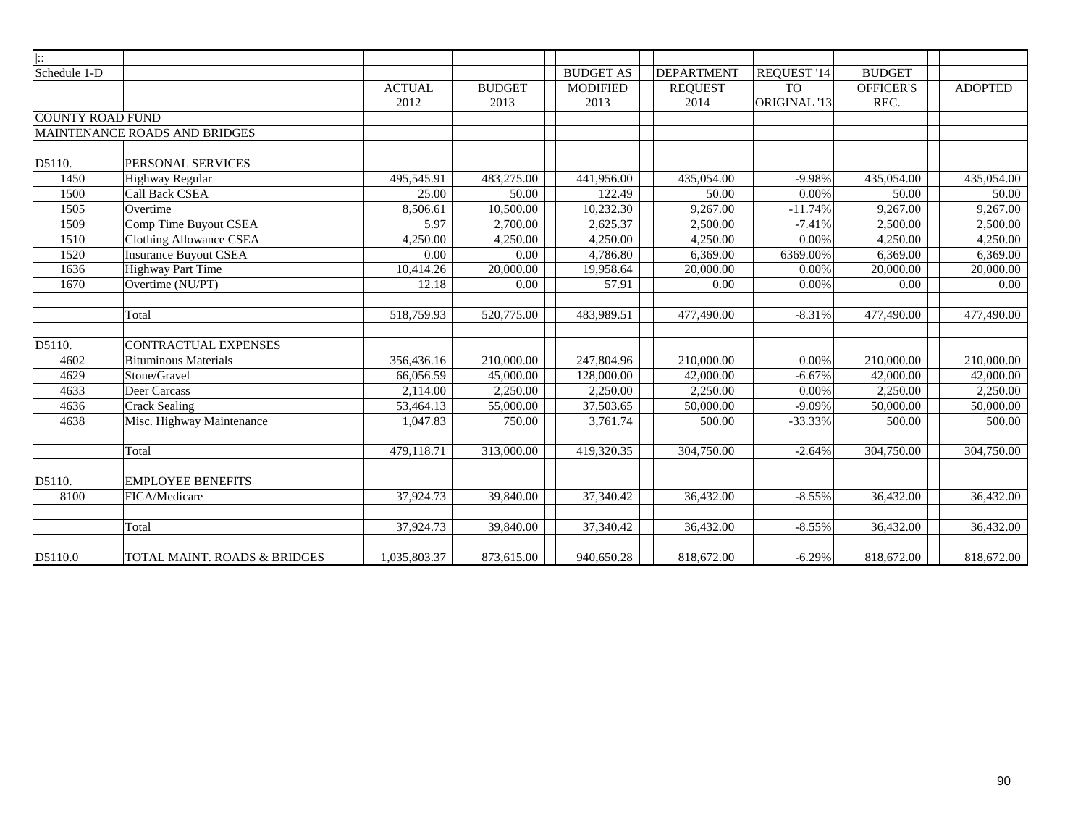| $\ddot{}$               |                                         |               |               |                  |                |              |                  |                |
|-------------------------|-----------------------------------------|---------------|---------------|------------------|----------------|--------------|------------------|----------------|
| Schedule 1-D            |                                         |               |               | <b>BUDGET AS</b> | DEPARTMENT     | REQUEST '14  | <b>BUDGET</b>    |                |
|                         |                                         | <b>ACTUAL</b> | <b>BUDGET</b> | <b>MODIFIED</b>  | <b>REQUEST</b> | <b>TO</b>    | <b>OFFICER'S</b> | <b>ADOPTED</b> |
|                         |                                         | 2012          | 2013          | 2013             | 2014           | ORIGINAL '13 | REC.             |                |
| <b>COUNTY ROAD FUND</b> |                                         |               |               |                  |                |              |                  |                |
|                         | MAINTENANCE ROADS AND BRIDGES           |               |               |                  |                |              |                  |                |
|                         |                                         |               |               |                  |                |              |                  |                |
| D5110.                  | PERSONAL SERVICES                       |               |               |                  |                |              |                  |                |
| 1450                    | <b>Highway Regular</b>                  | 495,545.91    | 483,275.00    | 441,956.00       | 435,054.00     | $-9.98%$     | 435,054.00       | 435,054.00     |
| 1500                    | <b>Call Back CSEA</b>                   | 25.00         | 50.00         | 122.49           | 50.00          | $0.00\%$     | 50.00            | 50.00          |
| 1505                    | Overtime                                | 8,506.61      | 10,500.00     | 10,232.30        | 9,267.00       | $-11.74%$    | 9,267.00         | 9,267.00       |
| 1509                    | Comp Time Buyout CSEA                   | 5.97          | 2,700.00      | 2,625.37         | 2,500.00       | $-7.41%$     | 2,500.00         | 2,500.00       |
| 1510                    | <b>Clothing Allowance CSEA</b>          | 4,250.00      | 4,250.00      | 4,250.00         | 4,250.00       | 0.00%        | 4,250.00         | 4,250.00       |
| 1520                    | <b>Insurance Buyout CSEA</b>            | 0.00          | 0.00          | 4,786.80         | 6,369.00       | 6369.00%     | 6,369.00         | 6,369.00       |
| 1636                    | <b>Highway Part Time</b>                | 10,414.26     | 20,000.00     | 19,958.64        | 20,000.00      | 0.00%        | 20,000.00        | 20,000.00      |
| 1670                    | Overtime (NU/PT)                        | 12.18         | 0.00          | 57.91            | 0.00           | 0.00%        | 0.00             | 0.00           |
|                         |                                         |               |               |                  |                |              |                  |                |
|                         | Total                                   | 518,759.93    | 520,775.00    | 483,989.51       | 477,490.00     | $-8.31%$     | 477,490.00       | 477,490.00     |
|                         |                                         |               |               |                  |                |              |                  |                |
| D5110.                  | CONTRACTUAL EXPENSES                    |               |               |                  |                |              |                  |                |
| 4602                    | <b>Bituminous Materials</b>             | 356,436.16    | 210,000.00    | 247,804.96       | 210,000.00     | 0.00%        | 210,000.00       | 210,000.00     |
| 4629                    | Stone/Gravel                            | 66,056.59     | 45,000.00     | 128,000.00       | 42,000.00      | $-6.67%$     | 42,000.00        | 42,000.00      |
| 4633                    | Deer Carcass                            | 2,114.00      | 2,250.00      | 2,250.00         | 2,250.00       | 0.00%        | 2,250.00         | 2,250.00       |
| 4636                    | <b>Crack Sealing</b>                    | 53,464.13     | 55,000.00     | 37,503.65        | 50,000.00      | $-9.09%$     | 50,000.00        | 50,000.00      |
| 4638                    | Misc. Highway Maintenance               | 1,047.83      | 750.00        | 3,761.74         | 500.00         | $-33.33%$    | 500.00           | 500.00         |
|                         |                                         |               |               |                  |                |              |                  |                |
|                         | Total                                   | 479,118.71    | 313,000.00    | 419,320.35       | 304,750.00     | $-2.64%$     | 304,750.00       | 304,750.00     |
|                         |                                         |               |               |                  |                |              |                  |                |
| D5110.                  | <b>EMPLOYEE BENEFITS</b>                |               |               |                  |                |              |                  |                |
| 8100                    | FICA/Medicare                           | 37,924.73     | 39,840.00     | 37,340.42        | 36,432.00      | $-8.55%$     | 36,432.00        | 36,432.00      |
|                         |                                         |               |               |                  |                |              |                  |                |
|                         | Total                                   | 37,924.73     | 39,840.00     | 37,340.42        | 36,432.00      | $-8.55%$     | 36,432.00        | 36,432.00      |
|                         |                                         |               |               |                  |                |              |                  |                |
| D5110.0                 | <b>TOTAL MAINT. ROADS &amp; BRIDGES</b> | 1,035,803.37  | 873,615.00    | 940,650.28       | 818,672.00     | $-6.29%$     | 818,672.00       | 818,672.00     |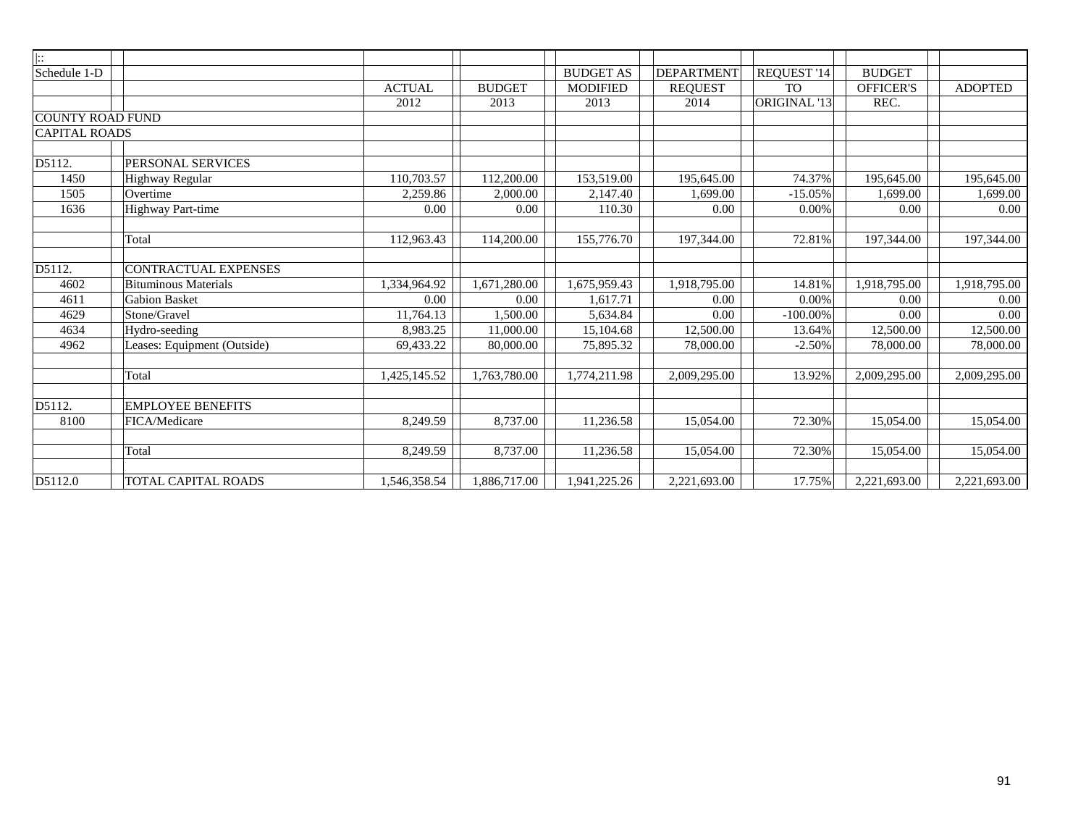| $\  \colon$             |                             |               |               |                  |                   |              |                  |                |
|-------------------------|-----------------------------|---------------|---------------|------------------|-------------------|--------------|------------------|----------------|
| Schedule 1-D            |                             |               |               | <b>BUDGET AS</b> | <b>DEPARTMENT</b> | REQUEST '14  | <b>BUDGET</b>    |                |
|                         |                             | <b>ACTUAL</b> | <b>BUDGET</b> | <b>MODIFIED</b>  | <b>REQUEST</b>    | <b>TO</b>    | <b>OFFICER'S</b> | <b>ADOPTED</b> |
|                         |                             | 2012          | 2013          | 2013             | 2014              | ORIGINAL '13 | REC.             |                |
| <b>COUNTY ROAD FUND</b> |                             |               |               |                  |                   |              |                  |                |
| <b>CAPITAL ROADS</b>    |                             |               |               |                  |                   |              |                  |                |
|                         |                             |               |               |                  |                   |              |                  |                |
| D5112.                  | PERSONAL SERVICES           |               |               |                  |                   |              |                  |                |
| 1450                    | <b>Highway Regular</b>      | 110,703.57    | 112,200.00    | 153,519.00       | 195,645.00        | 74.37%       | 195,645.00       | 195,645.00     |
| 1505                    | Overtime                    | 2,259.86      | 2,000.00      | 2,147.40         | 1.699.00          | $-15.05%$    | 1,699.00         | 1,699.00       |
| 1636                    | <b>Highway Part-time</b>    | 0.00          | 0.00          | 110.30           | 0.00              | 0.00%        | 0.00             | 0.00           |
|                         |                             |               |               |                  |                   |              |                  |                |
|                         | Total                       | 112,963.43    | 114,200.00    | 155,776.70       | 197,344.00        | 72.81%       | 197,344.00       | 197,344.00     |
|                         |                             |               |               |                  |                   |              |                  |                |
| D5112.                  | <b>CONTRACTUAL EXPENSES</b> |               |               |                  |                   |              |                  |                |
| 4602                    | <b>Bituminous Materials</b> | 1,334,964.92  | 1,671,280.00  | 1,675,959.43     | 1,918,795.00      | 14.81%       | 1,918,795.00     | 1,918,795.00   |
| 4611                    | <b>Gabion Basket</b>        | 0.00          | 0.00          | 1.617.71         | 0.00              | 0.00%        | 0.00             | 0.00           |
| 4629                    | Stone/Gravel                | 11,764.13     | 1,500.00      | 5,634.84         | 0.00              | $-100.00\%$  | 0.00             | 0.00           |
| 4634                    | Hydro-seeding               | 8,983.25      | 11,000.00     | 15,104.68        | 12,500.00         | 13.64%       | 12,500.00        | 12,500.00      |
| 4962                    | Leases: Equipment (Outside) | 69,433.22     | 80,000.00     | 75,895.32        | 78,000.00         | $-2.50%$     | 78,000.00        | 78,000.00      |
|                         |                             |               |               |                  |                   |              |                  |                |
|                         | Total                       | 1,425,145.52  | 1,763,780.00  | 1,774,211.98     | 2,009,295.00      | 13.92%       | 2,009,295.00     | 2,009,295.00   |
|                         |                             |               |               |                  |                   |              |                  |                |
| D5112.                  | <b>EMPLOYEE BENEFITS</b>    |               |               |                  |                   |              |                  |                |
| 8100                    | FICA/Medicare               | 8,249.59      | 8,737.00      | 11,236.58        | 15,054.00         | 72.30%       | 15,054.00        | 15,054.00      |
|                         |                             |               |               |                  |                   |              |                  |                |
|                         | Total                       | 8,249.59      | 8,737.00      | 11,236.58        | 15,054.00         | 72.30%       | 15,054.00        | 15,054.00      |
|                         |                             |               |               |                  |                   |              |                  |                |
| D5112.0                 | TOTAL CAPITAL ROADS         | 1,546,358.54  | 1,886,717.00  | 1,941,225.26     | 2,221,693.00      | 17.75%       | 2,221,693.00     | 2,221,693.00   |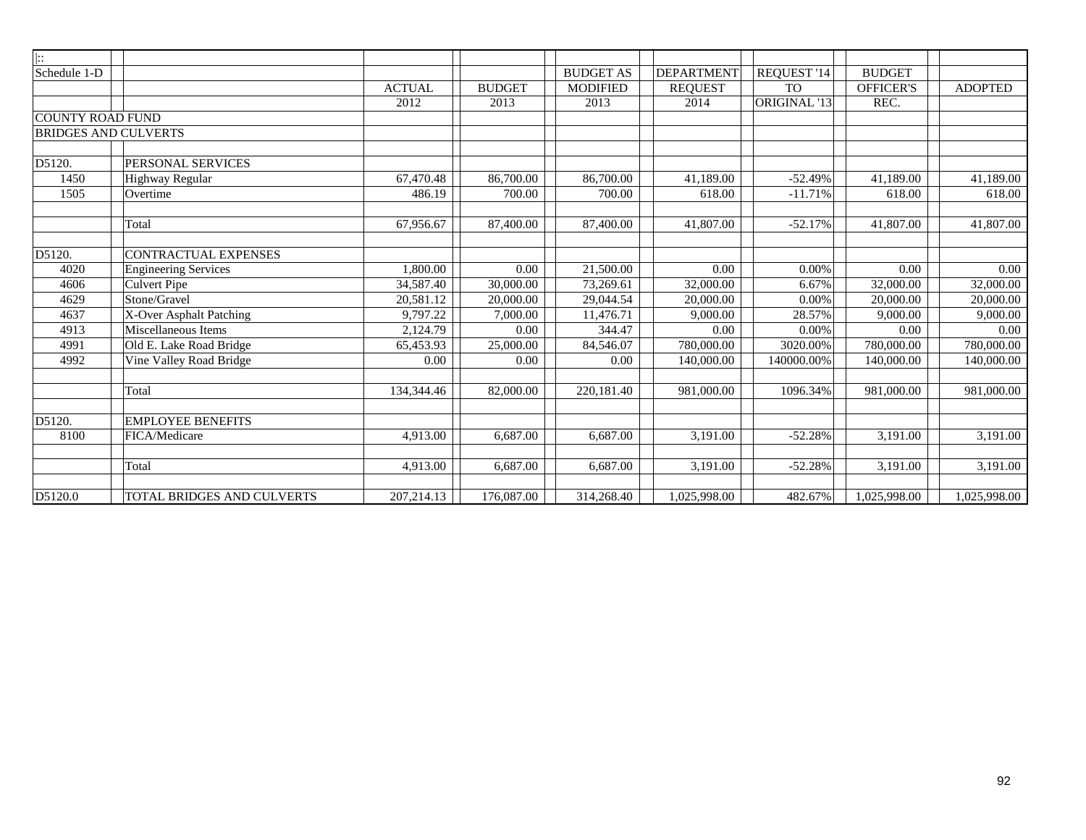| $\mathbb{R}$            |                             |               |               |                  |                |              |                  |                |
|-------------------------|-----------------------------|---------------|---------------|------------------|----------------|--------------|------------------|----------------|
| Schedule 1-D            |                             |               |               | <b>BUDGET AS</b> | DEPARTMENT     | REQUEST '14  | <b>BUDGET</b>    |                |
|                         |                             | <b>ACTUAL</b> | <b>BUDGET</b> | <b>MODIFIED</b>  | <b>REQUEST</b> | <b>TO</b>    | <b>OFFICER'S</b> | <b>ADOPTED</b> |
|                         |                             | 2012          | 2013          | 2013             | 2014           | ORIGINAL '13 | REC.             |                |
| <b>COUNTY ROAD FUND</b> |                             |               |               |                  |                |              |                  |                |
|                         | <b>BRIDGES AND CULVERTS</b> |               |               |                  |                |              |                  |                |
| D5120.                  | PERSONAL SERVICES           |               |               |                  |                |              |                  |                |
| 1450                    | Highway Regular             | 67,470.48     | 86,700.00     | 86,700.00        | 41.189.00      | $-52.49%$    | 41,189.00        | 41,189.00      |
| 1505                    | Overtime                    | 486.19        | 700.00        | 700.00           | 618.00         | $-11.71%$    | 618.00           | 618.00         |
|                         | Total                       | 67,956.67     | 87,400.00     | 87,400.00        | 41,807.00      | $-52.17%$    | 41,807.00        | 41,807.00      |
| D5120.                  | <b>CONTRACTUAL EXPENSES</b> |               |               |                  |                |              |                  |                |
| 4020                    | <b>Engineering Services</b> | 1,800.00      | 0.00          | 21,500.00        | 0.00           | 0.00%        | 0.00             | $0.00\,$       |
| 4606                    | <b>Culvert Pipe</b>         | 34,587.40     | 30,000.00     | 73.269.61        | 32,000.00      | 6.67%        | 32,000.00        | 32,000.00      |
| 4629                    | Stone/Gravel                | 20.581.12     | 20,000.00     | 29,044.54        | 20,000.00      | 0.00%        | 20,000.00        | 20,000.00      |
| 4637                    | X-Over Asphalt Patching     | 9,797.22      | 7,000.00      | 11,476.71        | 9,000.00       | 28.57%       | 9,000.00         | 9,000.00       |
| 4913                    | Miscellaneous Items         | 2,124.79      | 0.00          | 344.47           | 0.00           | 0.00%        | 0.00             | 0.00           |
| 4991                    | Old E. Lake Road Bridge     | 65,453.93     | 25,000.00     | 84,546.07        | 780,000.00     | 3020.00%     | 780,000.00       | 780,000.00     |
| 4992                    | Vine Valley Road Bridge     | 0.00          | 0.00          | 0.00             | 140,000.00     | 140000.00%   | 140,000.00       | 140,000.00     |
|                         | Total                       | 134,344.46    | 82,000.00     | 220,181.40       | 981,000.00     | 1096.34%     | 981,000.00       | 981,000.00     |
| D5120.                  | <b>EMPLOYEE BENEFITS</b>    |               |               |                  |                |              |                  |                |
| 8100                    | FICA/Medicare               | 4,913.00      | 6,687.00      | 6,687.00         | 3,191.00       | $-52.28%$    | 3,191.00         | 3,191.00       |
|                         | Total                       | 4,913.00      | 6.687.00      | 6,687.00         | 3,191.00       | $-52.28%$    | 3,191.00         | 3,191.00       |
| D5120.0                 | TOTAL BRIDGES AND CULVERTS  | 207,214.13    | 176,087.00    | 314,268.40       | 1,025,998.00   | 482.67%      | 1,025,998.00     | 1,025,998.00   |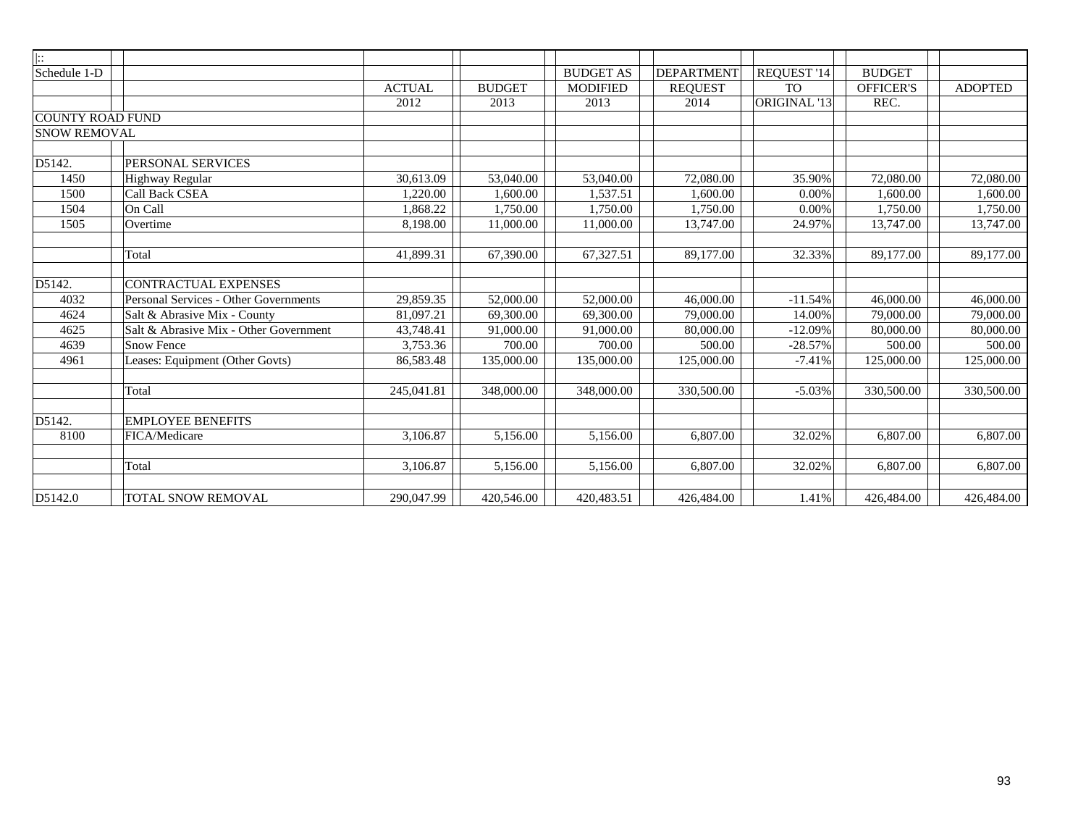| $\left  \cdot \right $  |                                        |               |               |                  |                |              |                  |                |
|-------------------------|----------------------------------------|---------------|---------------|------------------|----------------|--------------|------------------|----------------|
| Schedule 1-D            |                                        |               |               | <b>BUDGET AS</b> | DEPARTMENT     | REQUEST '14  | <b>BUDGET</b>    |                |
|                         |                                        | <b>ACTUAL</b> | <b>BUDGET</b> | <b>MODIFIED</b>  | <b>REQUEST</b> | <b>TO</b>    | <b>OFFICER'S</b> | <b>ADOPTED</b> |
|                         |                                        | 2012          | 2013          | 2013             | 2014           | ORIGINAL '13 | REC.             |                |
| <b>COUNTY ROAD FUND</b> |                                        |               |               |                  |                |              |                  |                |
| <b>SNOW REMOVAL</b>     |                                        |               |               |                  |                |              |                  |                |
|                         |                                        |               |               |                  |                |              |                  |                |
| D5142.                  | PERSONAL SERVICES                      |               |               |                  |                |              |                  |                |
| 1450                    | Highway Regular                        | 30.613.09     | 53,040.00     | 53,040.00        | 72,080.00      | 35.90%       | 72,080.00        | 72,080.00      |
| 1500                    | <b>Call Back CSEA</b>                  | 1.220.00      | 1.600.00      | 1,537.51         | 1,600.00       | 0.00%        | 1,600.00         | 1,600.00       |
| 1504                    | On Call                                | 1,868.22      | 1,750.00      | 1.750.00         | 1,750.00       | $0.00\%$     | 1.750.00         | 1,750.00       |
| 1505                    | Overtime                               | 8,198.00      | 11,000.00     | 11,000.00        | 13,747.00      | 24.97%       | 13,747.00        | 13,747.00      |
|                         |                                        |               |               |                  |                |              |                  |                |
|                         | Total                                  | 41,899.31     | 67,390.00     | 67,327.51        | 89,177.00      | 32.33%       | 89,177.00        | 89,177.00      |
|                         |                                        |               |               |                  |                |              |                  |                |
| D5142.                  | <b>CONTRACTUAL EXPENSES</b>            |               |               |                  |                |              |                  |                |
| 4032                    | Personal Services - Other Governments  | 29,859.35     | 52,000.00     | 52,000.00        | 46,000.00      | $-11.54%$    | 46,000.00        | 46,000.00      |
| 4624                    | Salt & Abrasive Mix - County           | 81,097.21     | 69,300.00     | 69,300.00        | 79,000.00      | 14.00%       | 79,000.00        | 79,000.00      |
| 4625                    | Salt & Abrasive Mix - Other Government | 43,748.41     | 91,000.00     | 91,000.00        | 80,000.00      | $-12.09%$    | 80,000.00        | 80,000.00      |
| 4639                    | <b>Snow Fence</b>                      | 3,753.36      | 700.00        | 700.00           | 500.00         | $-28.57%$    | 500.00           | 500.00         |
| 4961                    | Leases: Equipment (Other Govts)        | 86,583.48     | 135,000.00    | 135,000.00       | 125,000.00     | $-7.41%$     | 125,000.00       | 125,000.00     |
|                         |                                        |               |               |                  |                |              |                  |                |
|                         | Total                                  | 245,041.81    | 348,000.00    | 348,000.00       | 330,500.00     | $-5.03%$     | 330,500.00       | 330,500.00     |
| D5142.                  | <b>EMPLOYEE BENEFITS</b>               |               |               |                  |                |              |                  |                |
| 8100                    | FICA/Medicare                          | 3,106.87      | 5,156.00      | 5,156.00         | 6,807.00       | 32.02%       | 6,807.00         | 6,807.00       |
|                         |                                        |               |               |                  |                |              |                  |                |
|                         | Total                                  | 3,106.87      | 5,156.00      | 5,156.00         | 6,807.00       | 32.02%       | 6,807.00         | 6,807.00       |
|                         |                                        |               |               |                  |                |              |                  |                |
| D5142.0                 | TOTAL SNOW REMOVAL                     | 290,047.99    | 420,546.00    | 420,483.51       | 426,484.00     | 1.41%        | 426,484.00       | 426,484.00     |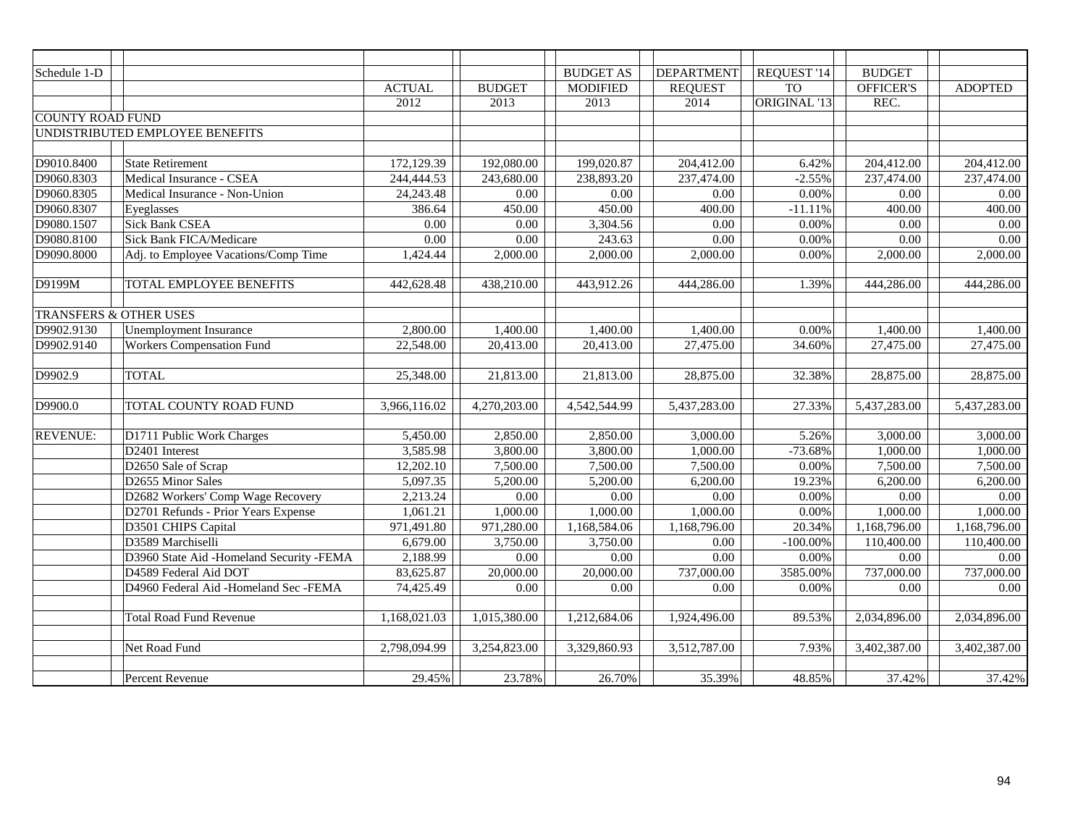| Schedule 1-D                      |                                          |               |               | <b>BUDGET AS</b> | <b>DEPARTMENT</b> | REQUEST '14  | <b>BUDGET</b>    |                |
|-----------------------------------|------------------------------------------|---------------|---------------|------------------|-------------------|--------------|------------------|----------------|
|                                   |                                          | <b>ACTUAL</b> | <b>BUDGET</b> | <b>MODIFIED</b>  | <b>REQUEST</b>    | <b>TO</b>    | <b>OFFICER'S</b> | <b>ADOPTED</b> |
|                                   |                                          | 2012          | 2013          | 2013             | 2014              | ORIGINAL '13 | REC.             |                |
| <b>COUNTY ROAD FUND</b>           |                                          |               |               |                  |                   |              |                  |                |
|                                   | UNDISTRIBUTED EMPLOYEE BENEFITS          |               |               |                  |                   |              |                  |                |
|                                   |                                          |               |               |                  |                   |              |                  |                |
| D9010.8400                        | <b>State Retirement</b>                  | 172,129.39    | 192,080.00    | 199,020.87       | 204,412.00        | 6.42%        | 204,412.00       | 204,412.00     |
| D9060.8303                        | Medical Insurance - CSEA                 | 244,444.53    | 243,680.00    | 238,893.20       | 237,474.00        | $-2.55%$     | 237,474.00       | 237,474.00     |
| D9060.8305                        | Medical Insurance - Non-Union            | 24, 243. 48   | 0.00          | 0.00             | 0.00              | 0.00%        | 0.00             | 0.00           |
| D9060.8307                        | Eyeglasses                               | 386.64        | 450.00        | 450.00           | 400.00            | $-11.11%$    | 400.00           | 400.00         |
| D9080.1507                        | <b>Sick Bank CSEA</b>                    | 0.00          | 0.00          | 3,304.56         | 0.00              | 0.00%        | 0.00             | 0.00           |
| D9080.8100                        | Sick Bank FICA/Medicare                  | 0.00          | 0.00          | 243.63           | 0.00              | 0.00%        | 0.00             | 0.00           |
| D9090.8000                        | Adj. to Employee Vacations/Comp Time     | 1,424.44      | 2,000.00      | 2,000.00         | 2,000.00          | 0.00%        | 2,000.00         | 2,000.00       |
|                                   |                                          |               |               |                  |                   |              |                  |                |
| D9199M                            | TOTAL EMPLOYEE BENEFITS                  | 442,628.48    | 438,210.00    | 443,912.26       | 444,286.00        | 1.39%        | 444,286.00       | 444,286.00     |
|                                   |                                          |               |               |                  |                   |              |                  |                |
| <b>TRANSFERS &amp; OTHER USES</b> |                                          |               |               |                  |                   |              |                  |                |
| D9902.9130                        | Unemployment Insurance                   | 2,800.00      | 1,400.00      | 1,400.00         | 1,400.00          | $0.00\%$     | 1,400.00         | 1,400.00       |
| D9902.9140                        | <b>Workers Compensation Fund</b>         | 22,548.00     | 20,413.00     | 20,413.00        | 27,475.00         | 34.60%       | 27,475.00        | 27,475.00      |
|                                   |                                          |               |               |                  |                   |              |                  |                |
| D9902.9                           | <b>TOTAL</b>                             | 25,348.00     | 21,813.00     | 21,813.00        | 28,875.00         | 32.38%       | 28,875.00        | 28,875.00      |
|                                   |                                          |               |               |                  |                   |              |                  |                |
| D9900.0                           | TOTAL COUNTY ROAD FUND                   | 3,966,116.02  | 4,270,203.00  | 4,542,544.99     | 5,437,283.00      | 27.33%       | 5,437,283.00     | 5,437,283.00   |
|                                   |                                          |               |               |                  |                   |              |                  |                |
| <b>REVENUE:</b>                   | D1711 Public Work Charges                | 5,450.00      | 2,850.00      | 2,850.00         | 3,000.00          | 5.26%        | 3,000.00         | 3,000.00       |
|                                   | D2401 Interest                           | 3,585.98      | 3,800.00      | 3,800.00         | 1,000.00          | $-73.68%$    | 1,000.00         | 1,000.00       |
|                                   | D <sub>2650</sub> Sale of Scrap          | 12,202.10     | 7,500.00      | 7,500.00         | 7,500.00          | $0.00\%$     | 7,500.00         | 7,500.00       |
|                                   | D2655 Minor Sales                        | 5,097.35      | 5,200.00      | 5,200.00         | 6,200.00          | 19.23%       | 6,200.00         | 6,200.00       |
|                                   | D2682 Workers' Comp Wage Recovery        | 2,213.24      | 0.00          | 0.00             | 0.00              | $0.00\%$     | 0.00             | 0.00           |
|                                   | D2701 Refunds - Prior Years Expense      | 1,061.21      | 1,000.00      | 1,000.00         | 1,000.00          | 0.00%        | 1,000.00         | 1,000.00       |
|                                   | D3501 CHIPS Capital                      | 971,491.80    | 971,280.00    | 1,168,584.06     | 1,168,796.00      | 20.34%       | 1,168,796.00     | 1,168,796.00   |
|                                   | D3589 Marchiselli                        | 6,679.00      | 3,750.00      | 3,750.00         | 0.00              | $-100.00\%$  | 110,400.00       | 110,400.00     |
|                                   | D3960 State Aid -Homeland Security -FEMA | 2,188.99      | 0.00          | 0.00             | 0.00              | 0.00%        | 0.00             | 0.00           |
|                                   | D4589 Federal Aid DOT                    | 83,625.87     | 20,000.00     | 20,000.00        | 737,000.00        | 3585.00%     | 737,000.00       | 737,000.00     |
|                                   | D4960 Federal Aid -Homeland Sec -FEMA    | 74,425.49     | 0.00          | 0.00             | 0.00              | 0.00%        | 0.00             | 0.00           |
|                                   |                                          |               |               |                  |                   |              |                  |                |
|                                   | <b>Total Road Fund Revenue</b>           | 1,168,021.03  | 1,015,380.00  | 1,212,684.06     | 1,924,496.00      | 89.53%       | 2,034,896.00     | 2,034,896.00   |
|                                   |                                          |               |               |                  |                   |              |                  |                |
|                                   | Net Road Fund                            | 2,798,094.99  | 3,254,823.00  | 3,329,860.93     | 3,512,787.00      | 7.93%        | 3,402,387.00     | 3,402,387.00   |
|                                   |                                          |               |               |                  |                   |              |                  |                |
|                                   | Percent Revenue                          | 29.45%        | 23.78%        | 26.70%           | 35.39%            | 48.85%       | 37.42%           | 37.42%         |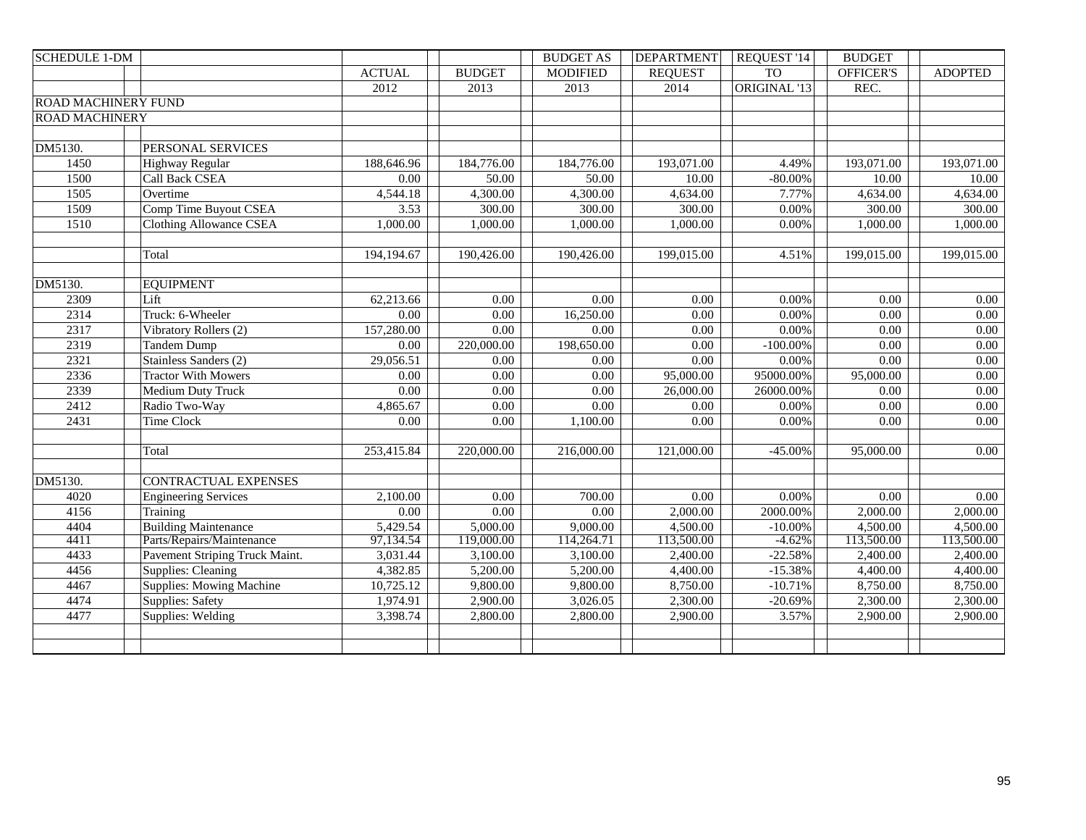| <b>SCHEDULE 1-DM</b>       |                                |               |                   | <b>BUDGET AS</b> | <b>DEPARTMENT</b> | REQUEST '14  | <b>BUDGET</b>    |                   |
|----------------------------|--------------------------------|---------------|-------------------|------------------|-------------------|--------------|------------------|-------------------|
|                            |                                | <b>ACTUAL</b> | <b>BUDGET</b>     | <b>MODIFIED</b>  | <b>REQUEST</b>    | <b>TO</b>    | <b>OFFICER'S</b> | <b>ADOPTED</b>    |
|                            |                                | 2012          | 2013              | 2013             | 2014              | ORIGINAL '13 | REC.             |                   |
| <b>ROAD MACHINERY FUND</b> |                                |               |                   |                  |                   |              |                  |                   |
| <b>ROAD MACHINERY</b>      |                                |               |                   |                  |                   |              |                  |                   |
|                            |                                |               |                   |                  |                   |              |                  |                   |
| DM5130.                    | PERSONAL SERVICES              |               |                   |                  |                   |              |                  |                   |
| 1450                       | Highway Regular                | 188,646.96    | 184,776.00        | 184,776.00       | 193,071.00        | 4.49%        | 193,071.00       | 193,071.00        |
| 1500                       | Call Back CSEA                 | 0.00          | 50.00             | 50.00            | 10.00             | $-80.00\%$   | 10.00            | 10.00             |
| 1505                       | Overtime                       | 4,544.18      | 4,300.00          | 4,300.00         | 4,634.00          | 7.77%        | 4,634.00         | 4,634.00          |
| 1509                       | Comp Time Buyout CSEA          | 3.53          | 300.00            | 300.00           | 300.00            | 0.00%        | 300.00           | 300.00            |
| 1510                       | <b>Clothing Allowance CSEA</b> | 1,000.00      | 1,000.00          | 1,000.00         | 1,000.00          | 0.00%        | 1,000.00         | 1,000.00          |
|                            |                                |               |                   |                  |                   |              |                  |                   |
|                            | Total                          | 194,194.67    | 190,426.00        | 190,426.00       | 199,015.00        | 4.51%        | 199,015.00       | 199,015.00        |
|                            |                                |               |                   |                  |                   |              |                  |                   |
| DM5130.                    | <b>EQUIPMENT</b>               |               |                   |                  |                   |              |                  |                   |
| 2309                       | Lift                           | 62,213.66     | $0.00\,$          | 0.00             | 0.00              | 0.00%        | 0.00             | 0.00              |
| 2314                       | Truck: 6-Wheeler               | 0.00          | 0.00              | 16,250.00        | 0.00              | 0.00%        | 0.00             | 0.00              |
| 2317                       | Vibratory Rollers (2)          | 157,280.00    | 0.00              | 0.00             | 0.00              | 0.00%        | 0.00             | 0.00              |
| 2319                       | <b>Tandem Dump</b>             | 0.00          | 220,000.00        | 198,650.00       | 0.00              | $-100.00\%$  | 0.00             | 0.00              |
| 2321                       | Stainless Sanders (2)          | 29,056.51     | 0.00              | 0.00             | 0.00              | 0.00%        | 0.00             | 0.00              |
| 2336                       | <b>Tractor With Mowers</b>     | 0.00          | 0.00              | 0.00             | 95,000.00         | 95000.00%    | 95,000.00        | 0.00              |
| 2339                       | <b>Medium Duty Truck</b>       | 0.00          | 0.00              | 0.00             | 26,000.00         | 26000.00%    | 0.00             | 0.00              |
| 2412                       | Radio Two-Way                  | 4,865.67      | $0.00\,$          | 0.00             | 0.00              | 0.00%        | 0.00             | $0.00\,$          |
| 2431                       | Time Clock                     | 0.00          | 0.00              | 1,100.00         | 0.00              | 0.00%        | 0.00             | $\overline{0.00}$ |
|                            |                                |               |                   |                  |                   |              |                  |                   |
|                            | Total                          | 253,415.84    | 220,000.00        | 216,000.00       | 121,000.00        | $-45.00\%$   | 95,000.00        | 0.00              |
|                            |                                |               |                   |                  |                   |              |                  |                   |
| DM5130.                    | CONTRACTUAL EXPENSES           |               |                   |                  |                   |              |                  |                   |
| 4020                       | <b>Engineering Services</b>    | 2,100.00      | 0.00              | 700.00           | 0.00              | 0.00%        | 0.00             | $0.00\,$          |
| 4156                       | Training                       | 0.00          | $\overline{0.00}$ | 0.00             | 2,000.00          | 2000.00%     | 2,000.00         | 2,000.00          |
| 4404                       | <b>Building Maintenance</b>    | 5,429.54      | 5,000.00          | 9,000.00         | 4,500.00          | $-10.00\%$   | 4,500.00         | 4,500.00          |
| 4411                       | Parts/Repairs/Maintenance      | 97,134.54     | 119,000.00        | 114,264.71       | 113,500.00        | $-4.62%$     | 113,500.00       | 113,500.00        |
| 4433                       | Pavement Striping Truck Maint. | 3,031.44      | 3,100.00          | 3,100.00         | 2,400.00          | $-22.58%$    | 2,400.00         | 2,400.00          |
| 4456                       | <b>Supplies: Cleaning</b>      | 4,382.85      | 5,200.00          | 5,200.00         | 4,400.00          | $-15.38%$    | 4,400.00         | 4,400.00          |
| 4467                       | Supplies: Mowing Machine       | 10,725.12     | 9,800.00          | 9,800.00         | 8,750.00          | $-10.71%$    | 8,750.00         | 8,750.00          |
| 4474                       | Supplies: Safety               | 1,974.91      | 2,900.00          | 3,026.05         | 2,300.00          | $-20.69%$    | 2,300.00         | 2,300.00          |
| 4477                       | Supplies: Welding              | 3,398.74      | 2,800.00          | 2,800.00         | 2,900.00          | 3.57%        | 2,900.00         | 2,900.00          |
|                            |                                |               |                   |                  |                   |              |                  |                   |
|                            |                                |               |                   |                  |                   |              |                  |                   |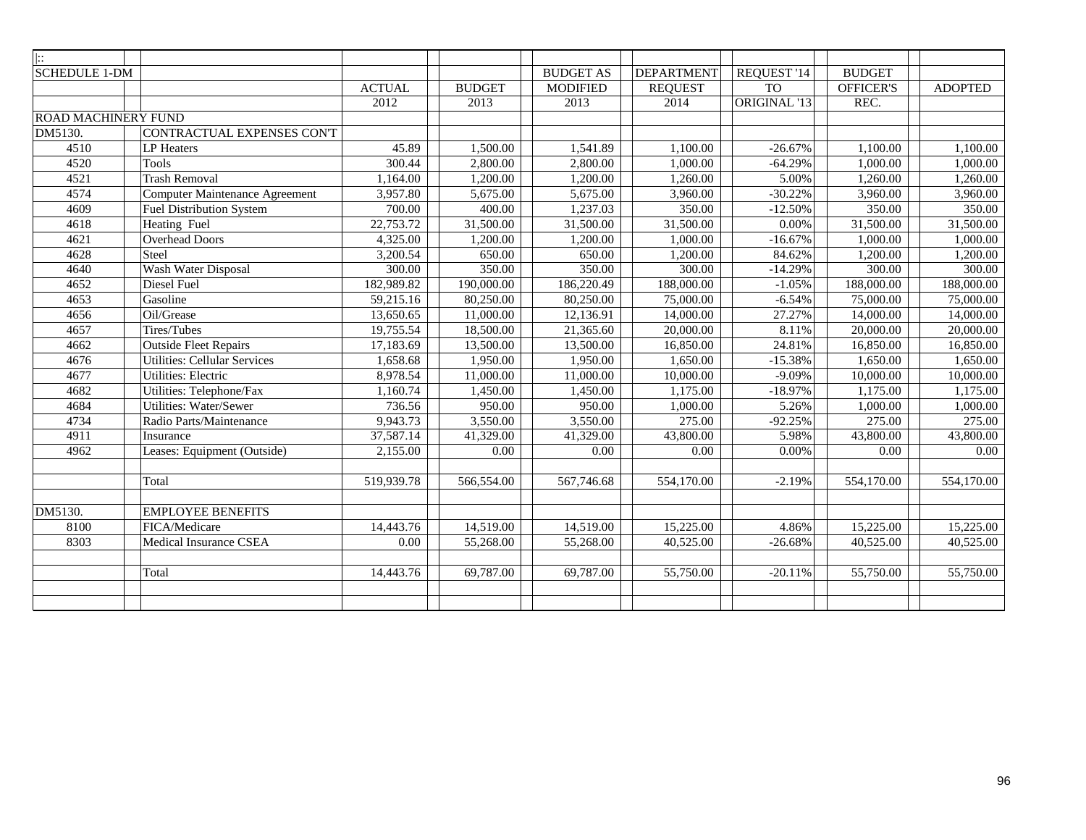| $\overline{\mathbb{R}}$    |                                     |               |               |                         |                   |              |                  |                |
|----------------------------|-------------------------------------|---------------|---------------|-------------------------|-------------------|--------------|------------------|----------------|
| <b>SCHEDULE 1-DM</b>       |                                     |               |               | <b>BUDGET AS</b>        | <b>DEPARTMENT</b> | REQUEST '14  | <b>BUDGET</b>    |                |
|                            |                                     | <b>ACTUAL</b> | <b>BUDGET</b> | <b>MODIFIED</b>         | <b>REOUEST</b>    | <b>TO</b>    | <b>OFFICER'S</b> | <b>ADOPTED</b> |
|                            |                                     | 2012          | 2013          | 2013                    | 2014              | ORIGINAL '13 | REC.             |                |
| <b>ROAD MACHINERY FUND</b> |                                     |               |               |                         |                   |              |                  |                |
| DM5130.                    | CONTRACTUAL EXPENSES CON'T          |               |               |                         |                   |              |                  |                |
| 4510                       | <b>LP</b> Heaters                   | 45.89         | 1,500.00      | 1,541.89                | 1,100.00          | $-26.67%$    | 1,100.00         | 1,100.00       |
| 4520                       | Tools                               | 300.44        | 2,800.00      | 2,800.00                | 1,000.00          | $-64.29%$    | 1,000.00         | 1,000.00       |
| 4521                       | <b>Trash Removal</b>                | 1,164.00      | 1,200.00      | 1,200.00                | 1,260.00          | 5.00%        | 1,260.00         | 1,260.00       |
| 4574                       | Computer Maintenance Agreement      | 3,957.80      | 5,675.00      | 5,675.00                | 3,960.00          | $-30.22%$    | 3,960.00         | 3,960.00       |
| 4609                       | <b>Fuel Distribution System</b>     | 700.00        | 400.00        | 1,237.03                | 350.00            | $-12.50%$    | 350.00           | 350.00         |
| 4618                       | Heating Fuel                        | 22,753.72     | 31,500.00     | 31,500.00               | 31,500.00         | 0.00%        | 31,500.00        | 31,500.00      |
| 4621                       | <b>Overhead Doors</b>               | 4,325.00      | 1,200.00      | 1,200.00                | 1,000.00          | $-16.67%$    | 1,000.00         | 1,000.00       |
| 4628                       | Steel                               | 3,200.54      | 650.00        | 650.00                  | 1,200.00          | 84.62%       | 1,200.00         | 1,200.00       |
| 4640                       | Wash Water Disposal                 | 300.00        | 350.00        | 350.00                  | 300.00            | $-14.29%$    | 300.00           | 300.00         |
| 4652                       | <b>Diesel Fuel</b>                  | 182,989.82    | 190,000.00    | 186,220.49              | 188,000.00        | $-1.05%$     | 188,000.00       | 188,000.00     |
| 4653                       | Gasoline                            | 59,215.16     | 80,250.00     | 80,250.00               | 75,000.00         | $-6.54%$     | 75,000.00        | 75,000.00      |
| 4656                       | Oil/Grease                          | 13,650.65     | 11,000.00     | 12,136.91               | 14,000.00         | 27.27%       | 14,000.00        | 14,000.00      |
| 4657                       | Tires/Tubes                         | 19,755.54     | 18,500.00     | 21,365.60               | 20,000.00         | 8.11%        | 20,000.00        | 20,000.00      |
| 4662                       | <b>Outside Fleet Repairs</b>        | 17,183.69     | 13,500.00     | 13,500.00               | 16,850.00         | 24.81%       | 16,850.00        | 16,850.00      |
| 4676                       | <b>Utilities: Cellular Services</b> | 1,658.68      | 1,950.00      | 1,950.00                | 1,650.00          | $-15.38%$    | 1,650.00         | 1,650.00       |
| 4677                       | <b>Utilities: Electric</b>          | 8,978.54      | 11,000.00     | 11,000.00               | 10,000.00         | $-9.09%$     | 10,000.00        | 10,000.00      |
| 4682                       | Utilities: Telephone/Fax            | 1,160.74      | 1,450.00      | 1,450.00                | 1,175.00          | $-18.97%$    | 1,175.00         | 1,175.00       |
| 4684                       | Utilities: Water/Sewer              | 736.56        | 950.00        | 950.00                  | 1,000.00          | 5.26%        | 1,000.00         | 1,000.00       |
| 4734                       | Radio Parts/Maintenance             | 9,943.73      | 3,550.00      | 3,550.00                | 275.00            | $-92.25%$    | 275.00           | 275.00         |
| 4911                       | Insurance                           | 37,587.14     | 41,329.00     | 41,329.00               | 43,800.00         | 5.98%        | 43,800.00        | 43,800.00      |
| 4962                       | Leases: Equipment (Outside)         | 2,155.00      | 0.00          | 0.00                    | 0.00              | 0.00%        | 0.00             | 0.00           |
|                            |                                     |               |               |                         |                   |              |                  |                |
|                            | Total                               | 519,939.78    | 566,554.00    | $\overline{567,746.68}$ | 554,170.00        | $-2.19%$     | 554,170.00       | 554,170.00     |
|                            |                                     |               |               |                         |                   |              |                  |                |
| DM5130.                    | <b>EMPLOYEE BENEFITS</b>            |               |               |                         |                   |              |                  |                |
| 8100                       | FICA/Medicare                       | 14,443.76     | 14,519.00     | 14,519.00               | 15,225.00         | 4.86%        | 15,225.00        | 15,225.00      |
| 8303                       | <b>Medical Insurance CSEA</b>       | 0.00          | 55,268.00     | 55,268.00               | 40,525.00         | $-26.68%$    | 40,525.00        | 40,525.00      |
|                            |                                     |               |               |                         |                   |              |                  |                |
|                            | Total                               | 14,443.76     | 69,787.00     | 69,787.00               | 55,750.00         | $-20.11%$    | 55,750.00        | 55,750.00      |
|                            |                                     |               |               |                         |                   |              |                  |                |
|                            |                                     |               |               |                         |                   |              |                  |                |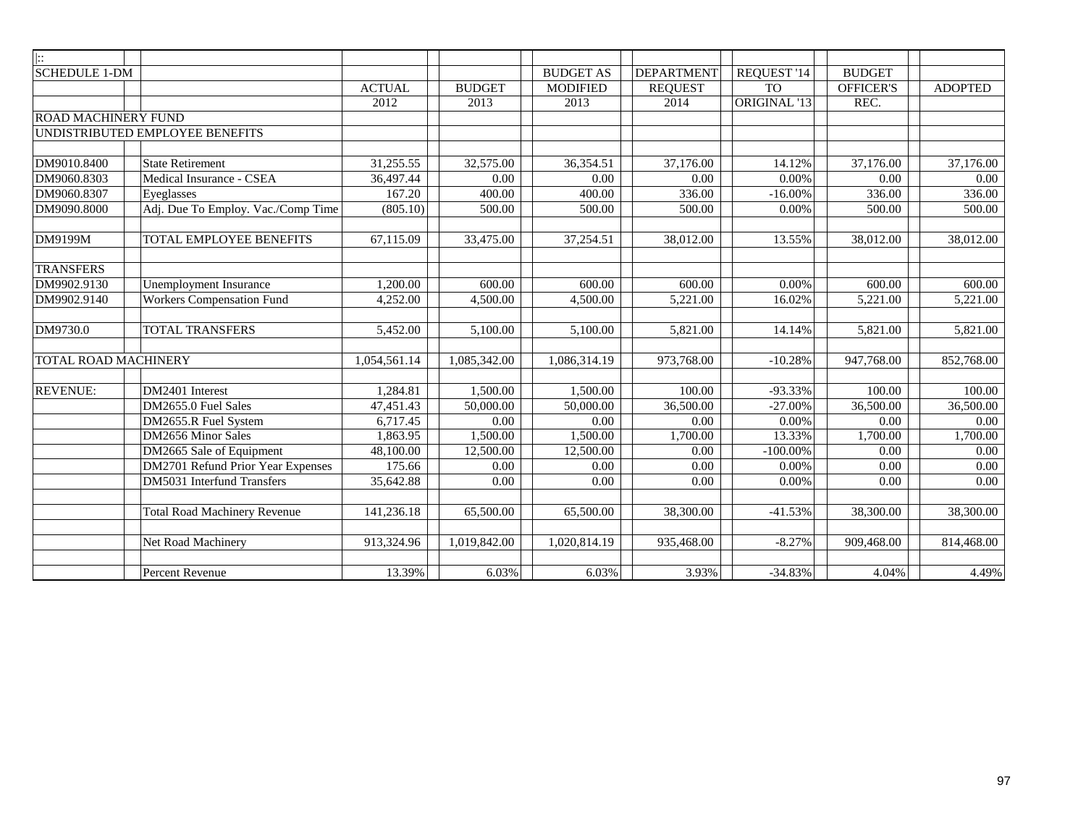| $\mathbf{L}$ :              |                                     |               |               |                  |                   |              |               |                |
|-----------------------------|-------------------------------------|---------------|---------------|------------------|-------------------|--------------|---------------|----------------|
| <b>SCHEDULE 1-DM</b>        |                                     |               |               | <b>BUDGET AS</b> | <b>DEPARTMENT</b> | REQUEST '14  | <b>BUDGET</b> |                |
|                             |                                     | <b>ACTUAL</b> | <b>BUDGET</b> | <b>MODIFIED</b>  | <b>REQUEST</b>    | <b>TO</b>    | OFFICER'S     | <b>ADOPTED</b> |
|                             |                                     | 2012          | 2013          | 2013             | 2014              | ORIGINAL '13 | REC.          |                |
| <b>ROAD MACHINERY FUND</b>  |                                     |               |               |                  |                   |              |               |                |
|                             | UNDISTRIBUTED EMPLOYEE BENEFITS     |               |               |                  |                   |              |               |                |
|                             |                                     |               |               |                  |                   |              |               |                |
| DM9010.8400                 | <b>State Retirement</b>             | 31,255.55     | 32,575.00     | 36,354.51        | 37,176.00         | 14.12%       | 37,176.00     | 37,176.00      |
| DM9060.8303                 | Medical Insurance - CSEA            | 36,497.44     | 0.00          | 0.00             | 0.00              | 0.00%        | 0.00          | 0.00           |
| DM9060.8307                 | Eyeglasses                          | 167.20        | 400.00        | 400.00           | 336.00            | $-16.00\%$   | 336.00        | 336.00         |
| DM9090.8000                 | Adj. Due To Employ. Vac./Comp Time  | (805.10)      | 500.00        | 500.00           | 500.00            | 0.00%        | 500.00        | 500.00         |
| DM9199M                     | TOTAL EMPLOYEE BENEFITS             | 67,115.09     | 33,475.00     | 37,254.51        | 38,012.00         | 13.55%       | 38,012.00     | 38,012.00      |
| <b>TRANSFERS</b>            |                                     |               |               |                  |                   |              |               |                |
| DM9902.9130                 | <b>Unemployment Insurance</b>       | 1,200.00      | 600.00        | 600.00           | 600.00            | 0.00%        | 600.00        | 600.00         |
| DM9902.9140                 | <b>Workers Compensation Fund</b>    | 4,252.00      | 4,500.00      | 4,500.00         | 5,221.00          | 16.02%       | 5,221.00      | 5,221.00       |
|                             |                                     |               |               |                  |                   |              |               |                |
| DM9730.0                    | <b>TOTAL TRANSFERS</b>              | 5,452.00      | 5,100.00      | 5,100.00         | 5,821.00          | 14.14%       | 5,821.00      | 5,821.00       |
|                             |                                     |               |               |                  |                   |              |               |                |
| <b>TOTAL ROAD MACHINERY</b> |                                     | 1,054,561.14  | 1,085,342.00  | 1,086,314.19     | 973,768.00        | $-10.28%$    | 947,768.00    | 852,768.00     |
| <b>REVENUE:</b>             | DM2401 Interest                     | 1,284.81      | 1,500.00      | 1,500.00         | 100.00            | -93.33%      | 100.00        | 100.00         |
|                             | DM2655.0 Fuel Sales                 | 47,451.43     | 50,000.00     | 50,000.00        | 36,500.00         | $-27.00%$    | 36,500.00     | 36,500.00      |
|                             | DM2655.R Fuel System                | 6,717.45      | 0.00          | 0.00             | 0.00              | 0.00%        | 0.00          | 0.00           |
|                             | DM2656 Minor Sales                  | 1,863.95      | 1,500.00      | 1,500.00         | 1,700.00          | 13.33%       | 1,700.00      | 1,700.00       |
|                             | DM2665 Sale of Equipment            | 48,100.00     | 12,500.00     | 12,500.00        | 0.00              | $-100.00\%$  | 0.00          | 0.00           |
|                             | DM2701 Refund Prior Year Expenses   | 175.66        | 0.00          | 0.00             | 0.00              | 0.00%        | 0.00          | 0.00           |
|                             | DM5031 Interfund Transfers          | 35,642.88     | 0.00          | 0.00             | 0.00              | 0.00%        | 0.00          | 0.00           |
|                             |                                     |               |               |                  |                   |              |               |                |
|                             | <b>Total Road Machinery Revenue</b> | 141,236.18    | 65,500.00     | 65,500.00        | 38,300.00         | $-41.53%$    | 38,300.00     | 38,300.00      |
|                             | Net Road Machinery                  | 913,324.96    | 1,019,842.00  | 1,020,814.19     | 935,468.00        | $-8.27%$     | 909,468.00    | 814,468.00     |
|                             | Percent Revenue                     | 13.39%        | 6.03%         | 6.03%            | 3.93%             | $-34.83%$    | 4.04%         | 4.49%          |
|                             |                                     |               |               |                  |                   |              |               |                |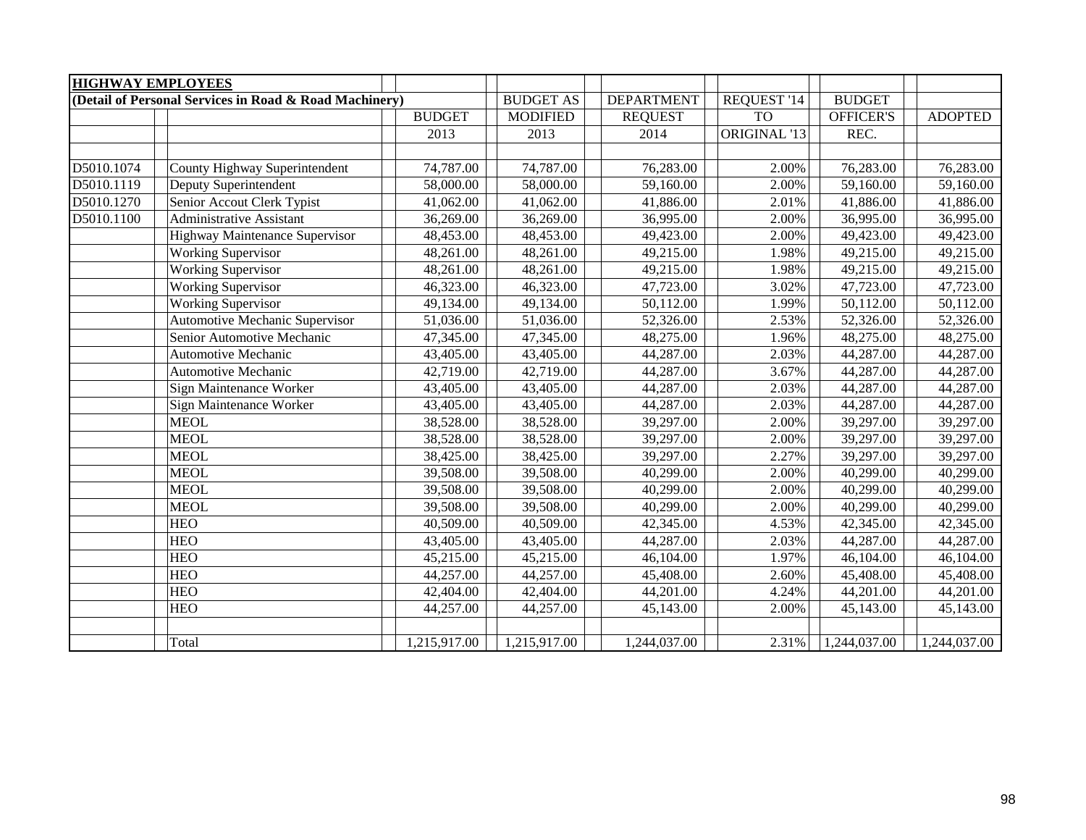| <b>HIGHWAY EMPLOYEES</b> |                                                        |               |                  |                   |                     |               |                |
|--------------------------|--------------------------------------------------------|---------------|------------------|-------------------|---------------------|---------------|----------------|
|                          | (Detail of Personal Services in Road & Road Machinery) |               | <b>BUDGET AS</b> | <b>DEPARTMENT</b> | REQUEST '14         | <b>BUDGET</b> |                |
|                          |                                                        | <b>BUDGET</b> | <b>MODIFIED</b>  | <b>REQUEST</b>    | <b>TO</b>           | OFFICER'S     | <b>ADOPTED</b> |
|                          |                                                        | 2013          | 2013             | 2014              | <b>ORIGINAL '13</b> | REC.          |                |
|                          |                                                        |               |                  |                   |                     |               |                |
| D5010.1074               | County Highway Superintendent                          | 74,787.00     | 74,787.00        | 76,283.00         | 2.00%               | 76,283.00     | 76,283.00      |
| D5010.1119               | Deputy Superintendent                                  | 58,000.00     | 58,000.00        | 59,160.00         | 2.00%               | 59,160.00     | 59,160.00      |
| D5010.1270               | Senior Accout Clerk Typist                             | 41,062.00     | 41,062.00        | 41,886.00         | 2.01%               | 41,886.00     | 41,886.00      |
| D5010.1100               | <b>Administrative Assistant</b>                        | 36,269.00     | 36,269.00        | 36,995.00         | 2.00%               | 36,995.00     | 36,995.00      |
|                          | Highway Maintenance Supervisor                         | 48,453.00     | 48,453.00        | 49,423.00         | 2.00%               | 49,423.00     | 49,423.00      |
|                          | <b>Working Supervisor</b>                              | 48,261.00     | 48,261.00        | 49,215.00         | 1.98%               | 49,215.00     | 49,215.00      |
|                          | <b>Working Supervisor</b>                              | 48,261.00     | 48,261.00        | 49,215.00         | 1.98%               | 49,215.00     | 49,215.00      |
|                          | <b>Working Supervisor</b>                              | 46,323.00     | 46,323.00        | 47,723.00         | 3.02%               | 47,723.00     | 47,723.00      |
|                          | <b>Working Supervisor</b>                              | 49,134.00     | 49,134.00        | 50,112.00         | 1.99%               | 50,112.00     | 50,112.00      |
|                          | Automotive Mechanic Supervisor                         | 51,036.00     | 51,036.00        | 52,326.00         | 2.53%               | 52,326.00     | 52,326.00      |
|                          | Senior Automotive Mechanic                             | 47,345.00     | 47,345.00        | 48,275.00         | 1.96%               | 48,275.00     | 48,275.00      |
|                          | <b>Automotive Mechanic</b>                             | 43,405.00     | 43,405.00        | 44,287.00         | 2.03%               | 44,287.00     | 44,287.00      |
|                          | <b>Automotive Mechanic</b>                             | 42,719.00     | 42,719.00        | 44,287.00         | 3.67%               | 44,287.00     | 44,287.00      |
|                          | <b>Sign Maintenance Worker</b>                         | 43,405.00     | 43,405.00        | 44,287.00         | 2.03%               | 44,287.00     | 44,287.00      |
|                          | Sign Maintenance Worker                                | 43,405.00     | 43,405.00        | 44,287.00         | 2.03%               | 44,287.00     | 44,287.00      |
|                          | <b>MEOL</b>                                            | 38,528.00     | 38,528.00        | 39,297.00         | 2.00%               | 39,297.00     | 39,297.00      |
|                          | <b>MEOL</b>                                            | 38,528.00     | 38,528.00        | 39,297.00         | 2.00%               | 39,297.00     | 39,297.00      |
|                          | <b>MEOL</b>                                            | 38,425.00     | 38,425.00        | 39,297.00         | 2.27%               | 39,297.00     | 39,297.00      |
|                          | <b>MEOL</b>                                            | 39,508.00     | 39,508.00        | 40,299.00         | 2.00%               | 40,299.00     | 40,299.00      |
|                          | <b>MEOL</b>                                            | 39,508.00     | 39,508.00        | 40,299.00         | 2.00%               | 40,299.00     | 40,299.00      |
|                          | <b>MEOL</b>                                            | 39,508.00     | 39,508.00        | 40,299.00         | 2.00%               | 40,299.00     | 40,299.00      |
|                          | <b>HEO</b>                                             | 40,509.00     | 40,509.00        | 42,345.00         | 4.53%               | 42,345.00     | 42,345.00      |
|                          | <b>HEO</b>                                             | 43,405.00     | 43,405.00        | 44,287.00         | 2.03%               | 44,287.00     | 44,287.00      |
|                          | <b>HEO</b>                                             | 45,215.00     | 45,215.00        | 46,104.00         | 1.97%               | 46,104.00     | 46,104.00      |
|                          | <b>HEO</b>                                             | 44,257.00     | 44,257.00        | 45,408.00         | 2.60%               | 45,408.00     | 45,408.00      |
|                          | <b>HEO</b>                                             | 42,404.00     | 42,404.00        | 44,201.00         | 4.24%               | 44,201.00     | 44,201.00      |
|                          | <b>HEO</b>                                             | 44,257.00     | 44,257.00        | 45,143.00         | 2.00%               | 45,143.00     | 45,143.00      |
|                          |                                                        |               |                  |                   |                     |               |                |
|                          | Total                                                  | 1,215,917.00  | 1,215,917.00     | 1,244,037.00      | 2.31%               | 1,244,037.00  | 1,244,037.00   |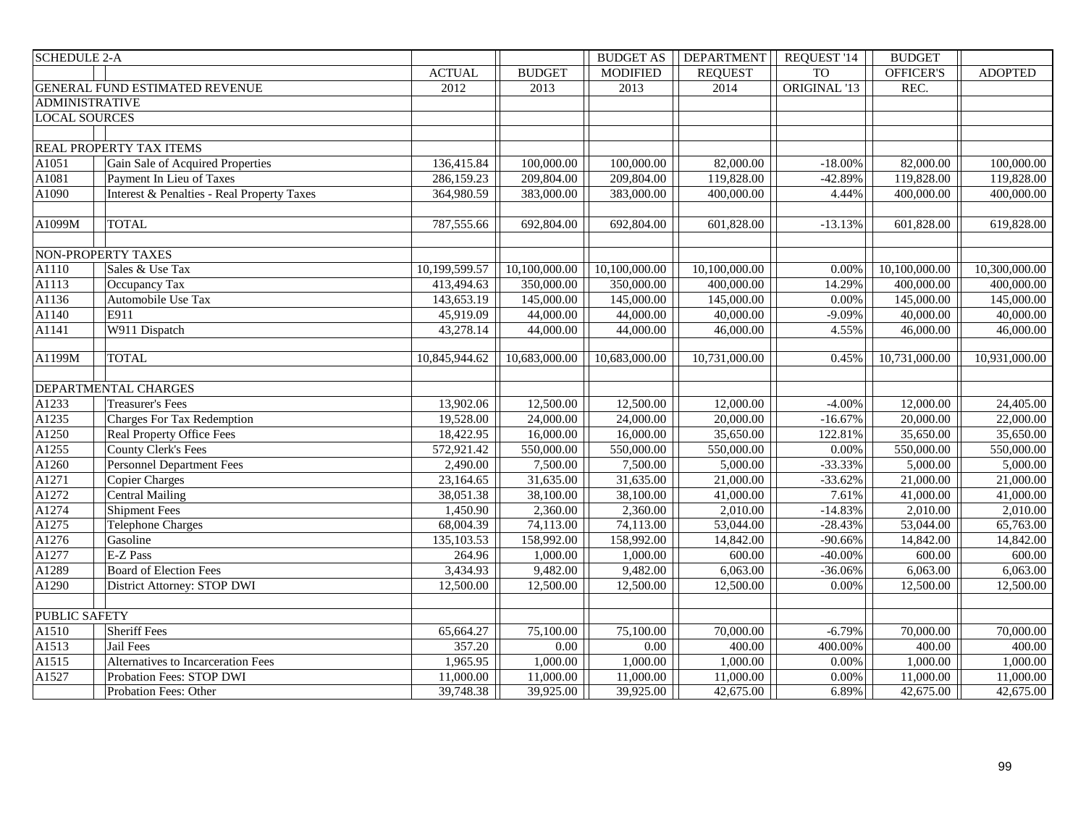| <b>SCHEDULE 2-A</b>   |                                            |               |               | <b>BUDGET AS</b> | <b>DEPARTMENT</b> | REQUEST '14     | <b>BUDGET</b> |                |
|-----------------------|--------------------------------------------|---------------|---------------|------------------|-------------------|-----------------|---------------|----------------|
|                       |                                            | <b>ACTUAL</b> | <b>BUDGET</b> | <b>MODIFIED</b>  | <b>REQUEST</b>    | TO <sub>1</sub> | OFFICER'S     | <b>ADOPTED</b> |
|                       | GENERAL FUND ESTIMATED REVENUE             | 2012          | 2013          | 2013             | 2014              | ORIGINAL '13    | REC.          |                |
| <b>ADMINISTRATIVE</b> |                                            |               |               |                  |                   |                 |               |                |
| <b>LOCAL SOURCES</b>  |                                            |               |               |                  |                   |                 |               |                |
|                       |                                            |               |               |                  |                   |                 |               |                |
|                       | REAL PROPERTY TAX ITEMS                    |               |               |                  |                   |                 |               |                |
| A1051                 | Gain Sale of Acquired Properties           | 136,415.84    | 100,000.00    | 100,000.00       | 82,000.00         | $-18.00\%$      | 82,000.00     | 100,000.00     |
| A1081                 | Payment In Lieu of Taxes                   | 286,159.23    | 209,804.00    | 209,804.00       | 119,828.00        | $-42.89%$       | 119,828.00    | 119,828.00     |
| A1090                 | Interest & Penalties - Real Property Taxes | 364,980.59    | 383,000.00    | 383,000.00       | 400,000.00        | 4.44%           | 400,000.00    | 400,000.00     |
|                       |                                            |               |               |                  |                   |                 |               |                |
| A1099M                | <b>TOTAL</b>                               | 787,555.66    | 692,804.00    | 692,804.00       | 601,828.00        | $-13.13%$       | 601,828.00    | 619,828.00     |
|                       |                                            |               |               |                  |                   |                 |               |                |
|                       | <b>NON-PROPERTY TAXES</b>                  |               |               |                  |                   |                 |               |                |
| A1110                 | Sales & Use Tax                            | 10,199,599.57 | 10,100,000.00 | 10,100,000.00    | 10,100,000.00     | 0.00%           | 10,100,000.00 | 10,300,000.00  |
| A1113                 | Occupancy Tax                              | 413,494.63    | 350,000.00    | 350,000.00       | 400,000.00        | 14.29%          | 400,000.00    | 400,000.00     |
| A <sub>1136</sub>     | Automobile Use Tax                         | 143,653.19    | 145,000.00    | 145,000.00       | 145,000.00        | 0.00%           | 145,000.00    | 145,000.00     |
| A1140                 | E911                                       | 45,919.09     | 44,000.00     | 44,000.00        | 40,000.00         | $-9.09%$        | 40,000.00     | 40,000.00      |
| A1141                 | W911 Dispatch                              | 43,278.14     | 44,000.00     | 44,000.00        | 46,000.00         | 4.55%           | 46,000.00     | 46,000.00      |
| A1199M                | <b>TOTAL</b>                               | 10,845,944.62 | 10,683,000.00 | 10,683,000.00    | 10,731,000.00     | 0.45%           | 10,731,000.00 | 10,931,000.00  |
|                       |                                            |               |               |                  |                   |                 |               |                |
|                       | DEPARTMENTAL CHARGES                       |               |               |                  |                   |                 |               |                |
| A1233                 | <b>Treasurer's Fees</b>                    | 13,902.06     | 12,500.00     | 12,500.00        | 12,000.00         | $-4.00\%$       | 12,000.00     | 24,405.00      |
| A1235                 | <b>Charges For Tax Redemption</b>          | 19,528.00     | 24,000.00     | 24,000.00        | 20,000.00         | $-16.67%$       | 20,000.00     | 22,000.00      |
| A1250                 | <b>Real Property Office Fees</b>           | 18,422.95     | 16,000.00     | 16,000.00        | 35,650.00         | 122.81%         | 35,650.00     | 35,650.00      |
| A1255                 | County Clerk's Fees                        | 572,921.42    | 550,000.00    | 550,000.00       | 550,000.00        | $0.00\%$        | 550,000.00    | 550,000.00     |
| A1260                 | Personnel Department Fees                  | 2,490.00      | 7,500.00      | 7,500.00         | 5,000.00          | $-33.33%$       | 5,000.00      | 5,000.00       |
| A1271                 | Copier Charges                             | 23,164.65     | 31,635.00     | 31,635.00        | 21,000.00         | $-33.62%$       | 21,000.00     | 21,000.00      |
| A1272                 | <b>Central Mailing</b>                     | 38,051.38     | 38,100.00     | 38,100.00        | 41,000.00         | 7.61%           | 41,000.00     | 41,000.00      |
| A1274                 | <b>Shipment Fees</b>                       | 1,450.90      | 2,360.00      | 2,360.00         | 2,010.00          | $-14.83%$       | 2,010.00      | 2,010.00       |
| A1275                 | Telephone Charges                          | 68,004.39     | 74,113.00     | 74,113.00        | 53,044.00         | $-28.43%$       | 53,044.00     | 65,763.00      |
| A1276                 | Gasoline                                   | 135, 103.53   | 158,992.00    | 158,992.00       | 14,842.00         | $-90.66%$       | 14,842.00     | 14,842.00      |
| A1277                 | E-Z Pass                                   | 264.96        | 1,000.00      | 1,000.00         | 600.00            | $-40.00\%$      | 600.00        | 600.00         |
| A1289                 | <b>Board of Election Fees</b>              | 3,434.93      | 9,482.00      | 9,482.00         | 6,063.00          | $-36.06%$       | 6,063.00      | 6,063.00       |
| A1290                 | <b>District Attorney: STOP DWI</b>         | 12,500.00     | 12,500.00     | 12,500.00        | 12,500.00         | 0.00%           | 12,500.00     | 12,500.00      |
|                       |                                            |               |               |                  |                   |                 |               |                |
| <b>PUBLIC SAFETY</b>  |                                            |               |               |                  |                   |                 |               |                |
| A1510                 | <b>Sheriff Fees</b>                        | 65,664.27     | 75,100.00     | 75,100.00        | 70,000.00         | $-6.79%$        | 70,000.00     | 70,000.00      |
| A1513                 | Jail Fees                                  | 357.20        | 0.00          | 0.00             | 400.00            | 400.00%         | 400.00        | 400.00         |
| A1515                 | Alternatives to Incarceration Fees         | 1,965.95      | 1,000.00      | 1,000.00         | 1,000.00          | 0.00%           | 1,000.00      | 1,000.00       |
| A1527                 | Probation Fees: STOP DWI                   | 11,000.00     | 11,000.00     | 11,000.00        | 11,000.00         | 0.00%           | 11,000.00     | 11,000.00      |
|                       | Probation Fees: Other                      | 39,748.38     | 39,925.00     | 39,925.00        | 42,675.00         | 6.89%           | 42,675.00     | 42,675.00      |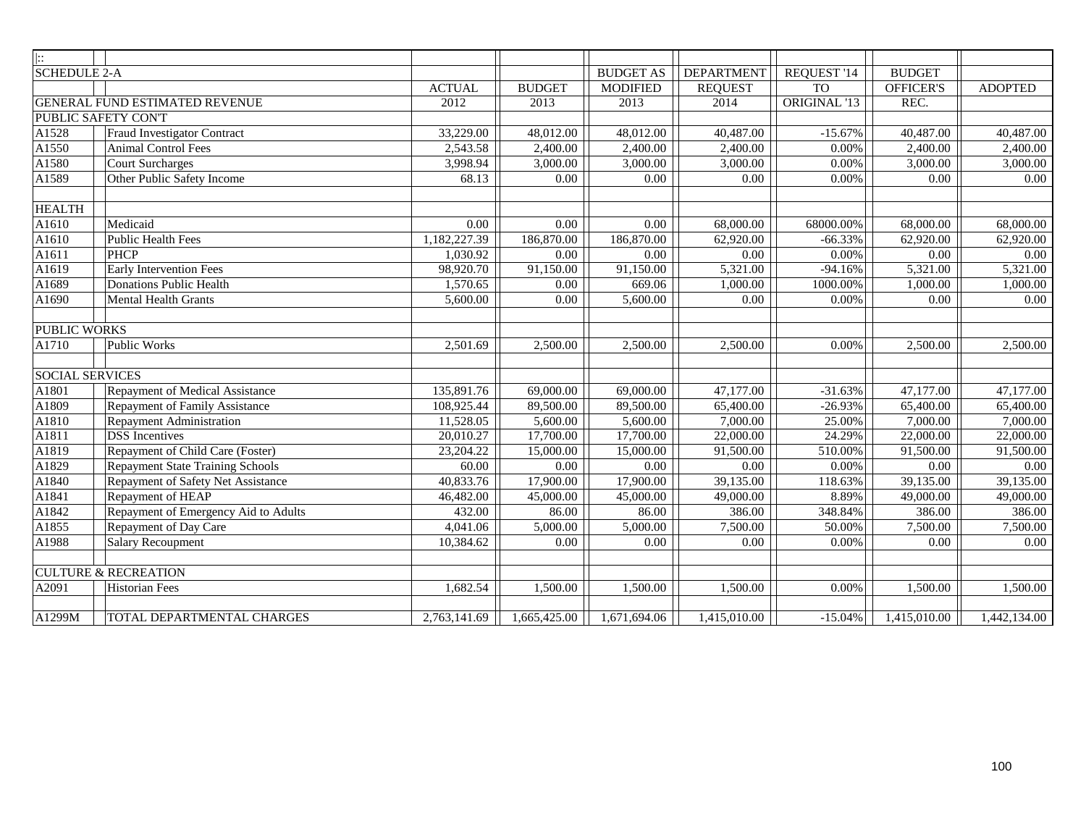| $\overline{\mathbb{R}}$ |                                         |               |               |                  |                   |              |               |                |
|-------------------------|-----------------------------------------|---------------|---------------|------------------|-------------------|--------------|---------------|----------------|
| <b>SCHEDULE 2-A</b>     |                                         |               |               | <b>BUDGET AS</b> | <b>DEPARTMENT</b> | REQUEST '14  | <b>BUDGET</b> |                |
|                         |                                         | <b>ACTUAL</b> | <b>BUDGET</b> | <b>MODIFIED</b>  | <b>REQUEST</b>    | <b>TO</b>    | OFFICER'S     | <b>ADOPTED</b> |
|                         | <b>GENERAL FUND ESTIMATED REVENUE</b>   | 2012          | 2013          | 2013             | 2014              | ORIGINAL '13 | REC.          |                |
|                         | PUBLIC SAFETY CON'T                     |               |               |                  |                   |              |               |                |
| A1528                   | Fraud Investigator Contract             | 33,229.00     | 48,012.00     | 48,012.00        | 40,487.00         | $-15.67%$    | 40,487.00     | 40,487.00      |
| A1550                   | <b>Animal Control Fees</b>              | 2,543.58      | 2,400.00      | 2,400.00         | 2,400.00          | $0.00\%$     | 2,400.00      | 2,400.00       |
| A1580                   | Court Surcharges                        | 3,998.94      | 3,000.00      | 3,000.00         | 3,000.00          | $0.00\%$     | 3,000.00      | 3,000.00       |
| A1589                   | Other Public Safety Income              | 68.13         | 0.00          | 0.00             | 0.00              | $0.00\%$     | 0.00          | 0.00           |
|                         |                                         |               |               |                  |                   |              |               |                |
| <b>HEALTH</b>           |                                         |               |               |                  |                   |              |               |                |
| A1610                   | Medicaid                                | 0.00          | 0.00          | 0.00             | 68,000.00         | 68000.00%    | 68,000.00     | 68,000.00      |
| A1610                   | Public Health Fees                      | 1,182,227.39  | 186,870.00    | 186,870.00       | 62,920.00         | $-66.33%$    | 62,920.00     | 62,920.00      |
| A1611                   | <b>PHCP</b>                             | 1,030.92      | 0.00          | 0.00             | $0.00\,$          | $0.00\%$     | 0.00          | $0.00\,$       |
| A1619                   | <b>Early Intervention Fees</b>          | 98,920.70     | 91,150.00     | 91,150.00        | 5,321.00          | $-94.16%$    | 5,321.00      | 5,321.00       |
| A1689                   | Donations Public Health                 | 1,570.65      | 0.00          | 669.06           | 1,000.00          | 1000.00%     | 1,000.00      | 1,000.00       |
| A1690                   | Mental Health Grants                    | 5,600.00      | 0.00          | 5,600.00         | 0.00              | 0.00%        | 0.00          | 0.00           |
|                         |                                         |               |               |                  |                   |              |               |                |
| <b>PUBLIC WORKS</b>     |                                         |               |               |                  |                   |              |               |                |
| A1710                   | Public Works                            | 2,501.69      | 2,500.00      | 2,500.00         | 2,500.00          | 0.00%        | 2,500.00      | 2,500.00       |
|                         |                                         |               |               |                  |                   |              |               |                |
| <b>SOCIAL SERVICES</b>  |                                         |               |               |                  |                   |              |               |                |
| A1801                   | <b>Repayment of Medical Assistance</b>  | 135,891.76    | 69,000.00     | 69,000.00        | 47,177.00         | $-31.63%$    | 47,177.00     | 47,177.00      |
| A1809                   | Repayment of Family Assistance          | 108,925.44    | 89,500.00     | 89,500.00        | 65,400.00         | $-26.93%$    | 65,400.00     | 65,400.00      |
| A1810                   | Repayment Administration                | 11,528.05     | 5,600.00      | 5,600.00         | 7,000.00          | 25.00%       | 7,000.00      | 7,000.00       |
| A1811                   | <b>DSS</b> Incentives                   | 20,010.27     | 17,700.00     | 17,700.00        | 22,000.00         | 24.29%       | 22,000.00     | 22,000.00      |
| A1819                   | Repayment of Child Care (Foster)        | 23,204.22     | 15,000.00     | 15,000.00        | 91,500.00         | 510.00%      | 91,500.00     | 91,500.00      |
| A1829                   | <b>Repayment State Training Schools</b> | 60.00         | $0.00\,$      | 0.00             | 0.00              | $0.00\%$     | 0.00          | $0.00\,$       |
| A1840                   | Repayment of Safety Net Assistance      | 40,833.76     | 17,900.00     | 17,900.00        | 39,135.00         | 118.63%      | 39,135.00     | 39,135.00      |
| A1841                   | Repayment of HEAP                       | 46,482.00     | 45,000.00     | 45,000.00        | 49,000.00         | 8.89%        | 49,000.00     | 49,000.00      |
| A1842                   | Repayment of Emergency Aid to Adults    | 432.00        | 86.00         | 86.00            | 386.00            | 348.84%      | 386.00        | 386.00         |
| A1855                   | Repayment of Day Care                   | 4,041.06      | 5,000.00      | 5,000.00         | 7,500.00          | 50.00%       | 7,500.00      | 7,500.00       |
| A1988                   | <b>Salary Recoupment</b>                | 10,384.62     | 0.00          | 0.00             | 0.00              | 0.00%        | 0.00          | 0.00           |
|                         |                                         |               |               |                  |                   |              |               |                |
|                         | <b>CULTURE &amp; RECREATION</b>         |               |               |                  |                   |              |               |                |
| A2091                   | <b>Historian Fees</b>                   | 1,682.54      | 1,500.00      | 1,500.00         | 1,500.00          | 0.00%        | 1,500.00      | 1,500.00       |
|                         |                                         |               |               |                  |                   |              |               |                |
| A1299M                  | TOTAL DEPARTMENTAL CHARGES              | 2,763,141.69  | 1,665,425.00  | 1,671,694.06     | 1,415,010.00      | $-15.04\%$   | 1,415,010.00  | 1,442,134.00   |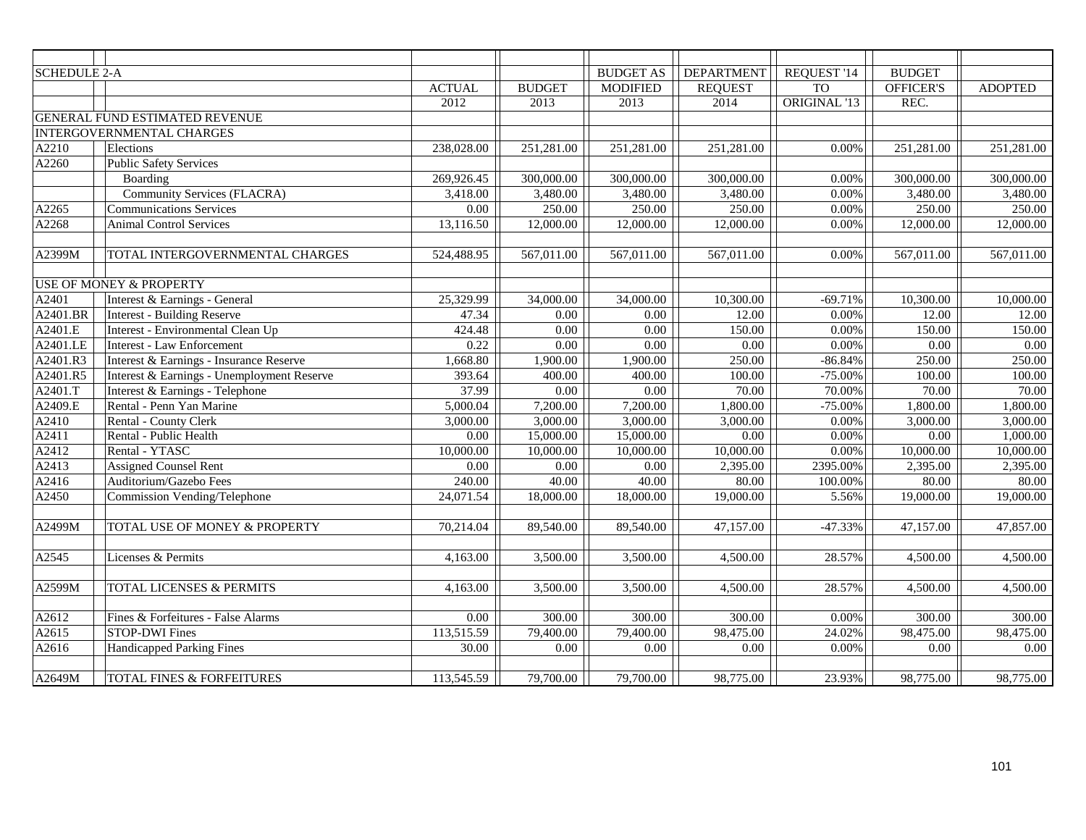| <b>SCHEDULE 2-A</b> |                                            |               |               | <b>BUDGET AS</b> | <b>DEPARTMENT</b> | REQUEST '14  | <b>BUDGET</b>          |                |
|---------------------|--------------------------------------------|---------------|---------------|------------------|-------------------|--------------|------------------------|----------------|
|                     |                                            | <b>ACTUAL</b> | <b>BUDGET</b> | <b>MODIFIED</b>  | <b>REQUEST</b>    | <b>TO</b>    | <b>OFFICER'S</b>       | <b>ADOPTED</b> |
|                     |                                            | 2012          | 2013          | 2013             | 2014              | ORIGINAL '13 | REC.                   |                |
|                     | <b>GENERAL FUND ESTIMATED REVENUE</b>      |               |               |                  |                   |              |                        |                |
|                     | <b>INTERGOVERNMENTAL CHARGES</b>           |               |               |                  |                   |              |                        |                |
| A2210               | Elections                                  | 238,028.00    | 251,281.00    | 251,281.00       | 251,281.00        | 0.00%        | 251,281.00             | 251,281.00     |
| A2260               | <b>Public Safety Services</b>              |               |               |                  |                   |              |                        |                |
|                     | Boarding                                   | 269,926.45    | 300,000.00    | 300,000.00       | 300,000.00        | $0.00\%$     | 300,000.00             | 300,000.00     |
|                     | <b>Community Services (FLACRA)</b>         | 3,418.00      | 3,480.00      | 3,480.00         | 3,480.00          | $0.00\%$     | 3,480.00               | 3,480.00       |
| A2265               | <b>Communications Services</b>             | 0.00          | 250.00        | 250.00           | 250.00            | $0.00\%$     | 250.00                 | 250.00         |
| A2268               | <b>Animal Control Services</b>             | 13,116.50     | 12,000.00     | 12,000.00        | 12,000.00         | 0.00%        | 12,000.00              | 12,000.00      |
|                     |                                            |               |               |                  |                   |              |                        |                |
| A2399M              | TOTAL INTERGOVERNMENTAL CHARGES            | 524,488.95    | 567,011.00    | 567,011.00       | 567,011.00        | 0.00%        | 567,011.00             | 567,011.00     |
|                     |                                            |               |               |                  |                   |              |                        |                |
|                     | <b>USE OF MONEY &amp; PROPERTY</b>         |               |               |                  |                   |              |                        |                |
| A2401               | Interest & Earnings - General              | 25,329.99     | 34,000.00     | 34,000.00        | 10,300.00         | $-69.71%$    | 10,300.00              | 10,000.00      |
| A2401.BR            | Interest - Building Reserve                | 47.34         | $0.00\,$      | 0.00             | 12.00             | $0.00\%$     | 12.00                  | 12.00          |
| A2401.E             | Interest - Environmental Clean Up          | 424.48        | 0.00          | 0.00             | 150.00            | $0.00\%$     | 150.00                 | 150.00         |
| A2401.LE            | Interest - Law Enforcement                 | 0.22          | 0.00          | 0.00             | $0.00\,$          | $0.00\%$     | 0.00                   | $0.00\,$       |
| A2401.R3            | Interest & Earnings - Insurance Reserve    | 1,668.80      | 1,900.00      | 1,900.00         | 250.00            | $-86.84%$    | 250.00                 | 250.00         |
| A2401.R5            | Interest & Earnings - Unemployment Reserve | 393.64        | 400.00        | 400.00           | 100.00            | $-75.00\%$   | 100.00                 | 100.00         |
| A2401.T             | Interest & Earnings - Telephone            | 37.99         | 0.00          | 0.00             | 70.00             | 70.00%       | 70.00                  | 70.00          |
| A2409.E             | Rental - Penn Yan Marine                   | 5,000.04      | 7,200.00      | 7,200.00         | 1,800.00          | $-75.00\%$   | 1,800.00               | 1,800.00       |
| A2410               | Rental - County Clerk                      | 3,000.00      | 3,000.00      | 3,000.00         | 3,000.00          | 0.00%        | $\overline{3,000.00}$  | 3,000.00       |
| A2411               | Rental - Public Health                     | 0.00          | 15,000.00     | 15,000.00        | $0.00\,$          | 0.00%        | 0.00                   | 1,000.00       |
| A2412               | Rental - YTASC                             | 10,000.00     | 10,000.00     | 10,000.00        | 10,000.00         | 0.00%        | $\overline{10,000.00}$ | 10,000.00      |
| A2413               | Assigned Counsel Rent                      | 0.00          | 0.00          | 0.00             | 2,395.00          | 2395.00%     | 2,395.00               | 2,395.00       |
| A2416               | Auditorium/Gazebo Fees                     | 240.00        | 40.00         | 40.00            | 80.00             | 100.00%      | 80.00                  | 80.00          |
| A2450               | Commission Vending/Telephone               | 24,071.54     | 18,000.00     | 18,000.00        | 19,000.00         | 5.56%        | 19,000.00              | 19,000.00      |
|                     |                                            |               |               |                  |                   |              |                        |                |
| A2499M              | TOTAL USE OF MONEY & PROPERTY              | 70,214.04     | 89,540.00     | 89,540.00        | 47,157.00         | $-47.33%$    | 47,157.00              | 47,857.00      |
|                     |                                            |               |               |                  |                   |              |                        |                |
| A2545               | Licenses & Permits                         | 4,163.00      | 3,500.00      | 3,500.00         | 4,500.00          | 28.57%       | 4,500.00               | 4,500.00       |
|                     |                                            |               |               |                  |                   |              |                        |                |
| A2599M              | TOTAL LICENSES & PERMITS                   | 4,163.00      | 3,500.00      | 3,500.00         | 4,500.00          | 28.57%       | 4,500.00               | 4,500.00       |
|                     |                                            |               |               |                  |                   |              |                        |                |
| A2612               | Fines & Forfeitures - False Alarms         | 0.00          | 300.00        | 300.00           | 300.00            | 0.00%        | 300.00                 | 300.00         |
| A2615               | <b>STOP-DWI Fines</b>                      | 113,515.59    | 79,400.00     | 79,400.00        | 98,475.00         | 24.02%       | 98,475.00              | 98,475.00      |
| A2616               | Handicapped Parking Fines                  | 30.00         | $0.00\,$      | 0.00             | $0.00\,$          | 0.00%        | 0.00                   | 0.00           |
|                     |                                            |               |               |                  |                   |              |                        |                |
| A2649M              | <b>TOTAL FINES &amp; FORFEITURES</b>       | 113,545.59    | 79,700.00     | 79,700.00        | 98,775.00         | 23.93%       | 98,775.00              | 98,775.00      |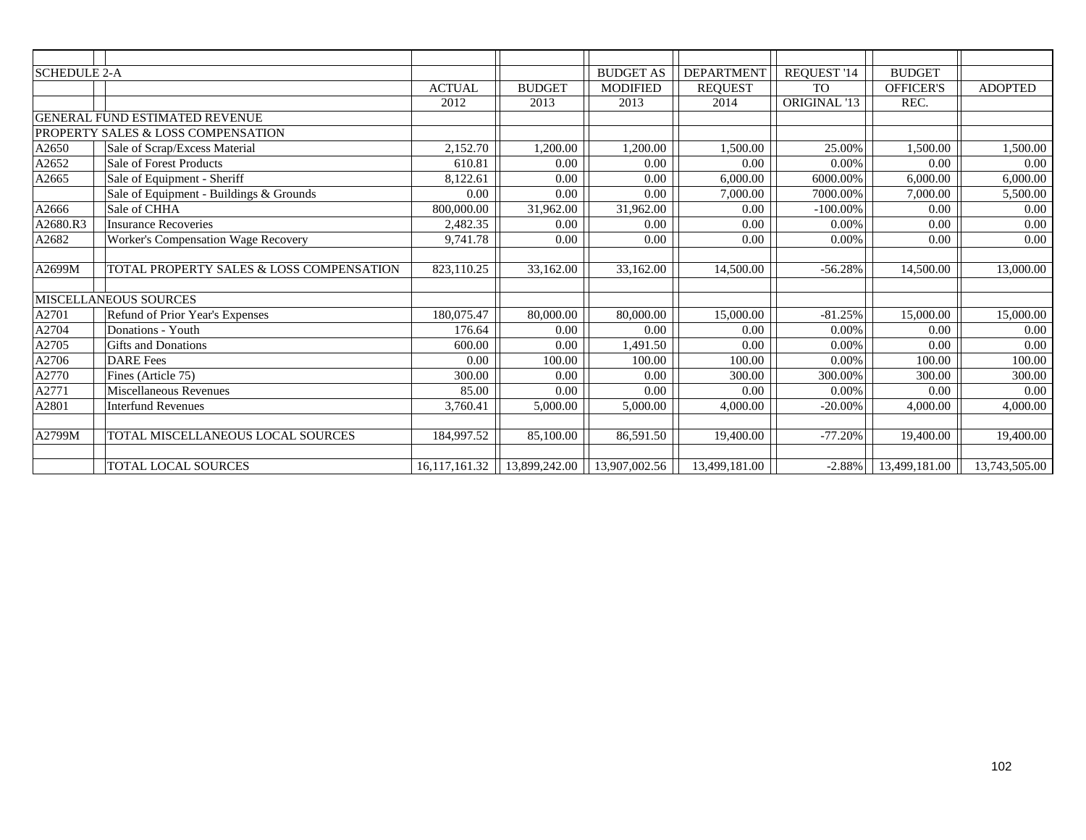| <b>SCHEDULE 2-A</b> |                                          |               |               | <b>BUDGET AS</b> | <b>DEPARTMENT</b> | REQUEST '14  | <b>BUDGET</b> |                |
|---------------------|------------------------------------------|---------------|---------------|------------------|-------------------|--------------|---------------|----------------|
|                     |                                          | <b>ACTUAL</b> | <b>BUDGET</b> | <b>MODIFIED</b>  | <b>REQUEST</b>    | <b>TO</b>    | OFFICER'S     | <b>ADOPTED</b> |
|                     |                                          | 2012          | 2013          | 2013             | 2014              | ORIGINAL '13 | REC.          |                |
|                     | <b>GENERAL FUND ESTIMATED REVENUE</b>    |               |               |                  |                   |              |               |                |
|                     | PROPERTY SALES & LOSS COMPENSATION       |               |               |                  |                   |              |               |                |
| A2650               | Sale of Scrap/Excess Material            | 2.152.70      | 1,200.00      | 1,200.00         | 1,500.00          | 25.00%       | 1.500.00      | 1,500.00       |
| A2652               | Sale of Forest Products                  | 610.81        | 0.00          | 0.00             | 0.00              | 0.00%        | 0.00          | 0.00           |
| A2665               | Sale of Equipment - Sheriff              | 8,122.61      | $0.00\,$      | 0.00             | 6,000.00          | 6000.00%     | 6,000.00      | 6,000.00       |
|                     | Sale of Equipment - Buildings & Grounds  | 0.00          | 0.00          | 0.00             | 7,000.00          | 7000.00%     | 7,000.00      | 5,500.00       |
| A2666               | Sale of CHHA                             | 800,000.00    | 31,962.00     | 31,962.00        | 0.00              | $-100.00\%$  | 0.00          | 0.00           |
| A2680.R3            | <b>Insurance Recoveries</b>              | 2,482.35      | 0.00          | 0.00             | 0.00              | 0.00%        | 0.00          | 0.00           |
| A2682               | Worker's Compensation Wage Recovery      | 9,741.78      | 0.00          | 0.00             | 0.00              | 0.00%        | 0.00          | 0.00           |
|                     |                                          |               |               |                  |                   |              |               |                |
| A2699M              | TOTAL PROPERTY SALES & LOSS COMPENSATION | 823,110.25    | 33,162.00     | 33,162.00        | 14,500.00         | $-56.28%$    | 14,500.00     | 13,000.00      |
|                     |                                          |               |               |                  |                   |              |               |                |
|                     | MISCELLANEOUS SOURCES                    |               |               |                  |                   |              |               |                |
| A2701               | Refund of Prior Year's Expenses          | 180,075.47    | 80,000.00     | 80,000.00        | 15,000.00         | $-81.25%$    | 15,000.00     | 15,000.00      |
| A2704               | Donations - Youth                        | 176.64        | 0.00          | 0.00             | 0.00              | 0.00%        | 0.00          | 0.00           |
| A2705               | <b>Gifts and Donations</b>               | 600.00        | 0.00          | 1,491.50         | 0.00              | 0.00%        | 0.00          | $0.00\,$       |
| A2706               | <b>DARE</b> Fees                         | 0.00          | 100.00        | 100.00           | 100.00            | 0.00%        | 100.00        | 100.00         |
| A2770               | Fines (Article 75)                       | 300.00        | 0.00          | 0.00             | 300.00            | 300.00%      | 300.00        | 300.00         |
| A2771               | Miscellaneous Revenues                   | 85.00         | 0.00          | 0.00             | 0.00              | 0.00%        | 0.00          | $0.00\,$       |
| A2801               | <b>Interfund Revenues</b>                | 3,760.41      | 5,000.00      | 5,000.00         | 4,000.00          | $-20.00\%$   | 4,000.00      | 4,000.00       |
|                     |                                          |               |               |                  |                   |              |               |                |
| A2799M              | TOTAL MISCELLANEOUS LOCAL SOURCES        | 184,997.52    | 85,100.00     | 86,591.50        | 19,400.00         | $-77.20%$    | 19,400.00     | 19,400.00      |
|                     |                                          |               |               |                  |                   |              |               |                |
|                     | <b>TOTAL LOCAL SOURCES</b>               | 16,117,161.32 | 13,899,242.00 | 13,907,002.56    | 13,499,181.00     | $-2.88%$     | 13,499,181.00 | 13,743,505.00  |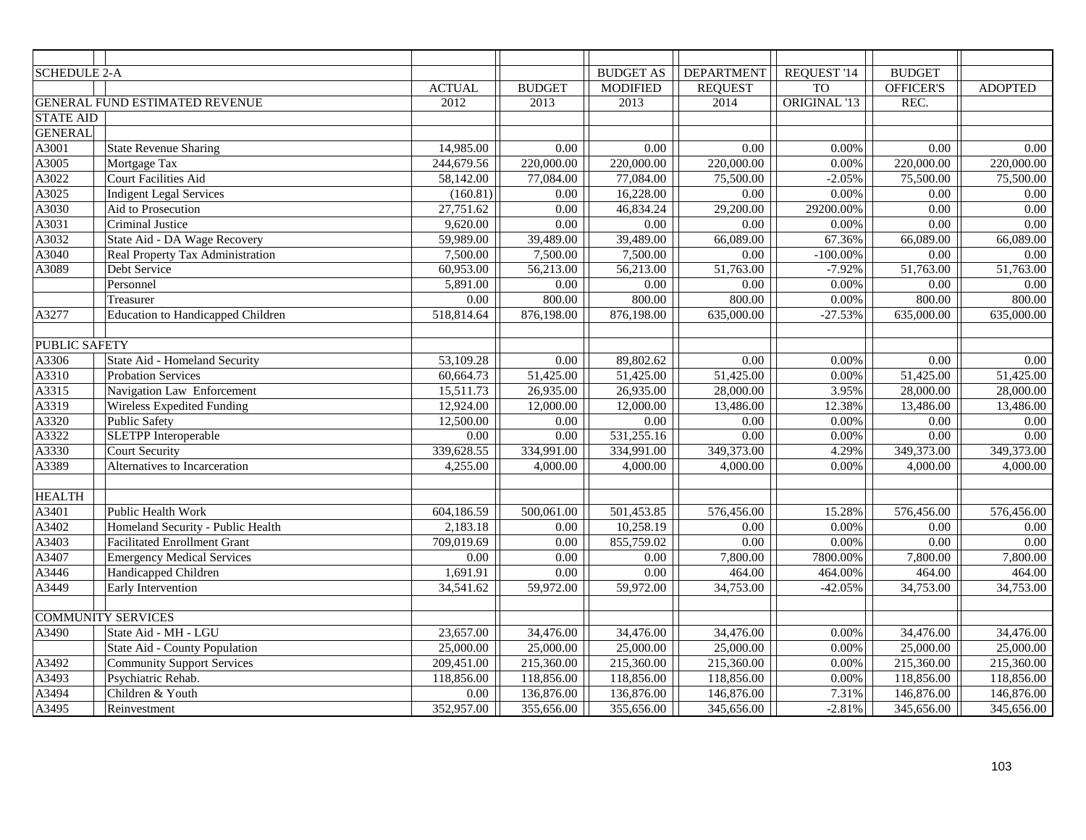| <b>SCHEDULE 2-A</b>  |                                          |                   |                   | <b>BUDGET AS</b> | <b>DEPARTMENT</b>      | REQUEST '14  | <b>BUDGET</b> |                |
|----------------------|------------------------------------------|-------------------|-------------------|------------------|------------------------|--------------|---------------|----------------|
|                      |                                          | <b>ACTUAL</b>     | <b>BUDGET</b>     | <b>MODIFIED</b>  | <b>REQUEST</b>         | <b>TO</b>    | OFFICER'S     | <b>ADOPTED</b> |
|                      | <b>GENERAL FUND ESTIMATED REVENUE</b>    | 2012              | 2013              | 2013             | 2014                   | ORIGINAL '13 | REC.          |                |
| <b>STATE AID</b>     |                                          |                   |                   |                  |                        |              |               |                |
| <b>GENERAL</b>       |                                          |                   |                   |                  |                        |              |               |                |
| A3001                | State Revenue Sharing                    | 14,985.00         | 0.00              | 0.00             | 0.00                   | $0.00\%$     | 0.00          | $0.00\,$       |
| A3005                | Mortgage Tax                             | 244,679.56        | 220,000.00        | 220,000.00       | 220,000.00             | $0.00\%$     | 220,000.00    | 220,000.00     |
| A3022                | Court Facilities Aid                     | 58,142.00         | 77,084.00         | 77,084.00        | 75,500.00              | $-2.05%$     | 75,500.00     | 75,500.00      |
| A3025                | <b>Indigent Legal Services</b>           | (160.81)          | 0.00              | 16,228.00        | 0.00                   | 0.00%        | 0.00          | 0.00           |
| A3030                | Aid to Prosecution                       | 27,751.62         | $\overline{0.00}$ | 46,834.24        | $\overline{29,200.00}$ | 29200.00%    | 0.00          | 0.00           |
| A3031                | Criminal Justice                         | 9,620.00          | 0.00              | 0.00             | 0.00                   | 0.00%        | 0.00          | 0.00           |
| A3032                | State Aid - DA Wage Recovery             | 59,989.00         | 39,489.00         | 39,489.00        | 66,089.00              | 67.36%       | 66,089.00     | 66,089.00      |
| A3040                | Real Property Tax Administration         | 7,500.00          | 7,500.00          | 7,500.00         | 0.00                   | $-100.00\%$  | 0.00          | $0.00\,$       |
| A3089                | Debt Service                             | 60,953.00         | 56,213.00         | 56,213.00        | 51,763.00              | $-7.92%$     | 51,763.00     | 51,763.00      |
|                      | Personnel                                | 5,891.00          | 0.00              | 0.00             | 0.00                   | 0.00%        | 0.00          | 0.00           |
|                      | Treasurer                                | $\overline{0.00}$ | 800.00            | 800.00           | 800.00                 | $0.00\%$     | 800.00        | 800.00         |
| A3277                | <b>Education to Handicapped Children</b> | 518,814.64        | 876,198.00        | 876,198.00       | 635,000.00             | $-27.53%$    | 635,000.00    | 635,000.00     |
|                      |                                          |                   |                   |                  |                        |              |               |                |
| <b>PUBLIC SAFETY</b> |                                          |                   |                   |                  |                        |              |               |                |
| A3306                | State Aid - Homeland Security            | 53,109.28         | $0.00\,$          | 89,802.62        | 0.00                   | 0.00%        | 0.00          | 0.00           |
| A3310                | Probation Services                       | 60,664.73         | 51,425.00         | 51,425.00        | 51,425.00              | $0.00\%$     | 51,425.00     | 51,425.00      |
| A3315                | Navigation Law Enforcement               | 15,511.73         | 26,935.00         | 26,935.00        | 28,000.00              | 3.95%        | 28,000.00     | 28,000.00      |
| A3319                | Wireless Expedited Funding               | 12,924.00         | 12,000.00         | 12,000.00        | 13,486.00              | 12.38%       | 13,486.00     | 13,486.00      |
| A3320                | <b>Public Safety</b>                     | 12,500.00         | 0.00              | 0.00             | 0.00                   | 0.00%        | 0.00          | 0.00           |
| A3322                | <b>SLETPP</b> Interoperable              | 0.00              | 0.00              | 531,255.16       | 0.00                   | $0.00\%$     | 0.00          | 0.00           |
| A3330                | Court Security                           | 339,628.55        | 334,991.00        | 334,991.00       | 349,373.00             | 4.29%        | 349,373.00    | 349,373.00     |
| A3389                | Alternatives to Incarceration            | 4,255.00          | 4,000.00          | 4,000.00         | 4,000.00               | 0.00%        | 4,000.00      | 4,000.00       |
|                      |                                          |                   |                   |                  |                        |              |               |                |
| <b>HEALTH</b>        |                                          |                   |                   |                  |                        |              |               |                |
| A3401                | Public Health Work                       | 604,186.59        | 500,061.00        | 501,453.85       | 576,456.00             | 15.28%       | 576,456.00    | 576,456.00     |
| A3402                | Homeland Security - Public Health        | 2,183.18          | 0.00              | 10,258.19        | 0.00                   | $0.00\%$     | 0.00          | $0.00\,$       |
| A3403                | <b>Facilitated Enrollment Grant</b>      | 709,019.69        | $0.00\,$          | 855,759.02       | 0.00                   | $0.00\%$     | 0.00          | $0.00\,$       |
| A3407                | <b>Emergency Medical Services</b>        | 0.00              | 0.00              | 0.00             | 7,800.00               | 7800.00%     | 7,800.00      | 7,800.00       |
| A3446                | Handicapped Children                     | 1,691.91          | $\overline{0.00}$ | 0.00             | 464.00                 | 464.00%      | 464.00        | 464.00         |
| A3449                | Early Intervention                       | 34,541.62         | 59,972.00         | 59,972.00        | 34,753.00              | $-42.05%$    | 34,753.00     | 34,753.00      |
|                      |                                          |                   |                   |                  |                        |              |               |                |
|                      | <b>COMMUNITY SERVICES</b>                |                   |                   |                  |                        |              |               |                |
| A3490                | State Aid - MH - LGU                     | 23,657.00         | 34,476.00         | 34,476.00        | 34,476.00              | 0.00%        | 34,476.00     | 34,476.00      |
|                      | State Aid - County Population            | 25,000.00         | 25,000.00         | 25,000.00        | 25,000.00              | $0.00\%$     | 25,000.00     | 25,000.00      |
| A3492                | <b>Community Support Services</b>        | 209,451.00        | 215,360.00        | 215,360.00       | 215,360.00             | $0.00\%$     | 215,360.00    | 215,360.00     |
| A3493                | Psychiatric Rehab.                       | 118,856.00        | 118,856.00        | 118,856.00       | 118,856.00             | 0.00%        | 118,856.00    | 118,856.00     |
| A3494                | Children & Youth                         | 0.00              | 136,876.00        | 136,876.00       | 146,876.00             | 7.31%        | 146,876.00    | 146,876.00     |
| A3495                | Reinvestment                             | 352,957.00        | 355,656.00        | 355,656.00       | 345,656.00             | $-2.81%$     | 345,656.00    | 345,656.00     |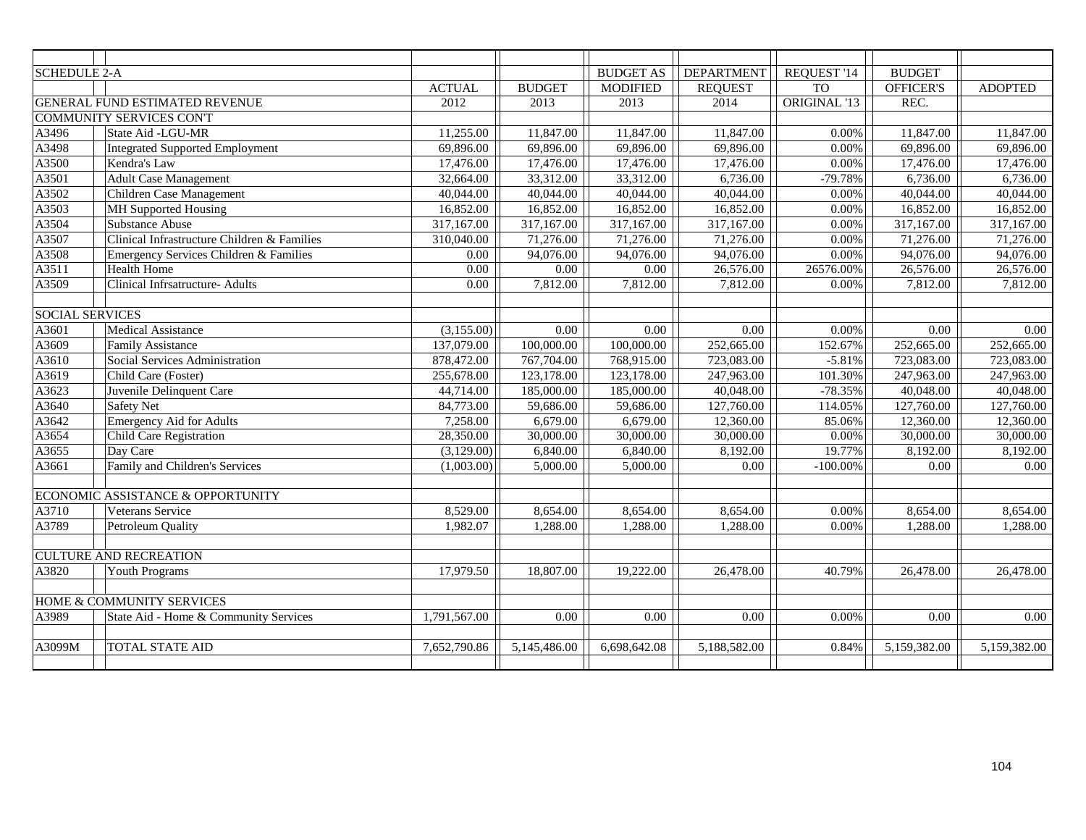| <b>SCHEDULE 2-A</b>    |                                             |               |               | <b>BUDGET AS</b> | <b>DEPARTMENT</b> | REQUEST '14     | <b>BUDGET</b>           |                |
|------------------------|---------------------------------------------|---------------|---------------|------------------|-------------------|-----------------|-------------------------|----------------|
|                        |                                             | <b>ACTUAL</b> | <b>BUDGET</b> | <b>MODIFIED</b>  | <b>REQUEST</b>    | TO <sub>1</sub> | OFFICER'S               | <b>ADOPTED</b> |
|                        | <b>GENERAL FUND ESTIMATED REVENUE</b>       | 2012          | 2013          | 2013             | 2014              | ORIGINAL '13    | REC.                    |                |
|                        | <b>COMMUNITY SERVICES CON'T</b>             |               |               |                  |                   |                 |                         |                |
| A3496                  | State Aid -LGU-MR                           | 11,255.00     | 11,847.00     | 11,847.00        | 11,847.00         | 0.00%           | 11,847.00               | 11,847.00      |
| A3498                  | Integrated Supported Employment             | 69,896.00     | 69,896.00     | 69,896.00        | 69,896.00         | 0.00%           | 69,896.00               | 69,896.00      |
| A3500                  | Kendra's Law                                | 17,476.00     | 17,476.00     | 17,476.00        | 17,476.00         | 0.00%           | 17,476.00               | 17,476.00      |
| A3501                  | Adult Case Management                       | 32,664.00     | 33,312.00     | 33,312.00        | 6,736.00          | -79.78%         | 6,736.00                | 6,736.00       |
| A3502                  | Children Case Management                    | 40,044.00     | 40,044.00     | 40,044.00        | 40,044.00         | 0.00%           | 40,044.00               | 40,044.00      |
| A3503                  | MH Supported Housing                        | 16,852.00     | 16,852.00     | 16,852.00        | 16,852.00         | $0.00\%$        | 16,852.00               | 16,852.00      |
| A3504                  | Substance Abuse                             | 317,167.00    | 317,167.00    | 317,167.00       | 317,167.00        | 0.00%           | 317,167.00              | 317,167.00     |
| A3507                  | Clinical Infrastructure Children & Families | 310,040.00    | 71,276.00     | 71,276.00        | 71,276.00         | $0.00\%$        | 71,276.00               | 71,276.00      |
| A3508                  | Emergency Services Children & Families      | 0.00          | 94,076.00     | 94,076.00        | 94,076.00         | 0.00%           | 94,076.00               | 94,076.00      |
| A3511                  | <b>Health Home</b>                          | 0.00          | 0.00          | 0.00             | 26,576.00         | 26576.00%       | 26,576.00               | 26,576.00      |
| A3509                  | Clinical Infrsatructure- Adults             | 0.00          | 7,812.00      | 7,812.00         | 7,812.00          | 0.00%           | 7,812.00                | 7,812.00       |
|                        |                                             |               |               |                  |                   |                 |                         |                |
| <b>SOCIAL SERVICES</b> |                                             |               |               |                  |                   |                 |                         |                |
| A3601                  | Medical Assistance                          | (3,155.00)    | $0.00\,$      | 0.00             | 0.00              | 0.00%           | 0.00                    | 0.00           |
| A3609                  | <b>Family Assistance</b>                    | 137,079.00    | 100,000.00    | 100,000.00       | 252,665.00        | 152.67%         | $\overline{252,665.00}$ | 252,665.00     |
| A3610                  | Social Services Administration              | 878,472.00    | 767,704.00    | 768,915.00       | 723,083.00        | $-5.81%$        | 723,083.00              | 723,083.00     |
| A3619                  | Child Care (Foster)                         | 255,678.00    | 123,178.00    | 123,178.00       | 247,963.00        | 101.30%         | 247,963.00              | 247,963.00     |
| A3623                  | Juvenile Delinquent Care                    | 44,714.00     | 185,000.00    | 185,000.00       | 40,048.00         | $-78.35%$       | 40,048.00               | 40,048.00      |
| A3640                  | <b>Safety Net</b>                           | 84,773.00     | 59,686.00     | 59,686.00        | 127,760.00        | 114.05%         | 127,760.00              | 127,760.00     |
| A3642                  | <b>Emergency Aid for Adults</b>             | 7,258.00      | 6,679.00      | 6,679.00         | 12,360.00         | 85.06%          | 12,360.00               | 12,360.00      |
| A3654                  | Child Care Registration                     | 28,350.00     | 30,000.00     | 30,000.00        | 30,000.00         | 0.00%           | 30,000.00               | 30,000.00      |
| A3655                  | Day Care                                    | (3,129.00)    | 6,840.00      | 6,840.00         | 8,192.00          | 19.77%          | 8,192.00                | 8,192.00       |
| A3661                  | Family and Children's Services              | (1,003.00)    | 5,000.00      | 5,000.00         | 0.00              | $-100.00\%$     | 0.00                    | 0.00           |
|                        | ECONOMIC ASSISTANCE & OPPORTUNITY           |               |               |                  |                   |                 |                         |                |
| A3710                  | Veterans Service                            | 8,529.00      | 8,654.00      | 8,654.00         | 8.654.00          | 0.00%           | 8.654.00                | 8,654.00       |
| A3789                  | Petroleum Quality                           | 1,982.07      | 1,288.00      | 1,288.00         | 1,288.00          | 0.00%           | 1,288.00                | 1,288.00       |
|                        |                                             |               |               |                  |                   |                 |                         |                |
|                        | <b>CULTURE AND RECREATION</b>               |               |               |                  |                   |                 |                         |                |
| A3820                  | <b>Youth Programs</b>                       | 17,979.50     | 18,807.00     | 19,222.00        | 26,478.00         | 40.79%          | 26,478.00               | 26,478.00      |
|                        |                                             |               |               |                  |                   |                 |                         |                |
|                        | <b>HOME &amp; COMMUNITY SERVICES</b>        |               |               |                  |                   |                 |                         |                |
| A3989                  | State Aid - Home & Community Services       | 1,791,567.00  | 0.00          | 0.00             | 0.00              | 0.00%           | 0.00                    | 0.00           |
| A3099M                 | <b>TOTAL STATE AID</b>                      | 7,652,790.86  | 5,145,486.00  | 6,698,642.08     | 5,188,582.00      | 0.84%           | 5,159,382.00            | 5,159,382.00   |
|                        |                                             |               |               |                  |                   |                 |                         |                |
|                        |                                             |               |               |                  |                   |                 |                         |                |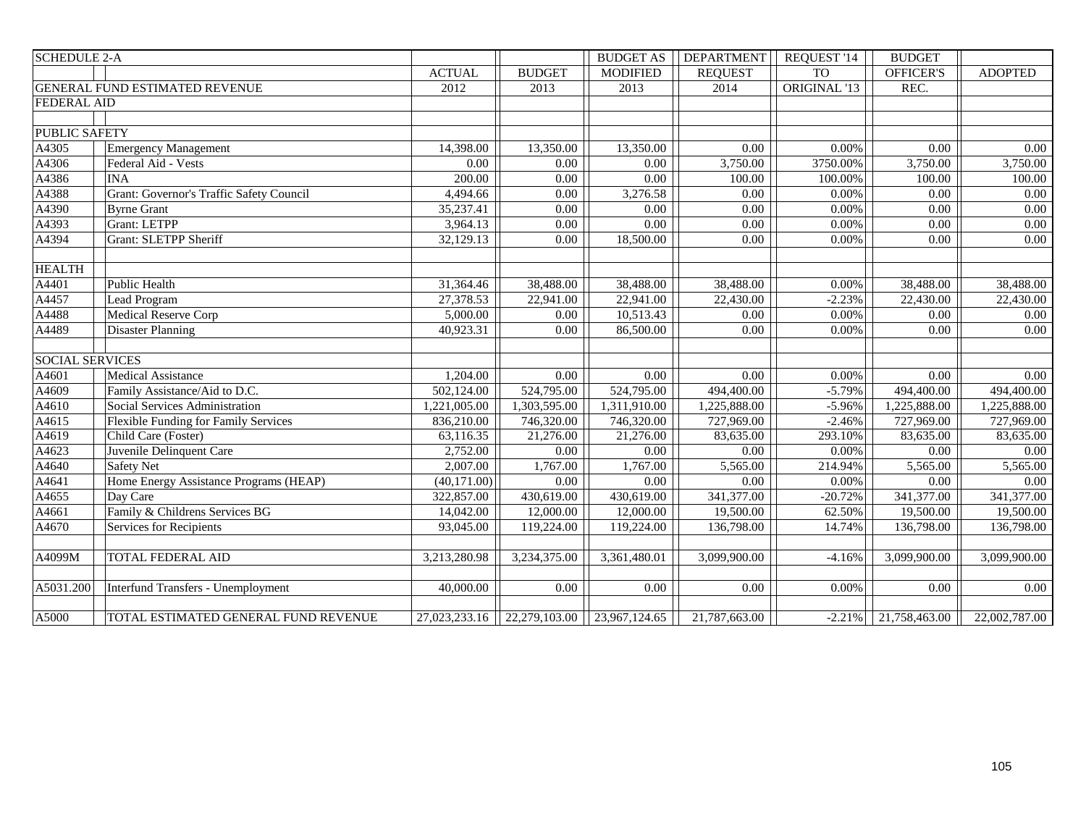| <b>SCHEDULE 2-A</b>    |                                          |               |                   | <b>BUDGET AS</b> | <b>DEPARTMENT</b> | REQUEST '14  | <b>BUDGET</b>             |                |
|------------------------|------------------------------------------|---------------|-------------------|------------------|-------------------|--------------|---------------------------|----------------|
|                        |                                          | <b>ACTUAL</b> | <b>BUDGET</b>     | <b>MODIFIED</b>  | <b>REQUEST</b>    | <b>TO</b>    | OFFICER'S                 | <b>ADOPTED</b> |
|                        | GENERAL FUND ESTIMATED REVENUE           | 2012          | 2013              | 2013             | 2014              | ORIGINAL '13 | REC.                      |                |
| <b>FEDERAL AID</b>     |                                          |               |                   |                  |                   |              |                           |                |
|                        |                                          |               |                   |                  |                   |              |                           |                |
| <b>PUBLIC SAFETY</b>   |                                          |               |                   |                  |                   |              |                           |                |
| A4305                  | <b>Emergency Management</b>              | 14,398.00     | 13,350.00         | 13,350.00        | 0.00              | 0.00%        | 0.00                      | 0.00           |
| A4306                  | Federal Aid - Vests                      | 0.00          | 0.00              | 0.00             | 3,750.00          | 3750.00%     | 3,750.00                  | 3,750.00       |
| A4386                  | <b>INA</b>                               | 200.00        | 0.00              | 0.00             | 100.00            | 100.00%      | 100.00                    | 100.00         |
| A4388                  | Grant: Governor's Traffic Safety Council | 4,494.66      | $\overline{0.00}$ | 3,276.58         | 0.00              | 0.00%        | 0.00                      | 0.00           |
| A4390                  | <b>Byrne Grant</b>                       | 35,237.41     | 0.00              | 0.00             | 0.00              | 0.00%        | 0.00                      | $0.00\,$       |
| A4393                  | Grant: LETPP                             | 3,964.13      | 0.00              | 0.00             | 0.00              | 0.00%        | 0.00                      | $0.00\,$       |
| A4394                  | <b>Grant: SLETPP Sheriff</b>             | 32,129.13     | 0.00              | 18,500.00        | 0.00              | 0.00%        | 0.00                      | 0.00           |
|                        |                                          |               |                   |                  |                   |              |                           |                |
| <b>HEALTH</b>          |                                          |               |                   |                  |                   |              |                           |                |
| A4401                  | Public Health                            | 31,364.46     | 38,488.00         | 38,488.00        | 38,488.00         | 0.00%        | 38,488.00                 | 38,488.00      |
| A4457                  | Lead Program                             | 27,378.53     | 22,941.00         | 22,941.00        | 22,430.00         | $-2.23%$     | 22,430.00                 | 22,430.00      |
| A4488                  | Medical Reserve Corp                     | 5,000.00      | 0.00              | 10,513.43        | 0.00              | 0.00%        | 0.00                      | 0.00           |
| A4489                  | <b>Disaster Planning</b>                 | 40,923.31     | 0.00              | 86,500.00        | 0.00              | 0.00%        | 0.00                      | 0.00           |
|                        |                                          |               |                   |                  |                   |              |                           |                |
| <b>SOCIAL SERVICES</b> |                                          |               |                   |                  |                   |              |                           |                |
| A4601                  | Medical Assistance                       | 1,204.00      | 0.00              | 0.00             | 0.00              | 0.00%        | 0.00                      | 0.00           |
| A4609                  | Family Assistance/Aid to D.C.            | 502,124.00    | 524,795.00        | 524,795.00       | 494,400.00        | $-5.79%$     | 494,400.00                | 494,400.00     |
| A4610                  | Social Services Administration           | 1,221,005.00  | 1,303,595.00      | 1,311,910.00     | 1,225,888.00      | $-5.96%$     | 1,225,888.00              | 1,225,888.00   |
| A4615                  | Flexible Funding for Family Services     | 836,210.00    | 746,320.00        | 746,320.00       | 727,969.00        | $-2.46%$     | 727,969.00                | 727,969.00     |
| A4619                  | Child Care (Foster)                      | 63,116.35     | 21,276.00         | 21,276.00        | 83,635.00         | 293.10%      | 83,635.00                 | 83,635.00      |
| A4623                  | Juvenile Delinquent Care                 | 2,752.00      | $0.00\,$          | 0.00             | 0.00              | 0.00%        | 0.00                      | $0.00\,$       |
| A4640                  | <b>Safety Net</b>                        | 2,007.00      | 1,767.00          | 1,767.00         | 5,565.00          | 214.94%      | 5,565.00                  | 5,565.00       |
| A4641                  | Home Energy Assistance Programs (HEAP)   | (40, 171.00)  | $0.00\,$          | 0.00             | 0.00              | $0.00\%$     | 0.00                      | $0.00\,$       |
| A4655                  | Day Care                                 | 322,857.00    | 430,619.00        | 430,619.00       | 341,377.00        | $-20.72%$    | 341,377.00                | 341,377.00     |
| A4661                  | Family & Childrens Services BG           | 14,042.00     | 12,000.00         | 12,000.00        | 19,500.00         | 62.50%       | 19,500.00                 | 19,500.00      |
| A4670                  | Services for Recipients                  | 93,045.00     | 119,224.00        | 119,224.00       | 136,798.00        | 14.74%       | 136,798.00                | 136,798.00     |
|                        |                                          |               |                   |                  |                   |              |                           |                |
| A4099M                 | TOTAL FEDERAL AID                        | 3,213,280.98  | 3,234,375.00      | 3,361,480.01     | 3,099,900.00      | $-4.16%$     | 3,099,900.00              | 3,099,900.00   |
|                        |                                          |               |                   |                  |                   |              |                           |                |
| A5031.200              | Interfund Transfers - Unemployment       | 40,000.00     | 0.00              | 0.00             | 0.00              | 0.00%        | 0.00                      | $0.00\,$       |
|                        |                                          |               |                   |                  |                   |              |                           |                |
| A5000                  | TOTAL ESTIMATED GENERAL FUND REVENUE     | 27,023,233.16 | 22,279,103.00     | 23,967,124.65    | 21,787,663.00     |              | $-2.21\%$   21,758,463.00 | 22,002,787.00  |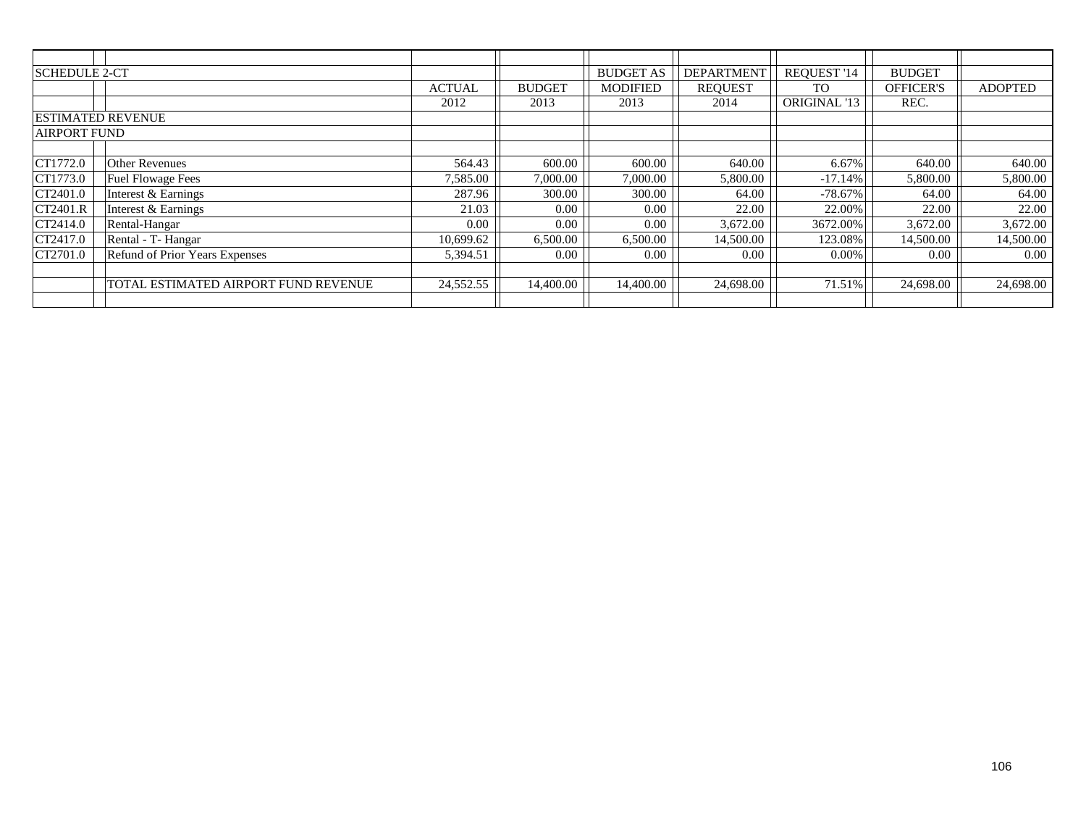| <b>SCHEDULE 2-CT</b> |                                      |               |               | <b>BUDGET AS</b> | <b>DEPARTMENT</b> | REQUEST '14  | <b>BUDGET</b>    |                |
|----------------------|--------------------------------------|---------------|---------------|------------------|-------------------|--------------|------------------|----------------|
|                      |                                      | <b>ACTUAL</b> | <b>BUDGET</b> | <b>MODIFIED</b>  | <b>REOUEST</b>    | <b>TO</b>    | <b>OFFICER'S</b> | <b>ADOPTED</b> |
|                      |                                      | 2012          | 2013          | 2013             | 2014              | ORIGINAL '13 | REC.             |                |
|                      | <b>ESTIMATED REVENUE</b>             |               |               |                  |                   |              |                  |                |
| <b>AIRPORT FUND</b>  |                                      |               |               |                  |                   |              |                  |                |
|                      |                                      |               |               |                  |                   |              |                  |                |
| CT1772.0             | <b>Other Revenues</b>                | 564.43        | 600.00        | 600.00           | 640.00            | 6.67%        | 640.00           | 640.00         |
| CT1773.0             | <b>Fuel Flowage Fees</b>             | 7,585.00      | 7,000.00      | 7,000.00         | 5,800.00          | $-17.14%$    | 5,800.00         | 5,800.00       |
| CT2401.0             | Interest & Earnings                  | 287.96        | 300.00        | 300.00           | 64.00             | $-78.67\%$   | 64.00            | 64.00          |
| CT2401.R             | Interest & Earnings                  | 21.03         | 0.00          | $0.00\,$         | 22.00             | 22.00%       | 22.00            | 22.00          |
| CT2414.0             | Rental-Hangar                        | 0.00          | 0.00          | $0.00\vert$      | 3,672.00          | 3672.00%     | 3,672.00         | 3,672.00       |
| CT2417.0             | Rental - T- Hangar                   | 10.699.62     | 6,500.00      | 6,500.00         | 14,500.00         | 123.08%      | 14,500.00        | 14,500.00      |
| CT2701.0             | Refund of Prior Years Expenses       | 5.394.51      | 0.00          | $0.00\,$         | 0.00              | 0.00%        | 0.00             | 0.00           |
|                      |                                      |               |               |                  |                   |              |                  |                |
|                      | TOTAL ESTIMATED AIRPORT FUND REVENUE | 24,552.55     | 14,400.00     | 14,400.00        | 24,698.00         | 71.51%       | 24,698.00        | 24,698.00      |
|                      |                                      |               |               |                  |                   |              |                  |                |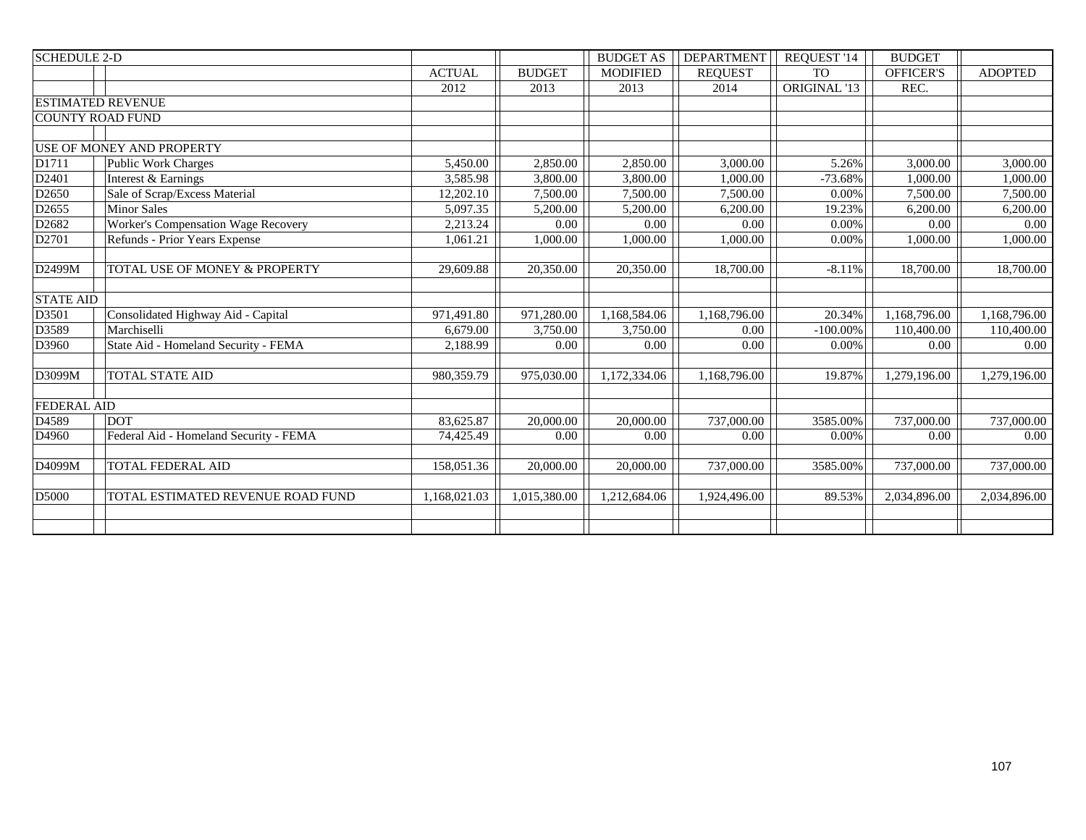| <b>SCHEDULE 2-D</b>     |                                        |               |               | <b>BUDGET AS</b> | <b>DEPARTMENT</b> | REQUEST '14  | <b>BUDGET</b>    |                |
|-------------------------|----------------------------------------|---------------|---------------|------------------|-------------------|--------------|------------------|----------------|
|                         |                                        | <b>ACTUAL</b> | <b>BUDGET</b> | <b>MODIFIED</b>  | <b>REQUEST</b>    | <b>TO</b>    | <b>OFFICER'S</b> | <b>ADOPTED</b> |
|                         |                                        | 2012          | 2013          | 2013             | 2014              | ORIGINAL '13 | REC.             |                |
|                         | <b>ESTIMATED REVENUE</b>               |               |               |                  |                   |              |                  |                |
| <b>COUNTY ROAD FUND</b> |                                        |               |               |                  |                   |              |                  |                |
|                         |                                        |               |               |                  |                   |              |                  |                |
|                         | <b>USE OF MONEY AND PROPERTY</b>       |               |               |                  |                   |              |                  |                |
| D1711                   | Public Work Charges                    | 5,450.00      | 2,850.00      | 2,850.00         | 3,000.00          | 5.26%        | 3,000.00         | 3,000.00       |
| D <sub>2401</sub>       | Interest & Earnings                    | 3,585.98      | 3,800.00      | 3,800.00         | 1,000.00          | $-73.68%$    | 1,000.00         | 1,000.00       |
| D <sub>2650</sub>       | Sale of Scrap/Excess Material          | 12,202.10     | 7,500.00      | 7,500.00         | 7,500.00          | 0.00%        | 7,500.00         | 7,500.00       |
| D2655                   | <b>Minor Sales</b>                     | 5,097.35      | 5,200.00      | 5,200.00         | 6,200.00          | 19.23%       | 6,200.00         | 6,200.00       |
| D2682                   | Worker's Compensation Wage Recovery    | 2,213.24      | 0.00          | 0.00             | 0.00              | 0.00%        | 0.00             | 0.00           |
| D2701                   | Refunds - Prior Years Expense          | 1,061.21      | 1,000.00      | 1,000.00         | 1,000.00          | 0.00%        | 1,000.00         | 1,000.00       |
|                         |                                        |               |               |                  |                   |              |                  |                |
| D2499M                  | TOTAL USE OF MONEY & PROPERTY          | 29,609.88     | 20,350.00     | 20,350.00        | 18,700.00         | $-8.11%$     | 18,700.00        | 18,700.00      |
|                         |                                        |               |               |                  |                   |              |                  |                |
| <b>STATE AID</b>        |                                        |               |               |                  |                   |              |                  |                |
| D3501                   | Consolidated Highway Aid - Capital     | 971,491.80    | 971,280.00    | 1,168,584.06     | 1,168,796.00      | 20.34%       | 1,168,796.00     | 1,168,796.00   |
| D3589                   | Marchiselli                            | 6.679.00      | 3.750.00      | 3.750.00         | 0.00              | $-100.00\%$  | 110,400.00       | 110,400.00     |
| D3960                   | State Aid - Homeland Security - FEMA   | 2,188.99      | 0.00          | 0.00             | 0.00              | 0.00%        | 0.00             | 0.00           |
|                         |                                        |               |               |                  |                   |              |                  |                |
| D3099M                  | <b>TOTAL STATE AID</b>                 | 980,359.79    | 975,030.00    | 1,172,334.06     | 1,168,796.00      | 19.87%       | 1,279,196.00     | 1,279,196.00   |
|                         |                                        |               |               |                  |                   |              |                  |                |
| <b>FEDERAL AID</b>      |                                        |               |               |                  |                   |              |                  |                |
| D4589                   | DOT                                    | 83,625.87     | 20,000.00     | 20,000.00        | 737,000.00        | 3585.00%     | 737,000.00       | 737,000.00     |
| D4960                   | Federal Aid - Homeland Security - FEMA | 74,425.49     | 0.00          | 0.00             | 0.00              | 0.00%        | 0.00             | 0.00           |
|                         |                                        |               |               |                  |                   |              |                  |                |
| D4099M                  | TOTAL FEDERAL AID                      | 158,051.36    | 20,000.00     | 20,000.00        | 737,000.00        | 3585.00%     | 737,000.00       | 737,000.00     |
|                         |                                        |               |               |                  |                   |              |                  |                |
| D5000                   | TOTAL ESTIMATED REVENUE ROAD FUND      | 1,168,021.03  | 1,015,380.00  | 1,212,684.06     | 1,924,496.00      | 89.53%       | 2,034,896.00     | 2,034,896.00   |
|                         |                                        |               |               |                  |                   |              |                  |                |
|                         |                                        |               |               |                  |                   |              |                  |                |